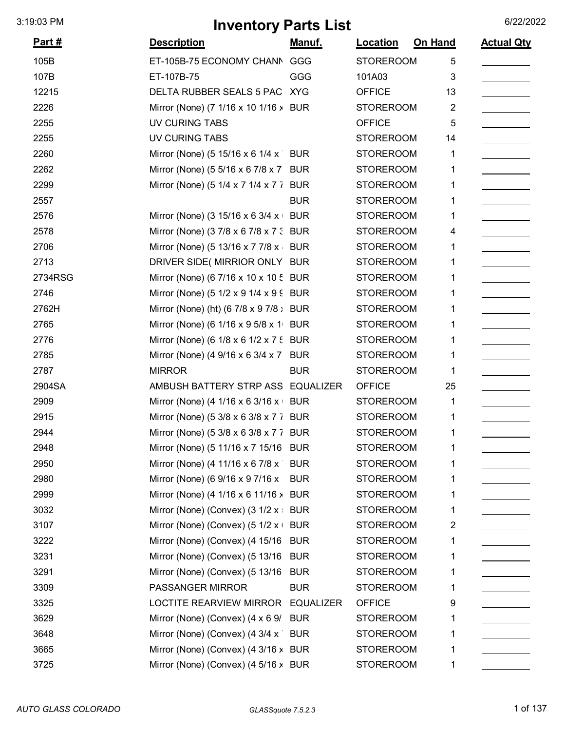| <u>Part #</u> | <b>Description</b>                      | <u>Manuf.</u> | Location         | On Hand | <b>Actual Qty</b> |
|---------------|-----------------------------------------|---------------|------------------|---------|-------------------|
| 105B          | ET-105B-75 ECONOMY CHANN                | GGG           | <b>STOREROOM</b> | 5       |                   |
| 107B          | ET-107B-75                              | GGG           | 101A03           | 3       |                   |
| 12215         | DELTA RUBBER SEALS 5 PAC XYG            |               | <b>OFFICE</b>    | 13      |                   |
| 2226          | Mirror (None) (7 1/16 x 10 1/16 > BUR   |               | <b>STOREROOM</b> | 2       |                   |
| 2255          | UV CURING TABS                          |               | <b>OFFICE</b>    | 5       |                   |
| 2255          | <b>UV CURING TABS</b>                   |               | <b>STOREROOM</b> | 14      |                   |
| 2260          | Mirror (None) (5 15/16 x 6 1/4 x        | <b>BUR</b>    | <b>STOREROOM</b> | 1       |                   |
| 2262          | Mirror (None) (5 5/16 x 6 7/8 x 7 BUR   |               | <b>STOREROOM</b> | 1       |                   |
| 2299          | Mirror (None) (5 1/4 x 7 1/4 x 7 7 BUR  |               | <b>STOREROOM</b> | 1       |                   |
| 2557          |                                         | <b>BUR</b>    | <b>STOREROOM</b> | 1       |                   |
| 2576          | Mirror (None) (3 15/16 x 6 3/4 x BUR    |               | <b>STOREROOM</b> | 1       |                   |
| 2578          | Mirror (None) (3 7/8 x 6 7/8 x 7 3 BUR  |               | <b>STOREROOM</b> | 4       |                   |
| 2706          | Mirror (None) (5 13/16 x 7 7/8 x        | <b>BUR</b>    | <b>STOREROOM</b> | 1       |                   |
| 2713          | DRIVER SIDE( MIRRIOR ONLY BUR           |               | <b>STOREROOM</b> | 1       |                   |
| 2734RSG       | Mirror (None) (6 7/16 x 10 x 10 5 BUR   |               | <b>STOREROOM</b> | 1       |                   |
| 2746          | Mirror (None) (5 1/2 x 9 1/4 x 9 9 BUR  |               | <b>STOREROOM</b> | 1       |                   |
| 2762H         | Mirror (None) (ht) (6 7/8 x 9 7/8 ; BUR |               | <b>STOREROOM</b> | 1       |                   |
| 2765          | Mirror (None) (6 1/16 x 9 5/8 x 1 BUR   |               | <b>STOREROOM</b> | 1       |                   |
| 2776          | Mirror (None) (6 1/8 x 6 1/2 x 7 5 BUR  |               | <b>STOREROOM</b> | 1       |                   |
| 2785          | Mirror (None) (4 9/16 x 6 3/4 x 7 BUR   |               | <b>STOREROOM</b> | 1       |                   |
| 2787          | <b>MIRROR</b>                           | <b>BUR</b>    | <b>STOREROOM</b> | 1       |                   |
| 2904SA        | AMBUSH BATTERY STRP ASS EQUALIZER       |               | <b>OFFICE</b>    | 25      |                   |
| 2909          | Mirror (None) (4 1/16 x 6 3/16 x BUR    |               | <b>STOREROOM</b> | 1       |                   |
| 2915          | Mirror (None) (5 3/8 x 6 3/8 x 7 7 BUR  |               | <b>STOREROOM</b> | 1       |                   |
| 2944          | Mirror (None) (5 3/8 x 6 3/8 x 7 7 BUR  |               | <b>STOREROOM</b> | 1       |                   |
| 2948          | Mirror (None) (5 11/16 x 7 15/16 BUR    |               | <b>STOREROOM</b> | 1       |                   |
| 2950          | Mirror (None) (4 11/16 x 6 7/8 x        | <b>BUR</b>    | <b>STOREROOM</b> | 1       |                   |
| 2980          | Mirror (None) (6 9/16 x 9 7/16 x        | <b>BUR</b>    | <b>STOREROOM</b> | 1       |                   |
| 2999          | Mirror (None) (4 1/16 x 6 11/16 > BUR   |               | <b>STOREROOM</b> | 1       |                   |
| 3032          | Mirror (None) (Convex) (3 1/2 x BUR     |               | <b>STOREROOM</b> | 1       |                   |
| 3107          | Mirror (None) (Convex) (5 $1/2$ x +     | <b>BUR</b>    | <b>STOREROOM</b> | 2       |                   |
| 3222          | Mirror (None) (Convex) (4 15/16         | <b>BUR</b>    | <b>STOREROOM</b> | 1       |                   |
| 3231          | Mirror (None) (Convex) (5 13/16         | <b>BUR</b>    | <b>STOREROOM</b> | 1       |                   |
| 3291          | Mirror (None) (Convex) (5 13/16         | <b>BUR</b>    | <b>STOREROOM</b> | 1       |                   |
| 3309          | PASSANGER MIRROR                        | <b>BUR</b>    | <b>STOREROOM</b> | 1       |                   |
| 3325          | LOCTITE REARVIEW MIRROR EQUALIZER       |               | <b>OFFICE</b>    | 9       |                   |
| 3629          | Mirror (None) (Convex) (4 x 6 9/        | <b>BUR</b>    | <b>STOREROOM</b> |         |                   |
| 3648          | Mirror (None) (Convex) (4 3/4 x         | <b>BUR</b>    | <b>STOREROOM</b> | 1       |                   |
| 3665          | Mirror (None) (Convex) (4 3/16 > BUR    |               | <b>STOREROOM</b> | 1       |                   |
| 3725          | Mirror (None) (Convex) (4 5/16 > BUR    |               | <b>STOREROOM</b> | 1       |                   |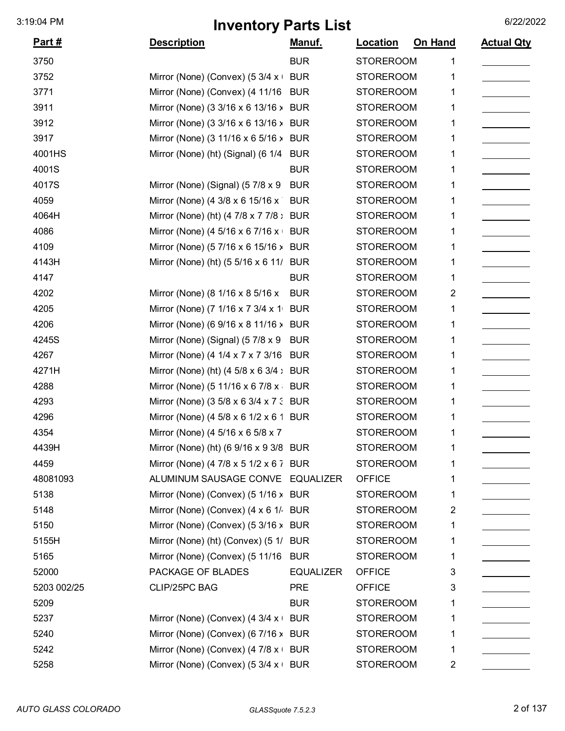| <u>Part #</u> | <b>Description</b>                          | <u>Manuf.</u>    | Location         | On Hand | <b>Actual Qty</b> |
|---------------|---------------------------------------------|------------------|------------------|---------|-------------------|
| 3750          |                                             | <b>BUR</b>       | <b>STOREROOM</b> |         |                   |
| 3752          | Mirror (None) (Convex) (5 3/4 x             | <b>BUR</b>       | <b>STOREROOM</b> |         |                   |
| 3771          | Mirror (None) (Convex) (4 11/16             | <b>BUR</b>       | <b>STOREROOM</b> | 1       |                   |
| 3911          | Mirror (None) (3 3/16 x 6 13/16 >           | <b>BUR</b>       | <b>STOREROOM</b> | 1       |                   |
| 3912          | Mirror (None) (3 3/16 x 6 13/16 >           | <b>BUR</b>       | <b>STOREROOM</b> | 1       |                   |
| 3917          | Mirror (None) (3 11/16 x 6 5/16 > BUR       |                  | <b>STOREROOM</b> |         |                   |
| 4001HS        | Mirror (None) (ht) (Signal) (6 1/4          | <b>BUR</b>       | <b>STOREROOM</b> |         |                   |
| 4001S         |                                             | <b>BUR</b>       | <b>STOREROOM</b> | 1       |                   |
| 4017S         | Mirror (None) (Signal) (5 7/8 x 9           | <b>BUR</b>       | <b>STOREROOM</b> | 1       |                   |
| 4059          | Mirror (None) (4 3/8 x 6 15/16 x            | <b>BUR</b>       | <b>STOREROOM</b> | 1       |                   |
| 4064H         | Mirror (None) (ht) (4 7/8 x 7 7/8 :         | <b>BUR</b>       | <b>STOREROOM</b> |         |                   |
| 4086          | Mirror (None) (4 5/16 x 6 7/16 x            | <b>BUR</b>       | <b>STOREROOM</b> | 1       |                   |
| 4109          | Mirror (None) (5 7/16 x 6 15/16 >           | <b>BUR</b>       | <b>STOREROOM</b> | 1       |                   |
| 4143H         | Mirror (None) (ht) (5 5/16 x 6 11/          | <b>BUR</b>       | <b>STOREROOM</b> |         |                   |
| 4147          |                                             | <b>BUR</b>       | <b>STOREROOM</b> | 1       |                   |
| 4202          | Mirror (None) (8 1/16 x 8 5/16 x            | <b>BUR</b>       | <b>STOREROOM</b> | 2       |                   |
| 4205          | Mirror (None) (7 1/16 x 7 3/4 x 1           | <b>BUR</b>       | <b>STOREROOM</b> |         |                   |
| 4206          | Mirror (None) (6 9/16 x 8 11/16 $\lambda$   | <b>BUR</b>       | <b>STOREROOM</b> |         |                   |
| 4245S         | Mirror (None) (Signal) (57/8 x 9            | <b>BUR</b>       | <b>STOREROOM</b> |         |                   |
| 4267          | Mirror (None) (4 1/4 x 7 x 7 3/16           | <b>BUR</b>       | <b>STOREROOM</b> | 1       |                   |
| 4271H         | Mirror (None) (ht) $(4\ 5/8 \times 6\ 3/4)$ | <b>BUR</b>       | <b>STOREROOM</b> |         |                   |
| 4288          | Mirror (None) (5 11/16 x 6 7/8 x            | <b>BUR</b>       | <b>STOREROOM</b> | 1       |                   |
| 4293          | Mirror (None) (3 5/8 x 6 3/4 x 7 : BUR      |                  | <b>STOREROOM</b> | 1       |                   |
| 4296          | Mirror (None) (4 5/8 x 6 1/2 x 6 1 BUR      |                  | <b>STOREROOM</b> |         |                   |
| 4354          | Mirror (None) (4 5/16 x 6 5/8 x 7           |                  | <b>STOREROOM</b> |         |                   |
| 4439H         | Mirror (None) (ht) (6 9/16 x 9 3/8 BUR      |                  | <b>STOREROOM</b> |         |                   |
| 4459          | Mirror (None) (4 7/8 x 5 1/2 x 6 7 BUR      |                  | <b>STOREROOM</b> | 1       |                   |
| 48081093      | ALUMINUM SAUSAGE CONVE EQUALIZER            |                  | <b>OFFICE</b>    | 1       |                   |
| 5138          | Mirror (None) (Convex) (5 1/16 > BUR        |                  | <b>STOREROOM</b> | 1       |                   |
| 5148          | Mirror (None) (Convex) (4 x 6 1/ BUR        |                  | <b>STOREROOM</b> | 2       |                   |
| 5150          | Mirror (None) (Convex) (5 3/16 > BUR        |                  | <b>STOREROOM</b> | 1       |                   |
| 5155H         | Mirror (None) (ht) (Convex) (5 1/ BUR       |                  | <b>STOREROOM</b> | 1       |                   |
| 5165          | Mirror (None) (Convex) (5 11/16 BUR         |                  | <b>STOREROOM</b> | 1       |                   |
| 52000         | PACKAGE OF BLADES                           | <b>EQUALIZER</b> | <b>OFFICE</b>    | 3       |                   |
| 5203 002/25   | CLIP/25PC BAG                               | <b>PRE</b>       | <b>OFFICE</b>    | 3       |                   |
| 5209          |                                             | <b>BUR</b>       | <b>STOREROOM</b> | 1       |                   |
| 5237          | Mirror (None) (Convex) (4 3/4 x             | <b>BUR</b>       | <b>STOREROOM</b> | 1       |                   |
| 5240          | Mirror (None) (Convex) (6 7/16 > BUR        |                  | <b>STOREROOM</b> |         |                   |
| 5242          | Mirror (None) (Convex) (4 7/8 x +           | <b>BUR</b>       | <b>STOREROOM</b> | 1       |                   |
| 5258          | Mirror (None) (Convex) (5 3/4 x + BUR       |                  | <b>STOREROOM</b> | 2       |                   |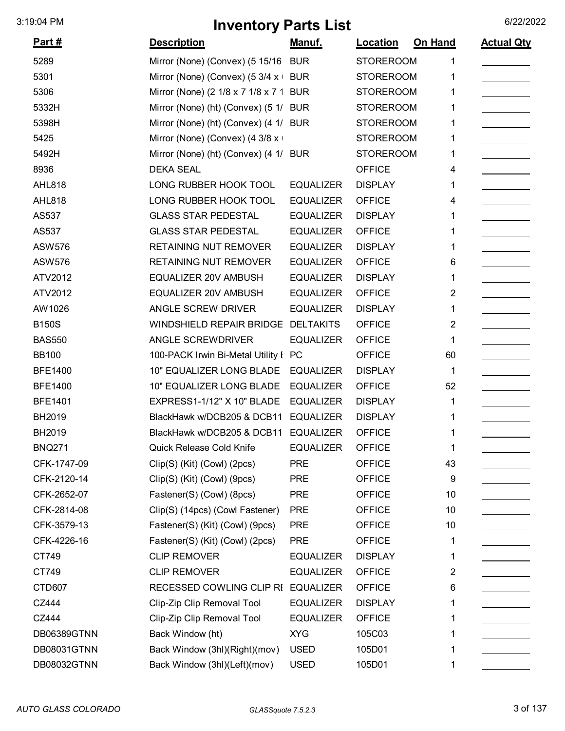| <u>Part #</u>  | <b>Description</b>                    | <b>Manuf.</b>    | <b>Location</b>  | <b>On Hand</b> | <b>Actual Qty</b> |
|----------------|---------------------------------------|------------------|------------------|----------------|-------------------|
| 5289           | Mirror (None) (Convex) (5 15/16       | <b>BUR</b>       | <b>STOREROOM</b> | 1              |                   |
| 5301           | Mirror (None) (Convex) (5 3/4 x +     | <b>BUR</b>       | <b>STOREROOM</b> |                |                   |
| 5306           | Mirror (None) (2 1/8 x 7 1/8 x 7 1    | <b>BUR</b>       | <b>STOREROOM</b> |                |                   |
| 5332H          | Mirror (None) (ht) (Convex) (5 1/     | <b>BUR</b>       | <b>STOREROOM</b> |                |                   |
| 5398H          | Mirror (None) (ht) (Convex) (4 1/ BUR |                  | <b>STOREROOM</b> | 1              |                   |
| 5425           | Mirror (None) (Convex) (4 3/8 x +     |                  | <b>STOREROOM</b> | 1              |                   |
| 5492H          | Mirror (None) (ht) (Convex) (4 1/ BUR |                  | <b>STOREROOM</b> |                |                   |
| 8936           | <b>DEKA SEAL</b>                      |                  | <b>OFFICE</b>    | 4              |                   |
| <b>AHL818</b>  | LONG RUBBER HOOK TOOL                 | <b>EQUALIZER</b> | <b>DISPLAY</b>   |                |                   |
| <b>AHL818</b>  | LONG RUBBER HOOK TOOL                 | <b>EQUALIZER</b> | <b>OFFICE</b>    | 4              |                   |
| AS537          | <b>GLASS STAR PEDESTAL</b>            | <b>EQUALIZER</b> | <b>DISPLAY</b>   |                |                   |
| AS537          | <b>GLASS STAR PEDESTAL</b>            | <b>EQUALIZER</b> | <b>OFFICE</b>    |                |                   |
| <b>ASW576</b>  | <b>RETAINING NUT REMOVER</b>          | <b>EQUALIZER</b> | <b>DISPLAY</b>   | 1              |                   |
| <b>ASW576</b>  | <b>RETAINING NUT REMOVER</b>          | <b>EQUALIZER</b> | <b>OFFICE</b>    | 6              |                   |
| ATV2012        | <b>EQUALIZER 20V AMBUSH</b>           | <b>EQUALIZER</b> | <b>DISPLAY</b>   | 1              |                   |
| ATV2012        | EQUALIZER 20V AMBUSH                  | <b>EQUALIZER</b> | <b>OFFICE</b>    | 2              |                   |
| AW1026         | ANGLE SCREW DRIVER                    | <b>EQUALIZER</b> | <b>DISPLAY</b>   | 1              |                   |
| <b>B150S</b>   | <b>WINDSHIELD REPAIR BRIDGE</b>       | <b>DELTAKITS</b> | <b>OFFICE</b>    | 2              |                   |
| <b>BAS550</b>  | ANGLE SCREWDRIVER                     | <b>EQUALIZER</b> | <b>OFFICE</b>    | 1              |                   |
| <b>BB100</b>   | 100-PACK Irwin Bi-Metal Utility I PC  |                  | <b>OFFICE</b>    | 60             |                   |
| <b>BFE1400</b> | 10" EQUALIZER LONG BLADE              | <b>EQUALIZER</b> | <b>DISPLAY</b>   | 1              |                   |
| <b>BFE1400</b> | 10" EQUALIZER LONG BLADE              | <b>EQUALIZER</b> | <b>OFFICE</b>    | 52             |                   |
| <b>BFE1401</b> | EXPRESS1-1/12" X 10" BLADE            | <b>EQUALIZER</b> | <b>DISPLAY</b>   | 1              |                   |
| BH2019         | BlackHawk w/DCB205 & DCB11            | <b>EQUALIZER</b> | <b>DISPLAY</b>   |                |                   |
| BH2019         | BlackHawk w/DCB205 & DCB11            | <b>EQUALIZER</b> | <b>OFFICE</b>    |                |                   |
| <b>BNQ271</b>  | Quick Release Cold Knife              | <b>EQUALIZER</b> | <b>OFFICE</b>    | 1              |                   |
| CFK-1747-09    | Clip(S) (Kit) (Cowl) (2pcs)           | <b>PRE</b>       | <b>OFFICE</b>    | 43             |                   |
| CFK-2120-14    | Clip(S) (Kit) (Cowl) (9pcs)           | <b>PRE</b>       | <b>OFFICE</b>    | 9              |                   |
| CFK-2652-07    | Fastener(S) (Cowl) (8pcs)             | <b>PRE</b>       | <b>OFFICE</b>    | 10             |                   |
| CFK-2814-08    | Clip(S) (14pcs) (Cowl Fastener)       | <b>PRE</b>       | <b>OFFICE</b>    | 10             |                   |
| CFK-3579-13    | Fastener(S) (Kit) (Cowl) (9pcs)       | <b>PRE</b>       | <b>OFFICE</b>    | 10             |                   |
| CFK-4226-16    | Fastener(S) (Kit) (Cowl) (2pcs)       | <b>PRE</b>       | <b>OFFICE</b>    | 1              |                   |
| CT749          | <b>CLIP REMOVER</b>                   | <b>EQUALIZER</b> | <b>DISPLAY</b>   | 1              |                   |
| CT749          | <b>CLIP REMOVER</b>                   | <b>EQUALIZER</b> | <b>OFFICE</b>    | 2              |                   |
| CTD607         | RECESSED COWLING CLIP RI              | <b>EQUALIZER</b> | <b>OFFICE</b>    | 6              |                   |
| CZ444          | Clip-Zip Clip Removal Tool            | <b>EQUALIZER</b> | <b>DISPLAY</b>   | 1              |                   |
| CZ444          | Clip-Zip Clip Removal Tool            | <b>EQUALIZER</b> | <b>OFFICE</b>    | 1              |                   |
| DB06389GTNN    | Back Window (ht)                      | <b>XYG</b>       | 105C03           | 1              |                   |
| DB08031GTNN    | Back Window (3hl)(Right)(mov)         | <b>USED</b>      | 105D01           | 1              |                   |
| DB08032GTNN    | Back Window (3hl)(Left)(mov)          | <b>USED</b>      | 105D01           | 1              |                   |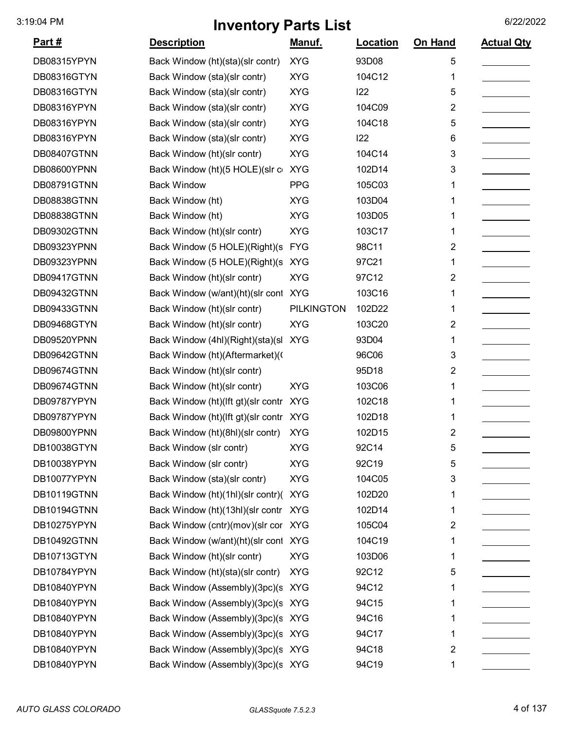|                |                                      | $\sim$ $\sim$ $\sim$ $\sim$ |                 |         |                   |
|----------------|--------------------------------------|-----------------------------|-----------------|---------|-------------------|
| <u> Part #</u> | <b>Description</b>                   | <u>Manuf.</u>               | <b>Location</b> | On Hand | <b>Actual Qty</b> |
| DB08315YPYN    | Back Window (ht)(sta)(slr contr)     | <b>XYG</b>                  | 93D08           | 5       |                   |
| DB08316GTYN    | Back Window (sta)(slr contr)         | <b>XYG</b>                  | 104C12          | 1       |                   |
| DB08316GTYN    | Back Window (sta)(slr contr)         | <b>XYG</b>                  | 122             | 5       |                   |
| DB08316YPYN    | Back Window (sta)(slr contr)         | <b>XYG</b>                  | 104C09          | 2       |                   |
| DB08316YPYN    | Back Window (sta)(slr contr)         | <b>XYG</b>                  | 104C18          | 5       |                   |
| DB08316YPYN    | Back Window (sta)(slr contr)         | <b>XYG</b>                  | 122             | 6       |                   |
| DB08407GTNN    | Back Window (ht)(slr contr)          | <b>XYG</b>                  | 104C14          | 3       |                   |
| DB08600YPNN    | Back Window (ht) (5 HOLE) (slr c     | <b>XYG</b>                  | 102D14          | 3       |                   |
| DB08791GTNN    | <b>Back Window</b>                   | <b>PPG</b>                  | 105C03          | 1       |                   |
| DB08838GTNN    | Back Window (ht)                     | <b>XYG</b>                  | 103D04          |         |                   |
| DB08838GTNN    | Back Window (ht)                     | <b>XYG</b>                  | 103D05          | 1       |                   |
| DB09302GTNN    | Back Window (ht)(slr contr)          | <b>XYG</b>                  | 103C17          | 1       |                   |
| DB09323YPNN    | Back Window (5 HOLE)(Right)(s        | <b>FYG</b>                  | 98C11           | 2       |                   |
| DB09323YPNN    | Back Window (5 HOLE)(Right)(s)       | <b>XYG</b>                  | 97C21           | 1       |                   |
| DB09417GTNN    | Back Window (ht)(slr contr)          | <b>XYG</b>                  | 97C12           | 2       |                   |
| DB09432GTNN    | Back Window (w/ant)(ht)(slr cont XYG |                             | 103C16          | 1       |                   |
| DB09433GTNN    | Back Window (ht)(slr contr)          | <b>PILKINGTON</b>           | 102D22          | 1       |                   |
| DB09468GTYN    | Back Window (ht)(slr contr)          | <b>XYG</b>                  | 103C20          | 2       |                   |
| DB09520YPNN    | Back Window (4hl)(Right)(sta)(sl     | <b>XYG</b>                  | 93D04           | 1       |                   |
| DB09642GTNN    | Back Window (ht)(Aftermarket)(       |                             | 96C06           | 3       |                   |
| DB09674GTNN    | Back Window (ht)(slr contr)          |                             | 95D18           | 2       |                   |
| DB09674GTNN    | Back Window (ht)(slr contr)          | <b>XYG</b>                  | 103C06          | 1       |                   |
| DB09787YPYN    | Back Window (ht)(Ift gt)(slr contr   | <b>XYG</b>                  | 102C18          | 1       |                   |
| DB09787YPYN    | Back Window (ht)(Ift gt)(slr contr   | <b>XYG</b>                  | 102D18          | 1       |                   |
| DB09800YPNN    | Back Window (ht)(8hl)(slr contr)     | <b>XYG</b>                  | 102D15          | 2       |                   |
| DB10038GTYN    | Back Window (slr contr)              | <b>XYG</b>                  | 92C14           | 5       |                   |
| DB10038YPYN    | Back Window (slr contr)              | <b>XYG</b>                  | 92C19           | 5       |                   |
| DB10077YPYN    | Back Window (sta)(slr contr)         | <b>XYG</b>                  | 104C05          | 3       |                   |
| DB10119GTNN    | Back Window (ht)(1hl)(slr contr)(    | <b>XYG</b>                  | 102D20          | 1       |                   |
| DB10194GTNN    | Back Window (ht)(13hl)(slr contr     | <b>XYG</b>                  | 102D14          | 1       |                   |
| DB10275YPYN    | Back Window (cntr)(mov)(slr cor XYG  |                             | 105C04          | 2       |                   |
| DB10492GTNN    | Back Window (w/ant)(ht)(slr cont XYG |                             | 104C19          | 1       |                   |
| DB10713GTYN    | Back Window (ht)(slr contr)          | <b>XYG</b>                  | 103D06          | 1       |                   |
| DB10784YPYN    | Back Window (ht)(sta)(slr contr)     | <b>XYG</b>                  | 92C12           | 5       |                   |
| DB10840YPYN    | Back Window (Assembly)(3pc)(s XYG    |                             | 94C12           | 1       |                   |
| DB10840YPYN    | Back Window (Assembly)(3pc)(s XYG    |                             | 94C15           | 1       |                   |
| DB10840YPYN    | Back Window (Assembly)(3pc)(s XYG    |                             | 94C16           | 1       |                   |
| DB10840YPYN    | Back Window (Assembly)(3pc)(s XYG    |                             | 94C17           | 1       |                   |
| DB10840YPYN    | Back Window (Assembly)(3pc)(s XYG    |                             | 94C18           | 2       |                   |
| DB10840YPYN    | Back Window (Assembly)(3pc)(s XYG    |                             | 94C19           | 1       |                   |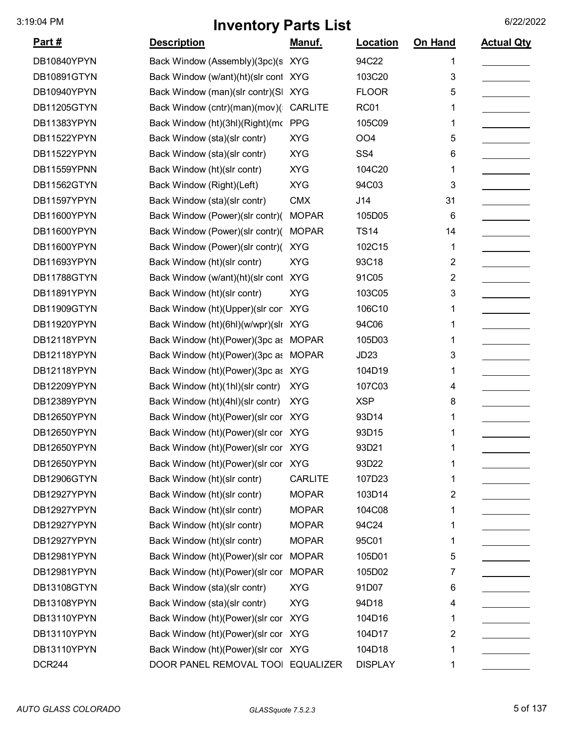| <u>Part #</u> | <b>Description</b>                   | Manuf.         | Location         | On Hand | <b>Actual Qty</b> |
|---------------|--------------------------------------|----------------|------------------|---------|-------------------|
| DB10840YPYN   | Back Window (Assembly)(3pc)(s XYG    |                | 94C22            | 1       |                   |
| DB10891GTYN   | Back Window (w/ant)(ht)(slr cont XYG |                | 103C20           | 3       |                   |
| DB10940YPYN   | Back Window (man)(slr contr)(SI      | <b>XYG</b>     | <b>FLOOR</b>     | 5       |                   |
| DB11205GTYN   | Back Window (cntr)(man)(mov)(        | <b>CARLITE</b> | <b>RC01</b>      | 1       |                   |
| DB11383YPYN   | Back Window (ht)(3hl)(Right)(mc PPG  |                | 105C09           | 1       |                   |
| DB11522YPYN   | Back Window (sta)(slr contr)         | <b>XYG</b>     | OO <sub>4</sub>  | 5       |                   |
| DB11522YPYN   | Back Window (sta)(slr contr)         | <b>XYG</b>     | SS <sub>4</sub>  | 6       |                   |
| DB11559YPNN   | Back Window (ht)(slr contr)          | <b>XYG</b>     | 104C20           | 1       |                   |
| DB11562GTYN   | Back Window (Right)(Left)            | <b>XYG</b>     | 94C03            | 3       |                   |
| DB11597YPYN   | Back Window (sta)(slr contr)         | <b>CMX</b>     | J14              | 31      |                   |
| DB11600YPYN   | Back Window (Power)(slr contr)(      | <b>MOPAR</b>   | 105D05           | 6       |                   |
| DB11600YPYN   | Back Window (Power)(slr contr)(      | <b>MOPAR</b>   | <b>TS14</b>      | 14      |                   |
| DB11600YPYN   | Back Window (Power)(slr contr)(      | <b>XYG</b>     | 102C15           | 1       |                   |
| DB11693YPYN   | Back Window (ht)(slr contr)          | <b>XYG</b>     | 93C18            | 2       |                   |
| DB11788GTYN   | Back Window (w/ant)(ht)(slr cont     | <b>XYG</b>     | 91C05            | 2       |                   |
| DB11891YPYN   | Back Window (ht)(slr contr)          | <b>XYG</b>     | 103C05           | 3       |                   |
| DB11909GTYN   | Back Window (ht)(Upper)(slr cor      | <b>XYG</b>     | 106C10           | 1       |                   |
| DB11920YPYN   | Back Window (ht)(6hl)(w/wpr)(sln     | <b>XYG</b>     | 94C06            | 1       |                   |
| DB12118YPYN   | Back Window (ht) (Power) (3pc as     | <b>MOPAR</b>   | 105D03           | 1       |                   |
| DB12118YPYN   | Back Window (ht) (Power) (3pc as     | <b>MOPAR</b>   | JD <sub>23</sub> | 3       |                   |
| DB12118YPYN   | Back Window (ht)(Power)(3pc as XYG   |                | 104D19           | 1       |                   |
| DB12209YPYN   | Back Window (ht)(1hl)(slr contr)     | <b>XYG</b>     | 107C03           | 4       |                   |
| DB12389YPYN   | Back Window (ht)(4hl)(slr contr)     | <b>XYG</b>     | <b>XSP</b>       | 8       |                   |
| DB12650YPYN   | Back Window (ht)(Power)(slr cor XYG  |                | 93D14            | 1       |                   |
| DB12650YPYN   | Back Window (ht)(Power)(slr cor XYG  |                | 93D15            | 1       |                   |
| DB12650YPYN   | Back Window (ht)(Power)(slr cor      | <b>XYG</b>     | 93D21            | 1       |                   |
| DB12650YPYN   | Back Window (ht)(Power)(slr cor      | <b>XYG</b>     | 93D22            | 1       |                   |
| DB12906GTYN   | Back Window (ht)(slr contr)          | <b>CARLITE</b> | 107D23           | 1       |                   |
| DB12927YPYN   | Back Window (ht)(slr contr)          | <b>MOPAR</b>   | 103D14           | 2       |                   |
| DB12927YPYN   | Back Window (ht)(slr contr)          | <b>MOPAR</b>   | 104C08           | 1       |                   |
| DB12927YPYN   | Back Window (ht)(slr contr)          | <b>MOPAR</b>   | 94C24            | 1       |                   |
| DB12927YPYN   | Back Window (ht)(slr contr)          | <b>MOPAR</b>   | 95C01            | 1       |                   |
| DB12981YPYN   | Back Window (ht)(Power)(slr cor      | <b>MOPAR</b>   | 105D01           | 5       |                   |
| DB12981YPYN   | Back Window (ht)(Power)(slr cor      | <b>MOPAR</b>   | 105D02           | 7       |                   |
| DB13108GTYN   | Back Window (sta)(slr contr)         | <b>XYG</b>     | 91D07            | 6       |                   |
| DB13108YPYN   | Back Window (sta)(slr contr)         | <b>XYG</b>     | 94D18            | 4       |                   |
| DB13110YPYN   | Back Window (ht)(Power)(slr cor      | <b>XYG</b>     | 104D16           | 1       |                   |
| DB13110YPYN   | Back Window (ht)(Power)(slr cor      | <b>XYG</b>     | 104D17           | 2       |                   |
| DB13110YPYN   | Back Window (ht)(Power)(slr cor XYG  |                | 104D18           | 1       |                   |
| <b>DCR244</b> | DOOR PANEL REMOVAL TOOI EQUALIZER    |                | <b>DISPLAY</b>   | 1       |                   |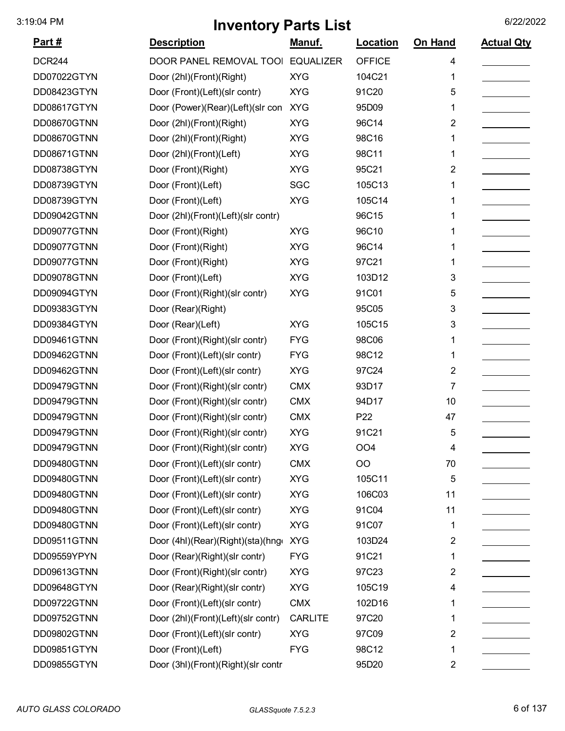| Part#         | <b>Description</b>                 | <u>Manuf.</u>    | Location        | On Hand | <b>Actual Qty</b> |
|---------------|------------------------------------|------------------|-----------------|---------|-------------------|
| <b>DCR244</b> | DOOR PANEL REMOVAL TOOI            | <b>EQUALIZER</b> | <b>OFFICE</b>   | 4       |                   |
| DD07022GTYN   | Door (2hl)(Front)(Right)           | <b>XYG</b>       | 104C21          | 1       |                   |
| DD08423GTYN   | Door (Front)(Left)(slr contr)      | <b>XYG</b>       | 91C20           | 5       |                   |
| DD08617GTYN   | Door (Power)(Rear)(Left)(slr con   | <b>XYG</b>       | 95D09           | 1       |                   |
| DD08670GTNN   | Door (2hl)(Front)(Right)           | <b>XYG</b>       | 96C14           | 2       |                   |
| DD08670GTNN   | Door (2hl)(Front)(Right)           | <b>XYG</b>       | 98C16           | 1       |                   |
| DD08671GTNN   | Door (2hl)(Front)(Left)            | <b>XYG</b>       | 98C11           | 1       |                   |
| DD08738GTYN   | Door (Front)(Right)                | <b>XYG</b>       | 95C21           | 2       |                   |
| DD08739GTYN   | Door (Front)(Left)                 | SGC              | 105C13          | 1       |                   |
| DD08739GTYN   | Door (Front)(Left)                 | <b>XYG</b>       | 105C14          | 1       |                   |
| DD09042GTNN   | Door (2hl)(Front)(Left)(slr contr) |                  | 96C15           | 1       |                   |
| DD09077GTNN   | Door (Front)(Right)                | <b>XYG</b>       | 96C10           | 1       |                   |
| DD09077GTNN   | Door (Front)(Right)                | <b>XYG</b>       | 96C14           | 1       |                   |
| DD09077GTNN   | Door (Front)(Right)                | <b>XYG</b>       | 97C21           | 1       |                   |
| DD09078GTNN   | Door (Front)(Left)                 | <b>XYG</b>       | 103D12          | 3       |                   |
| DD09094GTYN   | Door (Front)(Right)(slr contr)     | <b>XYG</b>       | 91C01           | 5       |                   |
| DD09383GTYN   | Door (Rear)(Right)                 |                  | 95C05           | 3       |                   |
| DD09384GTYN   | Door (Rear)(Left)                  | <b>XYG</b>       | 105C15          | 3       |                   |
| DD09461GTNN   | Door (Front)(Right)(slr contr)     | <b>FYG</b>       | 98C06           | 1       |                   |
| DD09462GTNN   | Door (Front)(Left)(slr contr)      | <b>FYG</b>       | 98C12           | 1       |                   |
| DD09462GTNN   | Door (Front)(Left)(slr contr)      | <b>XYG</b>       | 97C24           | 2       |                   |
| DD09479GTNN   | Door (Front)(Right)(slr contr)     | <b>CMX</b>       | 93D17           | 7       |                   |
| DD09479GTNN   | Door (Front)(Right)(slr contr)     | <b>CMX</b>       | 94D17           | 10      |                   |
| DD09479GTNN   | Door (Front)(Right)(slr contr)     | <b>CMX</b>       | P <sub>22</sub> | 47      |                   |
| DD09479GTNN   | Door (Front)(Right)(slr contr)     | <b>XYG</b>       | 91C21           | 5       |                   |
| DD09479GTNN   | Door (Front)(Right)(slr contr)     | XYG              | OO4             | 4       |                   |
| DD09480GTNN   | Door (Front)(Left)(slr contr)      | <b>CMX</b>       | OO              | 70      |                   |
| DD09480GTNN   | Door (Front)(Left)(slr contr)      | <b>XYG</b>       | 105C11          | 5       |                   |
| DD09480GTNN   | Door (Front)(Left)(slr contr)      | <b>XYG</b>       | 106C03          | 11      |                   |
| DD09480GTNN   | Door (Front)(Left)(slr contr)      | <b>XYG</b>       | 91C04           | 11      |                   |
| DD09480GTNN   | Door (Front)(Left)(slr contr)      | <b>XYG</b>       | 91C07           | 1       |                   |
| DD09511GTNN   | Door (4hl)(Rear)(Right)(sta)(hngo  | <b>XYG</b>       | 103D24          | 2       |                   |
| DD09559YPYN   | Door (Rear)(Right)(slr contr)      | <b>FYG</b>       | 91C21           | 1       |                   |
| DD09613GTNN   | Door (Front)(Right)(slr contr)     | <b>XYG</b>       | 97C23           | 2       |                   |
| DD09648GTYN   | Door (Rear)(Right)(slr contr)      | <b>XYG</b>       | 105C19          | 4       |                   |
| DD09722GTNN   | Door (Front)(Left)(slr contr)      | <b>CMX</b>       | 102D16          | 1       |                   |
| DD09752GTNN   | Door (2hl)(Front)(Left)(slr contr) | <b>CARLITE</b>   | 97C20           | 1       |                   |
| DD09802GTNN   | Door (Front)(Left)(slr contr)      | <b>XYG</b>       | 97C09           | 2       |                   |
| DD09851GTYN   | Door (Front)(Left)                 | <b>FYG</b>       | 98C12           | 1       |                   |
| DD09855GTYN   | Door (3hl)(Front)(Right)(slr contr |                  | 95D20           | 2       |                   |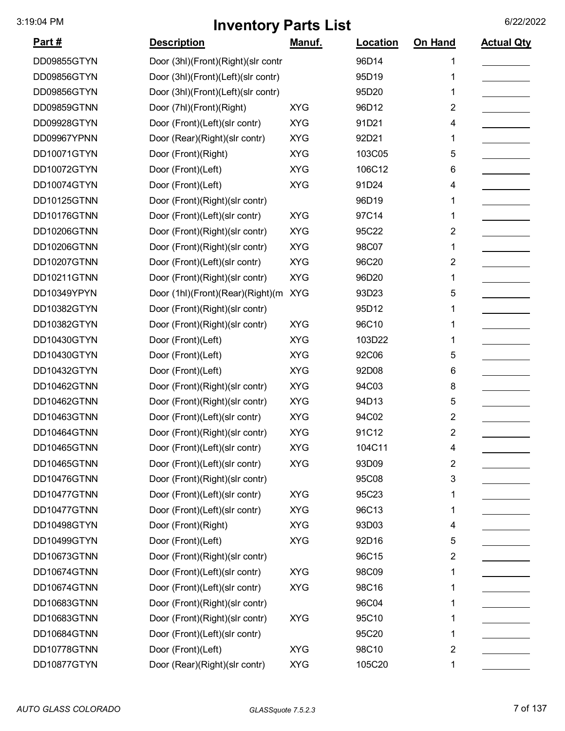| <u>Part #</u> | <b>Description</b>                 | <u>Manuf.</u> | <b>Location</b> | On Hand                 | <b>Actual Qty</b> |
|---------------|------------------------------------|---------------|-----------------|-------------------------|-------------------|
| DD09855GTYN   | Door (3hl)(Front)(Right)(slr contr |               | 96D14           | 1                       |                   |
| DD09856GTYN   | Door (3hl)(Front)(Left)(slr contr) |               | 95D19           | 1                       |                   |
| DD09856GTYN   | Door (3hl)(Front)(Left)(slr contr) |               | 95D20           | 1                       |                   |
| DD09859GTNN   | Door (7hl)(Front)(Right)           | <b>XYG</b>    | 96D12           | $\overline{2}$          |                   |
| DD09928GTYN   | Door (Front)(Left)(slr contr)      | <b>XYG</b>    | 91D21           | 4                       |                   |
| DD09967YPNN   | Door (Rear)(Right)(slr contr)      | <b>XYG</b>    | 92D21           | 1                       |                   |
| DD10071GTYN   | Door (Front)(Right)                | <b>XYG</b>    | 103C05          | 5                       |                   |
| DD10072GTYN   | Door (Front)(Left)                 | <b>XYG</b>    | 106C12          | 6                       |                   |
| DD10074GTYN   | Door (Front)(Left)                 | <b>XYG</b>    | 91D24           | 4                       |                   |
| DD10125GTNN   | Door (Front)(Right)(slr contr)     |               | 96D19           | 1                       |                   |
| DD10176GTNN   | Door (Front)(Left)(slr contr)      | <b>XYG</b>    | 97C14           | 1                       |                   |
| DD10206GTNN   | Door (Front)(Right)(slr contr)     | <b>XYG</b>    | 95C22           | $\overline{2}$          |                   |
| DD10206GTNN   | Door (Front)(Right)(slr contr)     | <b>XYG</b>    | 98C07           | 1                       |                   |
| DD10207GTNN   | Door (Front)(Left)(slr contr)      | <b>XYG</b>    | 96C20           | $\overline{2}$          |                   |
| DD10211GTNN   | Door (Front)(Right)(slr contr)     | <b>XYG</b>    | 96D20           | 1                       |                   |
| DD10349YPYN   | Door (1hl)(Front)(Rear)(Right)(m   | <b>XYG</b>    | 93D23           | 5                       |                   |
| DD10382GTYN   | Door (Front)(Right)(slr contr)     |               | 95D12           | 1                       |                   |
| DD10382GTYN   | Door (Front)(Right)(slr contr)     | <b>XYG</b>    | 96C10           | 1                       |                   |
| DD10430GTYN   | Door (Front)(Left)                 | <b>XYG</b>    | 103D22          | 1                       |                   |
| DD10430GTYN   | Door (Front)(Left)                 | <b>XYG</b>    | 92C06           | 5                       |                   |
| DD10432GTYN   | Door (Front)(Left)                 | <b>XYG</b>    | 92D08           | 6                       |                   |
| DD10462GTNN   | Door (Front)(Right)(slr contr)     | <b>XYG</b>    | 94C03           | 8                       |                   |
| DD10462GTNN   | Door (Front)(Right)(slr contr)     | <b>XYG</b>    | 94D13           | 5                       |                   |
| DD10463GTNN   | Door (Front)(Left)(slr contr)      | <b>XYG</b>    | 94C02           | $\overline{2}$          |                   |
| DD10464GTNN   | Door (Front)(Right)(slr contr)     | <b>XYG</b>    | 91C12           | 2                       |                   |
| DD10465GTNN   | Door (Front)(Left)(slr contr)      | <b>XYG</b>    | 104C11          | 4                       |                   |
| DD10465GTNN   | Door (Front)(Left)(slr contr)      | <b>XYG</b>    | 93D09           | $\overline{2}$          |                   |
| DD10476GTNN   | Door (Front)(Right)(slr contr)     |               | 95C08           | 3                       |                   |
| DD10477GTNN   | Door (Front)(Left)(slr contr)      | <b>XYG</b>    | 95C23           | 1                       |                   |
| DD10477GTNN   | Door (Front)(Left)(slr contr)      | <b>XYG</b>    | 96C13           | 1                       |                   |
| DD10498GTYN   | Door (Front)(Right)                | <b>XYG</b>    | 93D03           | 4                       |                   |
| DD10499GTYN   | Door (Front)(Left)                 | <b>XYG</b>    | 92D16           | 5                       |                   |
| DD10673GTNN   | Door (Front)(Right)(slr contr)     |               | 96C15           | $\overline{\mathbf{c}}$ |                   |
| DD10674GTNN   | Door (Front)(Left)(slr contr)      | <b>XYG</b>    | 98C09           | 1                       |                   |
| DD10674GTNN   | Door (Front)(Left)(slr contr)      | <b>XYG</b>    | 98C16           | 1                       |                   |
| DD10683GTNN   | Door (Front)(Right)(slr contr)     |               | 96C04           | 1                       |                   |
| DD10683GTNN   | Door (Front)(Right)(slr contr)     | <b>XYG</b>    | 95C10           | 1                       |                   |
| DD10684GTNN   | Door (Front)(Left)(slr contr)      |               | 95C20           | 1                       |                   |
| DD10778GTNN   | Door (Front)(Left)                 | <b>XYG</b>    | 98C10           | 2                       |                   |
| DD10877GTYN   | Door (Rear)(Right)(slr contr)      | <b>XYG</b>    | 105C20          | 1                       |                   |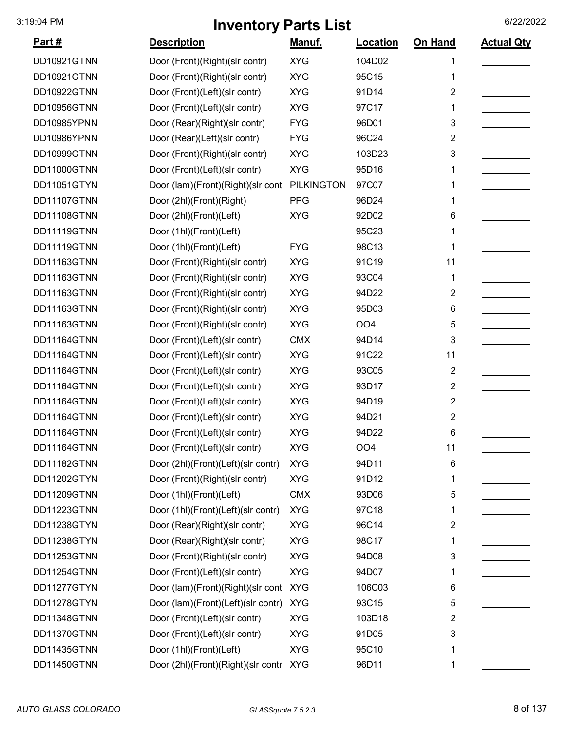| <u>Part #</u> | <b>Description</b>                     | <u>Manuf.</u>     | Location        | On Hand        | <b>Actual Qty</b> |
|---------------|----------------------------------------|-------------------|-----------------|----------------|-------------------|
| DD10921GTNN   | Door (Front)(Right)(slr contr)         | <b>XYG</b>        | 104D02          | 1              |                   |
| DD10921GTNN   | Door (Front)(Right)(slr contr)         | <b>XYG</b>        | 95C15           | 1              |                   |
| DD10922GTNN   | Door (Front)(Left)(slr contr)          | <b>XYG</b>        | 91D14           | $\overline{2}$ |                   |
| DD10956GTNN   | Door (Front)(Left)(slr contr)          | <b>XYG</b>        | 97C17           | 1              |                   |
| DD10985YPNN   | Door (Rear)(Right)(slr contr)          | <b>FYG</b>        | 96D01           | 3              |                   |
| DD10986YPNN   | Door (Rear)(Left)(slr contr)           | <b>FYG</b>        | 96C24           | 2              |                   |
| DD10999GTNN   | Door (Front)(Right)(slr contr)         | <b>XYG</b>        | 103D23          | 3              |                   |
| DD11000GTNN   | Door (Front)(Left)(slr contr)          | <b>XYG</b>        | 95D16           | 1              |                   |
| DD11051GTYN   | Door (lam)(Front)(Right)(slr cont      | <b>PILKINGTON</b> | 97C07           | 1              |                   |
| DD11107GTNN   | Door (2hl)(Front)(Right)               | <b>PPG</b>        | 96D24           | 1              |                   |
| DD11108GTNN   | Door (2hl)(Front)(Left)                | <b>XYG</b>        | 92D02           | 6              |                   |
| DD11119GTNN   | Door (1hl)(Front)(Left)                |                   | 95C23           | 1              |                   |
| DD11119GTNN   | Door (1hl)(Front)(Left)                | <b>FYG</b>        | 98C13           | 1              |                   |
| DD11163GTNN   | Door (Front)(Right)(slr contr)         | <b>XYG</b>        | 91C19           | 11             |                   |
| DD11163GTNN   | Door (Front)(Right)(slr contr)         | <b>XYG</b>        | 93C04           | 1              |                   |
| DD11163GTNN   | Door (Front)(Right)(slr contr)         | <b>XYG</b>        | 94D22           | 2              |                   |
| DD11163GTNN   | Door (Front)(Right)(slr contr)         | <b>XYG</b>        | 95D03           | 6              |                   |
| DD11163GTNN   | Door (Front)(Right)(slr contr)         | <b>XYG</b>        | OO <sub>4</sub> | 5              |                   |
| DD11164GTNN   | Door (Front)(Left)(slr contr)          | <b>CMX</b>        | 94D14           | 3              |                   |
| DD11164GTNN   | Door (Front)(Left)(slr contr)          | <b>XYG</b>        | 91C22           | 11             |                   |
| DD11164GTNN   | Door (Front)(Left)(slr contr)          | <b>XYG</b>        | 93C05           | $\overline{2}$ |                   |
| DD11164GTNN   | Door (Front)(Left)(slr contr)          | <b>XYG</b>        | 93D17           | 2              |                   |
| DD11164GTNN   | Door (Front)(Left)(slr contr)          | <b>XYG</b>        | 94D19           | 2              |                   |
| DD11164GTNN   | Door (Front)(Left)(slr contr)          | <b>XYG</b>        | 94D21           | 2              |                   |
| DD11164GTNN   | Door (Front)(Left)(slr contr)          | <b>XYG</b>        | 94D22           | 6              |                   |
| DD11164GTNN   | Door (Front)(Left)(slr contr)          | <b>XYG</b>        | OO4             | 11             |                   |
| DD11182GTNN   | Door (2hl)(Front)(Left)(slr contr)     | <b>XYG</b>        | 94D11           | 6              |                   |
| DD11202GTYN   | Door (Front)(Right)(slr contr)         | <b>XYG</b>        | 91D12           | 1              |                   |
| DD11209GTNN   | Door (1hl)(Front)(Left)                | <b>CMX</b>        | 93D06           | 5              |                   |
| DD11223GTNN   | Door (1hl)(Front)(Left)(slr contr)     | <b>XYG</b>        | 97C18           | 1              |                   |
| DD11238GTYN   | Door (Rear)(Right)(slr contr)          | <b>XYG</b>        | 96C14           | $\overline{2}$ |                   |
| DD11238GTYN   | Door (Rear)(Right)(slr contr)          | <b>XYG</b>        | 98C17           | 1              |                   |
| DD11253GTNN   | Door (Front)(Right)(slr contr)         | <b>XYG</b>        | 94D08           | 3              |                   |
| DD11254GTNN   | Door (Front)(Left)(slr contr)          | <b>XYG</b>        | 94D07           | 1              |                   |
| DD11277GTYN   | Door (lam)(Front)(Right)(slr cont      | <b>XYG</b>        | 106C03          | 6              |                   |
| DD11278GTYN   | Door (lam)(Front)(Left)(slr contr)     | <b>XYG</b>        | 93C15           | 5              |                   |
| DD11348GTNN   | Door (Front)(Left)(slr contr)          | <b>XYG</b>        | 103D18          | 2              |                   |
| DD11370GTNN   | Door (Front)(Left)(slr contr)          | <b>XYG</b>        | 91D05           | 3              |                   |
| DD11435GTNN   | Door (1hl)(Front)(Left)                | <b>XYG</b>        | 95C10           | 1              |                   |
| DD11450GTNN   | Door (2hl)(Front)(Right)(slr contr XYG |                   | 96D11           | 1              |                   |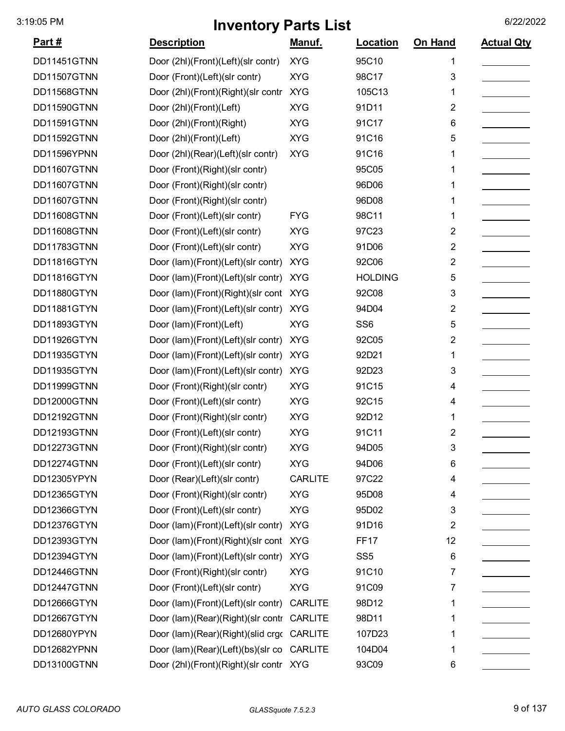| Part#       | <b>Description</b>                     | <u>Manuf.</u>  | <b>Location</b> | On Hand                 | <b>Actual Qty</b> |
|-------------|----------------------------------------|----------------|-----------------|-------------------------|-------------------|
| DD11451GTNN | Door (2hl)(Front)(Left)(slr contr)     | <b>XYG</b>     | 95C10           | 1                       |                   |
| DD11507GTNN | Door (Front)(Left)(slr contr)          | <b>XYG</b>     | 98C17           | 3                       |                   |
| DD11568GTNN | Door (2hl)(Front)(Right)(slr contr     | <b>XYG</b>     | 105C13          | 1                       |                   |
| DD11590GTNN | Door (2hl)(Front)(Left)                | <b>XYG</b>     | 91D11           | 2                       |                   |
| DD11591GTNN | Door (2hl)(Front)(Right)               | <b>XYG</b>     | 91C17           | 6                       |                   |
| DD11592GTNN | Door (2hl)(Front)(Left)                | <b>XYG</b>     | 91C16           | 5                       |                   |
| DD11596YPNN | Door (2hl)(Rear)(Left)(slr contr)      | <b>XYG</b>     | 91C16           | 1                       |                   |
| DD11607GTNN | Door (Front)(Right)(slr contr)         |                | 95C05           | 1                       |                   |
| DD11607GTNN | Door (Front)(Right)(slr contr)         |                | 96D06           | 1                       |                   |
| DD11607GTNN | Door (Front)(Right)(slr contr)         |                | 96D08           | 1                       |                   |
| DD11608GTNN | Door (Front)(Left)(slr contr)          | <b>FYG</b>     | 98C11           | 1                       |                   |
| DD11608GTNN | Door (Front)(Left)(slr contr)          | <b>XYG</b>     | 97C23           | $\overline{2}$          |                   |
| DD11783GTNN | Door (Front)(Left)(slr contr)          | <b>XYG</b>     | 91D06           | 2                       |                   |
| DD11816GTYN | Door (lam)(Front)(Left)(slr contr)     | <b>XYG</b>     | 92C06           | 2                       |                   |
| DD11816GTYN | Door (lam)(Front)(Left)(slr contr)     | <b>XYG</b>     | <b>HOLDING</b>  | 5                       |                   |
| DD11880GTYN | Door (lam)(Front)(Right)(slr cont      | <b>XYG</b>     | 92C08           | 3                       |                   |
| DD11881GTYN | Door (lam)(Front)(Left)(slr contr)     | <b>XYG</b>     | 94D04           | 2                       |                   |
| DD11893GTYN | Door (lam)(Front)(Left)                | <b>XYG</b>     | SS <sub>6</sub> | 5                       |                   |
| DD11926GTYN | Door (lam)(Front)(Left)(slr contr)     | <b>XYG</b>     | 92C05           | 2                       |                   |
| DD11935GTYN | Door (lam)(Front)(Left)(slr contr)     | <b>XYG</b>     | 92D21           | 1                       |                   |
| DD11935GTYN | Door (lam)(Front)(Left)(slr contr)     | <b>XYG</b>     | 92D23           | 3                       |                   |
| DD11999GTNN | Door (Front)(Right)(slr contr)         | <b>XYG</b>     | 91C15           | 4                       |                   |
| DD12000GTNN | Door (Front)(Left)(slr contr)          | <b>XYG</b>     | 92C15           | 4                       |                   |
| DD12192GTNN | Door (Front)(Right)(slr contr)         | <b>XYG</b>     | 92D12           | 1                       |                   |
| DD12193GTNN | Door (Front)(Left)(slr contr)          | <b>XYG</b>     | 91C11           | 2                       |                   |
| DD12273GTNN | Door (Front)(Right)(slr contr)         | <b>XYG</b>     | 94D05           | 3                       |                   |
| DD12274GTNN | Door (Front)(Left)(slr contr)          | <b>XYG</b>     | 94D06           | 6                       |                   |
| DD12305YPYN | Door (Rear)(Left)(slr contr)           | <b>CARLITE</b> | 97C22           | 4                       |                   |
| DD12365GTYN | Door (Front)(Right)(slr contr)         | <b>XYG</b>     | 95D08           | 4                       |                   |
| DD12366GTYN | Door (Front)(Left)(slr contr)          | <b>XYG</b>     | 95D02           | 3                       |                   |
| DD12376GTYN | Door (lam)(Front)(Left)(slr contr)     | <b>XYG</b>     | 91D16           | $\overline{\mathbf{c}}$ |                   |
| DD12393GTYN | Door (lam)(Front)(Right)(slr cont XYG  |                | <b>FF17</b>     | 12                      |                   |
| DD12394GTYN | Door (lam)(Front)(Left)(slr contr)     | <b>XYG</b>     | SS <sub>5</sub> | 6                       |                   |
| DD12446GTNN | Door (Front)(Right)(slr contr)         | <b>XYG</b>     | 91C10           | 7                       |                   |
| DD12447GTNN | Door (Front)(Left)(slr contr)          | <b>XYG</b>     | 91C09           | 7                       |                   |
| DD12666GTYN | Door (lam)(Front)(Left)(slr contr)     | <b>CARLITE</b> | 98D12           | 1                       |                   |
| DD12667GTYN | Door (lam)(Rear)(Right)(slr contr      | <b>CARLITE</b> | 98D11           | 1                       |                   |
| DD12680YPYN | Door (lam)(Rear)(Right)(slid crgo      | <b>CARLITE</b> | 107D23          | 1                       |                   |
| DD12682YPNN | Door (lam)(Rear)(Left)(bs)(slr co      | <b>CARLITE</b> | 104D04          | 1                       |                   |
| DD13100GTNN | Door (2hl)(Front)(Right)(slr contr XYG |                | 93C09           | 6                       |                   |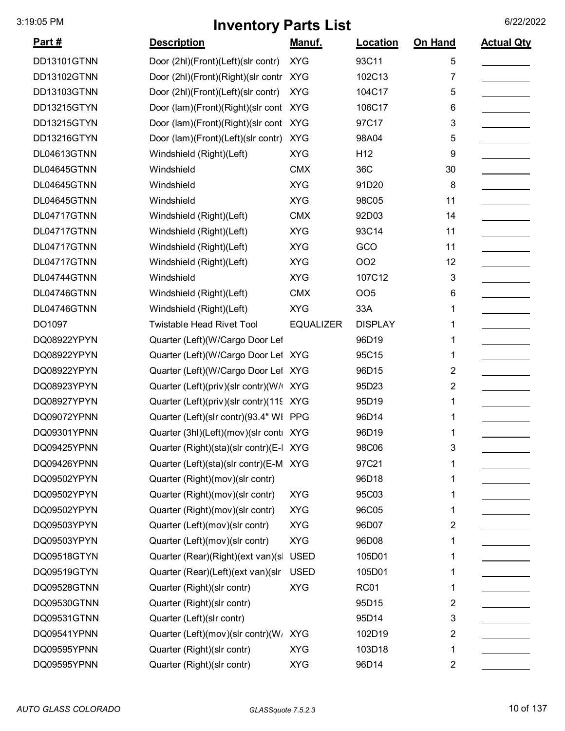| <u>Part #</u> | <b>Description</b>                      | <u>Manuf.</u>    | <b>Location</b> | <b>On Hand</b> | <b>Actual Qty</b> |
|---------------|-----------------------------------------|------------------|-----------------|----------------|-------------------|
| DD13101GTNN   | Door (2hl)(Front)(Left)(slr contr)      | <b>XYG</b>       | 93C11           | 5              |                   |
| DD13102GTNN   | Door (2hl)(Front)(Right)(slr contr XYG  |                  | 102C13          | 7              |                   |
| DD13103GTNN   | Door (2hl)(Front)(Left)(slr contr)      | <b>XYG</b>       | 104C17          | 5              |                   |
| DD13215GTYN   | Door (lam)(Front)(Right)(slr cont       | <b>XYG</b>       | 106C17          | 6              |                   |
| DD13215GTYN   | Door (lam)(Front)(Right)(slr cont XYG   |                  | 97C17           | 3              |                   |
| DD13216GTYN   | Door (lam)(Front)(Left)(slr contr)      | <b>XYG</b>       | 98A04           | 5              |                   |
| DL04613GTNN   | Windshield (Right)(Left)                | <b>XYG</b>       | H <sub>12</sub> | 9              |                   |
| DL04645GTNN   | Windshield                              | <b>CMX</b>       | 36C             | 30             |                   |
| DL04645GTNN   | Windshield                              | <b>XYG</b>       | 91D20           | 8              |                   |
| DL04645GTNN   | Windshield                              | <b>XYG</b>       | 98C05           | 11             |                   |
| DL04717GTNN   | Windshield (Right)(Left)                | <b>CMX</b>       | 92D03           | 14             |                   |
| DL04717GTNN   | Windshield (Right)(Left)                | <b>XYG</b>       | 93C14           | 11             |                   |
| DL04717GTNN   | Windshield (Right)(Left)                | <b>XYG</b>       | GCO             | 11             |                   |
| DL04717GTNN   | Windshield (Right)(Left)                | <b>XYG</b>       | OO <sub>2</sub> | 12             |                   |
| DL04744GTNN   | Windshield                              | <b>XYG</b>       | 107C12          | 3              |                   |
| DL04746GTNN   | Windshield (Right)(Left)                | <b>CMX</b>       | OO <sub>5</sub> | 6              |                   |
| DL04746GTNN   | Windshield (Right)(Left)                | <b>XYG</b>       | 33A             | 1              |                   |
| DO1097        | <b>Twistable Head Rivet Tool</b>        | <b>EQUALIZER</b> | <b>DISPLAY</b>  | 1              |                   |
| DQ08922YPYN   | Quarter (Left)(W/Cargo Door Lef         |                  | 96D19           | 1              |                   |
| DQ08922YPYN   | Quarter (Left)(W/Cargo Door Lef XYG     |                  | 95C15           | 1              |                   |
| DQ08922YPYN   | Quarter (Left)(W/Cargo Door Lef XYG     |                  | 96D15           | 2              |                   |
| DQ08923YPYN   | Quarter (Left)(priv)(slr contr)(W/ XYG  |                  | 95D23           | 2              |                   |
| DQ08927YPYN   | Quarter (Left)(priv)(slr contr)(119 XYG |                  | 95D19           | 1              |                   |
| DQ09072YPNN   | Quarter (Left)(slr contr)(93.4" WI PPG  |                  | 96D14           | 1              |                   |
| DQ09301YPNN   | Quarter (3hl)(Left)(mov)(slr conti XYG  |                  | 96D19           | 1              |                   |
| DQ09425YPNN   | Quarter (Right)(sta)(slr contr)(E-I     | <b>XYG</b>       | 98C06           | 3              |                   |
| DQ09426YPNN   | Quarter (Left)(sta)(slr contr)(E-M XYG  |                  | 97C21           |                |                   |
| DQ09502YPYN   | Quarter (Right)(mov)(slr contr)         |                  | 96D18           | 1              |                   |
| DQ09502YPYN   | Quarter (Right)(mov)(slr contr)         | <b>XYG</b>       | 95C03           |                |                   |
| DQ09502YPYN   | Quarter (Right)(mov)(slr contr)         | <b>XYG</b>       | 96C05           |                |                   |
| DQ09503YPYN   | Quarter (Left)(mov)(slr contr)          | <b>XYG</b>       | 96D07           | 2              |                   |
| DQ09503YPYN   | Quarter (Left)(mov)(slr contr)          | <b>XYG</b>       | 96D08           |                |                   |
| DQ09518GTYN   | Quarter (Rear)(Right)(ext van)(s        | <b>USED</b>      | 105D01          | 1              |                   |
| DQ09519GTYN   | Quarter (Rear)(Left)(ext van)(slr       | <b>USED</b>      | 105D01          |                |                   |
| DQ09528GTNN   | Quarter (Right)(slr contr)              | <b>XYG</b>       | <b>RC01</b>     | 1              |                   |
| DQ09530GTNN   | Quarter (Right)(slr contr)              |                  | 95D15           | 2              |                   |
| DQ09531GTNN   | Quarter (Left)(slr contr)               |                  | 95D14           | 3              |                   |
| DQ09541YPNN   | Quarter (Left)(mov)(slr contr)(W        | <b>XYG</b>       | 102D19          | 2              |                   |
| DQ09595YPNN   | Quarter (Right)(slr contr)              | <b>XYG</b>       | 103D18          | 1              |                   |
| DQ09595YPNN   | Quarter (Right)(slr contr)              | <b>XYG</b>       | 96D14           | 2              |                   |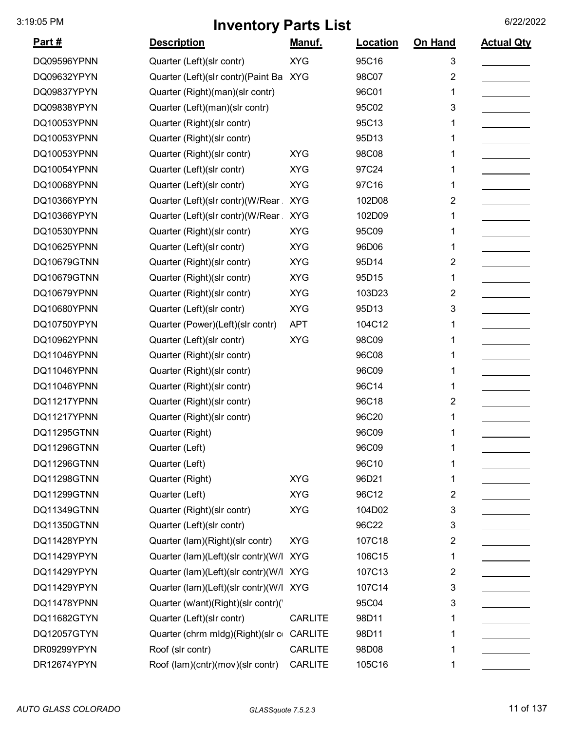| <u> Part #</u> | <b>Description</b>                     | Manuf.         | Location | On Hand                 | <b>Actual Qty</b> |
|----------------|----------------------------------------|----------------|----------|-------------------------|-------------------|
| DQ09596YPNN    | Quarter (Left)(slr contr)              | <b>XYG</b>     | 95C16    | 3                       |                   |
| DQ09632YPYN    | Quarter (Left)(slr contr)(Paint Ba XYG |                | 98C07    | $\overline{2}$          |                   |
| DQ09837YPYN    | Quarter (Right)(man)(slr contr)        |                | 96C01    | 1                       |                   |
| DQ09838YPYN    | Quarter (Left)(man)(slr contr)         |                | 95C02    | 3                       |                   |
| DQ10053YPNN    | Quarter (Right)(slr contr)             |                | 95C13    | 1                       |                   |
| DQ10053YPNN    | Quarter (Right)(slr contr)             |                | 95D13    | 1                       |                   |
| DQ10053YPNN    | Quarter (Right)(slr contr)             | <b>XYG</b>     | 98C08    | 1                       |                   |
| DQ10054YPNN    | Quarter (Left)(slr contr)              | <b>XYG</b>     | 97C24    | 1                       |                   |
| DQ10068YPNN    | Quarter (Left)(slr contr)              | <b>XYG</b>     | 97C16    | 1                       |                   |
| DQ10366YPYN    | Quarter (Left)(slr contr)(W/Rear       | <b>XYG</b>     | 102D08   | $\overline{2}$          |                   |
| DQ10366YPYN    | Quarter (Left)(slr contr)(W/Rear       | <b>XYG</b>     | 102D09   | 1                       |                   |
| DQ10530YPNN    | Quarter (Right)(slr contr)             | <b>XYG</b>     | 95C09    | 1                       |                   |
| DQ10625YPNN    | Quarter (Left)(slr contr)              | <b>XYG</b>     | 96D06    | 1                       |                   |
| DQ10679GTNN    | Quarter (Right)(slr contr)             | <b>XYG</b>     | 95D14    | $\overline{\mathbf{c}}$ |                   |
| DQ10679GTNN    | Quarter (Right)(slr contr)             | <b>XYG</b>     | 95D15    | 1                       |                   |
| DQ10679YPNN    | Quarter (Right)(slr contr)             | <b>XYG</b>     | 103D23   | $\overline{2}$          |                   |
| DQ10680YPNN    | Quarter (Left)(slr contr)              | <b>XYG</b>     | 95D13    | 3                       |                   |
| DQ10750YPYN    | Quarter (Power)(Left)(slr contr)       | <b>APT</b>     | 104C12   | 1                       |                   |
| DQ10962YPNN    | Quarter (Left)(slr contr)              | <b>XYG</b>     | 98C09    | 1                       |                   |
| DQ11046YPNN    | Quarter (Right)(slr contr)             |                | 96C08    | 1                       |                   |
| DQ11046YPNN    | Quarter (Right)(slr contr)             |                | 96C09    | 1                       |                   |
| DQ11046YPNN    | Quarter (Right)(slr contr)             |                | 96C14    | 1                       |                   |
| DQ11217YPNN    | Quarter (Right)(slr contr)             |                | 96C18    | $\overline{2}$          |                   |
| DQ11217YPNN    | Quarter (Right)(slr contr)             |                | 96C20    | 1                       |                   |
| DQ11295GTNN    | Quarter (Right)                        |                | 96C09    | 1                       |                   |
| DQ11296GTNN    | Quarter (Left)                         |                | 96C09    | 1                       |                   |
| DQ11296GTNN    | Quarter (Left)                         |                | 96C10    | 1                       |                   |
| DQ11298GTNN    | Quarter (Right)                        | <b>XYG</b>     | 96D21    | 1                       |                   |
| DQ11299GTNN    | Quarter (Left)                         | <b>XYG</b>     | 96C12    | 2                       |                   |
| DQ11349GTNN    | Quarter (Right)(slr contr)             | <b>XYG</b>     | 104D02   | 3                       |                   |
| DQ11350GTNN    | Quarter (Left)(slr contr)              |                | 96C22    | 3                       |                   |
| DQ11428YPYN    | Quarter (lam)(Right)(slr contr)        | <b>XYG</b>     | 107C18   | $\overline{2}$          |                   |
| DQ11429YPYN    | Quarter (lam)(Left)(slr contr)(W/l     | <b>XYG</b>     | 106C15   | 1                       |                   |
| DQ11429YPYN    | Quarter (lam)(Left)(slr contr)(W/l XYG |                | 107C13   | 2                       |                   |
| DQ11429YPYN    | Quarter (lam)(Left)(slr contr)(W/l XYG |                | 107C14   | 3                       |                   |
| DQ11478YPNN    | Quarter (w/ant)(Right)(slr contr)(     |                | 95C04    | 3                       |                   |
| DQ11682GTYN    | Quarter (Left)(slr contr)              | <b>CARLITE</b> | 98D11    | 1                       |                   |
| DQ12057GTYN    | Quarter (chrm mldg)(Right)(slr c       | <b>CARLITE</b> | 98D11    | 1                       |                   |
| DR09299YPYN    | Roof (slr contr)                       | <b>CARLITE</b> | 98D08    | 1                       |                   |
| DR12674YPYN    | Roof (lam)(cntr)(mov)(slr contr)       | <b>CARLITE</b> | 105C16   | 1                       |                   |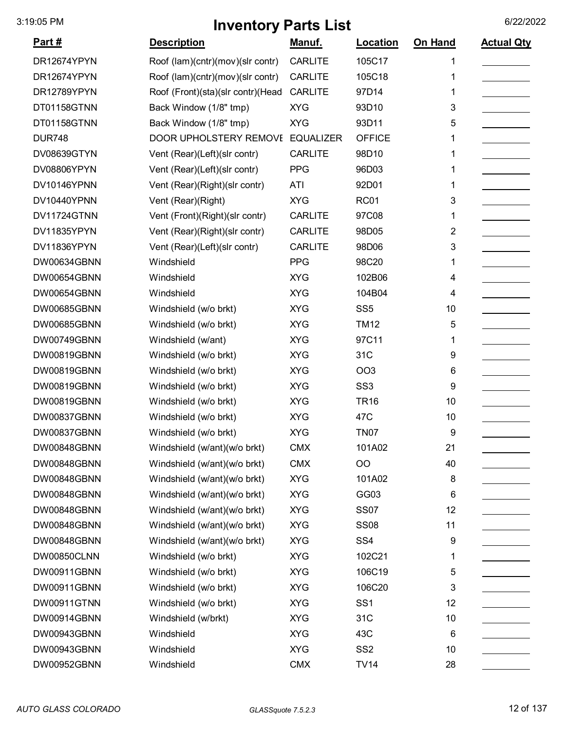| <u>Part #</u> | <b>Description</b>                | <u>Manuf.</u>    | Location        | On Hand | <b>Actual Qty</b> |
|---------------|-----------------------------------|------------------|-----------------|---------|-------------------|
| DR12674YPYN   | Roof (lam)(cntr)(mov)(slr contr)  | <b>CARLITE</b>   | 105C17          |         |                   |
| DR12674YPYN   | Roof (lam)(cntr)(mov)(slr contr)  | <b>CARLITE</b>   | 105C18          | 1       |                   |
| DR12789YPYN   | Roof (Front)(sta)(slr contr)(Head | <b>CARLITE</b>   | 97D14           | 1       |                   |
| DT01158GTNN   | Back Window (1/8" tmp)            | <b>XYG</b>       | 93D10           | 3       |                   |
| DT01158GTNN   | Back Window (1/8" tmp)            | <b>XYG</b>       | 93D11           | 5       |                   |
| <b>DUR748</b> | <b>DOOR UPHOLSTERY REMOVE</b>     | <b>EQUALIZER</b> | <b>OFFICE</b>   | 1       |                   |
| DV08639GTYN   | Vent (Rear)(Left)(slr contr)      | <b>CARLITE</b>   | 98D10           | 1       |                   |
| DV08806YPYN   | Vent (Rear)(Left)(slr contr)      | <b>PPG</b>       | 96D03           |         |                   |
| DV10146YPNN   | Vent (Rear)(Right)(slr contr)     | ATI              | 92D01           | 1       |                   |
| DV10440YPNN   | Vent (Rear)(Right)                | <b>XYG</b>       | <b>RC01</b>     | 3       |                   |
| DV11724GTNN   | Vent (Front)(Right)(slr contr)    | <b>CARLITE</b>   | 97C08           | 1       |                   |
| DV11835YPYN   | Vent (Rear)(Right)(slr contr)     | <b>CARLITE</b>   | 98D05           | 2       |                   |
| DV11836YPYN   | Vent (Rear)(Left)(slr contr)      | <b>CARLITE</b>   | 98D06           | 3       |                   |
| DW00634GBNN   | Windshield                        | <b>PPG</b>       | 98C20           | 1       |                   |
| DW00654GBNN   | Windshield                        | <b>XYG</b>       | 102B06          | 4       |                   |
| DW00654GBNN   | Windshield                        | <b>XYG</b>       | 104B04          | 4       |                   |
| DW00685GBNN   | Windshield (w/o brkt)             | <b>XYG</b>       | SS <sub>5</sub> | 10      |                   |
| DW00685GBNN   | Windshield (w/o brkt)             | <b>XYG</b>       | <b>TM12</b>     | 5       |                   |
| DW00749GBNN   | Windshield (w/ant)                | <b>XYG</b>       | 97C11           | 1       |                   |
| DW00819GBNN   | Windshield (w/o brkt)             | <b>XYG</b>       | 31C             | 9       |                   |
| DW00819GBNN   | Windshield (w/o brkt)             | <b>XYG</b>       | <b>OO3</b>      | 6       |                   |
| DW00819GBNN   | Windshield (w/o brkt)             | <b>XYG</b>       | SS <sub>3</sub> | 9       |                   |
| DW00819GBNN   | Windshield (w/o brkt)             | <b>XYG</b>       | <b>TR16</b>     | 10      |                   |
| DW00837GBNN   | Windshield (w/o brkt)             | <b>XYG</b>       | 47C             | 10      |                   |
| DW00837GBNN   | Windshield (w/o brkt)             | <b>XYG</b>       | <b>TN07</b>     | 9       |                   |
| DW00848GBNN   | Windshield (w/ant)(w/o brkt)      | <b>CMX</b>       | 101A02          | 21      |                   |
| DW00848GBNN   | Windshield (w/ant)(w/o brkt)      | <b>CMX</b>       | OO              | 40      |                   |
| DW00848GBNN   | Windshield (w/ant)(w/o brkt)      | <b>XYG</b>       | 101A02          | 8       |                   |
| DW00848GBNN   | Windshield (w/ant)(w/o brkt)      | <b>XYG</b>       | GG03            | 6       |                   |
| DW00848GBNN   | Windshield (w/ant)(w/o brkt)      | <b>XYG</b>       | <b>SS07</b>     | 12      |                   |
| DW00848GBNN   | Windshield (w/ant)(w/o brkt)      | <b>XYG</b>       | <b>SS08</b>     | 11      |                   |
| DW00848GBNN   | Windshield (w/ant)(w/o brkt)      | <b>XYG</b>       | SS <sub>4</sub> | 9       |                   |
| DW00850CLNN   | Windshield (w/o brkt)             | <b>XYG</b>       | 102C21          | 1       |                   |
| DW00911GBNN   | Windshield (w/o brkt)             | <b>XYG</b>       | 106C19          | 5       |                   |
| DW00911GBNN   | Windshield (w/o brkt)             | <b>XYG</b>       | 106C20          | 3       |                   |
| DW00911GTNN   | Windshield (w/o brkt)             | <b>XYG</b>       | SS <sub>1</sub> | 12      |                   |
| DW00914GBNN   | Windshield (w/brkt)               | <b>XYG</b>       | 31C             | 10      |                   |
| DW00943GBNN   | Windshield                        | <b>XYG</b>       | 43C             | 6       |                   |
| DW00943GBNN   | Windshield                        | <b>XYG</b>       | SS <sub>2</sub> | 10      |                   |
| DW00952GBNN   | Windshield                        | <b>CMX</b>       | <b>TV14</b>     | 28      |                   |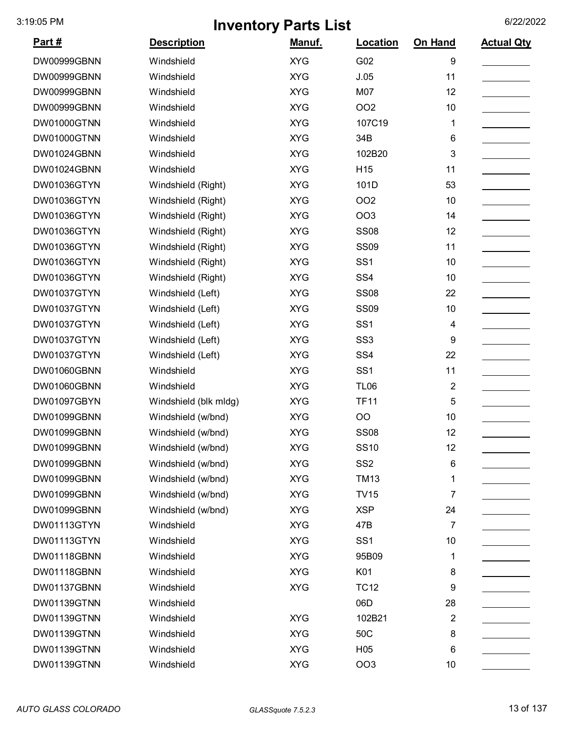| Part#       | <b>Description</b>    | Manuf.     | <b>Location</b> | On Hand                 | <b>Actual Qty</b> |
|-------------|-----------------------|------------|-----------------|-------------------------|-------------------|
| DW00999GBNN | Windshield            | <b>XYG</b> | G02             | 9                       |                   |
| DW00999GBNN | Windshield            | <b>XYG</b> | J.05            | 11                      |                   |
| DW00999GBNN | Windshield            | <b>XYG</b> | M07             | 12                      |                   |
| DW00999GBNN | Windshield            | <b>XYG</b> | <b>OO2</b>      | 10                      |                   |
| DW01000GTNN | Windshield            | <b>XYG</b> | 107C19          | 1                       |                   |
| DW01000GTNN | Windshield            | <b>XYG</b> | 34B             | 6                       |                   |
| DW01024GBNN | Windshield            | <b>XYG</b> | 102B20          | 3                       |                   |
| DW01024GBNN | Windshield            | <b>XYG</b> | H <sub>15</sub> | 11                      |                   |
| DW01036GTYN | Windshield (Right)    | <b>XYG</b> | 101D            | 53                      |                   |
| DW01036GTYN | Windshield (Right)    | <b>XYG</b> | OO <sub>2</sub> | 10                      |                   |
| DW01036GTYN | Windshield (Right)    | <b>XYG</b> | OO <sub>3</sub> | 14                      |                   |
| DW01036GTYN | Windshield (Right)    | <b>XYG</b> | <b>SS08</b>     | 12                      |                   |
| DW01036GTYN | Windshield (Right)    | <b>XYG</b> | <b>SS09</b>     | 11                      |                   |
| DW01036GTYN | Windshield (Right)    | <b>XYG</b> | SS <sub>1</sub> | 10                      |                   |
| DW01036GTYN | Windshield (Right)    | <b>XYG</b> | SS <sub>4</sub> | 10                      |                   |
| DW01037GTYN | Windshield (Left)     | <b>XYG</b> | <b>SS08</b>     | 22                      |                   |
| DW01037GTYN | Windshield (Left)     | <b>XYG</b> | <b>SS09</b>     | 10                      |                   |
| DW01037GTYN | Windshield (Left)     | <b>XYG</b> | SS <sub>1</sub> | 4                       |                   |
| DW01037GTYN | Windshield (Left)     | <b>XYG</b> | SS <sub>3</sub> | 9                       |                   |
| DW01037GTYN | Windshield (Left)     | <b>XYG</b> | SS <sub>4</sub> | 22                      |                   |
| DW01060GBNN | Windshield            | <b>XYG</b> | SS <sub>1</sub> | 11                      |                   |
| DW01060GBNN | Windshield            | <b>XYG</b> | <b>TL06</b>     | $\overline{\mathbf{c}}$ |                   |
| DW01097GBYN | Windshield (blk mldg) | <b>XYG</b> | <b>TF11</b>     | 5                       |                   |
| DW01099GBNN | Windshield (w/bnd)    | <b>XYG</b> | O <sub>O</sub>  | 10                      |                   |
| DW01099GBNN | Windshield (w/bnd)    | <b>XYG</b> | <b>SS08</b>     | 12                      |                   |
| DW01099GBNN | Windshield (w/bnd)    | <b>XYG</b> | <b>SS10</b>     | 12                      |                   |
| DW01099GBNN | Windshield (w/bnd)    | <b>XYG</b> | SS <sub>2</sub> | $\,6$                   |                   |
| DW01099GBNN | Windshield (w/bnd)    | <b>XYG</b> | <b>TM13</b>     | 1                       |                   |
| DW01099GBNN | Windshield (w/bnd)    | <b>XYG</b> | <b>TV15</b>     | 7                       |                   |
| DW01099GBNN | Windshield (w/bnd)    | <b>XYG</b> | <b>XSP</b>      | 24                      |                   |
| DW01113GTYN | Windshield            | <b>XYG</b> | 47B             | 7                       |                   |
| DW01113GTYN | Windshield            | <b>XYG</b> | SS <sub>1</sub> | 10                      |                   |
| DW01118GBNN | Windshield            | <b>XYG</b> | 95B09           | 1                       |                   |
| DW01118GBNN | Windshield            | <b>XYG</b> | K01             | 8                       |                   |
| DW01137GBNN | Windshield            | <b>XYG</b> | <b>TC12</b>     | 9                       |                   |
| DW01139GTNN | Windshield            |            | 06D             | 28                      |                   |
| DW01139GTNN | Windshield            | <b>XYG</b> | 102B21          | 2                       |                   |
| DW01139GTNN | Windshield            | <b>XYG</b> | 50C             | 8                       |                   |
| DW01139GTNN | Windshield            | <b>XYG</b> | H <sub>05</sub> | 6                       |                   |
| DW01139GTNN | Windshield            | <b>XYG</b> | OO <sub>3</sub> | 10                      |                   |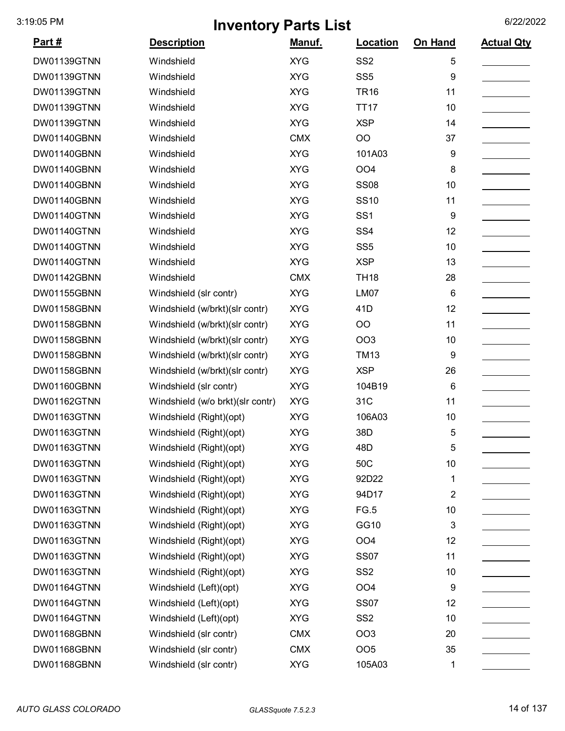| <u>Part #</u> | <b>Description</b>               | Manuf.     | Location        | On Hand        | <b>Actual Qty</b> |
|---------------|----------------------------------|------------|-----------------|----------------|-------------------|
| DW01139GTNN   | Windshield                       | <b>XYG</b> | SS <sub>2</sub> | 5              |                   |
| DW01139GTNN   | Windshield                       | <b>XYG</b> | SS <sub>5</sub> | 9              |                   |
| DW01139GTNN   | Windshield                       | <b>XYG</b> | <b>TR16</b>     | 11             |                   |
| DW01139GTNN   | Windshield                       | <b>XYG</b> | <b>TT17</b>     | 10             |                   |
| DW01139GTNN   | Windshield                       | <b>XYG</b> | <b>XSP</b>      | 14             |                   |
| DW01140GBNN   | Windshield                       | <b>CMX</b> | OO              | 37             |                   |
| DW01140GBNN   | Windshield                       | <b>XYG</b> | 101A03          | 9              |                   |
| DW01140GBNN   | Windshield                       | <b>XYG</b> | OO <sub>4</sub> | 8              |                   |
| DW01140GBNN   | Windshield                       | <b>XYG</b> | <b>SS08</b>     | 10             |                   |
| DW01140GBNN   | Windshield                       | <b>XYG</b> | <b>SS10</b>     | 11             |                   |
| DW01140GTNN   | Windshield                       | <b>XYG</b> | SS <sub>1</sub> | 9              |                   |
| DW01140GTNN   | Windshield                       | <b>XYG</b> | SS <sub>4</sub> | 12             |                   |
| DW01140GTNN   | Windshield                       | <b>XYG</b> | SS <sub>5</sub> | 10             |                   |
| DW01140GTNN   | Windshield                       | <b>XYG</b> | <b>XSP</b>      | 13             |                   |
| DW01142GBNN   | Windshield                       | <b>CMX</b> | <b>TH18</b>     | 28             |                   |
| DW01155GBNN   | Windshield (slr contr)           | <b>XYG</b> | LM07            | 6              |                   |
| DW01158GBNN   | Windshield (w/brkt)(slr contr)   | <b>XYG</b> | 41D             | 12             |                   |
| DW01158GBNN   | Windshield (w/brkt)(slr contr)   | <b>XYG</b> | OO              | 11             |                   |
| DW01158GBNN   | Windshield (w/brkt)(slr contr)   | <b>XYG</b> | <b>OO3</b>      | 10             |                   |
| DW01158GBNN   | Windshield (w/brkt)(slr contr)   | <b>XYG</b> | <b>TM13</b>     | 9              |                   |
| DW01158GBNN   | Windshield (w/brkt)(slr contr)   | <b>XYG</b> | <b>XSP</b>      | 26             |                   |
| DW01160GBNN   | Windshield (slr contr)           | <b>XYG</b> | 104B19          | 6              |                   |
| DW01162GTNN   | Windshield (w/o brkt)(slr contr) | <b>XYG</b> | 31C             | 11             |                   |
| DW01163GTNN   | Windshield (Right)(opt)          | <b>XYG</b> | 106A03          | 10             |                   |
| DW01163GTNN   | Windshield (Right)(opt)          | <b>XYG</b> | 38D             | 5              |                   |
| DW01163GTNN   | Windshield (Right)(opt)          | <b>XYG</b> | 48D             | 5              |                   |
| DW01163GTNN   | Windshield (Right)(opt)          | <b>XYG</b> | 50C             | 10             |                   |
| DW01163GTNN   | Windshield (Right)(opt)          | <b>XYG</b> | 92D22           | 1              |                   |
| DW01163GTNN   | Windshield (Right)(opt)          | <b>XYG</b> | 94D17           | $\overline{2}$ |                   |
| DW01163GTNN   | Windshield (Right)(opt)          | <b>XYG</b> | FG.5            | 10             |                   |
| DW01163GTNN   | Windshield (Right)(opt)          | <b>XYG</b> | GG10            | 3              |                   |
| DW01163GTNN   | Windshield (Right)(opt)          | <b>XYG</b> | OO <sub>4</sub> | 12             |                   |
| DW01163GTNN   | Windshield (Right)(opt)          | <b>XYG</b> | <b>SS07</b>     | 11             |                   |
| DW01163GTNN   | Windshield (Right)(opt)          | <b>XYG</b> | SS <sub>2</sub> | 10             |                   |
| DW01164GTNN   | Windshield (Left)(opt)           | <b>XYG</b> | OO <sub>4</sub> | 9              |                   |
| DW01164GTNN   | Windshield (Left)(opt)           | <b>XYG</b> | <b>SS07</b>     | 12             |                   |
| DW01164GTNN   | Windshield (Left)(opt)           | <b>XYG</b> | SS <sub>2</sub> | 10             |                   |
| DW01168GBNN   | Windshield (slr contr)           | <b>CMX</b> | <b>OO3</b>      | 20             |                   |
| DW01168GBNN   | Windshield (slr contr)           | <b>CMX</b> | OO <sub>5</sub> | 35             |                   |
| DW01168GBNN   | Windshield (slr contr)           | <b>XYG</b> | 105A03          | 1              |                   |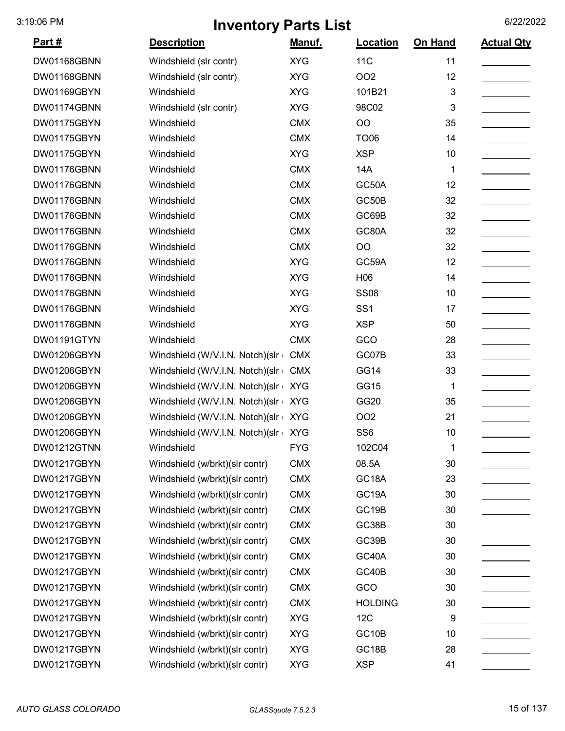| <u>Part #</u> | <b>Description</b>              | Manuf.     | Location           | On Hand     | <b>Actual Qty</b> |
|---------------|---------------------------------|------------|--------------------|-------------|-------------------|
| DW01168GBNN   | Windshield (slr contr)          | <b>XYG</b> | <b>11C</b>         | 11          |                   |
| DW01168GBNN   | Windshield (slr contr)          | <b>XYG</b> | <b>OO2</b>         | 12          |                   |
| DW01169GBYN   | Windshield                      | <b>XYG</b> | 101B21             | 3           |                   |
| DW01174GBNN   | Windshield (slr contr)          | <b>XYG</b> | 98C02              | 3           |                   |
| DW01175GBYN   | Windshield                      | <b>CMX</b> | OO                 | 35          |                   |
| DW01175GBYN   | Windshield                      | <b>CMX</b> | <b>TO06</b>        | 14          |                   |
| DW01175GBYN   | Windshield                      | <b>XYG</b> | <b>XSP</b>         | 10          |                   |
| DW01176GBNN   | Windshield                      | <b>CMX</b> | 14A                | 1           |                   |
| DW01176GBNN   | Windshield                      | <b>CMX</b> | GC50A              | 12          |                   |
| DW01176GBNN   | Windshield                      | <b>CMX</b> | GC50B              | 32          |                   |
| DW01176GBNN   | Windshield                      | <b>CMX</b> | GC69B              | 32          |                   |
| DW01176GBNN   | Windshield                      | <b>CMX</b> | GC80A              | 32          |                   |
| DW01176GBNN   | Windshield                      | <b>CMX</b> | OO                 | 32          |                   |
| DW01176GBNN   | Windshield                      | <b>XYG</b> | GC59A              | 12          |                   |
| DW01176GBNN   | Windshield                      | <b>XYG</b> | H06                | 14          |                   |
| DW01176GBNN   | Windshield                      | <b>XYG</b> | <b>SS08</b>        | 10          |                   |
| DW01176GBNN   | Windshield                      | <b>XYG</b> | SS <sub>1</sub>    | 17          |                   |
| DW01176GBNN   | Windshield                      | <b>XYG</b> | <b>XSP</b>         | 50          |                   |
| DW01191GTYN   | Windshield                      | <b>CMX</b> | GCO                | 28          |                   |
| DW01206GBYN   | Windshield (W/V.I.N. Notch)(slr | <b>CMX</b> | GC07B              | 33          |                   |
| DW01206GBYN   | Windshield (W/V.I.N. Notch)(slr | <b>CMX</b> | <b>GG14</b>        | 33          |                   |
| DW01206GBYN   | Windshield (W/V.I.N. Notch)(slr | <b>XYG</b> | <b>GG15</b>        | 1           |                   |
| DW01206GBYN   | Windshield (W/V.I.N. Notch)(slr | <b>XYG</b> | GG20               | 35          |                   |
| DW01206GBYN   | Windshield (W/V.I.N. Notch)(slr | <b>XYG</b> | <b>OO2</b>         | 21          |                   |
| DW01206GBYN   | Windshield (W/V.I.N. Notch)(slr | <b>XYG</b> | SS <sub>6</sub>    | 10          |                   |
| DW01212GTNN   | Windshield                      | <b>FYG</b> | 102C04             | $\mathbf 1$ |                   |
| DW01217GBYN   | Windshield (w/brkt)(slr contr)  | <b>CMX</b> | 08.5A              | 30          |                   |
| DW01217GBYN   | Windshield (w/brkt)(slr contr)  | <b>CMX</b> | GC18A              | 23          |                   |
| DW01217GBYN   | Windshield (w/brkt)(slr contr)  | <b>CMX</b> | GC19A              | 30          |                   |
| DW01217GBYN   | Windshield (w/brkt)(slr contr)  | <b>CMX</b> | GC19B              | 30          |                   |
| DW01217GBYN   | Windshield (w/brkt)(slr contr)  | <b>CMX</b> | GC38B              | 30          |                   |
| DW01217GBYN   | Windshield (w/brkt)(slr contr)  | <b>CMX</b> | GC39B              | 30          |                   |
| DW01217GBYN   | Windshield (w/brkt)(slr contr)  | <b>CMX</b> | GC40A              | 30          |                   |
| DW01217GBYN   | Windshield (w/brkt)(slr contr)  | <b>CMX</b> | GC40B              | 30          |                   |
| DW01217GBYN   | Windshield (w/brkt)(slr contr)  | <b>CMX</b> | GCO                | 30          |                   |
| DW01217GBYN   | Windshield (w/brkt)(slr contr)  | <b>CMX</b> | <b>HOLDING</b>     | 30          |                   |
| DW01217GBYN   | Windshield (w/brkt)(slr contr)  | <b>XYG</b> | 12C                | 9           |                   |
| DW01217GBYN   | Windshield (w/brkt)(slr contr)  | <b>XYG</b> | GC <sub>10</sub> B | 10          |                   |
| DW01217GBYN   | Windshield (w/brkt)(slr contr)  | <b>XYG</b> | GC18B              | 28          |                   |
| DW01217GBYN   | Windshield (w/brkt)(slr contr)  | <b>XYG</b> | <b>XSP</b>         | 41          |                   |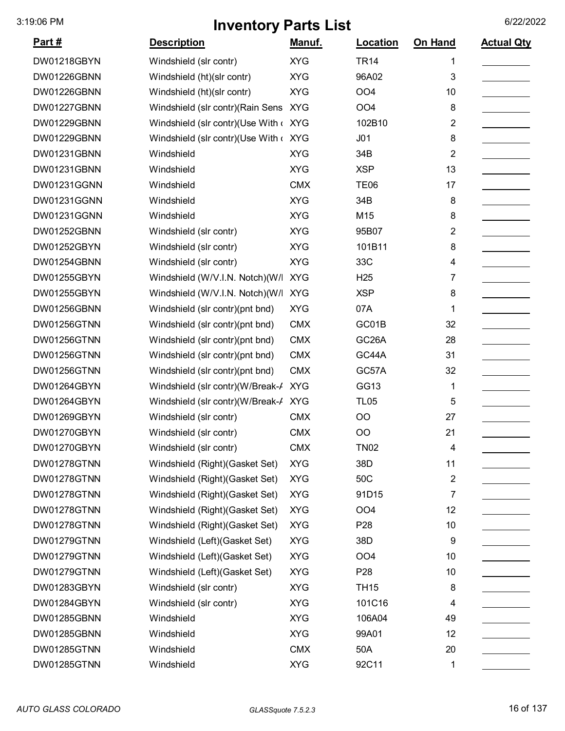| <u>Part #</u> | <b>Description</b>                    | <u>Manuf.</u> | Location           | On Hand | <b>Actual Qty</b> |
|---------------|---------------------------------------|---------------|--------------------|---------|-------------------|
| DW01218GBYN   | Windshield (slr contr)                | <b>XYG</b>    | <b>TR14</b>        | 1       |                   |
| DW01226GBNN   | Windshield (ht)(slr contr)            | <b>XYG</b>    | 96A02              | 3       |                   |
| DW01226GBNN   | Windshield (ht)(slr contr)            | <b>XYG</b>    | OO <sub>4</sub>    | 10      |                   |
| DW01227GBNN   | Windshield (slr contr) (Rain Sens     | <b>XYG</b>    | OO <sub>4</sub>    | 8       |                   |
| DW01229GBNN   | Windshield (slr contr)(Use With < XYG |               | 102B10             | 2       |                   |
| DW01229GBNN   | Windshield (slr contr)(Use With < XYG |               | J <sub>01</sub>    | 8       |                   |
| DW01231GBNN   | Windshield                            | <b>XYG</b>    | 34B                | 2       |                   |
| DW01231GBNN   | Windshield                            | <b>XYG</b>    | <b>XSP</b>         | 13      |                   |
| DW01231GGNN   | Windshield                            | <b>CMX</b>    | <b>TE06</b>        | 17      |                   |
| DW01231GGNN   | Windshield                            | <b>XYG</b>    | 34B                | 8       |                   |
| DW01231GGNN   | Windshield                            | <b>XYG</b>    | M15                | 8       |                   |
| DW01252GBNN   | Windshield (slr contr)                | <b>XYG</b>    | 95B07              | 2       |                   |
| DW01252GBYN   | Windshield (slr contr)                | <b>XYG</b>    | 101B11             | 8       |                   |
| DW01254GBNN   | Windshield (slr contr)                | <b>XYG</b>    | 33C                | 4       |                   |
| DW01255GBYN   | Windshield (W/V.I.N. Notch)(W/I       | <b>XYG</b>    | H <sub>25</sub>    | 7       |                   |
| DW01255GBYN   | Windshield (W/V.I.N. Notch) (W/I      | <b>XYG</b>    | <b>XSP</b>         | 8       |                   |
| DW01256GBNN   | Windshield (slr contr)(pnt bnd)       | <b>XYG</b>    | 07A                | 1       |                   |
| DW01256GTNN   | Windshield (slr contr)(pnt bnd)       | <b>CMX</b>    | GC01B              | 32      |                   |
| DW01256GTNN   | Windshield (slr contr)(pnt bnd)       | <b>CMX</b>    | GC <sub>26</sub> A | 28      |                   |
| DW01256GTNN   | Windshield (slr contr)(pnt bnd)       | <b>CMX</b>    | GC44A              | 31      |                   |
| DW01256GTNN   | Windshield (slr contr)(pnt bnd)       | <b>CMX</b>    | GC57A              | 32      |                   |
| DW01264GBYN   | Windshield (slr contr)(W/Break-/      | <b>XYG</b>    | GG13               | 1       |                   |
| DW01264GBYN   | Windshield (slr contr)(W/Break-/ XYG  |               | <b>TL05</b>        | 5       |                   |
| DW01269GBYN   | Windshield (slr contr)                | <b>CMX</b>    | <b>OO</b>          | 27      |                   |
| DW01270GBYN   | Windshield (slr contr)                | <b>CMX</b>    | OO                 | 21      |                   |
| DW01270GBYN   | Windshield (slr contr)                | <b>CMX</b>    | <b>TN02</b>        | 4       |                   |
| DW01278GTNN   | Windshield (Right) (Gasket Set)       | <b>XYG</b>    | 38D                | 11      |                   |
| DW01278GTNN   | Windshield (Right) (Gasket Set)       | <b>XYG</b>    | 50C                | 2       |                   |
| DW01278GTNN   | Windshield (Right)(Gasket Set)        | <b>XYG</b>    | 91D15              | 7       |                   |
| DW01278GTNN   | Windshield (Right) (Gasket Set)       | <b>XYG</b>    | OO <sub>4</sub>    | 12      |                   |
| DW01278GTNN   | Windshield (Right) (Gasket Set)       | <b>XYG</b>    | P <sub>28</sub>    | 10      |                   |
| DW01279GTNN   | Windshield (Left)(Gasket Set)         | <b>XYG</b>    | 38D                | 9       |                   |
| DW01279GTNN   | Windshield (Left)(Gasket Set)         | <b>XYG</b>    | OO <sub>4</sub>    | 10      |                   |
| DW01279GTNN   | Windshield (Left)(Gasket Set)         | <b>XYG</b>    | P <sub>28</sub>    | 10      |                   |
| DW01283GBYN   | Windshield (slr contr)                | <b>XYG</b>    | <b>TH15</b>        | 8       |                   |
| DW01284GBYN   | Windshield (slr contr)                | <b>XYG</b>    | 101C16             | 4       |                   |
| DW01285GBNN   | Windshield                            | <b>XYG</b>    | 106A04             | 49      |                   |
| DW01285GBNN   | Windshield                            | <b>XYG</b>    | 99A01              | 12      |                   |
| DW01285GTNN   | Windshield                            | <b>CMX</b>    | 50A                | 20      |                   |
| DW01285GTNN   | Windshield                            | <b>XYG</b>    | 92C11              | 1       |                   |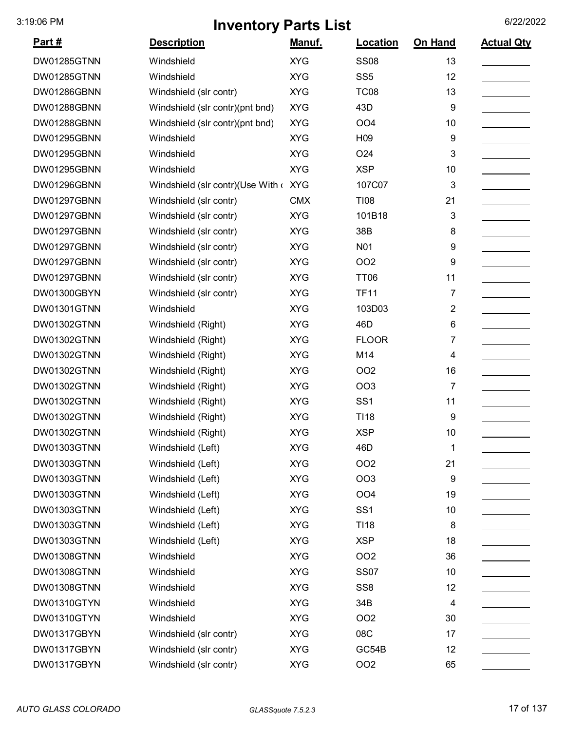| <u>Part #</u> | <b>Description</b>                    | Manuf.     | Location         | On Hand        | <b>Actual Qty</b> |
|---------------|---------------------------------------|------------|------------------|----------------|-------------------|
| DW01285GTNN   | Windshield                            | <b>XYG</b> | <b>SS08</b>      | 13             |                   |
| DW01285GTNN   | Windshield                            | <b>XYG</b> | SS <sub>5</sub>  | 12             |                   |
| DW01286GBNN   | Windshield (slr contr)                | <b>XYG</b> | <b>TC08</b>      | 13             |                   |
| DW01288GBNN   | Windshield (slr contr)(pnt bnd)       | <b>XYG</b> | 43D              | 9              |                   |
| DW01288GBNN   | Windshield (slr contr)(pnt bnd)       | <b>XYG</b> | OO <sub>4</sub>  | 10             |                   |
| DW01295GBNN   | Windshield                            | <b>XYG</b> | H <sub>09</sub>  | 9              |                   |
| DW01295GBNN   | Windshield                            | <b>XYG</b> | O <sub>24</sub>  | 3              |                   |
| DW01295GBNN   | Windshield                            | <b>XYG</b> | <b>XSP</b>       | 10             |                   |
| DW01296GBNN   | Windshield (slr contr)(Use With < XYG |            | 107C07           | 3              |                   |
| DW01297GBNN   | Windshield (slr contr)                | <b>CMX</b> | <b>TI08</b>      | 21             |                   |
| DW01297GBNN   | Windshield (slr contr)                | <b>XYG</b> | 101B18           | 3              |                   |
| DW01297GBNN   | Windshield (slr contr)                | <b>XYG</b> | 38B              | 8              |                   |
| DW01297GBNN   | Windshield (slr contr)                | <b>XYG</b> | N <sub>0</sub> 1 | 9              |                   |
| DW01297GBNN   | Windshield (slr contr)                | <b>XYG</b> | <b>OO2</b>       | 9              |                   |
| DW01297GBNN   | Windshield (slr contr)                | <b>XYG</b> | <b>TT06</b>      | 11             |                   |
| DW01300GBYN   | Windshield (slr contr)                | <b>XYG</b> | <b>TF11</b>      | 7              |                   |
| DW01301GTNN   | Windshield                            | <b>XYG</b> | 103D03           | $\overline{2}$ |                   |
| DW01302GTNN   | Windshield (Right)                    | <b>XYG</b> | 46D              | 6              |                   |
| DW01302GTNN   | Windshield (Right)                    | <b>XYG</b> | <b>FLOOR</b>     | 7              |                   |
| DW01302GTNN   | Windshield (Right)                    | <b>XYG</b> | M14              | 4              |                   |
| DW01302GTNN   | Windshield (Right)                    | <b>XYG</b> | <b>OO2</b>       | 16             |                   |
| DW01302GTNN   | Windshield (Right)                    | <b>XYG</b> | <b>OO3</b>       | 7              |                   |
| DW01302GTNN   | Windshield (Right)                    | <b>XYG</b> | SS <sub>1</sub>  | 11             |                   |
| DW01302GTNN   | Windshield (Right)                    | <b>XYG</b> | T118             | 9              |                   |
| DW01302GTNN   | Windshield (Right)                    | <b>XYG</b> | <b>XSP</b>       | 10             |                   |
| DW01303GTNN   | Windshield (Left)                     | <b>XYG</b> | 46D              | 1              |                   |
| DW01303GTNN   | Windshield (Left)                     | <b>XYG</b> | <b>OO2</b>       | 21             |                   |
| DW01303GTNN   | Windshield (Left)                     | <b>XYG</b> | <b>OO3</b>       | 9              |                   |
| DW01303GTNN   | Windshield (Left)                     | <b>XYG</b> | OO <sub>4</sub>  | 19             |                   |
| DW01303GTNN   | Windshield (Left)                     | <b>XYG</b> | SS <sub>1</sub>  | 10             |                   |
| DW01303GTNN   | Windshield (Left)                     | <b>XYG</b> | <b>TI18</b>      | 8              |                   |
| DW01303GTNN   | Windshield (Left)                     | <b>XYG</b> | <b>XSP</b>       | 18             |                   |
| DW01308GTNN   | Windshield                            | <b>XYG</b> | <b>OO2</b>       | 36             |                   |
| DW01308GTNN   | Windshield                            | <b>XYG</b> | <b>SS07</b>      | 10             |                   |
| DW01308GTNN   | Windshield                            | <b>XYG</b> | SS <sub>8</sub>  | 12             |                   |
| DW01310GTYN   | Windshield                            | <b>XYG</b> | 34B              | 4              |                   |
| DW01310GTYN   | Windshield                            | <b>XYG</b> | <b>OO2</b>       | 30             |                   |
| DW01317GBYN   | Windshield (slr contr)                | <b>XYG</b> | 08C              | 17             |                   |
| DW01317GBYN   | Windshield (slr contr)                | <b>XYG</b> | GC54B            | 12             |                   |
| DW01317GBYN   | Windshield (slr contr)                | <b>XYG</b> | OO <sub>2</sub>  | 65             |                   |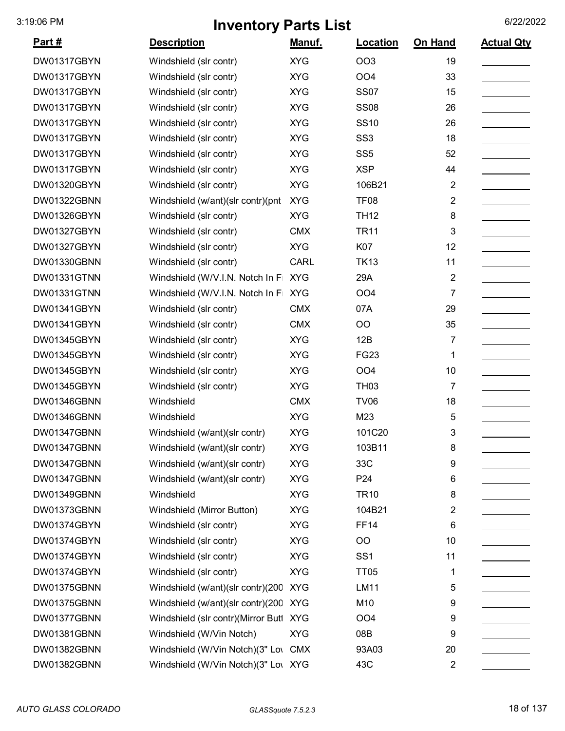| <u>Part #</u> | <b>Description</b>                  | Manuf.      | Location        | On Hand        | <b>Actual Qty</b> |
|---------------|-------------------------------------|-------------|-----------------|----------------|-------------------|
| DW01317GBYN   | Windshield (slr contr)              | <b>XYG</b>  | OO <sub>3</sub> | 19             |                   |
| DW01317GBYN   | Windshield (slr contr)              | <b>XYG</b>  | OO <sub>4</sub> | 33             |                   |
| DW01317GBYN   | Windshield (slr contr)              | <b>XYG</b>  | <b>SS07</b>     | 15             |                   |
| DW01317GBYN   | Windshield (slr contr)              | <b>XYG</b>  | <b>SS08</b>     | 26             |                   |
| DW01317GBYN   | Windshield (slr contr)              | <b>XYG</b>  | <b>SS10</b>     | 26             |                   |
| DW01317GBYN   | Windshield (slr contr)              | <b>XYG</b>  | SS <sub>3</sub> | 18             |                   |
| DW01317GBYN   | Windshield (slr contr)              | <b>XYG</b>  | SS <sub>5</sub> | 52             |                   |
| DW01317GBYN   | Windshield (slr contr)              | <b>XYG</b>  | <b>XSP</b>      | 44             |                   |
| DW01320GBYN   | Windshield (slr contr)              | <b>XYG</b>  | 106B21          | $\overline{2}$ |                   |
| DW01322GBNN   | Windshield (w/ant)(slr contr)(pnt   | <b>XYG</b>  | <b>TF08</b>     | $\overline{2}$ |                   |
| DW01326GBYN   | Windshield (slr contr)              | <b>XYG</b>  | <b>TH12</b>     | 8              |                   |
| DW01327GBYN   | Windshield (slr contr)              | <b>CMX</b>  | <b>TR11</b>     | 3              |                   |
| DW01327GBYN   | Windshield (slr contr)              | <b>XYG</b>  | K07             | 12             |                   |
| DW01330GBNN   | Windshield (slr contr)              | <b>CARL</b> | <b>TK13</b>     | 11             |                   |
| DW01331GTNN   | Windshield (W/V.I.N. Notch In F     | <b>XYG</b>  | 29A             | $\overline{2}$ |                   |
| DW01331GTNN   | Windshield (W/V.I.N. Notch In F     | <b>XYG</b>  | OO <sub>4</sub> | $\overline{7}$ |                   |
| DW01341GBYN   | Windshield (slr contr)              | <b>CMX</b>  | 07A             | 29             |                   |
| DW01341GBYN   | Windshield (slr contr)              | <b>CMX</b>  | OO              | 35             |                   |
| DW01345GBYN   | Windshield (slr contr)              | <b>XYG</b>  | 12B             | 7              |                   |
| DW01345GBYN   | Windshield (slr contr)              | <b>XYG</b>  | <b>FG23</b>     | 1              |                   |
| DW01345GBYN   | Windshield (slr contr)              | <b>XYG</b>  | OO <sub>4</sub> | 10             |                   |
| DW01345GBYN   | Windshield (slr contr)              | <b>XYG</b>  | <b>TH03</b>     | 7              |                   |
| DW01346GBNN   | Windshield                          | <b>CMX</b>  | <b>TV06</b>     | 18             |                   |
| DW01346GBNN   | Windshield                          | <b>XYG</b>  | M23             | 5              |                   |
| DW01347GBNN   | Windshield (w/ant)(slr contr)       | <b>XYG</b>  | 101C20          | 3              |                   |
| DW01347GBNN   | Windshield (w/ant)(slr contr)       | <b>XYG</b>  | 103B11          | 8              |                   |
| DW01347GBNN   | Windshield (w/ant)(slr contr)       | <b>XYG</b>  | 33C             | 9              |                   |
| DW01347GBNN   | Windshield (w/ant)(slr contr)       | <b>XYG</b>  | P <sub>24</sub> | 6              |                   |
| DW01349GBNN   | Windshield                          | <b>XYG</b>  | <b>TR10</b>     | 8              |                   |
| DW01373GBNN   | Windshield (Mirror Button)          | <b>XYG</b>  | 104B21          | 2              |                   |
| DW01374GBYN   | Windshield (slr contr)              | <b>XYG</b>  | <b>FF14</b>     | 6              |                   |
| DW01374GBYN   | Windshield (slr contr)              | <b>XYG</b>  | OO              | 10             |                   |
| DW01374GBYN   | Windshield (slr contr)              | <b>XYG</b>  | SS <sub>1</sub> | 11             |                   |
| DW01374GBYN   | Windshield (slr contr)              | <b>XYG</b>  | TT05            | 1              |                   |
| DW01375GBNN   | Windshield (w/ant)(slr contr)(200   | <b>XYG</b>  | LM11            | 5              |                   |
| DW01375GBNN   | Windshield (w/ant)(slr contr)(200   | <b>XYG</b>  | M10             | 9              |                   |
| DW01377GBNN   | Windshield (slr contr)(Mirror Butl  | <b>XYG</b>  | OO <sub>4</sub> | 9              |                   |
| DW01381GBNN   | Windshield (W/Vin Notch)            | <b>XYG</b>  | 08B             | 9              |                   |
| DW01382GBNN   | Windshield (W/Vin Notch)(3" Lov     | <b>CMX</b>  | 93A03           | 20             |                   |
| DW01382GBNN   | Windshield (W/Vin Notch)(3" Low XYG |             | 43C             | $\overline{2}$ |                   |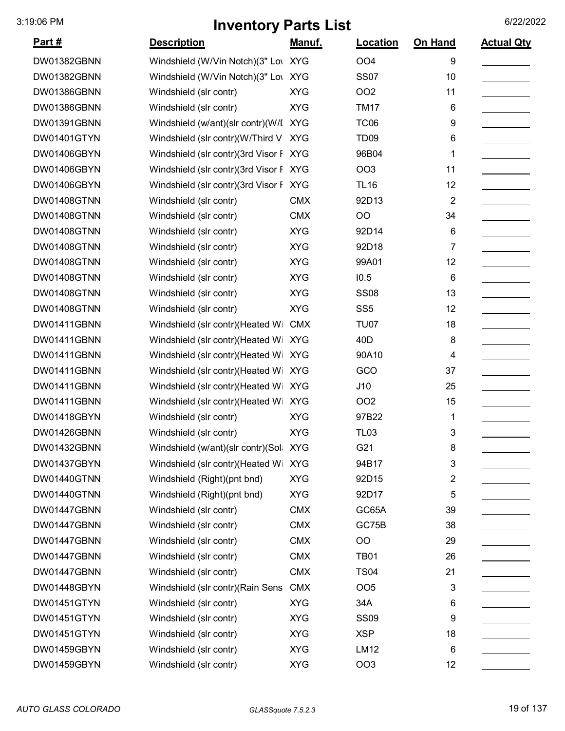| <u>Part #</u> | <b>Description</b>                     | <u>Manuf.</u> | <b>Location</b>  | <b>On Hand</b> | <b>Actual Qty</b> |
|---------------|----------------------------------------|---------------|------------------|----------------|-------------------|
| DW01382GBNN   | Windshield (W/Vin Notch)(3" Low XYG    |               | OO <sub>4</sub>  | 9              |                   |
| DW01382GBNN   | Windshield (W/Vin Notch)(3" Low XYG    |               | <b>SS07</b>      | 10             |                   |
| DW01386GBNN   | Windshield (slr contr)                 | <b>XYG</b>    | <b>OO2</b>       | 11             |                   |
| DW01386GBNN   | Windshield (slr contr)                 | <b>XYG</b>    | <b>TM17</b>      | 6              |                   |
| DW01391GBNN   | Windshield (w/ant)(slr contr)(W/I XYG  |               | <b>TC06</b>      | 9              |                   |
| DW01401GTYN   | Windshield (slr contr)(W/Third V       | <b>XYG</b>    | TD <sub>09</sub> | 6              |                   |
| DW01406GBYN   | Windshield (slr contr)(3rd Visor F XYG |               | 96B04            | 1              |                   |
| DW01406GBYN   | Windshield (slr contr)(3rd Visor F XYG |               | <b>OO3</b>       | 11             |                   |
| DW01406GBYN   | Windshield (slr contr)(3rd Visor F XYG |               | <b>TL16</b>      | 12             |                   |
| DW01408GTNN   | Windshield (slr contr)                 | <b>CMX</b>    | 92D13            | $\overline{2}$ |                   |
| DW01408GTNN   | Windshield (slr contr)                 | <b>CMX</b>    | O <sub>O</sub>   | 34             |                   |
| DW01408GTNN   | Windshield (slr contr)                 | <b>XYG</b>    | 92D14            | 6              |                   |
| DW01408GTNN   | Windshield (slr contr)                 | <b>XYG</b>    | 92D18            | 7              |                   |
| DW01408GTNN   | Windshield (slr contr)                 | <b>XYG</b>    | 99A01            | 12             |                   |
| DW01408GTNN   | Windshield (slr contr)                 | <b>XYG</b>    | 10.5             | 6              |                   |
| DW01408GTNN   | Windshield (slr contr)                 | <b>XYG</b>    | <b>SS08</b>      | 13             |                   |
| DW01408GTNN   | Windshield (slr contr)                 | <b>XYG</b>    | SS <sub>5</sub>  | 12             |                   |
| DW01411GBNN   | Windshield (slr contr)(Heated Wi       | <b>CMX</b>    | <b>TU07</b>      | 18             |                   |
| DW01411GBNN   | Windshield (slr contr)(Heated Wi       | <b>XYG</b>    | 40 <sub>D</sub>  | 8              |                   |
| DW01411GBNN   | Windshield (slr contr)(Heated Wi       | <b>XYG</b>    | 90A10            | 4              |                   |
| DW01411GBNN   | Windshield (slr contr)(Heated Wi       | <b>XYG</b>    | GCO              | 37             |                   |
| DW01411GBNN   | Windshield (slr contr)(Heated Wi XYG   |               | J10              | 25             |                   |
| DW01411GBNN   | Windshield (slr contr) (Heated Wi      | <b>XYG</b>    | OO <sub>2</sub>  | 15             |                   |
| DW01418GBYN   | Windshield (slr contr)                 | <b>XYG</b>    | 97B22            | 1              |                   |
| DW01426GBNN   | Windshield (slr contr)                 | <b>XYG</b>    | <b>TL03</b>      | 3              |                   |
| DW01432GBNN   | Windshield (w/ant)(slr contr)(Sol      | <b>XYG</b>    | G21              | 8              |                   |
| DW01437GBYN   | Windshield (slr contr)(Heated Wi       | <b>XYG</b>    | 94B17            | 3              |                   |
| DW01440GTNN   | Windshield (Right)(pnt bnd)            | <b>XYG</b>    | 92D15            | 2              |                   |
| DW01440GTNN   | Windshield (Right)(pnt bnd)            | <b>XYG</b>    | 92D17            | 5              |                   |
| DW01447GBNN   | Windshield (slr contr)                 | <b>CMX</b>    | GC65A            | 39             |                   |
| DW01447GBNN   | Windshield (slr contr)                 | <b>CMX</b>    | GC75B            | 38             |                   |
| DW01447GBNN   | Windshield (slr contr)                 | <b>CMX</b>    | <b>OO</b>        | 29             |                   |
| DW01447GBNN   | Windshield (slr contr)                 | <b>CMX</b>    | <b>TB01</b>      | 26             |                   |
| DW01447GBNN   | Windshield (slr contr)                 | <b>CMX</b>    | <b>TS04</b>      | 21             |                   |
| DW01448GBYN   | Windshield (slr contr)(Rain Sens       | <b>CMX</b>    | OO <sub>5</sub>  | 3              |                   |
| DW01451GTYN   | Windshield (slr contr)                 | <b>XYG</b>    | 34A              | 6              |                   |
| DW01451GTYN   | Windshield (slr contr)                 | <b>XYG</b>    | <b>SS09</b>      | 9              |                   |
| DW01451GTYN   | Windshield (slr contr)                 | <b>XYG</b>    | <b>XSP</b>       | 18             |                   |
| DW01459GBYN   | Windshield (slr contr)                 | <b>XYG</b>    | <b>LM12</b>      | 6              |                   |
| DW01459GBYN   | Windshield (slr contr)                 | <b>XYG</b>    | OO <sub>3</sub>  | 12             |                   |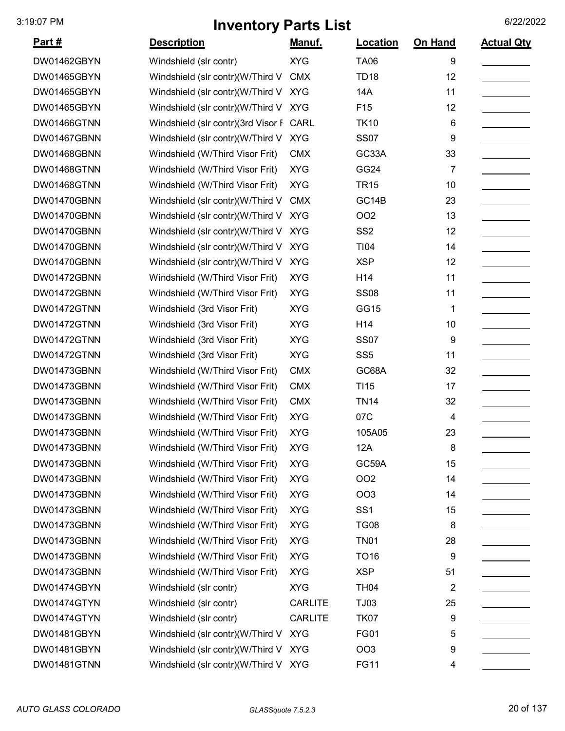| <u>Part #</u> | <b>Description</b>                   | Manuf.         | Location         | <b>On Hand</b>          | <b>Actual Qty</b> |
|---------------|--------------------------------------|----------------|------------------|-------------------------|-------------------|
| DW01462GBYN   | Windshield (slr contr)               | <b>XYG</b>     | <b>TA06</b>      | 9                       |                   |
| DW01465GBYN   | Windshield (slr contr)(W/Third V     | <b>CMX</b>     | <b>TD18</b>      | 12                      |                   |
| DW01465GBYN   | Windshield (slr contr)(W/Third V     | <b>XYG</b>     | <b>14A</b>       | 11                      |                   |
| DW01465GBYN   | Windshield (slr contr)(W/Third V     | <b>XYG</b>     | F <sub>15</sub>  | 12                      |                   |
| DW01466GTNN   | Windshield (slr contr)(3rd Visor F   | CARL           | <b>TK10</b>      | 6                       |                   |
| DW01467GBNN   | Windshield (slr contr)(W/Third V     | <b>XYG</b>     | <b>SS07</b>      | 9                       |                   |
| DW01468GBNN   | Windshield (W/Third Visor Frit)      | <b>CMX</b>     | GC33A            | 33                      |                   |
| DW01468GTNN   | Windshield (W/Third Visor Frit)      | <b>XYG</b>     | GG24             | 7                       |                   |
| DW01468GTNN   | Windshield (W/Third Visor Frit)      | <b>XYG</b>     | <b>TR15</b>      | 10                      |                   |
| DW01470GBNN   | Windshield (slr contr)(W/Third V     | <b>CMX</b>     | GC14B            | 23                      |                   |
| DW01470GBNN   | Windshield (slr contr)(W/Third V     | <b>XYG</b>     | OO <sub>2</sub>  | 13                      |                   |
| DW01470GBNN   | Windshield (slr contr)(W/Third V     | <b>XYG</b>     | SS <sub>2</sub>  | 12                      |                   |
| DW01470GBNN   | Windshield (slr contr)(W/Third V     | <b>XYG</b>     | <b>TI04</b>      | 14                      |                   |
| DW01470GBNN   | Windshield (slr contr)(W/Third V     | <b>XYG</b>     | <b>XSP</b>       | 12                      |                   |
| DW01472GBNN   | Windshield (W/Third Visor Frit)      | <b>XYG</b>     | H14              | 11                      |                   |
| DW01472GBNN   | Windshield (W/Third Visor Frit)      | <b>XYG</b>     | <b>SS08</b>      | 11                      |                   |
| DW01472GTNN   | Windshield (3rd Visor Frit)          | <b>XYG</b>     | GG15             | 1                       |                   |
| DW01472GTNN   | Windshield (3rd Visor Frit)          | <b>XYG</b>     | H14              | 10                      |                   |
| DW01472GTNN   | Windshield (3rd Visor Frit)          | <b>XYG</b>     | <b>SS07</b>      | 9                       |                   |
| DW01472GTNN   | Windshield (3rd Visor Frit)          | <b>XYG</b>     | SS <sub>5</sub>  | 11                      |                   |
| DW01473GBNN   | Windshield (W/Third Visor Frit)      | <b>CMX</b>     | GC68A            | 32                      |                   |
| DW01473GBNN   | Windshield (W/Third Visor Frit)      | <b>CMX</b>     | TI15             | 17                      |                   |
| DW01473GBNN   | Windshield (W/Third Visor Frit)      | <b>CMX</b>     | <b>TN14</b>      | 32                      |                   |
| DW01473GBNN   | Windshield (W/Third Visor Frit)      | <b>XYG</b>     | 07C              | 4                       |                   |
| DW01473GBNN   | Windshield (W/Third Visor Frit)      | <b>XYG</b>     | 105A05           | 23                      |                   |
| DW01473GBNN   | Windshield (W/Third Visor Frit)      | <b>XYG</b>     | 12A              | 8                       |                   |
| DW01473GBNN   | Windshield (W/Third Visor Frit)      | <b>XYG</b>     | GC59A            | 15                      |                   |
| DW01473GBNN   | Windshield (W/Third Visor Frit)      | <b>XYG</b>     | <b>OO2</b>       | 14                      |                   |
| DW01473GBNN   | Windshield (W/Third Visor Frit)      | <b>XYG</b>     | <b>OO3</b>       | 14                      |                   |
| DW01473GBNN   | Windshield (W/Third Visor Frit)      | <b>XYG</b>     | SS <sub>1</sub>  | 15                      |                   |
| DW01473GBNN   | Windshield (W/Third Visor Frit)      | <b>XYG</b>     | <b>TG08</b>      | 8                       |                   |
| DW01473GBNN   | Windshield (W/Third Visor Frit)      | <b>XYG</b>     | <b>TN01</b>      | 28                      |                   |
| DW01473GBNN   | Windshield (W/Third Visor Frit)      | <b>XYG</b>     | TO <sub>16</sub> | 9                       |                   |
| DW01473GBNN   | Windshield (W/Third Visor Frit)      | <b>XYG</b>     | <b>XSP</b>       | 51                      |                   |
| DW01474GBYN   | Windshield (slr contr)               | <b>XYG</b>     | <b>TH04</b>      | $\overline{\mathbf{c}}$ |                   |
| DW01474GTYN   | Windshield (slr contr)               | <b>CARLITE</b> | TJ03             | 25                      |                   |
| DW01474GTYN   | Windshield (slr contr)               | <b>CARLITE</b> | <b>TK07</b>      | 9                       |                   |
| DW01481GBYN   | Windshield (slr contr)(W/Third V     | <b>XYG</b>     | <b>FG01</b>      | 5                       |                   |
| DW01481GBYN   | Windshield (slr contr)(W/Third V XYG |                | OO <sub>3</sub>  | 9                       |                   |
| DW01481GTNN   | Windshield (slr contr)(W/Third V XYG |                | <b>FG11</b>      | 4                       |                   |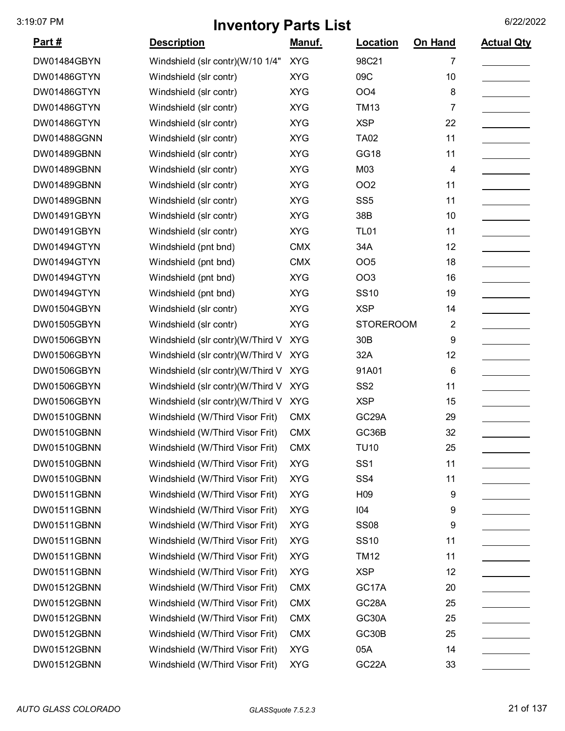| <u> Part #</u> | <b>Description</b>               | <u>Manuf.</u> | Location           | On Hand        | <b>Actual Qty</b> |
|----------------|----------------------------------|---------------|--------------------|----------------|-------------------|
| DW01484GBYN    | Windshield (slr contr)(W/10 1/4" | <b>XYG</b>    | 98C21              | 7              |                   |
| DW01486GTYN    | Windshield (slr contr)           | <b>XYG</b>    | 09C                | 10             |                   |
| DW01486GTYN    | Windshield (slr contr)           | <b>XYG</b>    | OO <sub>4</sub>    | 8              |                   |
| DW01486GTYN    | Windshield (slr contr)           | <b>XYG</b>    | <b>TM13</b>        | 7              |                   |
| DW01486GTYN    | Windshield (slr contr)           | <b>XYG</b>    | <b>XSP</b>         | 22             |                   |
| DW01488GGNN    | Windshield (slr contr)           | <b>XYG</b>    | <b>TA02</b>        | 11             |                   |
| DW01489GBNN    | Windshield (slr contr)           | <b>XYG</b>    | GG18               | 11             |                   |
| DW01489GBNN    | Windshield (slr contr)           | <b>XYG</b>    | M03                | 4              |                   |
| DW01489GBNN    | Windshield (slr contr)           | <b>XYG</b>    | OO <sub>2</sub>    | 11             |                   |
| DW01489GBNN    | Windshield (slr contr)           | <b>XYG</b>    | SS <sub>5</sub>    | 11             |                   |
| DW01491GBYN    | Windshield (slr contr)           | <b>XYG</b>    | 38B                | 10             |                   |
| DW01491GBYN    | Windshield (slr contr)           | <b>XYG</b>    | <b>TL01</b>        | 11             |                   |
| DW01494GTYN    | Windshield (pnt bnd)             | <b>CMX</b>    | 34A                | 12             |                   |
| DW01494GTYN    | Windshield (pnt bnd)             | <b>CMX</b>    | OO <sub>5</sub>    | 18             |                   |
| DW01494GTYN    | Windshield (pnt bnd)             | <b>XYG</b>    | <b>OO3</b>         | 16             |                   |
| DW01494GTYN    | Windshield (pnt bnd)             | <b>XYG</b>    | <b>SS10</b>        | 19             |                   |
| DW01504GBYN    | Windshield (slr contr)           | <b>XYG</b>    | <b>XSP</b>         | 14             |                   |
| DW01505GBYN    | Windshield (slr contr)           | <b>XYG</b>    | <b>STOREROOM</b>   | $\overline{2}$ |                   |
| DW01506GBYN    | Windshield (slr contr)(W/Third V | <b>XYG</b>    | 30 <sub>B</sub>    | 9              |                   |
| DW01506GBYN    | Windshield (slr contr)(W/Third V | <b>XYG</b>    | 32A                | 12             |                   |
| DW01506GBYN    | Windshield (slr contr)(W/Third V | <b>XYG</b>    | 91A01              | 6              |                   |
| DW01506GBYN    | Windshield (slr contr)(W/Third V | <b>XYG</b>    | SS <sub>2</sub>    | 11             |                   |
| DW01506GBYN    | Windshield (slr contr)(W/Third V | <b>XYG</b>    | <b>XSP</b>         | 15             |                   |
| DW01510GBNN    | Windshield (W/Third Visor Frit)  | <b>CMX</b>    | GC <sub>29</sub> A | 29             |                   |
| DW01510GBNN    | Windshield (W/Third Visor Frit)  | <b>CMX</b>    | GC36B              | 32             |                   |
| DW01510GBNN    | Windshield (W/Third Visor Frit)  | <b>CMX</b>    | TU10               | 25             |                   |
| DW01510GBNN    | Windshield (W/Third Visor Frit)  | <b>XYG</b>    | SS <sub>1</sub>    | 11             |                   |
| DW01510GBNN    | Windshield (W/Third Visor Frit)  | <b>XYG</b>    | SS <sub>4</sub>    | 11             |                   |
| DW01511GBNN    | Windshield (W/Third Visor Frit)  | <b>XYG</b>    | H <sub>09</sub>    | 9              |                   |
| DW01511GBNN    | Windshield (W/Third Visor Frit)  | <b>XYG</b>    | 104                | 9              |                   |
| DW01511GBNN    | Windshield (W/Third Visor Frit)  | <b>XYG</b>    | <b>SS08</b>        | 9              |                   |
| DW01511GBNN    | Windshield (W/Third Visor Frit)  | <b>XYG</b>    | <b>SS10</b>        | 11             |                   |
| DW01511GBNN    | Windshield (W/Third Visor Frit)  | <b>XYG</b>    | <b>TM12</b>        | 11             |                   |
| DW01511GBNN    | Windshield (W/Third Visor Frit)  | <b>XYG</b>    | <b>XSP</b>         | 12             |                   |
| DW01512GBNN    | Windshield (W/Third Visor Frit)  | <b>CMX</b>    | GC17A              | 20             |                   |
| DW01512GBNN    | Windshield (W/Third Visor Frit)  | <b>CMX</b>    | GC <sub>28</sub> A | 25             |                   |
| DW01512GBNN    | Windshield (W/Third Visor Frit)  | <b>CMX</b>    | GC30A              | 25             |                   |
| DW01512GBNN    | Windshield (W/Third Visor Frit)  | <b>CMX</b>    | GC30B              | 25             |                   |
| DW01512GBNN    | Windshield (W/Third Visor Frit)  | <b>XYG</b>    | 05A                | 14             |                   |
| DW01512GBNN    | Windshield (W/Third Visor Frit)  | <b>XYG</b>    | GC <sub>22</sub> A | 33             |                   |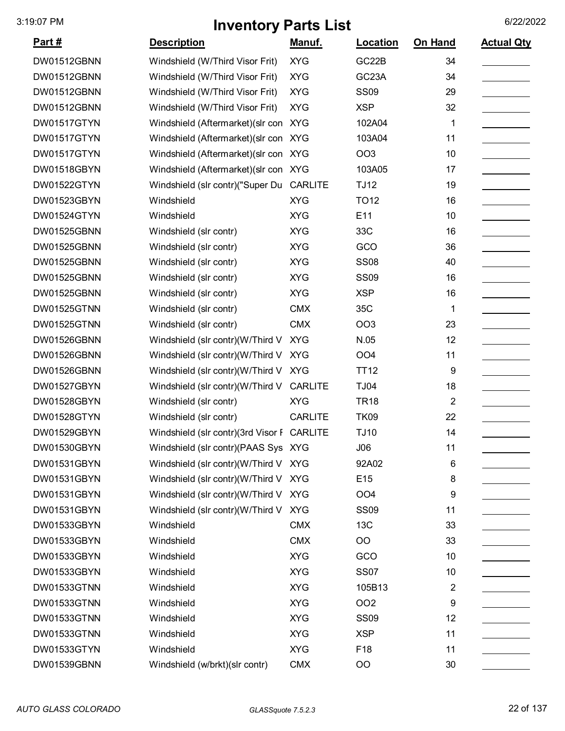| <u> Part #</u> | <b>Description</b>                         | <u>Manuf.</u>  | Location           | On Hand | <b>Actual Qty</b> |
|----------------|--------------------------------------------|----------------|--------------------|---------|-------------------|
| DW01512GBNN    | Windshield (W/Third Visor Frit)            | <b>XYG</b>     | GC22B              | 34      |                   |
| DW01512GBNN    | Windshield (W/Third Visor Frit)            | <b>XYG</b>     | GC <sub>23</sub> A | 34      |                   |
| DW01512GBNN    | Windshield (W/Third Visor Frit)            | <b>XYG</b>     | <b>SS09</b>        | 29      |                   |
| DW01512GBNN    | Windshield (W/Third Visor Frit)            | <b>XYG</b>     | <b>XSP</b>         | 32      |                   |
| DW01517GTYN    | Windshield (Aftermarket) (slr con XYG      |                | 102A04             | 1       |                   |
| DW01517GTYN    | Windshield (Aftermarket) (slr con XYG      |                | 103A04             | 11      |                   |
| DW01517GTYN    | Windshield (Aftermarket) (slr con XYG      |                | OO <sub>3</sub>    | 10      |                   |
| DW01518GBYN    | Windshield (Aftermarket) (slr con XYG      |                | 103A05             | 17      |                   |
| DW01522GTYN    | Windshield (slr contr)("Super Du           | <b>CARLITE</b> | <b>TJ12</b>        | 19      |                   |
| DW01523GBYN    | Windshield                                 | <b>XYG</b>     | <b>TO12</b>        | 16      |                   |
| DW01524GTYN    | Windshield                                 | <b>XYG</b>     | E11                | 10      |                   |
| DW01525GBNN    | Windshield (slr contr)                     | <b>XYG</b>     | 33C                | 16      |                   |
| DW01525GBNN    | Windshield (slr contr)                     | <b>XYG</b>     | GCO                | 36      |                   |
| DW01525GBNN    | Windshield (slr contr)                     | <b>XYG</b>     | <b>SS08</b>        | 40      |                   |
| DW01525GBNN    | Windshield (slr contr)                     | <b>XYG</b>     | <b>SS09</b>        | 16      |                   |
| DW01525GBNN    | Windshield (slr contr)                     | <b>XYG</b>     | <b>XSP</b>         | 16      |                   |
| DW01525GTNN    | Windshield (slr contr)                     | <b>CMX</b>     | 35C                | 1       |                   |
| DW01525GTNN    | Windshield (slr contr)                     | <b>CMX</b>     | <b>OO3</b>         | 23      |                   |
| DW01526GBNN    | Windshield (slr contr)(W/Third V           | <b>XYG</b>     | N.05               | 12      |                   |
| DW01526GBNN    | Windshield (slr contr)(W/Third V           | <b>XYG</b>     | OO <sub>4</sub>    | 11      |                   |
| DW01526GBNN    | Windshield (slr contr)(W/Third V           | <b>XYG</b>     | <b>TT12</b>        | 9       |                   |
| DW01527GBYN    | Windshield (slr contr)(W/Third V           | <b>CARLITE</b> | <b>TJ04</b>        | 18      |                   |
| DW01528GBYN    | Windshield (slr contr)                     | <b>XYG</b>     | <b>TR18</b>        | 2       |                   |
| DW01528GTYN    | Windshield (slr contr)                     | <b>CARLITE</b> | <b>TK09</b>        | 22      |                   |
| DW01529GBYN    | Windshield (slr contr)(3rd Visor F CARLITE |                | <b>TJ10</b>        | 14      |                   |
| DW01530GBYN    | Windshield (slr contr)(PAAS Sys XYG        |                | J06                | 11      |                   |
| DW01531GBYN    | Windshield (slr contr)(W/Third V XYG       |                | 92A02              | 6       |                   |
| DW01531GBYN    | Windshield (slr contr)(W/Third V XYG       |                | E <sub>15</sub>    | 8       |                   |
| DW01531GBYN    | Windshield (slr contr)(W/Third V XYG       |                | OO <sub>4</sub>    | 9       |                   |
| DW01531GBYN    | Windshield (slr contr)(W/Third V           | <b>XYG</b>     | <b>SS09</b>        | 11      |                   |
| DW01533GBYN    | Windshield                                 | <b>CMX</b>     | 13C                | 33      |                   |
| DW01533GBYN    | Windshield                                 | <b>CMX</b>     | OO                 | 33      |                   |
| DW01533GBYN    | Windshield                                 | <b>XYG</b>     | GCO                | 10      |                   |
| DW01533GBYN    | Windshield                                 | <b>XYG</b>     | <b>SS07</b>        | 10      |                   |
| DW01533GTNN    | Windshield                                 | <b>XYG</b>     | 105B13             | 2       |                   |
| DW01533GTNN    | Windshield                                 | <b>XYG</b>     | <b>OO2</b>         | 9       |                   |
| DW01533GTNN    | Windshield                                 | <b>XYG</b>     | <b>SS09</b>        | 12      |                   |
| DW01533GTNN    | Windshield                                 | <b>XYG</b>     | <b>XSP</b>         | 11      |                   |
| DW01533GTYN    | Windshield                                 | <b>XYG</b>     | F18                | 11      |                   |
| DW01539GBNN    | Windshield (w/brkt)(slr contr)             | <b>CMX</b>     | OO                 | 30      |                   |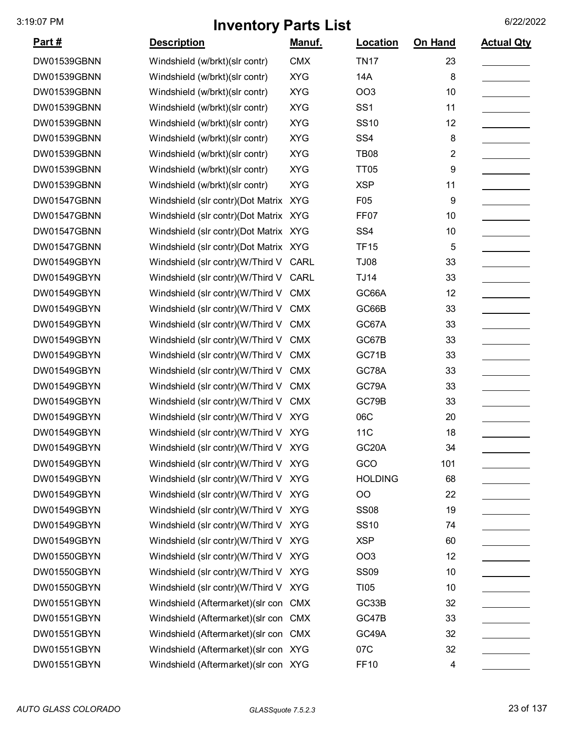| <u> Part #</u> | <b>Description</b>                    | <u>Manuf.</u> | Location           | On Hand                 | <b>Actual Qty</b> |
|----------------|---------------------------------------|---------------|--------------------|-------------------------|-------------------|
| DW01539GBNN    | Windshield (w/brkt)(slr contr)        | <b>CMX</b>    | <b>TN17</b>        | 23                      |                   |
| DW01539GBNN    | Windshield (w/brkt)(slr contr)        | <b>XYG</b>    | 14A                | 8                       |                   |
| DW01539GBNN    | Windshield (w/brkt)(slr contr)        | <b>XYG</b>    | OO <sub>3</sub>    | 10                      |                   |
| DW01539GBNN    | Windshield (w/brkt)(slr contr)        | <b>XYG</b>    | SS <sub>1</sub>    | 11                      |                   |
| DW01539GBNN    | Windshield (w/brkt)(slr contr)        | <b>XYG</b>    | <b>SS10</b>        | 12                      |                   |
| DW01539GBNN    | Windshield (w/brkt)(slr contr)        | <b>XYG</b>    | SS <sub>4</sub>    | 8                       |                   |
| DW01539GBNN    | Windshield (w/brkt)(slr contr)        | <b>XYG</b>    | <b>TB08</b>        | $\overline{\mathbf{c}}$ |                   |
| DW01539GBNN    | Windshield (w/brkt)(slr contr)        | <b>XYG</b>    | <b>TT05</b>        | 9                       |                   |
| DW01539GBNN    | Windshield (w/brkt)(slr contr)        | <b>XYG</b>    | <b>XSP</b>         | 11                      |                   |
| DW01547GBNN    | Windshield (slr contr)(Dot Matrix     | <b>XYG</b>    | F05                | 9                       |                   |
| DW01547GBNN    | Windshield (slr contr)(Dot Matrix XYG |               | <b>FF07</b>        | 10                      |                   |
| DW01547GBNN    | Windshield (slr contr)(Dot Matrix XYG |               | SS <sub>4</sub>    | 10                      |                   |
| DW01547GBNN    | Windshield (slr contr)(Dot Matrix XYG |               | <b>TF15</b>        | 5                       |                   |
| DW01549GBYN    | Windshield (slr contr)(W/Third V      | <b>CARL</b>   | TJ08               | 33                      |                   |
| DW01549GBYN    | Windshield (slr contr)(W/Third V      | <b>CARL</b>   | <b>TJ14</b>        | 33                      |                   |
| DW01549GBYN    | Windshield (slr contr)(W/Third V      | <b>CMX</b>    | GC66A              | 12                      |                   |
| DW01549GBYN    | Windshield (slr contr)(W/Third V      | <b>CMX</b>    | GC66B              | 33                      |                   |
| DW01549GBYN    | Windshield (slr contr)(W/Third V      | <b>CMX</b>    | GC67A              | 33                      |                   |
| DW01549GBYN    | Windshield (slr contr)(W/Third V      | <b>CMX</b>    | GC67B              | 33                      |                   |
| DW01549GBYN    | Windshield (slr contr)(W/Third V      | <b>CMX</b>    | GC71B              | 33                      |                   |
| DW01549GBYN    | Windshield (slr contr)(W/Third V      | <b>CMX</b>    | GC78A              | 33                      |                   |
| DW01549GBYN    | Windshield (slr contr)(W/Third V      | <b>CMX</b>    | GC79A              | 33                      |                   |
| DW01549GBYN    | Windshield (slr contr)(W/Third V      | <b>CMX</b>    | GC79B              | 33                      |                   |
| DW01549GBYN    | Windshield (slr contr)(W/Third V XYG  |               | 06C                | 20                      |                   |
| DW01549GBYN    | Windshield (slr contr)(W/Third V XYG  |               | 11C                | 18                      |                   |
| DW01549GBYN    | Windshield (slr contr)(W/Third V XYG  |               | GC <sub>20</sub> A | 34                      |                   |
| DW01549GBYN    | Windshield (slr contr)(W/Third V XYG  |               | GCO                | 101                     |                   |
| DW01549GBYN    | Windshield (slr contr)(W/Third V XYG  |               | <b>HOLDING</b>     | 68                      |                   |
| DW01549GBYN    | Windshield (slr contr)(W/Third V XYG  |               | OO                 | 22                      |                   |
| DW01549GBYN    | Windshield (slr contr)(W/Third V XYG  |               | <b>SS08</b>        | 19                      |                   |
| DW01549GBYN    | Windshield (slr contr)(W/Third V XYG  |               | <b>SS10</b>        | 74                      |                   |
| DW01549GBYN    | Windshield (slr contr)(W/Third V XYG  |               | <b>XSP</b>         | 60                      |                   |
| DW01550GBYN    | Windshield (slr contr)(W/Third V XYG  |               | OO <sub>3</sub>    | 12                      |                   |
| DW01550GBYN    | Windshield (slr contr)(W/Third V XYG  |               | <b>SS09</b>        | 10                      |                   |
| DW01550GBYN    | Windshield (slr contr)(W/Third V XYG  |               | <b>TI05</b>        | 10                      |                   |
| DW01551GBYN    | Windshield (Aftermarket) (slr con CMX |               | GC33B              | 32                      |                   |
| DW01551GBYN    | Windshield (Aftermarket) (slr con CMX |               | GC47B              | 33                      |                   |
| DW01551GBYN    | Windshield (Aftermarket) (slr con CMX |               | GC49A              | 32                      |                   |
| DW01551GBYN    | Windshield (Aftermarket) (slr con XYG |               | 07C                | 32                      |                   |
| DW01551GBYN    | Windshield (Aftermarket) (slr con XYG |               | <b>FF10</b>        | 4                       |                   |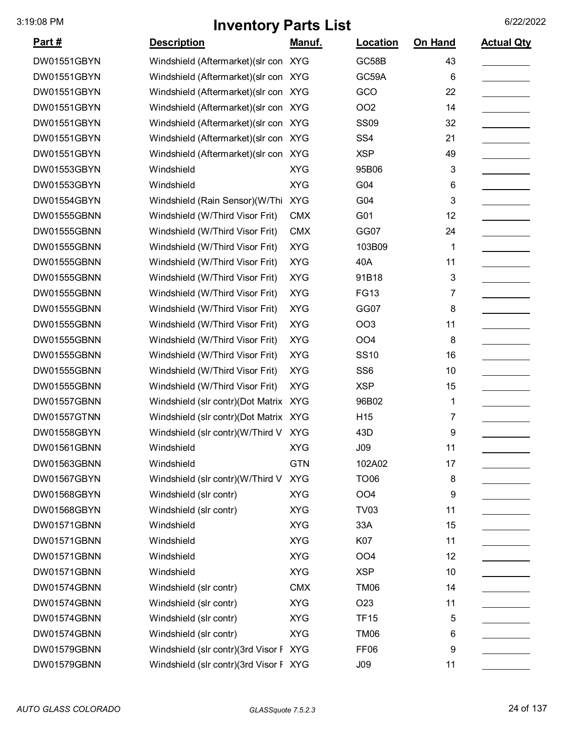| <u> Part #</u> | <b>Description</b>                     | <u>Manuf.</u> | <b>Location</b>  | <b>On Hand</b> | <b>Actual Qty</b> |
|----------------|----------------------------------------|---------------|------------------|----------------|-------------------|
| DW01551GBYN    | Windshield (Aftermarket) (slr con XYG  |               | GC58B            | 43             |                   |
| DW01551GBYN    | Windshield (Aftermarket) (slr con XYG  |               | GC59A            | 6              |                   |
| DW01551GBYN    | Windshield (Aftermarket) (slr con XYG  |               | GCO              | 22             |                   |
| DW01551GBYN    | Windshield (Aftermarket) (slr con XYG  |               | <b>OO2</b>       | 14             |                   |
| DW01551GBYN    | Windshield (Aftermarket) (slr con XYG  |               | <b>SS09</b>      | 32             |                   |
| DW01551GBYN    | Windshield (Aftermarket) (slr con XYG  |               | SS <sub>4</sub>  | 21             |                   |
| DW01551GBYN    | Windshield (Aftermarket) (slr con XYG  |               | <b>XSP</b>       | 49             |                   |
| DW01553GBYN    | Windshield                             | <b>XYG</b>    | 95B06            | 3              |                   |
| DW01553GBYN    | Windshield                             | <b>XYG</b>    | G04              | 6              |                   |
| DW01554GBYN    | Windshield (Rain Sensor)(W/Thi         | <b>XYG</b>    | G04              | 3              |                   |
| DW01555GBNN    | Windshield (W/Third Visor Frit)        | <b>CMX</b>    | G01              | 12             |                   |
| DW01555GBNN    | Windshield (W/Third Visor Frit)        | <b>CMX</b>    | GG07             | 24             |                   |
| DW01555GBNN    | Windshield (W/Third Visor Frit)        | <b>XYG</b>    | 103B09           | 1              |                   |
| DW01555GBNN    | Windshield (W/Third Visor Frit)        | <b>XYG</b>    | 40A              | 11             |                   |
| DW01555GBNN    | Windshield (W/Third Visor Frit)        | <b>XYG</b>    | 91B18            | 3              |                   |
| DW01555GBNN    | Windshield (W/Third Visor Frit)        | <b>XYG</b>    | <b>FG13</b>      | 7              |                   |
| DW01555GBNN    | Windshield (W/Third Visor Frit)        | <b>XYG</b>    | GG07             | 8              |                   |
| DW01555GBNN    | Windshield (W/Third Visor Frit)        | <b>XYG</b>    | <b>OO3</b>       | 11             |                   |
| DW01555GBNN    | Windshield (W/Third Visor Frit)        | <b>XYG</b>    | OO <sub>4</sub>  | 8              |                   |
| DW01555GBNN    | Windshield (W/Third Visor Frit)        | <b>XYG</b>    | <b>SS10</b>      | 16             |                   |
| DW01555GBNN    | Windshield (W/Third Visor Frit)        | <b>XYG</b>    | SS <sub>6</sub>  | 10             |                   |
| DW01555GBNN    | Windshield (W/Third Visor Frit)        | <b>XYG</b>    | <b>XSP</b>       | 15             |                   |
| DW01557GBNN    | Windshield (slr contr)(Dot Matrix XYG  |               | 96B02            | 1              |                   |
| DW01557GTNN    | Windshield (slr contr)(Dot Matrix XYG  |               | H <sub>15</sub>  | 7              |                   |
| DW01558GBYN    | Windshield (slr contr)(W/Third V XYG   |               | 43D              | 9              |                   |
| DW01561GBNN    | Windshield                             | <b>XYG</b>    | J09              | 11             |                   |
| DW01563GBNN    | Windshield                             | <b>GTN</b>    | 102A02           | 17             |                   |
| DW01567GBYN    | Windshield (slr contr)(W/Third V       | <b>XYG</b>    | <b>TO06</b>      | 8              |                   |
| DW01568GBYN    | Windshield (slr contr)                 | <b>XYG</b>    | OO <sub>4</sub>  | 9              |                   |
| DW01568GBYN    | Windshield (slr contr)                 | <b>XYG</b>    | <b>TV03</b>      | 11             |                   |
| DW01571GBNN    | Windshield                             | <b>XYG</b>    | 33A              | 15             |                   |
| DW01571GBNN    | Windshield                             | <b>XYG</b>    | K07              | 11             |                   |
| DW01571GBNN    | Windshield                             | <b>XYG</b>    | OO <sub>4</sub>  | 12             |                   |
| DW01571GBNN    | Windshield                             | <b>XYG</b>    | <b>XSP</b>       | 10             |                   |
| DW01574GBNN    | Windshield (slr contr)                 | <b>CMX</b>    | <b>TM06</b>      | 14             |                   |
| DW01574GBNN    | Windshield (slr contr)                 | <b>XYG</b>    | O <sub>2</sub> 3 | 11             |                   |
| DW01574GBNN    | Windshield (slr contr)                 | <b>XYG</b>    | <b>TF15</b>      | 5              |                   |
| DW01574GBNN    | Windshield (slr contr)                 | <b>XYG</b>    | TM06             | 6              |                   |
| DW01579GBNN    | Windshield (slr contr)(3rd Visor F XYG |               | FF <sub>06</sub> | 9              |                   |
| DW01579GBNN    | Windshield (slr contr)(3rd Visor F XYG |               | J09              | 11             |                   |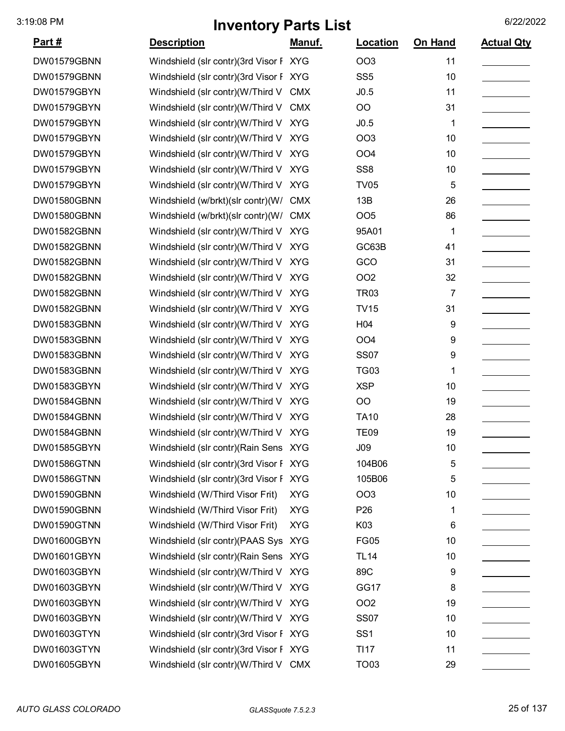| <u>Part #</u> | <b>Description</b>                     | Manuf.     | Location        | <b>On Hand</b> | <b>Actual Qty</b> |
|---------------|----------------------------------------|------------|-----------------|----------------|-------------------|
| DW01579GBNN   | Windshield (slr contr)(3rd Visor F XYG |            | <b>OO3</b>      | 11             |                   |
| DW01579GBNN   | Windshield (slr contr)(3rd Visor F XYG |            | SS <sub>5</sub> | 10             |                   |
| DW01579GBYN   | Windshield (slr contr)(W/Third V CMX   |            | J0.5            | 11             |                   |
| DW01579GBYN   | Windshield (slr contr)(W/Third V       | <b>CMX</b> | O <sub>O</sub>  | 31             |                   |
| DW01579GBYN   | Windshield (slr contr)(W/Third V XYG   |            | J0.5            | 1              |                   |
| DW01579GBYN   | Windshield (slr contr)(W/Third V XYG   |            | <b>OO3</b>      | 10             |                   |
| DW01579GBYN   | Windshield (slr contr)(W/Third V XYG   |            | OO <sub>4</sub> | 10             |                   |
| DW01579GBYN   | Windshield (slr contr)(W/Third V XYG   |            | SS <sub>8</sub> | 10             |                   |
| DW01579GBYN   | Windshield (slr contr)(W/Third V XYG   |            | <b>TV05</b>     | 5              |                   |
| DW01580GBNN   | Windshield (w/brkt)(slr contr)(W/      | <b>CMX</b> | 13B             | 26             |                   |
| DW01580GBNN   | Windshield (w/brkt)(slr contr)(W/      | <b>CMX</b> | <b>OO5</b>      | 86             |                   |
| DW01582GBNN   | Windshield (slr contr)(W/Third V XYG   |            | 95A01           | 1              |                   |
| DW01582GBNN   | Windshield (slr contr)(W/Third V XYG   |            | GC63B           | 41             |                   |
| DW01582GBNN   | Windshield (slr contr)(W/Third V XYG   |            | GCO             | 31             |                   |
| DW01582GBNN   | Windshield (slr contr)(W/Third V XYG   |            | <b>OO2</b>      | 32             |                   |
| DW01582GBNN   | Windshield (slr contr)(W/Third V       | <b>XYG</b> | <b>TR03</b>     | 7              |                   |
| DW01582GBNN   | Windshield (slr contr)(W/Third V XYG   |            | <b>TV15</b>     | 31             |                   |
| DW01583GBNN   | Windshield (slr contr)(W/Third V XYG   |            | H <sub>04</sub> | 9              |                   |
| DW01583GBNN   | Windshield (slr contr)(W/Third V XYG   |            | OO <sub>4</sub> | 9              |                   |
| DW01583GBNN   | Windshield (slr contr)(W/Third V XYG   |            | <b>SS07</b>     | 9              |                   |
| DW01583GBNN   | Windshield (slr contr)(W/Third V       | <b>XYG</b> | <b>TG03</b>     | 1              |                   |
| DW01583GBYN   | Windshield (slr contr)(W/Third V XYG   |            | <b>XSP</b>      | 10             |                   |
| DW01584GBNN   | Windshield (slr contr)(W/Third V XYG   |            | O <sub>O</sub>  | 19             |                   |
| DW01584GBNN   | Windshield (slr contr)(W/Third V XYG   |            | <b>TA10</b>     | 28             |                   |
| DW01584GBNN   | Windshield (slr contr)(W/Third V XYG   |            | <b>TE09</b>     | 19             |                   |
| DW01585GBYN   | Windshield (slr contr) (Rain Sens XYG  |            | J09             | 10             |                   |
| DW01586GTNN   | Windshield (slr contr)(3rd Visor F XYG |            | 104B06          | 5              |                   |
| DW01586GTNN   | Windshield (slr contr)(3rd Visor F XYG |            | 105B06          | 5              |                   |
| DW01590GBNN   | Windshield (W/Third Visor Frit)        | <b>XYG</b> | <b>OO3</b>      | 10             |                   |
| DW01590GBNN   | Windshield (W/Third Visor Frit)        | <b>XYG</b> | P <sub>26</sub> | 1              |                   |
| DW01590GTNN   | Windshield (W/Third Visor Frit)        | <b>XYG</b> | K03             | 6              |                   |
| DW01600GBYN   | Windshield (slr contr)(PAAS Sys XYG    |            | <b>FG05</b>     | 10             |                   |
| DW01601GBYN   | Windshield (slr contr) (Rain Sens XYG  |            | <b>TL14</b>     | 10             |                   |
| DW01603GBYN   | Windshield (slr contr)(W/Third V XYG   |            | 89C             | 9              |                   |
| DW01603GBYN   | Windshield (slr contr)(W/Third V XYG   |            | GG17            | 8              |                   |
| DW01603GBYN   | Windshield (slr contr)(W/Third V XYG   |            | <b>OO2</b>      | 19             |                   |
| DW01603GBYN   | Windshield (slr contr)(W/Third V XYG   |            | <b>SS07</b>     | 10             |                   |
| DW01603GTYN   | Windshield (slr contr)(3rd Visor F XYG |            | SS <sub>1</sub> | 10             |                   |
| DW01603GTYN   | Windshield (slr contr)(3rd Visor F XYG |            | <b>TI17</b>     | 11             |                   |
| DW01605GBYN   | Windshield (slr contr)(W/Third V CMX   |            | <b>TO03</b>     | 29             |                   |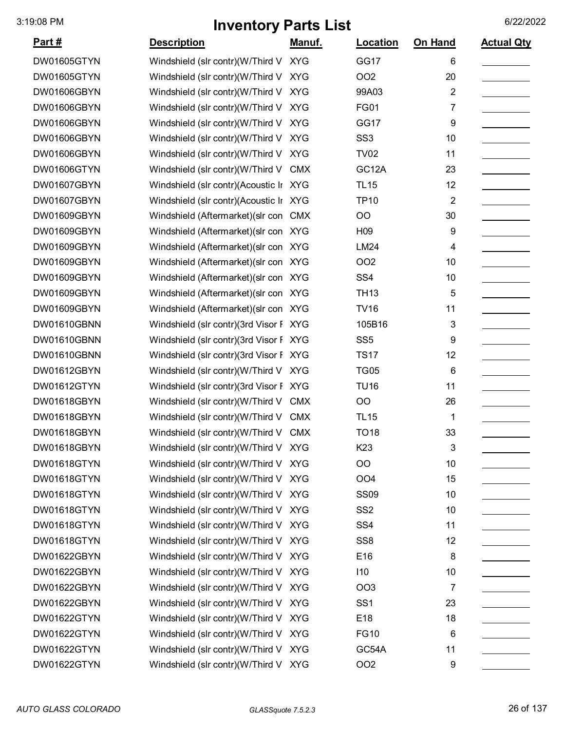| <u>Part #</u> | <b>Description</b>                     | <u>Manuf.</u> | <b>Location</b> | On Hand                 | <b>Actual Qty</b> |
|---------------|----------------------------------------|---------------|-----------------|-------------------------|-------------------|
| DW01605GTYN   | Windshield (slr contr)(W/Third V XYG   |               | GG17            | 6                       |                   |
| DW01605GTYN   | Windshield (slr contr)(W/Third V       | <b>XYG</b>    | OO <sub>2</sub> | 20                      |                   |
| DW01606GBYN   | Windshield (slr contr)(W/Third V       | <b>XYG</b>    | 99A03           | $\overline{\mathbf{c}}$ |                   |
| DW01606GBYN   | Windshield (slr contr)(W/Third V       | <b>XYG</b>    | <b>FG01</b>     | 7                       |                   |
| DW01606GBYN   | Windshield (slr contr)(W/Third V       | <b>XYG</b>    | GG17            | 9                       |                   |
| DW01606GBYN   | Windshield (slr contr)(W/Third V       | <b>XYG</b>    | SS <sub>3</sub> | 10                      |                   |
| DW01606GBYN   | Windshield (slr contr)(W/Third V       | <b>XYG</b>    | <b>TV02</b>     | 11                      |                   |
| DW01606GTYN   | Windshield (slr contr)(W/Third V CMX   |               | GC12A           | 23                      |                   |
| DW01607GBYN   | Windshield (slr contr)(Acoustic Ir XYG |               | <b>TL15</b>     | 12                      |                   |
| DW01607GBYN   | Windshield (slr contr)(Acoustic Ir XYG |               | <b>TP10</b>     | $\overline{\mathbf{c}}$ |                   |
| DW01609GBYN   | Windshield (Aftermarket) (slr con CMX  |               | OO              | 30                      |                   |
| DW01609GBYN   | Windshield (Aftermarket) (slr con XYG  |               | H <sub>09</sub> | 9                       |                   |
| DW01609GBYN   | Windshield (Aftermarket) (slr con XYG  |               | LM24            | 4                       |                   |
| DW01609GBYN   | Windshield (Aftermarket) (slr con XYG  |               | OO <sub>2</sub> | 10                      |                   |
| DW01609GBYN   | Windshield (Aftermarket) (slr con XYG  |               | SS <sub>4</sub> | 10                      |                   |
| DW01609GBYN   | Windshield (Aftermarket) (slr con XYG  |               | <b>TH13</b>     | 5                       |                   |
| DW01609GBYN   | Windshield (Aftermarket) (slr con XYG  |               | <b>TV16</b>     | 11                      |                   |
| DW01610GBNN   | Windshield (slr contr)(3rd Visor F XYG |               | 105B16          | 3                       |                   |
| DW01610GBNN   | Windshield (slr contr)(3rd Visor F XYG |               | SS <sub>5</sub> | 9                       |                   |
| DW01610GBNN   | Windshield (slr contr)(3rd Visor F XYG |               | <b>TS17</b>     | 12                      |                   |
| DW01612GBYN   | Windshield (slr contr)(W/Third V XYG   |               | <b>TG05</b>     | 6                       |                   |
| DW01612GTYN   | Windshield (slr contr)(3rd Visor F XYG |               | <b>TU16</b>     | 11                      |                   |
| DW01618GBYN   | Windshield (slr contr)(W/Third V       | <b>CMX</b>    | OO              | 26                      |                   |
| DW01618GBYN   | Windshield (slr contr)(W/Third V CMX   |               | <b>TL15</b>     | 1                       |                   |
| DW01618GBYN   | Windshield (slr contr)(W/Third V CMX   |               | <b>TO18</b>     | 33                      |                   |
| DW01618GBYN   | Windshield (slr contr)(W/Third V XYG   |               | K <sub>23</sub> | 3                       |                   |
| DW01618GTYN   | Windshield (slr contr)(W/Third V XYG   |               | OO              | 10                      |                   |
| DW01618GTYN   | Windshield (slr contr)(W/Third V XYG   |               | OO <sub>4</sub> | 15                      |                   |
| DW01618GTYN   | Windshield (slr contr)(W/Third V XYG   |               | <b>SS09</b>     | 10                      |                   |
| DW01618GTYN   | Windshield (slr contr)(W/Third V XYG   |               | SS <sub>2</sub> | 10                      |                   |
| DW01618GTYN   | Windshield (slr contr)(W/Third V XYG   |               | SS <sub>4</sub> | 11                      |                   |
| DW01618GTYN   | Windshield (slr contr)(W/Third V XYG   |               | SS <sub>8</sub> | 12                      |                   |
| DW01622GBYN   | Windshield (slr contr)(W/Third V XYG   |               | E16             | 8                       |                   |
| DW01622GBYN   | Windshield (slr contr)(W/Third V XYG   |               | 110             | 10                      |                   |
| DW01622GBYN   | Windshield (slr contr)(W/Third V XYG   |               | OO <sub>3</sub> | 7                       |                   |
| DW01622GBYN   | Windshield (slr contr)(W/Third V XYG   |               | SS <sub>1</sub> | 23                      |                   |
| DW01622GTYN   | Windshield (slr contr)(W/Third V XYG   |               | E18             | 18                      |                   |
| DW01622GTYN   | Windshield (slr contr)(W/Third V XYG   |               | <b>FG10</b>     | 6                       |                   |
| DW01622GTYN   | Windshield (slr contr)(W/Third V XYG   |               | GC54A           | 11                      |                   |
| DW01622GTYN   | Windshield (slr contr)(W/Third V XYG   |               | OO <sub>2</sub> | 9                       |                   |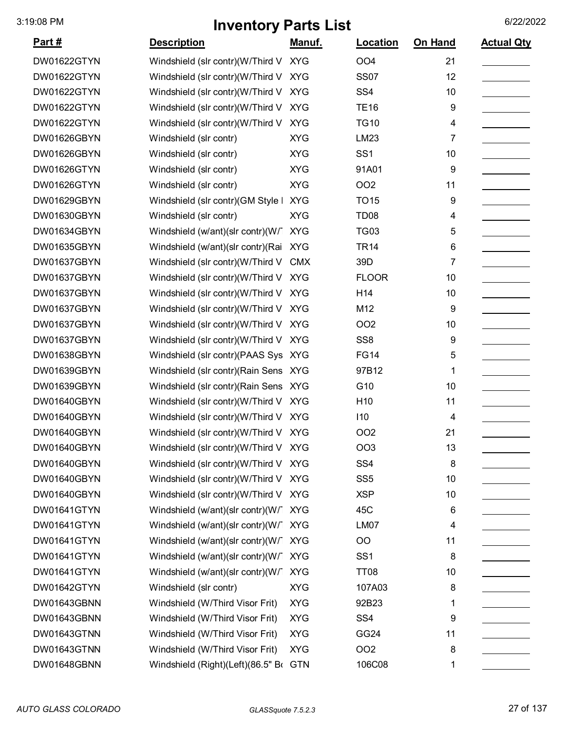| <u>Part #</u> | <b>Description</b>                    | Manuf.     | Location         | On Hand | <b>Actual Qty</b> |
|---------------|---------------------------------------|------------|------------------|---------|-------------------|
| DW01622GTYN   | Windshield (slr contr)(W/Third V XYG  |            | OO <sub>4</sub>  | 21      |                   |
| DW01622GTYN   | Windshield (slr contr)(W/Third V      | <b>XYG</b> | <b>SS07</b>      | 12      |                   |
| DW01622GTYN   | Windshield (slr contr)(W/Third V      | <b>XYG</b> | SS <sub>4</sub>  | 10      |                   |
| DW01622GTYN   | Windshield (slr contr)(W/Third V      | <b>XYG</b> | <b>TE16</b>      | 9       |                   |
| DW01622GTYN   | Windshield (slr contr)(W/Third V      | <b>XYG</b> | <b>TG10</b>      | 4       |                   |
| DW01626GBYN   | Windshield (slr contr)                | <b>XYG</b> | LM23             | 7       |                   |
| DW01626GBYN   | Windshield (slr contr)                | <b>XYG</b> | SS <sub>1</sub>  | 10      |                   |
| DW01626GTYN   | Windshield (slr contr)                | <b>XYG</b> | 91A01            | 9       |                   |
| DW01626GTYN   | Windshield (slr contr)                | <b>XYG</b> | <b>OO2</b>       | 11      |                   |
| DW01629GBYN   | Windshield (slr contr)(GM Style   XYG |            | <b>TO15</b>      | 9       |                   |
| DW01630GBYN   | Windshield (slr contr)                | <b>XYG</b> | TD <sub>08</sub> | 4       |                   |
| DW01634GBYN   | Windshield (w/ant)(slr contr)(W/      | <b>XYG</b> | <b>TG03</b>      | 5       |                   |
| DW01635GBYN   | Windshield (w/ant)(slr contr)(Rai     | <b>XYG</b> | <b>TR14</b>      | 6       |                   |
| DW01637GBYN   | Windshield (slr contr)(W/Third V      | <b>CMX</b> | 39D              | 7       |                   |
| DW01637GBYN   | Windshield (slr contr)(W/Third V      | <b>XYG</b> | <b>FLOOR</b>     | 10      |                   |
| DW01637GBYN   | Windshield (slr contr)(W/Third V      | <b>XYG</b> | H14              | 10      |                   |
| DW01637GBYN   | Windshield (slr contr)(W/Third V      | <b>XYG</b> | M12              | 9       |                   |
| DW01637GBYN   | Windshield (slr contr)(W/Third V      | <b>XYG</b> | OO <sub>2</sub>  | 10      |                   |
| DW01637GBYN   | Windshield (slr contr)(W/Third V      | <b>XYG</b> | SS <sub>8</sub>  | 9       |                   |
| DW01638GBYN   | Windshield (slr contr)(PAAS Sys XYG   |            | <b>FG14</b>      | 5       |                   |
| DW01639GBYN   | Windshield (slr contr) (Rain Sens XYG |            | 97B12            | 1       |                   |
| DW01639GBYN   | Windshield (slr contr) (Rain Sens XYG |            | G10              | 10      |                   |
| DW01640GBYN   | Windshield (slr contr)(W/Third V XYG  |            | H <sub>10</sub>  | 11      |                   |
| DW01640GBYN   | Windshield (slr contr)(W/Third V XYG  |            | 110              | 4       |                   |
| DW01640GBYN   | Windshield (slr contr)(W/Third V XYG  |            | OO <sub>2</sub>  | 21      |                   |
| DW01640GBYN   | Windshield (slr contr)(W/Third V XYG  |            | OO3              | 13      |                   |
| DW01640GBYN   | Windshield (slr contr)(W/Third V XYG  |            | SS <sub>4</sub>  | 8       |                   |
| DW01640GBYN   | Windshield (slr contr)(W/Third V XYG  |            | SS <sub>5</sub>  | 10      |                   |
| DW01640GBYN   | Windshield (slr contr)(W/Third V XYG  |            | <b>XSP</b>       | 10      |                   |
| DW01641GTYN   | Windshield (w/ant)(slr contr)(W/ XYG  |            | 45C              | 6       |                   |
| DW01641GTYN   | Windshield (w/ant)(slr contr)(W/ XYG  |            | LM07             | 4       |                   |
| DW01641GTYN   | Windshield (w/ant)(slr contr)(W/ XYG  |            | OO               | 11      |                   |
| DW01641GTYN   | Windshield (w/ant)(slr contr)(W/      | <b>XYG</b> | SS <sub>1</sub>  | 8       |                   |
| DW01641GTYN   | Windshield (w/ant)(slr contr)(W/      | <b>XYG</b> | <b>TT08</b>      | 10      |                   |
| DW01642GTYN   | Windshield (slr contr)                | <b>XYG</b> | 107A03           | 8       |                   |
| DW01643GBNN   | Windshield (W/Third Visor Frit)       | <b>XYG</b> | 92B23            | 1       |                   |
| DW01643GBNN   | Windshield (W/Third Visor Frit)       | <b>XYG</b> | SS <sub>4</sub>  | 9       |                   |
| DW01643GTNN   | Windshield (W/Third Visor Frit)       | <b>XYG</b> | GG <sub>24</sub> | 11      |                   |
| DW01643GTNN   | Windshield (W/Third Visor Frit)       | <b>XYG</b> | OO <sub>2</sub>  | 8       |                   |
| DW01648GBNN   | Windshield (Right)(Left)(86.5" Br GTN |            | 106C08           | 1       |                   |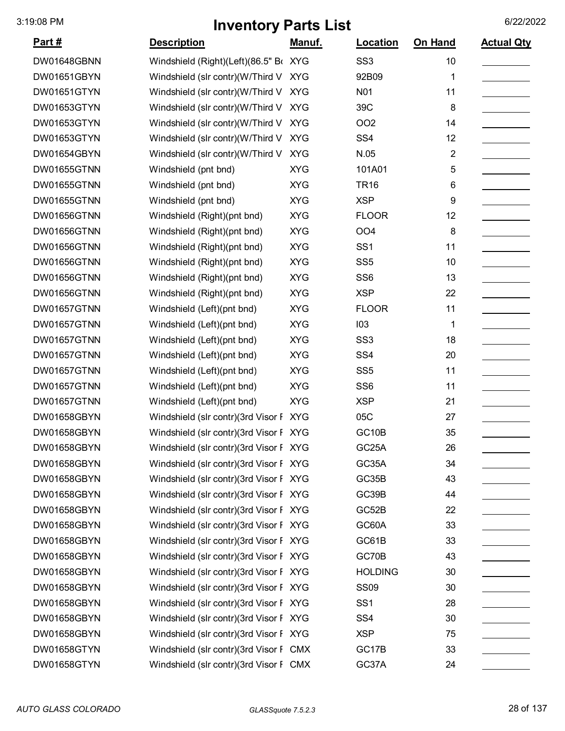| <u>Part #</u>      | <b>Description</b>                     | Manuf.     | Location        | On Hand        | <b>Actual Qty</b> |
|--------------------|----------------------------------------|------------|-----------------|----------------|-------------------|
| DW01648GBNN        | Windshield (Right)(Left)(86.5" Br XYG  |            | SS <sub>3</sub> | 10             |                   |
| DW01651GBYN        | Windshield (slr contr)(W/Third V XYG   |            | 92B09           | 1              |                   |
| DW01651GTYN        | Windshield (slr contr)(W/Third V       | <b>XYG</b> | N01             | 11             |                   |
| DW01653GTYN        | Windshield (slr contr)(W/Third V       | <b>XYG</b> | 39C             | 8              |                   |
| DW01653GTYN        | Windshield (slr contr)(W/Third V       | <b>XYG</b> | OO <sub>2</sub> | 14             |                   |
| DW01653GTYN        | Windshield (slr contr)(W/Third V       | <b>XYG</b> | SS <sub>4</sub> | 12             |                   |
| DW01654GBYN        | Windshield (slr contr)(W/Third V       | <b>XYG</b> | N.05            | $\overline{2}$ |                   |
| DW01655GTNN        | Windshield (pnt bnd)                   | <b>XYG</b> | 101A01          | 5              |                   |
| DW01655GTNN        | Windshield (pnt bnd)                   | <b>XYG</b> | <b>TR16</b>     | 6              |                   |
| DW01655GTNN        | Windshield (pnt bnd)                   | <b>XYG</b> | <b>XSP</b>      | 9              |                   |
| DW01656GTNN        | Windshield (Right)(pnt bnd)            | <b>XYG</b> | <b>FLOOR</b>    | 12             |                   |
| DW01656GTNN        | Windshield (Right)(pnt bnd)            | <b>XYG</b> | OO <sub>4</sub> | 8              |                   |
| <b>DW01656GTNN</b> | Windshield (Right)(pnt bnd)            | <b>XYG</b> | SS <sub>1</sub> | 11             |                   |
| DW01656GTNN        | Windshield (Right)(pnt bnd)            | <b>XYG</b> | SS <sub>5</sub> | 10             |                   |
| DW01656GTNN        | Windshield (Right)(pnt bnd)            | <b>XYG</b> | SS <sub>6</sub> | 13             |                   |
| <b>DW01656GTNN</b> | Windshield (Right)(pnt bnd)            | <b>XYG</b> | <b>XSP</b>      | 22             |                   |
| DW01657GTNN        | Windshield (Left)(pnt bnd)             | <b>XYG</b> | <b>FLOOR</b>    | 11             |                   |
| DW01657GTNN        | Windshield (Left)(pnt bnd)             | <b>XYG</b> | 103             | 1              |                   |
| DW01657GTNN        | Windshield (Left)(pnt bnd)             | <b>XYG</b> | SS <sub>3</sub> | 18             |                   |
| DW01657GTNN        | Windshield (Left)(pnt bnd)             | <b>XYG</b> | SS <sub>4</sub> | 20             |                   |
| DW01657GTNN        | Windshield (Left)(pnt bnd)             | <b>XYG</b> | SS <sub>5</sub> | 11             |                   |
| DW01657GTNN        | Windshield (Left)(pnt bnd)             | <b>XYG</b> | SS <sub>6</sub> | 11             |                   |
| <b>DW01657GTNN</b> | Windshield (Left)(pnt bnd)             | <b>XYG</b> | <b>XSP</b>      | 21             |                   |
| DW01658GBYN        | Windshield (slr contr)(3rd Visor F XYG |            | 05C             | 27             |                   |
| DW01658GBYN        | Windshield (slr contr)(3rd Visor F XYG |            | GC10B           | 35             |                   |
| DW01658GBYN        | Windshield (slr contr)(3rd Visor F XYG |            | GC25A           | 26             |                   |
| DW01658GBYN        | Windshield (slr contr)(3rd Visor F XYG |            | GC35A           | 34             |                   |
| DW01658GBYN        | Windshield (slr contr)(3rd Visor F XYG |            | GC35B           | 43             |                   |
| DW01658GBYN        | Windshield (slr contr)(3rd Visor F XYG |            | GC39B           | 44             |                   |
| DW01658GBYN        | Windshield (slr contr)(3rd Visor F XYG |            | GC52B           | 22             |                   |
| DW01658GBYN        | Windshield (slr contr)(3rd Visor F XYG |            | GC60A           | 33             |                   |
| DW01658GBYN        | Windshield (slr contr)(3rd Visor F XYG |            | GC61B           | 33             |                   |
| DW01658GBYN        | Windshield (slr contr)(3rd Visor F XYG |            | GC70B           | 43             |                   |
| DW01658GBYN        | Windshield (slr contr)(3rd Visor F XYG |            | <b>HOLDING</b>  | 30             |                   |
| DW01658GBYN        | Windshield (slr contr)(3rd Visor F XYG |            | <b>SS09</b>     | 30             |                   |
| DW01658GBYN        | Windshield (slr contr)(3rd Visor F XYG |            | SS <sub>1</sub> | 28             |                   |
| DW01658GBYN        | Windshield (slr contr)(3rd Visor F XYG |            | SS <sub>4</sub> | 30             |                   |
| DW01658GBYN        | Windshield (slr contr)(3rd Visor F XYG |            | <b>XSP</b>      | 75             |                   |
| DW01658GTYN        | Windshield (slr contr)(3rd Visor F CMX |            | GC17B           | 33             |                   |
| DW01658GTYN        | Windshield (slr contr)(3rd Visor F CMX |            | GC37A           | 24             |                   |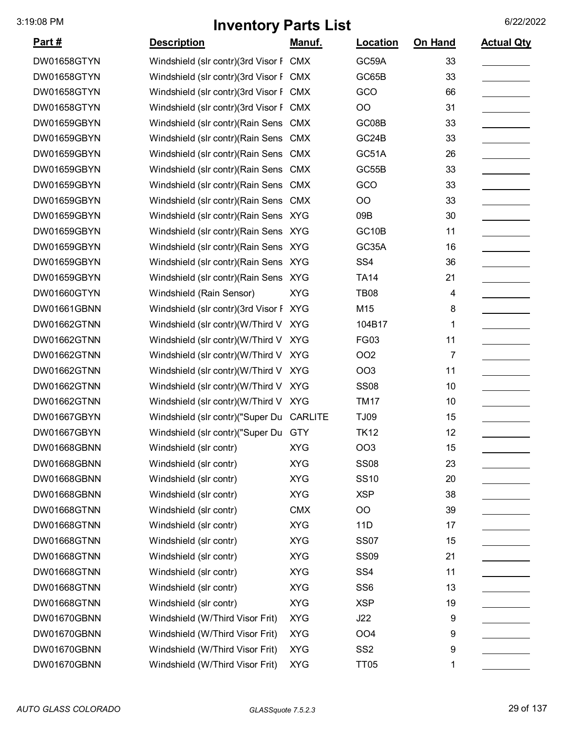| <u>Part #</u>      | <b>Description</b>                       | Manuf.     | Location        | <b>On Hand</b> | <b>Actual Qty</b> |
|--------------------|------------------------------------------|------------|-----------------|----------------|-------------------|
| DW01658GTYN        | Windshield (slr contr)(3rd Visor F CMX   |            | GC59A           | 33             |                   |
| DW01658GTYN        | Windshield (slr contr)(3rd Visor F CMX   |            | GC65B           | 33             |                   |
| DW01658GTYN        | Windshield (slr contr)(3rd Visor F CMX   |            | GCO             | 66             |                   |
| DW01658GTYN        | Windshield (slr contr)(3rd Visor F CMX   |            | O <sub>O</sub>  | 31             |                   |
| DW01659GBYN        | Windshield (slr contr) (Rain Sens        | <b>CMX</b> | GC08B           | 33             |                   |
| DW01659GBYN        | Windshield (slr contr) (Rain Sens CMX    |            | GC24B           | 33             |                   |
| DW01659GBYN        | Windshield (slr contr) (Rain Sens CMX    |            | GC51A           | 26             |                   |
| DW01659GBYN        | Windshield (slr contr) (Rain Sens CMX    |            | GC55B           | 33             |                   |
| DW01659GBYN        | Windshield (slr contr) (Rain Sens        | <b>CMX</b> | GCO             | 33             |                   |
| DW01659GBYN        | Windshield (slr contr) (Rain Sens        | <b>CMX</b> | <b>OO</b>       | 33             |                   |
| DW01659GBYN        | Windshield (slr contr) (Rain Sens XYG    |            | 09B             | 30             |                   |
| DW01659GBYN        | Windshield (slr contr)(Rain Sens XYG     |            | GC10B           | 11             |                   |
| DW01659GBYN        | Windshield (slr contr) (Rain Sens XYG    |            | GC35A           | 16             |                   |
| DW01659GBYN        | Windshield (slr contr) (Rain Sens XYG    |            | SS <sub>4</sub> | 36             |                   |
| DW01659GBYN        | Windshield (slr contr)(Rain Sens XYG     |            | <b>TA14</b>     | 21             |                   |
| DW01660GTYN        | Windshield (Rain Sensor)                 | <b>XYG</b> | <b>TB08</b>     | 4              |                   |
| DW01661GBNN        | Windshield (slr contr)(3rd Visor F XYG   |            | M15             | 8              |                   |
| DW01662GTNN        | Windshield (slr contr)(W/Third V XYG     |            | 104B17          | 1              |                   |
| DW01662GTNN        | Windshield (slr contr)(W/Third V XYG     |            | <b>FG03</b>     | 11             |                   |
| DW01662GTNN        | Windshield (slr contr)(W/Third V         | <b>XYG</b> | <b>OO2</b>      | 7              |                   |
| DW01662GTNN        | Windshield (slr contr)(W/Third V         | <b>XYG</b> | <b>OO3</b>      | 11             |                   |
| DW01662GTNN        | Windshield (slr contr)(W/Third V XYG     |            | <b>SS08</b>     | 10             |                   |
| <b>DW01662GTNN</b> | Windshield (slr contr)(W/Third V XYG     |            | <b>TM17</b>     | 10             |                   |
| DW01667GBYN        | Windshield (slr contr)("Super Du CARLITE |            | <b>TJ09</b>     | 15             |                   |
| DW01667GBYN        | Windshield (slr contr)("Super Du GTY     |            | <b>TK12</b>     | 12             |                   |
| DW01668GBNN        | Windshield (slr contr)                   | <b>XYG</b> | OO <sub>3</sub> | 15             |                   |
| DW01668GBNN        | Windshield (slr contr)                   | <b>XYG</b> | <b>SS08</b>     | 23             |                   |
| DW01668GBNN        | Windshield (slr contr)                   | <b>XYG</b> | <b>SS10</b>     | 20             |                   |
| DW01668GBNN        | Windshield (slr contr)                   | <b>XYG</b> | <b>XSP</b>      | 38             |                   |
| DW01668GTNN        | Windshield (slr contr)                   | <b>CMX</b> | OO              | 39             |                   |
| <b>DW01668GTNN</b> | Windshield (slr contr)                   | <b>XYG</b> | 11D             | 17             |                   |
| DW01668GTNN        | Windshield (slr contr)                   | <b>XYG</b> | <b>SS07</b>     | 15             |                   |
| DW01668GTNN        | Windshield (slr contr)                   | <b>XYG</b> | <b>SS09</b>     | 21             |                   |
| <b>DW01668GTNN</b> | Windshield (slr contr)                   | <b>XYG</b> | SS <sub>4</sub> | 11             |                   |
| DW01668GTNN        | Windshield (slr contr)                   | <b>XYG</b> | SS <sub>6</sub> | 13             |                   |
| <b>DW01668GTNN</b> | Windshield (slr contr)                   | <b>XYG</b> | <b>XSP</b>      | 19             |                   |
| DW01670GBNN        | Windshield (W/Third Visor Frit)          | <b>XYG</b> | J22             | 9              |                   |
| DW01670GBNN        | Windshield (W/Third Visor Frit)          | <b>XYG</b> | OO <sub>4</sub> | 9              |                   |
| DW01670GBNN        | Windshield (W/Third Visor Frit)          | <b>XYG</b> | SS <sub>2</sub> | 9              |                   |
| DW01670GBNN        | Windshield (W/Third Visor Frit)          | <b>XYG</b> | <b>TT05</b>     | 1              |                   |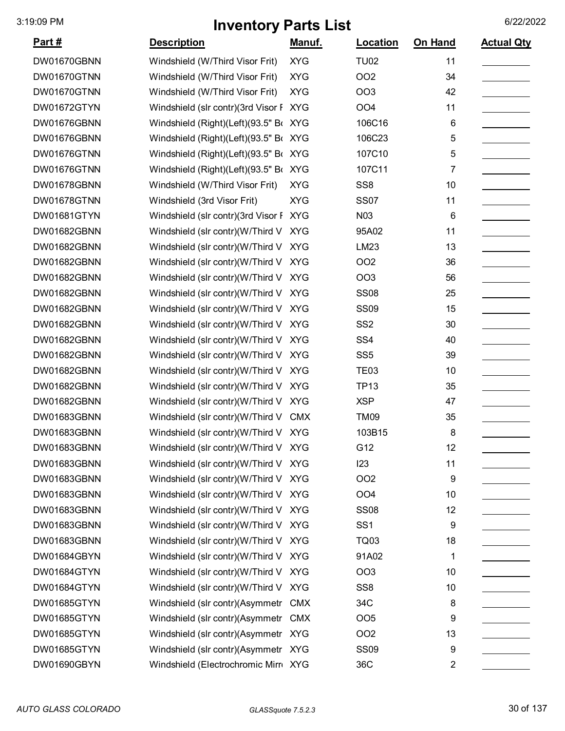| <u>Part #</u> | <b>Description</b>                     | <u>Manuf.</u> | Location        | On Hand        | <b>Actual Qty</b> |
|---------------|----------------------------------------|---------------|-----------------|----------------|-------------------|
| DW01670GBNN   | Windshield (W/Third Visor Frit)        | <b>XYG</b>    | <b>TU02</b>     | 11             |                   |
| DW01670GTNN   | Windshield (W/Third Visor Frit)        | <b>XYG</b>    | OO <sub>2</sub> | 34             |                   |
| DW01670GTNN   | Windshield (W/Third Visor Frit)        | <b>XYG</b>    | OO <sub>3</sub> | 42             |                   |
| DW01672GTYN   | Windshield (slr contr)(3rd Visor F     | <b>XYG</b>    | OO <sub>4</sub> | 11             |                   |
| DW01676GBNN   | Windshield (Right)(Left)(93.5" Bo      | <b>XYG</b>    | 106C16          | 6              |                   |
| DW01676GBNN   | Windshield (Right)(Left)(93.5" Br XYG  |               | 106C23          | 5              |                   |
| DW01676GTNN   | Windshield (Right)(Left)(93.5" Br XYG  |               | 107C10          | 5              |                   |
| DW01676GTNN   | Windshield (Right)(Left)(93.5" Br XYG  |               | 107C11          | 7              |                   |
| DW01678GBNN   | Windshield (W/Third Visor Frit)        | <b>XYG</b>    | SS <sub>8</sub> | 10             |                   |
| DW01678GTNN   | Windshield (3rd Visor Frit)            | <b>XYG</b>    | <b>SS07</b>     | 11             |                   |
| DW01681GTYN   | Windshield (slr contr)(3rd Visor F XYG |               | N03             | 6              |                   |
| DW01682GBNN   | Windshield (slr contr)(W/Third V       | <b>XYG</b>    | 95A02           | 11             |                   |
| DW01682GBNN   | Windshield (slr contr)(W/Third V       | <b>XYG</b>    | LM23            | 13             |                   |
| DW01682GBNN   | Windshield (slr contr)(W/Third V       | <b>XYG</b>    | OO <sub>2</sub> | 36             |                   |
| DW01682GBNN   | Windshield (slr contr)(W/Third V       | <b>XYG</b>    | OO <sub>3</sub> | 56             |                   |
| DW01682GBNN   | Windshield (slr contr)(W/Third V       | <b>XYG</b>    | <b>SS08</b>     | 25             |                   |
| DW01682GBNN   | Windshield (slr contr)(W/Third V XYG   |               | <b>SS09</b>     | 15             |                   |
| DW01682GBNN   | Windshield (slr contr)(W/Third V       | <b>XYG</b>    | SS <sub>2</sub> | 30             |                   |
| DW01682GBNN   | Windshield (slr contr)(W/Third V       | <b>XYG</b>    | SS <sub>4</sub> | 40             |                   |
| DW01682GBNN   | Windshield (slr contr)(W/Third V       | <b>XYG</b>    | SS <sub>5</sub> | 39             |                   |
| DW01682GBNN   | Windshield (slr contr)(W/Third V       | <b>XYG</b>    | <b>TE03</b>     | 10             |                   |
| DW01682GBNN   | Windshield (slr contr)(W/Third V       | <b>XYG</b>    | <b>TP13</b>     | 35             |                   |
| DW01682GBNN   | Windshield (slr contr)(W/Third V XYG   |               | <b>XSP</b>      | 47             |                   |
| DW01683GBNN   | Windshield (slr contr)(W/Third V       | <b>CMX</b>    | <b>TM09</b>     | 35             |                   |
| DW01683GBNN   | Windshield (slr contr)(W/Third V XYG   |               | 103B15          | 8              |                   |
| DW01683GBNN   | Windshield (slr contr)(W/Third V XYG   |               | G12             | 12             |                   |
| DW01683GBNN   | Windshield (slr contr)(W/Third V XYG   |               | 123             | 11             |                   |
| DW01683GBNN   | Windshield (slr contr)(W/Third V XYG   |               | <b>OO2</b>      | 9              |                   |
| DW01683GBNN   | Windshield (slr contr)(W/Third V XYG   |               | OO <sub>4</sub> | 10             |                   |
| DW01683GBNN   | Windshield (slr contr)(W/Third V XYG   |               | <b>SS08</b>     | 12             |                   |
| DW01683GBNN   | Windshield (slr contr)(W/Third V XYG   |               | SS <sub>1</sub> | 9              |                   |
| DW01683GBNN   | Windshield (slr contr)(W/Third V XYG   |               | <b>TQ03</b>     | 18             |                   |
| DW01684GBYN   | Windshield (slr contr)(W/Third V XYG   |               | 91A02           | 1              |                   |
| DW01684GTYN   | Windshield (slr contr)(W/Third V XYG   |               | OO <sub>3</sub> | 10             |                   |
| DW01684GTYN   | Windshield (slr contr)(W/Third V XYG   |               | SS <sub>8</sub> | 10             |                   |
| DW01685GTYN   | Windshield (slr contr)(Asymmetr CMX    |               | 34C             | 8              |                   |
| DW01685GTYN   | Windshield (slr contr)(Asymmetr CMX    |               | OO <sub>5</sub> | 9              |                   |
| DW01685GTYN   | Windshield (slr contr)(Asymmetr XYG    |               | OO <sub>2</sub> | 13             |                   |
| DW01685GTYN   | Windshield (slr contr)(Asymmetr XYG    |               | <b>SS09</b>     | 9              |                   |
| DW01690GBYN   | Windshield (Electrochromic Mirr XYG    |               | 36C             | $\overline{2}$ |                   |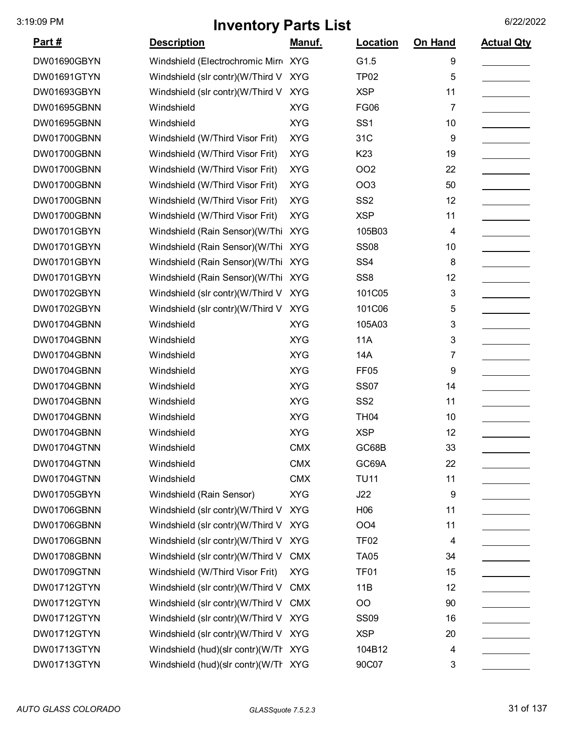| <u>Part #</u>      | <b>Description</b>                   | Manuf.     | Location         | On Hand | <b>Actual Qty</b> |
|--------------------|--------------------------------------|------------|------------------|---------|-------------------|
| DW01690GBYN        | Windshield (Electrochromic Mirr XYG  |            | G1.5             | 9       |                   |
| DW01691GTYN        | Windshield (slr contr)(W/Third V     | <b>XYG</b> | <b>TP02</b>      | 5       |                   |
| DW01693GBYN        | Windshield (slr contr)(W/Third V XYG |            | <b>XSP</b>       | 11      |                   |
| DW01695GBNN        | Windshield                           | <b>XYG</b> | <b>FG06</b>      | 7       |                   |
| DW01695GBNN        | Windshield                           | <b>XYG</b> | SS <sub>1</sub>  | 10      |                   |
| DW01700GBNN        | Windshield (W/Third Visor Frit)      | <b>XYG</b> | 31C              | 9       |                   |
| DW01700GBNN        | Windshield (W/Third Visor Frit)      | <b>XYG</b> | K <sub>23</sub>  | 19      |                   |
| DW01700GBNN        | Windshield (W/Third Visor Frit)      | <b>XYG</b> | <b>OO2</b>       | 22      |                   |
| DW01700GBNN        | Windshield (W/Third Visor Frit)      | <b>XYG</b> | <b>OO3</b>       | 50      |                   |
| DW01700GBNN        | Windshield (W/Third Visor Frit)      | <b>XYG</b> | SS <sub>2</sub>  | 12      |                   |
| DW01700GBNN        | Windshield (W/Third Visor Frit)      | <b>XYG</b> | <b>XSP</b>       | 11      |                   |
| DW01701GBYN        | Windshield (Rain Sensor)(W/Thi       | <b>XYG</b> | 105B03           | 4       |                   |
| DW01701GBYN        | Windshield (Rain Sensor)(W/Thi XYG   |            | <b>SS08</b>      | 10      |                   |
| DW01701GBYN        | Windshield (Rain Sensor)(W/Thi       | <b>XYG</b> | SS <sub>4</sub>  | 8       |                   |
| DW01701GBYN        | Windshield (Rain Sensor)(W/Thi       | <b>XYG</b> | SS <sub>8</sub>  | 12      |                   |
| DW01702GBYN        | Windshield (slr contr)(W/Third V     | <b>XYG</b> | 101C05           | 3       |                   |
| DW01702GBYN        | Windshield (slr contr)(W/Third V     | <b>XYG</b> | 101C06           | 5       |                   |
| DW01704GBNN        | Windshield                           | <b>XYG</b> | 105A03           | 3       |                   |
| DW01704GBNN        | Windshield                           | <b>XYG</b> | <b>11A</b>       | 3       |                   |
| DW01704GBNN        | Windshield                           | <b>XYG</b> | 14A              | 7       |                   |
| DW01704GBNN        | Windshield                           | <b>XYG</b> | FF <sub>05</sub> | 9       |                   |
| DW01704GBNN        | Windshield                           | <b>XYG</b> | <b>SS07</b>      | 14      |                   |
| DW01704GBNN        | Windshield                           | <b>XYG</b> | SS <sub>2</sub>  | 11      |                   |
| DW01704GBNN        | Windshield                           | <b>XYG</b> | <b>TH04</b>      | 10      |                   |
| DW01704GBNN        | Windshield                           | <b>XYG</b> | <b>XSP</b>       | 12      |                   |
| DW01704GTNN        | Windshield                           | <b>CMX</b> | GC68B            | 33      |                   |
| DW01704GTNN        | Windshield                           | <b>CMX</b> | GC69A            | 22      |                   |
| DW01704GTNN        | Windshield                           | <b>CMX</b> | <b>TU11</b>      | 11      |                   |
| DW01705GBYN        | Windshield (Rain Sensor)             | <b>XYG</b> | J22              | 9       |                   |
| DW01706GBNN        | Windshield (slr contr)(W/Third V     | <b>XYG</b> | H <sub>06</sub>  | 11      |                   |
| <b>DW01706GBNN</b> | Windshield (slr contr)(W/Third V     | <b>XYG</b> | OO <sub>4</sub>  | 11      |                   |
| DW01706GBNN        | Windshield (slr contr)(W/Third V XYG |            | TF <sub>02</sub> | 4       |                   |
| DW01708GBNN        | Windshield (slr contr)(W/Third V     | <b>CMX</b> | <b>TA05</b>      | 34      |                   |
| DW01709GTNN        | Windshield (W/Third Visor Frit)      | <b>XYG</b> | TF01             | 15      |                   |
| DW01712GTYN        | Windshield (slr contr)(W/Third V     | <b>CMX</b> | 11B              | 12      |                   |
| DW01712GTYN        | Windshield (slr contr)(W/Third V     | <b>CMX</b> | O <sub>O</sub>   | 90      |                   |
| DW01712GTYN        | Windshield (slr contr)(W/Third V XYG |            | <b>SS09</b>      | 16      |                   |
| DW01712GTYN        | Windshield (slr contr)(W/Third V XYG |            | <b>XSP</b>       | 20      |                   |
| DW01713GTYN        | Windshield (hud)(slr contr)(W/Tr XYG |            | 104B12           | 4       |                   |
| DW01713GTYN        | Windshield (hud)(slr contr)(W/Tr XYG |            | 90C07            | 3       |                   |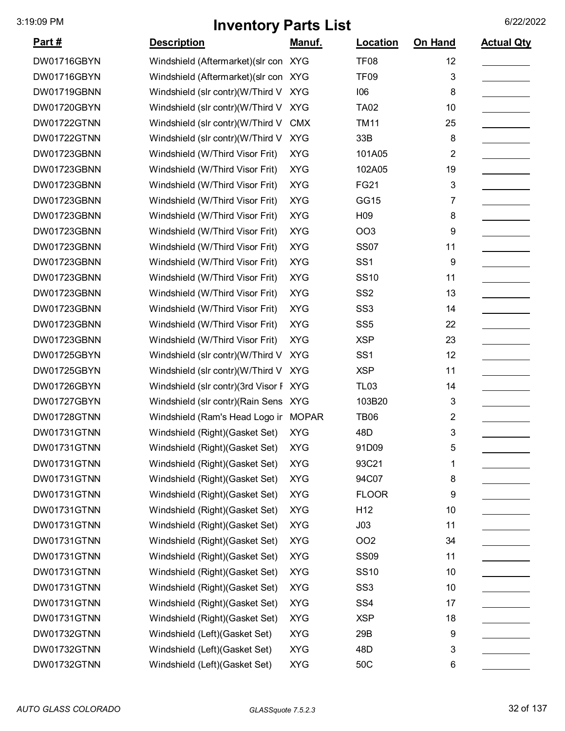| <u>Part #</u> | <b>Description</b>                     | <u>Manuf.</u> | <b>Location</b> | On Hand    | <b>Actual Qty</b> |
|---------------|----------------------------------------|---------------|-----------------|------------|-------------------|
| DW01716GBYN   | Windshield (Aftermarket) (slr con XYG  |               | <b>TF08</b>     | 12         |                   |
| DW01716GBYN   | Windshield (Aftermarket) (slr con XYG  |               | <b>TF09</b>     | 3          |                   |
| DW01719GBNN   | Windshield (slr contr)(W/Third V       | <b>XYG</b>    | 106             | 8          |                   |
| DW01720GBYN   | Windshield (slr contr)(W/Third V       | <b>XYG</b>    | <b>TA02</b>     | 10         |                   |
| DW01722GTNN   | Windshield (slr contr)(W/Third V       | <b>CMX</b>    | <b>TM11</b>     | 25         |                   |
| DW01722GTNN   | Windshield (slr contr)(W/Third V       | <b>XYG</b>    | 33B             | 8          |                   |
| DW01723GBNN   | Windshield (W/Third Visor Frit)        | <b>XYG</b>    | 101A05          | 2          |                   |
| DW01723GBNN   | Windshield (W/Third Visor Frit)        | <b>XYG</b>    | 102A05          | 19         |                   |
| DW01723GBNN   | Windshield (W/Third Visor Frit)        | <b>XYG</b>    | <b>FG21</b>     | $\sqrt{3}$ |                   |
| DW01723GBNN   | Windshield (W/Third Visor Frit)        | <b>XYG</b>    | GG15            | 7          |                   |
| DW01723GBNN   | Windshield (W/Third Visor Frit)        | <b>XYG</b>    | H <sub>09</sub> | 8          |                   |
| DW01723GBNN   | Windshield (W/Third Visor Frit)        | <b>XYG</b>    | <b>OO3</b>      | 9          |                   |
| DW01723GBNN   | Windshield (W/Third Visor Frit)        | <b>XYG</b>    | <b>SS07</b>     | 11         |                   |
| DW01723GBNN   | Windshield (W/Third Visor Frit)        | <b>XYG</b>    | SS <sub>1</sub> | 9          |                   |
| DW01723GBNN   | Windshield (W/Third Visor Frit)        | <b>XYG</b>    | <b>SS10</b>     | 11         |                   |
| DW01723GBNN   | Windshield (W/Third Visor Frit)        | <b>XYG</b>    | SS <sub>2</sub> | 13         |                   |
| DW01723GBNN   | Windshield (W/Third Visor Frit)        | <b>XYG</b>    | SS <sub>3</sub> | 14         |                   |
| DW01723GBNN   | Windshield (W/Third Visor Frit)        | <b>XYG</b>    | SS <sub>5</sub> | 22         |                   |
| DW01723GBNN   | Windshield (W/Third Visor Frit)        | <b>XYG</b>    | <b>XSP</b>      | 23         |                   |
| DW01725GBYN   | Windshield (slr contr)(W/Third V       | <b>XYG</b>    | SS <sub>1</sub> | 12         |                   |
| DW01725GBYN   | Windshield (slr contr)(W/Third V       | <b>XYG</b>    | <b>XSP</b>      | 11         |                   |
| DW01726GBYN   | Windshield (slr contr)(3rd Visor F XYG |               | <b>TL03</b>     | 14         |                   |
| DW01727GBYN   | Windshield (slr contr) (Rain Sens XYG  |               | 103B20          | 3          |                   |
| DW01728GTNN   | Windshield (Ram's Head Logo ir MOPAR   |               | <b>TB06</b>     | 2          |                   |
| DW01731GTNN   | Windshield (Right) (Gasket Set)        | <b>XYG</b>    | 48D             | 3          |                   |
| DW01731GTNN   | Windshield (Right) (Gasket Set)        | <b>XYG</b>    | 91D09           | 5          |                   |
| DW01731GTNN   | Windshield (Right) (Gasket Set)        | <b>XYG</b>    | 93C21           | 1          |                   |
| DW01731GTNN   | Windshield (Right) (Gasket Set)        | <b>XYG</b>    | 94C07           | 8          |                   |
| DW01731GTNN   | Windshield (Right) (Gasket Set)        | <b>XYG</b>    | <b>FLOOR</b>    | 9          |                   |
| DW01731GTNN   | Windshield (Right) (Gasket Set)        | <b>XYG</b>    | H <sub>12</sub> | 10         |                   |
| DW01731GTNN   | Windshield (Right)(Gasket Set)         | <b>XYG</b>    | J <sub>03</sub> | 11         |                   |
| DW01731GTNN   | Windshield (Right) (Gasket Set)        | <b>XYG</b>    | OO <sub>2</sub> | 34         |                   |
| DW01731GTNN   | Windshield (Right) (Gasket Set)        | <b>XYG</b>    | <b>SS09</b>     | 11         |                   |
| DW01731GTNN   | Windshield (Right) (Gasket Set)        | <b>XYG</b>    | <b>SS10</b>     | 10         |                   |
| DW01731GTNN   | Windshield (Right) (Gasket Set)        | <b>XYG</b>    | SS <sub>3</sub> | 10         |                   |
| DW01731GTNN   | Windshield (Right)(Gasket Set)         | <b>XYG</b>    | SS <sub>4</sub> | 17         |                   |
| DW01731GTNN   | Windshield (Right) (Gasket Set)        | <b>XYG</b>    | <b>XSP</b>      | 18         |                   |
| DW01732GTNN   | Windshield (Left)(Gasket Set)          | <b>XYG</b>    | 29B             | 9          |                   |
| DW01732GTNN   | Windshield (Left)(Gasket Set)          | <b>XYG</b>    | 48D             | 3          |                   |
| DW01732GTNN   | Windshield (Left)(Gasket Set)          | <b>XYG</b>    | 50C             | 6          |                   |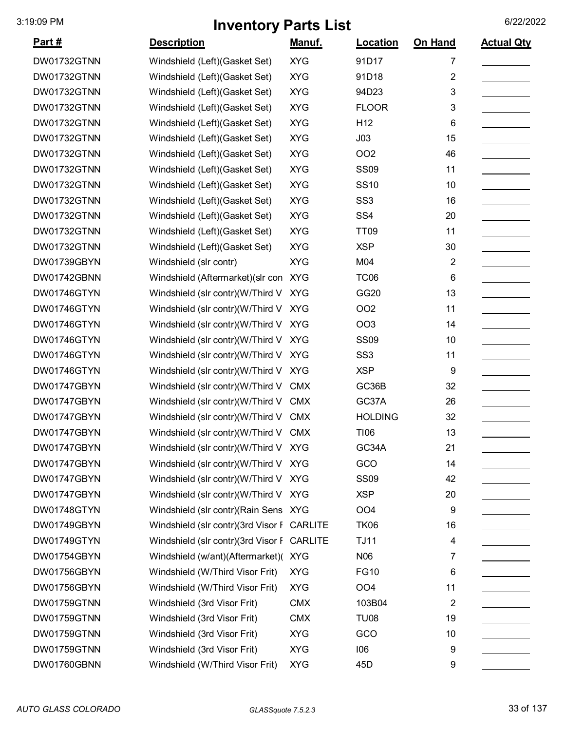| Part#       | <b>Description</b>                         | <u>Manuf.</u> | Location         | <b>On Hand</b> | <b>Actual Qty</b> |
|-------------|--------------------------------------------|---------------|------------------|----------------|-------------------|
| DW01732GTNN | Windshield (Left)(Gasket Set)              | <b>XYG</b>    | 91D17            | 7              |                   |
| DW01732GTNN | Windshield (Left)(Gasket Set)              | <b>XYG</b>    | 91D18            | $\overline{2}$ |                   |
| DW01732GTNN | Windshield (Left)(Gasket Set)              | <b>XYG</b>    | 94D23            | 3              |                   |
| DW01732GTNN | Windshield (Left)(Gasket Set)              | <b>XYG</b>    | <b>FLOOR</b>     | 3              |                   |
| DW01732GTNN | Windshield (Left)(Gasket Set)              | <b>XYG</b>    | H <sub>12</sub>  | 6              |                   |
| DW01732GTNN | Windshield (Left)(Gasket Set)              | <b>XYG</b>    | J03              | 15             |                   |
| DW01732GTNN | Windshield (Left)(Gasket Set)              | <b>XYG</b>    | OO <sub>2</sub>  | 46             |                   |
| DW01732GTNN | Windshield (Left)(Gasket Set)              | <b>XYG</b>    | <b>SS09</b>      | 11             |                   |
| DW01732GTNN | Windshield (Left)(Gasket Set)              | <b>XYG</b>    | <b>SS10</b>      | 10             |                   |
| DW01732GTNN | Windshield (Left)(Gasket Set)              | <b>XYG</b>    | SS <sub>3</sub>  | 16             |                   |
| DW01732GTNN | Windshield (Left)(Gasket Set)              | <b>XYG</b>    | SS <sub>4</sub>  | 20             |                   |
| DW01732GTNN | Windshield (Left)(Gasket Set)              | <b>XYG</b>    | <b>TT09</b>      | 11             |                   |
| DW01732GTNN | Windshield (Left) (Gasket Set)             | <b>XYG</b>    | <b>XSP</b>       | 30             |                   |
| DW01739GBYN | Windshield (slr contr)                     | <b>XYG</b>    | M04              | 2              |                   |
| DW01742GBNN | Windshield (Aftermarket) (slr con XYG      |               | TC <sub>06</sub> | 6              |                   |
| DW01746GTYN | Windshield (slr contr)(W/Third V           | <b>XYG</b>    | GG20             | 13             |                   |
| DW01746GTYN | Windshield (slr contr)(W/Third V           | <b>XYG</b>    | OO <sub>2</sub>  | 11             |                   |
| DW01746GTYN | Windshield (slr contr)(W/Third V           | <b>XYG</b>    | OO <sub>3</sub>  | 14             |                   |
| DW01746GTYN | Windshield (slr contr)(W/Third V           | <b>XYG</b>    | <b>SS09</b>      | 10             |                   |
| DW01746GTYN | Windshield (slr contr)(W/Third V           | <b>XYG</b>    | SS <sub>3</sub>  | 11             |                   |
| DW01746GTYN | Windshield (slr contr)(W/Third V XYG       |               | <b>XSP</b>       | 9              |                   |
| DW01747GBYN | Windshield (slr contr)(W/Third V           | <b>CMX</b>    | GC36B            | 32             |                   |
| DW01747GBYN | Windshield (slr contr)(W/Third V           | <b>CMX</b>    | GC37A            | 26             |                   |
| DW01747GBYN | Windshield (slr contr)(W/Third V CMX       |               | <b>HOLDING</b>   | 32             |                   |
| DW01747GBYN | Windshield (slr contr)(W/Third V CMX       |               | <b>TI06</b>      | 13             |                   |
| DW01747GBYN | Windshield (slr contr)(W/Third V XYG       |               | GC34A            | 21             |                   |
| DW01747GBYN | Windshield (slr contr)(W/Third V XYG       |               | GCO              | 14             |                   |
| DW01747GBYN | Windshield (slr contr)(W/Third V XYG       |               | <b>SS09</b>      | 42             |                   |
| DW01747GBYN | Windshield (slr contr)(W/Third V XYG       |               | <b>XSP</b>       | 20             |                   |
| DW01748GTYN | Windshield (slr contr) (Rain Sens XYG      |               | OO <sub>4</sub>  | 9              |                   |
| DW01749GBYN | Windshield (slr contr)(3rd Visor F CARLITE |               | <b>TK06</b>      | 16             |                   |
| DW01749GTYN | Windshield (slr contr)(3rd Visor F CARLITE |               | <b>TJ11</b>      | 4              |                   |
| DW01754GBYN | Windshield (w/ant)(Aftermarket)(XYG        |               | N06              | 7              |                   |
| DW01756GBYN | Windshield (W/Third Visor Frit)            | <b>XYG</b>    | <b>FG10</b>      | 6              |                   |
| DW01756GBYN | Windshield (W/Third Visor Frit)            | <b>XYG</b>    | OO <sub>4</sub>  | 11             |                   |
| DW01759GTNN | Windshield (3rd Visor Frit)                | <b>CMX</b>    | 103B04           | $\overline{2}$ |                   |
| DW01759GTNN | Windshield (3rd Visor Frit)                | <b>CMX</b>    | <b>TU08</b>      | 19             |                   |
| DW01759GTNN | Windshield (3rd Visor Frit)                | <b>XYG</b>    | GCO              | 10             |                   |
| DW01759GTNN | Windshield (3rd Visor Frit)                | <b>XYG</b>    | 106              | 9              |                   |
| DW01760GBNN | Windshield (W/Third Visor Frit)            | <b>XYG</b>    | 45D              | 9              |                   |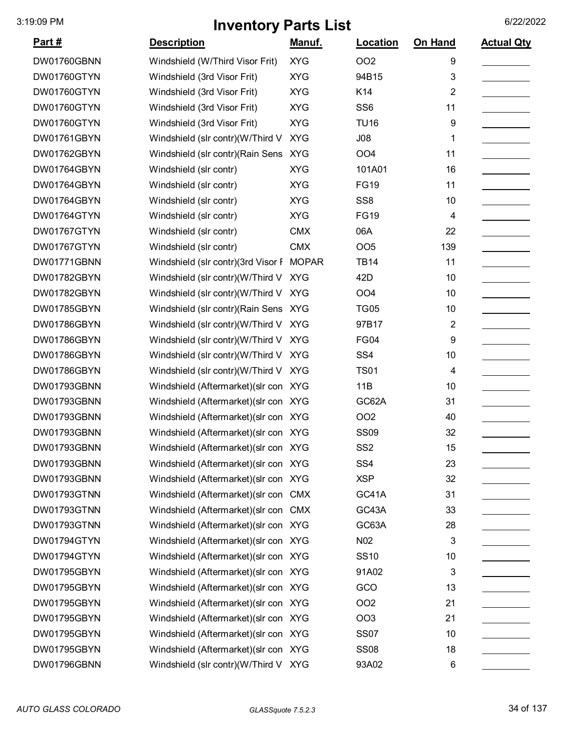| <u>Part #</u> | <b>Description</b>                       | <u>Manuf.</u> | Location        | On Hand        | <b>Actual Qty</b> |
|---------------|------------------------------------------|---------------|-----------------|----------------|-------------------|
| DW01760GBNN   | Windshield (W/Third Visor Frit)          | <b>XYG</b>    | OO <sub>2</sub> | 9              |                   |
| DW01760GTYN   | Windshield (3rd Visor Frit)              | <b>XYG</b>    | 94B15           | 3              |                   |
| DW01760GTYN   | Windshield (3rd Visor Frit)              | <b>XYG</b>    | K14             | $\overline{2}$ |                   |
| DW01760GTYN   | Windshield (3rd Visor Frit)              | <b>XYG</b>    | SS <sub>6</sub> | 11             |                   |
| DW01760GTYN   | Windshield (3rd Visor Frit)              | <b>XYG</b>    | <b>TU16</b>     | 9              |                   |
| DW01761GBYN   | Windshield (slr contr)(W/Third V         | <b>XYG</b>    | J08             | 1              |                   |
| DW01762GBYN   | Windshield (slr contr) (Rain Sens        | <b>XYG</b>    | OO <sub>4</sub> | 11             |                   |
| DW01764GBYN   | Windshield (slr contr)                   | <b>XYG</b>    | 101A01          | 16             |                   |
| DW01764GBYN   | Windshield (slr contr)                   | <b>XYG</b>    | <b>FG19</b>     | 11             |                   |
| DW01764GBYN   | Windshield (slr contr)                   | <b>XYG</b>    | SS <sub>8</sub> | 10             |                   |
| DW01764GTYN   | Windshield (slr contr)                   | <b>XYG</b>    | <b>FG19</b>     | 4              |                   |
| DW01767GTYN   | Windshield (slr contr)                   | <b>CMX</b>    | 06A             | 22             |                   |
| DW01767GTYN   | Windshield (slr contr)                   | <b>CMX</b>    | OO <sub>5</sub> | 139            |                   |
| DW01771GBNN   | Windshield (slr contr)(3rd Visor F MOPAR |               | <b>TB14</b>     | 11             |                   |
| DW01782GBYN   | Windshield (slr contr)(W/Third V         | <b>XYG</b>    | 42D             | 10             |                   |
| DW01782GBYN   | Windshield (slr contr)(W/Third V         | <b>XYG</b>    | OO <sub>4</sub> | 10             |                   |
| DW01785GBYN   | Windshield (slr contr) (Rain Sens XYG    |               | <b>TG05</b>     | 10             |                   |
| DW01786GBYN   | Windshield (slr contr)(W/Third V         | <b>XYG</b>    | 97B17           | $\overline{2}$ |                   |
| DW01786GBYN   | Windshield (slr contr)(W/Third V         | <b>XYG</b>    | <b>FG04</b>     | 9              |                   |
| DW01786GBYN   | Windshield (slr contr)(W/Third V XYG     |               | SS <sub>4</sub> | 10             |                   |
| DW01786GBYN   | Windshield (slr contr)(W/Third V XYG     |               | <b>TS01</b>     | 4              |                   |
| DW01793GBNN   | Windshield (Aftermarket) (slr con XYG    |               | 11B             | 10             |                   |
| DW01793GBNN   | Windshield (Aftermarket) (slr con XYG    |               | GC62A           | 31             |                   |
| DW01793GBNN   | Windshield (Aftermarket) (slr con XYG    |               | OO <sub>2</sub> | 40             |                   |
| DW01793GBNN   | Windshield (Aftermarket) (slr con XYG    |               | <b>SS09</b>     | 32             |                   |
| DW01793GBNN   | Windshield (Aftermarket) (slr con XYG    |               | SS <sub>2</sub> | 15             |                   |
| DW01793GBNN   | Windshield (Aftermarket) (slr con XYG    |               | SS <sub>4</sub> | 23             |                   |
| DW01793GBNN   | Windshield (Aftermarket) (slr con XYG    |               | <b>XSP</b>      | 32             |                   |
| DW01793GTNN   | Windshield (Aftermarket) (slr con CMX    |               | GC41A           | 31             |                   |
| DW01793GTNN   | Windshield (Aftermarket) (slr con CMX    |               | GC43A           | 33             |                   |
| DW01793GTNN   | Windshield (Aftermarket) (slr con XYG    |               | GC63A           | 28             |                   |
| DW01794GTYN   | Windshield (Aftermarket) (slr con XYG    |               | N <sub>02</sub> | 3              |                   |
| DW01794GTYN   | Windshield (Aftermarket) (slr con XYG    |               | <b>SS10</b>     | 10             |                   |
| DW01795GBYN   | Windshield (Aftermarket) (slr con XYG    |               | 91A02           | 3              |                   |
| DW01795GBYN   | Windshield (Aftermarket) (slr con XYG    |               | GCO             | 13             |                   |
| DW01795GBYN   | Windshield (Aftermarket) (slr con XYG    |               | OO <sub>2</sub> | 21             |                   |
| DW01795GBYN   | Windshield (Aftermarket) (slr con XYG    |               | OO <sub>3</sub> | 21             |                   |
| DW01795GBYN   | Windshield (Aftermarket) (slr con XYG    |               | <b>SS07</b>     | 10             |                   |
| DW01795GBYN   | Windshield (Aftermarket) (slr con XYG    |               | <b>SS08</b>     | 18             |                   |
| DW01796GBNN   | Windshield (slr contr)(W/Third V XYG     |               | 93A02           | 6              |                   |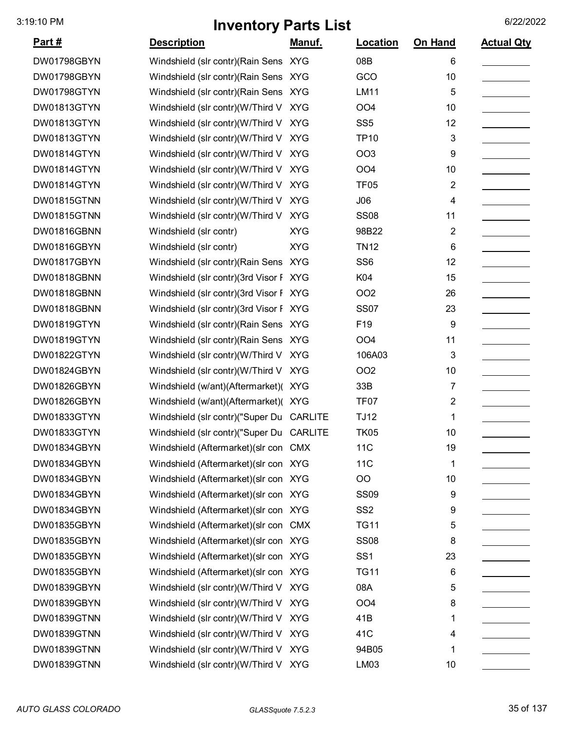| <u>Part #</u>      | <b>Description</b>                       | Manuf.     | Location         | On Hand        | <b>Actual Qty</b> |
|--------------------|------------------------------------------|------------|------------------|----------------|-------------------|
| DW01798GBYN        | Windshield (slr contr) (Rain Sens XYG    |            | 08B              | 6              |                   |
| DW01798GBYN        | Windshield (slr contr) (Rain Sens XYG    |            | GCO              | 10             |                   |
| DW01798GTYN        | Windshield (slr contr)(Rain Sens XYG     |            | LM11             | 5              |                   |
| DW01813GTYN        | Windshield (slr contr)(W/Third V         | <b>XYG</b> | OO <sub>4</sub>  | 10             |                   |
| DW01813GTYN        | Windshield (slr contr)(W/Third V         | <b>XYG</b> | SS <sub>5</sub>  | 12             |                   |
| DW01813GTYN        | Windshield (slr contr)(W/Third V         | <b>XYG</b> | <b>TP10</b>      | 3              |                   |
| DW01814GTYN        | Windshield (slr contr)(W/Third V XYG     |            | OO <sub>3</sub>  | 9              |                   |
| DW01814GTYN        | Windshield (slr contr)(W/Third V         | <b>XYG</b> | OO <sub>4</sub>  | 10             |                   |
| DW01814GTYN        | Windshield (slr contr)(W/Third V         | <b>XYG</b> | <b>TF05</b>      | 2              |                   |
| <b>DW01815GTNN</b> | Windshield (slr contr)(W/Third V         | <b>XYG</b> | J06              | 4              |                   |
| DW01815GTNN        | Windshield (slr contr)(W/Third V XYG     |            | <b>SS08</b>      | 11             |                   |
| DW01816GBNN        | Windshield (slr contr)                   | <b>XYG</b> | 98B22            | 2              |                   |
| DW01816GBYN        | Windshield (slr contr)                   | <b>XYG</b> | <b>TN12</b>      | 6              |                   |
| DW01817GBYN        | Windshield (slr contr) (Rain Sens XYG    |            | SS <sub>6</sub>  | 12             |                   |
| DW01818GBNN        | Windshield (slr contr)(3rd Visor F XYG   |            | K04              | 15             |                   |
| DW01818GBNN        | Windshield (slr contr)(3rd Visor F XYG   |            | OO <sub>2</sub>  | 26             |                   |
| DW01818GBNN        | Windshield (slr contr)(3rd Visor F XYG   |            | <b>SS07</b>      | 23             |                   |
| DW01819GTYN        | Windshield (slr contr) (Rain Sens XYG    |            | F <sub>19</sub>  | 9              |                   |
| DW01819GTYN        | Windshield (slr contr) (Rain Sens XYG    |            | OO <sub>4</sub>  | 11             |                   |
| DW01822GTYN        | Windshield (slr contr)(W/Third V         | <b>XYG</b> | 106A03           | 3              |                   |
| DW01824GBYN        | Windshield (slr contr)(W/Third V XYG     |            | OO <sub>2</sub>  | 10             |                   |
| DW01826GBYN        | Windshield (w/ant)(Aftermarket)( XYG     |            | 33B              | 7              |                   |
| DW01826GBYN        | Windshield (w/ant)(Aftermarket)( XYG     |            | TF <sub>07</sub> | $\overline{c}$ |                   |
| DW01833GTYN        | Windshield (slr contr)("Super Du CARLITE |            | <b>TJ12</b>      | 1              |                   |
| DW01833GTYN        | Windshield (slr contr)("Super Du CARLITE |            | <b>TK05</b>      | 10             |                   |
| DW01834GBYN        | Windshield (Aftermarket) (slr con CMX    |            | 11C              | 19             |                   |
| DW01834GBYN        | Windshield (Aftermarket) (slr con XYG    |            | 11 <sub>C</sub>  | 1              |                   |
| DW01834GBYN        | Windshield (Aftermarket) (slr con XYG    |            | OO               | 10             |                   |
| DW01834GBYN        | Windshield (Aftermarket) (slr con XYG    |            | <b>SS09</b>      | 9              |                   |
| DW01834GBYN        | Windshield (Aftermarket) (slr con XYG    |            | SS <sub>2</sub>  | 9              |                   |
| DW01835GBYN        | Windshield (Aftermarket) (slr con CMX    |            | <b>TG11</b>      | 5              |                   |
| DW01835GBYN        | Windshield (Aftermarket) (slr con XYG    |            | <b>SS08</b>      | 8              |                   |
| DW01835GBYN        | Windshield (Aftermarket) (slr con XYG    |            | SS <sub>1</sub>  | 23             |                   |
| DW01835GBYN        | Windshield (Aftermarket) (slr con XYG    |            | <b>TG11</b>      | 6              |                   |
| DW01839GBYN        | Windshield (slr contr)(W/Third V XYG     |            | 08A              | 5              |                   |
| DW01839GBYN        | Windshield (slr contr)(W/Third V XYG     |            | OO <sub>4</sub>  | 8              |                   |
| DW01839GTNN        | Windshield (slr contr)(W/Third V XYG     |            | 41B              | 1              |                   |
| DW01839GTNN        | Windshield (slr contr)(W/Third V XYG     |            | 41C              | 4              |                   |
| DW01839GTNN        | Windshield (slr contr)(W/Third V XYG     |            | 94B05            | 1              |                   |
| DW01839GTNN        | Windshield (slr contr)(W/Third V XYG     |            | LM03             | 10             |                   |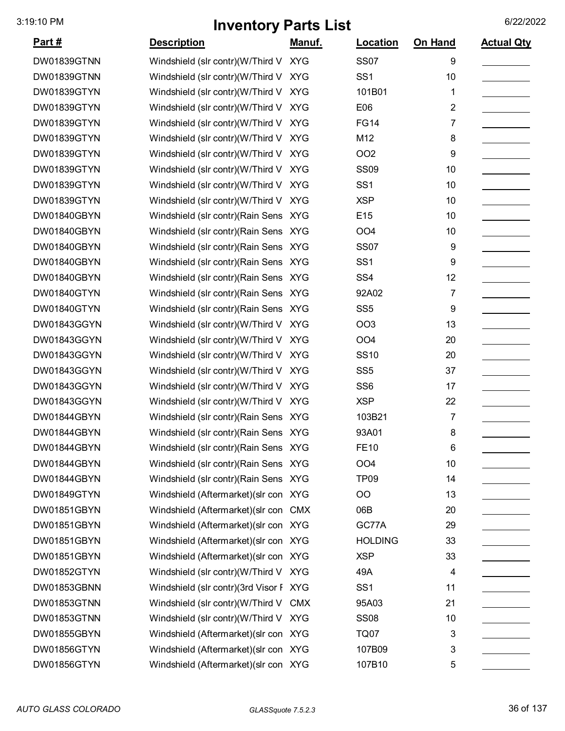| <u>Part #</u> | <b>Description</b>                     | Manuf.     | Location        | On Hand | <b>Actual Qty</b> |
|---------------|----------------------------------------|------------|-----------------|---------|-------------------|
| DW01839GTNN   | Windshield (slr contr)(W/Third V XYG   |            | <b>SS07</b>     | 9       |                   |
| DW01839GTNN   | Windshield (slr contr)(W/Third V XYG   |            | SS <sub>1</sub> | 10      |                   |
| DW01839GTYN   | Windshield (slr contr)(W/Third V       | <b>XYG</b> | 101B01          | 1       |                   |
| DW01839GTYN   | Windshield (slr contr)(W/Third V       | <b>XYG</b> | E06             | 2       |                   |
| DW01839GTYN   | Windshield (slr contr)(W/Third V XYG   |            | <b>FG14</b>     | 7       |                   |
| DW01839GTYN   | Windshield (slr contr)(W/Third V       | <b>XYG</b> | M12             | 8       |                   |
| DW01839GTYN   | Windshield (slr contr)(W/Third V XYG   |            | OO <sub>2</sub> | 9       |                   |
| DW01839GTYN   | Windshield (slr contr)(W/Third V XYG   |            | <b>SS09</b>     | 10      |                   |
| DW01839GTYN   | Windshield (slr contr)(W/Third V       | <b>XYG</b> | SS <sub>1</sub> | 10      |                   |
| DW01839GTYN   | Windshield (slr contr)(W/Third V XYG   |            | <b>XSP</b>      | 10      |                   |
| DW01840GBYN   | Windshield (slr contr) (Rain Sens XYG  |            | E15             | 10      |                   |
| DW01840GBYN   | Windshield (slr contr)(Rain Sens XYG   |            | OO <sub>4</sub> | 10      |                   |
| DW01840GBYN   | Windshield (slr contr) (Rain Sens XYG  |            | <b>SS07</b>     | 9       |                   |
| DW01840GBYN   | Windshield (slr contr) (Rain Sens XYG  |            | SS <sub>1</sub> | 9       |                   |
| DW01840GBYN   | Windshield (slr contr) (Rain Sens XYG  |            | SS <sub>4</sub> | 12      |                   |
| DW01840GTYN   | Windshield (slr contr) (Rain Sens XYG  |            | 92A02           | 7       |                   |
| DW01840GTYN   | Windshield (slr contr) (Rain Sens XYG  |            | SS <sub>5</sub> | 9       |                   |
| DW01843GGYN   | Windshield (slr contr)(W/Third V       | <b>XYG</b> | <b>OO3</b>      | 13      |                   |
| DW01843GGYN   | Windshield (slr contr)(W/Third V XYG   |            | OO <sub>4</sub> | 20      |                   |
| DW01843GGYN   | Windshield (slr contr)(W/Third V       | <b>XYG</b> | <b>SS10</b>     | 20      |                   |
| DW01843GGYN   | Windshield (slr contr)(W/Third V XYG   |            | SS <sub>5</sub> | 37      |                   |
| DW01843GGYN   | Windshield (slr contr)(W/Third V XYG   |            | SS <sub>6</sub> | 17      |                   |
| DW01843GGYN   | Windshield (slr contr)(W/Third V XYG   |            | <b>XSP</b>      | 22      |                   |
| DW01844GBYN   | Windshield (slr contr)(Rain Sens XYG   |            | 103B21          | 7       |                   |
| DW01844GBYN   | Windshield (slr contr) (Rain Sens XYG  |            | 93A01           | 8       |                   |
| DW01844GBYN   | Windshield (slr contr) (Rain Sens XYG  |            | FE10            | 6       |                   |
| DW01844GBYN   | Windshield (slr contr) (Rain Sens XYG  |            | OO <sub>4</sub> | 10      |                   |
| DW01844GBYN   | Windshield (slr contr)(Rain Sens XYG   |            | <b>TP09</b>     | 14      |                   |
| DW01849GTYN   | Windshield (Aftermarket) (slr con XYG  |            | OO              | 13      |                   |
| DW01851GBYN   | Windshield (Aftermarket) (slr con CMX  |            | 06B             | 20      |                   |
| DW01851GBYN   | Windshield (Aftermarket) (slr con XYG  |            | GC77A           | 29      |                   |
| DW01851GBYN   | Windshield (Aftermarket) (slr con XYG  |            | <b>HOLDING</b>  | 33      |                   |
| DW01851GBYN   | Windshield (Aftermarket) (slr con XYG  |            | <b>XSP</b>      | 33      |                   |
| DW01852GTYN   | Windshield (slr contr)(W/Third V XYG   |            | 49A             | 4       |                   |
| DW01853GBNN   | Windshield (slr contr)(3rd Visor F XYG |            | SS <sub>1</sub> | 11      |                   |
| DW01853GTNN   | Windshield (slr contr)(W/Third V CMX   |            | 95A03           | 21      |                   |
| DW01853GTNN   | Windshield (slr contr)(W/Third V XYG   |            | <b>SS08</b>     | 10      |                   |
| DW01855GBYN   | Windshield (Aftermarket) (slr con XYG  |            | TQ07            | 3       |                   |
| DW01856GTYN   | Windshield (Aftermarket) (slr con XYG  |            | 107B09          | 3       |                   |
| DW01856GTYN   | Windshield (Aftermarket) (slr con XYG  |            | 107B10          | 5       |                   |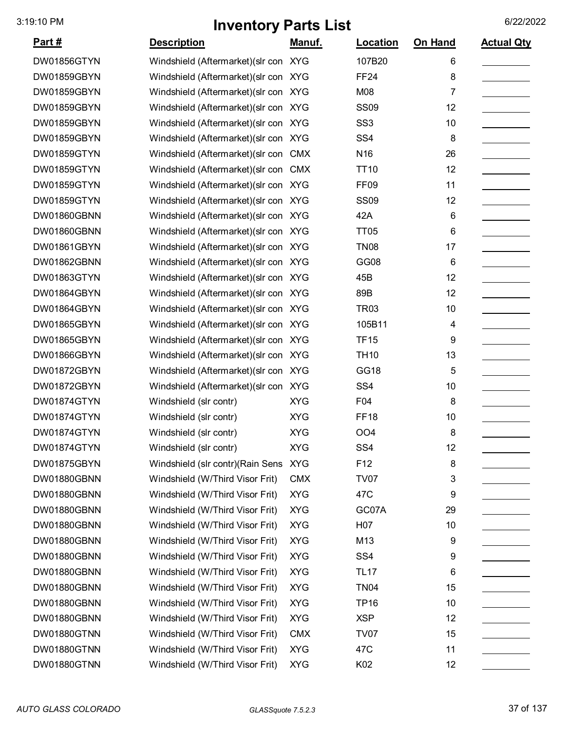| <u>Part #</u> | <b>Description</b>                    | <u>Manuf.</u> | <b>Location</b>  | On Hand | <b>Actual Qty</b> |
|---------------|---------------------------------------|---------------|------------------|---------|-------------------|
| DW01856GTYN   | Windshield (Aftermarket) (slr con XYG |               | 107B20           | 6       |                   |
| DW01859GBYN   | Windshield (Aftermarket) (slr con XYG |               | <b>FF24</b>      | 8       |                   |
| DW01859GBYN   | Windshield (Aftermarket) (slr con XYG |               | M08              | 7       |                   |
| DW01859GBYN   | Windshield (Aftermarket) (slr con XYG |               | <b>SS09</b>      | 12      |                   |
| DW01859GBYN   | Windshield (Aftermarket) (slr con XYG |               | SS <sub>3</sub>  | 10      |                   |
| DW01859GBYN   | Windshield (Aftermarket) (slr con XYG |               | SS <sub>4</sub>  | 8       |                   |
| DW01859GTYN   | Windshield (Aftermarket) (slr con CMX |               | N <sub>16</sub>  | 26      |                   |
| DW01859GTYN   | Windshield (Aftermarket) (slr con CMX |               | <b>TT10</b>      | 12      |                   |
| DW01859GTYN   | Windshield (Aftermarket) (slr con XYG |               | FF <sub>09</sub> | 11      |                   |
| DW01859GTYN   | Windshield (Aftermarket) (slr con XYG |               | <b>SS09</b>      | 12      |                   |
| DW01860GBNN   | Windshield (Aftermarket) (slr con XYG |               | 42A              | 6       |                   |
| DW01860GBNN   | Windshield (Aftermarket) (slr con XYG |               | <b>TT05</b>      | 6       |                   |
| DW01861GBYN   | Windshield (Aftermarket) (slr con XYG |               | <b>TN08</b>      | 17      |                   |
| DW01862GBNN   | Windshield (Aftermarket) (slr con XYG |               | GG08             | 6       |                   |
| DW01863GTYN   | Windshield (Aftermarket) (slr con XYG |               | 45B              | 12      |                   |
| DW01864GBYN   | Windshield (Aftermarket) (slr con XYG |               | 89B              | 12      |                   |
| DW01864GBYN   | Windshield (Aftermarket) (slr con XYG |               | <b>TR03</b>      | 10      |                   |
| DW01865GBYN   | Windshield (Aftermarket) (slr con XYG |               | 105B11           | 4       |                   |
| DW01865GBYN   | Windshield (Aftermarket) (slr con XYG |               | <b>TF15</b>      | 9       |                   |
| DW01866GBYN   | Windshield (Aftermarket) (slr con XYG |               | <b>TH10</b>      | 13      |                   |
| DW01872GBYN   | Windshield (Aftermarket) (slr con XYG |               | <b>GG18</b>      | 5       |                   |
| DW01872GBYN   | Windshield (Aftermarket) (slr con XYG |               | SS <sub>4</sub>  | 10      |                   |
| DW01874GTYN   | Windshield (slr contr)                | <b>XYG</b>    | F04              | 8       |                   |
| DW01874GTYN   | Windshield (slr contr)                | <b>XYG</b>    | <b>FF18</b>      | 10      |                   |
| DW01874GTYN   | Windshield (slr contr)                | <b>XYG</b>    | OO <sub>4</sub>  | 8       |                   |
| DW01874GTYN   | Windshield (slr contr)                | <b>XYG</b>    | SS <sub>4</sub>  | 12      |                   |
| DW01875GBYN   | Windshield (slr contr)(Rain Sens      | <b>XYG</b>    | F <sub>12</sub>  | 8       |                   |
| DW01880GBNN   | Windshield (W/Third Visor Frit)       | <b>CMX</b>    | <b>TV07</b>      | 3       |                   |
| DW01880GBNN   | Windshield (W/Third Visor Frit)       | <b>XYG</b>    | 47C              | 9       |                   |
| DW01880GBNN   | Windshield (W/Third Visor Frit)       | <b>XYG</b>    | GC07A            | 29      |                   |
| DW01880GBNN   | Windshield (W/Third Visor Frit)       | <b>XYG</b>    | H <sub>0</sub> 7 | 10      |                   |
| DW01880GBNN   | Windshield (W/Third Visor Frit)       | <b>XYG</b>    | M13              | 9       |                   |
| DW01880GBNN   | Windshield (W/Third Visor Frit)       | <b>XYG</b>    | SS <sub>4</sub>  | 9       |                   |
| DW01880GBNN   | Windshield (W/Third Visor Frit)       | <b>XYG</b>    | <b>TL17</b>      | 6       |                   |
| DW01880GBNN   | Windshield (W/Third Visor Frit)       | <b>XYG</b>    | <b>TN04</b>      | 15      |                   |
| DW01880GBNN   | Windshield (W/Third Visor Frit)       | <b>XYG</b>    | <b>TP16</b>      | 10      |                   |
| DW01880GBNN   | Windshield (W/Third Visor Frit)       | <b>XYG</b>    | <b>XSP</b>       | 12      |                   |
| DW01880GTNN   | Windshield (W/Third Visor Frit)       | <b>CMX</b>    | <b>TV07</b>      | 15      |                   |
| DW01880GTNN   | Windshield (W/Third Visor Frit)       | <b>XYG</b>    | 47C              | 11      |                   |
| DW01880GTNN   | Windshield (W/Third Visor Frit)       | <b>XYG</b>    | K02              | 12      |                   |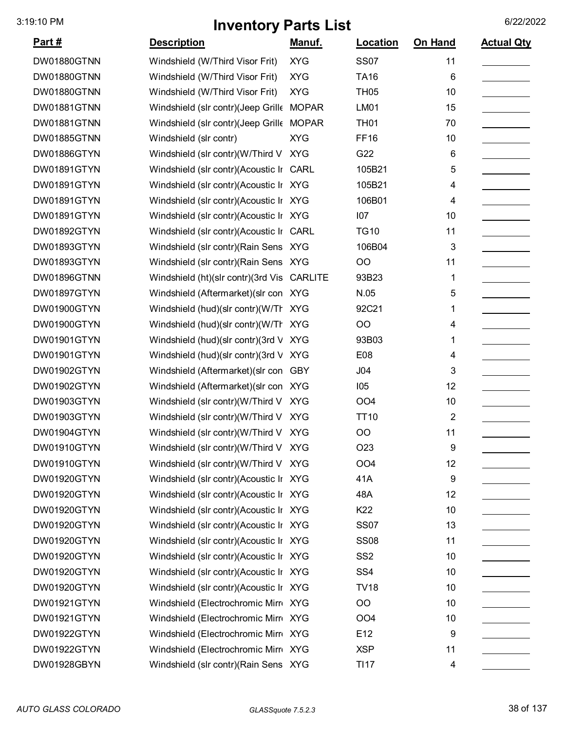| <u>Part #</u>      | <b>Description</b>                         | Manuf.     | <b>Location</b> | <b>On Hand</b> | <b>Actual Qty</b> |
|--------------------|--------------------------------------------|------------|-----------------|----------------|-------------------|
| DW01880GTNN        | Windshield (W/Third Visor Frit)            | <b>XYG</b> | <b>SS07</b>     | 11             |                   |
| DW01880GTNN        | Windshield (W/Third Visor Frit)            | <b>XYG</b> | <b>TA16</b>     | 6              |                   |
| DW01880GTNN        | Windshield (W/Third Visor Frit)            | <b>XYG</b> | <b>TH05</b>     | 10             |                   |
| DW01881GTNN        | Windshield (slr contr)(Jeep Grille MOPAR   |            | LM01            | 15             |                   |
| DW01881GTNN        | Windshield (slr contr)(Jeep Grille MOPAR   |            | <b>TH01</b>     | 70             |                   |
| <b>DW01885GTNN</b> | Windshield (slr contr)                     | <b>XYG</b> | <b>FF16</b>     | 10             |                   |
| DW01886GTYN        | Windshield (slr contr)(W/Third V XYG       |            | G22             | 6              |                   |
| DW01891GTYN        | Windshield (slr contr)(Acoustic Ir CARL    |            | 105B21          | 5              |                   |
| DW01891GTYN        | Windshield (slr contr)(Acoustic Ir XYG     |            | 105B21          | 4              |                   |
| DW01891GTYN        | Windshield (slr contr)(Acoustic Ir XYG     |            | 106B01          | 4              |                   |
| DW01891GTYN        | Windshield (slr contr)(Acoustic Ir XYG     |            | 107             | 10             |                   |
| DW01892GTYN        | Windshield (slr contr)(Acoustic Ir CARL    |            | <b>TG10</b>     | 11             |                   |
| DW01893GTYN        | Windshield (slr contr) (Rain Sens XYG      |            | 106B04          | 3              |                   |
| DW01893GTYN        | Windshield (slr contr)(Rain Sens XYG       |            | OO              | 11             |                   |
| DW01896GTNN        | Windshield (ht)(slr contr)(3rd Vis CARLITE |            | 93B23           | 1              |                   |
| DW01897GTYN        | Windshield (Aftermarket) (slr con XYG      |            | N.05            | 5              |                   |
| DW01900GTYN        | Windshield (hud)(slr contr)(W/Tr XYG       |            | 92C21           | 1              |                   |
| DW01900GTYN        | Windshield (hud)(slr contr)(W/Th           | <b>XYG</b> | OO              | 4              |                   |
| DW01901GTYN        | Windshield (hud)(slr contr)(3rd V          | <b>XYG</b> | 93B03           | 1              |                   |
| DW01901GTYN        | Windshield (hud)(slr contr)(3rd V XYG      |            | E08             | 4              |                   |
| DW01902GTYN        | Windshield (Aftermarket) (slr con GBY      |            | J04             | 3              |                   |
| DW01902GTYN        | Windshield (Aftermarket) (slr con XYG      |            | 105             | 12             |                   |
| DW01903GTYN        | Windshield (slr contr)(W/Third V XYG       |            | OO <sub>4</sub> | 10             |                   |
| DW01903GTYN        | Windshield (slr contr)(W/Third V XYG       |            | <b>TT10</b>     | 2              |                   |
| DW01904GTYN        | Windshield (slr contr)(W/Third V XYG       |            | OO              | 11             |                   |
| DW01910GTYN        | Windshield (slr contr)(W/Third V XYG       |            | O <sub>23</sub> | 9              |                   |
| DW01910GTYN        | Windshield (slr contr)(W/Third V XYG       |            | OO <sub>4</sub> | 12             |                   |
| DW01920GTYN        | Windshield (slr contr)(Acoustic Ir XYG     |            | 41A             | 9              |                   |
| DW01920GTYN        | Windshield (slr contr)(Acoustic Ir XYG     |            | 48A             | 12             |                   |
| DW01920GTYN        | Windshield (slr contr)(Acoustic Ir XYG     |            | K22             | 10             |                   |
| DW01920GTYN        | Windshield (slr contr)(Acoustic Ir XYG     |            | <b>SS07</b>     | 13             |                   |
| DW01920GTYN        | Windshield (slr contr)(Acoustic Ir XYG     |            | <b>SS08</b>     | 11             |                   |
| DW01920GTYN        | Windshield (slr contr)(Acoustic Ir XYG     |            | SS <sub>2</sub> | 10             |                   |
| DW01920GTYN        | Windshield (slr contr)(Acoustic Ir XYG     |            | SS <sub>4</sub> | 10             |                   |
| DW01920GTYN        | Windshield (slr contr)(Acoustic Ir XYG     |            | <b>TV18</b>     | 10             |                   |
| DW01921GTYN        | Windshield (Electrochromic Mirr XYG        |            | OO              | 10             |                   |
| DW01921GTYN        | Windshield (Electrochromic Mirr XYG        |            | OO <sub>4</sub> | 10             |                   |
| DW01922GTYN        | Windshield (Electrochromic Mirr XYG        |            | E12             | 9              |                   |
| DW01922GTYN        | Windshield (Electrochromic Mirr XYG        |            | <b>XSP</b>      | 11             |                   |
| DW01928GBYN        | Windshield (slr contr) (Rain Sens XYG      |            | <b>TI17</b>     | 4              |                   |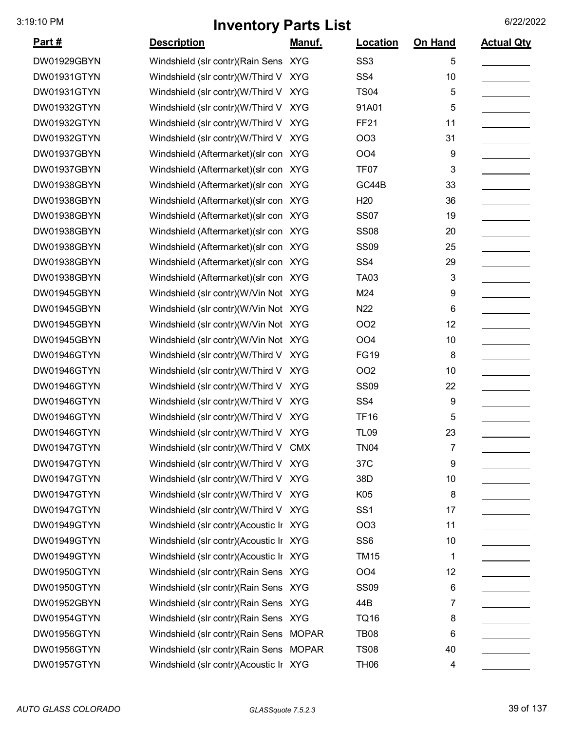| <u>Part #</u> | <b>Description</b>                     | Manuf.     | Location        | On Hand | <b>Actual Qty</b> |
|---------------|----------------------------------------|------------|-----------------|---------|-------------------|
| DW01929GBYN   | Windshield (slr contr) (Rain Sens XYG  |            | SS <sub>3</sub> | 5       |                   |
| DW01931GTYN   | Windshield (slr contr)(W/Third V XYG   |            | SS <sub>4</sub> | 10      |                   |
| DW01931GTYN   | Windshield (slr contr)(W/Third V       | <b>XYG</b> | <b>TS04</b>     | 5       |                   |
| DW01932GTYN   | Windshield (slr contr)(W/Third V       | <b>XYG</b> | 91A01           | 5       |                   |
| DW01932GTYN   | Windshield (slr contr)(W/Third V XYG   |            | <b>FF21</b>     | 11      |                   |
| DW01932GTYN   | Windshield (slr contr)(W/Third V XYG   |            | OO <sub>3</sub> | 31      |                   |
| DW01937GBYN   | Windshield (Aftermarket) (slr con XYG  |            | OO <sub>4</sub> | 9       |                   |
| DW01937GBYN   | Windshield (Aftermarket) (slr con XYG  |            | <b>TF07</b>     | 3       |                   |
| DW01938GBYN   | Windshield (Aftermarket) (slr con XYG  |            | GC44B           | 33      |                   |
| DW01938GBYN   | Windshield (Aftermarket) (slr con XYG  |            | H <sub>20</sub> | 36      |                   |
| DW01938GBYN   | Windshield (Aftermarket) (slr con XYG  |            | <b>SS07</b>     | 19      |                   |
| DW01938GBYN   | Windshield (Aftermarket) (slr con XYG  |            | <b>SS08</b>     | 20      |                   |
| DW01938GBYN   | Windshield (Aftermarket) (slr con XYG  |            | <b>SS09</b>     | 25      |                   |
| DW01938GBYN   | Windshield (Aftermarket) (slr con XYG  |            | SS <sub>4</sub> | 29      |                   |
| DW01938GBYN   | Windshield (Aftermarket) (slr con XYG  |            | <b>TA03</b>     | 3       |                   |
| DW01945GBYN   | Windshield (slr contr)(W/Vin Not XYG   |            | M24             | 9       |                   |
| DW01945GBYN   | Windshield (slr contr)(W/Vin Not XYG   |            | N22             | 6       |                   |
| DW01945GBYN   | Windshield (slr contr)(W/Vin Not XYG   |            | OO <sub>2</sub> | 12      |                   |
| DW01945GBYN   | Windshield (slr contr)(W/Vin Not XYG   |            | OO <sub>4</sub> | 10      |                   |
| DW01946GTYN   | Windshield (slr contr)(W/Third V       | <b>XYG</b> | <b>FG19</b>     | 8       |                   |
| DW01946GTYN   | Windshield (slr contr)(W/Third V XYG   |            | OO <sub>2</sub> | 10      |                   |
| DW01946GTYN   | Windshield (slr contr)(W/Third V XYG   |            | <b>SS09</b>     | 22      |                   |
| DW01946GTYN   | Windshield (slr contr)(W/Third V XYG   |            | SS <sub>4</sub> | 9       |                   |
| DW01946GTYN   | Windshield (slr contr)(W/Third V XYG   |            | <b>TF16</b>     | 5       |                   |
| DW01946GTYN   | Windshield (slr contr)(W/Third V XYG   |            | <b>TL09</b>     | 23      |                   |
| DW01947GTYN   | Windshield (slr contr)(W/Third V CMX   |            | TN04            | 7       |                   |
| DW01947GTYN   | Windshield (slr contr)(W/Third V XYG   |            | 37C             | 9       |                   |
| DW01947GTYN   | Windshield (slr contr)(W/Third V XYG   |            | 38D             | 10      |                   |
| DW01947GTYN   | Windshield (slr contr)(W/Third V XYG   |            | K05             | 8       |                   |
| DW01947GTYN   | Windshield (slr contr)(W/Third V XYG   |            | SS <sub>1</sub> | 17      |                   |
| DW01949GTYN   | Windshield (slr contr)(Acoustic Ir XYG |            | OO <sub>3</sub> | 11      |                   |
| DW01949GTYN   | Windshield (slr contr)(Acoustic Ir XYG |            | SS <sub>6</sub> | 10      |                   |
| DW01949GTYN   | Windshield (slr contr)(Acoustic Ir XYG |            | <b>TM15</b>     | 1       |                   |
| DW01950GTYN   | Windshield (slr contr) (Rain Sens XYG  |            | OO <sub>4</sub> | 12      |                   |
| DW01950GTYN   | Windshield (slr contr) (Rain Sens XYG  |            | <b>SS09</b>     | 6       |                   |
| DW01952GBYN   | Windshield (slr contr) (Rain Sens XYG  |            | 44B             | 7       |                   |
| DW01954GTYN   | Windshield (slr contr) (Rain Sens XYG  |            | <b>TQ16</b>     | 8       |                   |
| DW01956GTYN   | Windshield (slr contr)(Rain Sens MOPAR |            | <b>TB08</b>     | 6       |                   |
| DW01956GTYN   | Windshield (slr contr)(Rain Sens MOPAR |            | <b>TS08</b>     | 40      |                   |
| DW01957GTYN   | Windshield (slr contr)(Acoustic Ir XYG |            | <b>TH06</b>     | 4       |                   |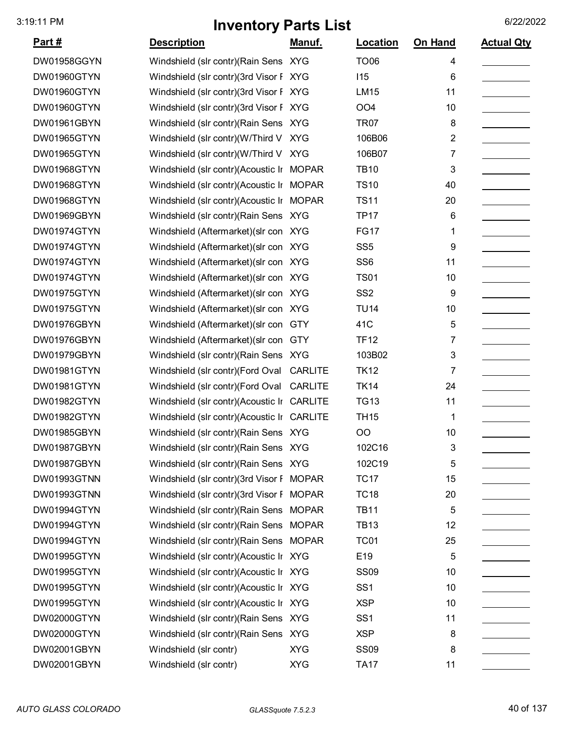| <u>Part #</u> | <b>Description</b>                         | Manuf.         | Location        | On Hand        | <b>Actual Qty</b> |
|---------------|--------------------------------------------|----------------|-----------------|----------------|-------------------|
| DW01958GGYN   | Windshield (slr contr) (Rain Sens XYG      |                | <b>TO06</b>     | 4              |                   |
| DW01960GTYN   | Windshield (slr contr)(3rd Visor F XYG     |                | 115             | 6              |                   |
| DW01960GTYN   | Windshield (slr contr)(3rd Visor F XYG     |                | <b>LM15</b>     | 11             |                   |
| DW01960GTYN   | Windshield (slr contr)(3rd Visor F XYG     |                | OO <sub>4</sub> | 10             |                   |
| DW01961GBYN   | Windshield (slr contr)(Rain Sens XYG       |                | <b>TR07</b>     | 8              |                   |
| DW01965GTYN   | Windshield (slr contr)(W/Third V XYG       |                | 106B06          | $\overline{2}$ |                   |
| DW01965GTYN   | Windshield (slr contr)(W/Third V XYG       |                | 106B07          | 7              |                   |
| DW01968GTYN   | Windshield (slr contr)(Acoustic Ir MOPAR   |                | <b>TB10</b>     | 3              |                   |
| DW01968GTYN   | Windshield (slr contr)(Acoustic Ir MOPAR   |                | <b>TS10</b>     | 40             |                   |
| DW01968GTYN   | Windshield (slr contr)(Acoustic Ir MOPAR   |                | <b>TS11</b>     | 20             |                   |
| DW01969GBYN   | Windshield (slr contr)(Rain Sens XYG       |                | <b>TP17</b>     | 6              |                   |
| DW01974GTYN   | Windshield (Aftermarket) (slr con XYG      |                | <b>FG17</b>     | 1              |                   |
| DW01974GTYN   | Windshield (Aftermarket) (slr con XYG      |                | SS <sub>5</sub> | 9              |                   |
| DW01974GTYN   | Windshield (Aftermarket) (slr con XYG      |                | SS <sub>6</sub> | 11             |                   |
| DW01974GTYN   | Windshield (Aftermarket) (slr con XYG      |                | <b>TS01</b>     | 10             |                   |
| DW01975GTYN   | Windshield (Aftermarket) (slr con XYG      |                | SS <sub>2</sub> | 9              |                   |
| DW01975GTYN   | Windshield (Aftermarket) (slr con XYG      |                | <b>TU14</b>     | 10             |                   |
| DW01976GBYN   | Windshield (Aftermarket) (slr con          | <b>GTY</b>     | 41C             | 5              |                   |
| DW01976GBYN   | Windshield (Aftermarket) (slr con          | <b>GTY</b>     | <b>TF12</b>     | 7              |                   |
| DW01979GBYN   | Windshield (slr contr) (Rain Sens XYG      |                | 103B02          | 3              |                   |
| DW01981GTYN   | Windshield (slr contr)(Ford Oval           | <b>CARLITE</b> | <b>TK12</b>     | 7              |                   |
| DW01981GTYN   | Windshield (slr contr)(Ford Oval           | <b>CARLITE</b> | <b>TK14</b>     | 24             |                   |
| DW01982GTYN   | Windshield (slr contr)(Acoustic Ir         | <b>CARLITE</b> | <b>TG13</b>     | 11             |                   |
| DW01982GTYN   | Windshield (slr contr)(Acoustic Ir CARLITE |                | <b>TH15</b>     | 1              |                   |
| DW01985GBYN   | Windshield (slr contr) (Rain Sens XYG      |                | OO              | 10             |                   |
| DW01987GBYN   | Windshield (slr contr) (Rain Sens XYG      |                | 102C16          | 3              |                   |
| DW01987GBYN   | Windshield (slr contr) (Rain Sens XYG      |                | 102C19          | 5              |                   |
| DW01993GTNN   | Windshield (slr contr)(3rd Visor F MOPAR   |                | <b>TC17</b>     | 15             |                   |
| DW01993GTNN   | Windshield (slr contr)(3rd Visor F MOPAR   |                | <b>TC18</b>     | 20             |                   |
| DW01994GTYN   | Windshield (slr contr)(Rain Sens MOPAR     |                | <b>TB11</b>     | 5              |                   |
| DW01994GTYN   | Windshield (slr contr)(Rain Sens MOPAR     |                | <b>TB13</b>     | 12             |                   |
| DW01994GTYN   | Windshield (slr contr)(Rain Sens MOPAR     |                | <b>TC01</b>     | 25             |                   |
| DW01995GTYN   | Windshield (slr contr)(Acoustic Ir XYG     |                | E <sub>19</sub> | 5              |                   |
| DW01995GTYN   | Windshield (slr contr)(Acoustic Ir XYG     |                | <b>SS09</b>     | 10             |                   |
| DW01995GTYN   | Windshield (slr contr)(Acoustic Ir XYG     |                | SS <sub>1</sub> | 10             |                   |
| DW01995GTYN   | Windshield (slr contr)(Acoustic Ir XYG     |                | <b>XSP</b>      | 10             |                   |
| DW02000GTYN   | Windshield (slr contr) (Rain Sens XYG      |                | SS <sub>1</sub> | 11             |                   |
| DW02000GTYN   | Windshield (slr contr) (Rain Sens XYG      |                | <b>XSP</b>      | 8              |                   |
| DW02001GBYN   | Windshield (slr contr)                     | <b>XYG</b>     | <b>SS09</b>     | 8              |                   |
| DW02001GBYN   | Windshield (slr contr)                     | <b>XYG</b>     | <b>TA17</b>     | 11             |                   |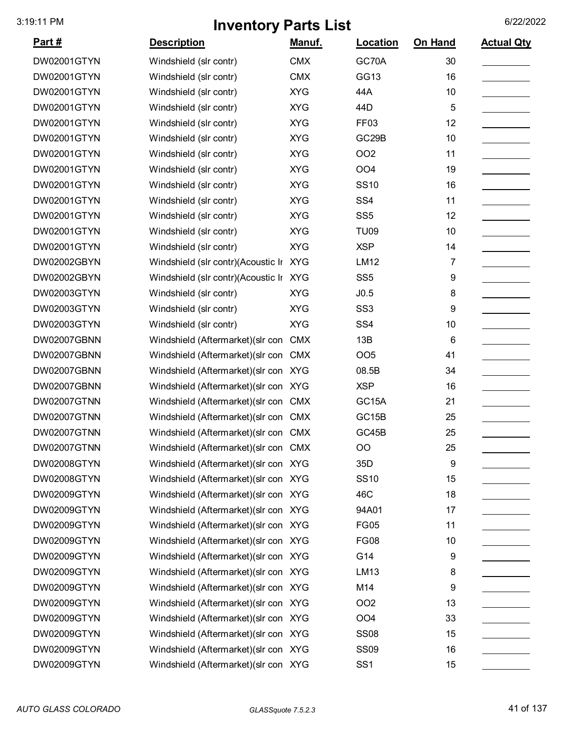| <u>Part #</u>      | <b>Description</b>                    | Manuf.     | Location           | On Hand | <b>Actual Qty</b> |
|--------------------|---------------------------------------|------------|--------------------|---------|-------------------|
| DW02001GTYN        | Windshield (slr contr)                | <b>CMX</b> | GC70A              | 30      |                   |
| DW02001GTYN        | Windshield (slr contr)                | <b>CMX</b> | GG13               | 16      |                   |
| DW02001GTYN        | Windshield (slr contr)                | <b>XYG</b> | 44A                | 10      |                   |
| DW02001GTYN        | Windshield (slr contr)                | <b>XYG</b> | 44 <sub>D</sub>    | 5       |                   |
| DW02001GTYN        | Windshield (slr contr)                | <b>XYG</b> | FF <sub>03</sub>   | 12      |                   |
| DW02001GTYN        | Windshield (slr contr)                | <b>XYG</b> | GC <sub>29</sub> B | 10      |                   |
| DW02001GTYN        | Windshield (slr contr)                | <b>XYG</b> | OO <sub>2</sub>    | 11      |                   |
| DW02001GTYN        | Windshield (slr contr)                | <b>XYG</b> | OO <sub>4</sub>    | 19      |                   |
| DW02001GTYN        | Windshield (slr contr)                | <b>XYG</b> | <b>SS10</b>        | 16      |                   |
| DW02001GTYN        | Windshield (slr contr)                | <b>XYG</b> | SS <sub>4</sub>    | 11      |                   |
| DW02001GTYN        | Windshield (slr contr)                | <b>XYG</b> | SS <sub>5</sub>    | 12      |                   |
| DW02001GTYN        | Windshield (slr contr)                | <b>XYG</b> | <b>TU09</b>        | 10      |                   |
| DW02001GTYN        | Windshield (slr contr)                | <b>XYG</b> | <b>XSP</b>         | 14      |                   |
| DW02002GBYN        | Windshield (slr contr)(Acoustic Ir    | <b>XYG</b> | <b>LM12</b>        | 7       |                   |
| DW02002GBYN        | Windshield (slr contr)(Acoustic Ir    | <b>XYG</b> | SS <sub>5</sub>    | 9       |                   |
| DW02003GTYN        | Windshield (slr contr)                | <b>XYG</b> | J0.5               | 8       |                   |
| DW02003GTYN        | Windshield (slr contr)                | <b>XYG</b> | SS <sub>3</sub>    | 9       |                   |
| DW02003GTYN        | Windshield (slr contr)                | <b>XYG</b> | SS <sub>4</sub>    | 10      |                   |
| DW02007GBNN        | Windshield (Aftermarket) (slr con     | <b>CMX</b> | 13B                | 6       |                   |
| DW02007GBNN        | Windshield (Aftermarket) (slr con     | <b>CMX</b> | OO <sub>5</sub>    | 41      |                   |
| DW02007GBNN        | Windshield (Aftermarket) (slr con     | <b>XYG</b> | 08.5B              | 34      |                   |
| DW02007GBNN        | Windshield (Aftermarket) (slr con XYG |            | <b>XSP</b>         | 16      |                   |
| DW02007GTNN        | Windshield (Aftermarket) (slr con     | <b>CMX</b> | GC15A              | 21      |                   |
| DW02007GTNN        | Windshield (Aftermarket) (slr con CMX |            | GC15B              | 25      |                   |
| DW02007GTNN        | Windshield (Aftermarket) (slr con     | <b>CMX</b> | GC45B              | 25      |                   |
| DW02007GTNN        | Windshield (Aftermarket) (slr con CMX |            | OO                 | 25      |                   |
| DW02008GTYN        | Windshield (Aftermarket) (slr con XYG |            | 35D                | 9       |                   |
| <b>DW02008GTYN</b> | Windshield (Aftermarket) (slr con XYG |            | <b>SS10</b>        | 15      |                   |
| DW02009GTYN        | Windshield (Aftermarket) (slr con XYG |            | 46C                | 18      |                   |
| DW02009GTYN        | Windshield (Aftermarket) (slr con XYG |            | 94A01              | 17      |                   |
| DW02009GTYN        | Windshield (Aftermarket) (slr con XYG |            | <b>FG05</b>        | 11      |                   |
| DW02009GTYN        | Windshield (Aftermarket) (slr con XYG |            | <b>FG08</b>        | 10      |                   |
| <b>DW02009GTYN</b> | Windshield (Aftermarket) (slr con XYG |            | G14                | 9       |                   |
| DW02009GTYN        | Windshield (Aftermarket) (slr con XYG |            | LM13               | 8       |                   |
| <b>DW02009GTYN</b> | Windshield (Aftermarket) (slr con XYG |            | M14                | 9       |                   |
| <b>DW02009GTYN</b> | Windshield (Aftermarket)(slr con XYG  |            | OO <sub>2</sub>    | 13      |                   |
| DW02009GTYN        | Windshield (Aftermarket) (slr con XYG |            | OO <sub>4</sub>    | 33      |                   |
| <b>DW02009GTYN</b> | Windshield (Aftermarket)(slr con XYG  |            | <b>SS08</b>        | 15      |                   |
| DW02009GTYN        | Windshield (Aftermarket) (slr con XYG |            | <b>SS09</b>        | 16      |                   |
| DW02009GTYN        | Windshield (Aftermarket) (slr con XYG |            | SS <sub>1</sub>    | 15      |                   |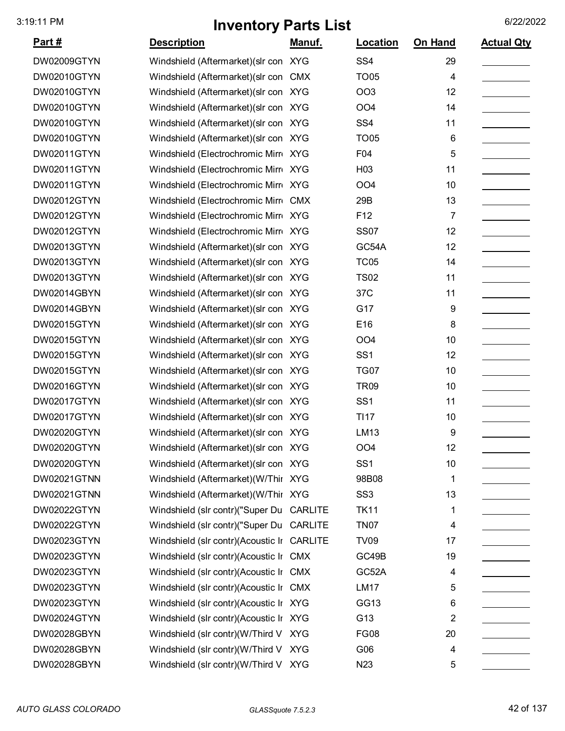| <u>Part #</u> | <b>Description</b>                         | <u>Manuf.</u> | <b>Location</b> | On Hand | <b>Actual Qty</b> |
|---------------|--------------------------------------------|---------------|-----------------|---------|-------------------|
| DW02009GTYN   | Windshield (Aftermarket) (slr con XYG      |               | SS <sub>4</sub> | 29      |                   |
| DW02010GTYN   | Windshield (Aftermarket) (slr con          | <b>CMX</b>    | <b>TO05</b>     | 4       |                   |
| DW02010GTYN   | Windshield (Aftermarket) (slr con XYG      |               | OO <sub>3</sub> | 12      |                   |
| DW02010GTYN   | Windshield (Aftermarket) (slr con XYG      |               | OO <sub>4</sub> | 14      |                   |
| DW02010GTYN   | Windshield (Aftermarket) (slr con XYG      |               | SS <sub>4</sub> | 11      |                   |
| DW02010GTYN   | Windshield (Aftermarket) (slr con XYG      |               | <b>TO05</b>     | 6       |                   |
| DW02011GTYN   | Windshield (Electrochromic Mirr XYG        |               | F04             | 5       |                   |
| DW02011GTYN   | Windshield (Electrochromic Mirr XYG        |               | H <sub>03</sub> | 11      |                   |
| DW02011GTYN   | Windshield (Electrochromic Mirr XYG        |               | OO <sub>4</sub> | 10      |                   |
| DW02012GTYN   | Windshield (Electrochromic Mirr CMX        |               | 29B             | 13      |                   |
| DW02012GTYN   | Windshield (Electrochromic Mirr XYG        |               | F <sub>12</sub> | 7       |                   |
| DW02012GTYN   | Windshield (Electrochromic Mirr XYG        |               | <b>SS07</b>     | 12      |                   |
| DW02013GTYN   | Windshield (Aftermarket) (slr con XYG      |               | GC54A           | 12      |                   |
| DW02013GTYN   | Windshield (Aftermarket) (slr con XYG      |               | <b>TC05</b>     | 14      |                   |
| DW02013GTYN   | Windshield (Aftermarket) (slr con XYG      |               | <b>TS02</b>     | 11      |                   |
| DW02014GBYN   | Windshield (Aftermarket) (slr con XYG      |               | 37C             | 11      |                   |
| DW02014GBYN   | Windshield (Aftermarket) (slr con XYG      |               | G17             | 9       |                   |
| DW02015GTYN   | Windshield (Aftermarket) (slr con XYG      |               | E16             | 8       |                   |
| DW02015GTYN   | Windshield (Aftermarket) (slr con XYG      |               | OO <sub>4</sub> | 10      |                   |
| DW02015GTYN   | Windshield (Aftermarket) (slr con XYG      |               | SS <sub>1</sub> | 12      |                   |
| DW02015GTYN   | Windshield (Aftermarket) (slr con XYG      |               | <b>TG07</b>     | 10      |                   |
| DW02016GTYN   | Windshield (Aftermarket) (slr con XYG      |               | <b>TR09</b>     | 10      |                   |
| DW02017GTYN   | Windshield (Aftermarket) (slr con XYG      |               | SS <sub>1</sub> | 11      |                   |
| DW02017GTYN   | Windshield (Aftermarket) (slr con XYG      |               | <b>TI17</b>     | 10      |                   |
| DW02020GTYN   | Windshield (Aftermarket) (slr con XYG      |               | LM13            | 9       |                   |
| DW02020GTYN   | Windshield (Aftermarket) (slr con XYG      |               | OO <sub>4</sub> | 12      |                   |
| DW02020GTYN   | Windshield (Aftermarket) (slr con XYG      |               | SS <sub>1</sub> | 10      |                   |
| DW02021GTNN   | Windshield (Aftermarket) (W/Thir XYG       |               | 98B08           | 1       |                   |
| DW02021GTNN   | Windshield (Aftermarket) (W/Thir XYG       |               | SS <sub>3</sub> | 13      |                   |
| DW02022GTYN   | Windshield (slr contr)("Super Du CARLITE   |               | <b>TK11</b>     | 1       |                   |
| DW02022GTYN   | Windshield (slr contr)("Super Du CARLITE   |               | <b>TN07</b>     | 4       |                   |
| DW02023GTYN   | Windshield (slr contr)(Acoustic Ir CARLITE |               | <b>TV09</b>     | 17      |                   |
| DW02023GTYN   | Windshield (slr contr)(Acoustic Ir CMX     |               | GC49B           | 19      |                   |
| DW02023GTYN   | Windshield (slr contr)(Acoustic Ir CMX     |               | GC52A           | 4       |                   |
| DW02023GTYN   | Windshield (slr contr)(Acoustic Ir CMX     |               | <b>LM17</b>     | 5       |                   |
| DW02023GTYN   | Windshield (slr contr)(Acoustic Ir XYG     |               | GG13            | 6       |                   |
| DW02024GTYN   | Windshield (slr contr)(Acoustic Ir XYG     |               | G13             | 2       |                   |
| DW02028GBYN   | Windshield (slr contr)(W/Third V XYG       |               | <b>FG08</b>     | 20      |                   |
| DW02028GBYN   | Windshield (slr contr)(W/Third V XYG       |               | G06             | 4       |                   |
| DW02028GBYN   | Windshield (slr contr)(W/Third V XYG       |               | N23             | 5       |                   |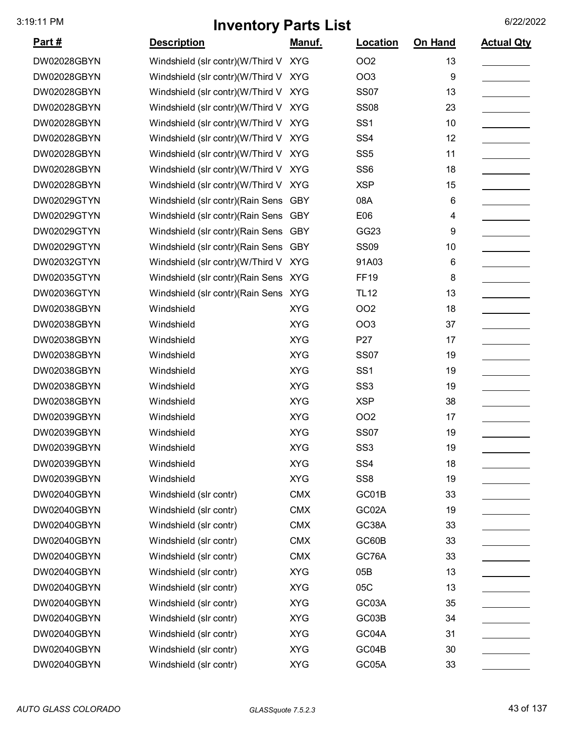| <u> Part #</u> | <b>Description</b>                    | Manuf.     | Location        | <b>On Hand</b> | <b>Actual Qty</b> |
|----------------|---------------------------------------|------------|-----------------|----------------|-------------------|
| DW02028GBYN    | Windshield (slr contr)(W/Third V XYG  |            | <b>OO2</b>      | 13             |                   |
| DW02028GBYN    | Windshield (slr contr)(W/Third V XYG  |            | <b>OO3</b>      | 9              |                   |
| DW02028GBYN    | Windshield (slr contr)(W/Third V XYG  |            | <b>SS07</b>     | 13             |                   |
| DW02028GBYN    | Windshield (slr contr)(W/Third V XYG  |            | <b>SS08</b>     | 23             |                   |
| DW02028GBYN    | Windshield (slr contr)(W/Third V      | XYG        | SS <sub>1</sub> | 10             |                   |
| DW02028GBYN    | Windshield (slr contr)(W/Third V XYG  |            | SS <sub>4</sub> | 12             |                   |
| DW02028GBYN    | Windshield (slr contr)(W/Third V XYG  |            | SS <sub>5</sub> | 11             |                   |
| DW02028GBYN    | Windshield (slr contr)(W/Third V XYG  |            | SS <sub>6</sub> | 18             |                   |
| DW02028GBYN    | Windshield (slr contr)(W/Third V XYG  |            | <b>XSP</b>      | 15             |                   |
| DW02029GTYN    | Windshield (slr contr) (Rain Sens     | <b>GBY</b> | 08A             | 6              |                   |
| DW02029GTYN    | Windshield (slr contr) (Rain Sens     | <b>GBY</b> | E06             | 4              |                   |
| DW02029GTYN    | Windshield (slr contr)(Rain Sens GBY  |            | GG23            | 9              |                   |
| DW02029GTYN    | Windshield (slr contr) (Rain Sens GBY |            | <b>SS09</b>     | 10             |                   |
| DW02032GTYN    | Windshield (slr contr)(W/Third V      | <b>XYG</b> | 91A03           | 6              |                   |
| DW02035GTYN    | Windshield (slr contr) (Rain Sens XYG |            | <b>FF19</b>     | 8              |                   |
| DW02036GTYN    | Windshield (slr contr) (Rain Sens XYG |            | <b>TL12</b>     | 13             |                   |
| DW02038GBYN    | Windshield                            | <b>XYG</b> | <b>OO2</b>      | 18             |                   |
| DW02038GBYN    | Windshield                            | <b>XYG</b> | <b>OO3</b>      | 37             |                   |
| DW02038GBYN    | Windshield                            | <b>XYG</b> | P27             | 17             |                   |
| DW02038GBYN    | Windshield                            | <b>XYG</b> | <b>SS07</b>     | 19             |                   |
| DW02038GBYN    | Windshield                            | <b>XYG</b> | SS <sub>1</sub> | 19             |                   |
| DW02038GBYN    | Windshield                            | <b>XYG</b> | SS <sub>3</sub> | 19             |                   |
| DW02038GBYN    | Windshield                            | <b>XYG</b> | <b>XSP</b>      | 38             |                   |
| DW02039GBYN    | Windshield                            | <b>XYG</b> | OO <sub>2</sub> | 17             |                   |
| DW02039GBYN    | Windshield                            | <b>XYG</b> | <b>SS07</b>     | 19             |                   |
| DW02039GBYN    | Windshield                            | <b>XYG</b> | SS <sub>3</sub> | 19             |                   |
| DW02039GBYN    | Windshield                            | <b>XYG</b> | SS <sub>4</sub> | 18             |                   |
| DW02039GBYN    | Windshield                            | <b>XYG</b> | SS <sub>8</sub> | 19             |                   |
| DW02040GBYN    | Windshield (slr contr)                | <b>CMX</b> | GC01B           | 33             |                   |
| DW02040GBYN    | Windshield (slr contr)                | <b>CMX</b> | GC02A           | 19             |                   |
| DW02040GBYN    | Windshield (slr contr)                | <b>CMX</b> | GC38A           | 33             |                   |
| DW02040GBYN    | Windshield (slr contr)                | <b>CMX</b> | GC60B           | 33             |                   |
| DW02040GBYN    | Windshield (slr contr)                | <b>CMX</b> | GC76A           | 33             |                   |
| DW02040GBYN    | Windshield (slr contr)                | <b>XYG</b> | 05B             | 13             |                   |
| DW02040GBYN    | Windshield (slr contr)                | <b>XYG</b> | 05C             | 13             |                   |
| DW02040GBYN    | Windshield (slr contr)                | <b>XYG</b> | GC03A           | 35             |                   |
| DW02040GBYN    | Windshield (slr contr)                | <b>XYG</b> | GC03B           | 34             |                   |
| DW02040GBYN    | Windshield (slr contr)                | <b>XYG</b> | GC04A           | 31             |                   |
| DW02040GBYN    | Windshield (slr contr)                | <b>XYG</b> | GC04B           | 30             |                   |
| DW02040GBYN    | Windshield (slr contr)                | <b>XYG</b> | GC05A           | 33             |                   |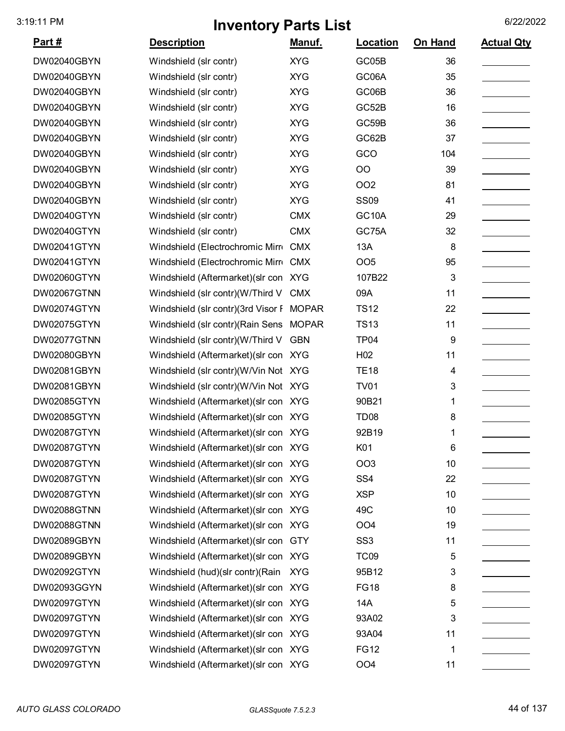| <u>Part #</u>      | <b>Description</b>                    | Manuf.       | Location           | On Hand | <b>Actual Qty</b> |
|--------------------|---------------------------------------|--------------|--------------------|---------|-------------------|
| DW02040GBYN        | Windshield (slr contr)                | <b>XYG</b>   | GC05B              | 36      |                   |
| DW02040GBYN        | Windshield (slr contr)                | <b>XYG</b>   | GC06A              | 35      |                   |
| DW02040GBYN        | Windshield (slr contr)                | <b>XYG</b>   | GC06B              | 36      |                   |
| DW02040GBYN        | Windshield (slr contr)                | <b>XYG</b>   | GC52B              | 16      |                   |
| DW02040GBYN        | Windshield (slr contr)                | <b>XYG</b>   | GC59B              | 36      |                   |
| DW02040GBYN        | Windshield (slr contr)                | <b>XYG</b>   | GC62B              | 37      |                   |
| DW02040GBYN        | Windshield (slr contr)                | <b>XYG</b>   | GCO                | 104     |                   |
| DW02040GBYN        | Windshield (slr contr)                | <b>XYG</b>   | OO                 | 39      |                   |
| DW02040GBYN        | Windshield (slr contr)                | <b>XYG</b>   | <b>OO2</b>         | 81      |                   |
| DW02040GBYN        | Windshield (slr contr)                | <b>XYG</b>   | <b>SS09</b>        | 41      |                   |
| DW02040GTYN        | Windshield (slr contr)                | <b>CMX</b>   | GC <sub>10</sub> A | 29      |                   |
| DW02040GTYN        | Windshield (slr contr)                | <b>CMX</b>   | GC75A              | 32      |                   |
| DW02041GTYN        | Windshield (Electrochromic Mirro      | <b>CMX</b>   | 13A                | 8       |                   |
| DW02041GTYN        | Windshield (Electrochromic Mirro      | <b>CMX</b>   | OO <sub>5</sub>    | 95      |                   |
| DW02060GTYN        | Windshield (Aftermarket) (slr con     | <b>XYG</b>   | 107B22             | 3       |                   |
| DW02067GTNN        | Windshield (slr contr)(W/Third V      | <b>CMX</b>   | 09A                | 11      |                   |
| DW02074GTYN        | Windshield (slr contr)(3rd Visor F    | <b>MOPAR</b> | <b>TS12</b>        | 22      |                   |
| DW02075GTYN        | Windshield (slr contr) (Rain Sens     | <b>MOPAR</b> | <b>TS13</b>        | 11      |                   |
| DW02077GTNN        | Windshield (slr contr)(W/Third V      | <b>GBN</b>   | <b>TP04</b>        | 9       |                   |
| DW02080GBYN        | Windshield (Aftermarket)(slr con      | <b>XYG</b>   | H <sub>02</sub>    | 11      |                   |
| DW02081GBYN        | Windshield (slr contr)(W/Vin Not XYG  |              | <b>TE18</b>        | 4       |                   |
| DW02081GBYN        | Windshield (slr contr)(W/Vin Not XYG  |              | <b>TV01</b>        | 3       |                   |
| <b>DW02085GTYN</b> | Windshield (Aftermarket) (slr con XYG |              | 90B21              | 1       |                   |
| <b>DW02085GTYN</b> | Windshield (Aftermarket) (slr con XYG |              | TD <sub>08</sub>   | 8       |                   |
| DW02087GTYN        | Windshield (Aftermarket) (slr con XYG |              | 92B19              | 1       |                   |
| DW02087GTYN        | Windshield (Aftermarket) (slr con XYG |              | K01                | 6       |                   |
| DW02087GTYN        | Windshield (Aftermarket) (slr con XYG |              | <b>OO3</b>         | 10      |                   |
| DW02087GTYN        | Windshield (Aftermarket) (slr con XYG |              | SS <sub>4</sub>    | 22      |                   |
| DW02087GTYN        | Windshield (Aftermarket) (slr con XYG |              | <b>XSP</b>         | 10      |                   |
| <b>DW02088GTNN</b> | Windshield (Aftermarket) (slr con XYG |              | 49C                | 10      |                   |
| <b>DW02088GTNN</b> | Windshield (Aftermarket) (slr con XYG |              | OO <sub>4</sub>    | 19      |                   |
| DW02089GBYN        | Windshield (Aftermarket) (slr con GTY |              | SS <sub>3</sub>    | 11      |                   |
| DW02089GBYN        | Windshield (Aftermarket) (slr con XYG |              | <b>TC09</b>        | 5       |                   |
| DW02092GTYN        | Windshield (hud)(slr contr)(Rain      | <b>XYG</b>   | 95B12              | 3       |                   |
| DW02093GGYN        | Windshield (Aftermarket) (slr con XYG |              | <b>FG18</b>        | 8       |                   |
| DW02097GTYN        | Windshield (Aftermarket)(slr con XYG  |              | 14A                | 5       |                   |
| DW02097GTYN        | Windshield (Aftermarket) (slr con XYG |              | 93A02              | 3       |                   |
| DW02097GTYN        | Windshield (Aftermarket) (slr con XYG |              | 93A04              | 11      |                   |
| DW02097GTYN        | Windshield (Aftermarket) (slr con XYG |              | <b>FG12</b>        | 1       |                   |
| DW02097GTYN        | Windshield (Aftermarket) (slr con XYG |              | OO <sub>4</sub>    | 11      |                   |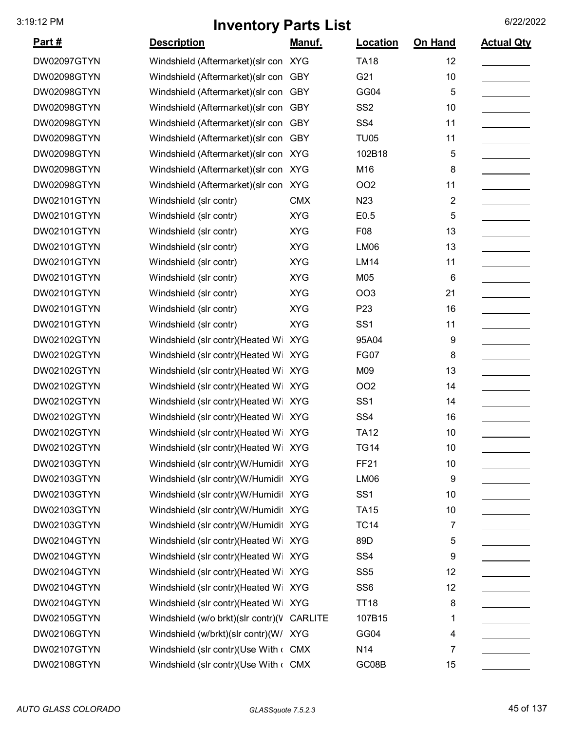| <u>Part #</u> | <b>Description</b>                               | <u>Manuf.</u> | <b>Location</b> | On Hand                 | <b>Actual Qty</b> |
|---------------|--------------------------------------------------|---------------|-----------------|-------------------------|-------------------|
| DW02097GTYN   | Windshield (Aftermarket)(slr con XYG             |               | <b>TA18</b>     | 12                      |                   |
| DW02098GTYN   | Windshield (Aftermarket) (slr con                | <b>GBY</b>    | G21             | 10                      |                   |
| DW02098GTYN   | Windshield (Aftermarket) (slr con                | <b>GBY</b>    | GG04            | 5                       |                   |
| DW02098GTYN   | Windshield (Aftermarket) (slr con                | <b>GBY</b>    | SS <sub>2</sub> | 10                      |                   |
| DW02098GTYN   | Windshield (Aftermarket) (slr con                | <b>GBY</b>    | SS <sub>4</sub> | 11                      |                   |
| DW02098GTYN   | Windshield (Aftermarket) (slr con                | <b>GBY</b>    | <b>TU05</b>     | 11                      |                   |
| DW02098GTYN   | Windshield (Aftermarket) (slr con XYG            |               | 102B18          | 5                       |                   |
| DW02098GTYN   | Windshield (Aftermarket) (slr con XYG            |               | M16             | 8                       |                   |
| DW02098GTYN   | Windshield (Aftermarket) (slr con                | <b>XYG</b>    | <b>OO2</b>      | 11                      |                   |
| DW02101GTYN   | Windshield (slr contr)                           | <b>CMX</b>    | N <sub>23</sub> | $\overline{\mathbf{c}}$ |                   |
| DW02101GTYN   | Windshield (slr contr)                           | <b>XYG</b>    | E0.5            | 5                       |                   |
| DW02101GTYN   | Windshield (slr contr)                           | <b>XYG</b>    | F08             | 13                      |                   |
| DW02101GTYN   | Windshield (slr contr)                           | <b>XYG</b>    | <b>LM06</b>     | 13                      |                   |
| DW02101GTYN   | Windshield (slr contr)                           | <b>XYG</b>    | <b>LM14</b>     | 11                      |                   |
| DW02101GTYN   | Windshield (slr contr)                           | <b>XYG</b>    | M05             | 6                       |                   |
| DW02101GTYN   | Windshield (slr contr)                           | <b>XYG</b>    | OO <sub>3</sub> | 21                      |                   |
| DW02101GTYN   | Windshield (slr contr)                           | <b>XYG</b>    | P <sub>23</sub> | 16                      |                   |
| DW02101GTYN   | Windshield (slr contr)                           | <b>XYG</b>    | SS <sub>1</sub> | 11                      |                   |
| DW02102GTYN   | Windshield (slr contr)(Heated Wi                 | <b>XYG</b>    | 95A04           | 9                       |                   |
| DW02102GTYN   | Windshield (slr contr)(Heated Wi                 | <b>XYG</b>    | <b>FG07</b>     | 8                       |                   |
| DW02102GTYN   | Windshield (slr contr)(Heated Wi                 | <b>XYG</b>    | M09             | 13                      |                   |
| DW02102GTYN   | Windshield (slr contr)(Heated Wi XYG             |               | OO <sub>2</sub> | 14                      |                   |
| DW02102GTYN   | Windshield (slr contr)(Heated Wi                 | <b>XYG</b>    | SS <sub>1</sub> | 14                      |                   |
| DW02102GTYN   | Windshield (slr contr)(Heated Wi XYG             |               | SS <sub>4</sub> | 16                      |                   |
| DW02102GTYN   | Windshield (slr contr)(Heated Wi XYG             |               | <b>TA12</b>     | 10                      |                   |
| DW02102GTYN   | Windshield (slr contr)(Heated Wi XYG             |               | <b>TG14</b>     | 10                      |                   |
| DW02103GTYN   | Windshield (slr contr)(W/Humidit XYG             |               | <b>FF21</b>     | 10                      |                   |
| DW02103GTYN   | Windshield (slr contr)(W/Humidit XYG             |               | LM06            | 9                       |                   |
| DW02103GTYN   | Windshield (slr contr)(W/Humidit XYG             |               | SS <sub>1</sub> | 10                      |                   |
| DW02103GTYN   | Windshield (slr contr)(W/Humidit XYG             |               | <b>TA15</b>     | 10                      |                   |
| DW02103GTYN   | Windshield (slr contr)(W/Humidit XYG             |               | <b>TC14</b>     | 7                       |                   |
| DW02104GTYN   | Windshield (slr contr)(Heated Wi XYG             |               | 89D             | 5                       |                   |
| DW02104GTYN   | Windshield (slr contr)(Heated Wi XYG             |               | SS <sub>4</sub> | 9                       |                   |
| DW02104GTYN   | Windshield (slr contr)(Heated Wi XYG             |               | SS <sub>5</sub> | 12                      |                   |
| DW02104GTYN   | Windshield (slr contr)(Heated Wi                 | XYG           | SS <sub>6</sub> | 12                      |                   |
| DW02104GTYN   | Windshield (slr contr)(Heated Wi XYG             |               | <b>TT18</b>     | 8                       |                   |
| DW02105GTYN   | Windshield (w/o brkt)(slr contr)(V CARLITE       |               | 107B15          | 1                       |                   |
| DW02106GTYN   | Windshield (w/brkt)(slr contr)(W/ XYG            |               | GG04            | 4                       |                   |
| DW02107GTYN   | Windshield (slr contr)(Use With $\leftarrow$ CMX |               | N <sub>14</sub> | 7                       |                   |
| DW02108GTYN   | Windshield (slr contr)(Use With c CMX            |               | GC08B           | 15                      |                   |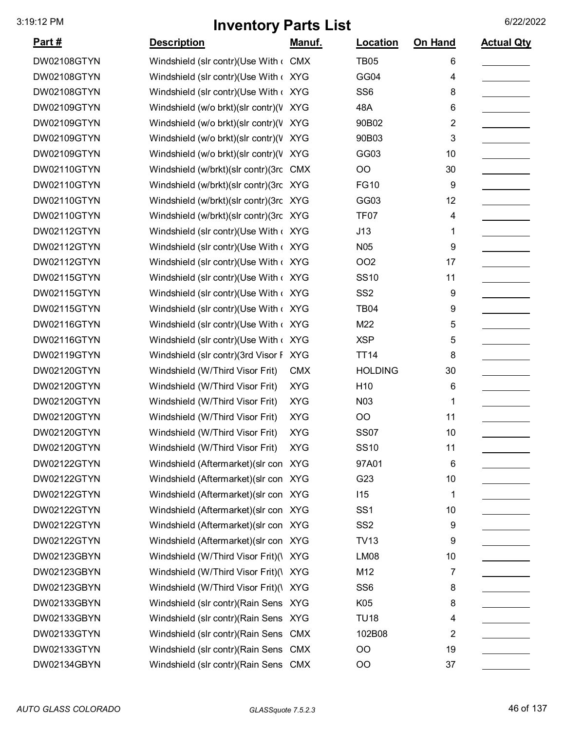| <u>Part #</u>      | <b>Description</b>                     | Manuf.     | Location         | On Hand | <b>Actual Qty</b> |
|--------------------|----------------------------------------|------------|------------------|---------|-------------------|
| <b>DW02108GTYN</b> | Windshield (slr contr)(Use With ( CMX  |            | <b>TB05</b>      | 6       |                   |
| <b>DW02108GTYN</b> | Windshield (slr contr)(Use With < XYG  |            | GG04             | 4       |                   |
| <b>DW02108GTYN</b> | Windshield (slr contr)(Use With < XYG  |            | SS <sub>6</sub>  | 8       |                   |
| DW02109GTYN        | Windshield (w/o brkt)(slr contr)(V XYG |            | 48A              | 6       |                   |
| DW02109GTYN        | Windshield (w/o brkt)(slr contr)(V XYG |            | 90B02            | 2       |                   |
| DW02109GTYN        | Windshield (w/o brkt)(slr contr)(V XYG |            | 90B03            | 3       |                   |
| DW02109GTYN        | Windshield (w/o brkt)(slr contr)(V XYG |            | GG03             | 10      |                   |
| DW02110GTYN        | Windshield (w/brkt)(slr contr)(3rc CMX |            | OO               | 30      |                   |
| DW02110GTYN        | Windshield (w/brkt)(slr contr)(3rc XYG |            | <b>FG10</b>      | 9       |                   |
| DW02110GTYN        | Windshield (w/brkt)(slr contr)(3rc XYG |            | GG03             | 12      |                   |
| DW02110GTYN        | Windshield (w/brkt)(slr contr)(3rc XYG |            | TF <sub>07</sub> | 4       |                   |
| <b>DW02112GTYN</b> | Windshield (slr contr)(Use With < XYG  |            | J13              | 1       |                   |
| DW02112GTYN        | Windshield (slr contr)(Use With < XYG  |            | N <sub>05</sub>  | 9       |                   |
| DW02112GTYN        | Windshield (slr contr)(Use With < XYG  |            | OO <sub>2</sub>  | 17      |                   |
| DW02115GTYN        | Windshield (slr contr)(Use With < XYG  |            | <b>SS10</b>      | 11      |                   |
| DW02115GTYN        | Windshield (slr contr)(Use With < XYG  |            | SS <sub>2</sub>  | 9       |                   |
| DW02115GTYN        | Windshield (slr contr)(Use With < XYG  |            | <b>TB04</b>      | 9       |                   |
| DW02116GTYN        | Windshield (slr contr)(Use With < XYG  |            | M22              | 5       |                   |
| DW02116GTYN        | Windshield (slr contr)(Use With < XYG  |            | <b>XSP</b>       | 5       |                   |
| DW02119GTYN        | Windshield (slr contr)(3rd Visor F XYG |            | <b>TT14</b>      | 8       |                   |
| DW02120GTYN        | Windshield (W/Third Visor Frit)        | <b>CMX</b> | <b>HOLDING</b>   | 30      |                   |
| DW02120GTYN        | Windshield (W/Third Visor Frit)        | <b>XYG</b> | H <sub>10</sub>  | 6       |                   |
| DW02120GTYN        | Windshield (W/Third Visor Frit)        | <b>XYG</b> | N <sub>0</sub> 3 | 1       |                   |
| DW02120GTYN        | Windshield (W/Third Visor Frit)        | <b>XYG</b> | OO               | 11      |                   |
| DW02120GTYN        | Windshield (W/Third Visor Frit)        | <b>XYG</b> | <b>SS07</b>      | 10      |                   |
| DW02120GTYN        | Windshield (W/Third Visor Frit)        | XYG        | <b>SS10</b>      | 11      |                   |
| DW02122GTYN        | Windshield (Aftermarket) (slr con XYG  |            | 97A01            | 6       |                   |
| DW02122GTYN        | Windshield (Aftermarket) (slr con XYG  |            | G23              | 10      |                   |
| DW02122GTYN        | Windshield (Aftermarket) (slr con XYG  |            | 115              | 1       |                   |
| DW02122GTYN        | Windshield (Aftermarket) (slr con XYG  |            | SS <sub>1</sub>  | 10      |                   |
| DW02122GTYN        | Windshield (Aftermarket) (slr con XYG  |            | SS <sub>2</sub>  | 9       |                   |
| DW02122GTYN        | Windshield (Aftermarket) (slr con XYG  |            | <b>TV13</b>      | 9       |                   |
| DW02123GBYN        | Windshield (W/Third Visor Frit)(\ XYG  |            | <b>LM08</b>      | 10      |                   |
| DW02123GBYN        | Windshield (W/Third Visor Frit)(\ XYG  |            | M12              | 7       |                   |
| DW02123GBYN        | Windshield (W/Third Visor Frit)(\ XYG  |            | SS <sub>6</sub>  | 8       |                   |
| DW02133GBYN        | Windshield (slr contr) (Rain Sens XYG  |            | K05              | 8       |                   |
| DW02133GBYN        | Windshield (slr contr) (Rain Sens XYG  |            | <b>TU18</b>      | 4       |                   |
| DW02133GTYN        | Windshield (slr contr) (Rain Sens      | <b>CMX</b> | 102B08           | 2       |                   |
| DW02133GTYN        | Windshield (slr contr) (Rain Sens CMX  |            | <b>OO</b>        | 19      |                   |
| DW02134GBYN        | Windshield (slr contr) (Rain Sens CMX  |            | <b>OO</b>        | 37      |                   |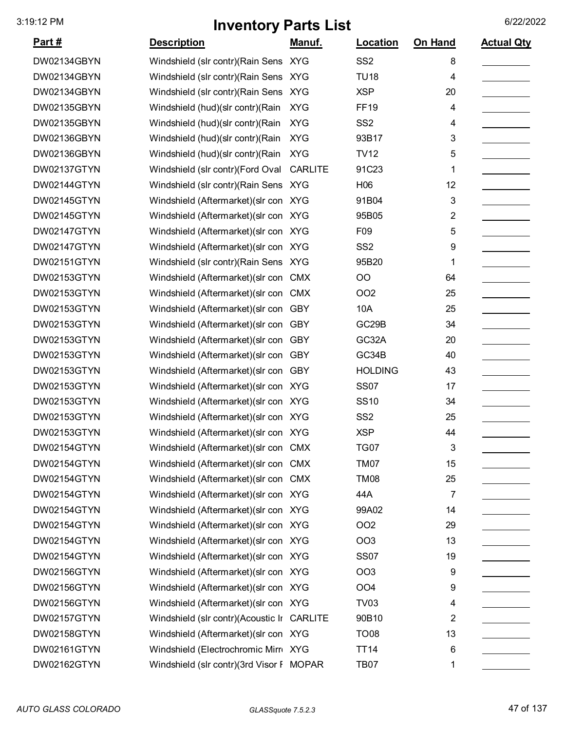| Part#              | <b>Description</b>                         | <u>Manuf.</u>  | <b>Location</b> | On Hand        | <b>Actual Qty</b> |
|--------------------|--------------------------------------------|----------------|-----------------|----------------|-------------------|
| DW02134GBYN        | Windshield (slr contr) (Rain Sens XYG      |                | SS <sub>2</sub> | 8              |                   |
| DW02134GBYN        | Windshield (slr contr) (Rain Sens XYG      |                | <b>TU18</b>     | 4              |                   |
| DW02134GBYN        | Windshield (slr contr) (Rain Sens XYG      |                | <b>XSP</b>      | 20             |                   |
| DW02135GBYN        | Windshield (hud)(slr contr)(Rain           | <b>XYG</b>     | <b>FF19</b>     | 4              |                   |
| DW02135GBYN        | Windshield (hud)(slr contr)(Rain           | <b>XYG</b>     | SS <sub>2</sub> | 4              |                   |
| DW02136GBYN        | Windshield (hud)(slr contr)(Rain           | <b>XYG</b>     | 93B17           | 3              |                   |
| DW02136GBYN        | Windshield (hud)(slr contr)(Rain           | <b>XYG</b>     | <b>TV12</b>     | 5              |                   |
| DW02137GTYN        | Windshield (slr contr)(Ford Oval           | <b>CARLITE</b> | 91C23           | 1              |                   |
| DW02144GTYN        | Windshield (slr contr) (Rain Sens XYG      |                | H <sub>06</sub> | 12             |                   |
| DW02145GTYN        | Windshield (Aftermarket) (slr con XYG      |                | 91B04           | 3              |                   |
| <b>DW02145GTYN</b> | Windshield (Aftermarket) (slr con XYG      |                | 95B05           | 2              |                   |
| DW02147GTYN        | Windshield (Aftermarket) (slr con XYG      |                | F09             | 5              |                   |
| DW02147GTYN        | Windshield (Aftermarket) (slr con XYG      |                | SS <sub>2</sub> | 9              |                   |
| DW02151GTYN        | Windshield (slr contr) (Rain Sens XYG      |                | 95B20           | 1              |                   |
| DW02153GTYN        | Windshield (Aftermarket) (slr con          | CMX            | OO              | 64             |                   |
| DW02153GTYN        | Windshield (Aftermarket) (slr con          | <b>CMX</b>     | OO <sub>2</sub> | 25             |                   |
| DW02153GTYN        | Windshield (Aftermarket) (slr con          | <b>GBY</b>     | 10A             | 25             |                   |
| DW02153GTYN        | Windshield (Aftermarket) (slr con          | <b>GBY</b>     | GC29B           | 34             |                   |
| DW02153GTYN        | Windshield (Aftermarket) (slr con          | <b>GBY</b>     | GC32A           | 20             |                   |
| DW02153GTYN        | Windshield (Aftermarket) (slr con          | <b>GBY</b>     | GC34B           | 40             |                   |
| DW02153GTYN        | Windshield (Aftermarket) (slr con          | <b>GBY</b>     | <b>HOLDING</b>  | 43             |                   |
| DW02153GTYN        | Windshield (Aftermarket) (slr con XYG      |                | <b>SS07</b>     | 17             |                   |
| DW02153GTYN        | Windshield (Aftermarket) (slr con XYG      |                | <b>SS10</b>     | 34             |                   |
| DW02153GTYN        | Windshield (Aftermarket) (slr con XYG      |                | SS <sub>2</sub> | 25             |                   |
| DW02153GTYN        | Windshield (Aftermarket) (slr con XYG      |                | <b>XSP</b>      | 44             |                   |
| DW02154GTYN        | Windshield (Aftermarket) (slr con CMX      |                | TG07            | 3              |                   |
| DW02154GTYN        | Windshield (Aftermarket) (slr con CMX      |                | <b>TM07</b>     | 15             |                   |
| DW02154GTYN        | Windshield (Aftermarket) (slr con CMX      |                | <b>TM08</b>     | 25             |                   |
| DW02154GTYN        | Windshield (Aftermarket) (slr con XYG      |                | 44A             | $\overline{7}$ |                   |
| DW02154GTYN        | Windshield (Aftermarket) (slr con XYG      |                | 99A02           | 14             |                   |
| <b>DW02154GTYN</b> | Windshield (Aftermarket) (slr con XYG      |                | OO <sub>2</sub> | 29             |                   |
| DW02154GTYN        | Windshield (Aftermarket) (slr con XYG      |                | OO <sub>3</sub> | 13             |                   |
| DW02154GTYN        | Windshield (Aftermarket) (slr con XYG      |                | <b>SS07</b>     | 19             |                   |
| DW02156GTYN        | Windshield (Aftermarket) (slr con XYG      |                | OO <sub>3</sub> | 9              |                   |
| <b>DW02156GTYN</b> | Windshield (Aftermarket) (slr con XYG      |                | OO <sub>4</sub> | 9              |                   |
| DW02156GTYN        | Windshield (Aftermarket) (slr con XYG      |                | <b>TV03</b>     | 4              |                   |
| <b>DW02157GTYN</b> | Windshield (slr contr)(Acoustic Ir CARLITE |                | 90B10           | 2              |                   |
| DW02158GTYN        | Windshield (Aftermarket) (slr con XYG      |                | <b>TO08</b>     | 13             |                   |
| DW02161GTYN        | Windshield (Electrochromic Mirr XYG        |                | <b>TT14</b>     | 6              |                   |
| DW02162GTYN        | Windshield (slr contr)(3rd Visor F MOPAR   |                | <b>TB07</b>     | 1              |                   |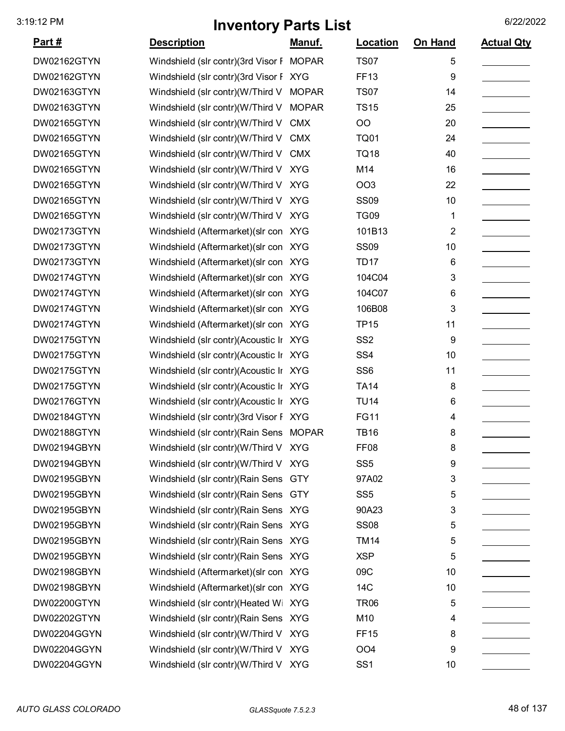| <u>Part #</u>      | <b>Description</b>                       | <u>Manuf.</u> | Location        | On Hand | <b>Actual Qty</b> |
|--------------------|------------------------------------------|---------------|-----------------|---------|-------------------|
| DW02162GTYN        | Windshield (slr contr)(3rd Visor F MOPAR |               | <b>TS07</b>     | 5       |                   |
| DW02162GTYN        | Windshield (slr contr)(3rd Visor F XYG   |               | <b>FF13</b>     | 9       |                   |
| DW02163GTYN        | Windshield (slr contr)(W/Third V         | <b>MOPAR</b>  | <b>TS07</b>     | 14      |                   |
| DW02163GTYN        | Windshield (slr contr)(W/Third V         | <b>MOPAR</b>  | <b>TS15</b>     | 25      |                   |
| <b>DW02165GTYN</b> | Windshield (slr contr)(W/Third V         | <b>CMX</b>    | OO              | 20      |                   |
| <b>DW02165GTYN</b> | Windshield (slr contr)(W/Third V         | <b>CMX</b>    | <b>TQ01</b>     | 24      |                   |
| DW02165GTYN        | Windshield (slr contr)(W/Third V         | <b>CMX</b>    | <b>TQ18</b>     | 40      |                   |
| <b>DW02165GTYN</b> | Windshield (slr contr)(W/Third V         | <b>XYG</b>    | M14             | 16      |                   |
| DW02165GTYN        | Windshield (slr contr)(W/Third V         | <b>XYG</b>    | OO <sub>3</sub> | 22      |                   |
| DW02165GTYN        | Windshield (slr contr)(W/Third V XYG     |               | <b>SS09</b>     | 10      |                   |
| <b>DW02165GTYN</b> | Windshield (slr contr)(W/Third V XYG     |               | <b>TG09</b>     | 1       |                   |
| DW02173GTYN        | Windshield (Aftermarket) (slr con XYG    |               | 101B13          | 2       |                   |
| DW02173GTYN        | Windshield (Aftermarket) (slr con XYG    |               | <b>SS09</b>     | 10      |                   |
| DW02173GTYN        | Windshield (Aftermarket) (slr con XYG    |               | <b>TD17</b>     | 6       |                   |
| DW02174GTYN        | Windshield (Aftermarket) (slr con XYG    |               | 104C04          | 3       |                   |
| DW02174GTYN        | Windshield (Aftermarket) (slr con XYG    |               | 104C07          | 6       |                   |
| DW02174GTYN        | Windshield (Aftermarket) (slr con XYG    |               | 106B08          | 3       |                   |
| DW02174GTYN        | Windshield (Aftermarket) (slr con XYG    |               | <b>TP15</b>     | 11      |                   |
| DW02175GTYN        | Windshield (slr contr)(Acoustic Ir XYG   |               | SS <sub>2</sub> | 9       |                   |
| DW02175GTYN        | Windshield (slr contr)(Acoustic Ir XYG   |               | SS <sub>4</sub> | 10      |                   |
| DW02175GTYN        | Windshield (slr contr)(Acoustic Ir XYG   |               | SS <sub>6</sub> | 11      |                   |
| DW02175GTYN        | Windshield (slr contr)(Acoustic Ir XYG   |               | <b>TA14</b>     | 8       |                   |
| DW02176GTYN        | Windshield (slr contr)(Acoustic Ir XYG   |               | <b>TU14</b>     | 6       |                   |
| DW02184GTYN        | Windshield (slr contr)(3rd Visor F XYG   |               | <b>FG11</b>     | 4       |                   |
| DW02188GTYN        | Windshield (slr contr) (Rain Sens MOPAR  |               | <b>TB16</b>     | 8       |                   |
| DW02194GBYN        | Windshield (slr contr)(W/Third V XYG     |               | <b>FF08</b>     | 8       |                   |
| DW02194GBYN        | Windshield (slr contr)(W/Third V XYG     |               | SS <sub>5</sub> | 9       |                   |
| DW02195GBYN        | Windshield (slr contr) (Rain Sens GTY    |               | 97A02           | 3       |                   |
| DW02195GBYN        | Windshield (slr contr) (Rain Sens GTY    |               | SS <sub>5</sub> | 5       |                   |
| DW02195GBYN        | Windshield (slr contr) (Rain Sens XYG    |               | 90A23           | 3       |                   |
| DW02195GBYN        | Windshield (slr contr) (Rain Sens XYG    |               | <b>SS08</b>     | 5       |                   |
| DW02195GBYN        | Windshield (slr contr) (Rain Sens XYG    |               | <b>TM14</b>     | 5       |                   |
| DW02195GBYN        | Windshield (slr contr) (Rain Sens XYG    |               | <b>XSP</b>      | 5       |                   |
| DW02198GBYN        | Windshield (Aftermarket) (slr con XYG    |               | 09C             | 10      |                   |
| DW02198GBYN        | Windshield (Aftermarket) (slr con XYG    |               | 14C             | 10      |                   |
| DW02200GTYN        | Windshield (slr contr)(Heated Wi XYG     |               | <b>TR06</b>     | 5       |                   |
| DW02202GTYN        | Windshield (slr contr) (Rain Sens XYG    |               | M10             | 4       |                   |
| DW02204GGYN        | Windshield (slr contr)(W/Third V XYG     |               | <b>FF15</b>     | 8       |                   |
| DW02204GGYN        | Windshield (slr contr)(W/Third V XYG     |               | OO <sub>4</sub> | 9       |                   |
| DW02204GGYN        | Windshield (slr contr)(W/Third V XYG     |               | SS <sub>1</sub> | 10      |                   |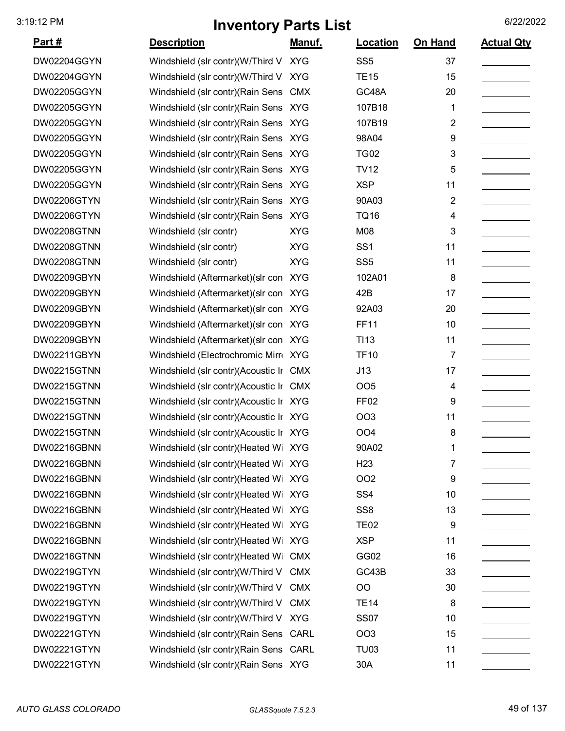| <u>Part #</u> | <b>Description</b>                     | Manuf.     | Location         | On Hand | <b>Actual Qty</b> |
|---------------|----------------------------------------|------------|------------------|---------|-------------------|
| DW02204GGYN   | Windshield (slr contr)(W/Third V XYG   |            | SS <sub>5</sub>  | 37      |                   |
| DW02204GGYN   | Windshield (slr contr)(W/Third V       | <b>XYG</b> | <b>TE15</b>      | 15      |                   |
| DW02205GGYN   | Windshield (slr contr) (Rain Sens      | <b>CMX</b> | GC48A            | 20      |                   |
| DW02205GGYN   | Windshield (slr contr) (Rain Sens XYG  |            | 107B18           | 1       |                   |
| DW02205GGYN   | Windshield (slr contr) (Rain Sens XYG  |            | 107B19           | 2       |                   |
| DW02205GGYN   | Windshield (slr contr) (Rain Sens XYG  |            | 98A04            | 9       |                   |
| DW02205GGYN   | Windshield (slr contr) (Rain Sens XYG  |            | <b>TG02</b>      | 3       |                   |
| DW02205GGYN   | Windshield (slr contr) (Rain Sens XYG  |            | <b>TV12</b>      | 5       |                   |
| DW02205GGYN   | Windshield (slr contr) (Rain Sens XYG  |            | <b>XSP</b>       | 11      |                   |
| DW02206GTYN   | Windshield (slr contr) (Rain Sens XYG  |            | 90A03            | 2       |                   |
| DW02206GTYN   | Windshield (slr contr) (Rain Sens      | <b>XYG</b> | <b>TQ16</b>      | 4       |                   |
| DW02208GTNN   | Windshield (slr contr)                 | <b>XYG</b> | M08              | 3       |                   |
| DW02208GTNN   | Windshield (slr contr)                 | <b>XYG</b> | SS <sub>1</sub>  | 11      |                   |
| DW02208GTNN   | Windshield (slr contr)                 | <b>XYG</b> | SS <sub>5</sub>  | 11      |                   |
| DW02209GBYN   | Windshield (Aftermarket) (slr con XYG  |            | 102A01           | 8       |                   |
| DW02209GBYN   | Windshield (Aftermarket) (slr con      | <b>XYG</b> | 42B              | 17      |                   |
| DW02209GBYN   | Windshield (Aftermarket) (slr con XYG  |            | 92A03            | 20      |                   |
| DW02209GBYN   | Windshield (Aftermarket) (slr con XYG  |            | <b>FF11</b>      | 10      |                   |
| DW02209GBYN   | Windshield (Aftermarket) (slr con XYG  |            | TI <sub>13</sub> | 11      |                   |
| DW02211GBYN   | Windshield (Electrochromic Mirr XYG    |            | <b>TF10</b>      | 7       |                   |
| DW02215GTNN   | Windshield (slr contr)(Acoustic Ir CMX |            | J13              | 17      |                   |
| DW02215GTNN   | Windshield (slr contr)(Acoustic Ir CMX |            | OO <sub>5</sub>  | 4       |                   |
| DW02215GTNN   | Windshield (slr contr)(Acoustic Ir XYG |            | FF <sub>02</sub> | 9       |                   |
| DW02215GTNN   | Windshield (slr contr)(Acoustic Ir XYG |            | OO <sub>3</sub>  | 11      |                   |
| DW02215GTNN   | Windshield (slr contr)(Acoustic Ir XYG |            | OO <sub>4</sub>  | 8       |                   |
| DW02216GBNN   | Windshield (slr contr)(Heated Wi XYG   |            | 90A02            | 1       |                   |
| DW02216GBNN   | Windshield (slr contr)(Heated Wi XYG   |            | H <sub>23</sub>  | 7       |                   |
| DW02216GBNN   | Windshield (slr contr)(Heated Wi XYG   |            | OO <sub>2</sub>  | 9       |                   |
| DW02216GBNN   | Windshield (slr contr)(Heated Wi XYG   |            | SS <sub>4</sub>  | 10      |                   |
| DW02216GBNN   | Windshield (slr contr)(Heated Wi XYG   |            | SS <sub>8</sub>  | 13      |                   |
| DW02216GBNN   | Windshield (slr contr)(Heated Wi XYG   |            | <b>TE02</b>      | 9       |                   |
| DW02216GBNN   | Windshield (slr contr) (Heated Wi XYG  |            | <b>XSP</b>       | 11      |                   |
| DW02216GTNN   | Windshield (slr contr)(Heated Wi CMX   |            | GG02             | 16      |                   |
| DW02219GTYN   | Windshield (slr contr)(W/Third V CMX   |            | GC43B            | 33      |                   |
| DW02219GTYN   | Windshield (slr contr)(W/Third V       | <b>CMX</b> | OO               | 30      |                   |
| DW02219GTYN   | Windshield (slr contr)(W/Third V CMX   |            | <b>TE14</b>      | 8       |                   |
| DW02219GTYN   | Windshield (slr contr)(W/Third V XYG   |            | <b>SS07</b>      | 10      |                   |
| DW02221GTYN   | Windshield (slr contr) (Rain Sens CARL |            | OO <sub>3</sub>  | 15      |                   |
| DW02221GTYN   | Windshield (slr contr) (Rain Sens CARL |            | <b>TU03</b>      | 11      |                   |
| DW02221GTYN   | Windshield (slr contr) (Rain Sens XYG  |            | 30A              | 11      |                   |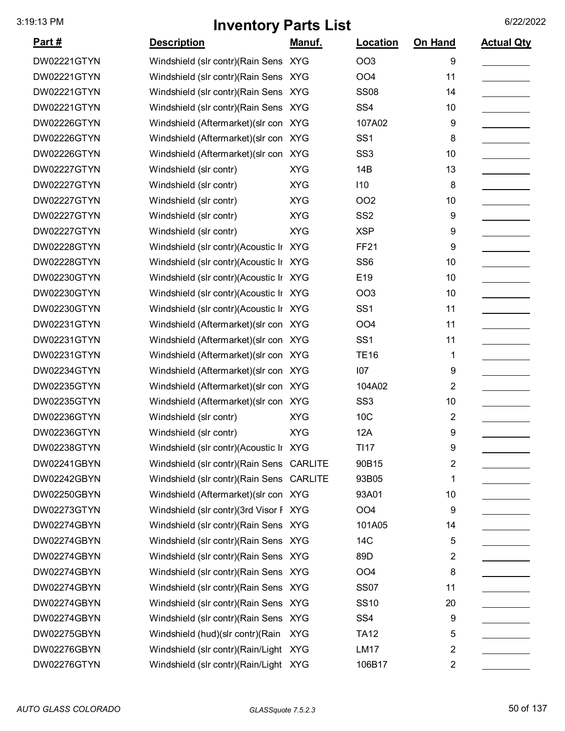| <u>Part #</u> | <b>Description</b>                        | Manuf.     | Location        | On Hand        | <b>Actual Qty</b> |
|---------------|-------------------------------------------|------------|-----------------|----------------|-------------------|
| DW02221GTYN   | Windshield (slr contr) (Rain Sens XYG     |            | <b>OO3</b>      | 9              |                   |
| DW02221GTYN   | Windshield (slr contr) (Rain Sens XYG     |            | OO <sub>4</sub> | 11             |                   |
| DW02221GTYN   | Windshield (slr contr) (Rain Sens XYG     |            | <b>SS08</b>     | 14             |                   |
| DW02221GTYN   | Windshield (slr contr) (Rain Sens XYG     |            | SS <sub>4</sub> | 10             |                   |
| DW02226GTYN   | Windshield (Aftermarket) (slr con XYG     |            | 107A02          | 9              |                   |
| DW02226GTYN   | Windshield (Aftermarket) (slr con XYG     |            | SS <sub>1</sub> | 8              |                   |
| DW02226GTYN   | Windshield (Aftermarket) (slr con XYG     |            | SS <sub>3</sub> | 10             |                   |
| DW02227GTYN   | Windshield (slr contr)                    | <b>XYG</b> | 14B             | 13             |                   |
| DW02227GTYN   | Windshield (slr contr)                    | <b>XYG</b> | 110             | 8              |                   |
| DW02227GTYN   | Windshield (slr contr)                    | <b>XYG</b> | <b>OO2</b>      | 10             |                   |
| DW02227GTYN   | Windshield (slr contr)                    | <b>XYG</b> | SS <sub>2</sub> | 9              |                   |
| DW02227GTYN   | Windshield (slr contr)                    | <b>XYG</b> | <b>XSP</b>      | 9              |                   |
| DW02228GTYN   | Windshield (slr contr)(Acoustic Ir XYG    |            | <b>FF21</b>     | 9              |                   |
| DW02228GTYN   | Windshield (slr contr)(Acoustic Ir XYG    |            | SS <sub>6</sub> | 10             |                   |
| DW02230GTYN   | Windshield (slr contr)(Acoustic Ir XYG    |            | E19             | 10             |                   |
| DW02230GTYN   | Windshield (slr contr)(Acoustic Ir XYG    |            | <b>OO3</b>      | 10             |                   |
| DW02230GTYN   | Windshield (slr contr)(Acoustic Ir XYG    |            | SS <sub>1</sub> | 11             |                   |
| DW02231GTYN   | Windshield (Aftermarket) (slr con XYG     |            | OO <sub>4</sub> | 11             |                   |
| DW02231GTYN   | Windshield (Aftermarket) (slr con XYG     |            | SS <sub>1</sub> | 11             |                   |
| DW02231GTYN   | Windshield (Aftermarket) (slr con XYG     |            | <b>TE16</b>     | 1              |                   |
| DW02234GTYN   | Windshield (Aftermarket) (slr con XYG     |            | 107             | 9              |                   |
| DW02235GTYN   | Windshield (Aftermarket) (slr con XYG     |            | 104A02          | $\overline{2}$ |                   |
| DW02235GTYN   | Windshield (Aftermarket) (slr con XYG     |            | SS <sub>3</sub> | 10             |                   |
| DW02236GTYN   | Windshield (slr contr)                    | <b>XYG</b> | 10C             | 2              |                   |
| DW02236GTYN   | Windshield (slr contr)                    | <b>XYG</b> | 12A             | 9              |                   |
| DW02238GTYN   | Windshield (slr contr)(Acoustic Ir XYG    |            | TI17            | 9              |                   |
| DW02241GBYN   | Windshield (slr contr) (Rain Sens CARLITE |            | 90B15           | $\overline{2}$ |                   |
| DW02242GBYN   | Windshield (slr contr)(Rain Sens CARLITE  |            | 93B05           | 1              |                   |
| DW02250GBYN   | Windshield (Aftermarket) (slr con XYG     |            | 93A01           | 10             |                   |
| DW02273GTYN   | Windshield (slr contr)(3rd Visor F XYG    |            | OO <sub>4</sub> | 9              |                   |
| DW02274GBYN   | Windshield (slr contr)(Rain Sens XYG      |            | 101A05          | 14             |                   |
| DW02274GBYN   | Windshield (slr contr) (Rain Sens XYG     |            | 14C             | 5              |                   |
| DW02274GBYN   | Windshield (slr contr) (Rain Sens XYG     |            | 89D             | 2              |                   |
| DW02274GBYN   | Windshield (slr contr) (Rain Sens XYG     |            | OO <sub>4</sub> | 8              |                   |
| DW02274GBYN   | Windshield (slr contr) (Rain Sens XYG     |            | <b>SS07</b>     | 11             |                   |
| DW02274GBYN   | Windshield (slr contr) (Rain Sens XYG     |            | <b>SS10</b>     | 20             |                   |
| DW02274GBYN   | Windshield (slr contr) (Rain Sens XYG     |            | SS <sub>4</sub> | 9              |                   |
| DW02275GBYN   | Windshield (hud)(slr contr)(Rain          | <b>XYG</b> | <b>TA12</b>     | 5              |                   |
| DW02276GBYN   | Windshield (slr contr)(Rain/Light XYG     |            | <b>LM17</b>     | 2              |                   |
| DW02276GTYN   | Windshield (slr contr)(Rain/Light XYG     |            | 106B17          | $\overline{2}$ |                   |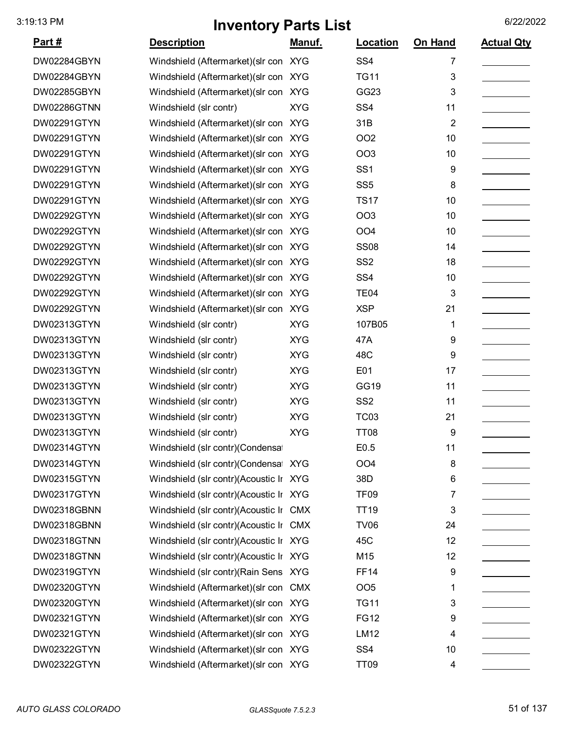| <u>Part #</u> | <b>Description</b>                     | <u>Manuf.</u> | <b>Location</b> | On Hand        | <b>Actual Qty</b> |
|---------------|----------------------------------------|---------------|-----------------|----------------|-------------------|
| DW02284GBYN   | Windshield (Aftermarket) (slr con XYG  |               | SS <sub>4</sub> | 7              |                   |
| DW02284GBYN   | Windshield (Aftermarket) (slr con XYG  |               | <b>TG11</b>     | 3              |                   |
| DW02285GBYN   | Windshield (Aftermarket) (slr con XYG  |               | GG23            | 3              |                   |
| DW02286GTNN   | Windshield (slr contr)                 | <b>XYG</b>    | SS <sub>4</sub> | 11             |                   |
| DW02291GTYN   | Windshield (Aftermarket) (slr con XYG  |               | 31B             | $\overline{2}$ |                   |
| DW02291GTYN   | Windshield (Aftermarket) (slr con XYG  |               | OO <sub>2</sub> | 10             |                   |
| DW02291GTYN   | Windshield (Aftermarket) (slr con XYG  |               | OO <sub>3</sub> | 10             |                   |
| DW02291GTYN   | Windshield (Aftermarket) (slr con XYG  |               | SS <sub>1</sub> | 9              |                   |
| DW02291GTYN   | Windshield (Aftermarket) (slr con XYG  |               | SS <sub>5</sub> | 8              |                   |
| DW02291GTYN   | Windshield (Aftermarket) (slr con XYG  |               | <b>TS17</b>     | 10             |                   |
| DW02292GTYN   | Windshield (Aftermarket) (slr con XYG  |               | OO <sub>3</sub> | 10             |                   |
| DW02292GTYN   | Windshield (Aftermarket) (slr con XYG  |               | OO <sub>4</sub> | 10             |                   |
| DW02292GTYN   | Windshield (Aftermarket) (slr con XYG  |               | <b>SS08</b>     | 14             |                   |
| DW02292GTYN   | Windshield (Aftermarket) (slr con XYG  |               | SS <sub>2</sub> | 18             |                   |
| DW02292GTYN   | Windshield (Aftermarket) (slr con XYG  |               | SS <sub>4</sub> | 10             |                   |
| DW02292GTYN   | Windshield (Aftermarket) (slr con XYG  |               | <b>TE04</b>     | 3              |                   |
| DW02292GTYN   | Windshield (Aftermarket) (slr con XYG  |               | <b>XSP</b>      | 21             |                   |
| DW02313GTYN   | Windshield (slr contr)                 | <b>XYG</b>    | 107B05          | 1              |                   |
| DW02313GTYN   | Windshield (slr contr)                 | <b>XYG</b>    | 47A             | 9              |                   |
| DW02313GTYN   | Windshield (slr contr)                 | <b>XYG</b>    | 48C             | 9              |                   |
| DW02313GTYN   | Windshield (slr contr)                 | <b>XYG</b>    | E01             | 17             |                   |
| DW02313GTYN   | Windshield (slr contr)                 | <b>XYG</b>    | GG19            | 11             |                   |
| DW02313GTYN   | Windshield (slr contr)                 | <b>XYG</b>    | SS <sub>2</sub> | 11             |                   |
| DW02313GTYN   | Windshield (slr contr)                 | <b>XYG</b>    | <b>TC03</b>     | 21             |                   |
| DW02313GTYN   | Windshield (slr contr)                 | <b>XYG</b>    | <b>TT08</b>     | 9              |                   |
| DW02314GTYN   | Windshield (slr contr) (Condensa       |               | E0.5            | 11             |                   |
| DW02314GTYN   | Windshield (slr contr)(Condensa XYG    |               | OO <sub>4</sub> | 8              |                   |
| DW02315GTYN   | Windshield (slr contr)(Acoustic Ir XYG |               | 38D             | 6              |                   |
| DW02317GTYN   | Windshield (slr contr)(Acoustic Ir XYG |               | <b>TF09</b>     | 7              |                   |
| DW02318GBNN   | Windshield (slr contr)(Acoustic Ir CMX |               | <b>TT19</b>     | 3              |                   |
| DW02318GBNN   | Windshield (slr contr)(Acoustic Ir CMX |               | <b>TV06</b>     | 24             |                   |
| DW02318GTNN   | Windshield (slr contr)(Acoustic Ir XYG |               | 45C             | 12             |                   |
| DW02318GTNN   | Windshield (slr contr)(Acoustic Ir XYG |               | M15             | 12             |                   |
| DW02319GTYN   | Windshield (slr contr) (Rain Sens XYG  |               | <b>FF14</b>     | 9              |                   |
| DW02320GTYN   | Windshield (Aftermarket) (slr con CMX  |               | OO <sub>5</sub> | 1              |                   |
| DW02320GTYN   | Windshield (Aftermarket)(slr con XYG   |               | <b>TG11</b>     | 3              |                   |
| DW02321GTYN   | Windshield (Aftermarket) (slr con XYG  |               | <b>FG12</b>     | 9              |                   |
| DW02321GTYN   | Windshield (Aftermarket) (slr con XYG  |               | LM12            | 4              |                   |
| DW02322GTYN   | Windshield (Aftermarket) (slr con XYG  |               | SS <sub>4</sub> | 10             |                   |
| DW02322GTYN   | Windshield (Aftermarket) (slr con XYG  |               | <b>TT09</b>     | 4              |                   |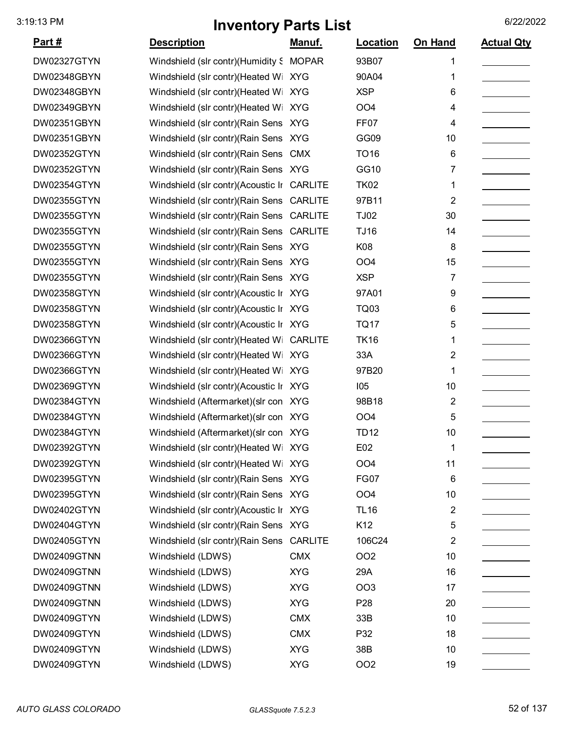| <u>Part #</u> | <b>Description</b>                         | <u>Manuf.</u> | <b>Location</b>  | On Hand                 | <b>Actual Qty</b> |
|---------------|--------------------------------------------|---------------|------------------|-------------------------|-------------------|
| DW02327GTYN   | Windshield (slr contr) (Humidity S         | <b>MOPAR</b>  | 93B07            | 1                       |                   |
| DW02348GBYN   | Windshield (slr contr)(Heated Wi XYG       |               | 90A04            | 1                       |                   |
| DW02348GBYN   | Windshield (slr contr)(Heated Wi XYG       |               | <b>XSP</b>       | 6                       |                   |
| DW02349GBYN   | Windshield (slr contr)(Heated Wi           | <b>XYG</b>    | OO <sub>4</sub>  | 4                       |                   |
| DW02351GBYN   | Windshield (slr contr)(Rain Sens XYG       |               | FF <sub>07</sub> | 4                       |                   |
| DW02351GBYN   | Windshield (slr contr)(Rain Sens XYG       |               | GG09             | 10                      |                   |
| DW02352GTYN   | Windshield (slr contr) (Rain Sens CMX      |               | <b>TO16</b>      | 6                       |                   |
| DW02352GTYN   | Windshield (slr contr) (Rain Sens XYG      |               | GG10             | 7                       |                   |
| DW02354GTYN   | Windshield (slr contr)(Acoustic Ir CARLITE |               | <b>TK02</b>      | 1                       |                   |
| DW02355GTYN   | Windshield (slr contr) (Rain Sens CARLITE  |               | 97B11            | $\overline{2}$          |                   |
| DW02355GTYN   | Windshield (slr contr)(Rain Sens CARLITE   |               | <b>TJ02</b>      | 30                      |                   |
| DW02355GTYN   | Windshield (slr contr)(Rain Sens CARLITE   |               | <b>TJ16</b>      | 14                      |                   |
| DW02355GTYN   | Windshield (slr contr) (Rain Sens XYG      |               | K08              | 8                       |                   |
| DW02355GTYN   | Windshield (slr contr)(Rain Sens XYG       |               | OO <sub>4</sub>  | 15                      |                   |
| DW02355GTYN   | Windshield (slr contr) (Rain Sens XYG      |               | <b>XSP</b>       | 7                       |                   |
| DW02358GTYN   | Windshield (slr contr)(Acoustic Ir XYG     |               | 97A01            | 9                       |                   |
| DW02358GTYN   | Windshield (slr contr)(Acoustic Ir XYG     |               | <b>TQ03</b>      | 6                       |                   |
| DW02358GTYN   | Windshield (slr contr)(Acoustic Ir XYG     |               | <b>TQ17</b>      | 5                       |                   |
| DW02366GTYN   | Windshield (slr contr)(Heated W CARLITE    |               | <b>TK16</b>      | 1                       |                   |
| DW02366GTYN   | Windshield (slr contr)(Heated Wi XYG       |               | 33A              | 2                       |                   |
| DW02366GTYN   | Windshield (slr contr)(Heated Wi XYG       |               | 97B20            | 1                       |                   |
| DW02369GTYN   | Windshield (slr contr)(Acoustic Ir XYG     |               | 105              | 10                      |                   |
| DW02384GTYN   | Windshield (Aftermarket) (slr con XYG      |               | 98B18            | 2                       |                   |
| DW02384GTYN   | Windshield (Aftermarket) (slr con XYG      |               | OO <sub>4</sub>  | 5                       |                   |
| DW02384GTYN   | Windshield (Aftermarket) (slr con XYG      |               | <b>TD12</b>      | 10                      |                   |
| DW02392GTYN   | Windshield (slr contr)(Heated Wi XYG       |               | E02              | 1                       |                   |
| DW02392GTYN   | Windshield (slr contr)(Heated Wi XYG       |               | OO <sub>4</sub>  | 11                      |                   |
| DW02395GTYN   | Windshield (slr contr) (Rain Sens XYG      |               | <b>FG07</b>      | 6                       |                   |
| DW02395GTYN   | Windshield (slr contr) (Rain Sens XYG      |               | OO <sub>4</sub>  | 10                      |                   |
| DW02402GTYN   | Windshield (slr contr)(Acoustic Ir XYG     |               | <b>TL16</b>      | $\overline{\mathbf{c}}$ |                   |
| DW02404GTYN   | Windshield (slr contr)(Rain Sens XYG       |               | K12              | 5                       |                   |
| DW02405GTYN   | Windshield (slr contr) (Rain Sens CARLITE  |               | 106C24           | 2                       |                   |
| DW02409GTNN   | Windshield (LDWS)                          | <b>CMX</b>    | OO <sub>2</sub>  | 10                      |                   |
| DW02409GTNN   | Windshield (LDWS)                          | <b>XYG</b>    | 29A              | 16                      |                   |
| DW02409GTNN   | Windshield (LDWS)                          | <b>XYG</b>    | <b>OO3</b>       | 17                      |                   |
| DW02409GTNN   | Windshield (LDWS)                          | <b>XYG</b>    | P <sub>28</sub>  | 20                      |                   |
| DW02409GTYN   | Windshield (LDWS)                          | <b>CMX</b>    | 33B              | 10                      |                   |
| DW02409GTYN   | Windshield (LDWS)                          | <b>CMX</b>    | P32              | 18                      |                   |
| DW02409GTYN   | Windshield (LDWS)                          | <b>XYG</b>    | 38B              | 10                      |                   |
| DW02409GTYN   | Windshield (LDWS)                          | <b>XYG</b>    | OO <sub>2</sub>  | 19                      |                   |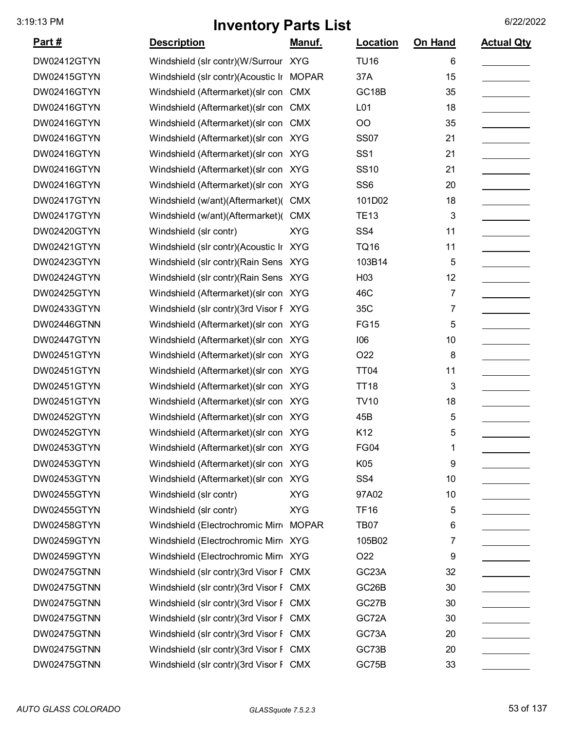| <u>Part #</u> | <b>Description</b>                       | <u>Manuf.</u> | Location           | On Hand | <b>Actual Qty</b> |
|---------------|------------------------------------------|---------------|--------------------|---------|-------------------|
| DW02412GTYN   | Windshield (slr contr)(W/Surrour XYG     |               | <b>TU16</b>        | 6       |                   |
| DW02415GTYN   | Windshield (slr contr)(Acoustic Ir MOPAR |               | 37A                | 15      |                   |
| DW02416GTYN   | Windshield (Aftermarket) (slr con        | <b>CMX</b>    | GC18B              | 35      |                   |
| DW02416GTYN   | Windshield (Aftermarket) (slr con        | <b>CMX</b>    | L01                | 18      |                   |
| DW02416GTYN   | Windshield (Aftermarket) (slr con        | <b>CMX</b>    | OO                 | 35      |                   |
| DW02416GTYN   | Windshield (Aftermarket) (slr con XYG    |               | <b>SS07</b>        | 21      |                   |
| DW02416GTYN   | Windshield (Aftermarket) (slr con XYG    |               | SS <sub>1</sub>    | 21      |                   |
| DW02416GTYN   | Windshield (Aftermarket) (slr con XYG    |               | <b>SS10</b>        | 21      |                   |
| DW02416GTYN   | Windshield (Aftermarket) (slr con XYG    |               | SS <sub>6</sub>    | 20      |                   |
| DW02417GTYN   | Windshield (w/ant)(Aftermarket)(         | <b>CMX</b>    | 101D02             | 18      |                   |
| DW02417GTYN   | Windshield (w/ant)(Aftermarket)(         | <b>CMX</b>    | <b>TE13</b>        | 3       |                   |
| DW02420GTYN   | Windshield (slr contr)                   | <b>XYG</b>    | SS <sub>4</sub>    | 11      |                   |
| DW02421GTYN   | Windshield (slr contr)(Acoustic Ir XYG   |               | <b>TQ16</b>        | 11      |                   |
| DW02423GTYN   | Windshield (slr contr) (Rain Sens XYG    |               | 103B14             | 5       |                   |
| DW02424GTYN   | Windshield (slr contr) (Rain Sens XYG    |               | H03                | 12      |                   |
| DW02425GTYN   | Windshield (Aftermarket) (slr con XYG    |               | 46C                | 7       |                   |
| DW02433GTYN   | Windshield (slr contr)(3rd Visor F XYG   |               | 35C                | 7       |                   |
| DW02446GTNN   | Windshield (Aftermarket) (slr con XYG    |               | <b>FG15</b>        | 5       |                   |
| DW02447GTYN   | Windshield (Aftermarket) (slr con XYG    |               | 106                | 10      |                   |
| DW02451GTYN   | Windshield (Aftermarket) (slr con XYG    |               | O22                | 8       |                   |
| DW02451GTYN   | Windshield (Aftermarket) (slr con XYG    |               | <b>TT04</b>        | 11      |                   |
| DW02451GTYN   | Windshield (Aftermarket) (slr con XYG    |               | <b>TT18</b>        | 3       |                   |
| DW02451GTYN   | Windshield (Aftermarket) (slr con XYG    |               | <b>TV10</b>        | 18      |                   |
| DW02452GTYN   | Windshield (Aftermarket) (slr con XYG    |               | 45B                | 5       |                   |
| DW02452GTYN   | Windshield (Aftermarket) (slr con XYG    |               | K12                | 5       |                   |
| DW02453GTYN   | Windshield (Aftermarket) (slr con XYG    |               | FG04               | 1       |                   |
| DW02453GTYN   | Windshield (Aftermarket) (slr con XYG    |               | K05                | 9       |                   |
| DW02453GTYN   | Windshield (Aftermarket) (slr con XYG    |               | SS <sub>4</sub>    | 10      |                   |
| DW02455GTYN   | Windshield (slr contr)                   | <b>XYG</b>    | 97A02              | 10      |                   |
| DW02455GTYN   | Windshield (slr contr)                   | <b>XYG</b>    | <b>TF16</b>        | 5       |                   |
| DW02458GTYN   | Windshield (Electrochromic Mirre MOPAR   |               | <b>TB07</b>        | 6       |                   |
| DW02459GTYN   | Windshield (Electrochromic Mirr XYG      |               | 105B02             | 7       |                   |
| DW02459GTYN   | Windshield (Electrochromic Mirr XYG      |               | O <sub>22</sub>    | 9       |                   |
| DW02475GTNN   | Windshield (slr contr)(3rd Visor F CMX   |               | GC <sub>23</sub> A | 32      |                   |
| DW02475GTNN   | Windshield (slr contr)(3rd Visor F CMX   |               | GC <sub>26</sub> B | 30      |                   |
| DW02475GTNN   | Windshield (slr contr)(3rd Visor F CMX   |               | GC27B              | 30      |                   |
| DW02475GTNN   | Windshield (slr contr)(3rd Visor F CMX   |               | GC72A              | 30      |                   |
| DW02475GTNN   | Windshield (slr contr)(3rd Visor F CMX   |               | GC73A              | 20      |                   |
| DW02475GTNN   | Windshield (slr contr)(3rd Visor F CMX   |               | GC73B              | 20      |                   |
| DW02475GTNN   | Windshield (slr contr)(3rd Visor F CMX   |               | GC75B              | 33      |                   |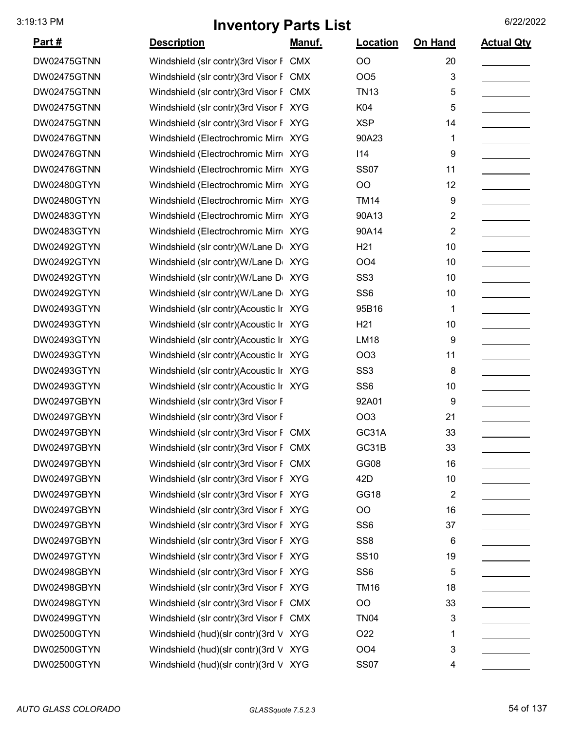| Part#              | <b>Description</b>                     | Manuf.     | Location        | On Hand        | <b>Actual Qty</b> |
|--------------------|----------------------------------------|------------|-----------------|----------------|-------------------|
| DW02475GTNN        | Windshield (slr contr)(3rd Visor F CMX |            | <b>OO</b>       | 20             |                   |
| DW02475GTNN        | Windshield (slr contr)(3rd Visor F CMX |            | OO <sub>5</sub> | 3              |                   |
| DW02475GTNN        | Windshield (slr contr)(3rd Visor F     | <b>CMX</b> | <b>TN13</b>     | 5              |                   |
| DW02475GTNN        | Windshield (slr contr)(3rd Visor F XYG |            | K04             | 5              |                   |
| DW02475GTNN        | Windshield (slr contr)(3rd Visor F XYG |            | <b>XSP</b>      | 14             |                   |
| DW02476GTNN        | Windshield (Electrochromic Mirr XYG    |            | 90A23           | 1              |                   |
| DW02476GTNN        | Windshield (Electrochromic Mirr XYG    |            | 114             | 9              |                   |
| DW02476GTNN        | Windshield (Electrochromic Mirr XYG    |            | <b>SS07</b>     | 11             |                   |
| DW02480GTYN        | Windshield (Electrochromic Mirr XYG    |            | OO              | 12             |                   |
| DW02480GTYN        | Windshield (Electrochromic Mirro XYG   |            | <b>TM14</b>     | 9              |                   |
| <b>DW02483GTYN</b> | Windshield (Electrochromic Mirr XYG    |            | 90A13           | $\overline{2}$ |                   |
| DW02483GTYN        | Windshield (Electrochromic Mirr XYG    |            | 90A14           | $\overline{2}$ |                   |
| DW02492GTYN        | Windshield (slr contr)(W/Lane D        | XYG        | H <sub>21</sub> | 10             |                   |
| DW02492GTYN        | Windshield (slr contr)(W/Lane D        | <b>XYG</b> | OO <sub>4</sub> | 10             |                   |
| DW02492GTYN        | Windshield (slr contr)(W/Lane D        | <b>XYG</b> | SS <sub>3</sub> | 10             |                   |
| DW02492GTYN        | Windshield (slr contr)(W/Lane D XYG    |            | SS <sub>6</sub> | 10             |                   |
| DW02493GTYN        | Windshield (slr contr)(Acoustic Ir XYG |            | 95B16           | 1              |                   |
| DW02493GTYN        | Windshield (slr contr)(Acoustic Ir XYG |            | H <sub>21</sub> | 10             |                   |
| DW02493GTYN        | Windshield (slr contr)(Acoustic Ir XYG |            | <b>LM18</b>     | 9              |                   |
| DW02493GTYN        | Windshield (slr contr)(Acoustic Ir XYG |            | OO <sub>3</sub> | 11             |                   |
| DW02493GTYN        | Windshield (slr contr)(Acoustic Ir XYG |            | SS <sub>3</sub> | 8              |                   |
| DW02493GTYN        | Windshield (slr contr)(Acoustic Ir XYG |            | SS <sub>6</sub> | 10             |                   |
| DW02497GBYN        | Windshield (slr contr)(3rd Visor F     |            | 92A01           | 9              |                   |
| DW02497GBYN        | Windshield (slr contr)(3rd Visor F     |            | OO <sub>3</sub> | 21             |                   |
| DW02497GBYN        | Windshield (slr contr)(3rd Visor F CMX |            | GC31A           | 33             |                   |
| DW02497GBYN        | Windshield (slr contr)(3rd Visor F CMX |            | GC31B           | 33             |                   |
| DW02497GBYN        | Windshield (slr contr)(3rd Visor F CMX |            | GG08            | 16             |                   |
| DW02497GBYN        | Windshield (slr contr)(3rd Visor F XYG |            | 42D             | 10             |                   |
| DW02497GBYN        | Windshield (slr contr)(3rd Visor F XYG |            | GG18            | $\overline{2}$ |                   |
| DW02497GBYN        | Windshield (slr contr)(3rd Visor F XYG |            | OO              | 16             |                   |
| DW02497GBYN        | Windshield (slr contr)(3rd Visor F XYG |            | SS <sub>6</sub> | 37             |                   |
| DW02497GBYN        | Windshield (slr contr)(3rd Visor F XYG |            | SS <sub>8</sub> | 6              |                   |
| DW02497GTYN        | Windshield (slr contr)(3rd Visor F XYG |            | <b>SS10</b>     | 19             |                   |
| DW02498GBYN        | Windshield (slr contr)(3rd Visor F XYG |            | SS <sub>6</sub> | 5              |                   |
| DW02498GBYN        | Windshield (slr contr)(3rd Visor F XYG |            | <b>TM16</b>     | 18             |                   |
| DW02498GTYN        | Windshield (slr contr)(3rd Visor F CMX |            | OO              | 33             |                   |
| DW02499GTYN        | Windshield (slr contr)(3rd Visor F CMX |            | <b>TN04</b>     | 3              |                   |
| DW02500GTYN        | Windshield (hud)(slr contr)(3rd V XYG  |            | O22             | 1              |                   |
| DW02500GTYN        | Windshield (hud)(slr contr)(3rd V XYG  |            | OO <sub>4</sub> | 3              |                   |
| DW02500GTYN        | Windshield (hud)(slr contr)(3rd V XYG  |            | <b>SS07</b>     | 4              |                   |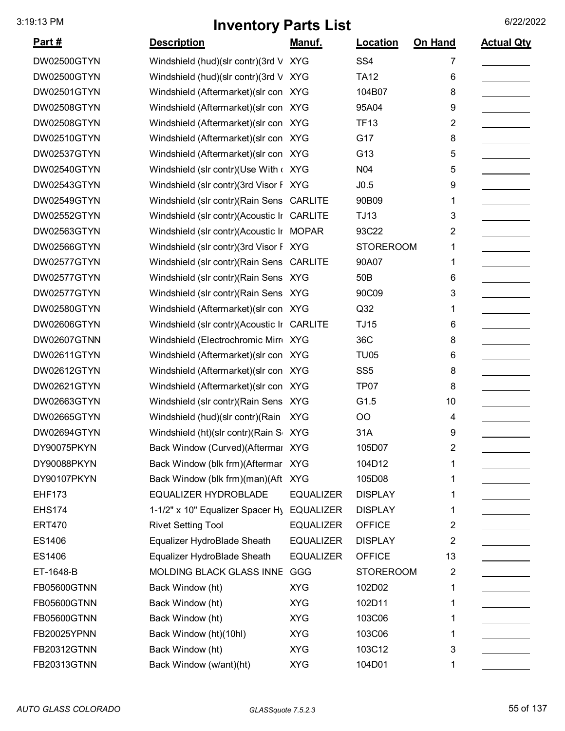| Part#              | <b>Description</b>                         | <u>Manuf.</u>    | <b>Location</b>  | On Hand        | <b>Actual Qty</b> |
|--------------------|--------------------------------------------|------------------|------------------|----------------|-------------------|
| <b>DW02500GTYN</b> | Windshield (hud)(slr contr)(3rd V          | <b>XYG</b>       | SS <sub>4</sub>  | 7              |                   |
| <b>DW02500GTYN</b> | Windshield (hud)(slr contr)(3rd V          | <b>XYG</b>       | <b>TA12</b>      | 6              |                   |
| DW02501GTYN        | Windshield (Aftermarket) (slr con XYG      |                  | 104B07           | 8              |                   |
| DW02508GTYN        | Windshield (Aftermarket) (slr con XYG      |                  | 95A04            | 9              |                   |
| <b>DW02508GTYN</b> | Windshield (Aftermarket) (slr con XYG      |                  | <b>TF13</b>      | 2              |                   |
| DW02510GTYN        | Windshield (Aftermarket) (slr con XYG      |                  | G17              | 8              |                   |
| DW02537GTYN        | Windshield (Aftermarket) (slr con XYG      |                  | G13              | 5              |                   |
| DW02540GTYN        | Windshield (slr contr)(Use With < XYG      |                  | N <sub>04</sub>  | 5              |                   |
| DW02543GTYN        | Windshield (slr contr)(3rd Visor F XYG     |                  | J0.5             | 9              |                   |
| DW02549GTYN        | Windshield (slr contr) (Rain Sens CARLITE  |                  | 90B09            | 1              |                   |
| DW02552GTYN        | Windshield (slr contr)(Acoustic Ir CARLITE |                  | <b>TJ13</b>      | 3              |                   |
| DW02563GTYN        | Windshield (slr contr)(Acoustic Ir MOPAR   |                  | 93C22            | 2              |                   |
| <b>DW02566GTYN</b> | Windshield (slr contr)(3rd Visor F XYG     |                  | <b>STOREROOM</b> | 1              |                   |
| DW02577GTYN        | Windshield (slr contr) (Rain Sens CARLITE  |                  | 90A07            |                |                   |
| DW02577GTYN        | Windshield (slr contr) (Rain Sens XYG      |                  | 50 <sub>B</sub>  | 6              |                   |
| DW02577GTYN        | Windshield (slr contr)(Rain Sens XYG       |                  | 90C09            | 3              |                   |
| <b>DW02580GTYN</b> | Windshield (Aftermarket) (slr con XYG      |                  | Q <sub>32</sub>  | 1              |                   |
| <b>DW02606GTYN</b> | Windshield (slr contr)(Acoustic Ir         | <b>CARLITE</b>   | <b>TJ15</b>      | 6              |                   |
| DW02607GTNN        | Windshield (Electrochromic Mirr XYG        |                  | 36C              | 8              |                   |
| DW02611GTYN        | Windshield (Aftermarket) (slr con XYG      |                  | <b>TU05</b>      | 6              |                   |
| DW02612GTYN        | Windshield (Aftermarket) (slr con XYG      |                  | SS <sub>5</sub>  | 8              |                   |
| DW02621GTYN        | Windshield (Aftermarket) (slr con XYG      |                  | TP <sub>07</sub> | 8              |                   |
| DW02663GTYN        | Windshield (slr contr)(Rain Sens XYG       |                  | G1.5             | 10             |                   |
| DW02665GTYN        | Windshield (hud)(slr contr)(Rain           | <b>XYG</b>       | OO               | 4              |                   |
| DW02694GTYN        | Windshield (ht)(slr contr)(Rain S XYG      |                  | 31A              | 9              |                   |
| DY90075PKYN        | Back Window (Curved)(Aftermal XYG          |                  | 105D07           | 2              |                   |
| DY90088PKYN        | Back Window (blk frm)(Aftermar XYG         |                  | 104D12           |                |                   |
| DY90107PKYN        | Back Window (blk frm)(man)(Aft XYG         |                  | 105D08           | 1              |                   |
| <b>EHF173</b>      | <b>EQUALIZER HYDROBLADE</b>                | <b>EQUALIZER</b> | <b>DISPLAY</b>   |                |                   |
| <b>EHS174</b>      | 1-1/2" x 10" Equalizer Spacer Hy           | <b>EQUALIZER</b> | <b>DISPLAY</b>   | 1              |                   |
| <b>ERT470</b>      | <b>Rivet Setting Tool</b>                  | <b>EQUALIZER</b> | <b>OFFICE</b>    | 2              |                   |
| ES1406             | Equalizer HydroBlade Sheath                | <b>EQUALIZER</b> | <b>DISPLAY</b>   | 2              |                   |
| ES1406             | Equalizer HydroBlade Sheath                | <b>EQUALIZER</b> | <b>OFFICE</b>    | 13             |                   |
| ET-1648-B          | MOLDING BLACK GLASS INNE                   | GGG              | <b>STOREROOM</b> | $\overline{2}$ |                   |
| <b>FB05600GTNN</b> | Back Window (ht)                           | <b>XYG</b>       | 102D02           | 1              |                   |
| FB05600GTNN        | Back Window (ht)                           | <b>XYG</b>       | 102D11           | 1              |                   |
| <b>FB05600GTNN</b> | Back Window (ht)                           | <b>XYG</b>       | 103C06           |                |                   |
| FB20025YPNN        | Back Window (ht)(10hl)                     | <b>XYG</b>       | 103C06           | 1              |                   |
| <b>FB20312GTNN</b> | Back Window (ht)                           | <b>XYG</b>       | 103C12           | 3              |                   |
| FB20313GTNN        | Back Window (w/ant)(ht)                    | <b>XYG</b>       | 104D01           | 1              |                   |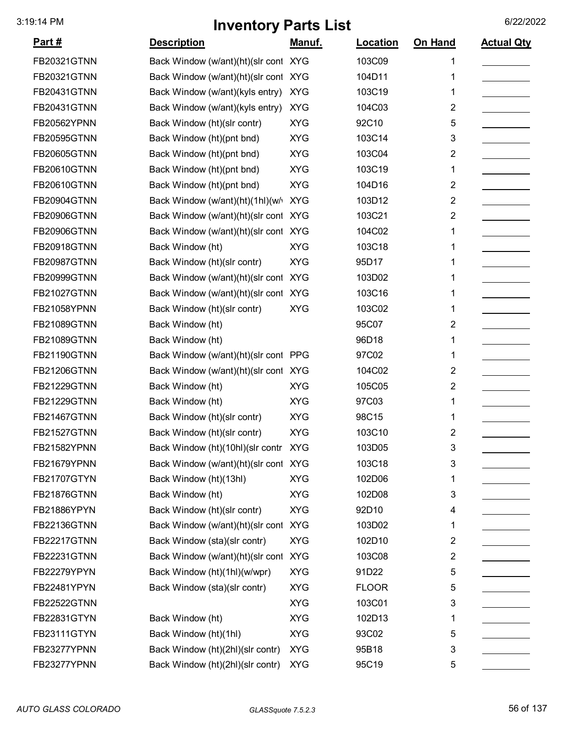| <u>Part #</u>      | <b>Description</b>                   | Manuf.     | Location     | On Hand                 | <b>Actual Qty</b> |
|--------------------|--------------------------------------|------------|--------------|-------------------------|-------------------|
| FB20321GTNN        | Back Window (w/ant)(ht)(slr cont XYG |            | 103C09       | 1                       |                   |
| FB20321GTNN        | Back Window (w/ant)(ht)(slr cont     | <b>XYG</b> | 104D11       | 1                       |                   |
| FB20431GTNN        | Back Window (w/ant)(kyls entry)      | <b>XYG</b> | 103C19       | 1                       |                   |
| FB20431GTNN        | Back Window (w/ant)(kyls entry)      | <b>XYG</b> | 104C03       | $\overline{2}$          |                   |
| FB20562YPNN        | Back Window (ht)(slr contr)          | <b>XYG</b> | 92C10        | 5                       |                   |
| <b>FB20595GTNN</b> | Back Window (ht)(pnt bnd)            | <b>XYG</b> | 103C14       | 3                       |                   |
| FB20605GTNN        | Back Window (ht)(pnt bnd)            | <b>XYG</b> | 103C04       | 2                       |                   |
| <b>FB20610GTNN</b> | Back Window (ht)(pnt bnd)            | <b>XYG</b> | 103C19       | 1                       |                   |
| <b>FB20610GTNN</b> | Back Window (ht)(pnt bnd)            | <b>XYG</b> | 104D16       | 2                       |                   |
| FB20904GTNN        | Back Window (w/ant)(ht)(1hl)(w/      | <b>XYG</b> | 103D12       | $\overline{2}$          |                   |
| FB20906GTNN        | Back Window (w/ant)(ht)(slr cont     | <b>XYG</b> | 103C21       | $\overline{2}$          |                   |
| FB20906GTNN        | Back Window (w/ant)(ht)(slr cont     | <b>XYG</b> | 104C02       | 1                       |                   |
| <b>FB20918GTNN</b> | Back Window (ht)                     | <b>XYG</b> | 103C18       | 1                       |                   |
| FB20987GTNN        | Back Window (ht)(slr contr)          | <b>XYG</b> | 95D17        | 1                       |                   |
| FB20999GTNN        | Back Window (w/ant)(ht)(slr cont     | <b>XYG</b> | 103D02       | 1                       |                   |
| FB21027GTNN        | Back Window (w/ant)(ht)(slr cont XYG |            | 103C16       | 1                       |                   |
| FB21058YPNN        | Back Window (ht)(slr contr)          | <b>XYG</b> | 103C02       | 1                       |                   |
| FB21089GTNN        | Back Window (ht)                     |            | 95C07        | 2                       |                   |
| FB21089GTNN        | Back Window (ht)                     |            | 96D18        | 1                       |                   |
| FB21190GTNN        | Back Window (w/ant)(ht)(slr cont     | <b>PPG</b> | 97C02        | 1                       |                   |
| <b>FB21206GTNN</b> | Back Window (w/ant)(ht)(slr cont XYG |            | 104C02       | 2                       |                   |
| FB21229GTNN        | Back Window (ht)                     | <b>XYG</b> | 105C05       | $\overline{2}$          |                   |
| FB21229GTNN        | Back Window (ht)                     | <b>XYG</b> | 97C03        | 1                       |                   |
| FB21467GTNN        | Back Window (ht)(slr contr)          | <b>XYG</b> | 98C15        | 1                       |                   |
| FB21527GTNN        | Back Window (ht)(slr contr)          | <b>XYG</b> | 103C10       | 2                       |                   |
| FB21582YPNN        | Back Window (ht)(10hl)(slr contr     | <b>XYG</b> | 103D05       | 3                       |                   |
| FB21679YPNN        | Back Window (w/ant)(ht)(slr cont XYG |            | 103C18       | 3                       |                   |
| FB21707GTYN        | Back Window (ht)(13hl)               | <b>XYG</b> | 102D06       | 1                       |                   |
| FB21876GTNN        | Back Window (ht)                     | <b>XYG</b> | 102D08       | 3                       |                   |
| FB21886YPYN        | Back Window (ht)(slr contr)          | <b>XYG</b> | 92D10        | 4                       |                   |
| <b>FB22136GTNN</b> | Back Window (w/ant)(ht)(slr cont     | <b>XYG</b> | 103D02       | 1                       |                   |
| FB22217GTNN        | Back Window (sta)(slr contr)         | <b>XYG</b> | 102D10       | 2                       |                   |
| FB22231GTNN        | Back Window (w/ant)(ht)(slr cont     | <b>XYG</b> | 103C08       | $\overline{\mathbf{c}}$ |                   |
| FB22279YPYN        | Back Window (ht)(1hl)(w/wpr)         | <b>XYG</b> | 91D22        | 5                       |                   |
| FB22481YPYN        | Back Window (sta)(slr contr)         | <b>XYG</b> | <b>FLOOR</b> | 5                       |                   |
| <b>FB22522GTNN</b> |                                      | <b>XYG</b> | 103C01       | 3                       |                   |
| FB22831GTYN        | Back Window (ht)                     | <b>XYG</b> | 102D13       | 1                       |                   |
| FB23111GTYN        | Back Window (ht)(1hl)                | <b>XYG</b> | 93C02        | 5                       |                   |
| FB23277YPNN        | Back Window (ht)(2hl)(slr contr)     | <b>XYG</b> | 95B18        | 3                       |                   |
| FB23277YPNN        | Back Window (ht)(2hl)(slr contr)     | <b>XYG</b> | 95C19        | 5                       |                   |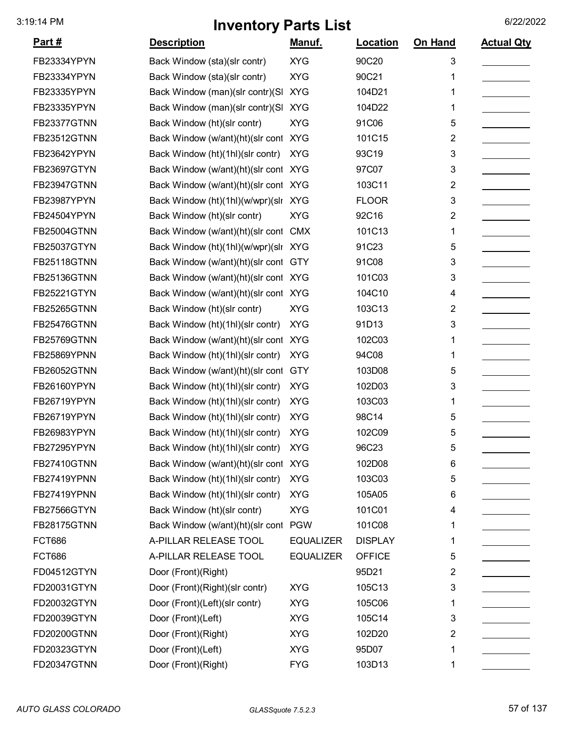| <u>Part #</u>      | <b>Description</b>               | <u>Manuf.</u>    | Location       | On Hand | <b>Actual Qty</b> |
|--------------------|----------------------------------|------------------|----------------|---------|-------------------|
| FB23334YPYN        | Back Window (sta)(slr contr)     | <b>XYG</b>       | 90C20          | 3       |                   |
| FB23334YPYN        | Back Window (sta)(slr contr)     | <b>XYG</b>       | 90C21          | 1       |                   |
| FB23335YPYN        | Back Window (man)(slr contr)(SI  | <b>XYG</b>       | 104D21         | 1       |                   |
| FB23335YPYN        | Back Window (man)(slr contr)(SI  | <b>XYG</b>       | 104D22         | 1       |                   |
| FB23377GTNN        | Back Window (ht)(slr contr)      | <b>XYG</b>       | 91C06          | 5       |                   |
| <b>FB23512GTNN</b> | Back Window (w/ant)(ht)(slr cont | <b>XYG</b>       | 101C15         | 2       |                   |
| FB23642YPYN        | Back Window (ht)(1hl)(slr contr) | <b>XYG</b>       | 93C19          | 3       |                   |
| FB23697GTYN        | Back Window (w/ant)(ht)(slr cont | <b>XYG</b>       | 97C07          | 3       |                   |
| <b>FB23947GTNN</b> | Back Window (w/ant)(ht)(slr cont | <b>XYG</b>       | 103C11         | 2       |                   |
| FB23987YPYN        | Back Window (ht)(1hl)(w/wpr)(sln | <b>XYG</b>       | <b>FLOOR</b>   | 3       |                   |
| FB24504YPYN        | Back Window (ht)(slr contr)      | <b>XYG</b>       | 92C16          | 2       |                   |
| <b>FB25004GTNN</b> | Back Window (w/ant)(ht)(slr cont | <b>CMX</b>       | 101C13         | 1       |                   |
| FB25037GTYN        | Back Window (ht)(1hl)(w/wpr)(slr | <b>XYG</b>       | 91C23          | 5       |                   |
| <b>FB25118GTNN</b> | Back Window (w/ant)(ht)(slr cont | <b>GTY</b>       | 91C08          | 3       |                   |
| <b>FB25136GTNN</b> | Back Window (w/ant)(ht)(slr cont | <b>XYG</b>       | 101C03         | 3       |                   |
| FB25221GTYN        | Back Window (w/ant)(ht)(slr cont | <b>XYG</b>       | 104C10         | 4       |                   |
| <b>FB25265GTNN</b> | Back Window (ht)(slr contr)      | <b>XYG</b>       | 103C13         | 2       |                   |
| <b>FB25476GTNN</b> | Back Window (ht)(1hl)(slr contr) | <b>XYG</b>       | 91D13          | 3       |                   |
| <b>FB25769GTNN</b> | Back Window (w/ant)(ht)(slr cont | <b>XYG</b>       | 102C03         | 1       |                   |
| FB25869YPNN        | Back Window (ht)(1hl)(slr contr) | <b>XYG</b>       | 94C08          | 1       |                   |
| <b>FB26052GTNN</b> | Back Window (w/ant)(ht)(slr cont | <b>GTY</b>       | 103D08         | 5       |                   |
| FB26160YPYN        | Back Window (ht)(1hl)(slr contr) | <b>XYG</b>       | 102D03         | 3       |                   |
| FB26719YPYN        | Back Window (ht)(1hl)(slr contr) | <b>XYG</b>       | 103C03         | 1       |                   |
| FB26719YPYN        | Back Window (ht)(1hl)(slr contr) | <b>XYG</b>       | 98C14          | 5       |                   |
| FB26983YPYN        | Back Window (ht)(1hl)(slr contr) | <b>XYG</b>       | 102C09         | 5       |                   |
| FB27295YPYN        | Back Window (ht)(1hl)(slr contr) | <b>XYG</b>       | 96C23          | 5       |                   |
| <b>FB27410GTNN</b> | Back Window (w/ant)(ht)(slr cont | <b>XYG</b>       | 102D08         | 6       |                   |
| FB27419YPNN        | Back Window (ht)(1hl)(slr contr) | <b>XYG</b>       | 103C03         | 5       |                   |
| FB27419YPNN        | Back Window (ht)(1hl)(slr contr) | <b>XYG</b>       | 105A05         | 6       |                   |
| FB27566GTYN        | Back Window (ht)(slr contr)      | <b>XYG</b>       | 101C01         | 4       |                   |
| <b>FB28175GTNN</b> | Back Window (w/ant)(ht)(slr cont | <b>PGW</b>       | 101C08         | 1       |                   |
| <b>FCT686</b>      | A-PILLAR RELEASE TOOL            | <b>EQUALIZER</b> | <b>DISPLAY</b> | 1       |                   |
| <b>FCT686</b>      | A-PILLAR RELEASE TOOL            | <b>EQUALIZER</b> | <b>OFFICE</b>  | 5       |                   |
| FD04512GTYN        | Door (Front)(Right)              |                  | 95D21          | 2       |                   |
| FD20031GTYN        | Door (Front)(Right)(slr contr)   | <b>XYG</b>       | 105C13         | 3       |                   |
| FD20032GTYN        | Door (Front)(Left)(slr contr)    | <b>XYG</b>       | 105C06         | 1       |                   |
| FD20039GTYN        | Door (Front)(Left)               | <b>XYG</b>       | 105C14         | 3       |                   |
| FD20200GTNN        | Door (Front)(Right)              | <b>XYG</b>       | 102D20         | 2       |                   |
| FD20323GTYN        | Door (Front)(Left)               | <b>XYG</b>       | 95D07          | 1       |                   |
| FD20347GTNN        | Door (Front)(Right)              | <b>FYG</b>       | 103D13         | 1       |                   |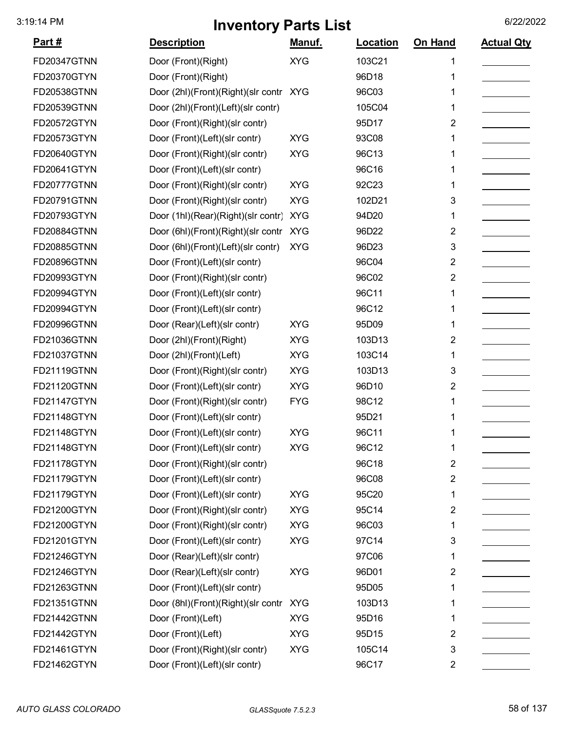| <u>Part #</u>      | <b>Description</b>                 | Manuf.     | Location | On Hand                 | <b>Actual Qty</b> |
|--------------------|------------------------------------|------------|----------|-------------------------|-------------------|
| <b>FD20347GTNN</b> | Door (Front)(Right)                | <b>XYG</b> | 103C21   | 1                       |                   |
| FD20370GTYN        | Door (Front)(Right)                |            | 96D18    | 1                       |                   |
| FD20538GTNN        | Door (2hl)(Front)(Right)(slr contr | XYG        | 96C03    |                         |                   |
| FD20539GTNN        | Door (2hl)(Front)(Left)(slr contr) |            | 105C04   | 1                       |                   |
| FD20572GTYN        | Door (Front)(Right)(slr contr)     |            | 95D17    | 2                       |                   |
| FD20573GTYN        | Door (Front)(Left)(slr contr)      | <b>XYG</b> | 93C08    | 1                       |                   |
| FD20640GTYN        | Door (Front)(Right)(slr contr)     | <b>XYG</b> | 96C13    | 1                       |                   |
| FD20641GTYN        | Door (Front)(Left)(slr contr)      |            | 96C16    | 1                       |                   |
| FD20777GTNN        | Door (Front)(Right)(slr contr)     | <b>XYG</b> | 92C23    | 1                       |                   |
| FD20791GTNN        | Door (Front)(Right)(slr contr)     | <b>XYG</b> | 102D21   | 3                       |                   |
| FD20793GTYN        | Door (1hl)(Rear)(Right)(slr contr) | <b>XYG</b> | 94D20    | 1                       |                   |
| <b>FD20884GTNN</b> | Door (6hl)(Front)(Right)(slr contr | <b>XYG</b> | 96D22    | $\overline{2}$          |                   |
| <b>FD20885GTNN</b> | Door (6hl)(Front)(Left)(slr contr) | <b>XYG</b> | 96D23    | 3                       |                   |
| <b>FD20896GTNN</b> | Door (Front)(Left)(slr contr)      |            | 96C04    | 2                       |                   |
| FD20993GTYN        | Door (Front)(Right)(slr contr)     |            | 96C02    | $\overline{2}$          |                   |
| FD20994GTYN        | Door (Front)(Left)(slr contr)      |            | 96C11    | 1                       |                   |
| FD20994GTYN        | Door (Front)(Left)(slr contr)      |            | 96C12    | 1                       |                   |
| FD20996GTNN        | Door (Rear)(Left)(slr contr)       | <b>XYG</b> | 95D09    | 1                       |                   |
| FD21036GTNN        | Door (2hl)(Front)(Right)           | <b>XYG</b> | 103D13   | 2                       |                   |
| FD21037GTNN        | Door (2hl)(Front)(Left)            | <b>XYG</b> | 103C14   | 1                       |                   |
| FD21119GTNN        | Door (Front)(Right)(slr contr)     | <b>XYG</b> | 103D13   | 3                       |                   |
| FD21120GTNN        | Door (Front)(Left)(slr contr)      | <b>XYG</b> | 96D10    | $\overline{2}$          |                   |
| FD21147GTYN        | Door (Front)(Right)(slr contr)     | <b>FYG</b> | 98C12    | 1                       |                   |
| FD21148GTYN        | Door (Front)(Left)(slr contr)      |            | 95D21    | 1                       |                   |
| FD21148GTYN        | Door (Front)(Left)(slr contr)      | <b>XYG</b> | 96C11    | 1                       |                   |
| FD21148GTYN        | Door (Front)(Left)(slr contr)      | <b>XYG</b> | 96C12    | 1                       |                   |
| FD21178GTYN        | Door (Front)(Right)(slr contr)     |            | 96C18    | $\overline{2}$          |                   |
| FD21179GTYN        | Door (Front)(Left)(slr contr)      |            | 96C08    | $\overline{2}$          |                   |
| FD21179GTYN        | Door (Front)(Left)(slr contr)      | <b>XYG</b> | 95C20    | 1                       |                   |
| FD21200GTYN        | Door (Front)(Right)(slr contr)     | <b>XYG</b> | 95C14    | $\overline{2}$          |                   |
| FD21200GTYN        | Door (Front)(Right)(slr contr)     | <b>XYG</b> | 96C03    | 1                       |                   |
| FD21201GTYN        | Door (Front)(Left)(slr contr)      | <b>XYG</b> | 97C14    | 3                       |                   |
| FD21246GTYN        | Door (Rear)(Left)(slr contr)       |            | 97C06    | 1                       |                   |
| FD21246GTYN        | Door (Rear)(Left)(slr contr)       | <b>XYG</b> | 96D01    | $\overline{\mathbf{c}}$ |                   |
| FD21263GTNN        | Door (Front)(Left)(slr contr)      |            | 95D05    | 1                       |                   |
| FD21351GTNN        | Door (8hl)(Front)(Right)(slr contr | <b>XYG</b> | 103D13   | 1                       |                   |
| FD21442GTNN        | Door (Front)(Left)                 | <b>XYG</b> | 95D16    | 1                       |                   |
| FD21442GTYN        | Door (Front)(Left)                 | <b>XYG</b> | 95D15    | 2                       |                   |
| FD21461GTYN        | Door (Front)(Right)(slr contr)     | <b>XYG</b> | 105C14   | 3                       |                   |
| FD21462GTYN        | Door (Front)(Left)(slr contr)      |            | 96C17    | 2                       |                   |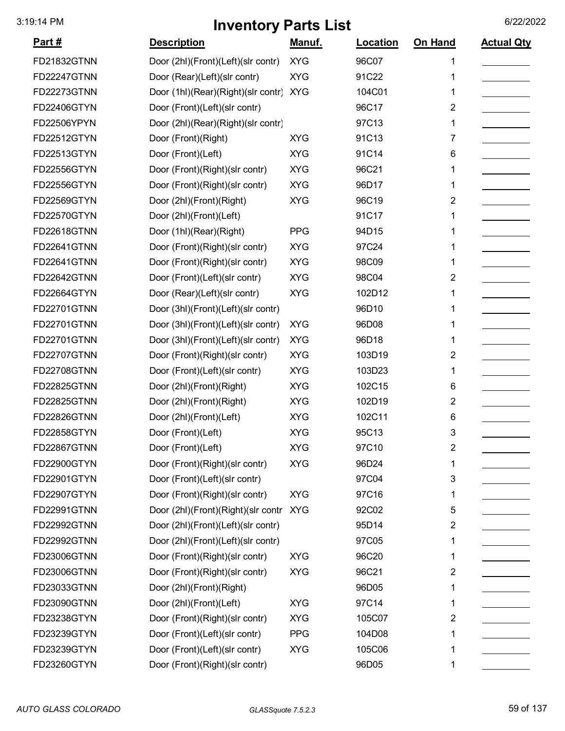| <u>Part #</u>      | <b>Description</b>                     | <u>Manuf.</u> | Location | On Hand        | <b>Actual Qty</b> |
|--------------------|----------------------------------------|---------------|----------|----------------|-------------------|
| FD21832GTNN        | Door (2hl)(Front)(Left)(slr contr)     | <b>XYG</b>    | 96C07    |                |                   |
| <b>FD22247GTNN</b> | Door (Rear)(Left)(slr contr)           | <b>XYG</b>    | 91C22    | 1              |                   |
| FD22273GTNN        | Door (1hl)(Rear)(Right)(slr contr) XYG |               | 104C01   | 1              |                   |
| FD22406GTYN        | Door (Front)(Left)(slr contr)          |               | 96C17    | 2              |                   |
| FD22506YPYN        | Door (2hl)(Rear)(Right)(slr contr)     |               | 97C13    | 1              |                   |
| FD22512GTYN        | Door (Front)(Right)                    | <b>XYG</b>    | 91C13    | 7              |                   |
| FD22513GTYN        | Door (Front)(Left)                     | <b>XYG</b>    | 91C14    | 6              |                   |
| FD22556GTYN        | Door (Front)(Right)(slr contr)         | <b>XYG</b>    | 96C21    | 1              |                   |
| FD22556GTYN        | Door (Front)(Right)(slr contr)         | <b>XYG</b>    | 96D17    | 1              |                   |
| FD22569GTYN        | Door (2hl)(Front)(Right)               | <b>XYG</b>    | 96C19    | 2              |                   |
| FD22570GTYN        | Door (2hl)(Front)(Left)                |               | 91C17    | 1              |                   |
| <b>FD22618GTNN</b> | Door (1hl)(Rear)(Right)                | <b>PPG</b>    | 94D15    | 1              |                   |
| FD22641GTNN        | Door (Front)(Right)(slr contr)         | <b>XYG</b>    | 97C24    | 1              |                   |
| <b>FD22641GTNN</b> | Door (Front)(Right)(slr contr)         | <b>XYG</b>    | 98C09    |                |                   |
| <b>FD22642GTNN</b> | Door (Front)(Left)(slr contr)          | <b>XYG</b>    | 98C04    | 2              |                   |
| FD22664GTYN        | Door (Rear)(Left)(slr contr)           | <b>XYG</b>    | 102D12   | 1              |                   |
| FD22701GTNN        | Door (3hl)(Front)(Left)(slr contr)     |               | 96D10    | 1              |                   |
| FD22701GTNN        | Door (3hl)(Front)(Left)(slr contr)     | <b>XYG</b>    | 96D08    |                |                   |
| FD22701GTNN        | Door (3hl)(Front)(Left)(slr contr)     | <b>XYG</b>    | 96D18    | 1              |                   |
| <b>FD22707GTNN</b> | Door (Front)(Right)(slr contr)         | <b>XYG</b>    | 103D19   | 2              |                   |
| <b>FD22708GTNN</b> | Door (Front)(Left)(slr contr)          | <b>XYG</b>    | 103D23   | 1              |                   |
| <b>FD22825GTNN</b> | Door (2hl)(Front)(Right)               | <b>XYG</b>    | 102C15   | 6              |                   |
| <b>FD22825GTNN</b> | Door (2hl)(Front)(Right)               | <b>XYG</b>    | 102D19   | $\overline{2}$ |                   |
| <b>FD22826GTNN</b> | Door (2hl)(Front)(Left)                | <b>XYG</b>    | 102C11   | 6              |                   |
| <b>FD22858GTYN</b> | Door (Front)(Left)                     | <b>XYG</b>    | 95C13    | 3              |                   |
| <b>FD22867GTNN</b> | Door (Front)(Left)                     | <b>XYG</b>    | 97C10    | 2              |                   |
| FD22900GTYN        | Door (Front)(Right)(slr contr)         | <b>XYG</b>    | 96D24    | 1              |                   |
| FD22901GTYN        | Door (Front)(Left)(slr contr)          |               | 97C04    | 3              |                   |
| FD22907GTYN        | Door (Front)(Right)(slr contr)         | <b>XYG</b>    | 97C16    | 1              |                   |
| FD22991GTNN        | Door (2hl)(Front)(Right)(slr contr     | <b>XYG</b>    | 92C02    | 5              |                   |
| <b>FD22992GTNN</b> | Door (2hl)(Front)(Left)(slr contr)     |               | 95D14    | 2              |                   |
| <b>FD22992GTNN</b> | Door (2hl)(Front)(Left)(slr contr)     |               | 97C05    | 1              |                   |
| FD23006GTNN        | Door (Front)(Right)(slr contr)         | <b>XYG</b>    | 96C20    | 1              |                   |
| FD23006GTNN        | Door (Front)(Right)(slr contr)         | <b>XYG</b>    | 96C21    | 2              |                   |
| FD23033GTNN        | Door (2hl)(Front)(Right)               |               | 96D05    | 1              |                   |
| FD23090GTNN        | Door (2hl)(Front)(Left)                | <b>XYG</b>    | 97C14    | 1              |                   |
| FD23238GTYN        | Door (Front)(Right)(slr contr)         | <b>XYG</b>    | 105C07   | 2              |                   |
| FD23239GTYN        | Door (Front)(Left)(slr contr)          | <b>PPG</b>    | 104D08   | 1              |                   |
| FD23239GTYN        | Door (Front)(Left)(slr contr)          | <b>XYG</b>    | 105C06   | 1              |                   |
| FD23260GTYN        | Door (Front)(Right)(slr contr)         |               | 96D05    | 1              |                   |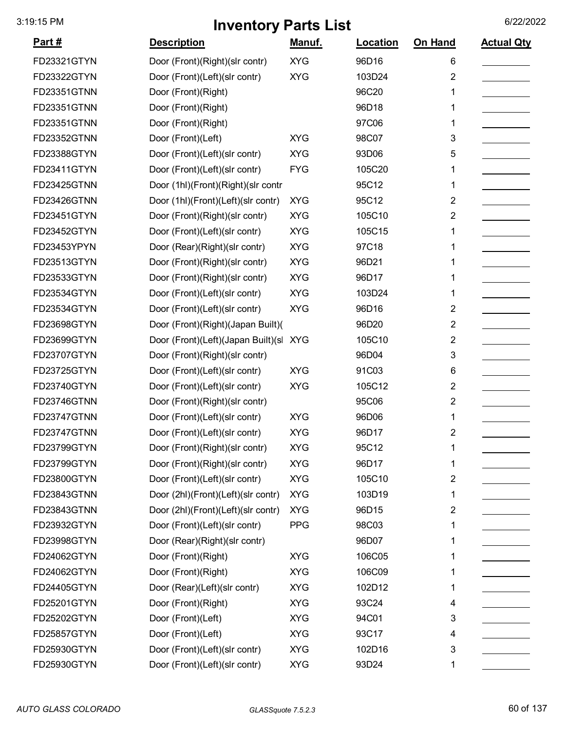| <u>Part #</u> | <b>Description</b>                 | <u>Manuf.</u> | Location | On Hand        | <b>Actual Qty</b> |
|---------------|------------------------------------|---------------|----------|----------------|-------------------|
| FD23321GTYN   | Door (Front)(Right)(slr contr)     | <b>XYG</b>    | 96D16    | 6              |                   |
| FD23322GTYN   | Door (Front)(Left)(slr contr)      | <b>XYG</b>    | 103D24   | 2              |                   |
| FD23351GTNN   | Door (Front)(Right)                |               | 96C20    | 1              |                   |
| FD23351GTNN   | Door (Front)(Right)                |               | 96D18    | 1              |                   |
| FD23351GTNN   | Door (Front)(Right)                |               | 97C06    | 1              |                   |
| FD23352GTNN   | Door (Front)(Left)                 | <b>XYG</b>    | 98C07    | 3              |                   |
| FD23388GTYN   | Door (Front)(Left)(slr contr)      | <b>XYG</b>    | 93D06    | 5              |                   |
| FD23411GTYN   | Door (Front)(Left)(slr contr)      | <b>FYG</b>    | 105C20   | 1              |                   |
| FD23425GTNN   | Door (1hl)(Front)(Right)(slr contr |               | 95C12    | 1              |                   |
| FD23426GTNN   | Door (1hl)(Front)(Left)(slr contr) | <b>XYG</b>    | 95C12    | 2              |                   |
| FD23451GTYN   | Door (Front)(Right)(slr contr)     | <b>XYG</b>    | 105C10   | 2              |                   |
| FD23452GTYN   | Door (Front)(Left)(slr contr)      | <b>XYG</b>    | 105C15   | 1              |                   |
| FD23453YPYN   | Door (Rear)(Right)(slr contr)      | <b>XYG</b>    | 97C18    | 1              |                   |
| FD23513GTYN   | Door (Front)(Right)(slr contr)     | <b>XYG</b>    | 96D21    | 1              |                   |
| FD23533GTYN   | Door (Front)(Right)(slr contr)     | <b>XYG</b>    | 96D17    | 1              |                   |
| FD23534GTYN   | Door (Front)(Left)(slr contr)      | <b>XYG</b>    | 103D24   | 1              |                   |
| FD23534GTYN   | Door (Front)(Left)(slr contr)      | <b>XYG</b>    | 96D16    | 2              |                   |
| FD23698GTYN   | Door (Front)(Right)(Japan Built)(  |               | 96D20    | $\overline{2}$ |                   |
| FD23699GTYN   | Door (Front)(Left)(Japan Built)(sl | <b>XYG</b>    | 105C10   | 2              |                   |
| FD23707GTYN   | Door (Front)(Right)(slr contr)     |               | 96D04    | 3              |                   |
| FD23725GTYN   | Door (Front)(Left)(slr contr)      | <b>XYG</b>    | 91C03    | 6              |                   |
| FD23740GTYN   | Door (Front)(Left)(slr contr)      | <b>XYG</b>    | 105C12   | 2              |                   |
| FD23746GTNN   | Door (Front)(Right)(slr contr)     |               | 95C06    | $\overline{2}$ |                   |
| FD23747GTNN   | Door (Front)(Left)(slr contr)      | <b>XYG</b>    | 96D06    | 1              |                   |
| FD23747GTNN   | Door (Front)(Left)(slr contr)      | <b>XYG</b>    | 96D17    | 2              |                   |
| FD23799GTYN   | Door (Front)(Right)(slr contr)     | <b>XYG</b>    | 95C12    | 1              |                   |
| FD23799GTYN   | Door (Front)(Right)(slr contr)     | <b>XYG</b>    | 96D17    | 1              |                   |
| FD23800GTYN   | Door (Front)(Left)(slr contr)      | <b>XYG</b>    | 105C10   | 2              |                   |
| FD23843GTNN   | Door (2hl)(Front)(Left)(slr contr) | <b>XYG</b>    | 103D19   | 1              |                   |
| FD23843GTNN   | Door (2hl)(Front)(Left)(slr contr) | <b>XYG</b>    | 96D15    | $\overline{2}$ |                   |
| FD23932GTYN   | Door (Front)(Left)(slr contr)      | <b>PPG</b>    | 98C03    | 1              |                   |
| FD23998GTYN   | Door (Rear)(Right)(slr contr)      |               | 96D07    | 1              |                   |
| FD24062GTYN   | Door (Front)(Right)                | <b>XYG</b>    | 106C05   | 1              |                   |
| FD24062GTYN   | Door (Front)(Right)                | <b>XYG</b>    | 106C09   | 1              |                   |
| FD24405GTYN   | Door (Rear)(Left)(slr contr)       | <b>XYG</b>    | 102D12   | 1              |                   |
| FD25201GTYN   | Door (Front)(Right)                | <b>XYG</b>    | 93C24    | 4              |                   |
| FD25202GTYN   | Door (Front)(Left)                 | <b>XYG</b>    | 94C01    | 3              |                   |
| FD25857GTYN   | Door (Front)(Left)                 | <b>XYG</b>    | 93C17    | 4              |                   |
| FD25930GTYN   | Door (Front)(Left)(slr contr)      | <b>XYG</b>    | 102D16   | 3              |                   |
| FD25930GTYN   | Door (Front)(Left)(slr contr)      | <b>XYG</b>    | 93D24    | 1              |                   |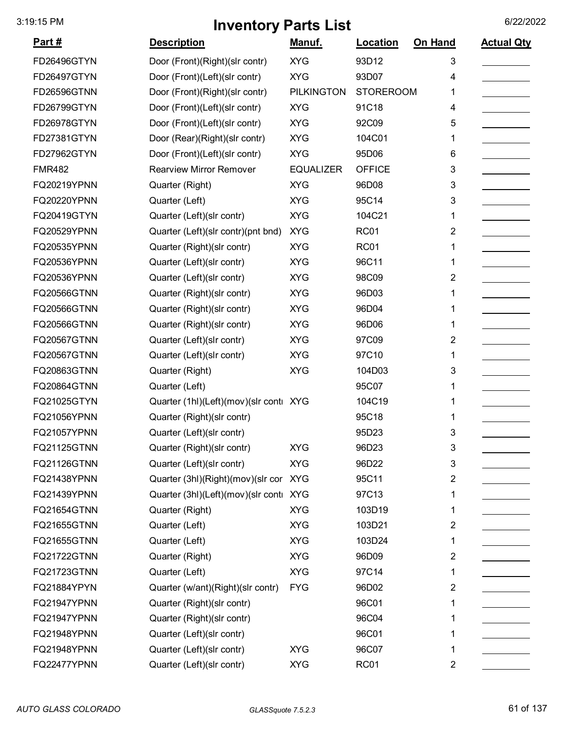| <u>Part #</u>      | <b>Description</b>                     | <u>Manuf.</u>     | Location         | On Hand                 | <b>Actual Qty</b> |
|--------------------|----------------------------------------|-------------------|------------------|-------------------------|-------------------|
| FD26496GTYN        | Door (Front)(Right)(slr contr)         | <b>XYG</b>        | 93D12            | 3                       |                   |
| FD26497GTYN        | Door (Front)(Left)(slr contr)          | <b>XYG</b>        | 93D07            | 4                       |                   |
| FD26596GTNN        | Door (Front)(Right)(slr contr)         | <b>PILKINGTON</b> | <b>STOREROOM</b> | 1                       |                   |
| FD26799GTYN        | Door (Front)(Left)(slr contr)          | <b>XYG</b>        | 91C18            | 4                       |                   |
| FD26978GTYN        | Door (Front)(Left)(slr contr)          | <b>XYG</b>        | 92C09            | 5                       |                   |
| FD27381GTYN        | Door (Rear)(Right)(slr contr)          | <b>XYG</b>        | 104C01           | 1                       |                   |
| FD27962GTYN        | Door (Front)(Left)(slr contr)          | <b>XYG</b>        | 95D06            | 6                       |                   |
| <b>FMR482</b>      | <b>Rearview Mirror Remover</b>         | <b>EQUALIZER</b>  | <b>OFFICE</b>    | 3                       |                   |
| FQ20219YPNN        | Quarter (Right)                        | <b>XYG</b>        | 96D08            | 3                       |                   |
| FQ20220YPNN        | Quarter (Left)                         | <b>XYG</b>        | 95C14            | 3                       |                   |
| FQ20419GTYN        | Quarter (Left)(slr contr)              | <b>XYG</b>        | 104C21           | 1                       |                   |
| FQ20529YPNN        | Quarter (Left)(slr contr)(pnt bnd)     | <b>XYG</b>        | <b>RC01</b>      | 2                       |                   |
| FQ20535YPNN        | Quarter (Right)(slr contr)             | <b>XYG</b>        | <b>RC01</b>      |                         |                   |
| FQ20536YPNN        | Quarter (Left)(slr contr)              | <b>XYG</b>        | 96C11            | 1                       |                   |
| FQ20536YPNN        | Quarter (Left)(slr contr)              | <b>XYG</b>        | 98C09            | 2                       |                   |
| <b>FQ20566GTNN</b> | Quarter (Right)(slr contr)             | <b>XYG</b>        | 96D03            | 1                       |                   |
| FQ20566GTNN        | Quarter (Right)(slr contr)             | <b>XYG</b>        | 96D04            | 1                       |                   |
| <b>FQ20566GTNN</b> | Quarter (Right)(slr contr)             | <b>XYG</b>        | 96D06            | 1                       |                   |
| <b>FQ20567GTNN</b> | Quarter (Left)(slr contr)              | <b>XYG</b>        | 97C09            | 2                       |                   |
| FQ20567GTNN        | Quarter (Left)(slr contr)              | <b>XYG</b>        | 97C10            | 1                       |                   |
| FQ20863GTNN        | Quarter (Right)                        | <b>XYG</b>        | 104D03           | 3                       |                   |
| FQ20864GTNN        | Quarter (Left)                         |                   | 95C07            | 1                       |                   |
| FQ21025GTYN        | Quarter (1hl)(Left)(mov)(slr conti XYG |                   | 104C19           | 1                       |                   |
| FQ21056YPNN        | Quarter (Right)(slr contr)             |                   | 95C18            | 1                       |                   |
| FQ21057YPNN        | Quarter (Left)(slr contr)              |                   | 95D23            | 3                       |                   |
| FQ21125GTNN        | Quarter (Right)(slr contr)             | <b>XYG</b>        | 96D23            | 3                       |                   |
| <b>FQ21126GTNN</b> | Quarter (Left)(slr contr)              | <b>XYG</b>        | 96D22            | 3                       |                   |
| FQ21438YPNN        | Quarter (3hl)(Right)(mov)(slr cor      | <b>XYG</b>        | 95C11            | 2                       |                   |
| FQ21439YPNN        | Quarter (3hl)(Left)(mov)(slr conti XYG |                   | 97C13            | 1                       |                   |
| FQ21654GTNN        | Quarter (Right)                        | <b>XYG</b>        | 103D19           | 1                       |                   |
| FQ21655GTNN        | Quarter (Left)                         | <b>XYG</b>        | 103D21           | $\overline{\mathbf{c}}$ |                   |
| FQ21655GTNN        | Quarter (Left)                         | <b>XYG</b>        | 103D24           | 1                       |                   |
| FQ21722GTNN        | Quarter (Right)                        | <b>XYG</b>        | 96D09            | 2                       |                   |
| FQ21723GTNN        | Quarter (Left)                         | <b>XYG</b>        | 97C14            | 1                       |                   |
| FQ21884YPYN        | Quarter (w/ant)(Right)(slr contr)      | <b>FYG</b>        | 96D02            | 2                       |                   |
| FQ21947YPNN        | Quarter (Right)(slr contr)             |                   | 96C01            | 1                       |                   |
| FQ21947YPNN        | Quarter (Right)(slr contr)             |                   | 96C04            |                         |                   |
| FQ21948YPNN        | Quarter (Left)(slr contr)              |                   | 96C01            | 1                       |                   |
| FQ21948YPNN        | Quarter (Left)(slr contr)              | <b>XYG</b>        | 96C07            | 1                       |                   |
| FQ22477YPNN        | Quarter (Left)(slr contr)              | <b>XYG</b>        | <b>RC01</b>      | $\overline{2}$          |                   |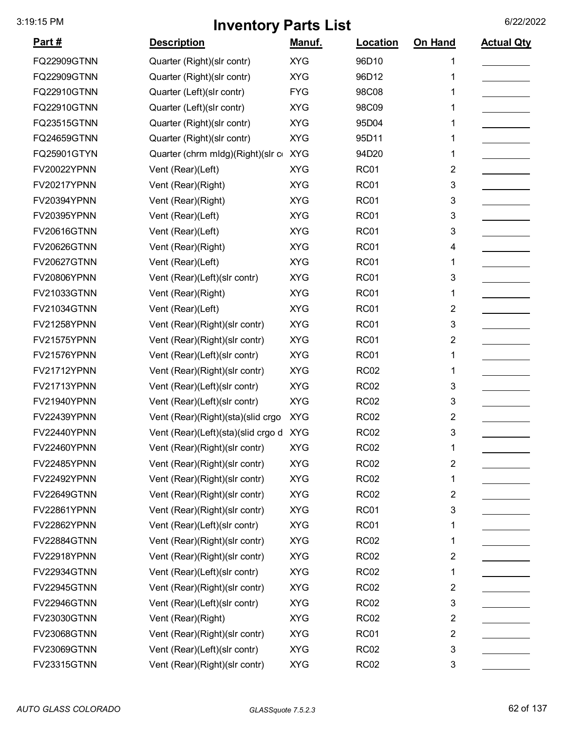| <u>Part #</u>      | <b>Description</b>                     | Manuf.     | Location         | On Hand | <b>Actual Qty</b> |
|--------------------|----------------------------------------|------------|------------------|---------|-------------------|
| <b>FQ22909GTNN</b> | Quarter (Right)(slr contr)             | <b>XYG</b> | 96D10            | 1       |                   |
| <b>FQ22909GTNN</b> | Quarter (Right)(slr contr)             | <b>XYG</b> | 96D12            | 1       |                   |
| FQ22910GTNN        | Quarter (Left)(slr contr)              | <b>FYG</b> | 98C08            |         |                   |
| FQ22910GTNN        | Quarter (Left)(slr contr)              | <b>XYG</b> | 98C09            |         |                   |
| FQ23515GTNN        | Quarter (Right)(slr contr)             | <b>XYG</b> | 95D04            |         |                   |
| <b>FQ24659GTNN</b> | Quarter (Right)(slr contr)             | <b>XYG</b> | 95D11            | 1       |                   |
| FQ25901GTYN        | Quarter (chrm mldg)(Right)(slr c       | <b>XYG</b> | 94D20            | 1       |                   |
| <b>FV20022YPNN</b> | Vent (Rear)(Left)                      | <b>XYG</b> | <b>RC01</b>      | 2       |                   |
| FV20217YPNN        | Vent (Rear)(Right)                     | <b>XYG</b> | <b>RC01</b>      | 3       |                   |
| FV20394YPNN        | Vent (Rear)(Right)                     | <b>XYG</b> | <b>RC01</b>      | 3       |                   |
| FV20395YPNN        | Vent (Rear)(Left)                      | <b>XYG</b> | <b>RC01</b>      | 3       |                   |
| <b>FV20616GTNN</b> | Vent (Rear)(Left)                      | <b>XYG</b> | <b>RC01</b>      | 3       |                   |
| <b>FV20626GTNN</b> | Vent (Rear)(Right)                     | <b>XYG</b> | <b>RC01</b>      | 4       |                   |
| <b>FV20627GTNN</b> | Vent (Rear)(Left)                      | <b>XYG</b> | <b>RC01</b>      | 1       |                   |
| <b>FV20806YPNN</b> | Vent (Rear)(Left)(slr contr)           | <b>XYG</b> | <b>RC01</b>      | 3       |                   |
| <b>FV21033GTNN</b> | Vent (Rear)(Right)                     | <b>XYG</b> | <b>RC01</b>      | 1       |                   |
| <b>FV21034GTNN</b> | Vent (Rear)(Left)                      | <b>XYG</b> | <b>RC01</b>      | 2       |                   |
| <b>FV21258YPNN</b> | Vent (Rear)(Right)(slr contr)          | <b>XYG</b> | <b>RC01</b>      | 3       |                   |
| FV21575YPNN        | Vent (Rear)(Right)(slr contr)          | <b>XYG</b> | <b>RC01</b>      | 2       |                   |
| FV21576YPNN        | Vent (Rear)(Left)(slr contr)           | <b>XYG</b> | <b>RC01</b>      | 1       |                   |
| FV21712YPNN        | Vent (Rear)(Right)(slr contr)          | <b>XYG</b> | <b>RC02</b>      | 1       |                   |
| FV21713YPNN        | Vent (Rear)(Left)(slr contr)           | <b>XYG</b> | <b>RC02</b>      | 3       |                   |
| FV21940YPNN        | Vent (Rear)(Left)(slr contr)           | <b>XYG</b> | <b>RC02</b>      | 3       |                   |
| FV22439YPNN        | Vent (Rear)(Right)(sta)(slid crgo      | <b>XYG</b> | <b>RC02</b>      | 2       |                   |
| FV22440YPNN        | Vent (Rear)(Left)(sta)(slid crgo d XYG |            | <b>RC02</b>      | 3       |                   |
| <b>FV22460YPNN</b> | Vent (Rear)(Right)(slr contr)          | XYG        | RC <sub>02</sub> | 1       |                   |
| <b>FV22485YPNN</b> | Vent (Rear)(Right)(slr contr)          | <b>XYG</b> | <b>RC02</b>      | 2       |                   |
| <b>FV22492YPNN</b> | Vent (Rear)(Right)(slr contr)          | <b>XYG</b> | <b>RC02</b>      | 1       |                   |
| <b>FV22649GTNN</b> | Vent (Rear)(Right)(slr contr)          | <b>XYG</b> | <b>RC02</b>      | 2       |                   |
| <b>FV22861YPNN</b> | Vent (Rear)(Right)(slr contr)          | <b>XYG</b> | <b>RC01</b>      | 3       |                   |
| <b>FV22862YPNN</b> | Vent (Rear)(Left)(slr contr)           | <b>XYG</b> | <b>RC01</b>      | 1       |                   |
| <b>FV22884GTNN</b> | Vent (Rear)(Right)(slr contr)          | <b>XYG</b> | <b>RC02</b>      | 1       |                   |
| <b>FV22918YPNN</b> | Vent (Rear)(Right)(slr contr)          | <b>XYG</b> | <b>RC02</b>      | 2       |                   |
| <b>FV22934GTNN</b> | Vent (Rear)(Left)(slr contr)           | <b>XYG</b> | <b>RC02</b>      | 1       |                   |
| <b>FV22945GTNN</b> | Vent (Rear)(Right)(slr contr)          | <b>XYG</b> | <b>RC02</b>      | 2       |                   |
| <b>FV22946GTNN</b> | Vent (Rear)(Left)(slr contr)           | <b>XYG</b> | <b>RC02</b>      | 3       |                   |
| <b>FV23030GTNN</b> | Vent (Rear)(Right)                     | <b>XYG</b> | <b>RC02</b>      | 2       |                   |
| <b>FV23068GTNN</b> | Vent (Rear)(Right)(slr contr)          | <b>XYG</b> | <b>RC01</b>      | 2       |                   |
| <b>FV23069GTNN</b> | Vent (Rear)(Left)(slr contr)           | <b>XYG</b> | <b>RC02</b>      | 3       |                   |
| <b>FV23315GTNN</b> | Vent (Rear)(Right)(slr contr)          | <b>XYG</b> | <b>RC02</b>      | 3       |                   |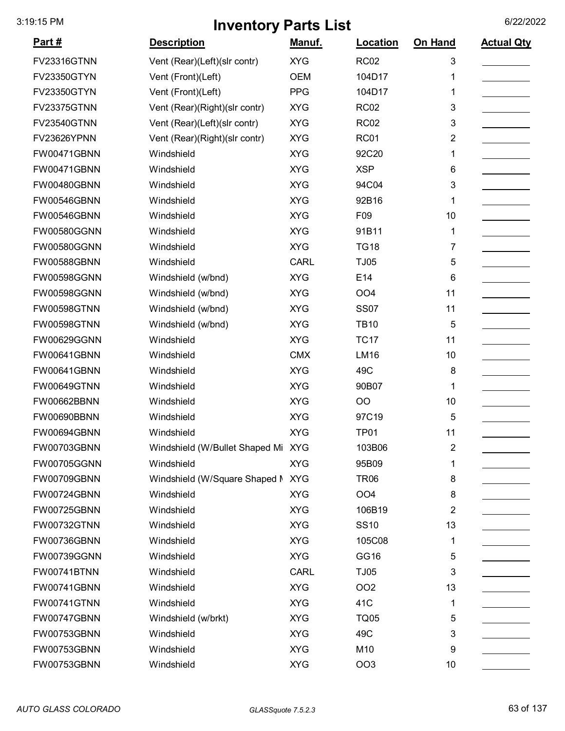| <u> Part #</u>     | <b>Description</b>                 | <u>Manuf.</u> | <b>Location</b> | On Hand | <b>Actual Qty</b> |
|--------------------|------------------------------------|---------------|-----------------|---------|-------------------|
| <b>FV23316GTNN</b> | Vent (Rear)(Left)(slr contr)       | <b>XYG</b>    | <b>RC02</b>     | 3       |                   |
| <b>FV23350GTYN</b> | Vent (Front)(Left)                 | <b>OEM</b>    | 104D17          | 1       |                   |
| <b>FV23350GTYN</b> | Vent (Front)(Left)                 | <b>PPG</b>    | 104D17          | 1       |                   |
| FV23375GTNN        | Vent (Rear)(Right)(slr contr)      | <b>XYG</b>    | <b>RC02</b>     | 3       |                   |
| <b>FV23540GTNN</b> | Vent (Rear)(Left)(slr contr)       | <b>XYG</b>    | <b>RC02</b>     | 3       |                   |
| FV23626YPNN        | Vent (Rear)(Right)(slr contr)      | <b>XYG</b>    | <b>RC01</b>     | 2       |                   |
| FW00471GBNN        | Windshield                         | <b>XYG</b>    | 92C20           | 1       |                   |
| FW00471GBNN        | Windshield                         | <b>XYG</b>    | <b>XSP</b>      | 6       |                   |
| FW00480GBNN        | Windshield                         | <b>XYG</b>    | 94C04           | 3       |                   |
| FW00546GBNN        | Windshield                         | <b>XYG</b>    | 92B16           | 1       |                   |
| FW00546GBNN        | Windshield                         | <b>XYG</b>    | F09             | 10      |                   |
| FW00580GGNN        | Windshield                         | <b>XYG</b>    | 91B11           | 1       |                   |
| FW00580GGNN        | Windshield                         | <b>XYG</b>    | <b>TG18</b>     | 7       |                   |
| FW00588GBNN        | Windshield                         | <b>CARL</b>   | <b>TJ05</b>     | 5       |                   |
| <b>FW00598GGNN</b> | Windshield (w/bnd)                 | <b>XYG</b>    | E14             | 6       |                   |
| FW00598GGNN        | Windshield (w/bnd)                 | <b>XYG</b>    | OO <sub>4</sub> | 11      |                   |
| <b>FW00598GTNN</b> | Windshield (w/bnd)                 | <b>XYG</b>    | <b>SS07</b>     | 11      |                   |
| <b>FW00598GTNN</b> | Windshield (w/bnd)                 | <b>XYG</b>    | <b>TB10</b>     | 5       |                   |
| FW00629GGNN        | Windshield                         | <b>XYG</b>    | <b>TC17</b>     | 11      |                   |
| FW00641GBNN        | Windshield                         | <b>CMX</b>    | LM16            | 10      |                   |
| FW00641GBNN        | Windshield                         | <b>XYG</b>    | 49C             | 8       |                   |
| FW00649GTNN        | Windshield                         | <b>XYG</b>    | 90B07           | 1       |                   |
| FW00662BBNN        | Windshield                         | <b>XYG</b>    | OO              | 10      |                   |
| FW00690BBNN        | Windshield                         | <b>XYG</b>    | 97C19           | 5       |                   |
| FW00694GBNN        | Windshield                         | <b>XYG</b>    | <b>TP01</b>     | 11      |                   |
| FW00703GBNN        | Windshield (W/Bullet Shaped Mi XYG |               | 103B06          | 2       |                   |
| FW00705GGNN        | Windshield                         | <b>XYG</b>    | 95B09           | 1       |                   |
| FW00709GBNN        | Windshield (W/Square Shaped N      | <b>XYG</b>    | <b>TR06</b>     | 8       |                   |
| FW00724GBNN        | Windshield                         | <b>XYG</b>    | OO <sub>4</sub> | 8       |                   |
| FW00725GBNN        | Windshield                         | <b>XYG</b>    | 106B19          | 2       |                   |
| FW00732GTNN        | Windshield                         | <b>XYG</b>    | <b>SS10</b>     | 13      |                   |
| FW00736GBNN        | Windshield                         | <b>XYG</b>    | 105C08          | 1       |                   |
| FW00739GGNN        | Windshield                         | <b>XYG</b>    | GG16            | 5       |                   |
| FW00741BTNN        | Windshield                         | <b>CARL</b>   | <b>TJ05</b>     | 3       |                   |
| FW00741GBNN        | Windshield                         | <b>XYG</b>    | OO <sub>2</sub> | 13      |                   |
| <b>FW00741GTNN</b> | Windshield                         | <b>XYG</b>    | 41C             | 1       |                   |
| FW00747GBNN        | Windshield (w/brkt)                | <b>XYG</b>    | <b>TQ05</b>     | 5       |                   |
| FW00753GBNN        | Windshield                         | <b>XYG</b>    | 49C             | 3       |                   |
| FW00753GBNN        | Windshield                         | <b>XYG</b>    | M10             | 9       |                   |
| FW00753GBNN        | Windshield                         | <b>XYG</b>    | OO <sub>3</sub> | 10      |                   |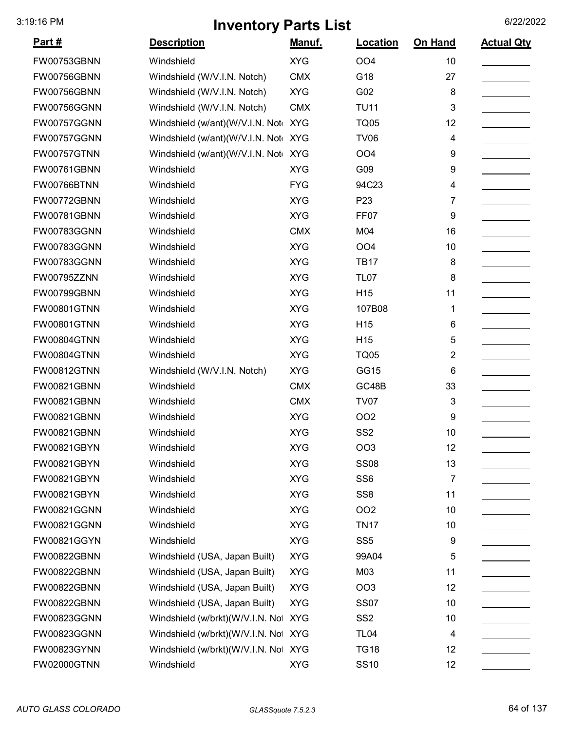| <u> Part #</u>     | <b>Description</b>                   | <u>Manuf.</u> | <b>Location</b>  | On Hand | <b>Actual Qty</b> |
|--------------------|--------------------------------------|---------------|------------------|---------|-------------------|
| FW00753GBNN        | Windshield                           | <b>XYG</b>    | OO <sub>4</sub>  | 10      |                   |
| FW00756GBNN        | Windshield (W/V.I.N. Notch)          | <b>CMX</b>    | G18              | 27      |                   |
| FW00756GBNN        | Windshield (W/V.I.N. Notch)          | <b>XYG</b>    | G02              | 8       |                   |
| FW00756GGNN        | Windshield (W/V.I.N. Notch)          | <b>CMX</b>    | <b>TU11</b>      | 3       |                   |
| FW00757GGNN        | Windshield (w/ant)(W/V.I.N. Not      | <b>XYG</b>    | <b>TQ05</b>      | 12      |                   |
| FW00757GGNN        | Windshield (w/ant)(W/V.I.N. Not XYG  |               | <b>TV06</b>      | 4       |                   |
| FW00757GTNN        | Windshield (w/ant)(W/V.I.N. Not      | <b>XYG</b>    | OO <sub>4</sub>  | 9       |                   |
| FW00761GBNN        | Windshield                           | <b>XYG</b>    | G09              | 9       |                   |
| FW00766BTNN        | Windshield                           | <b>FYG</b>    | 94C23            | 4       |                   |
| FW00772GBNN        | Windshield                           | <b>XYG</b>    | P <sub>23</sub>  | 7       |                   |
| FW00781GBNN        | Windshield                           | <b>XYG</b>    | FF <sub>07</sub> | 9       |                   |
| FW00783GGNN        | Windshield                           | <b>CMX</b>    | M04              | 16      |                   |
| FW00783GGNN        | Windshield                           | <b>XYG</b>    | OO <sub>4</sub>  | 10      |                   |
| FW00783GGNN        | Windshield                           | <b>XYG</b>    | <b>TB17</b>      | 8       |                   |
| FW00795ZZNN        | Windshield                           | <b>XYG</b>    | <b>TL07</b>      | 8       |                   |
| FW00799GBNN        | Windshield                           | <b>XYG</b>    | H <sub>15</sub>  | 11      |                   |
| <b>FW00801GTNN</b> | Windshield                           | <b>XYG</b>    | 107B08           | 1       |                   |
| <b>FW00801GTNN</b> | Windshield                           | <b>XYG</b>    | H <sub>15</sub>  | 6       |                   |
| <b>FW00804GTNN</b> | Windshield                           | <b>XYG</b>    | H <sub>15</sub>  | 5       |                   |
| <b>FW00804GTNN</b> | Windshield                           | <b>XYG</b>    | <b>TQ05</b>      | 2       |                   |
| FW00812GTNN        | Windshield (W/V.I.N. Notch)          | <b>XYG</b>    | GG15             | 6       |                   |
| FW00821GBNN        | Windshield                           | <b>CMX</b>    | GC48B            | 33      |                   |
| FW00821GBNN        | Windshield                           | <b>CMX</b>    | <b>TV07</b>      | 3       |                   |
| FW00821GBNN        | Windshield                           | <b>XYG</b>    | OO <sub>2</sub>  | 9       |                   |
| FW00821GBNN        | Windshield                           | <b>XYG</b>    | SS <sub>2</sub>  | 10      |                   |
| FW00821GBYN        | Windshield                           | <b>XYG</b>    | OO <sub>3</sub>  | 12      |                   |
| FW00821GBYN        | Windshield                           | <b>XYG</b>    | <b>SS08</b>      | 13      |                   |
| FW00821GBYN        | Windshield                           | <b>XYG</b>    | SS <sub>6</sub>  | 7       |                   |
| FW00821GBYN        | Windshield                           | <b>XYG</b>    | SS <sub>8</sub>  | 11      |                   |
| FW00821GGNN        | Windshield                           | <b>XYG</b>    | OO <sub>2</sub>  | 10      |                   |
| FW00821GGNN        | Windshield                           | <b>XYG</b>    | <b>TN17</b>      | 10      |                   |
| FW00821GGYN        | Windshield                           | <b>XYG</b>    | SS <sub>5</sub>  | 9       |                   |
| FW00822GBNN        | Windshield (USA, Japan Built)        | <b>XYG</b>    | 99A04            | 5       |                   |
| FW00822GBNN        | Windshield (USA, Japan Built)        | <b>XYG</b>    | M03              | 11      |                   |
| FW00822GBNN        | Windshield (USA, Japan Built)        | <b>XYG</b>    | OO <sub>3</sub>  | 12      |                   |
| FW00822GBNN        | Windshield (USA, Japan Built)        | <b>XYG</b>    | <b>SS07</b>      | 10      |                   |
| FW00823GGNN        | Windshield (w/brkt)(W/V.I.N. Not     | <b>XYG</b>    | SS <sub>2</sub>  | 10      |                   |
| FW00823GGNN        | Windshield (w/brkt)(W/V.I.N. Not XYG |               | <b>TL04</b>      | 4       |                   |
| FW00823GYNN        | Windshield (w/brkt)(W/V.I.N. Not XYG |               | <b>TG18</b>      | 12      |                   |
| FW02000GTNN        | Windshield                           | <b>XYG</b>    | <b>SS10</b>      | 12      |                   |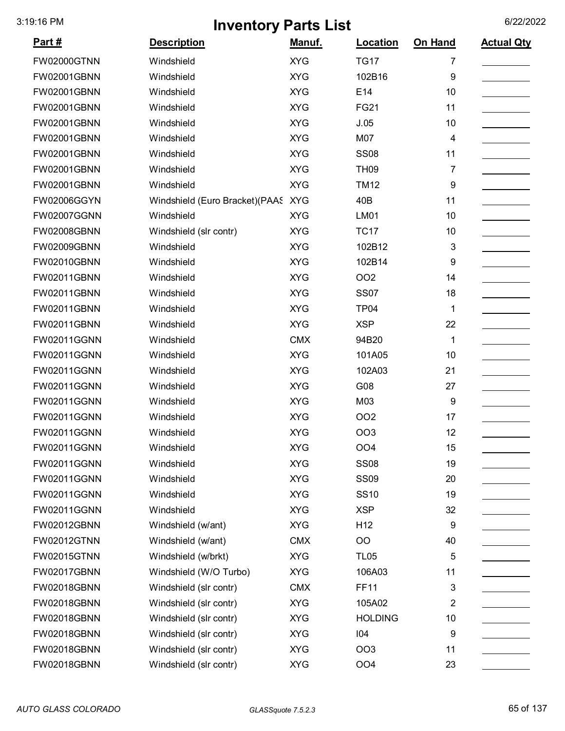| <u>Part #</u>      | <b>Description</b>             | <u>Manuf.</u> | Location        | On Hand        | <b>Actual Qty</b> |
|--------------------|--------------------------------|---------------|-----------------|----------------|-------------------|
| FW02000GTNN        | Windshield                     | <b>XYG</b>    | <b>TG17</b>     | $\overline{7}$ |                   |
| FW02001GBNN        | Windshield                     | <b>XYG</b>    | 102B16          | 9              |                   |
| FW02001GBNN        | Windshield                     | <b>XYG</b>    | E14             | 10             |                   |
| FW02001GBNN        | Windshield                     | <b>XYG</b>    | <b>FG21</b>     | 11             |                   |
| FW02001GBNN        | Windshield                     | <b>XYG</b>    | J.05            | 10             |                   |
| FW02001GBNN        | Windshield                     | <b>XYG</b>    | M07             | 4              |                   |
| FW02001GBNN        | Windshield                     | <b>XYG</b>    | <b>SS08</b>     | 11             |                   |
| FW02001GBNN        | Windshield                     | <b>XYG</b>    | <b>TH09</b>     | 7              |                   |
| FW02001GBNN        | Windshield                     | <b>XYG</b>    | <b>TM12</b>     | 9              |                   |
| FW02006GGYN        | Windshield (Euro Bracket)(PAAS | <b>XYG</b>    | 40B             | 11             |                   |
| FW02007GGNN        | Windshield                     | <b>XYG</b>    | <b>LM01</b>     | 10             |                   |
| FW02008GBNN        | Windshield (slr contr)         | <b>XYG</b>    | <b>TC17</b>     | 10             |                   |
| FW02009GBNN        | Windshield                     | <b>XYG</b>    | 102B12          | 3              |                   |
| <b>FW02010GBNN</b> | Windshield                     | <b>XYG</b>    | 102B14          | 9              |                   |
| FW02011GBNN        | Windshield                     | <b>XYG</b>    | <b>OO2</b>      | 14             |                   |
| FW02011GBNN        | Windshield                     | <b>XYG</b>    | <b>SS07</b>     | 18             |                   |
| FW02011GBNN        | Windshield                     | <b>XYG</b>    | <b>TP04</b>     | 1              |                   |
| FW02011GBNN        | Windshield                     | <b>XYG</b>    | <b>XSP</b>      | 22             |                   |
| FW02011GGNN        | Windshield                     | <b>CMX</b>    | 94B20           | 1              |                   |
| <b>FW02011GGNN</b> | Windshield                     | <b>XYG</b>    | 101A05          | 10             |                   |
| FW02011GGNN        | Windshield                     | <b>XYG</b>    | 102A03          | 21             |                   |
| FW02011GGNN        | Windshield                     | <b>XYG</b>    | G08             | 27             |                   |
| FW02011GGNN        | Windshield                     | <b>XYG</b>    | M03             | 9              |                   |
| FW02011GGNN        | Windshield                     | <b>XYG</b>    | <b>OO2</b>      | 17             |                   |
| <b>FW02011GGNN</b> | Windshield                     | <b>XYG</b>    | OO <sub>3</sub> | 12             |                   |
| FW02011GGNN        | Windshield                     | <b>XYG</b>    | OO4             | 15             |                   |
| FW02011GGNN        | Windshield                     | <b>XYG</b>    | <b>SS08</b>     | 19             |                   |
| FW02011GGNN        | Windshield                     | <b>XYG</b>    | <b>SS09</b>     | 20             |                   |
| FW02011GGNN        | Windshield                     | <b>XYG</b>    | <b>SS10</b>     | 19             |                   |
| FW02011GGNN        | Windshield                     | <b>XYG</b>    | <b>XSP</b>      | 32             |                   |
| FW02012GBNN        | Windshield (w/ant)             | <b>XYG</b>    | H <sub>12</sub> | 9              |                   |
| FW02012GTNN        | Windshield (w/ant)             | <b>CMX</b>    | <b>OO</b>       | 40             |                   |
| FW02015GTNN        | Windshield (w/brkt)            | <b>XYG</b>    | <b>TL05</b>     | 5              |                   |
| FW02017GBNN        | Windshield (W/O Turbo)         | <b>XYG</b>    | 106A03          | 11             |                   |
| FW02018GBNN        | Windshield (slr contr)         | <b>CMX</b>    | <b>FF11</b>     | 3              |                   |
| FW02018GBNN        | Windshield (slr contr)         | <b>XYG</b>    | 105A02          | $\overline{2}$ |                   |
| FW02018GBNN        | Windshield (slr contr)         | <b>XYG</b>    | <b>HOLDING</b>  | 10             |                   |
| FW02018GBNN        | Windshield (slr contr)         | <b>XYG</b>    | 104             | 9              |                   |
| FW02018GBNN        | Windshield (slr contr)         | <b>XYG</b>    | OO <sub>3</sub> | 11             |                   |
| FW02018GBNN        | Windshield (slr contr)         | <b>XYG</b>    | OO <sub>4</sub> | 23             |                   |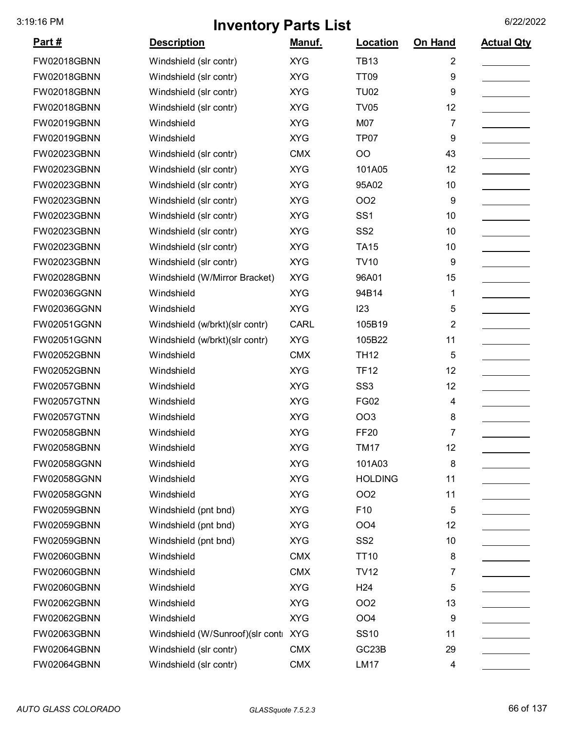| Part#              | <b>Description</b>                   | Manuf.      | Location           | On Hand        | <b>Actual Qty</b> |
|--------------------|--------------------------------------|-------------|--------------------|----------------|-------------------|
| <b>FW02018GBNN</b> | Windshield (slr contr)               | <b>XYG</b>  | <b>TB13</b>        | $\overline{2}$ |                   |
| <b>FW02018GBNN</b> | Windshield (slr contr)               | <b>XYG</b>  | <b>TT09</b>        | 9              |                   |
| <b>FW02018GBNN</b> | Windshield (slr contr)               | <b>XYG</b>  | <b>TU02</b>        | 9              |                   |
| <b>FW02018GBNN</b> | Windshield (slr contr)               | <b>XYG</b>  | <b>TV05</b>        | 12             |                   |
| <b>FW02019GBNN</b> | Windshield                           | <b>XYG</b>  | M07                | 7              |                   |
| <b>FW02019GBNN</b> | Windshield                           | <b>XYG</b>  | TP07               | 9              |                   |
| FW02023GBNN        | Windshield (slr contr)               | <b>CMX</b>  | OO                 | 43             |                   |
| FW02023GBNN        | Windshield (slr contr)               | <b>XYG</b>  | 101A05             | 12             |                   |
| <b>FW02023GBNN</b> | Windshield (slr contr)               | <b>XYG</b>  | 95A02              | 10             |                   |
| FW02023GBNN        | Windshield (slr contr)               | <b>XYG</b>  | <b>OO2</b>         | 9              |                   |
| FW02023GBNN        | Windshield (slr contr)               | <b>XYG</b>  | SS <sub>1</sub>    | 10             |                   |
| FW02023GBNN        | Windshield (slr contr)               | <b>XYG</b>  | SS <sub>2</sub>    | 10             |                   |
| FW02023GBNN        | Windshield (slr contr)               | <b>XYG</b>  | <b>TA15</b>        | 10             |                   |
| <b>FW02023GBNN</b> | Windshield (slr contr)               | <b>XYG</b>  | <b>TV10</b>        | 9              |                   |
| <b>FW02028GBNN</b> | Windshield (W/Mirror Bracket)        | <b>XYG</b>  | 96A01              | 15             |                   |
| FW02036GGNN        | Windshield                           | <b>XYG</b>  | 94B14              | 1              |                   |
| FW02036GGNN        | Windshield                           | <b>XYG</b>  | 123                | 5              |                   |
| <b>FW02051GGNN</b> | Windshield (w/brkt)(slr contr)       | <b>CARL</b> | 105B19             | 2              |                   |
| <b>FW02051GGNN</b> | Windshield (w/brkt)(slr contr)       | <b>XYG</b>  | 105B22             | 11             |                   |
| <b>FW02052GBNN</b> | Windshield                           | <b>CMX</b>  | <b>TH12</b>        | 5              |                   |
| <b>FW02052GBNN</b> | Windshield                           | <b>XYG</b>  | <b>TF12</b>        | 12             |                   |
| <b>FW02057GBNN</b> | Windshield                           | <b>XYG</b>  | SS <sub>3</sub>    | 12             |                   |
| <b>FW02057GTNN</b> | Windshield                           | <b>XYG</b>  | <b>FG02</b>        | 4              |                   |
| <b>FW02057GTNN</b> | Windshield                           | <b>XYG</b>  | <b>OO3</b>         | 8              |                   |
| <b>FW02058GBNN</b> | Windshield                           | <b>XYG</b>  | <b>FF20</b>        | 7              |                   |
| <b>FW02058GBNN</b> | Windshield                           | <b>XYG</b>  | <b>TM17</b>        | 12             |                   |
| <b>FW02058GGNN</b> | Windshield                           | <b>XYG</b>  | 101A03             | 8              |                   |
| FW02058GGNN        | Windshield                           | <b>XYG</b>  | <b>HOLDING</b>     | 11             |                   |
| FW02058GGNN        | Windshield                           | <b>XYG</b>  | OO <sub>2</sub>    | 11             |                   |
| <b>FW02059GBNN</b> | Windshield (pnt bnd)                 | <b>XYG</b>  | F10                | 5              |                   |
| FW02059GBNN        | Windshield (pnt bnd)                 | <b>XYG</b>  | OO <sub>4</sub>    | 12             |                   |
| <b>FW02059GBNN</b> | Windshield (pnt bnd)                 | <b>XYG</b>  | SS <sub>2</sub>    | 10             |                   |
| <b>FW02060GBNN</b> | Windshield                           | <b>CMX</b>  | <b>TT10</b>        | 8              |                   |
| <b>FW02060GBNN</b> | Windshield                           | <b>CMX</b>  | <b>TV12</b>        | 7              |                   |
| <b>FW02060GBNN</b> | Windshield                           | <b>XYG</b>  | H <sub>24</sub>    | 5              |                   |
| <b>FW02062GBNN</b> | Windshield                           | <b>XYG</b>  | <b>OO2</b>         | 13             |                   |
| <b>FW02062GBNN</b> | Windshield                           | <b>XYG</b>  | OO <sub>4</sub>    | 9              |                   |
| FW02063GBNN        | Windshield (W/Sunroof)(slr conti XYG |             | <b>SS10</b>        | 11             |                   |
| <b>FW02064GBNN</b> | Windshield (slr contr)               | <b>CMX</b>  | GC <sub>23</sub> B | 29             |                   |
| <b>FW02064GBNN</b> | Windshield (slr contr)               | <b>CMX</b>  | <b>LM17</b>        | 4              |                   |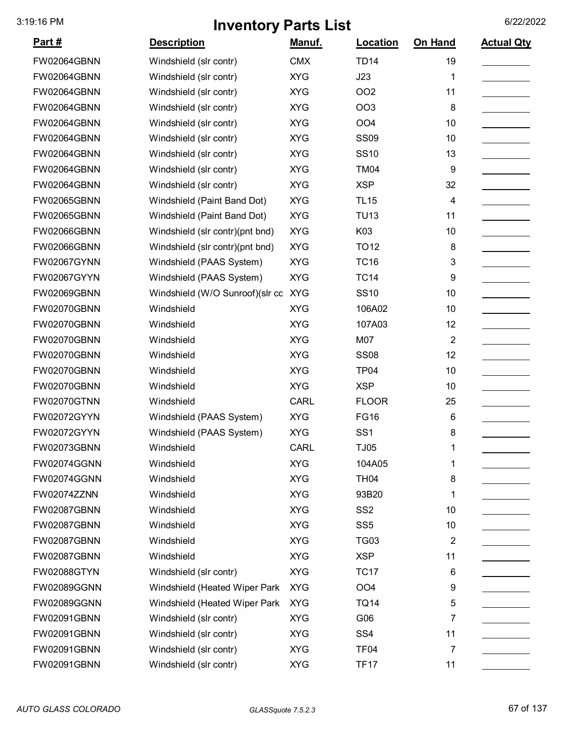| Part#              | <b>Description</b>                  | Manuf.      | Location         | On Hand                 | <b>Actual Qty</b> |
|--------------------|-------------------------------------|-------------|------------------|-------------------------|-------------------|
| <b>FW02064GBNN</b> | Windshield (slr contr)              | <b>CMX</b>  | <b>TD14</b>      | 19                      |                   |
| <b>FW02064GBNN</b> | Windshield (slr contr)              | <b>XYG</b>  | J23              | 1                       |                   |
| <b>FW02064GBNN</b> | Windshield (slr contr)              | <b>XYG</b>  | OO <sub>2</sub>  | 11                      |                   |
| <b>FW02064GBNN</b> | Windshield (slr contr)              | <b>XYG</b>  | OO <sub>3</sub>  | 8                       |                   |
| <b>FW02064GBNN</b> | Windshield (slr contr)              | <b>XYG</b>  | OO <sub>4</sub>  | 10                      |                   |
| <b>FW02064GBNN</b> | Windshield (slr contr)              | <b>XYG</b>  | <b>SS09</b>      | 10                      |                   |
| <b>FW02064GBNN</b> | Windshield (slr contr)              | <b>XYG</b>  | <b>SS10</b>      | 13                      |                   |
| <b>FW02064GBNN</b> | Windshield (slr contr)              | <b>XYG</b>  | <b>TM04</b>      | 9                       |                   |
| <b>FW02064GBNN</b> | Windshield (slr contr)              | <b>XYG</b>  | <b>XSP</b>       | 32                      |                   |
| <b>FW02065GBNN</b> | Windshield (Paint Band Dot)         | <b>XYG</b>  | <b>TL15</b>      | 4                       |                   |
| <b>FW02065GBNN</b> | Windshield (Paint Band Dot)         | <b>XYG</b>  | <b>TU13</b>      | 11                      |                   |
| <b>FW02066GBNN</b> | Windshield (slr contr)(pnt bnd)     | <b>XYG</b>  | K03              | 10                      |                   |
| <b>FW02066GBNN</b> | Windshield (slr contr)(pnt bnd)     | <b>XYG</b>  | <b>TO12</b>      | 8                       |                   |
| <b>FW02067GYNN</b> | Windshield (PAAS System)            | <b>XYG</b>  | <b>TC16</b>      | 3                       |                   |
| <b>FW02067GYYN</b> | Windshield (PAAS System)            | <b>XYG</b>  | <b>TC14</b>      | 9                       |                   |
| <b>FW02069GBNN</b> | Windshield (W/O Sunroof)(slr cc XYG |             | <b>SS10</b>      | 10                      |                   |
| <b>FW02070GBNN</b> | Windshield                          | <b>XYG</b>  | 106A02           | 10                      |                   |
| <b>FW02070GBNN</b> | Windshield                          | <b>XYG</b>  | 107A03           | 12                      |                   |
| <b>FW02070GBNN</b> | Windshield                          | <b>XYG</b>  | M07              | $\overline{2}$          |                   |
| <b>FW02070GBNN</b> | Windshield                          | <b>XYG</b>  | <b>SS08</b>      | 12                      |                   |
| <b>FW02070GBNN</b> | Windshield                          | <b>XYG</b>  | TP <sub>04</sub> | 10                      |                   |
| <b>FW02070GBNN</b> | Windshield                          | <b>XYG</b>  | <b>XSP</b>       | 10                      |                   |
| <b>FW02070GTNN</b> | Windshield                          | <b>CARL</b> | <b>FLOOR</b>     | 25                      |                   |
| FW02072GYYN        | Windshield (PAAS System)            | <b>XYG</b>  | <b>FG16</b>      | 6                       |                   |
| FW02072GYYN        | Windshield (PAAS System)            | <b>XYG</b>  | SS <sub>1</sub>  | 8                       |                   |
| <b>FW02073GBNN</b> | Windshield                          | <b>CARL</b> | <b>TJ05</b>      | 1                       |                   |
| <b>FW02074GGNN</b> | Windshield                          | <b>XYG</b>  | 104A05           | 1                       |                   |
| <b>FW02074GGNN</b> | Windshield                          | <b>XYG</b>  | <b>TH04</b>      | 8                       |                   |
| <b>FW02074ZZNN</b> | Windshield                          | <b>XYG</b>  | 93B20            | 1                       |                   |
| <b>FW02087GBNN</b> | Windshield                          | <b>XYG</b>  | SS <sub>2</sub>  | 10                      |                   |
| <b>FW02087GBNN</b> | Windshield                          | <b>XYG</b>  | SS <sub>5</sub>  | 10                      |                   |
| <b>FW02087GBNN</b> | Windshield                          | <b>XYG</b>  | <b>TG03</b>      | $\overline{\mathbf{c}}$ |                   |
| <b>FW02087GBNN</b> | Windshield                          | <b>XYG</b>  | <b>XSP</b>       | 11                      |                   |
| <b>FW02088GTYN</b> | Windshield (slr contr)              | <b>XYG</b>  | <b>TC17</b>      | 6                       |                   |
| <b>FW02089GGNN</b> | Windshield (Heated Wiper Park       | <b>XYG</b>  | OO <sub>4</sub>  | 9                       |                   |
| <b>FW02089GGNN</b> | Windshield (Heated Wiper Park       | <b>XYG</b>  | <b>TQ14</b>      | 5                       |                   |
| <b>FW02091GBNN</b> | Windshield (slr contr)              | <b>XYG</b>  | G06              | 7                       |                   |
| FW02091GBNN        | Windshield (slr contr)              | <b>XYG</b>  | SS <sub>4</sub>  | 11                      |                   |
| <b>FW02091GBNN</b> | Windshield (slr contr)              | <b>XYG</b>  | TF <sub>04</sub> | 7                       |                   |
| <b>FW02091GBNN</b> | Windshield (slr contr)              | <b>XYG</b>  | <b>TF17</b>      | 11                      |                   |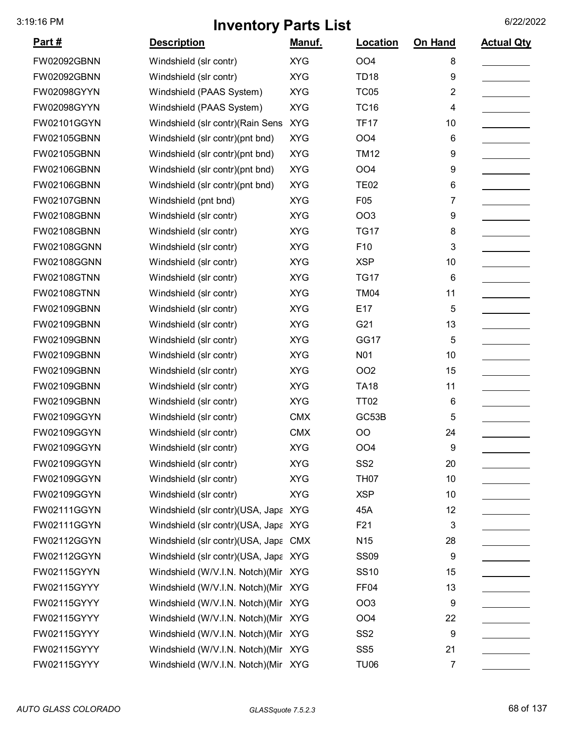| <u>Part #</u>      | <b>Description</b>                   | Manuf.     | Location        | On Hand | <b>Actual Qty</b> |
|--------------------|--------------------------------------|------------|-----------------|---------|-------------------|
| <b>FW02092GBNN</b> | Windshield (slr contr)               | <b>XYG</b> | <b>OO4</b>      | 8       |                   |
| <b>FW02092GBNN</b> | Windshield (slr contr)               | <b>XYG</b> | <b>TD18</b>     | 9       |                   |
| <b>FW02098GYYN</b> | Windshield (PAAS System)             | <b>XYG</b> | <b>TC05</b>     | 2       |                   |
| <b>FW02098GYYN</b> | Windshield (PAAS System)             | <b>XYG</b> | <b>TC16</b>     | 4       |                   |
| FW02101GGYN        | Windshield (slr contr) (Rain Sens    | <b>XYG</b> | <b>TF17</b>     | 10      |                   |
| <b>FW02105GBNN</b> | Windshield (slr contr)(pnt bnd)      | <b>XYG</b> | OO <sub>4</sub> | 6       |                   |
| <b>FW02105GBNN</b> | Windshield (slr contr)(pnt bnd)      | <b>XYG</b> | <b>TM12</b>     | 9       |                   |
| <b>FW02106GBNN</b> | Windshield (slr contr)(pnt bnd)      | <b>XYG</b> | OO <sub>4</sub> | 9       |                   |
| <b>FW02106GBNN</b> | Windshield (slr contr)(pnt bnd)      | <b>XYG</b> | <b>TE02</b>     | 6       |                   |
| <b>FW02107GBNN</b> | Windshield (pnt bnd)                 | <b>XYG</b> | F05             | 7       |                   |
| <b>FW02108GBNN</b> | Windshield (slr contr)               | <b>XYG</b> | OO <sub>3</sub> | 9       |                   |
| <b>FW02108GBNN</b> | Windshield (slr contr)               | <b>XYG</b> | <b>TG17</b>     | 8       |                   |
| <b>FW02108GGNN</b> | Windshield (slr contr)               | <b>XYG</b> | F10             | 3       |                   |
| <b>FW02108GGNN</b> | Windshield (slr contr)               | <b>XYG</b> | <b>XSP</b>      | 10      |                   |
| <b>FW02108GTNN</b> | Windshield (slr contr)               | <b>XYG</b> | <b>TG17</b>     | 6       |                   |
| <b>FW02108GTNN</b> | Windshield (slr contr)               | <b>XYG</b> | <b>TM04</b>     | 11      |                   |
| <b>FW02109GBNN</b> | Windshield (slr contr)               | <b>XYG</b> | E17             | 5       |                   |
| <b>FW02109GBNN</b> | Windshield (slr contr)               | <b>XYG</b> | G21             | 13      |                   |
| <b>FW02109GBNN</b> | Windshield (slr contr)               | <b>XYG</b> | GG17            | 5       |                   |
| <b>FW02109GBNN</b> | Windshield (slr contr)               | <b>XYG</b> | N01             | 10      |                   |
| <b>FW02109GBNN</b> | Windshield (slr contr)               | <b>XYG</b> | OO <sub>2</sub> | 15      |                   |
| <b>FW02109GBNN</b> | Windshield (slr contr)               | <b>XYG</b> | <b>TA18</b>     | 11      |                   |
| <b>FW02109GBNN</b> | Windshield (slr contr)               | <b>XYG</b> | <b>TT02</b>     | 6       |                   |
| FW02109GGYN        | Windshield (slr contr)               | <b>CMX</b> | GC53B           | 5       |                   |
| FW02109GGYN        | Windshield (slr contr)               | <b>CMX</b> | OO              | 24      |                   |
| FW02109GGYN        | Windshield (slr contr)               | <b>XYG</b> | <b>OO4</b>      | 9       |                   |
| FW02109GGYN        | Windshield (slr contr)               | <b>XYG</b> | SS <sub>2</sub> | 20      |                   |
| FW02109GGYN        | Windshield (slr contr)               | <b>XYG</b> | <b>TH07</b>     | 10      |                   |
| FW02109GGYN        | Windshield (slr contr)               | <b>XYG</b> | <b>XSP</b>      | 10      |                   |
| FW02111GGYN        | Windshield (slr contr)(USA, Japa XYG |            | 45A             | 12      |                   |
| FW02111GGYN        | Windshield (slr contr)(USA, Japa XYG |            | F21             | 3       |                   |
| FW02112GGYN        | Windshield (slr contr)(USA, Japa CMX |            | N <sub>15</sub> | 28      |                   |
| FW02112GGYN        | Windshield (slr contr)(USA, Japa XYG |            | <b>SS09</b>     | 9       |                   |
| FW02115GYYN        | Windshield (W/V.I.N. Notch)(Mir XYG  |            | <b>SS10</b>     | 15      |                   |
| FW02115GYYY        | Windshield (W/V.I.N. Notch)(Mir XYG  |            | FF04            | 13      |                   |
| FW02115GYYY        | Windshield (W/V.I.N. Notch) (Mir XYG |            | OO <sub>3</sub> | 9       |                   |
| FW02115GYYY        | Windshield (W/V.I.N. Notch) (Mir XYG |            | OO <sub>4</sub> | 22      |                   |
| FW02115GYYY        | Windshield (W/V.I.N. Notch)(Mir XYG  |            | SS <sub>2</sub> | 9       |                   |
| FW02115GYYY        | Windshield (W/V.I.N. Notch) (Mir XYG |            | SS <sub>5</sub> | 21      |                   |
| FW02115GYYY        | Windshield (W/V.I.N. Notch)(Mir XYG  |            | <b>TU06</b>     | 7       |                   |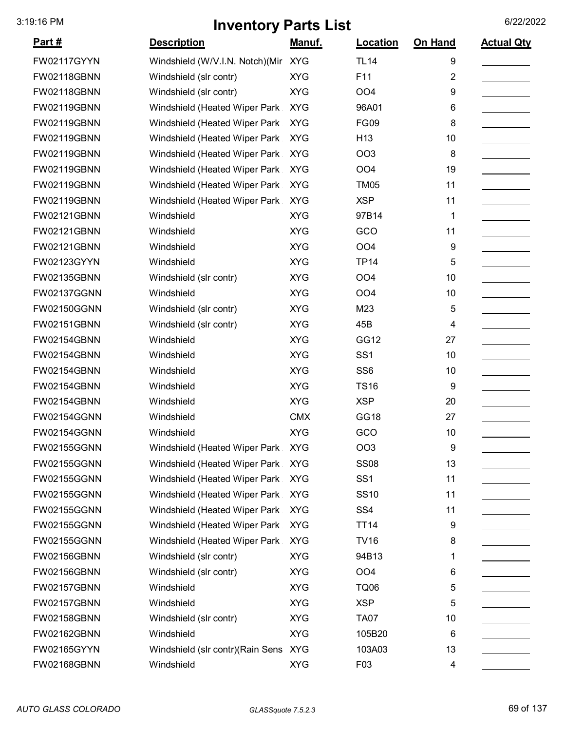| <u>Part #</u>      | <b>Description</b>                | <u>Manuf.</u> | Location        | On Hand | <b>Actual Qty</b> |
|--------------------|-----------------------------------|---------------|-----------------|---------|-------------------|
| FW02117GYYN        | Windshield (W/V.I.N. Notch) (Mir  | <b>XYG</b>    | <b>TL14</b>     | 9       |                   |
| <b>FW02118GBNN</b> | Windshield (slr contr)            | <b>XYG</b>    | F11             | 2       |                   |
| FW02118GBNN        | Windshield (slr contr)            | <b>XYG</b>    | OO <sub>4</sub> | 9       |                   |
| FW02119GBNN        | Windshield (Heated Wiper Park     | <b>XYG</b>    | 96A01           | 6       |                   |
| FW02119GBNN        | Windshield (Heated Wiper Park     | <b>XYG</b>    | <b>FG09</b>     | 8       |                   |
| FW02119GBNN        | Windshield (Heated Wiper Park     | <b>XYG</b>    | H <sub>13</sub> | 10      |                   |
| FW02119GBNN        | Windshield (Heated Wiper Park     | <b>XYG</b>    | <b>OO3</b>      | 8       |                   |
| FW02119GBNN        | Windshield (Heated Wiper Park     | <b>XYG</b>    | OO <sub>4</sub> | 19      |                   |
| FW02119GBNN        | Windshield (Heated Wiper Park     | <b>XYG</b>    | <b>TM05</b>     | 11      |                   |
| FW02119GBNN        | Windshield (Heated Wiper Park     | <b>XYG</b>    | <b>XSP</b>      | 11      |                   |
| FW02121GBNN        | Windshield                        | <b>XYG</b>    | 97B14           | 1       |                   |
| FW02121GBNN        | Windshield                        | <b>XYG</b>    | GCO             | 11      |                   |
| FW02121GBNN        | Windshield                        | <b>XYG</b>    | OO <sub>4</sub> | 9       |                   |
| FW02123GYYN        | Windshield                        | <b>XYG</b>    | <b>TP14</b>     | 5       |                   |
| FW02135GBNN        | Windshield (slr contr)            | <b>XYG</b>    | OO <sub>4</sub> | 10      |                   |
| FW02137GGNN        | Windshield                        | <b>XYG</b>    | <b>OO4</b>      | 10      |                   |
| FW02150GGNN        | Windshield (slr contr)            | <b>XYG</b>    | M23             | 5       |                   |
| FW02151GBNN        | Windshield (slr contr)            | <b>XYG</b>    | 45B             | 4       |                   |
| FW02154GBNN        | Windshield                        | <b>XYG</b>    | GG12            | 27      |                   |
| FW02154GBNN        | Windshield                        | <b>XYG</b>    | SS <sub>1</sub> | 10      |                   |
| FW02154GBNN        | Windshield                        | <b>XYG</b>    | SS <sub>6</sub> | 10      |                   |
| FW02154GBNN        | Windshield                        | <b>XYG</b>    | <b>TS16</b>     | 9       |                   |
| FW02154GBNN        | Windshield                        | <b>XYG</b>    | <b>XSP</b>      | 20      |                   |
| FW02154GGNN        | Windshield                        | <b>CMX</b>    | <b>GG18</b>     | 27      |                   |
| <b>FW02154GGNN</b> | Windshield                        | <b>XYG</b>    | GCO             | 10      |                   |
| FW02155GGNN        | Windshield (Heated Wiper Park     | <b>XYG</b>    | OO <sub>3</sub> | 9       |                   |
| FW02155GGNN        | Windshield (Heated Wiper Park     | <b>XYG</b>    | <b>SS08</b>     | 13      |                   |
| FW02155GGNN        | Windshield (Heated Wiper Park     | <b>XYG</b>    | SS <sub>1</sub> | 11      |                   |
| FW02155GGNN        | Windshield (Heated Wiper Park     | <b>XYG</b>    | <b>SS10</b>     | 11      |                   |
| FW02155GGNN        | Windshield (Heated Wiper Park     | <b>XYG</b>    | SS <sub>4</sub> | 11      |                   |
| FW02155GGNN        | Windshield (Heated Wiper Park     | <b>XYG</b>    | <b>TT14</b>     | 9       |                   |
| FW02155GGNN        | Windshield (Heated Wiper Park     | <b>XYG</b>    | <b>TV16</b>     | 8       |                   |
| FW02156GBNN        | Windshield (slr contr)            | <b>XYG</b>    | 94B13           | 1       |                   |
| FW02156GBNN        | Windshield (slr contr)            | <b>XYG</b>    | OO <sub>4</sub> | 6       |                   |
| FW02157GBNN        | Windshield                        | <b>XYG</b>    | <b>TQ06</b>     | 5       |                   |
| FW02157GBNN        | Windshield                        | <b>XYG</b>    | <b>XSP</b>      | 5       |                   |
| FW02158GBNN        | Windshield (slr contr)            | <b>XYG</b>    | <b>TA07</b>     | 10      |                   |
| FW02162GBNN        | Windshield                        | <b>XYG</b>    | 105B20          | 6       |                   |
| FW02165GYYN        | Windshield (slr contr) (Rain Sens | <b>XYG</b>    | 103A03          | 13      |                   |
| FW02168GBNN        | Windshield                        | <b>XYG</b>    | F03             | 4       |                   |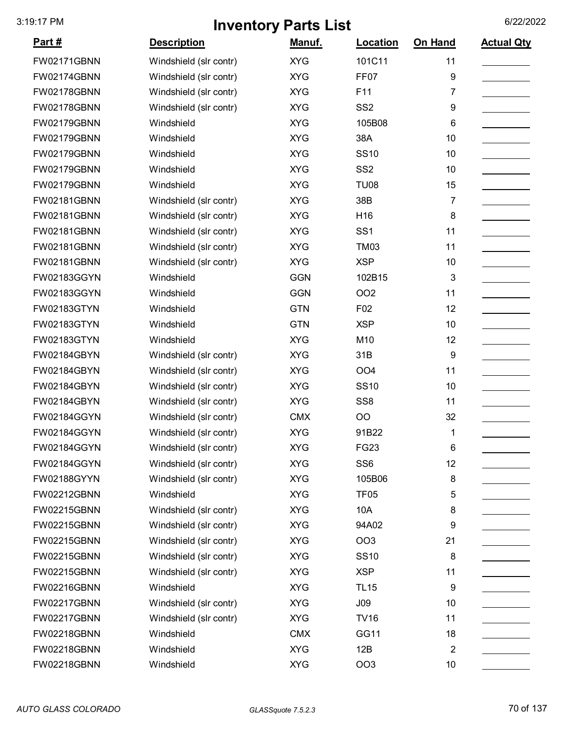| Part#              | <b>Description</b>     | Manuf.     | Location        | On Hand        | <b>Actual Qty</b> |
|--------------------|------------------------|------------|-----------------|----------------|-------------------|
| <b>FW02171GBNN</b> | Windshield (slr contr) | <b>XYG</b> | 101C11          | 11             |                   |
| <b>FW02174GBNN</b> | Windshield (slr contr) | <b>XYG</b> | FF07            | 9              |                   |
| <b>FW02178GBNN</b> | Windshield (slr contr) | <b>XYG</b> | F11             | 7              |                   |
| <b>FW02178GBNN</b> | Windshield (slr contr) | <b>XYG</b> | SS <sub>2</sub> | 9              |                   |
| <b>FW02179GBNN</b> | Windshield             | <b>XYG</b> | 105B08          | 6              |                   |
| <b>FW02179GBNN</b> | Windshield             | <b>XYG</b> | 38A             | 10             |                   |
| <b>FW02179GBNN</b> | Windshield             | <b>XYG</b> | <b>SS10</b>     | 10             |                   |
| <b>FW02179GBNN</b> | Windshield             | <b>XYG</b> | SS <sub>2</sub> | 10             |                   |
| <b>FW02179GBNN</b> | Windshield             | <b>XYG</b> | <b>TU08</b>     | 15             |                   |
| FW02181GBNN        | Windshield (slr contr) | <b>XYG</b> | 38B             | 7              |                   |
| FW02181GBNN        | Windshield (slr contr) | <b>XYG</b> | H16             | 8              |                   |
| FW02181GBNN        | Windshield (slr contr) | <b>XYG</b> | SS <sub>1</sub> | 11             |                   |
| FW02181GBNN        | Windshield (slr contr) | <b>XYG</b> | <b>TM03</b>     | 11             |                   |
| FW02181GBNN        | Windshield (slr contr) | <b>XYG</b> | <b>XSP</b>      | 10             |                   |
| FW02183GGYN        | Windshield             | <b>GGN</b> | 102B15          | 3              |                   |
| FW02183GGYN        | Windshield             | <b>GGN</b> | OO <sub>2</sub> | 11             |                   |
| FW02183GTYN        | Windshield             | <b>GTN</b> | F <sub>02</sub> | 12             |                   |
| FW02183GTYN        | Windshield             | <b>GTN</b> | <b>XSP</b>      | 10             |                   |
| FW02183GTYN        | Windshield             | <b>XYG</b> | M10             | 12             |                   |
| FW02184GBYN        | Windshield (slr contr) | <b>XYG</b> | 31B             | 9              |                   |
| FW02184GBYN        | Windshield (slr contr) | <b>XYG</b> | OO <sub>4</sub> | 11             |                   |
| FW02184GBYN        | Windshield (slr contr) | <b>XYG</b> | <b>SS10</b>     | 10             |                   |
| FW02184GBYN        | Windshield (slr contr) | <b>XYG</b> | SS <sub>8</sub> | 11             |                   |
| FW02184GGYN        | Windshield (slr contr) | <b>CMX</b> | OO              | 32             |                   |
| <b>FW02184GGYN</b> | Windshield (slr contr) | <b>XYG</b> | 91B22           | 1              |                   |
| FW02184GGYN        | Windshield (slr contr) | <b>XYG</b> | FG23            | 6              |                   |
| <b>FW02184GGYN</b> | Windshield (slr contr) | <b>XYG</b> | SS <sub>6</sub> | 12             |                   |
| FW02188GYYN        | Windshield (slr contr) | <b>XYG</b> | 105B06          | 8              |                   |
| FW02212GBNN        | Windshield             | <b>XYG</b> | <b>TF05</b>     | 5              |                   |
| <b>FW02215GBNN</b> | Windshield (slr contr) | <b>XYG</b> | 10A             | 8              |                   |
| <b>FW02215GBNN</b> | Windshield (slr contr) | <b>XYG</b> | 94A02           | 9              |                   |
| <b>FW02215GBNN</b> | Windshield (slr contr) | <b>XYG</b> | OO <sub>3</sub> | 21             |                   |
| <b>FW02215GBNN</b> | Windshield (slr contr) | <b>XYG</b> | <b>SS10</b>     | 8              |                   |
| <b>FW02215GBNN</b> | Windshield (slr contr) | <b>XYG</b> | <b>XSP</b>      | 11             |                   |
| <b>FW02216GBNN</b> | Windshield             | <b>XYG</b> | <b>TL15</b>     | 9              |                   |
| <b>FW02217GBNN</b> | Windshield (slr contr) | <b>XYG</b> | J09             | 10             |                   |
| <b>FW02217GBNN</b> | Windshield (slr contr) | <b>XYG</b> | <b>TV16</b>     | 11             |                   |
| <b>FW02218GBNN</b> | Windshield             | <b>CMX</b> | GG11            | 18             |                   |
| FW02218GBNN        | Windshield             | <b>XYG</b> | 12B             | $\overline{2}$ |                   |
| FW02218GBNN        | Windshield             | <b>XYG</b> | OO <sub>3</sub> | 10             |                   |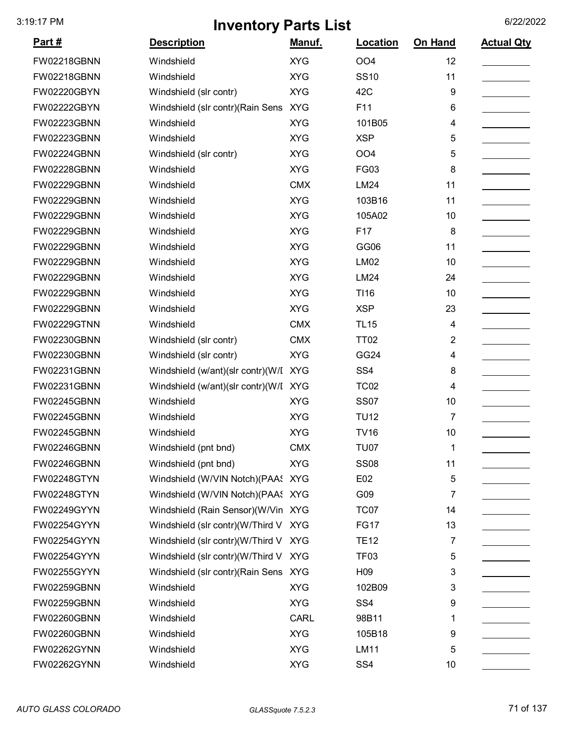| <u> Part #</u>     | <b>Description</b>                    | <b>Manuf.</b> | Location         | <b>On Hand</b> | <b>Actual Qty</b> |
|--------------------|---------------------------------------|---------------|------------------|----------------|-------------------|
| <b>FW02218GBNN</b> | Windshield                            | <b>XYG</b>    | OO <sub>4</sub>  | 12             |                   |
| FW02218GBNN        | Windshield                            | <b>XYG</b>    | <b>SS10</b>      | 11             |                   |
| FW02220GBYN        | Windshield (slr contr)                | <b>XYG</b>    | 42C              | 9              |                   |
| FW02222GBYN        | Windshield (slr contr)(Rain Sens      | <b>XYG</b>    | F11              | 6              |                   |
| FW02223GBNN        | Windshield                            | <b>XYG</b>    | 101B05           | 4              |                   |
| FW02223GBNN        | Windshield                            | <b>XYG</b>    | <b>XSP</b>       | 5              |                   |
| FW02224GBNN        | Windshield (slr contr)                | <b>XYG</b>    | OO <sub>4</sub>  | 5              |                   |
| FW02228GBNN        | Windshield                            | <b>XYG</b>    | <b>FG03</b>      | 8              |                   |
| FW02229GBNN        | Windshield                            | <b>CMX</b>    | <b>LM24</b>      | 11             |                   |
| FW02229GBNN        | Windshield                            | <b>XYG</b>    | 103B16           | 11             |                   |
| FW02229GBNN        | Windshield                            | <b>XYG</b>    | 105A02           | 10             |                   |
| FW02229GBNN        | Windshield                            | <b>XYG</b>    | F17              | 8              |                   |
| FW02229GBNN        | Windshield                            | <b>XYG</b>    | GG06             | 11             |                   |
| FW02229GBNN        | Windshield                            | <b>XYG</b>    | <b>LM02</b>      | 10             |                   |
| FW02229GBNN        | Windshield                            | <b>XYG</b>    | <b>LM24</b>      | 24             |                   |
| FW02229GBNN        | Windshield                            | <b>XYG</b>    | T116             | 10             |                   |
| FW02229GBNN        | Windshield                            | <b>XYG</b>    | <b>XSP</b>       | 23             |                   |
| <b>FW02229GTNN</b> | Windshield                            | <b>CMX</b>    | <b>TL15</b>      | 4              |                   |
| FW02230GBNN        | Windshield (slr contr)                | <b>CMX</b>    | <b>TT02</b>      | 2              |                   |
| FW02230GBNN        | Windshield (slr contr)                | <b>XYG</b>    | <b>GG24</b>      | 4              |                   |
| FW02231GBNN        | Windshield (w/ant)(slr contr)(W/I     | <b>XYG</b>    | SS <sub>4</sub>  | 8              |                   |
| FW02231GBNN        | Windshield (w/ant)(slr contr)(W/I XYG |               | <b>TC02</b>      | 4              |                   |
| FW02245GBNN        | Windshield                            | <b>XYG</b>    | <b>SS07</b>      | 10             |                   |
| FW02245GBNN        | Windshield                            | <b>XYG</b>    | <b>TU12</b>      | 7              |                   |
| <b>FW02245GBNN</b> | Windshield                            | <b>XYG</b>    | <b>TV16</b>      | 10             |                   |
| FW02246GBNN        | Windshield (pnt bnd)                  | <b>CMX</b>    | <b>TU07</b>      | 1              |                   |
| FW02246GBNN        | Windshield (pnt bnd)                  | <b>XYG</b>    | <b>SS08</b>      | 11             |                   |
| FW02248GTYN        | Windshield (W/VIN Notch) (PAA: XYG    |               | E02              | 5              |                   |
| FW02248GTYN        | Windshield (W/VIN Notch)(PAA: XYG     |               | G09              | 7              |                   |
| FW02249GYYN        | Windshield (Rain Sensor)(W/Vin XYG    |               | TC07             | 14             |                   |
| FW02254GYYN        | Windshield (slr contr)(W/Third V XYG  |               | <b>FG17</b>      | 13             |                   |
| FW02254GYYN        | Windshield (slr contr)(W/Third V XYG  |               | <b>TE12</b>      | 7              |                   |
| FW02254GYYN        | Windshield (slr contr)(W/Third V      | <b>XYG</b>    | TF <sub>03</sub> | 5              |                   |
| FW02255GYYN        | Windshield (slr contr)(Rain Sens XYG  |               | H <sub>09</sub>  | 3              |                   |
| FW02259GBNN        | Windshield                            | <b>XYG</b>    | 102B09           | 3              |                   |
| FW02259GBNN        | Windshield                            | <b>XYG</b>    | SS <sub>4</sub>  | 9              |                   |
| FW02260GBNN        | Windshield                            | <b>CARL</b>   | 98B11            | 1              |                   |
| FW02260GBNN        | Windshield                            | <b>XYG</b>    | 105B18           | 9              |                   |
| FW02262GYNN        | Windshield                            | <b>XYG</b>    | <b>LM11</b>      | 5              |                   |
| FW02262GYNN        | Windshield                            | <b>XYG</b>    | SS <sub>4</sub>  | 10             |                   |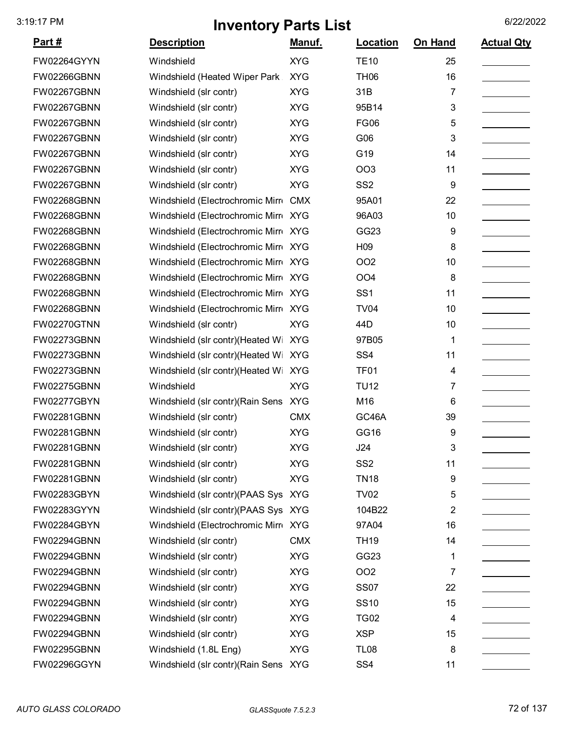| <u>Part #</u>      | <b>Description</b>                    | <u>Manuf.</u> | Location         | On Hand                 | <b>Actual Qty</b> |
|--------------------|---------------------------------------|---------------|------------------|-------------------------|-------------------|
| FW02264GYYN        | Windshield                            | <b>XYG</b>    | <b>TE10</b>      | 25                      |                   |
| FW02266GBNN        | Windshield (Heated Wiper Park         | <b>XYG</b>    | <b>TH06</b>      | 16                      |                   |
| FW02267GBNN        | Windshield (slr contr)                | <b>XYG</b>    | 31B              | 7                       |                   |
| FW02267GBNN        | Windshield (slr contr)                | <b>XYG</b>    | 95B14            | 3                       |                   |
| FW02267GBNN        | Windshield (slr contr)                | <b>XYG</b>    | <b>FG06</b>      | 5                       |                   |
| FW02267GBNN        | Windshield (slr contr)                | <b>XYG</b>    | G06              | 3                       |                   |
| FW02267GBNN        | Windshield (slr contr)                | <b>XYG</b>    | G19              | 14                      |                   |
| FW02267GBNN        | Windshield (slr contr)                | <b>XYG</b>    | OO <sub>3</sub>  | 11                      |                   |
| FW02267GBNN        | Windshield (slr contr)                | <b>XYG</b>    | SS <sub>2</sub>  | 9                       |                   |
| FW02268GBNN        | Windshield (Electrochromic Mirre      | <b>CMX</b>    | 95A01            | 22                      |                   |
| FW02268GBNN        | Windshield (Electrochromic Mirro      | <b>XYG</b>    | 96A03            | 10                      |                   |
| FW02268GBNN        | Windshield (Electrochromic Mirr XYG   |               | GG23             | 9                       |                   |
| FW02268GBNN        | Windshield (Electrochromic Mirr XYG   |               | H <sub>09</sub>  | 8                       |                   |
| FW02268GBNN        | Windshield (Electrochromic Mirr XYG   |               | <b>OO2</b>       | 10                      |                   |
| FW02268GBNN        | Windshield (Electrochromic Mirr XYG   |               | OO <sub>4</sub>  | 8                       |                   |
| <b>FW02268GBNN</b> | Windshield (Electrochromic Mirr XYG   |               | SS <sub>1</sub>  | 11                      |                   |
| FW02268GBNN        | Windshield (Electrochromic Mirr XYG   |               | <b>TV04</b>      | 10                      |                   |
| FW02270GTNN        | Windshield (slr contr)                | <b>XYG</b>    | 44D              | 10                      |                   |
| FW02273GBNN        | Windshield (slr contr)(Heated Wi      | <b>XYG</b>    | 97B05            | 1                       |                   |
| FW02273GBNN        | Windshield (slr contr)(Heated Wi      | <b>XYG</b>    | SS <sub>4</sub>  | 11                      |                   |
| FW02273GBNN        | Windshield (slr contr)(Heated Wi      | <b>XYG</b>    | <b>TF01</b>      | 4                       |                   |
| FW02275GBNN        | Windshield                            | <b>XYG</b>    | <b>TU12</b>      | 7                       |                   |
| FW02277GBYN        | Windshield (slr contr)(Rain Sens XYG  |               | M16              | 6                       |                   |
| FW02281GBNN        | Windshield (slr contr)                | <b>CMX</b>    | GC46A            | 39                      |                   |
| FW02281GBNN        | Windshield (slr contr)                | <b>XYG</b>    | GG16             | 9                       |                   |
| FW02281GBNN        | Windshield (slr contr)                | <b>XYG</b>    | J24              | 3                       |                   |
| FW02281GBNN        | Windshield (slr contr)                | <b>XYG</b>    | SS <sub>2</sub>  | 11                      |                   |
| FW02281GBNN        | Windshield (slr contr)                | <b>XYG</b>    | <b>TN18</b>      | 9                       |                   |
| FW02283GBYN        | Windshield (slr contr)(PAAS Sys XYG   |               | <b>TV02</b>      | 5                       |                   |
| FW02283GYYN        | Windshield (slr contr)(PAAS Sys XYG   |               | 104B22           | $\overline{\mathbf{c}}$ |                   |
| FW02284GBYN        | Windshield (Electrochromic Mirr XYG   |               | 97A04            | 16                      |                   |
| FW02294GBNN        | Windshield (slr contr)                | <b>CMX</b>    | <b>TH19</b>      | 14                      |                   |
| FW02294GBNN        | Windshield (slr contr)                | <b>XYG</b>    | GG <sub>23</sub> | 1                       |                   |
| FW02294GBNN        | Windshield (slr contr)                | <b>XYG</b>    | OO <sub>2</sub>  | 7                       |                   |
| FW02294GBNN        | Windshield (slr contr)                | <b>XYG</b>    | <b>SS07</b>      | 22                      |                   |
| FW02294GBNN        | Windshield (slr contr)                | <b>XYG</b>    | <b>SS10</b>      | 15                      |                   |
| FW02294GBNN        | Windshield (slr contr)                | <b>XYG</b>    | <b>TG02</b>      | 4                       |                   |
| FW02294GBNN        | Windshield (slr contr)                | <b>XYG</b>    | <b>XSP</b>       | 15                      |                   |
| FW02295GBNN        | Windshield (1.8L Eng)                 | <b>XYG</b>    | <b>TL08</b>      | 8                       |                   |
| FW02296GGYN        | Windshield (slr contr) (Rain Sens XYG |               | SS <sub>4</sub>  | 11                      |                   |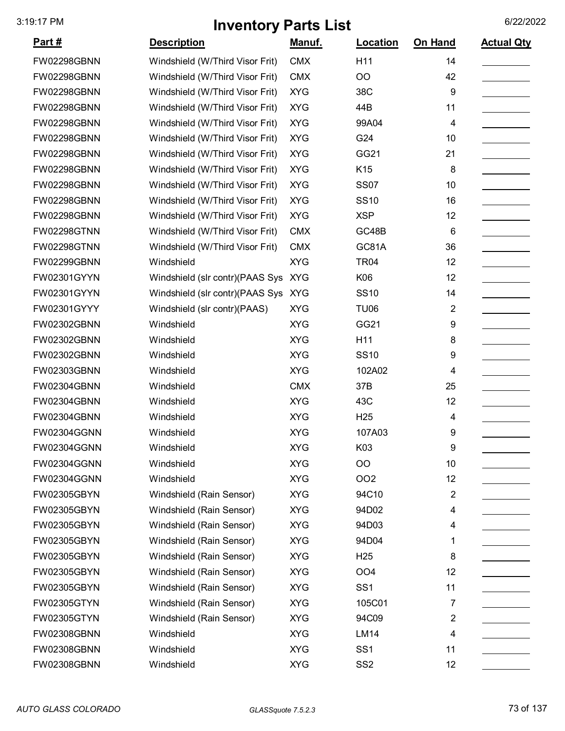| <u>Part #</u>      | <b>Description</b>              | <u>Manuf.</u> | <b>Location</b> | On Hand        | <b>Actual Qty</b> |
|--------------------|---------------------------------|---------------|-----------------|----------------|-------------------|
| FW02298GBNN        | Windshield (W/Third Visor Frit) | <b>CMX</b>    | H11             | 14             |                   |
| FW02298GBNN        | Windshield (W/Third Visor Frit) | <b>CMX</b>    | O <sub>O</sub>  | 42             |                   |
| FW02298GBNN        | Windshield (W/Third Visor Frit) | <b>XYG</b>    | 38C             | 9              |                   |
| FW02298GBNN        | Windshield (W/Third Visor Frit) | <b>XYG</b>    | 44B             | 11             |                   |
| FW02298GBNN        | Windshield (W/Third Visor Frit) | <b>XYG</b>    | 99A04           | 4              |                   |
| <b>FW02298GBNN</b> | Windshield (W/Third Visor Frit) | <b>XYG</b>    | G24             | 10             |                   |
| FW02298GBNN        | Windshield (W/Third Visor Frit) | <b>XYG</b>    | GG21            | 21             |                   |
| FW02298GBNN        | Windshield (W/Third Visor Frit) | <b>XYG</b>    | K <sub>15</sub> | 8              |                   |
| FW02298GBNN        | Windshield (W/Third Visor Frit) | <b>XYG</b>    | <b>SS07</b>     | 10             |                   |
| FW02298GBNN        | Windshield (W/Third Visor Frit) | <b>XYG</b>    | <b>SS10</b>     | 16             |                   |
| FW02298GBNN        | Windshield (W/Third Visor Frit) | <b>XYG</b>    | <b>XSP</b>      | 12             |                   |
| <b>FW02298GTNN</b> | Windshield (W/Third Visor Frit) | <b>CMX</b>    | GC48B           | 6              |                   |
| <b>FW02298GTNN</b> | Windshield (W/Third Visor Frit) | <b>CMX</b>    | GC81A           | 36             |                   |
| FW02299GBNN        | Windshield                      | <b>XYG</b>    | <b>TR04</b>     | 12             |                   |
| FW02301GYYN        | Windshield (slr contr)(PAAS Sys | <b>XYG</b>    | K06             | 12             |                   |
| FW02301GYYN        | Windshield (slr contr)(PAAS Sys | <b>XYG</b>    | <b>SS10</b>     | 14             |                   |
| FW02301GYYY        | Windshield (slr contr)(PAAS)    | <b>XYG</b>    | TU06            | 2              |                   |
| FW02302GBNN        | Windshield                      | <b>XYG</b>    | GG21            | 9              |                   |
| FW02302GBNN        | Windshield                      | <b>XYG</b>    | H11             | 8              |                   |
| FW02302GBNN        | Windshield                      | <b>XYG</b>    | <b>SS10</b>     | 9              |                   |
| FW02303GBNN        | Windshield                      | <b>XYG</b>    | 102A02          | 4              |                   |
| FW02304GBNN        | Windshield                      | <b>CMX</b>    | 37B             | 25             |                   |
| FW02304GBNN        | Windshield                      | <b>XYG</b>    | 43C             | 12             |                   |
| FW02304GBNN        | Windshield                      | <b>XYG</b>    | H <sub>25</sub> | 4              |                   |
| FW02304GGNN        | Windshield                      | <b>XYG</b>    | 107A03          | 9              |                   |
| FW02304GGNN        | Windshield                      | <b>XYG</b>    | K03             | 9              |                   |
| FW02304GGNN        | Windshield                      | <b>XYG</b>    | OO              | 10             |                   |
| FW02304GGNN        | Windshield                      | <b>XYG</b>    | OO <sub>2</sub> | 12             |                   |
| FW02305GBYN        | Windshield (Rain Sensor)        | <b>XYG</b>    | 94C10           | $\overline{2}$ |                   |
| FW02305GBYN        | Windshield (Rain Sensor)        | <b>XYG</b>    | 94D02           | 4              |                   |
| FW02305GBYN        | Windshield (Rain Sensor)        | <b>XYG</b>    | 94D03           | 4              |                   |
| FW02305GBYN        | Windshield (Rain Sensor)        | <b>XYG</b>    | 94D04           | 1              |                   |
| FW02305GBYN        | Windshield (Rain Sensor)        | <b>XYG</b>    | H <sub>25</sub> | 8              |                   |
| FW02305GBYN        | Windshield (Rain Sensor)        | <b>XYG</b>    | OO <sub>4</sub> | 12             |                   |
| FW02305GBYN        | Windshield (Rain Sensor)        | <b>XYG</b>    | SS <sub>1</sub> | 11             |                   |
| FW02305GTYN        | Windshield (Rain Sensor)        | <b>XYG</b>    | 105C01          | 7              |                   |
| FW02305GTYN        | Windshield (Rain Sensor)        | <b>XYG</b>    | 94C09           | $\overline{2}$ |                   |
| FW02308GBNN        | Windshield                      | <b>XYG</b>    | <b>LM14</b>     | 4              |                   |
| FW02308GBNN        | Windshield                      | <b>XYG</b>    | SS <sub>1</sub> | 11             |                   |
| FW02308GBNN        | Windshield                      | <b>XYG</b>    | SS <sub>2</sub> | 12             |                   |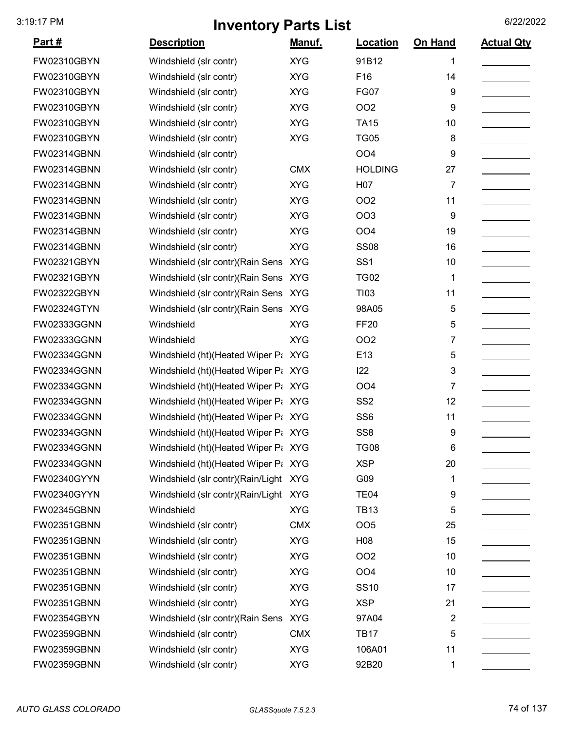| Part#              | <b>Description</b>                    | Manuf.     | Location        | On Hand | <b>Actual Qty</b> |
|--------------------|---------------------------------------|------------|-----------------|---------|-------------------|
| FW02310GBYN        | Windshield (slr contr)                | <b>XYG</b> | 91B12           | 1       |                   |
| FW02310GBYN        | Windshield (slr contr)                | <b>XYG</b> | F16             | 14      |                   |
| FW02310GBYN        | Windshield (slr contr)                | <b>XYG</b> | <b>FG07</b>     | 9       |                   |
| FW02310GBYN        | Windshield (slr contr)                | <b>XYG</b> | <b>OO2</b>      | 9       |                   |
| FW02310GBYN        | Windshield (slr contr)                | <b>XYG</b> | <b>TA15</b>     | 10      |                   |
| FW02310GBYN        | Windshield (slr contr)                | <b>XYG</b> | <b>TG05</b>     | 8       |                   |
| <b>FW02314GBNN</b> | Windshield (slr contr)                |            | OO <sub>4</sub> | 9       |                   |
| <b>FW02314GBNN</b> | Windshield (slr contr)                | <b>CMX</b> | <b>HOLDING</b>  | 27      |                   |
| <b>FW02314GBNN</b> | Windshield (slr contr)                | <b>XYG</b> | H07             | 7       |                   |
| <b>FW02314GBNN</b> | Windshield (slr contr)                | <b>XYG</b> | <b>OO2</b>      | 11      |                   |
| <b>FW02314GBNN</b> | Windshield (slr contr)                | <b>XYG</b> | OO <sub>3</sub> | 9       |                   |
| <b>FW02314GBNN</b> | Windshield (slr contr)                | <b>XYG</b> | OO <sub>4</sub> | 19      |                   |
| FW02314GBNN        | Windshield (slr contr)                | <b>XYG</b> | <b>SS08</b>     | 16      |                   |
| FW02321GBYN        | Windshield (slr contr) (Rain Sens XYG |            | SS <sub>1</sub> | 10      |                   |
| FW02321GBYN        | Windshield (slr contr)(Rain Sens XYG  |            | <b>TG02</b>     | 1       |                   |
| FW02322GBYN        | Windshield (slr contr) (Rain Sens XYG |            | T103            | 11      |                   |
| <b>FW02324GTYN</b> | Windshield (slr contr) (Rain Sens XYG |            | 98A05           | 5       |                   |
| FW02333GGNN        | Windshield                            | <b>XYG</b> | <b>FF20</b>     | 5       |                   |
| FW02333GGNN        | Windshield                            | <b>XYG</b> | OO <sub>2</sub> | 7       |                   |
| FW02334GGNN        | Windshield (ht) (Heated Wiper Pa XYG  |            | E13             | 5       |                   |
| FW02334GGNN        | Windshield (ht) (Heated Wiper Pt XYG  |            | 122             | 3       |                   |
| FW02334GGNN        | Windshield (ht) (Heated Wiper Pt XYG  |            | OO <sub>4</sub> | 7       |                   |
| FW02334GGNN        | Windshield (ht) (Heated Wiper P: XYG  |            | SS <sub>2</sub> | 12      |                   |
| FW02334GGNN        | Windshield (ht) (Heated Wiper P: XYG  |            | SS <sub>6</sub> | 11      |                   |
| FW02334GGNN        | Windshield (ht) (Heated Wiper Pa XYG  |            | SS <sub>8</sub> | 9       |                   |
| FW02334GGNN        | Windshield (ht) (Heated Wiper Pi XYG  |            | <b>TG08</b>     | 6       |                   |
| FW02334GGNN        | Windshield (ht) (Heated Wiper Pt XYG  |            | <b>XSP</b>      | 20      |                   |
| FW02340GYYN        | Windshield (slr contr)(Rain/Light XYG |            | G09             | 1       |                   |
| FW02340GYYN        | Windshield (slr contr)(Rain/Light XYG |            | <b>TE04</b>     | 9       |                   |
| <b>FW02345GBNN</b> | Windshield                            | <b>XYG</b> | <b>TB13</b>     | 5       |                   |
| <b>FW02351GBNN</b> | Windshield (slr contr)                | <b>CMX</b> | OO <sub>5</sub> | 25      |                   |
| FW02351GBNN        | Windshield (slr contr)                | <b>XYG</b> | H08             | 15      |                   |
| FW02351GBNN        | Windshield (slr contr)                | <b>XYG</b> | <b>OO2</b>      | 10      |                   |
| FW02351GBNN        | Windshield (slr contr)                | <b>XYG</b> | OO <sub>4</sub> | 10      |                   |
| FW02351GBNN        | Windshield (slr contr)                | <b>XYG</b> | <b>SS10</b>     | 17      |                   |
| <b>FW02351GBNN</b> | Windshield (slr contr)                | <b>XYG</b> | <b>XSP</b>      | 21      |                   |
| FW02354GBYN        | Windshield (slr contr) (Rain Sens     | <b>XYG</b> | 97A04           | 2       |                   |
| <b>FW02359GBNN</b> | Windshield (slr contr)                | <b>CMX</b> | <b>TB17</b>     | 5       |                   |
| <b>FW02359GBNN</b> | Windshield (slr contr)                | <b>XYG</b> | 106A01          | 11      |                   |
| FW02359GBNN        | Windshield (slr contr)                | <b>XYG</b> | 92B20           | 1       |                   |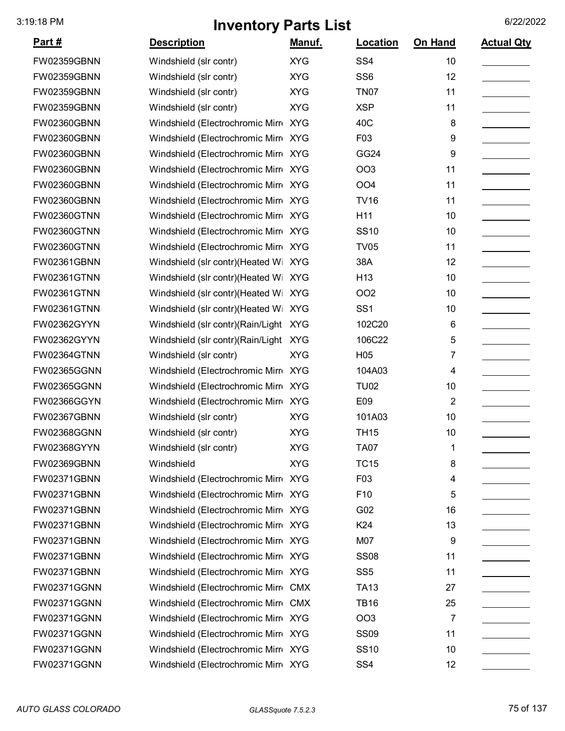| <u>Part #</u>      | <b>Description</b>                   | Manuf.     | Location        | On Hand        | <b>Actual Qty</b> |
|--------------------|--------------------------------------|------------|-----------------|----------------|-------------------|
| <b>FW02359GBNN</b> | Windshield (slr contr)               | <b>XYG</b> | SS <sub>4</sub> | 10             |                   |
| <b>FW02359GBNN</b> | Windshield (slr contr)               | <b>XYG</b> | SS <sub>6</sub> | 12             |                   |
| FW02359GBNN        | Windshield (slr contr)               | <b>XYG</b> | <b>TN07</b>     | 11             |                   |
| <b>FW02359GBNN</b> | Windshield (slr contr)               | <b>XYG</b> | <b>XSP</b>      | 11             |                   |
| <b>FW02360GBNN</b> | Windshield (Electrochromic Mirre     | <b>XYG</b> | 40C             | 8              |                   |
| FW02360GBNN        | Windshield (Electrochromic Mirre     | <b>XYG</b> | F03             | 9              |                   |
| FW02360GBNN        | Windshield (Electrochromic Mirre     | <b>XYG</b> | GG24            | 9              |                   |
| FW02360GBNN        | Windshield (Electrochromic Mirr XYG  |            | <b>OO3</b>      | 11             |                   |
| <b>FW02360GBNN</b> | Windshield (Electrochromic Mirr XYG  |            | <b>OO4</b>      | 11             |                   |
| FW02360GBNN        | Windshield (Electrochromic Mirr XYG  |            | <b>TV16</b>     | 11             |                   |
| <b>FW02360GTNN</b> | Windshield (Electrochromic Mirr XYG  |            | H11             | 10             |                   |
| <b>FW02360GTNN</b> | Windshield (Electrochromic Mirro XYG |            | <b>SS10</b>     | 10             |                   |
| <b>FW02360GTNN</b> | Windshield (Electrochromic Mirr XYG  |            | <b>TV05</b>     | 11             |                   |
| FW02361GBNN        | Windshield (slr contr)(Heated Wi     | <b>XYG</b> | 38A             | 12             |                   |
| <b>FW02361GTNN</b> | Windshield (slr contr)(Heated Wi     | <b>XYG</b> | H <sub>13</sub> | 10             |                   |
| <b>FW02361GTNN</b> | Windshield (slr contr)(Heated Wi     | <b>XYG</b> | OO <sub>2</sub> | 10             |                   |
| <b>FW02361GTNN</b> | Windshield (slr contr) (Heated Wi    | <b>XYG</b> | SS <sub>1</sub> | 10             |                   |
| FW02362GYYN        | Windshield (slr contr)(Rain/Light    | <b>XYG</b> | 102C20          | 6              |                   |
| FW02362GYYN        | Windshield (slr contr)(Rain/Light    | <b>XYG</b> | 106C22          | 5              |                   |
| <b>FW02364GTNN</b> | Windshield (slr contr)               | <b>XYG</b> | H <sub>05</sub> | 7              |                   |
| FW02365GGNN        | Windshield (Electrochromic Mirre     | <b>XYG</b> | 104A03          | 4              |                   |
| FW02365GGNN        | Windshield (Electrochromic Mirro     | <b>XYG</b> | <b>TU02</b>     | 10             |                   |
| FW02366GGYN        | Windshield (Electrochromic Mirro     | <b>XYG</b> | E09             | $\overline{2}$ |                   |
| <b>FW02367GBNN</b> | Windshield (slr contr)               | <b>XYG</b> | 101A03          | 10             |                   |
| FW02368GGNN        | Windshield (slr contr)               | <b>XYG</b> | <b>TH15</b>     | 10             |                   |
| FW02368GYYN        | Windshield (slr contr)               | <b>XYG</b> | <b>TA07</b>     | 1              |                   |
| <b>FW02369GBNN</b> | Windshield                           | <b>XYG</b> | <b>TC15</b>     | 8              |                   |
| FW02371GBNN        | Windshield (Electrochromic Mirro XYG |            | F03             | 4              |                   |
| <b>FW02371GBNN</b> | Windshield (Electrochromic Mirr XYG  |            | F10             | 5              |                   |
| <b>FW02371GBNN</b> | Windshield (Electrochromic Mirr XYG  |            | G02             | 16             |                   |
| <b>FW02371GBNN</b> | Windshield (Electrochromic Mirr XYG  |            | K24             | 13             |                   |
| FW02371GBNN        | Windshield (Electrochromic Mirr XYG  |            | M07             | 9              |                   |
| <b>FW02371GBNN</b> | Windshield (Electrochromic Mirr XYG  |            | <b>SS08</b>     | 11             |                   |
| FW02371GBNN        | Windshield (Electrochromic Mirr XYG  |            | SS <sub>5</sub> | 11             |                   |
| FW02371GGNN        | Windshield (Electrochromic Mirre CMX |            | <b>TA13</b>     | 27             |                   |
| FW02371GGNN        | Windshield (Electrochromic Mirre CMX |            | <b>TB16</b>     | 25             |                   |
| <b>FW02371GGNN</b> | Windshield (Electrochromic Mirr XYG  |            | OO <sub>3</sub> | 7              |                   |
| <b>FW02371GGNN</b> | Windshield (Electrochromic Mirr XYG  |            | <b>SS09</b>     | 11             |                   |
| FW02371GGNN        | Windshield (Electrochromic Mirr XYG  |            | <b>SS10</b>     | 10             |                   |
| FW02371GGNN        | Windshield (Electrochromic Mirr XYG  |            | SS <sub>4</sub> | 12             |                   |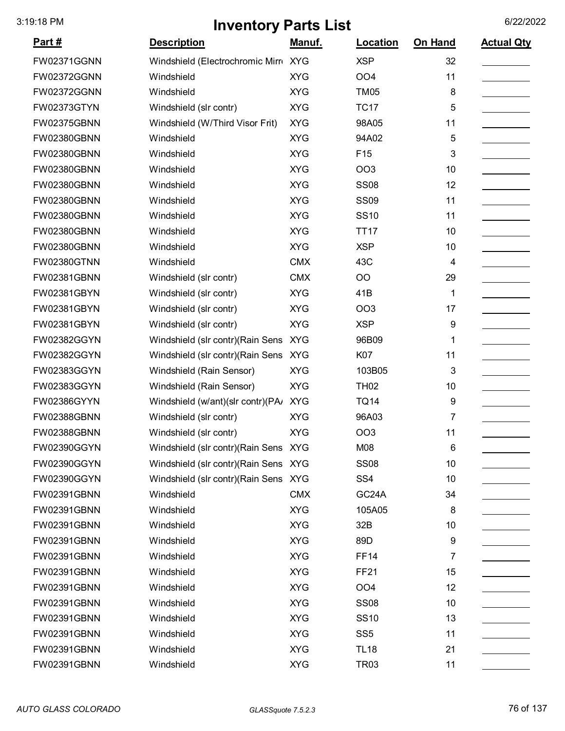| <u>Part #</u> | <b>Description</b>                    | Manuf.     | Location           | On Hand | <b>Actual Qty</b> |
|---------------|---------------------------------------|------------|--------------------|---------|-------------------|
| FW02371GGNN   | Windshield (Electrochromic Mirr XYG   |            | <b>XSP</b>         | 32      |                   |
| FW02372GGNN   | Windshield                            | <b>XYG</b> | OO <sub>4</sub>    | 11      |                   |
| FW02372GGNN   | Windshield                            | <b>XYG</b> | <b>TM05</b>        | 8       |                   |
| FW02373GTYN   | Windshield (slr contr)                | <b>XYG</b> | <b>TC17</b>        | 5       |                   |
| FW02375GBNN   | Windshield (W/Third Visor Frit)       | <b>XYG</b> | 98A05              | 11      |                   |
| FW02380GBNN   | Windshield                            | <b>XYG</b> | 94A02              | 5       |                   |
| FW02380GBNN   | Windshield                            | <b>XYG</b> | F <sub>15</sub>    | 3       |                   |
| FW02380GBNN   | Windshield                            | <b>XYG</b> | OO <sub>3</sub>    | 10      |                   |
| FW02380GBNN   | Windshield                            | <b>XYG</b> | <b>SS08</b>        | 12      |                   |
| FW02380GBNN   | Windshield                            | <b>XYG</b> | <b>SS09</b>        | 11      |                   |
| FW02380GBNN   | Windshield                            | <b>XYG</b> | <b>SS10</b>        | 11      |                   |
| FW02380GBNN   | Windshield                            | <b>XYG</b> | <b>TT17</b>        | 10      |                   |
| FW02380GBNN   | Windshield                            | <b>XYG</b> | <b>XSP</b>         | 10      |                   |
| FW02380GTNN   | Windshield                            | <b>CMX</b> | 43C                | 4       |                   |
| FW02381GBNN   | Windshield (slr contr)                | <b>CMX</b> | OO                 | 29      |                   |
| FW02381GBYN   | Windshield (slr contr)                | <b>XYG</b> | 41B                | 1       |                   |
| FW02381GBYN   | Windshield (slr contr)                | <b>XYG</b> | OO <sub>3</sub>    | 17      |                   |
| FW02381GBYN   | Windshield (slr contr)                | <b>XYG</b> | <b>XSP</b>         | 9       |                   |
| FW02382GGYN   | Windshield (slr contr) (Rain Sens XYG |            | 96B09              | 1       |                   |
| FW02382GGYN   | Windshield (slr contr) (Rain Sens     | <b>XYG</b> | K07                | 11      |                   |
| FW02383GGYN   | Windshield (Rain Sensor)              | <b>XYG</b> | 103B05             | 3       |                   |
| FW02383GGYN   | Windshield (Rain Sensor)              | <b>XYG</b> | <b>TH02</b>        | 10      |                   |
| FW02386GYYN   | Windshield (w/ant)(slr contr)(PA/     | <b>XYG</b> | <b>TQ14</b>        | 9       |                   |
| FW02388GBNN   | Windshield (slr contr)                | <b>XYG</b> | 96A03              | 7       |                   |
| FW02388GBNN   | Windshield (slr contr)                | <b>XYG</b> | OO <sub>3</sub>    | 11      |                   |
| FW02390GGYN   | Windshield (slr contr) (Rain Sens XYG |            | M08                | 6       |                   |
| FW02390GGYN   | Windshield (slr contr) (Rain Sens XYG |            | <b>SS08</b>        | 10      |                   |
| FW02390GGYN   | Windshield (slr contr) (Rain Sens XYG |            | SS <sub>4</sub>    | 10      |                   |
| FW02391GBNN   | Windshield                            | <b>CMX</b> | GC <sub>24</sub> A | 34      |                   |
| FW02391GBNN   | Windshield                            | <b>XYG</b> | 105A05             | 8       |                   |
| FW02391GBNN   | Windshield                            | <b>XYG</b> | 32B                | 10      |                   |
| FW02391GBNN   | Windshield                            | <b>XYG</b> | 89D                | 9       |                   |
| FW02391GBNN   | Windshield                            | <b>XYG</b> | <b>FF14</b>        | 7       |                   |
| FW02391GBNN   | Windshield                            | <b>XYG</b> | <b>FF21</b>        | 15      |                   |
| FW02391GBNN   | Windshield                            | <b>XYG</b> | OO <sub>4</sub>    | 12      |                   |
| FW02391GBNN   | Windshield                            | <b>XYG</b> | <b>SS08</b>        | 10      |                   |
| FW02391GBNN   | Windshield                            | <b>XYG</b> | <b>SS10</b>        | 13      |                   |
| FW02391GBNN   | Windshield                            | <b>XYG</b> | SS <sub>5</sub>    | 11      |                   |
| FW02391GBNN   | Windshield                            | <b>XYG</b> | <b>TL18</b>        | 21      |                   |
| FW02391GBNN   | Windshield                            | <b>XYG</b> | <b>TR03</b>        | 11      |                   |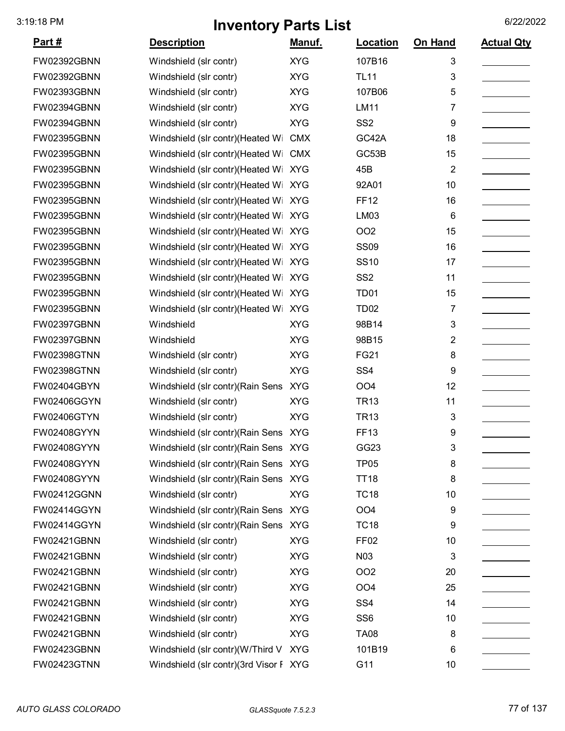| <u>Part #</u>      | <b>Description</b>                     | Manuf.     | Location         | On Hand        | <b>Actual Qty</b> |
|--------------------|----------------------------------------|------------|------------------|----------------|-------------------|
| <b>FW02392GBNN</b> | Windshield (slr contr)                 | <b>XYG</b> | 107B16           | 3              |                   |
| <b>FW02392GBNN</b> | Windshield (slr contr)                 | <b>XYG</b> | <b>TL11</b>      | 3              |                   |
| <b>FW02393GBNN</b> | Windshield (slr contr)                 | <b>XYG</b> | 107B06           | 5              |                   |
| <b>FW02394GBNN</b> | Windshield (slr contr)                 | <b>XYG</b> | <b>LM11</b>      | 7              |                   |
| <b>FW02394GBNN</b> | Windshield (slr contr)                 | <b>XYG</b> | SS <sub>2</sub>  | 9              |                   |
| <b>FW02395GBNN</b> | Windshield (slr contr)(Heated Wi       | <b>CMX</b> | GC42A            | 18             |                   |
| <b>FW02395GBNN</b> | Windshield (slr contr)(Heated Wi       | <b>CMX</b> | GC53B            | 15             |                   |
| <b>FW02395GBNN</b> | Windshield (slr contr)(Heated Wi       | <b>XYG</b> | 45B              | $\overline{2}$ |                   |
| <b>FW02395GBNN</b> | Windshield (slr contr)(Heated Wi       | <b>XYG</b> | 92A01            | 10             |                   |
| FW02395GBNN        | Windshield (slr contr)(Heated Wi XYG   |            | <b>FF12</b>      | 16             |                   |
| <b>FW02395GBNN</b> | Windshield (slr contr)(Heated Wi       | <b>XYG</b> | LM03             | 6              |                   |
| <b>FW02395GBNN</b> | Windshield (slr contr)(Heated Wi       | <b>XYG</b> | OO <sub>2</sub>  | 15             |                   |
| <b>FW02395GBNN</b> | Windshield (slr contr)(Heated Wi       | <b>XYG</b> | <b>SS09</b>      | 16             |                   |
| <b>FW02395GBNN</b> | Windshield (slr contr)(Heated Wi XYG   |            | <b>SS10</b>      | 17             |                   |
| <b>FW02395GBNN</b> | Windshield (slr contr)(Heated Wi       | <b>XYG</b> | SS <sub>2</sub>  | 11             |                   |
| FW02395GBNN        | Windshield (slr contr)(Heated Wi       | <b>XYG</b> | TD <sub>01</sub> | 15             |                   |
| <b>FW02395GBNN</b> | Windshield (slr contr)(Heated Wi       | <b>XYG</b> | <b>TD02</b>      | 7              |                   |
| <b>FW02397GBNN</b> | Windshield                             | <b>XYG</b> | 98B14            | 3              |                   |
| <b>FW02397GBNN</b> | Windshield                             | <b>XYG</b> | 98B15            | 2              |                   |
| <b>FW02398GTNN</b> | Windshield (slr contr)                 | <b>XYG</b> | <b>FG21</b>      | 8              |                   |
| <b>FW02398GTNN</b> | Windshield (slr contr)                 | <b>XYG</b> | SS <sub>4</sub>  | 9              |                   |
| FW02404GBYN        | Windshield (slr contr) (Rain Sens      | <b>XYG</b> | OO <sub>4</sub>  | 12             |                   |
| <b>FW02406GGYN</b> | Windshield (slr contr)                 | <b>XYG</b> | <b>TR13</b>      | 11             |                   |
| <b>FW02406GTYN</b> | Windshield (slr contr)                 | <b>XYG</b> | <b>TR13</b>      | 3              |                   |
| FW02408GYYN        | Windshield (slr contr) (Rain Sens XYG  |            | <b>FF13</b>      | 9              |                   |
| FW02408GYYN        | Windshield (slr contr)(Rain Sens XYG   |            | GG23             | 3              |                   |
| FW02408GYYN        | Windshield (slr contr)(Rain Sens XYG   |            | <b>TP05</b>      | 8              |                   |
| <b>FW02408GYYN</b> | Windshield (slr contr)(Rain Sens XYG   |            | <b>TT18</b>      | 8              |                   |
| <b>FW02412GGNN</b> | Windshield (slr contr)                 | <b>XYG</b> | <b>TC18</b>      | 10             |                   |
| <b>FW02414GGYN</b> | Windshield (slr contr) (Rain Sens XYG  |            | OO <sub>4</sub>  | 9              |                   |
| <b>FW02414GGYN</b> | Windshield (slr contr) (Rain Sens XYG  |            | <b>TC18</b>      | 9              |                   |
| FW02421GBNN        | Windshield (slr contr)                 | <b>XYG</b> | FF <sub>02</sub> | 10             |                   |
| <b>FW02421GBNN</b> | Windshield (slr contr)                 | <b>XYG</b> | N <sub>0</sub> 3 | 3              |                   |
| FW02421GBNN        | Windshield (slr contr)                 | <b>XYG</b> | <b>OO2</b>       | 20             |                   |
| <b>FW02421GBNN</b> | Windshield (slr contr)                 | <b>XYG</b> | OO <sub>4</sub>  | 25             |                   |
| <b>FW02421GBNN</b> | Windshield (slr contr)                 | <b>XYG</b> | SS <sub>4</sub>  | 14             |                   |
| FW02421GBNN        | Windshield (slr contr)                 | <b>XYG</b> | SS <sub>6</sub>  | 10             |                   |
| FW02421GBNN        | Windshield (slr contr)                 | <b>XYG</b> | <b>TA08</b>      | 8              |                   |
| <b>FW02423GBNN</b> | Windshield (slr contr)(W/Third V       | <b>XYG</b> | 101B19           | 6              |                   |
| <b>FW02423GTNN</b> | Windshield (slr contr)(3rd Visor F XYG |            | G11              | 10             |                   |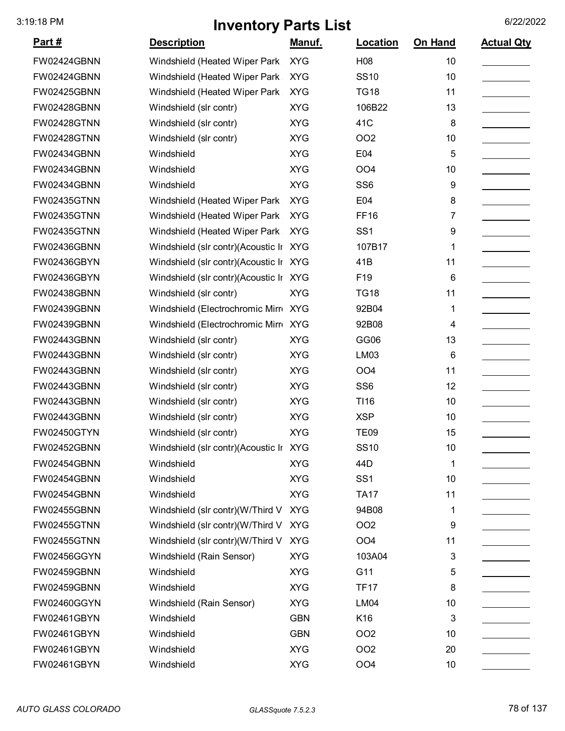| Part #             | <b>Description</b>                     | <u>Manuf.</u> | <b>Location</b> | On Hand | <b>Actual Qty</b> |
|--------------------|----------------------------------------|---------------|-----------------|---------|-------------------|
| FW02424GBNN        | Windshield (Heated Wiper Park          | <b>XYG</b>    | H08             | 10      |                   |
| FW02424GBNN        | Windshield (Heated Wiper Park          | <b>XYG</b>    | <b>SS10</b>     | 10      |                   |
| FW02425GBNN        | Windshield (Heated Wiper Park          | <b>XYG</b>    | <b>TG18</b>     | 11      |                   |
| FW02428GBNN        | Windshield (slr contr)                 | <b>XYG</b>    | 106B22          | 13      |                   |
| <b>FW02428GTNN</b> | Windshield (slr contr)                 | <b>XYG</b>    | 41C             | 8       |                   |
| <b>FW02428GTNN</b> | Windshield (slr contr)                 | <b>XYG</b>    | <b>OO2</b>      | 10      |                   |
| FW02434GBNN        | Windshield                             | <b>XYG</b>    | E04             | 5       |                   |
| FW02434GBNN        | Windshield                             | <b>XYG</b>    | OO <sub>4</sub> | 10      |                   |
| FW02434GBNN        | Windshield                             | <b>XYG</b>    | SS <sub>6</sub> | 9       |                   |
| <b>FW02435GTNN</b> | Windshield (Heated Wiper Park          | <b>XYG</b>    | E04             | 8       |                   |
| <b>FW02435GTNN</b> | Windshield (Heated Wiper Park          | <b>XYG</b>    | <b>FF16</b>     | 7       |                   |
| <b>FW02435GTNN</b> | Windshield (Heated Wiper Park          | <b>XYG</b>    | SS <sub>1</sub> | 9       |                   |
| <b>FW02436GBNN</b> | Windshield (slr contr)(Acoustic Ir XYG |               | 107B17          | 1       |                   |
| FW02436GBYN        | Windshield (slr contr)(Acoustic Ir XYG |               | 41B             | 11      |                   |
| FW02436GBYN        | Windshield (slr contr)(Acoustic Ir XYG |               | F19             | 6       |                   |
| FW02438GBNN        | Windshield (slr contr)                 | <b>XYG</b>    | <b>TG18</b>     | 11      |                   |
| FW02439GBNN        | Windshield (Electrochromic Mirr XYG    |               | 92B04           | 1       |                   |
| FW02439GBNN        | Windshield (Electrochromic Mirro XYG   |               | 92B08           | 4       |                   |
| FW02443GBNN        | Windshield (slr contr)                 | <b>XYG</b>    | GG06            | 13      |                   |
| FW02443GBNN        | Windshield (slr contr)                 | <b>XYG</b>    | LM03            | 6       |                   |
| FW02443GBNN        | Windshield (slr contr)                 | <b>XYG</b>    | OO <sub>4</sub> | 11      |                   |
| FW02443GBNN        | Windshield (slr contr)                 | <b>XYG</b>    | SS <sub>6</sub> | 12      |                   |
| FW02443GBNN        | Windshield (slr contr)                 | <b>XYG</b>    | T116            | 10      |                   |
| FW02443GBNN        | Windshield (slr contr)                 | <b>XYG</b>    | <b>XSP</b>      | 10      |                   |
| <b>FW02450GTYN</b> | Windshield (slr contr)                 | <b>XYG</b>    | <b>TE09</b>     | 15      |                   |
| FW02452GBNN        | Windshield (slr contr)(Acoustic Ir XYG |               | <b>SS10</b>     | 10      |                   |
| FW02454GBNN        | Windshield                             | <b>XYG</b>    | 44D             | 1       |                   |
| FW02454GBNN        | Windshield                             | <b>XYG</b>    | SS <sub>1</sub> | 10      |                   |
| FW02454GBNN        | Windshield                             | <b>XYG</b>    | <b>TA17</b>     | 11      |                   |
| FW02455GBNN        | Windshield (slr contr)(W/Third V       | <b>XYG</b>    | 94B08           | 1       |                   |
| <b>FW02455GTNN</b> | Windshield (slr contr)(W/Third V XYG   |               | OO <sub>2</sub> | 9       |                   |
| <b>FW02455GTNN</b> | Windshield (slr contr)(W/Third V XYG   |               | OO <sub>4</sub> | 11      |                   |
| FW02456GGYN        | Windshield (Rain Sensor)               | <b>XYG</b>    | 103A04          | 3       |                   |
| FW02459GBNN        | Windshield                             | <b>XYG</b>    | G11             | 5       |                   |
| FW02459GBNN        | Windshield                             | <b>XYG</b>    | <b>TF17</b>     | 8       |                   |
| FW02460GGYN        | Windshield (Rain Sensor)               | <b>XYG</b>    | <b>LM04</b>     | 10      |                   |
| FW02461GBYN        | Windshield                             | <b>GBN</b>    | K16             | 3       |                   |
| FW02461GBYN        | Windshield                             | <b>GBN</b>    | OO <sub>2</sub> | 10      |                   |
| FW02461GBYN        | Windshield                             | <b>XYG</b>    | OO <sub>2</sub> | 20      |                   |
| FW02461GBYN        | Windshield                             | <b>XYG</b>    | OO <sub>4</sub> | 10      |                   |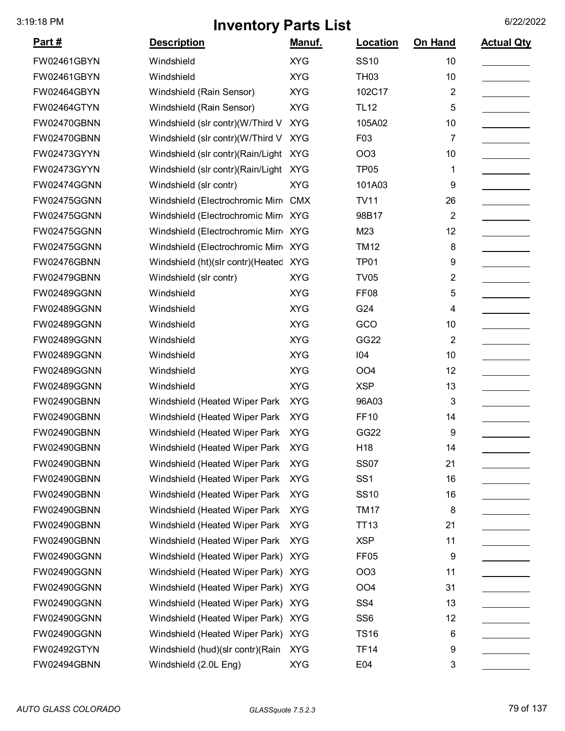| Part #             | <b>Description</b>                    | Manuf.     | Location         | On Hand        | <b>Actual Qty</b> |
|--------------------|---------------------------------------|------------|------------------|----------------|-------------------|
| FW02461GBYN        | Windshield                            | <b>XYG</b> | <b>SS10</b>      | 10             |                   |
| FW02461GBYN        | Windshield                            | <b>XYG</b> | <b>TH03</b>      | 10             |                   |
| FW02464GBYN        | Windshield (Rain Sensor)              | <b>XYG</b> | 102C17           | 2              |                   |
| FW02464GTYN        | Windshield (Rain Sensor)              | <b>XYG</b> | <b>TL12</b>      | 5              |                   |
| FW02470GBNN        | Windshield (slr contr)(W/Third V      | <b>XYG</b> | 105A02           | 10             |                   |
| FW02470GBNN        | Windshield (slr contr)(W/Third V      | <b>XYG</b> | F03              | 7              |                   |
| FW02473GYYN        | Windshield (slr contr)(Rain/Light     | <b>XYG</b> | OO <sub>3</sub>  | 10             |                   |
| FW02473GYYN        | Windshield (slr contr)(Rain/Light     | <b>XYG</b> | <b>TP05</b>      | 1              |                   |
| FW02474GGNN        | Windshield (slr contr)                | <b>XYG</b> | 101A03           | 9              |                   |
| FW02475GGNN        | Windshield (Electrochromic Mirr CMX   |            | <b>TV11</b>      | 26             |                   |
| FW02475GGNN        | Windshield (Electrochromic Mirro XYG  |            | 98B17            | 2              |                   |
| <b>FW02475GGNN</b> | Windshield (Electrochromic Mirr XYG   |            | M23              | 12             |                   |
| FW02475GGNN        | Windshield (Electrochromic Mirr XYG   |            | <b>TM12</b>      | 8              |                   |
| FW02476GBNN        | Windshield (ht)(slr contr)(Heated XYG |            | TP <sub>01</sub> | 9              |                   |
| FW02479GBNN        | Windshield (slr contr)                | <b>XYG</b> | <b>TV05</b>      | 2              |                   |
| FW02489GGNN        | Windshield                            | <b>XYG</b> | FF <sub>08</sub> | 5              |                   |
| FW02489GGNN        | Windshield                            | <b>XYG</b> | G24              | 4              |                   |
| FW02489GGNN        | Windshield                            | <b>XYG</b> | GCO              | 10             |                   |
| FW02489GGNN        | Windshield                            | <b>XYG</b> | GG22             | $\overline{2}$ |                   |
| FW02489GGNN        | Windshield                            | <b>XYG</b> | 104              | 10             |                   |
| FW02489GGNN        | Windshield                            | <b>XYG</b> | OO <sub>4</sub>  | 12             |                   |
| FW02489GGNN        | Windshield                            | <b>XYG</b> | <b>XSP</b>       | 13             |                   |
| FW02490GBNN        | Windshield (Heated Wiper Park         | <b>XYG</b> | 96A03            | 3              |                   |
| FW02490GBNN        | Windshield (Heated Wiper Park         | <b>XYG</b> | <b>FF10</b>      | 14             |                   |
| FW02490GBNN        | Windshield (Heated Wiper Park         | <b>XYG</b> | GG22             | 9              |                   |
| FW02490GBNN        | Windshield (Heated Wiper Park XYG     |            | H18              | 14             |                   |
| FW02490GBNN        | Windshield (Heated Wiper Park         | <b>XYG</b> | <b>SS07</b>      | 21             |                   |
| FW02490GBNN        | Windshield (Heated Wiper Park         | <b>XYG</b> | SS <sub>1</sub>  | 16             |                   |
| FW02490GBNN        | Windshield (Heated Wiper Park         | <b>XYG</b> | <b>SS10</b>      | 16             |                   |
| FW02490GBNN        | Windshield (Heated Wiper Park         | <b>XYG</b> | <b>TM17</b>      | 8              |                   |
| FW02490GBNN        | Windshield (Heated Wiper Park         | <b>XYG</b> | <b>TT13</b>      | 21             |                   |
| FW02490GBNN        | Windshield (Heated Wiper Park         | <b>XYG</b> | <b>XSP</b>       | 11             |                   |
| FW02490GGNN        | Windshield (Heated Wiper Park)        | <b>XYG</b> | FF <sub>05</sub> | 9              |                   |
| FW02490GGNN        | Windshield (Heated Wiper Park) XYG    |            | OO <sub>3</sub>  | 11             |                   |
| FW02490GGNN        | Windshield (Heated Wiper Park)        | <b>XYG</b> | OO <sub>4</sub>  | 31             |                   |
| FW02490GGNN        | Windshield (Heated Wiper Park) XYG    |            | SS <sub>4</sub>  | 13             |                   |
| FW02490GGNN        | Windshield (Heated Wiper Park) XYG    |            | SS <sub>6</sub>  | 12             |                   |
| FW02490GGNN        | Windshield (Heated Wiper Park) XYG    |            | <b>TS16</b>      | 6              |                   |
| FW02492GTYN        | Windshield (hud)(slr contr)(Rain      | <b>XYG</b> | <b>TF14</b>      | 9              |                   |
| FW02494GBNN        | Windshield (2.0L Eng)                 | <b>XYG</b> | E04              | 3              |                   |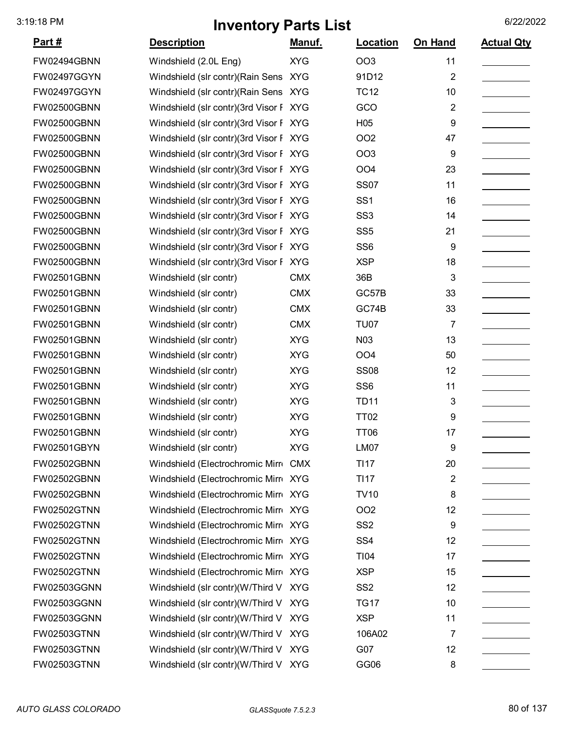| <u>Part #</u> | <b>Description</b>                     | Manuf.     | Location        | On Hand                 | <b>Actual Qty</b> |
|---------------|----------------------------------------|------------|-----------------|-------------------------|-------------------|
| FW02494GBNN   | Windshield (2.0L Eng)                  | <b>XYG</b> | <b>OO3</b>      | 11                      |                   |
| FW02497GGYN   | Windshield (slr contr) (Rain Sens XYG  |            | 91D12           | $\overline{\mathbf{c}}$ |                   |
| FW02497GGYN   | Windshield (slr contr) (Rain Sens XYG  |            | <b>TC12</b>     | 10                      |                   |
| FW02500GBNN   | Windshield (slr contr)(3rd Visor F XYG |            | GCO             | $\overline{2}$          |                   |
| FW02500GBNN   | Windshield (slr contr)(3rd Visor F XYG |            | H <sub>05</sub> | 9                       |                   |
| FW02500GBNN   | Windshield (slr contr)(3rd Visor F XYG |            | <b>OO2</b>      | 47                      |                   |
| FW02500GBNN   | Windshield (slr contr)(3rd Visor F XYG |            | <b>OO3</b>      | 9                       |                   |
| FW02500GBNN   | Windshield (slr contr)(3rd Visor F XYG |            | OO <sub>4</sub> | 23                      |                   |
| FW02500GBNN   | Windshield (slr contr)(3rd Visor F XYG |            | <b>SS07</b>     | 11                      |                   |
| FW02500GBNN   | Windshield (slr contr)(3rd Visor F XYG |            | SS <sub>1</sub> | 16                      |                   |
| FW02500GBNN   | Windshield (slr contr)(3rd Visor F XYG |            | SS <sub>3</sub> | 14                      |                   |
| FW02500GBNN   | Windshield (slr contr)(3rd Visor F XYG |            | SS <sub>5</sub> | 21                      |                   |
| FW02500GBNN   | Windshield (slr contr)(3rd Visor F XYG |            | SS <sub>6</sub> | 9                       |                   |
| FW02500GBNN   | Windshield (slr contr)(3rd Visor F XYG |            | <b>XSP</b>      | 18                      |                   |
| FW02501GBNN   | Windshield (slr contr)                 | <b>CMX</b> | 36B             | 3                       |                   |
| FW02501GBNN   | Windshield (slr contr)                 | <b>CMX</b> | GC57B           | 33                      |                   |
| FW02501GBNN   | Windshield (slr contr)                 | <b>CMX</b> | GC74B           | 33                      |                   |
| FW02501GBNN   | Windshield (slr contr)                 | <b>CMX</b> | <b>TU07</b>     | $\overline{7}$          |                   |
| FW02501GBNN   | Windshield (slr contr)                 | <b>XYG</b> | N03             | 13                      |                   |
| FW02501GBNN   | Windshield (slr contr)                 | <b>XYG</b> | OO <sub>4</sub> | 50                      |                   |
| FW02501GBNN   | Windshield (slr contr)                 | <b>XYG</b> | <b>SS08</b>     | 12                      |                   |
| FW02501GBNN   | Windshield (slr contr)                 | <b>XYG</b> | SS <sub>6</sub> | 11                      |                   |
| FW02501GBNN   | Windshield (slr contr)                 | <b>XYG</b> | <b>TD11</b>     | 3                       |                   |
| FW02501GBNN   | Windshield (slr contr)                 | <b>XYG</b> | <b>TT02</b>     | 9                       |                   |
| FW02501GBNN   | Windshield (slr contr)                 | <b>XYG</b> | <b>TT06</b>     | 17                      |                   |
| FW02501GBYN   | Windshield (slr contr)                 | XYG        | LM07            | 9                       |                   |
| FW02502GBNN   | Windshield (Electrochromic Mirre CMX   |            | <b>TI17</b>     | 20                      |                   |
| FW02502GBNN   | Windshield (Electrochromic Mirro XYG   |            | <b>TI17</b>     | $\overline{\mathbf{c}}$ |                   |
| FW02502GBNN   | Windshield (Electrochromic Mirr XYG    |            | <b>TV10</b>     | 8                       |                   |
| FW02502GTNN   | Windshield (Electrochromic Mirr XYG    |            | <b>OO2</b>      | 12                      |                   |
| FW02502GTNN   | Windshield (Electrochromic Mirr XYG    |            | SS <sub>2</sub> | 9                       |                   |
| FW02502GTNN   | Windshield (Electrochromic Mirr XYG    |            | SS <sub>4</sub> | 12                      |                   |
| FW02502GTNN   | Windshield (Electrochromic Mirr XYG    |            | TI04            | 17                      |                   |
| FW02502GTNN   | Windshield (Electrochromic Mirr XYG    |            | <b>XSP</b>      | 15                      |                   |
| FW02503GGNN   | Windshield (slr contr)(W/Third V XYG   |            | SS <sub>2</sub> | 12                      |                   |
| FW02503GGNN   | Windshield (slr contr)(W/Third V XYG   |            | <b>TG17</b>     | 10                      |                   |
| FW02503GGNN   | Windshield (slr contr)(W/Third V XYG   |            | <b>XSP</b>      | 11                      |                   |
| FW02503GTNN   | Windshield (slr contr)(W/Third V XYG   |            | 106A02          | 7                       |                   |
| FW02503GTNN   | Windshield (slr contr)(W/Third V XYG   |            | G07             | 12                      |                   |
| FW02503GTNN   | Windshield (slr contr)(W/Third V XYG   |            | GG06            | 8                       |                   |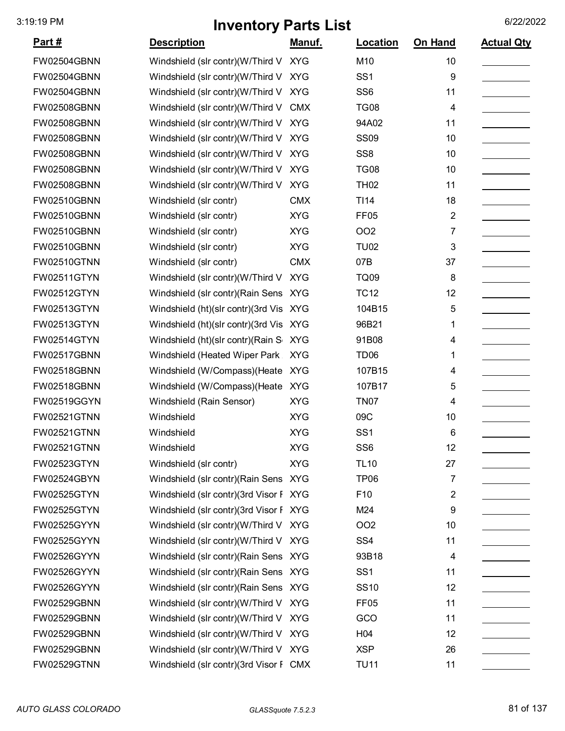| <u>Part #</u> | <b>Description</b>                     | <u>Manuf.</u> | Location         | On Hand | <b>Actual Qty</b> |
|---------------|----------------------------------------|---------------|------------------|---------|-------------------|
| FW02504GBNN   | Windshield (slr contr)(W/Third V XYG   |               | M10              | 10      |                   |
| FW02504GBNN   | Windshield (slr contr)(W/Third V       | <b>XYG</b>    | SS <sub>1</sub>  | 9       |                   |
| FW02504GBNN   | Windshield (slr contr)(W/Third V       | <b>XYG</b>    | SS <sub>6</sub>  | 11      |                   |
| FW02508GBNN   | Windshield (slr contr)(W/Third V       | <b>CMX</b>    | <b>TG08</b>      | 4       |                   |
| FW02508GBNN   | Windshield (slr contr)(W/Third V       | <b>XYG</b>    | 94A02            | 11      |                   |
| FW02508GBNN   | Windshield (slr contr)(W/Third V       | <b>XYG</b>    | <b>SS09</b>      | 10      |                   |
| FW02508GBNN   | Windshield (slr contr)(W/Third V       | <b>XYG</b>    | SS <sub>8</sub>  | 10      |                   |
| FW02508GBNN   | Windshield (slr contr)(W/Third V       | <b>XYG</b>    | <b>TG08</b>      | 10      |                   |
| FW02508GBNN   | Windshield (slr contr)(W/Third V       | <b>XYG</b>    | <b>TH02</b>      | 11      |                   |
| FW02510GBNN   | Windshield (slr contr)                 | <b>CMX</b>    | TI14             | 18      |                   |
| FW02510GBNN   | Windshield (slr contr)                 | <b>XYG</b>    | FF <sub>05</sub> | 2       |                   |
| FW02510GBNN   | Windshield (slr contr)                 | <b>XYG</b>    | <b>OO2</b>       | 7       |                   |
| FW02510GBNN   | Windshield (slr contr)                 | <b>XYG</b>    | <b>TU02</b>      | 3       |                   |
| FW02510GTNN   | Windshield (slr contr)                 | <b>CMX</b>    | 07B              | 37      |                   |
| FW02511GTYN   | Windshield (slr contr)(W/Third V       | <b>XYG</b>    | <b>TQ09</b>      | 8       |                   |
| FW02512GTYN   | Windshield (slr contr) (Rain Sens XYG  |               | <b>TC12</b>      | 12      |                   |
| FW02513GTYN   | Windshield (ht)(slr contr)(3rd Vis XYG |               | 104B15           | 5       |                   |
| FW02513GTYN   | Windshield (ht)(slr contr)(3rd Vis     | <b>XYG</b>    | 96B21            | 1       |                   |
| FW02514GTYN   | Windshield (ht)(slr contr)(Rain S      | <b>XYG</b>    | 91B08            | 4       |                   |
| FW02517GBNN   | Windshield (Heated Wiper Park          | <b>XYG</b>    | TD <sub>06</sub> | 1       |                   |
| FW02518GBNN   | Windshield (W/Compass) (Heate          | <b>XYG</b>    | 107B15           | 4       |                   |
| FW02518GBNN   | Windshield (W/Compass) (Heate          | <b>XYG</b>    | 107B17           | 5       |                   |
| FW02519GGYN   | Windshield (Rain Sensor)               | <b>XYG</b>    | <b>TN07</b>      | 4       |                   |
| FW02521GTNN   | Windshield                             | <b>XYG</b>    | 09C              | 10      |                   |
| FW02521GTNN   | Windshield                             | <b>XYG</b>    | SS <sub>1</sub>  | 6       |                   |
| FW02521GTNN   | Windshield                             | <b>XYG</b>    | SS6              | 12      |                   |
| FW02523GTYN   | Windshield (slr contr)                 | <b>XYG</b>    | <b>TL10</b>      | 27      |                   |
| FW02524GBYN   | Windshield (slr contr) (Rain Sens XYG  |               | <b>TP06</b>      | 7       |                   |
| FW02525GTYN   | Windshield (slr contr)(3rd Visor F XYG |               | F10              | 2       |                   |
| FW02525GTYN   | Windshield (slr contr)(3rd Visor F XYG |               | M24              | 9       |                   |
| FW02525GYYN   | Windshield (slr contr)(W/Third V XYG   |               | OO <sub>2</sub>  | 10      |                   |
| FW02525GYYN   | Windshield (slr contr)(W/Third V XYG   |               | SS <sub>4</sub>  | 11      |                   |
| FW02526GYYN   | Windshield (slr contr) (Rain Sens XYG  |               | 93B18            | 4       |                   |
| FW02526GYYN   | Windshield (slr contr) (Rain Sens XYG  |               | SS <sub>1</sub>  | 11      |                   |
| FW02526GYYN   | Windshield (slr contr) (Rain Sens XYG  |               | <b>SS10</b>      | 12      |                   |
| FW02529GBNN   | Windshield (slr contr)(W/Third V XYG   |               | FF <sub>05</sub> | 11      |                   |
| FW02529GBNN   | Windshield (slr contr)(W/Third V XYG   |               | GCO              | 11      |                   |
| FW02529GBNN   | Windshield (slr contr)(W/Third V XYG   |               | H04              | 12      |                   |
| FW02529GBNN   | Windshield (slr contr)(W/Third V XYG   |               | <b>XSP</b>       | 26      |                   |
| FW02529GTNN   | Windshield (slr contr)(3rd Visor F CMX |               | <b>TU11</b>      | 11      |                   |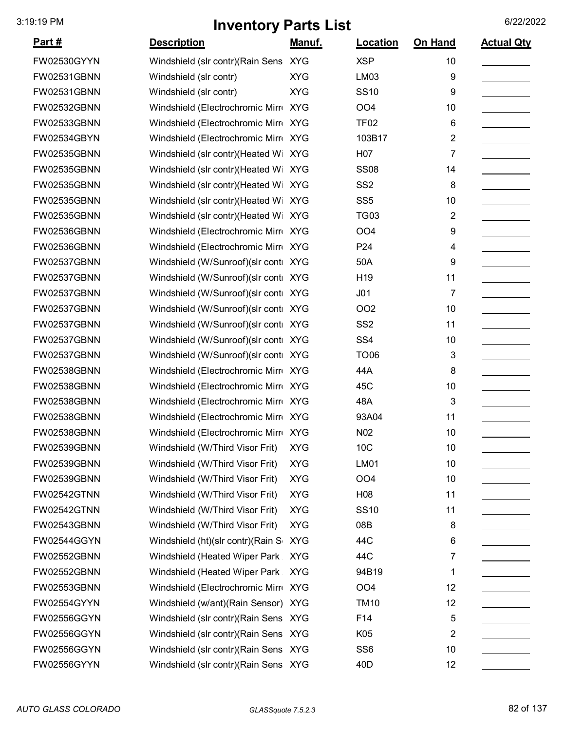| <u>Part #</u>      | <b>Description</b>                    | <u>Manuf.</u> | Location        | On Hand | <b>Actual Qty</b> |
|--------------------|---------------------------------------|---------------|-----------------|---------|-------------------|
| FW02530GYYN        | Windshield (slr contr)(Rain Sens XYG  |               | <b>XSP</b>      | 10      |                   |
| FW02531GBNN        | Windshield (slr contr)                | <b>XYG</b>    | LM03            | 9       |                   |
| FW02531GBNN        | Windshield (slr contr)                | <b>XYG</b>    | <b>SS10</b>     | 9       |                   |
| FW02532GBNN        | Windshield (Electrochromic Mirr XYG   |               | OO <sub>4</sub> | 10      |                   |
| FW02533GBNN        | Windshield (Electrochromic Mirr XYG   |               | <b>TF02</b>     | 6       |                   |
| FW02534GBYN        | Windshield (Electrochromic Mirro XYG  |               | 103B17          | 2       |                   |
| FW02535GBNN        | Windshield (slr contr)(Heated Wi XYG  |               | H07             | 7       |                   |
| FW02535GBNN        | Windshield (slr contr)(Heated Wi XYG  |               | <b>SS08</b>     | 14      |                   |
| FW02535GBNN        | Windshield (slr contr)(Heated Wi XYG  |               | SS <sub>2</sub> | 8       |                   |
| FW02535GBNN        | Windshield (slr contr)(Heated Wi      | <b>XYG</b>    | SS <sub>5</sub> | 10      |                   |
| FW02535GBNN        | Windshield (slr contr)(Heated Wi XYG  |               | <b>TG03</b>     | 2       |                   |
| FW02536GBNN        | Windshield (Electrochromic Mirr XYG   |               | OO <sub>4</sub> | 9       |                   |
| FW02536GBNN        | Windshield (Electrochromic Mirro XYG  |               | P <sub>24</sub> | 4       |                   |
| FW02537GBNN        | Windshield (W/Sunroof)(slr conti XYG  |               | 50A             | 9       |                   |
| FW02537GBNN        | Windshield (W/Sunroof)(slr conti XYG  |               | H <sub>19</sub> | 11      |                   |
| FW02537GBNN        | Windshield (W/Sunroof)(slr conti XYG  |               | J <sub>01</sub> | 7       |                   |
| FW02537GBNN        | Windshield (W/Sunroof)(slr conti XYG  |               | OO <sub>2</sub> | 10      |                   |
| FW02537GBNN        | Windshield (W/Sunroof)(slr conti XYG  |               | SS <sub>2</sub> | 11      |                   |
| FW02537GBNN        | Windshield (W/Sunroof)(slr conti XYG  |               | SS <sub>4</sub> | 10      |                   |
| FW02537GBNN        | Windshield (W/Sunroof)(slr conti XYG  |               | <b>TO06</b>     | 3       |                   |
| FW02538GBNN        | Windshield (Electrochromic Mirr XYG   |               | 44A             | 8       |                   |
| FW02538GBNN        | Windshield (Electrochromic Mirr XYG   |               | 45C             | 10      |                   |
| FW02538GBNN        | Windshield (Electrochromic Mirr XYG   |               | 48A             | 3       |                   |
| FW02538GBNN        | Windshield (Electrochromic Mirr XYG   |               | 93A04           | 11      |                   |
| FW02538GBNN        | Windshield (Electrochromic Mirro XYG  |               | N <sub>02</sub> | 10      |                   |
| FW02539GBNN        | Windshield (W/Third Visor Frit)       | <b>XYG</b>    | 10C             | 10      |                   |
| FW02539GBNN        | Windshield (W/Third Visor Frit)       | <b>XYG</b>    | <b>LM01</b>     | 10      |                   |
| FW02539GBNN        | Windshield (W/Third Visor Frit)       | <b>XYG</b>    | OO <sub>4</sub> | 10      |                   |
| FW02542GTNN        | Windshield (W/Third Visor Frit)       | <b>XYG</b>    | H <sub>08</sub> | 11      |                   |
| <b>FW02542GTNN</b> | Windshield (W/Third Visor Frit)       | <b>XYG</b>    | <b>SS10</b>     | 11      |                   |
| FW02543GBNN        | Windshield (W/Third Visor Frit)       | <b>XYG</b>    | 08B             | 8       |                   |
| FW02544GGYN        | Windshield (ht)(slr contr)(Rain S     | <b>XYG</b>    | 44C             | 6       |                   |
| FW02552GBNN        | Windshield (Heated Wiper Park         | <b>XYG</b>    | 44C             | 7       |                   |
| FW02552GBNN        | Windshield (Heated Wiper Park         | <b>XYG</b>    | 94B19           | 1       |                   |
| FW02553GBNN        | Windshield (Electrochromic Mirr XYG   |               | OO <sub>4</sub> | 12      |                   |
| FW02554GYYN        | Windshield (w/ant) (Rain Sensor) XYG  |               | <b>TM10</b>     | 12      |                   |
| FW02556GGYN        | Windshield (slr contr) (Rain Sens XYG |               | F14             | 5       |                   |
| FW02556GGYN        | Windshield (slr contr) (Rain Sens XYG |               | K05             | 2       |                   |
| FW02556GGYN        | Windshield (slr contr) (Rain Sens XYG |               | SS <sub>6</sub> | 10      |                   |
| FW02556GYYN        | Windshield (slr contr)(Rain Sens XYG  |               | 40 <sub>D</sub> | 12      |                   |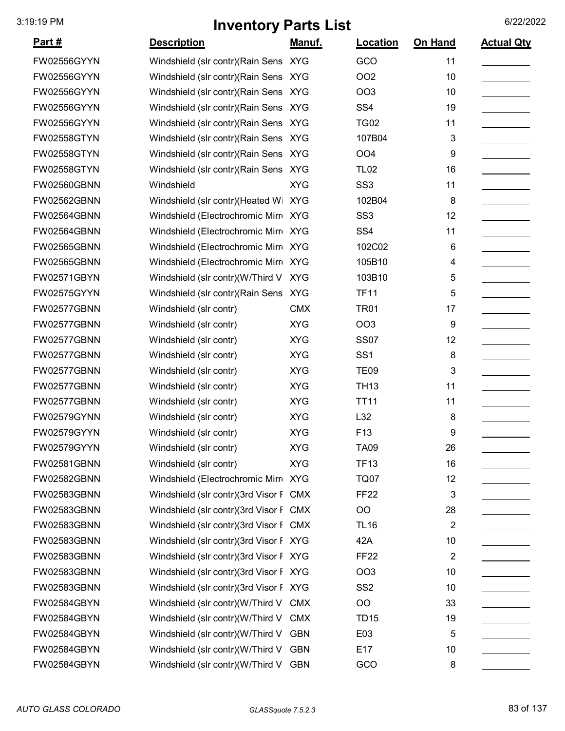| <u>Part #</u>      | <b>Description</b>                     | <u>Manuf.</u> | <b>Location</b> | On Hand        | <b>Actual Qty</b> |
|--------------------|----------------------------------------|---------------|-----------------|----------------|-------------------|
| FW02556GYYN        | Windshield (slr contr)(Rain Sens XYG   |               | GCO             | 11             |                   |
| FW02556GYYN        | Windshield (slr contr) (Rain Sens XYG  |               | <b>OO2</b>      | 10             |                   |
| FW02556GYYN        | Windshield (slr contr) (Rain Sens XYG  |               | <b>OO3</b>      | 10             |                   |
| FW02556GYYN        | Windshield (slr contr) (Rain Sens XYG  |               | SS <sub>4</sub> | 19             |                   |
| FW02556GYYN        | Windshield (slr contr)(Rain Sens XYG   |               | <b>TG02</b>     | 11             |                   |
| <b>FW02558GTYN</b> | Windshield (slr contr)(Rain Sens XYG   |               | 107B04          | 3              |                   |
| FW02558GTYN        | Windshield (slr contr)(Rain Sens XYG   |               | OO <sub>4</sub> | 9              |                   |
| FW02558GTYN        | Windshield (slr contr) (Rain Sens XYG  |               | <b>TL02</b>     | 16             |                   |
| FW02560GBNN        | Windshield                             | <b>XYG</b>    | SS <sub>3</sub> | 11             |                   |
| FW02562GBNN        | Windshield (slr contr)(Heated Wi       | <b>XYG</b>    | 102B04          | 8              |                   |
| FW02564GBNN        | Windshield (Electrochromic Mirr XYG    |               | SS <sub>3</sub> | 12             |                   |
| FW02564GBNN        | Windshield (Electrochromic Mirr XYG    |               | SS <sub>4</sub> | 11             |                   |
| FW02565GBNN        | Windshield (Electrochromic Mirr XYG    |               | 102C02          | 6              |                   |
| FW02565GBNN        | Windshield (Electrochromic Mirr XYG    |               | 105B10          | 4              |                   |
| FW02571GBYN        | Windshield (slr contr)(W/Third V XYG   |               | 103B10          | 5              |                   |
| FW02575GYYN        | Windshield (slr contr)(Rain Sens XYG   |               | <b>TF11</b>     | 5              |                   |
| FW02577GBNN        | Windshield (slr contr)                 | <b>CMX</b>    | <b>TR01</b>     | 17             |                   |
| FW02577GBNN        | Windshield (slr contr)                 | <b>XYG</b>    | <b>OO3</b>      | 9              |                   |
| FW02577GBNN        | Windshield (slr contr)                 | <b>XYG</b>    | <b>SS07</b>     | 12             |                   |
| FW02577GBNN        | Windshield (slr contr)                 | <b>XYG</b>    | SS <sub>1</sub> | 8              |                   |
| FW02577GBNN        | Windshield (slr contr)                 | <b>XYG</b>    | <b>TE09</b>     | 3              |                   |
| FW02577GBNN        | Windshield (slr contr)                 | <b>XYG</b>    | <b>TH13</b>     | 11             |                   |
| FW02577GBNN        | Windshield (slr contr)                 | <b>XYG</b>    | <b>TT11</b>     | 11             |                   |
| FW02579GYNN        | Windshield (slr contr)                 | <b>XYG</b>    | L32             | 8              |                   |
| FW02579GYYN        | Windshield (slr contr)                 | <b>XYG</b>    | F <sub>13</sub> | 9              |                   |
| FW02579GYYN        | Windshield (slr contr)                 | <b>XYG</b>    | <b>TA09</b>     | 26             |                   |
| FW02581GBNN        | Windshield (slr contr)                 | <b>XYG</b>    | <b>TF13</b>     | 16             |                   |
| FW02582GBNN        | Windshield (Electrochromic Mirr XYG    |               | <b>TQ07</b>     | 12             |                   |
| FW02583GBNN        | Windshield (slr contr)(3rd Visor F CMX |               | <b>FF22</b>     | 3              |                   |
| FW02583GBNN        | Windshield (slr contr)(3rd Visor F CMX |               | OO              | 28             |                   |
| FW02583GBNN        | Windshield (slr contr)(3rd Visor F CMX |               | <b>TL16</b>     | $\overline{2}$ |                   |
| FW02583GBNN        | Windshield (slr contr)(3rd Visor F XYG |               | 42A             | 10             |                   |
| FW02583GBNN        | Windshield (slr contr)(3rd Visor F XYG |               | <b>FF22</b>     | 2              |                   |
| FW02583GBNN        | Windshield (slr contr)(3rd Visor F XYG |               | OO <sub>3</sub> | 10             |                   |
| FW02583GBNN        | Windshield (slr contr)(3rd Visor F XYG |               | SS <sub>2</sub> | 10             |                   |
| FW02584GBYN        | Windshield (slr contr)(W/Third V CMX   |               | O <sub>O</sub>  | 33             |                   |
| FW02584GBYN        | Windshield (slr contr)(W/Third V CMX   |               | <b>TD15</b>     | 19             |                   |
| FW02584GBYN        | Windshield (slr contr)(W/Third V       | GBN           | E03             | 5              |                   |
| FW02584GBYN        | Windshield (slr contr)(W/Third V GBN   |               | E17             | 10             |                   |
| FW02584GBYN        | Windshield (slr contr)(W/Third V GBN   |               | GCO             | 8              |                   |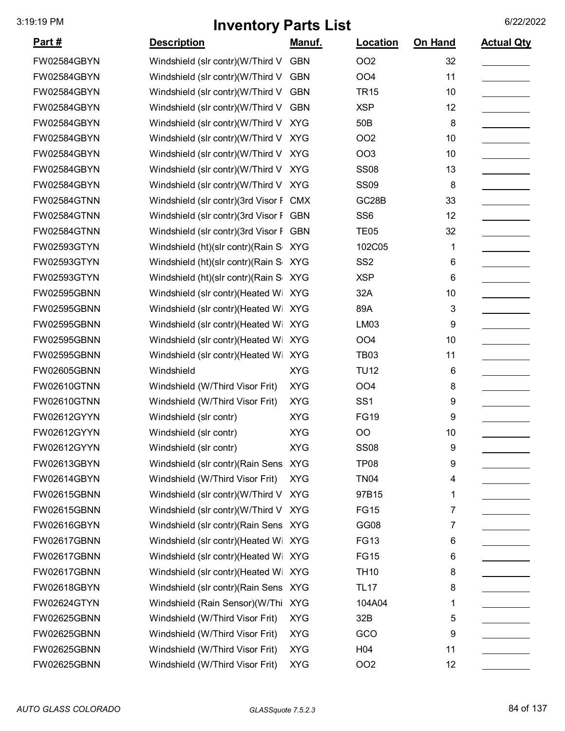| <u> Part #</u>     | <b>Description</b>                     | Manuf.     | Location           | <b>On Hand</b> | <b>Actual Qty</b> |
|--------------------|----------------------------------------|------------|--------------------|----------------|-------------------|
| FW02584GBYN        | Windshield (slr contr)(W/Third V       | <b>GBN</b> | <b>OO2</b>         | 32             |                   |
| FW02584GBYN        | Windshield (slr contr)(W/Third V       | GBN        | OO <sub>4</sub>    | 11             |                   |
| FW02584GBYN        | Windshield (slr contr)(W/Third V GBN   |            | <b>TR15</b>        | 10             |                   |
| FW02584GBYN        | Windshield (slr contr)(W/Third V       | <b>GBN</b> | <b>XSP</b>         | 12             |                   |
| FW02584GBYN        | Windshield (slr contr)(W/Third V       | <b>XYG</b> | 50 <sub>B</sub>    | 8              |                   |
| FW02584GBYN        | Windshield (slr contr)(W/Third V       | <b>XYG</b> | <b>OO2</b>         | 10             |                   |
| FW02584GBYN        | Windshield (slr contr)(W/Third V XYG   |            | <b>OO3</b>         | 10             |                   |
| FW02584GBYN        | Windshield (slr contr)(W/Third V XYG   |            | <b>SS08</b>        | 13             |                   |
| FW02584GBYN        | Windshield (slr contr)(W/Third V XYG   |            | <b>SS09</b>        | 8              |                   |
| <b>FW02584GTNN</b> | Windshield (slr contr)(3rd Visor F CMX |            | GC <sub>28</sub> B | 33             |                   |
| FW02584GTNN        | Windshield (slr contr)(3rd Visor F GBN |            | SS <sub>6</sub>    | 12             |                   |
| <b>FW02584GTNN</b> | Windshield (slr contr)(3rd Visor F GBN |            | <b>TE05</b>        | 32             |                   |
| FW02593GTYN        | Windshield (ht)(slr contr)(Rain S XYG  |            | 102C05             | 1              |                   |
| FW02593GTYN        | Windshield (ht)(slr contr)(Rain S XYG  |            | SS <sub>2</sub>    | 6              |                   |
| FW02593GTYN        | Windshield (ht)(slr contr)(Rain S XYG  |            | <b>XSP</b>         | 6              |                   |
| <b>FW02595GBNN</b> | Windshield (slr contr)(Heated Wi       | <b>XYG</b> | 32A                | 10             |                   |
| FW02595GBNN        | Windshield (slr contr)(Heated Wi XYG   |            | 89A                | 3              |                   |
| FW02595GBNN        | Windshield (slr contr)(Heated Wi XYG   |            | LM03               | 9              |                   |
| FW02595GBNN        | Windshield (slr contr)(Heated Wi       | <b>XYG</b> | OO <sub>4</sub>    | 10             |                   |
| FW02595GBNN        | Windshield (slr contr)(Heated Wi       | <b>XYG</b> | <b>TB03</b>        | 11             |                   |
| FW02605GBNN        | Windshield                             | <b>XYG</b> | <b>TU12</b>        | 6              |                   |
| FW02610GTNN        | Windshield (W/Third Visor Frit)        | <b>XYG</b> | OO <sub>4</sub>    | 8              |                   |
| <b>FW02610GTNN</b> | Windshield (W/Third Visor Frit)        | <b>XYG</b> | SS <sub>1</sub>    | 9              |                   |
| FW02612GYYN        | Windshield (slr contr)                 | <b>XYG</b> | <b>FG19</b>        | 9              |                   |
| FW02612GYYN        | Windshield (slr contr)                 | <b>XYG</b> | <b>OO</b>          | 10             |                   |
| FW02612GYYN        | Windshield (slr contr)                 | <b>XYG</b> | <b>SS08</b>        | 9              |                   |
| FW02613GBYN        | Windshield (slr contr) (Rain Sens XYG  |            | TP <sub>08</sub>   | 9              |                   |
| FW02614GBYN        | Windshield (W/Third Visor Frit)        | <b>XYG</b> | <b>TN04</b>        | 4              |                   |
| FW02615GBNN        | Windshield (slr contr)(W/Third V       | <b>XYG</b> | 97B15              | 1              |                   |
| FW02615GBNN        | Windshield (slr contr)(W/Third V       | <b>XYG</b> | <b>FG15</b>        | 7              |                   |
| FW02616GBYN        | Windshield (slr contr)(Rain Sens XYG   |            | GG08               | 7              |                   |
| FW02617GBNN        | Windshield (slr contr)(Heated Wi XYG   |            | <b>FG13</b>        | 6              |                   |
| FW02617GBNN        | Windshield (slr contr)(Heated Wi XYG   |            | <b>FG15</b>        | 6              |                   |
| FW02617GBNN        | Windshield (slr contr)(Heated Wi       | XYG        | <b>TH10</b>        | 8              |                   |
| FW02618GBYN        | Windshield (slr contr) (Rain Sens XYG  |            | <b>TL17</b>        | 8              |                   |
| FW02624GTYN        | Windshield (Rain Sensor)(W/Thi XYG     |            | 104A04             | 1              |                   |
| FW02625GBNN        | Windshield (W/Third Visor Frit)        | <b>XYG</b> | 32B                | 5              |                   |
| FW02625GBNN        | Windshield (W/Third Visor Frit)        | <b>XYG</b> | GCO                | 9              |                   |
| FW02625GBNN        | Windshield (W/Third Visor Frit)        | <b>XYG</b> | H <sub>04</sub>    | 11             |                   |
| FW02625GBNN        | Windshield (W/Third Visor Frit)        | <b>XYG</b> | OO <sub>2</sub>    | 12             |                   |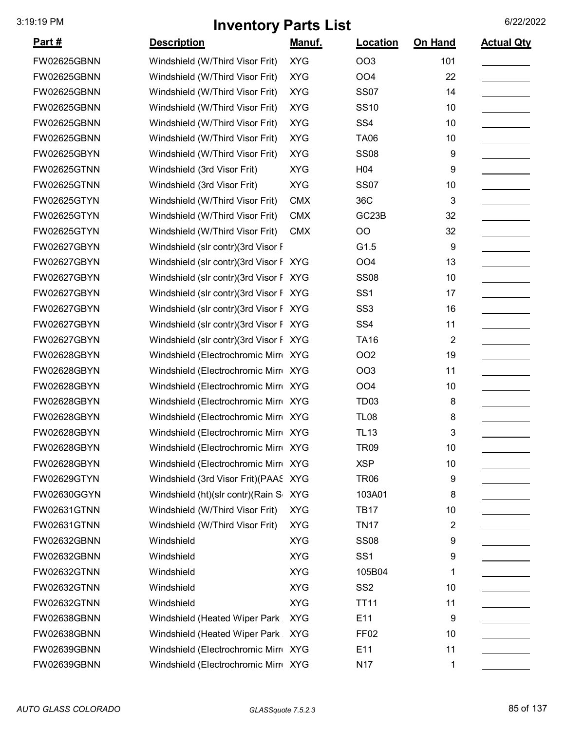| <u>Part #</u>      | <b>Description</b>                     | Manuf.     | Location           | On Hand          | <b>Actual Qty</b> |
|--------------------|----------------------------------------|------------|--------------------|------------------|-------------------|
| FW02625GBNN        | Windshield (W/Third Visor Frit)        | <b>XYG</b> | OO <sub>3</sub>    | 101              |                   |
| FW02625GBNN        | Windshield (W/Third Visor Frit)        | <b>XYG</b> | OO <sub>4</sub>    | 22               |                   |
| FW02625GBNN        | Windshield (W/Third Visor Frit)        | <b>XYG</b> | <b>SS07</b>        | 14               |                   |
| FW02625GBNN        | Windshield (W/Third Visor Frit)        | <b>XYG</b> | <b>SS10</b>        | 10               |                   |
| FW02625GBNN        | Windshield (W/Third Visor Frit)        | <b>XYG</b> | SS <sub>4</sub>    | 10               |                   |
| FW02625GBNN        | Windshield (W/Third Visor Frit)        | <b>XYG</b> | <b>TA06</b>        | 10               |                   |
| FW02625GBYN        | Windshield (W/Third Visor Frit)        | <b>XYG</b> | <b>SS08</b>        | 9                |                   |
| <b>FW02625GTNN</b> | Windshield (3rd Visor Frit)            | <b>XYG</b> | H <sub>04</sub>    | 9                |                   |
| <b>FW02625GTNN</b> | Windshield (3rd Visor Frit)            | <b>XYG</b> | <b>SS07</b>        | 10               |                   |
| FW02625GTYN        | Windshield (W/Third Visor Frit)        | <b>CMX</b> | 36C                | 3                |                   |
| FW02625GTYN        | Windshield (W/Third Visor Frit)        | <b>CMX</b> | GC <sub>23</sub> B | 32               |                   |
| FW02625GTYN        | Windshield (W/Third Visor Frit)        | <b>CMX</b> | O <sub>O</sub>     | 32               |                   |
| FW02627GBYN        | Windshield (slr contr)(3rd Visor F     |            | G1.5               | $\boldsymbol{9}$ |                   |
| FW02627GBYN        | Windshield (slr contr)(3rd Visor F XYG |            | OO <sub>4</sub>    | 13               |                   |
| FW02627GBYN        | Windshield (slr contr)(3rd Visor F XYG |            | <b>SS08</b>        | 10               |                   |
| FW02627GBYN        | Windshield (slr contr)(3rd Visor F XYG |            | SS <sub>1</sub>    | 17               |                   |
| FW02627GBYN        | Windshield (slr contr)(3rd Visor F XYG |            | SS <sub>3</sub>    | 16               |                   |
| FW02627GBYN        | Windshield (slr contr)(3rd Visor F XYG |            | SS <sub>4</sub>    | 11               |                   |
| FW02627GBYN        | Windshield (slr contr)(3rd Visor F XYG |            | <b>TA16</b>        | $\overline{2}$   |                   |
| FW02628GBYN        | Windshield (Electrochromic Mirr XYG    |            | <b>OO2</b>         | 19               |                   |
| FW02628GBYN        | Windshield (Electrochromic Mirr XYG    |            | <b>OO3</b>         | 11               |                   |
| FW02628GBYN        | Windshield (Electrochromic Mirr XYG    |            | OO <sub>4</sub>    | 10               |                   |
| FW02628GBYN        | Windshield (Electrochromic Mirr XYG    |            | TD <sub>03</sub>   | 8                |                   |
| FW02628GBYN        | Windshield (Electrochromic Mirr XYG    |            | <b>TL08</b>        | 8                |                   |
| FW02628GBYN        | Windshield (Electrochromic Mirr XYG    |            | <b>TL13</b>        | 3                |                   |
| FW02628GBYN        | Windshield (Electrochromic Mirr XYG    |            | TR09               | 10               |                   |
| FW02628GBYN        | Windshield (Electrochromic Mirr XYG    |            | <b>XSP</b>         | 10               |                   |
| FW02629GTYN        | Windshield (3rd Visor Frit) (PAAS XYG  |            | <b>TR06</b>        | 9                |                   |
| FW02630GGYN        | Windshield (ht)(slr contr)(Rain S XYG  |            | 103A01             | 8                |                   |
| FW02631GTNN        | Windshield (W/Third Visor Frit)        | <b>XYG</b> | <b>TB17</b>        | 10               |                   |
| FW02631GTNN        | Windshield (W/Third Visor Frit)        | <b>XYG</b> | <b>TN17</b>        | 2                |                   |
| FW02632GBNN        | Windshield                             | <b>XYG</b> | <b>SS08</b>        | 9                |                   |
| FW02632GBNN        | Windshield                             | <b>XYG</b> | SS <sub>1</sub>    | 9                |                   |
| FW02632GTNN        | Windshield                             | <b>XYG</b> | 105B04             | 1                |                   |
| FW02632GTNN        | Windshield                             | <b>XYG</b> | SS <sub>2</sub>    | 10               |                   |
| FW02632GTNN        | Windshield                             | <b>XYG</b> | <b>TT11</b>        | 11               |                   |
| FW02638GBNN        | Windshield (Heated Wiper Park          | <b>XYG</b> | E11                | 9                |                   |
| FW02638GBNN        | Windshield (Heated Wiper Park          | <b>XYG</b> | FF <sub>02</sub>   | 10               |                   |
| FW02639GBNN        | Windshield (Electrochromic Mirr XYG    |            | E11                | 11               |                   |
| FW02639GBNN        | Windshield (Electrochromic Mirr XYG    |            | N <sub>17</sub>    | 1                |                   |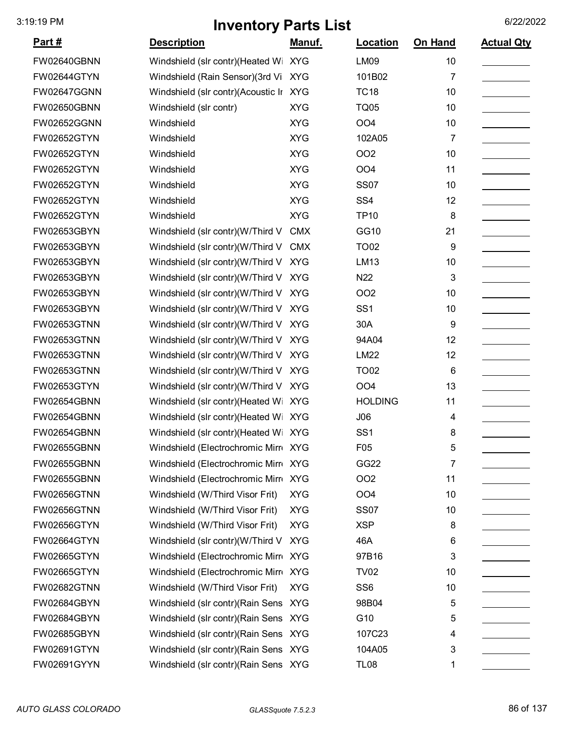| <u>Part #</u>      | <b>Description</b>                    | <u>Manuf.</u> | Location         | On Hand | <b>Actual Qty</b> |
|--------------------|---------------------------------------|---------------|------------------|---------|-------------------|
| <b>FW02640GBNN</b> | Windshield (slr contr)(Heated Wi      | <b>XYG</b>    | <b>LM09</b>      | 10      |                   |
| <b>FW02644GTYN</b> | Windshield (Rain Sensor)(3rd Vi XYG   |               | 101B02           | 7       |                   |
| <b>FW02647GGNN</b> | Windshield (slr contr)(Acoustic Ir    | <b>XYG</b>    | <b>TC18</b>      | 10      |                   |
| <b>FW02650GBNN</b> | Windshield (slr contr)                | <b>XYG</b>    | <b>TQ05</b>      | 10      |                   |
| <b>FW02652GGNN</b> | Windshield                            | <b>XYG</b>    | OO <sub>4</sub>  | 10      |                   |
| <b>FW02652GTYN</b> | Windshield                            | <b>XYG</b>    | 102A05           | 7       |                   |
| <b>FW02652GTYN</b> | Windshield                            | <b>XYG</b>    | OO <sub>2</sub>  | 10      |                   |
| <b>FW02652GTYN</b> | Windshield                            | <b>XYG</b>    | OO <sub>4</sub>  | 11      |                   |
| <b>FW02652GTYN</b> | Windshield                            | <b>XYG</b>    | <b>SS07</b>      | 10      |                   |
| <b>FW02652GTYN</b> | Windshield                            | <b>XYG</b>    | SS <sub>4</sub>  | 12      |                   |
| <b>FW02652GTYN</b> | Windshield                            | <b>XYG</b>    | <b>TP10</b>      | 8       |                   |
| FW02653GBYN        | Windshield (slr contr)(W/Third V      | <b>CMX</b>    | GG10             | 21      |                   |
| FW02653GBYN        | Windshield (slr contr)(W/Third V      | <b>CMX</b>    | <b>TO02</b>      | 9       |                   |
| FW02653GBYN        | Windshield (slr contr)(W/Third V      | <b>XYG</b>    | LM13             | 10      |                   |
| FW02653GBYN        | Windshield (slr contr)(W/Third V      | <b>XYG</b>    | N22              | 3       |                   |
| FW02653GBYN        | Windshield (slr contr)(W/Third V XYG  |               | <b>OO2</b>       | 10      |                   |
| FW02653GBYN        | Windshield (slr contr)(W/Third V      | <b>XYG</b>    | SS <sub>1</sub>  | 10      |                   |
| <b>FW02653GTNN</b> | Windshield (slr contr)(W/Third V      | <b>XYG</b>    | 30A              | 9       |                   |
| <b>FW02653GTNN</b> | Windshield (slr contr)(W/Third V      | <b>XYG</b>    | 94A04            | 12      |                   |
| <b>FW02653GTNN</b> | Windshield (slr contr)(W/Third V      | <b>XYG</b>    | <b>LM22</b>      | 12      |                   |
| <b>FW02653GTNN</b> | Windshield (slr contr)(W/Third V      | <b>XYG</b>    | <b>TO02</b>      | 6       |                   |
| <b>FW02653GTYN</b> | Windshield (slr contr)(W/Third V      | <b>XYG</b>    | OO <sub>4</sub>  | 13      |                   |
| <b>FW02654GBNN</b> | Windshield (slr contr)(Heated Wi      | <b>XYG</b>    | <b>HOLDING</b>   | 11      |                   |
| <b>FW02654GBNN</b> | Windshield (slr contr)(Heated Wi XYG  |               | J06              | 4       |                   |
| <b>FW02654GBNN</b> | Windshield (slr contr)(Heated Wi XYG  |               | SS <sub>1</sub>  | 8       |                   |
| FW02655GBNN        | Windshield (Electrochromic Mirr XYG   |               | F <sub>0</sub> 5 | 5       |                   |
| <b>FW02655GBNN</b> | Windshield (Electrochromic Mirr XYG   |               | GG22             | 7       |                   |
| <b>FW02655GBNN</b> | Windshield (Electrochromic Mirre      | <b>XYG</b>    | <b>OO2</b>       | 11      |                   |
| <b>FW02656GTNN</b> | Windshield (W/Third Visor Frit)       | <b>XYG</b>    | OO <sub>4</sub>  | 10      |                   |
| <b>FW02656GTNN</b> | Windshield (W/Third Visor Frit)       | <b>XYG</b>    | <b>SS07</b>      | 10      |                   |
| <b>FW02656GTYN</b> | Windshield (W/Third Visor Frit)       | <b>XYG</b>    | <b>XSP</b>       | 8       |                   |
| <b>FW02664GTYN</b> | Windshield (slr contr)(W/Third V      | <b>XYG</b>    | 46A              | 6       |                   |
| <b>FW02665GTYN</b> | Windshield (Electrochromic Mirre      | <b>XYG</b>    | 97B16            | 3       |                   |
| <b>FW02665GTYN</b> | Windshield (Electrochromic Mirr XYG   |               | <b>TV02</b>      | 10      |                   |
| <b>FW02682GTNN</b> | Windshield (W/Third Visor Frit)       | <b>XYG</b>    | SS <sub>6</sub>  | 10      |                   |
| <b>FW02684GBYN</b> | Windshield (slr contr) (Rain Sens XYG |               | 98B04            | 5       |                   |
| <b>FW02684GBYN</b> | Windshield (slr contr) (Rain Sens XYG |               | G10              | 5       |                   |
| <b>FW02685GBYN</b> | Windshield (slr contr) (Rain Sens XYG |               | 107C23           | 4       |                   |
| <b>FW02691GTYN</b> | Windshield (slr contr) (Rain Sens XYG |               | 104A05           | 3       |                   |
| FW02691GYYN        | Windshield (slr contr) (Rain Sens XYG |               | <b>TL08</b>      | 1       |                   |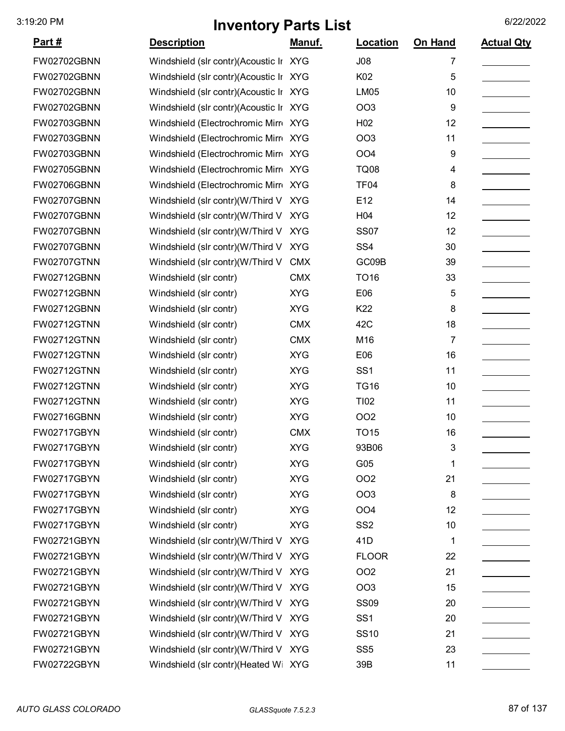| <u>Part #</u>      | <b>Description</b>                     | <u>Manuf.</u> | <b>Location</b> | On Hand | <b>Actual Qty</b> |
|--------------------|----------------------------------------|---------------|-----------------|---------|-------------------|
| FW02702GBNN        | Windshield (slr contr)(Acoustic Ir XYG |               | J08             | 7       |                   |
| FW02702GBNN        | Windshield (slr contr)(Acoustic Ir XYG |               | K02             | 5       |                   |
| FW02702GBNN        | Windshield (slr contr)(Acoustic Ir XYG |               | <b>LM05</b>     | 10      |                   |
| FW02702GBNN        | Windshield (slr contr)(Acoustic Ir XYG |               | OO <sub>3</sub> | 9       |                   |
| FW02703GBNN        | Windshield (Electrochromic Mirro XYG   |               | H <sub>02</sub> | 12      |                   |
| FW02703GBNN        | Windshield (Electrochromic Mirr XYG    |               | OO <sub>3</sub> | 11      |                   |
| FW02703GBNN        | Windshield (Electrochromic Mirr XYG    |               | OO <sub>4</sub> | 9       |                   |
| FW02705GBNN        | Windshield (Electrochromic Mirr XYG    |               | <b>TQ08</b>     | 4       |                   |
| FW02706GBNN        | Windshield (Electrochromic Mirr XYG    |               | TF04            | 8       |                   |
| FW02707GBNN        | Windshield (slr contr)(W/Third V       | <b>XYG</b>    | E12             | 14      |                   |
| FW02707GBNN        | Windshield (slr contr)(W/Third V       | <b>XYG</b>    | H04             | 12      |                   |
| FW02707GBNN        | Windshield (slr contr)(W/Third V       | <b>XYG</b>    | <b>SS07</b>     | 12      |                   |
| <b>FW02707GBNN</b> | Windshield (slr contr)(W/Third V       | <b>XYG</b>    | SS <sub>4</sub> | 30      |                   |
| FW02707GTNN        | Windshield (slr contr)(W/Third V       | <b>CMX</b>    | GC09B           | 39      |                   |
| FW02712GBNN        | Windshield (slr contr)                 | <b>CMX</b>    | <b>TO16</b>     | 33      |                   |
| FW02712GBNN        | Windshield (slr contr)                 | <b>XYG</b>    | E06             | 5       |                   |
| FW02712GBNN        | Windshield (slr contr)                 | <b>XYG</b>    | K22             | 8       |                   |
| <b>FW02712GTNN</b> | Windshield (slr contr)                 | <b>CMX</b>    | 42C             | 18      |                   |
| <b>FW02712GTNN</b> | Windshield (slr contr)                 | <b>CMX</b>    | M16             | 7       |                   |
| <b>FW02712GTNN</b> | Windshield (slr contr)                 | <b>XYG</b>    | E06             | 16      |                   |
| <b>FW02712GTNN</b> | Windshield (slr contr)                 | <b>XYG</b>    | SS <sub>1</sub> | 11      |                   |
| FW02712GTNN        | Windshield (slr contr)                 | <b>XYG</b>    | <b>TG16</b>     | 10      |                   |
| <b>FW02712GTNN</b> | Windshield (slr contr)                 | <b>XYG</b>    | <b>TI02</b>     | 11      |                   |
| FW02716GBNN        | Windshield (slr contr)                 | <b>XYG</b>    | OO <sub>2</sub> | 10      |                   |
| FW02717GBYN        | Windshield (slr contr)                 | <b>CMX</b>    | <b>TO15</b>     | 16      |                   |
| FW02717GBYN        | Windshield (slr contr)                 | <b>XYG</b>    | 93B06           | 3       |                   |
| FW02717GBYN        | Windshield (slr contr)                 | <b>XYG</b>    | G05             | 1       |                   |
| FW02717GBYN        | Windshield (slr contr)                 | <b>XYG</b>    | <b>OO2</b>      | 21      |                   |
| FW02717GBYN        | Windshield (slr contr)                 | <b>XYG</b>    | <b>OO3</b>      | 8       |                   |
| FW02717GBYN        | Windshield (slr contr)                 | <b>XYG</b>    | OO <sub>4</sub> | 12      |                   |
| FW02717GBYN        | Windshield (slr contr)                 | <b>XYG</b>    | SS <sub>2</sub> | 10      |                   |
| FW02721GBYN        | Windshield (slr contr)(W/Third V XYG   |               | 41D             | 1       |                   |
| FW02721GBYN        | Windshield (slr contr)(W/Third V       | <b>XYG</b>    | <b>FLOOR</b>    | 22      |                   |
| FW02721GBYN        | Windshield (slr contr)(W/Third V       | <b>XYG</b>    | OO <sub>2</sub> | 21      |                   |
| FW02721GBYN        | Windshield (slr contr)(W/Third V       | <b>XYG</b>    | OO <sub>3</sub> | 15      |                   |
| FW02721GBYN        | Windshield (slr contr)(W/Third V XYG   |               | <b>SS09</b>     | 20      |                   |
| FW02721GBYN        | Windshield (slr contr)(W/Third V XYG   |               | SS <sub>1</sub> | 20      |                   |
| FW02721GBYN        | Windshield (slr contr)(W/Third V       | <b>XYG</b>    | <b>SS10</b>     | 21      |                   |
| FW02721GBYN        | Windshield (slr contr)(W/Third V XYG   |               | SS <sub>5</sub> | 23      |                   |
| FW02722GBYN        | Windshield (slr contr)(Heated Wi XYG   |               | 39B             | 11      |                   |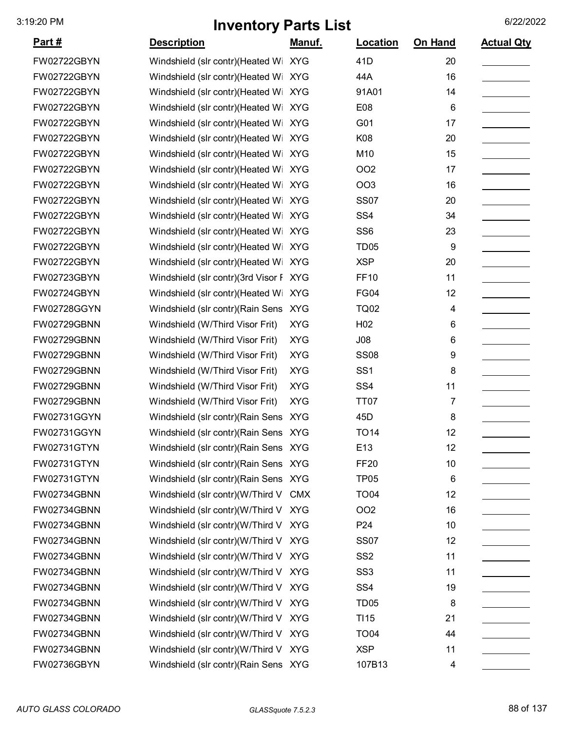| <u>Part #</u>      | <b>Description</b>                     | <u>Manuf.</u> | <b>Location</b>  | On Hand | <b>Actual Qty</b> |
|--------------------|----------------------------------------|---------------|------------------|---------|-------------------|
| FW02722GBYN        | Windshield (slr contr)(Heated Wi       | <b>XYG</b>    | 41D              | 20      |                   |
| FW02722GBYN        | Windshield (slr contr)(Heated Wi XYG   |               | 44A              | 16      |                   |
| FW02722GBYN        | Windshield (slr contr)(Heated Wi XYG   |               | 91A01            | 14      |                   |
| FW02722GBYN        | Windshield (slr contr)(Heated Wi       | <b>XYG</b>    | E08              | 6       |                   |
| FW02722GBYN        | Windshield (slr contr)(Heated Wi       | <b>XYG</b>    | G01              | 17      |                   |
| FW02722GBYN        | Windshield (slr contr)(Heated Wi       | <b>XYG</b>    | K08              | 20      |                   |
| FW02722GBYN        | Windshield (slr contr)(Heated Wi XYG   |               | M10              | 15      |                   |
| FW02722GBYN        | Windshield (slr contr)(Heated Wi       | <b>XYG</b>    | <b>OO2</b>       | 17      |                   |
| FW02722GBYN        | Windshield (slr contr)(Heated Wi       | <b>XYG</b>    | <b>OO3</b>       | 16      |                   |
| FW02722GBYN        | Windshield (slr contr)(Heated Wi       | <b>XYG</b>    | <b>SS07</b>      | 20      |                   |
| FW02722GBYN        | Windshield (slr contr)(Heated Wi       | <b>XYG</b>    | SS <sub>4</sub>  | 34      |                   |
| FW02722GBYN        | Windshield (slr contr)(Heated Wi XYG   |               | SS <sub>6</sub>  | 23      |                   |
| FW02722GBYN        | Windshield (slr contr)(Heated Wi       | <b>XYG</b>    | TD <sub>05</sub> | 9       |                   |
| FW02722GBYN        | Windshield (slr contr)(Heated Wi       | <b>XYG</b>    | <b>XSP</b>       | 20      |                   |
| FW02723GBYN        | Windshield (slr contr)(3rd Visor F XYG |               | <b>FF10</b>      | 11      |                   |
| FW02724GBYN        | Windshield (slr contr)(Heated Wi       | <b>XYG</b>    | <b>FG04</b>      | 12      |                   |
| FW02728GGYN        | Windshield (slr contr) (Rain Sens XYG  |               | <b>TQ02</b>      | 4       |                   |
| FW02729GBNN        | Windshield (W/Third Visor Frit)        | <b>XYG</b>    | H <sub>02</sub>  | 6       |                   |
| FW02729GBNN        | Windshield (W/Third Visor Frit)        | <b>XYG</b>    | J08              | 6       |                   |
| FW02729GBNN        | Windshield (W/Third Visor Frit)        | <b>XYG</b>    | <b>SS08</b>      | 9       |                   |
| FW02729GBNN        | Windshield (W/Third Visor Frit)        | <b>XYG</b>    | SS <sub>1</sub>  | 8       |                   |
| FW02729GBNN        | Windshield (W/Third Visor Frit)        | <b>XYG</b>    | SS <sub>4</sub>  | 11      |                   |
| <b>FW02729GBNN</b> | Windshield (W/Third Visor Frit)        | <b>XYG</b>    | <b>TT07</b>      | 7       |                   |
| FW02731GGYN        | Windshield (slr contr)(Rain Sens XYG   |               | 45 <sub>D</sub>  | 8       |                   |
| FW02731GGYN        | Windshield (slr contr)(Rain Sens XYG   |               | <b>TO14</b>      | 12      |                   |
| FW02731GTYN        | Windshield (slr contr) (Rain Sens XYG  |               | E13              | 12      |                   |
| FW02731GTYN        | Windshield (slr contr) (Rain Sens XYG  |               | <b>FF20</b>      | 10      |                   |
| FW02731GTYN        | Windshield (slr contr)(Rain Sens XYG   |               | <b>TP05</b>      | 6       |                   |
| FW02734GBNN        | Windshield (slr contr)(W/Third V CMX   |               | <b>TO04</b>      | 12      |                   |
| FW02734GBNN        | Windshield (slr contr)(W/Third V XYG   |               | OO <sub>2</sub>  | 16      |                   |
| FW02734GBNN        | Windshield (slr contr)(W/Third V XYG   |               | P <sub>24</sub>  | 10      |                   |
| FW02734GBNN        | Windshield (slr contr)(W/Third V XYG   |               | <b>SS07</b>      | 12      |                   |
| FW02734GBNN        | Windshield (slr contr)(W/Third V XYG   |               | SS <sub>2</sub>  | 11      |                   |
| FW02734GBNN        | Windshield (slr contr)(W/Third V XYG   |               | SS <sub>3</sub>  | 11      |                   |
| FW02734GBNN        | Windshield (slr contr)(W/Third V XYG   |               | SS <sub>4</sub>  | 19      |                   |
| FW02734GBNN        | Windshield (slr contr)(W/Third V XYG   |               | TD <sub>05</sub> | 8       |                   |
| FW02734GBNN        | Windshield (slr contr)(W/Third V XYG   |               | TI <sub>15</sub> | 21      |                   |
| FW02734GBNN        | Windshield (slr contr)(W/Third V XYG   |               | <b>TO04</b>      | 44      |                   |
| FW02734GBNN        | Windshield (slr contr)(W/Third V XYG   |               | <b>XSP</b>       | 11      |                   |
| FW02736GBYN        | Windshield (slr contr) (Rain Sens XYG  |               | 107B13           | 4       |                   |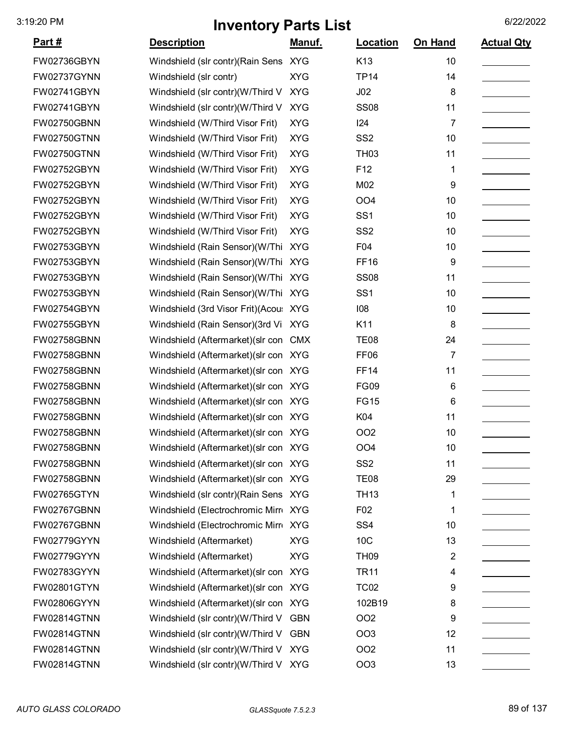| <u>Part #</u>      | <b>Description</b>                     | <u>Manuf.</u> | <b>Location</b>  | On Hand        | <b>Actual Qty</b> |
|--------------------|----------------------------------------|---------------|------------------|----------------|-------------------|
| FW02736GBYN        | Windshield (slr contr)(Rain Sens XYG   |               | K <sub>13</sub>  | 10             |                   |
| FW02737GYNN        | Windshield (slr contr)                 | <b>XYG</b>    | <b>TP14</b>      | 14             |                   |
| FW02741GBYN        | Windshield (slr contr)(W/Third V       | <b>XYG</b>    | J <sub>02</sub>  | 8              |                   |
| FW02741GBYN        | Windshield (slr contr)(W/Third V       | <b>XYG</b>    | <b>SS08</b>      | 11             |                   |
| FW02750GBNN        | Windshield (W/Third Visor Frit)        | <b>XYG</b>    | 124              | 7              |                   |
| <b>FW02750GTNN</b> | Windshield (W/Third Visor Frit)        | <b>XYG</b>    | SS <sub>2</sub>  | 10             |                   |
| FW02750GTNN        | Windshield (W/Third Visor Frit)        | <b>XYG</b>    | TH <sub>03</sub> | 11             |                   |
| FW02752GBYN        | Windshield (W/Third Visor Frit)        | <b>XYG</b>    | F12              | 1              |                   |
| FW02752GBYN        | Windshield (W/Third Visor Frit)        | <b>XYG</b>    | M02              | 9              |                   |
| FW02752GBYN        | Windshield (W/Third Visor Frit)        | <b>XYG</b>    | OO <sub>4</sub>  | 10             |                   |
| FW02752GBYN        | Windshield (W/Third Visor Frit)        | <b>XYG</b>    | SS <sub>1</sub>  | 10             |                   |
| FW02752GBYN        | Windshield (W/Third Visor Frit)        | <b>XYG</b>    | SS <sub>2</sub>  | 10             |                   |
| FW02753GBYN        | Windshield (Rain Sensor)(W/Thi         | <b>XYG</b>    | F04              | 10             |                   |
| FW02753GBYN        | Windshield (Rain Sensor)(W/Thi         | <b>XYG</b>    | <b>FF16</b>      | 9              |                   |
| FW02753GBYN        | Windshield (Rain Sensor)(W/Thi         | <b>XYG</b>    | <b>SS08</b>      | 11             |                   |
| FW02753GBYN        | Windshield (Rain Sensor)(W/Thi         | <b>XYG</b>    | SS <sub>1</sub>  | 10             |                   |
| FW02754GBYN        | Windshield (3rd Visor Frit) (Acou: XYG |               | 108              | 10             |                   |
| FW02755GBYN        | Windshield (Rain Sensor)(3rd Vi        | <b>XYG</b>    | K11              | 8              |                   |
| FW02758GBNN        | Windshield (Aftermarket) (slr con CMX  |               | <b>TE08</b>      | 24             |                   |
| FW02758GBNN        | Windshield (Aftermarket) (slr con XYG  |               | FF <sub>06</sub> | 7              |                   |
| FW02758GBNN        | Windshield (Aftermarket) (slr con XYG  |               | <b>FF14</b>      | 11             |                   |
| FW02758GBNN        | Windshield (Aftermarket) (slr con XYG  |               | <b>FG09</b>      | 6              |                   |
| <b>FW02758GBNN</b> | Windshield (Aftermarket) (slr con XYG  |               | <b>FG15</b>      | 6              |                   |
| FW02758GBNN        | Windshield (Aftermarket) (slr con XYG  |               | K04              | 11             |                   |
| <b>FW02758GBNN</b> | Windshield (Aftermarket) (slr con XYG  |               | OO <sub>2</sub>  | 10             |                   |
| FW02758GBNN        | Windshield (Aftermarket) (slr con XYG  |               | OO <sub>4</sub>  | 10             |                   |
| <b>FW02758GBNN</b> | Windshield (Aftermarket) (slr con XYG  |               | SS <sub>2</sub>  | 11             |                   |
| FW02758GBNN        | Windshield (Aftermarket) (slr con XYG  |               | <b>TE08</b>      | 29             |                   |
| <b>FW02765GTYN</b> | Windshield (slr contr) (Rain Sens XYG  |               | <b>TH13</b>      | 1              |                   |
| FW02767GBNN        | Windshield (Electrochromic Mirr XYG    |               | F <sub>0</sub> 2 | 1              |                   |
| FW02767GBNN        | Windshield (Electrochromic Mirr XYG    |               | SS <sub>4</sub>  | 10             |                   |
| FW02779GYYN        | Windshield (Aftermarket)               | <b>XYG</b>    | 10C              | 13             |                   |
| FW02779GYYN        | Windshield (Aftermarket)               | <b>XYG</b>    | <b>TH09</b>      | $\overline{2}$ |                   |
| FW02783GYYN        | Windshield (Aftermarket) (slr con XYG  |               | <b>TR11</b>      | 4              |                   |
| FW02801GTYN        | Windshield (Aftermarket) (slr con XYG  |               | <b>TC02</b>      | 9              |                   |
| FW02806GYYN        | Windshield (Aftermarket) (slr con XYG  |               | 102B19           | 8              |                   |
| FW02814GTNN        | Windshield (slr contr)(W/Third V       | <b>GBN</b>    | OO <sub>2</sub>  | 9              |                   |
| FW02814GTNN        | Windshield (slr contr)(W/Third V       | <b>GBN</b>    | OO <sub>3</sub>  | 12             |                   |
| FW02814GTNN        | Windshield (slr contr)(W/Third V XYG   |               | OO <sub>2</sub>  | 11             |                   |
| FW02814GTNN        | Windshield (slr contr)(W/Third V XYG   |               | OO <sub>3</sub>  | 13             |                   |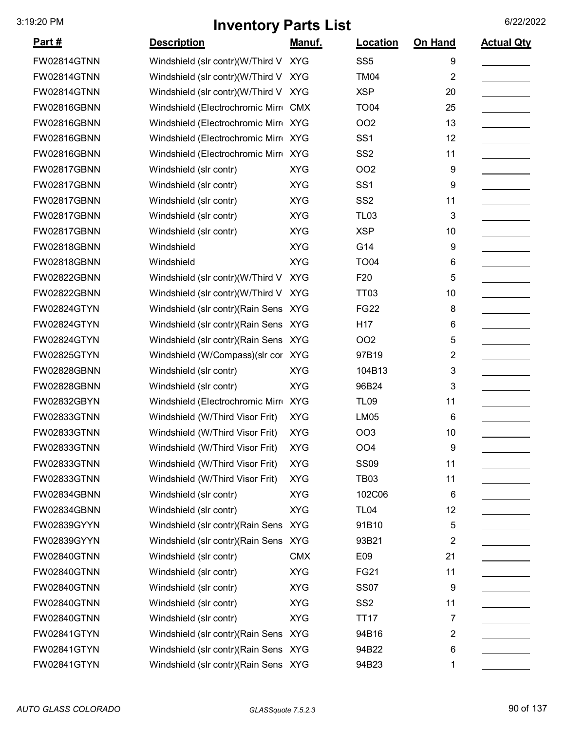| <u> Part #</u>     | <b>Description</b>                    | <u>Manuf.</u> | <b>Location</b>  | <b>On Hand</b> | <b>Actual Qty</b> |
|--------------------|---------------------------------------|---------------|------------------|----------------|-------------------|
| FW02814GTNN        | Windshield (slr contr)(W/Third V      | <b>XYG</b>    | SS <sub>5</sub>  | 9              |                   |
| FW02814GTNN        | Windshield (slr contr)(W/Third V XYG  |               | <b>TM04</b>      | 2              |                   |
| <b>FW02814GTNN</b> | Windshield (slr contr)(W/Third V      | <b>XYG</b>    | <b>XSP</b>       | 20             |                   |
| FW02816GBNN        | Windshield (Electrochromic Mirre      | <b>CMX</b>    | <b>TO04</b>      | 25             |                   |
| <b>FW02816GBNN</b> | Windshield (Electrochromic Mirro XYG  |               | <b>OO2</b>       | 13             |                   |
| <b>FW02816GBNN</b> | Windshield (Electrochromic Mirr XYG   |               | SS <sub>1</sub>  | 12             |                   |
| FW02816GBNN        | Windshield (Electrochromic Mirr XYG   |               | SS <sub>2</sub>  | 11             |                   |
| FW02817GBNN        | Windshield (slr contr)                | <b>XYG</b>    | <b>OO2</b>       | 9              |                   |
| FW02817GBNN        | Windshield (slr contr)                | <b>XYG</b>    | SS <sub>1</sub>  | 9              |                   |
| FW02817GBNN        | Windshield (slr contr)                | <b>XYG</b>    | SS <sub>2</sub>  | 11             |                   |
| FW02817GBNN        | Windshield (slr contr)                | <b>XYG</b>    | TL <sub>03</sub> | 3              |                   |
| <b>FW02817GBNN</b> | Windshield (slr contr)                | <b>XYG</b>    | <b>XSP</b>       | 10             |                   |
| FW02818GBNN        | Windshield                            | <b>XYG</b>    | G14              | 9              |                   |
| FW02818GBNN        | Windshield                            | <b>XYG</b>    | <b>TO04</b>      | 6              |                   |
| FW02822GBNN        | Windshield (slr contr)(W/Third V      | <b>XYG</b>    | F20              | 5              |                   |
| FW02822GBNN        | Windshield (slr contr)(W/Third V      | <b>XYG</b>    | TT <sub>03</sub> | 10             |                   |
| FW02824GTYN        | Windshield (slr contr) (Rain Sens XYG |               | <b>FG22</b>      | 8              |                   |
| FW02824GTYN        | Windshield (slr contr) (Rain Sens     | <b>XYG</b>    | H <sub>17</sub>  | 6              |                   |
| FW02824GTYN        | Windshield (slr contr) (Rain Sens XYG |               | OO <sub>2</sub>  | 5              |                   |
| FW02825GTYN        | Windshield (W/Compass)(slr cor XYG    |               | 97B19            | 2              |                   |
| FW02828GBNN        | Windshield (slr contr)                | <b>XYG</b>    | 104B13           | 3              |                   |
| FW02828GBNN        | Windshield (slr contr)                | <b>XYG</b>    | 96B24            | 3              |                   |
| FW02832GBYN        | Windshield (Electrochromic Mirre      | <b>XYG</b>    | <b>TL09</b>      | 11             |                   |
| FW02833GTNN        | Windshield (W/Third Visor Frit)       | <b>XYG</b>    | <b>LM05</b>      | 6              |                   |
| FW02833GTNN        | Windshield (W/Third Visor Frit)       | <b>XYG</b>    | <b>OO3</b>       | 10             |                   |
| FW02833GTNN        | Windshield (W/Third Visor Frit)       | <b>XYG</b>    | OO <sub>4</sub>  | 9              |                   |
| FW02833GTNN        | Windshield (W/Third Visor Frit)       | <b>XYG</b>    | <b>SS09</b>      | 11             |                   |
| FW02833GTNN        | Windshield (W/Third Visor Frit)       | <b>XYG</b>    | <b>TB03</b>      | 11             |                   |
| FW02834GBNN        | Windshield (slr contr)                | <b>XYG</b>    | 102C06           | 6              |                   |
| FW02834GBNN        | Windshield (slr contr)                | <b>XYG</b>    | <b>TL04</b>      | 12             |                   |
| FW02839GYYN        | Windshield (slr contr) (Rain Sens     | <b>XYG</b>    | 91B10            | 5              |                   |
| FW02839GYYN        | Windshield (slr contr) (Rain Sens XYG |               | 93B21            | 2              |                   |
| <b>FW02840GTNN</b> | Windshield (slr contr)                | <b>CMX</b>    | E09              | 21             |                   |
| FW02840GTNN        | Windshield (slr contr)                | <b>XYG</b>    | <b>FG21</b>      | 11             |                   |
| FW02840GTNN        | Windshield (slr contr)                | <b>XYG</b>    | <b>SS07</b>      | 9              |                   |
| FW02840GTNN        | Windshield (slr contr)                | <b>XYG</b>    | SS <sub>2</sub>  | 11             |                   |
| FW02840GTNN        | Windshield (slr contr)                | <b>XYG</b>    | <b>TT17</b>      | 7              |                   |
| FW02841GTYN        | Windshield (slr contr) (Rain Sens XYG |               | 94B16            | 2              |                   |
| FW02841GTYN        | Windshield (slr contr) (Rain Sens XYG |               | 94B22            | 6              |                   |
| FW02841GTYN        | Windshield (slr contr) (Rain Sens XYG |               | 94B23            | 1              |                   |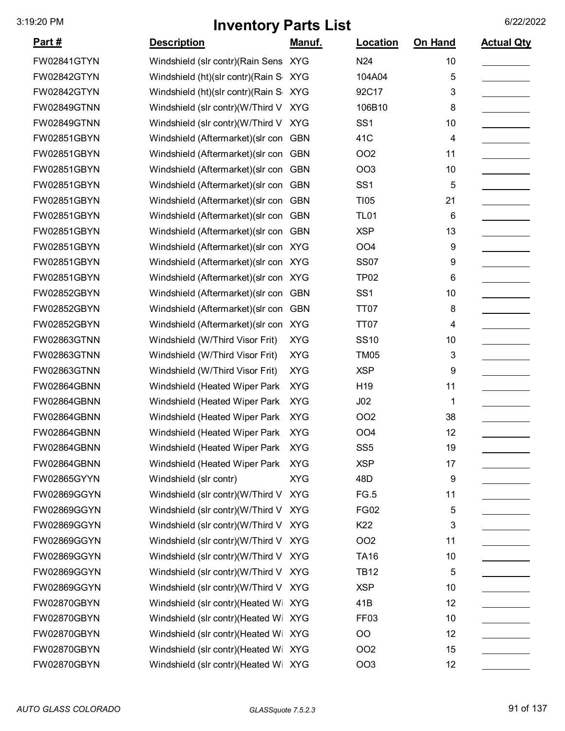| <u>Part #</u>      | <b>Description</b>                    | <u>Manuf.</u> | <b>Location</b>  | On Hand | <b>Actual Qty</b> |
|--------------------|---------------------------------------|---------------|------------------|---------|-------------------|
| FW02841GTYN        | Windshield (slr contr) (Rain Sens XYG |               | N24              | 10      |                   |
| FW02842GTYN        | Windshield (ht)(slr contr)(Rain S     | <b>XYG</b>    | 104A04           | 5       |                   |
| <b>FW02842GTYN</b> | Windshield (ht)(slr contr)(Rain S     | <b>XYG</b>    | 92C17            | 3       |                   |
| FW02849GTNN        | Windshield (slr contr)(W/Third V      | <b>XYG</b>    | 106B10           | 8       |                   |
| FW02849GTNN        | Windshield (slr contr)(W/Third V      | <b>XYG</b>    | SS <sub>1</sub>  | 10      |                   |
| FW02851GBYN        | Windshield (Aftermarket) (slr con     | <b>GBN</b>    | 41C              | 4       |                   |
| FW02851GBYN        | Windshield (Aftermarket) (slr con     | <b>GBN</b>    | <b>OO2</b>       | 11      |                   |
| FW02851GBYN        | Windshield (Aftermarket) (slr con     | <b>GBN</b>    | <b>OO3</b>       | 10      |                   |
| FW02851GBYN        | Windshield (Aftermarket) (slr con     | <b>GBN</b>    | SS <sub>1</sub>  | 5       |                   |
| FW02851GBYN        | Windshield (Aftermarket) (slr con     | <b>GBN</b>    | <b>TI05</b>      | 21      |                   |
| FW02851GBYN        | Windshield (Aftermarket) (slr con     | <b>GBN</b>    | <b>TL01</b>      | 6       |                   |
| FW02851GBYN        | Windshield (Aftermarket) (slr con     | <b>GBN</b>    | <b>XSP</b>       | 13      |                   |
| FW02851GBYN        | Windshield (Aftermarket) (slr con XYG |               | OO <sub>4</sub>  | 9       |                   |
| FW02851GBYN        | Windshield (Aftermarket) (slr con XYG |               | <b>SS07</b>      | 9       |                   |
| FW02851GBYN        | Windshield (Aftermarket) (slr con XYG |               | TP <sub>02</sub> | 6       |                   |
| FW02852GBYN        | Windshield (Aftermarket) (slr con     | <b>GBN</b>    | SS <sub>1</sub>  | 10      |                   |
| FW02852GBYN        | Windshield (Aftermarket) (slr con     | <b>GBN</b>    | TT07             | 8       |                   |
| FW02852GBYN        | Windshield (Aftermarket) (slr con XYG |               | <b>TT07</b>      | 4       |                   |
| FW02863GTNN        | Windshield (W/Third Visor Frit)       | <b>XYG</b>    | <b>SS10</b>      | 10      |                   |
| FW02863GTNN        | Windshield (W/Third Visor Frit)       | <b>XYG</b>    | <b>TM05</b>      | 3       |                   |
| FW02863GTNN        | Windshield (W/Third Visor Frit)       | <b>XYG</b>    | <b>XSP</b>       | 9       |                   |
| FW02864GBNN        | Windshield (Heated Wiper Park         | <b>XYG</b>    | H <sub>19</sub>  | 11      |                   |
| FW02864GBNN        | Windshield (Heated Wiper Park         | <b>XYG</b>    | J02              | 1       |                   |
| FW02864GBNN        | Windshield (Heated Wiper Park         | <b>XYG</b>    | OO <sub>2</sub>  | 38      |                   |
| FW02864GBNN        | Windshield (Heated Wiper Park         | <b>XYG</b>    | OO <sub>4</sub>  | 12      |                   |
| FW02864GBNN        | Windshield (Heated Wiper Park         | <b>XYG</b>    | SS <sub>5</sub>  | 19      |                   |
| FW02864GBNN        | Windshield (Heated Wiper Park         | <b>XYG</b>    | <b>XSP</b>       | 17      |                   |
| FW02865GYYN        | Windshield (slr contr)                | <b>XYG</b>    | 48D              | 9       |                   |
| FW02869GGYN        | Windshield (slr contr)(W/Third V XYG  |               | FG.5             | 11      |                   |
| FW02869GGYN        | Windshield (slr contr)(W/Third V      | <b>XYG</b>    | <b>FG02</b>      | 5       |                   |
| FW02869GGYN        | Windshield (slr contr)(W/Third V XYG  |               | K22              | 3       |                   |
| FW02869GGYN        | Windshield (slr contr)(W/Third V XYG  |               | OO <sub>2</sub>  | 11      |                   |
| FW02869GGYN        | Windshield (slr contr)(W/Third V XYG  |               | <b>TA16</b>      | 10      |                   |
| FW02869GGYN        | Windshield (slr contr)(W/Third V XYG  |               | <b>TB12</b>      | 5       |                   |
| FW02869GGYN        | Windshield (slr contr)(W/Third V      | <b>XYG</b>    | <b>XSP</b>       | 10      |                   |
| FW02870GBYN        | Windshield (slr contr)(Heated Wi XYG  |               | 41B              | 12      |                   |
| FW02870GBYN        | Windshield (slr contr)(Heated Wi XYG  |               | FF <sub>03</sub> | 10      |                   |
| FW02870GBYN        | Windshield (slr contr)(Heated Wi XYG  |               | <b>OO</b>        | 12      |                   |
| FW02870GBYN        | Windshield (slr contr)(Heated Wi XYG  |               | OO <sub>2</sub>  | 15      |                   |
| FW02870GBYN        | Windshield (slr contr)(Heated Wi XYG  |               | OO <sub>3</sub>  | 12      |                   |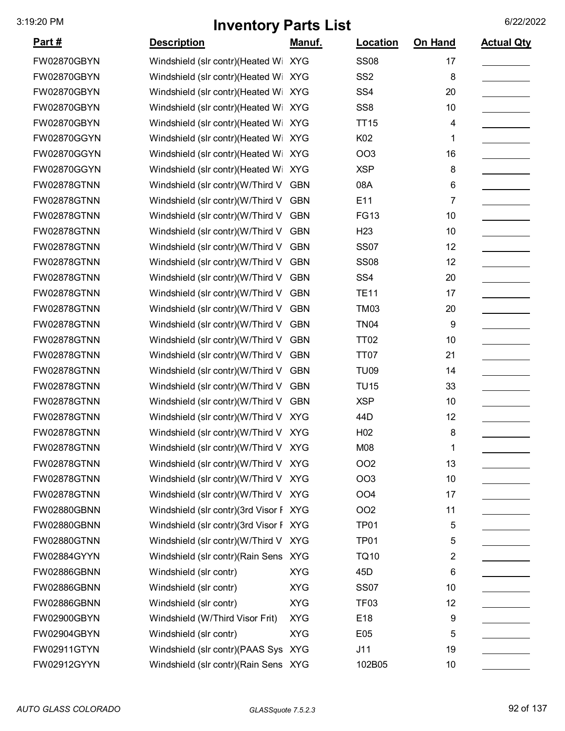| <u> Part #</u>     | <b>Description</b>                     | <u>Manuf.</u> | <b>Location</b>  | On Hand | <b>Actual Qty</b> |
|--------------------|----------------------------------------|---------------|------------------|---------|-------------------|
| FW02870GBYN        | Windshield (slr contr)(Heated Wi XYG   |               | <b>SS08</b>      | 17      |                   |
| FW02870GBYN        | Windshield (slr contr)(Heated Wi XYG   |               | SS <sub>2</sub>  | 8       |                   |
| FW02870GBYN        | Windshield (slr contr)(Heated Wi XYG   |               | SS <sub>4</sub>  | 20      |                   |
| FW02870GBYN        | Windshield (slr contr)(Heated Wi       | <b>XYG</b>    | SS <sub>8</sub>  | 10      |                   |
| FW02870GBYN        | Windshield (slr contr)(Heated Wi       | <b>XYG</b>    | <b>TT15</b>      | 4       |                   |
| FW02870GGYN        | Windshield (slr contr)(Heated Wi       | <b>XYG</b>    | K02              | 1       |                   |
| FW02870GGYN        | Windshield (slr contr)(Heated Wi XYG   |               | <b>OO3</b>       | 16      |                   |
| FW02870GGYN        | Windshield (slr contr)(Heated Wi XYG   |               | <b>XSP</b>       | 8       |                   |
| FW02878GTNN        | Windshield (slr contr)(W/Third V       | <b>GBN</b>    | 08A              | 6       |                   |
| <b>FW02878GTNN</b> | Windshield (slr contr)(W/Third V       | <b>GBN</b>    | E11              | 7       |                   |
| FW02878GTNN        | Windshield (slr contr)(W/Third V       | <b>GBN</b>    | <b>FG13</b>      | 10      |                   |
| FW02878GTNN        | Windshield (slr contr)(W/Third V       | <b>GBN</b>    | H <sub>23</sub>  | 10      |                   |
| <b>FW02878GTNN</b> | Windshield (slr contr)(W/Third V       | <b>GBN</b>    | <b>SS07</b>      | 12      |                   |
| FW02878GTNN        | Windshield (slr contr)(W/Third V       | <b>GBN</b>    | <b>SS08</b>      | 12      |                   |
| <b>FW02878GTNN</b> | Windshield (slr contr)(W/Third V       | <b>GBN</b>    | SS <sub>4</sub>  | 20      |                   |
| FW02878GTNN        | Windshield (slr contr)(W/Third V       | <b>GBN</b>    | <b>TE11</b>      | 17      |                   |
| <b>FW02878GTNN</b> | Windshield (slr contr)(W/Third V       | <b>GBN</b>    | <b>TM03</b>      | 20      |                   |
| FW02878GTNN        | Windshield (slr contr)(W/Third V       | <b>GBN</b>    | <b>TN04</b>      | 9       |                   |
| FW02878GTNN        | Windshield (slr contr)(W/Third V       | <b>GBN</b>    | <b>TT02</b>      | 10      |                   |
| <b>FW02878GTNN</b> | Windshield (slr contr)(W/Third V       | <b>GBN</b>    | <b>TT07</b>      | 21      |                   |
| <b>FW02878GTNN</b> | Windshield (slr contr)(W/Third V       | <b>GBN</b>    | <b>TU09</b>      | 14      |                   |
| FW02878GTNN        | Windshield (slr contr)(W/Third V       | <b>GBN</b>    | <b>TU15</b>      | 33      |                   |
| FW02878GTNN        | Windshield (slr contr)(W/Third V       | <b>GBN</b>    | <b>XSP</b>       | 10      |                   |
| FW02878GTNN        | Windshield (slr contr)(W/Third V       | <b>XYG</b>    | 44D              | 12      |                   |
| <b>FW02878GTNN</b> | Windshield (slr contr)(W/Third V XYG   |               | H <sub>02</sub>  | 8       |                   |
| <b>FW02878GTNN</b> | Windshield (slr contr)(W/Third V XYG   |               | M08              | 1       |                   |
| FW02878GTNN        | Windshield (slr contr)(W/Third V XYG   |               | OO <sub>2</sub>  | 13      |                   |
| FW02878GTNN        | Windshield (slr contr)(W/Third V XYG   |               | OO <sub>3</sub>  | 10      |                   |
| <b>FW02878GTNN</b> | Windshield (slr contr)(W/Third V XYG   |               | OO <sub>4</sub>  | 17      |                   |
| FW02880GBNN        | Windshield (slr contr)(3rd Visor F XYG |               | OO <sub>2</sub>  | 11      |                   |
| FW02880GBNN        | Windshield (slr contr)(3rd Visor F XYG |               | TP01             | 5       |                   |
| FW02880GTNN        | Windshield (slr contr)(W/Third V XYG   |               | TP01             | 5       |                   |
| FW02884GYYN        | Windshield (slr contr)(Rain Sens XYG   |               | <b>TQ10</b>      | 2       |                   |
| FW02886GBNN        | Windshield (slr contr)                 | <b>XYG</b>    | 45 <sub>D</sub>  | 6       |                   |
| FW02886GBNN        | Windshield (slr contr)                 | <b>XYG</b>    | <b>SS07</b>      | 10      |                   |
| FW02886GBNN        | Windshield (slr contr)                 | <b>XYG</b>    | TF <sub>03</sub> | 12      |                   |
| FW02900GBYN        | Windshield (W/Third Visor Frit)        | <b>XYG</b>    | E18              | 9       |                   |
| FW02904GBYN        | Windshield (slr contr)                 | <b>XYG</b>    | E05              | 5       |                   |
| FW02911GTYN        | Windshield (slr contr)(PAAS Sys XYG    |               | J11              | 19      |                   |
| FW02912GYYN        | Windshield (slr contr) (Rain Sens XYG  |               | 102B05           | 10      |                   |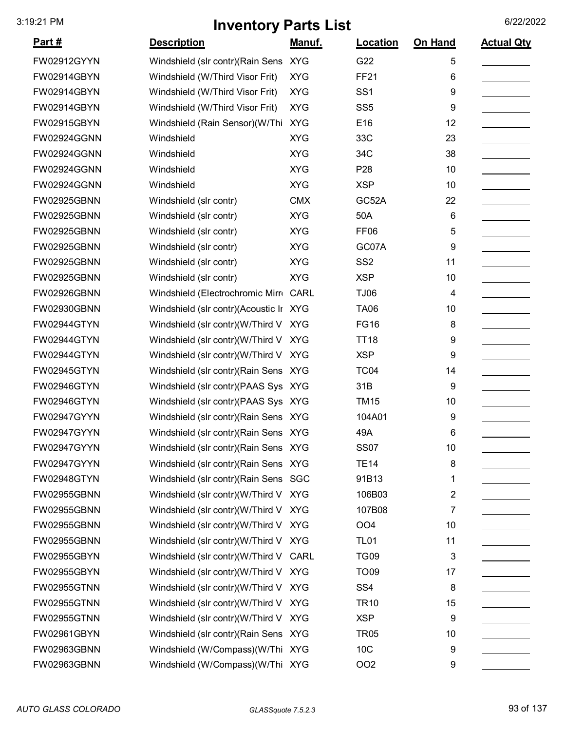| <u>Part #</u>      | <b>Description</b>                     | <u>Manuf.</u> | <b>Location</b>  | <b>On Hand</b> | <b>Actual Qty</b> |
|--------------------|----------------------------------------|---------------|------------------|----------------|-------------------|
| FW02912GYYN        | Windshield (slr contr)(Rain Sens XYG   |               | G22              | 5              |                   |
| <b>FW02914GBYN</b> | Windshield (W/Third Visor Frit)        | <b>XYG</b>    | <b>FF21</b>      | 6              |                   |
| <b>FW02914GBYN</b> | Windshield (W/Third Visor Frit)        | <b>XYG</b>    | SS <sub>1</sub>  | 9              |                   |
| <b>FW02914GBYN</b> | Windshield (W/Third Visor Frit)        | <b>XYG</b>    | SS <sub>5</sub>  | 9              |                   |
| <b>FW02915GBYN</b> | Windshield (Rain Sensor)(W/Thi         | <b>XYG</b>    | E16              | 12             |                   |
| <b>FW02924GGNN</b> | Windshield                             | <b>XYG</b>    | 33C              | 23             |                   |
| <b>FW02924GGNN</b> | Windshield                             | <b>XYG</b>    | 34C              | 38             |                   |
| <b>FW02924GGNN</b> | Windshield                             | <b>XYG</b>    | P <sub>28</sub>  | 10             |                   |
| <b>FW02924GGNN</b> | Windshield                             | <b>XYG</b>    | <b>XSP</b>       | 10             |                   |
| <b>FW02925GBNN</b> | Windshield (slr contr)                 | <b>CMX</b>    | GC52A            | 22             |                   |
| <b>FW02925GBNN</b> | Windshield (slr contr)                 | <b>XYG</b>    | 50A              | 6              |                   |
| <b>FW02925GBNN</b> | Windshield (slr contr)                 | <b>XYG</b>    | FF <sub>06</sub> | 5              |                   |
| <b>FW02925GBNN</b> | Windshield (slr contr)                 | <b>XYG</b>    | GC07A            | 9              |                   |
| <b>FW02925GBNN</b> | Windshield (slr contr)                 | <b>XYG</b>    | SS <sub>2</sub>  | 11             |                   |
| <b>FW02925GBNN</b> | Windshield (slr contr)                 | <b>XYG</b>    | <b>XSP</b>       | 10             |                   |
| <b>FW02926GBNN</b> | Windshield (Electrochromic Mirr CARL   |               | <b>TJ06</b>      | 4              |                   |
| <b>FW02930GBNN</b> | Windshield (slr contr)(Acoustic Ir XYG |               | <b>TA06</b>      | 10             |                   |
| <b>FW02944GTYN</b> | Windshield (slr contr)(W/Third V       | <b>XYG</b>    | <b>FG16</b>      | 8              |                   |
| <b>FW02944GTYN</b> | Windshield (slr contr)(W/Third V       | <b>XYG</b>    | <b>TT18</b>      | 9              |                   |
| <b>FW02944GTYN</b> | Windshield (slr contr)(W/Third V       | <b>XYG</b>    | <b>XSP</b>       | 9              |                   |
| <b>FW02945GTYN</b> | Windshield (slr contr) (Rain Sens XYG  |               | <b>TC04</b>      | 14             |                   |
| <b>FW02946GTYN</b> | Windshield (slr contr)(PAAS Sys XYG    |               | 31B              | 9              |                   |
| <b>FW02946GTYN</b> | Windshield (slr contr)(PAAS Sys XYG    |               | <b>TM15</b>      | 10             |                   |
| <b>FW02947GYYN</b> | Windshield (slr contr) (Rain Sens XYG  |               | 104A01           | 9              |                   |
| <b>FW02947GYYN</b> | Windshield (slr contr) (Rain Sens XYG  |               | 49A              | 6              |                   |
| <b>FW02947GYYN</b> | Windshield (slr contr) (Rain Sens XYG  |               | <b>SS07</b>      | 10             |                   |
| <b>FW02947GYYN</b> | Windshield (slr contr) (Rain Sens XYG  |               | <b>TE14</b>      | 8              |                   |
| <b>FW02948GTYN</b> | Windshield (slr contr) (Rain Sens SGC  |               | 91B13            | 1              |                   |
| <b>FW02955GBNN</b> | Windshield (slr contr)(W/Third V XYG   |               | 106B03           | 2              |                   |
| <b>FW02955GBNN</b> | Windshield (slr contr)(W/Third V       | <b>XYG</b>    | 107B08           | 7              |                   |
| <b>FW02955GBNN</b> | Windshield (slr contr)(W/Third V XYG   |               | OO <sub>4</sub>  | 10             |                   |
| <b>FW02955GBNN</b> | Windshield (slr contr)(W/Third V XYG   |               | <b>TL01</b>      | 11             |                   |
| <b>FW02955GBYN</b> | Windshield (slr contr)(W/Third V CARL  |               | <b>TG09</b>      | 3              |                   |
| <b>FW02955GBYN</b> | Windshield (slr contr)(W/Third V XYG   |               | <b>TO09</b>      | 17             |                   |
| <b>FW02955GTNN</b> | Windshield (slr contr)(W/Third V XYG   |               | SS <sub>4</sub>  | 8              |                   |
| <b>FW02955GTNN</b> | Windshield (slr contr)(W/Third V XYG   |               | <b>TR10</b>      | 15             |                   |
| <b>FW02955GTNN</b> | Windshield (slr contr)(W/Third V XYG   |               | <b>XSP</b>       | 9              |                   |
| <b>FW02961GBYN</b> | Windshield (slr contr) (Rain Sens XYG  |               | <b>TR05</b>      | 10             |                   |
| <b>FW02963GBNN</b> | Windshield (W/Compass)(W/Thi XYG       |               | 10C              | 9              |                   |
| FW02963GBNN        | Windshield (W/Compass)(W/Thi XYG       |               | OO <sub>2</sub>  | 9              |                   |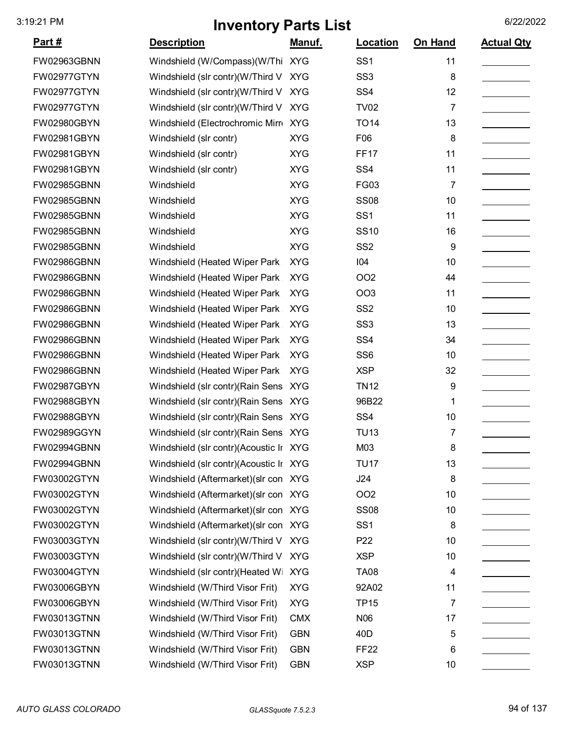| <u>Part #</u> | <b>Description</b>                     | <u>Manuf.</u> | Location        | On Hand        | <b>Actual Qty</b> |
|---------------|----------------------------------------|---------------|-----------------|----------------|-------------------|
| FW02963GBNN   | Windshield (W/Compass) (W/Thi XYG      |               | SS <sub>1</sub> | 11             |                   |
| FW02977GTYN   | Windshield (slr contr)(W/Third V       | <b>XYG</b>    | SS <sub>3</sub> | 8              |                   |
| FW02977GTYN   | Windshield (slr contr)(W/Third V       | <b>XYG</b>    | SS <sub>4</sub> | 12             |                   |
| FW02977GTYN   | Windshield (slr contr)(W/Third V       | <b>XYG</b>    | <b>TV02</b>     | 7              |                   |
| FW02980GBYN   | Windshield (Electrochromic Mirr XYG    |               | <b>TO14</b>     | 13             |                   |
| FW02981GBYN   | Windshield (slr contr)                 | <b>XYG</b>    | F06             | 8              |                   |
| FW02981GBYN   | Windshield (slr contr)                 | <b>XYG</b>    | <b>FF17</b>     | 11             |                   |
| FW02981GBYN   | Windshield (slr contr)                 | <b>XYG</b>    | SS <sub>4</sub> | 11             |                   |
| FW02985GBNN   | Windshield                             | <b>XYG</b>    | <b>FG03</b>     | 7              |                   |
| FW02985GBNN   | Windshield                             | <b>XYG</b>    | <b>SS08</b>     | 10             |                   |
| FW02985GBNN   | Windshield                             | <b>XYG</b>    | SS <sub>1</sub> | 11             |                   |
| FW02985GBNN   | Windshield                             | <b>XYG</b>    | <b>SS10</b>     | 16             |                   |
| FW02985GBNN   | Windshield                             | <b>XYG</b>    | SS <sub>2</sub> | 9              |                   |
| FW02986GBNN   | Windshield (Heated Wiper Park          | <b>XYG</b>    | 104             | 10             |                   |
| FW02986GBNN   | Windshield (Heated Wiper Park          | <b>XYG</b>    | <b>OO2</b>      | 44             |                   |
| FW02986GBNN   | Windshield (Heated Wiper Park          | <b>XYG</b>    | <b>OO3</b>      | 11             |                   |
| FW02986GBNN   | Windshield (Heated Wiper Park          | <b>XYG</b>    | SS <sub>2</sub> | 10             |                   |
| FW02986GBNN   | Windshield (Heated Wiper Park          | <b>XYG</b>    | SS <sub>3</sub> | 13             |                   |
| FW02986GBNN   | Windshield (Heated Wiper Park          | <b>XYG</b>    | SS <sub>4</sub> | 34             |                   |
| FW02986GBNN   | Windshield (Heated Wiper Park          | <b>XYG</b>    | SS <sub>6</sub> | 10             |                   |
| FW02986GBNN   | Windshield (Heated Wiper Park          | <b>XYG</b>    | <b>XSP</b>      | 32             |                   |
| FW02987GBYN   | Windshield (slr contr) (Rain Sens XYG  |               | <b>TN12</b>     | 9              |                   |
| FW02988GBYN   | Windshield (slr contr) (Rain Sens XYG  |               | 96B22           | 1              |                   |
| FW02988GBYN   | Windshield (slr contr) (Rain Sens XYG  |               | SS <sub>4</sub> | 10             |                   |
| FW02989GGYN   | Windshield (slr contr) (Rain Sens XYG  |               | <b>TU13</b>     | 7              |                   |
| FW02994GBNN   | Windshield (slr contr)(Acoustic Ir XYG |               | M03             | 8              |                   |
| FW02994GBNN   | Windshield (slr contr)(Acoustic Ir XYG |               | <b>TU17</b>     | 13             |                   |
| FW03002GTYN   | Windshield (Aftermarket) (slr con XYG  |               | J24             | 8              |                   |
| FW03002GTYN   | Windshield (Aftermarket) (slr con XYG  |               | OO <sub>2</sub> | 10             |                   |
| FW03002GTYN   | Windshield (Aftermarket) (slr con XYG  |               | <b>SS08</b>     | 10             |                   |
| FW03002GTYN   | Windshield (Aftermarket) (slr con XYG  |               | SS <sub>1</sub> | 8              |                   |
| FW03003GTYN   | Windshield (slr contr)(W/Third V       | <b>XYG</b>    | P <sub>22</sub> | 10             |                   |
| FW03003GTYN   | Windshield (slr contr)(W/Third V       | <b>XYG</b>    | <b>XSP</b>      | 10             |                   |
| FW03004GTYN   | Windshield (slr contr)(Heated Wi       | <b>XYG</b>    | <b>TA08</b>     | 4              |                   |
| FW03006GBYN   | Windshield (W/Third Visor Frit)        | <b>XYG</b>    | 92A02           | 11             |                   |
| FW03006GBYN   | Windshield (W/Third Visor Frit)        | <b>XYG</b>    | <b>TP15</b>     | $\overline{7}$ |                   |
| FW03013GTNN   | Windshield (W/Third Visor Frit)        | <b>CMX</b>    | N06             | 17             |                   |
| FW03013GTNN   | Windshield (W/Third Visor Frit)        | <b>GBN</b>    | 40 <sub>D</sub> | 5              |                   |
| FW03013GTNN   | Windshield (W/Third Visor Frit)        | <b>GBN</b>    | <b>FF22</b>     | 6              |                   |
| FW03013GTNN   | Windshield (W/Third Visor Frit)        | <b>GBN</b>    | <b>XSP</b>      | 10             |                   |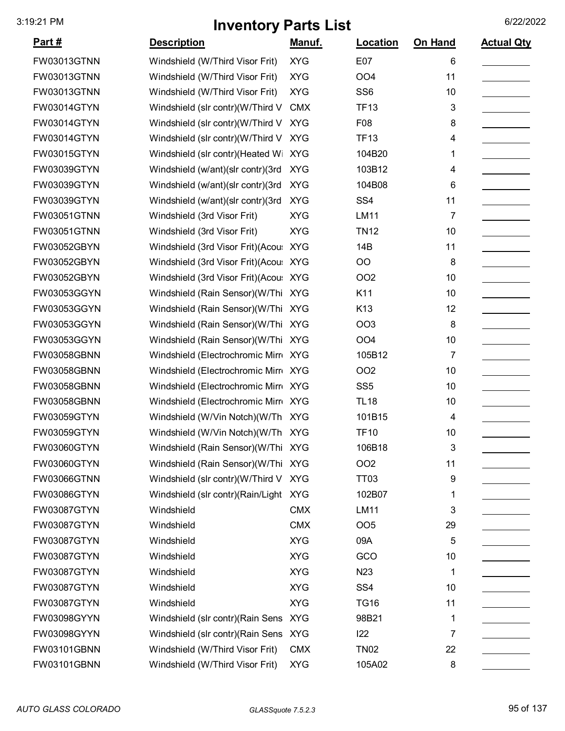| <u>Part #</u> | <b>Description</b>                     | <u>Manuf.</u> | <b>Location</b> | <b>On Hand</b> | <b>Actual Qty</b> |
|---------------|----------------------------------------|---------------|-----------------|----------------|-------------------|
| FW03013GTNN   | Windshield (W/Third Visor Frit)        | <b>XYG</b>    | E07             | 6              |                   |
| FW03013GTNN   | Windshield (W/Third Visor Frit)        | <b>XYG</b>    | OO <sub>4</sub> | 11             |                   |
| FW03013GTNN   | Windshield (W/Third Visor Frit)        | <b>XYG</b>    | SS <sub>6</sub> | 10             |                   |
| FW03014GTYN   | Windshield (slr contr)(W/Third V       | <b>CMX</b>    | <b>TF13</b>     | 3              |                   |
| FW03014GTYN   | Windshield (slr contr)(W/Third V       | <b>XYG</b>    | F08             | 8              |                   |
| FW03014GTYN   | Windshield (slr contr)(W/Third V       | <b>XYG</b>    | <b>TF13</b>     | 4              |                   |
| FW03015GTYN   | Windshield (slr contr)(Heated Wi XYG   |               | 104B20          | 1              |                   |
| FW03039GTYN   | Windshield (w/ant)(slr contr)(3rd      | <b>XYG</b>    | 103B12          | 4              |                   |
| FW03039GTYN   | Windshield (w/ant)(slr contr)(3rd      | <b>XYG</b>    | 104B08          | 6              |                   |
| FW03039GTYN   | Windshield (w/ant)(slr contr)(3rd      | <b>XYG</b>    | SS <sub>4</sub> | 11             |                   |
| FW03051GTNN   | Windshield (3rd Visor Frit)            | <b>XYG</b>    | LM11            | 7              |                   |
| FW03051GTNN   | Windshield (3rd Visor Frit)            | <b>XYG</b>    | <b>TN12</b>     | 10             |                   |
| FW03052GBYN   | Windshield (3rd Visor Frit) (Acous     | <b>XYG</b>    | 14B             | 11             |                   |
| FW03052GBYN   | Windshield (3rd Visor Frit) (Acou: XYG |               | O <sub>O</sub>  | 8              |                   |
| FW03052GBYN   | Windshield (3rd Visor Frit) (Acou: XYG |               | <b>OO2</b>      | 10             |                   |
| FW03053GGYN   | Windshield (Rain Sensor)(W/Thi XYG     |               | K11             | 10             |                   |
| FW03053GGYN   | Windshield (Rain Sensor)(W/Thi XYG     |               | K <sub>13</sub> | 12             |                   |
| FW03053GGYN   | Windshield (Rain Sensor)(W/Thi XYG     |               | <b>OO3</b>      | 8              |                   |
| FW03053GGYN   | Windshield (Rain Sensor)(W/Thi XYG     |               | OO <sub>4</sub> | 10             |                   |
| FW03058GBNN   | Windshield (Electrochromic Mirr XYG    |               | 105B12          | 7              |                   |
| FW03058GBNN   | Windshield (Electrochromic Mirr XYG    |               | <b>OO2</b>      | 10             |                   |
| FW03058GBNN   | Windshield (Electrochromic Mirr XYG    |               | SS <sub>5</sub> | 10             |                   |
| FW03058GBNN   | Windshield (Electrochromic Mirr XYG    |               | <b>TL18</b>     | 10             |                   |
| FW03059GTYN   | Windshield (W/Vin Notch)(W/Th XYG      |               | 101B15          | 4              |                   |
| FW03059GTYN   | Windshield (W/Vin Notch)(W/Th XYG      |               | <b>TF10</b>     | 10             |                   |
| FW03060GTYN   | Windshield (Rain Sensor)(W/Thi XYG     |               | 106B18          | 3              |                   |
| FW03060GTYN   | Windshield (Rain Sensor)(W/Thi XYG     |               | <b>OO2</b>      | 11             |                   |
| FW03066GTNN   | Windshield (slr contr)(W/Third V XYG   |               | <b>TT03</b>     | 9              |                   |
| FW03086GTYN   | Windshield (slr contr)(Rain/Light XYG  |               | 102B07          | 1              |                   |
| FW03087GTYN   | Windshield                             | <b>CMX</b>    | LM11            | 3              |                   |
| FW03087GTYN   | Windshield                             | <b>CMX</b>    | OO <sub>5</sub> | 29             |                   |
| FW03087GTYN   | Windshield                             | <b>XYG</b>    | 09A             | 5              |                   |
| FW03087GTYN   | Windshield                             | <b>XYG</b>    | GCO             | 10             |                   |
| FW03087GTYN   | Windshield                             | <b>XYG</b>    | N <sub>23</sub> | 1              |                   |
| FW03087GTYN   | Windshield                             | <b>XYG</b>    | SS <sub>4</sub> | 10             |                   |
| FW03087GTYN   | Windshield                             | <b>XYG</b>    | <b>TG16</b>     | 11             |                   |
| FW03098GYYN   | Windshield (slr contr) (Rain Sens XYG  |               | 98B21           | 1              |                   |
| FW03098GYYN   | Windshield (slr contr) (Rain Sens XYG  |               | 122             | 7              |                   |
| FW03101GBNN   | Windshield (W/Third Visor Frit)        | <b>CMX</b>    | <b>TN02</b>     | 22             |                   |
| FW03101GBNN   | Windshield (W/Third Visor Frit)        | <b>XYG</b>    | 105A02          | 8              |                   |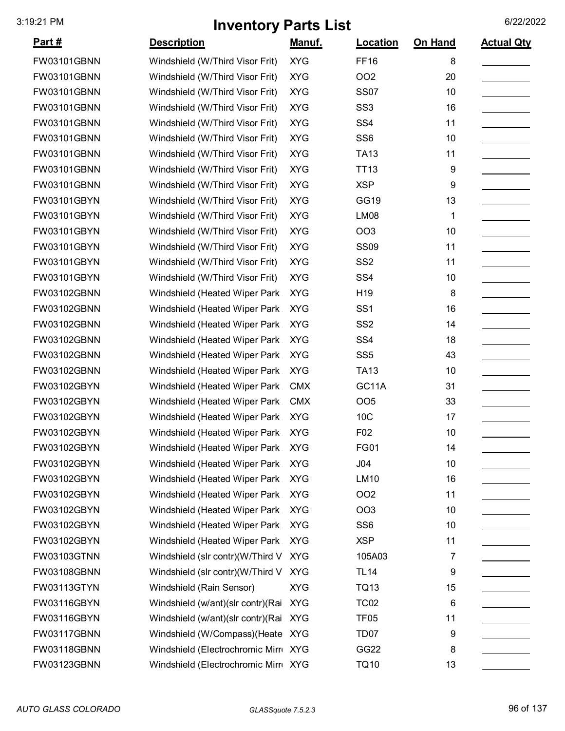| <u>Part #</u> | <b>Description</b>                      | Manuf.     | Location         | On Hand | <b>Actual Qty</b> |
|---------------|-----------------------------------------|------------|------------------|---------|-------------------|
| FW03101GBNN   | Windshield (W/Third Visor Frit)         | <b>XYG</b> | <b>FF16</b>      | 8       |                   |
| FW03101GBNN   | Windshield (W/Third Visor Frit)         | <b>XYG</b> | <b>OO2</b>       | 20      |                   |
| FW03101GBNN   | Windshield (W/Third Visor Frit)         | <b>XYG</b> | <b>SS07</b>      | 10      |                   |
| FW03101GBNN   | Windshield (W/Third Visor Frit)         | <b>XYG</b> | SS <sub>3</sub>  | 16      |                   |
| FW03101GBNN   | Windshield (W/Third Visor Frit)         | <b>XYG</b> | SS <sub>4</sub>  | 11      |                   |
| FW03101GBNN   | Windshield (W/Third Visor Frit)         | <b>XYG</b> | SS <sub>6</sub>  | 10      |                   |
| FW03101GBNN   | Windshield (W/Third Visor Frit)         | <b>XYG</b> | <b>TA13</b>      | 11      |                   |
| FW03101GBNN   | Windshield (W/Third Visor Frit)         | <b>XYG</b> | <b>TT13</b>      | 9       |                   |
| FW03101GBNN   | Windshield (W/Third Visor Frit)         | <b>XYG</b> | <b>XSP</b>       | 9       |                   |
| FW03101GBYN   | Windshield (W/Third Visor Frit)         | <b>XYG</b> | <b>GG19</b>      | 13      |                   |
| FW03101GBYN   | Windshield (W/Third Visor Frit)         | <b>XYG</b> | LM08             | 1       |                   |
| FW03101GBYN   | Windshield (W/Third Visor Frit)         | <b>XYG</b> | OO <sub>3</sub>  | 10      |                   |
| FW03101GBYN   | Windshield (W/Third Visor Frit)         | <b>XYG</b> | <b>SS09</b>      | 11      |                   |
| FW03101GBYN   | Windshield (W/Third Visor Frit)         | <b>XYG</b> | SS <sub>2</sub>  | 11      |                   |
| FW03101GBYN   | Windshield (W/Third Visor Frit)         | <b>XYG</b> | SS <sub>4</sub>  | 10      |                   |
| FW03102GBNN   | Windshield (Heated Wiper Park           | <b>XYG</b> | H <sub>19</sub>  | 8       |                   |
| FW03102GBNN   | Windshield (Heated Wiper Park           | <b>XYG</b> | SS <sub>1</sub>  | 16      |                   |
| FW03102GBNN   | Windshield (Heated Wiper Park           | <b>XYG</b> | SS <sub>2</sub>  | 14      |                   |
| FW03102GBNN   | Windshield (Heated Wiper Park           | <b>XYG</b> | SS <sub>4</sub>  | 18      |                   |
| FW03102GBNN   | Windshield (Heated Wiper Park           | <b>XYG</b> | SS <sub>5</sub>  | 43      |                   |
| FW03102GBNN   | Windshield (Heated Wiper Park           | <b>XYG</b> | <b>TA13</b>      | 10      |                   |
| FW03102GBYN   | Windshield (Heated Wiper Park           | <b>CMX</b> | GC11A            | 31      |                   |
| FW03102GBYN   | Windshield (Heated Wiper Park           | <b>CMX</b> | OO <sub>5</sub>  | 33      |                   |
| FW03102GBYN   | Windshield (Heated Wiper Park           | <b>XYG</b> | 10C              | 17      |                   |
| FW03102GBYN   | Windshield (Heated Wiper Park XYG       |            | F02              | 10      |                   |
| FW03102GBYN   | Windshield (Heated Wiper Park           | <b>XYG</b> | FG01             | 14      |                   |
| FW03102GBYN   | Windshield (Heated Wiper Park           | <b>XYG</b> | J04              | 10      |                   |
| FW03102GBYN   | Windshield (Heated Wiper Park           | <b>XYG</b> | LM10             | 16      |                   |
| FW03102GBYN   | Windshield (Heated Wiper Park           | <b>XYG</b> | OO <sub>2</sub>  | 11      |                   |
| FW03102GBYN   | Windshield (Heated Wiper Park           | <b>XYG</b> | <b>OO3</b>       | 10      |                   |
| FW03102GBYN   | Windshield (Heated Wiper Park           | <b>XYG</b> | SS <sub>6</sub>  | 10      |                   |
| FW03102GBYN   | Windshield (Heated Wiper Park           | <b>XYG</b> | <b>XSP</b>       | 11      |                   |
| FW03103GTNN   | Windshield (slr contr)(W/Third V        | <b>XYG</b> | 105A03           | 7       |                   |
| FW03108GBNN   | Windshield (slr contr)(W/Third V XYG    |            | <b>TL14</b>      | 9       |                   |
| FW03113GTYN   | Windshield (Rain Sensor)                | <b>XYG</b> | <b>TQ13</b>      | 15      |                   |
| FW03116GBYN   | Windshield (w/ant)(slr contr)(Rai XYG   |            | <b>TC02</b>      | 6       |                   |
| FW03116GBYN   | Windshield (w/ant) (slr contr) (Rai XYG |            | TF <sub>05</sub> | 11      |                   |
| FW03117GBNN   | Windshield (W/Compass) (Heate XYG       |            | TD <sub>07</sub> | 9       |                   |
| FW03118GBNN   | Windshield (Electrochromic Mirr XYG     |            | GG22             | 8       |                   |
| FW03123GBNN   | Windshield (Electrochromic Mirr XYG     |            | <b>TQ10</b>      | 13      |                   |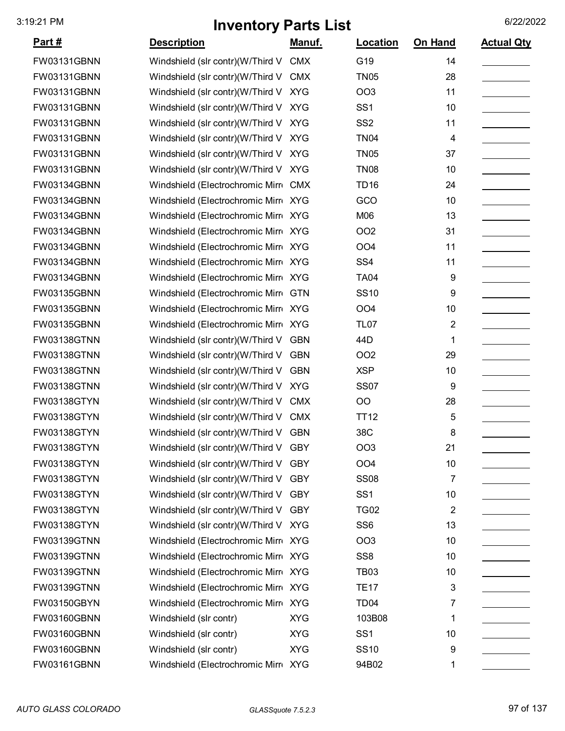| <u>Part #</u>      | <b>Description</b>                   | Manuf.     | Location         | On Hand        | <b>Actual Qty</b> |
|--------------------|--------------------------------------|------------|------------------|----------------|-------------------|
| FW03131GBNN        | Windshield (slr contr)(W/Third V     | <b>CMX</b> | G19              | 14             |                   |
| FW03131GBNN        | Windshield (slr contr)(W/Third V     | <b>CMX</b> | <b>TN05</b>      | 28             |                   |
| <b>FW03131GBNN</b> | Windshield (slr contr)(W/Third V     | <b>XYG</b> | OO <sub>3</sub>  | 11             |                   |
| <b>FW03131GBNN</b> | Windshield (slr contr)(W/Third V     | <b>XYG</b> | SS <sub>1</sub>  | 10             |                   |
| <b>FW03131GBNN</b> | Windshield (slr contr)(W/Third V     | <b>XYG</b> | SS <sub>2</sub>  | 11             |                   |
| FW03131GBNN        | Windshield (slr contr)(W/Third V     | <b>XYG</b> | <b>TN04</b>      | 4              |                   |
| FW03131GBNN        | Windshield (slr contr)(W/Third V XYG |            | <b>TN05</b>      | 37             |                   |
| <b>FW03131GBNN</b> | Windshield (slr contr)(W/Third V     | <b>XYG</b> | <b>TN08</b>      | 10             |                   |
| FW03134GBNN        | Windshield (Electrochromic Mirr CMX  |            | <b>TD16</b>      | 24             |                   |
| FW03134GBNN        | Windshield (Electrochromic Mirro XYG |            | GCO              | 10             |                   |
| <b>FW03134GBNN</b> | Windshield (Electrochromic Mirr XYG  |            | M06              | 13             |                   |
| <b>FW03134GBNN</b> | Windshield (Electrochromic Mirr XYG  |            | OO <sub>2</sub>  | 31             |                   |
| FW03134GBNN        | Windshield (Electrochromic Mirr XYG  |            | OO <sub>4</sub>  | 11             |                   |
| FW03134GBNN        | Windshield (Electrochromic Mirr XYG  |            | SS <sub>4</sub>  | 11             |                   |
| <b>FW03134GBNN</b> | Windshield (Electrochromic Mirro XYG |            | <b>TA04</b>      | 9              |                   |
| <b>FW03135GBNN</b> | Windshield (Electrochromic Mirr GTN  |            | <b>SS10</b>      | 9              |                   |
| FW03135GBNN        | Windshield (Electrochromic Mirr XYG  |            | OO <sub>4</sub>  | 10             |                   |
| FW03135GBNN        | Windshield (Electrochromic Mirr XYG  |            | <b>TL07</b>      | $\overline{2}$ |                   |
| <b>FW03138GTNN</b> | Windshield (slr contr)(W/Third V     | <b>GBN</b> | 44D              | 1              |                   |
| <b>FW03138GTNN</b> | Windshield (slr contr)(W/Third V     | <b>GBN</b> | OO <sub>2</sub>  | 29             |                   |
| <b>FW03138GTNN</b> | Windshield (slr contr)(W/Third V     | <b>GBN</b> | <b>XSP</b>       | 10             |                   |
| <b>FW03138GTNN</b> | Windshield (slr contr)(W/Third V XYG |            | <b>SS07</b>      | 9              |                   |
| FW03138GTYN        | Windshield (slr contr)(W/Third V     | <b>CMX</b> | OO               | 28             |                   |
| FW03138GTYN        | Windshield (slr contr)(W/Third V     | <b>CMX</b> | <b>TT12</b>      | 5              |                   |
| FW03138GTYN        | Windshield (slr contr)(W/Third V GBN |            | 38C              | 8              |                   |
| FW03138GTYN        | Windshield (slr contr)(W/Third V GBY |            | OO3              | 21             |                   |
| FW03138GTYN        | Windshield (slr contr)(W/Third V GBY |            | OO <sub>4</sub>  | 10             |                   |
| FW03138GTYN        | Windshield (slr contr)(W/Third V     | <b>GBY</b> | <b>SS08</b>      | 7              |                   |
| FW03138GTYN        | Windshield (slr contr)(W/Third V GBY |            | SS <sub>1</sub>  | 10             |                   |
| FW03138GTYN        | Windshield (slr contr)(W/Third V     | <b>GBY</b> | <b>TG02</b>      | 2              |                   |
| FW03138GTYN        | Windshield (slr contr)(W/Third V XYG |            | SS <sub>6</sub>  | 13             |                   |
| FW03139GTNN        | Windshield (Electrochromic Mirr XYG  |            | OO <sub>3</sub>  | 10             |                   |
| <b>FW03139GTNN</b> | Windshield (Electrochromic Mirr XYG  |            | SS <sub>8</sub>  | 10             |                   |
| FW03139GTNN        | Windshield (Electrochromic Mirro XYG |            | <b>TB03</b>      | 10             |                   |
| FW03139GTNN        | Windshield (Electrochromic Mirr XYG  |            | <b>TE17</b>      | 3              |                   |
| FW03150GBYN        | Windshield (Electrochromic Mirro XYG |            | TD <sub>04</sub> | 7              |                   |
| FW03160GBNN        | Windshield (slr contr)               | <b>XYG</b> | 103B08           | 1              |                   |
| FW03160GBNN        | Windshield (slr contr)               | <b>XYG</b> | SS <sub>1</sub>  | 10             |                   |
| FW03160GBNN        | Windshield (slr contr)               | <b>XYG</b> | <b>SS10</b>      | 9              |                   |
| FW03161GBNN        | Windshield (Electrochromic Mirr XYG  |            | 94B02            | 1              |                   |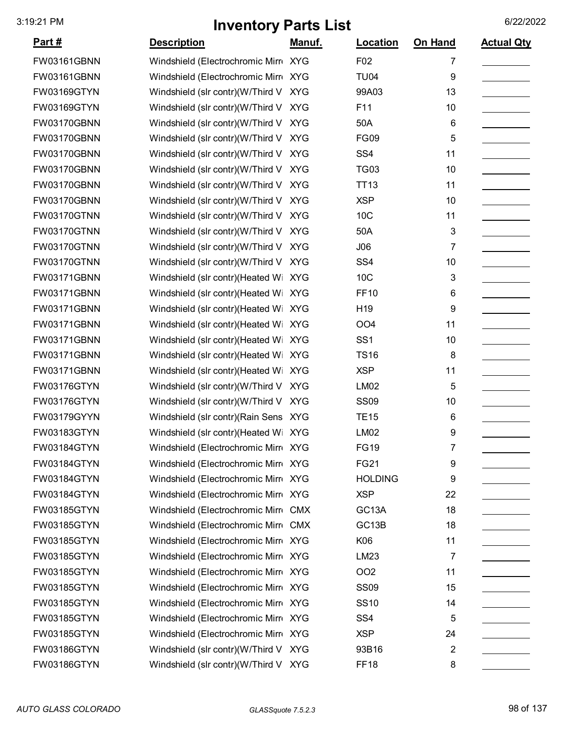| <u>Part #</u>      | <b>Description</b>                    | <u>Manuf.</u> | <b>Location</b>    | On Hand         | <b>Actual Qty</b> |
|--------------------|---------------------------------------|---------------|--------------------|-----------------|-------------------|
| <b>FW03161GBNN</b> | Windshield (Electrochromic Mirr XYG   |               | F02                | 7               |                   |
| FW03161GBNN        | Windshield (Electrochromic Mirr XYG   |               | <b>TU04</b>        | 9               |                   |
| FW03169GTYN        | Windshield (slr contr)(W/Third V      | <b>XYG</b>    | 99A03              | 13              |                   |
| FW03169GTYN        | Windshield (slr contr)(W/Third V      | <b>XYG</b>    | F11                | 10              |                   |
| <b>FW03170GBNN</b> | Windshield (slr contr)(W/Third V      | <b>XYG</b>    | 50A                | $6\phantom{1}6$ |                   |
| FW03170GBNN        | Windshield (slr contr)(W/Third V      | <b>XYG</b>    | <b>FG09</b>        | 5               |                   |
| FW03170GBNN        | Windshield (slr contr)(W/Third V XYG  |               | SS <sub>4</sub>    | 11              |                   |
| FW03170GBNN        | Windshield (slr contr)(W/Third V      | <b>XYG</b>    | <b>TG03</b>        | 10              |                   |
| FW03170GBNN        | Windshield (slr contr)(W/Third V      | <b>XYG</b>    | <b>TT13</b>        | 11              |                   |
| FW03170GBNN        | Windshield (slr contr)(W/Third V      | <b>XYG</b>    | <b>XSP</b>         | 10              |                   |
| FW03170GTNN        | Windshield (slr contr)(W/Third V      | <b>XYG</b>    | 10C                | 11              |                   |
| FW03170GTNN        | Windshield (slr contr)(W/Third V XYG  |               | 50A                | 3               |                   |
| FW03170GTNN        | Windshield (slr contr)(W/Third V      | <b>XYG</b>    | J06                | 7               |                   |
| FW03170GTNN        | Windshield (slr contr)(W/Third V      | <b>XYG</b>    | SS <sub>4</sub>    | 10              |                   |
| <b>FW03171GBNN</b> | Windshield (slr contr)(Heated Wi XYG  |               | 10C                | 3               |                   |
| FW03171GBNN        | Windshield (slr contr)(Heated Wi XYG  |               | <b>FF10</b>        | 6               |                   |
| FW03171GBNN        | Windshield (slr contr)(Heated Wi XYG  |               | H <sub>19</sub>    | 9               |                   |
| FW03171GBNN        | Windshield (slr contr)(Heated Wi XYG  |               | OO <sub>4</sub>    | 11              |                   |
| FW03171GBNN        | Windshield (slr contr)(Heated Wi      | <b>XYG</b>    | SS <sub>1</sub>    | 10              |                   |
| FW03171GBNN        | Windshield (slr contr)(Heated Wi      | <b>XYG</b>    | <b>TS16</b>        | 8               |                   |
| FW03171GBNN        | Windshield (slr contr)(Heated Wi      | <b>XYG</b>    | <b>XSP</b>         | 11              |                   |
| FW03176GTYN        | Windshield (slr contr)(W/Third V      | <b>XYG</b>    | <b>LM02</b>        | 5               |                   |
| <b>FW03176GTYN</b> | Windshield (slr contr)(W/Third V      | <b>XYG</b>    | <b>SS09</b>        | 10              |                   |
| FW03179GYYN        | Windshield (slr contr) (Rain Sens XYG |               | <b>TE15</b>        | 6               |                   |
| FW03183GTYN        | Windshield (slr contr)(Heated Wi XYG  |               | <b>LM02</b>        | 9               |                   |
| FW03184GTYN        | Windshield (Electrochromic Mirr XYG   |               | <b>FG19</b>        | 7               |                   |
| FW03184GTYN        | Windshield (Electrochromic Mirr XYG   |               | <b>FG21</b>        | 9               |                   |
| FW03184GTYN        | Windshield (Electrochromic Mirr XYG   |               | <b>HOLDING</b>     | 9               |                   |
| FW03184GTYN        | Windshield (Electrochromic Mirro XYG  |               | <b>XSP</b>         | 22              |                   |
| FW03185GTYN        | Windshield (Electrochromic Mirre CMX  |               | GC <sub>13</sub> A | 18              |                   |
| FW03185GTYN        | Windshield (Electrochromic Mirr CMX   |               | GC <sub>13</sub> B | 18              |                   |
| FW03185GTYN        | Windshield (Electrochromic Mirr XYG   |               | K06                | 11              |                   |
| FW03185GTYN        | Windshield (Electrochromic Mirr XYG   |               | LM23               | 7               |                   |
| FW03185GTYN        | Windshield (Electrochromic Mirr XYG   |               | OO <sub>2</sub>    | 11              |                   |
| FW03185GTYN        | Windshield (Electrochromic Mirr XYG   |               | <b>SS09</b>        | 15              |                   |
| FW03185GTYN        | Windshield (Electrochromic Mirr XYG   |               | <b>SS10</b>        | 14              |                   |
| FW03185GTYN        | Windshield (Electrochromic Mirr XYG   |               | SS4                | 5               |                   |
| FW03185GTYN        | Windshield (Electrochromic Mirr XYG   |               | <b>XSP</b>         | 24              |                   |
| FW03186GTYN        | Windshield (slr contr)(W/Third V XYG  |               | 93B16              | $\overline{2}$  |                   |
| FW03186GTYN        | Windshield (slr contr)(W/Third V XYG  |               | FF <sub>18</sub>   | 8               |                   |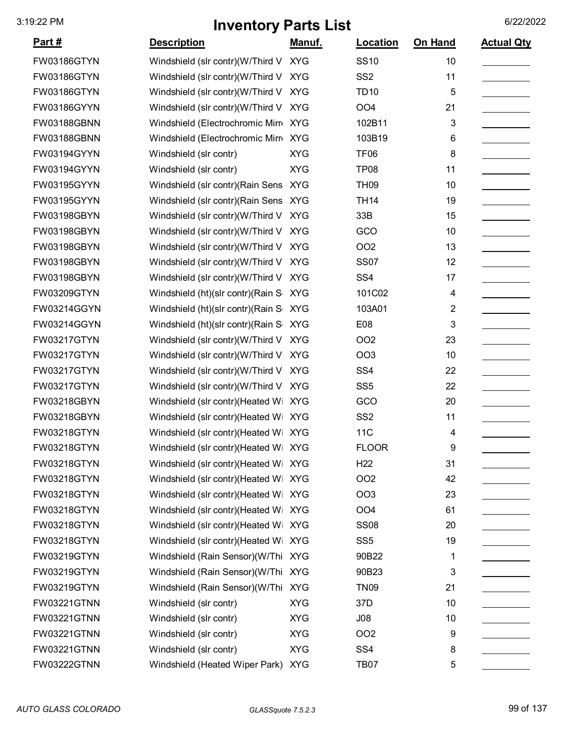| <u>Part #</u> | <b>Description</b>                    | Manuf.     | Location         | On Hand | <b>Actual Qty</b> |
|---------------|---------------------------------------|------------|------------------|---------|-------------------|
| FW03186GTYN   | Windshield (slr contr)(W/Third V XYG  |            | <b>SS10</b>      | 10      |                   |
| FW03186GTYN   | Windshield (slr contr)(W/Third V      | <b>XYG</b> | SS <sub>2</sub>  | 11      |                   |
| FW03186GTYN   | Windshield (slr contr)(W/Third V      | <b>XYG</b> | <b>TD10</b>      | 5       |                   |
| FW03186GYYN   | Windshield (slr contr)(W/Third V      | <b>XYG</b> | OO <sub>4</sub>  | 21      |                   |
| FW03188GBNN   | Windshield (Electrochromic Mirr XYG   |            | 102B11           | 3       |                   |
| FW03188GBNN   | Windshield (Electrochromic Mirr XYG   |            | 103B19           | 6       |                   |
| FW03194GYYN   | Windshield (slr contr)                | <b>XYG</b> | <b>TF06</b>      | 8       |                   |
| FW03194GYYN   | Windshield (slr contr)                | <b>XYG</b> | TP <sub>08</sub> | 11      |                   |
| FW03195GYYN   | Windshield (slr contr) (Rain Sens XYG |            | <b>TH09</b>      | 10      |                   |
| FW03195GYYN   | Windshield (slr contr) (Rain Sens XYG |            | <b>TH14</b>      | 19      |                   |
| FW03198GBYN   | Windshield (slr contr)(W/Third V      | <b>XYG</b> | 33B              | 15      |                   |
| FW03198GBYN   | Windshield (slr contr)(W/Third V      | <b>XYG</b> | GCO              | 10      |                   |
| FW03198GBYN   | Windshield (slr contr)(W/Third V      | <b>XYG</b> | OO <sub>2</sub>  | 13      |                   |
| FW03198GBYN   | Windshield (slr contr)(W/Third V      | <b>XYG</b> | <b>SS07</b>      | 12      |                   |
| FW03198GBYN   | Windshield (slr contr)(W/Third V      | <b>XYG</b> | SS <sub>4</sub>  | 17      |                   |
| FW03209GTYN   | Windshield (ht)(slr contr)(Rain S XYG |            | 101C02           | 4       |                   |
| FW03214GGYN   | Windshield (ht)(slr contr)(Rain S XYG |            | 103A01           | 2       |                   |
| FW03214GGYN   | Windshield (ht)(slr contr)(Rain S     | <b>XYG</b> | E08              | 3       |                   |
| FW03217GTYN   | Windshield (slr contr)(W/Third V      | <b>XYG</b> | OO <sub>2</sub>  | 23      |                   |
| FW03217GTYN   | Windshield (slr contr)(W/Third V      | <b>XYG</b> | <b>OO3</b>       | 10      |                   |
| FW03217GTYN   | Windshield (slr contr)(W/Third V      | <b>XYG</b> | SS <sub>4</sub>  | 22      |                   |
| FW03217GTYN   | Windshield (slr contr)(W/Third V      | <b>XYG</b> | SS <sub>5</sub>  | 22      |                   |
| FW03218GBYN   | Windshield (slr contr)(Heated Wi XYG  |            | GCO              | 20      |                   |
| FW03218GBYN   | Windshield (slr contr)(Heated Wi XYG  |            | SS <sub>2</sub>  | 11      |                   |
| FW03218GTYN   | Windshield (slr contr)(Heated Wi XYG  |            | 11C              | 4       |                   |
| FW03218GTYN   | Windshield (slr contr)(Heated Wi XYG  |            | <b>FLOOR</b>     | 9       |                   |
| FW03218GTYN   | Windshield (slr contr)(Heated Wi XYG  |            | H <sub>22</sub>  | 31      |                   |
| FW03218GTYN   | Windshield (slr contr)(Heated Wi XYG  |            | OO <sub>2</sub>  | 42      |                   |
| FW03218GTYN   | Windshield (slr contr)(Heated Wi XYG  |            | OO <sub>3</sub>  | 23      |                   |
| FW03218GTYN   | Windshield (slr contr)(Heated Wi XYG  |            | OO <sub>4</sub>  | 61      |                   |
| FW03218GTYN   | Windshield (slr contr)(Heated Wi XYG  |            | <b>SS08</b>      | 20      |                   |
| FW03218GTYN   | Windshield (slr contr)(Heated Wi XYG  |            | SS <sub>5</sub>  | 19      |                   |
| FW03219GTYN   | Windshield (Rain Sensor)(W/Thi XYG    |            | 90B22            | 1       |                   |
| FW03219GTYN   | Windshield (Rain Sensor)(W/Thi XYG    |            | 90B23            | 3       |                   |
| FW03219GTYN   | Windshield (Rain Sensor)(W/Thi XYG    |            | <b>TN09</b>      | 21      |                   |
| FW03221GTNN   | Windshield (slr contr)                | <b>XYG</b> | 37D              | 10      |                   |
| FW03221GTNN   | Windshield (slr contr)                | <b>XYG</b> | J08              | 10      |                   |
| FW03221GTNN   | Windshield (slr contr)                | <b>XYG</b> | OO <sub>2</sub>  | 9       |                   |
| FW03221GTNN   | Windshield (slr contr)                | <b>XYG</b> | SS <sub>4</sub>  | 8       |                   |
| FW03222GTNN   | Windshield (Heated Wiper Park) XYG    |            | <b>TB07</b>      | 5       |                   |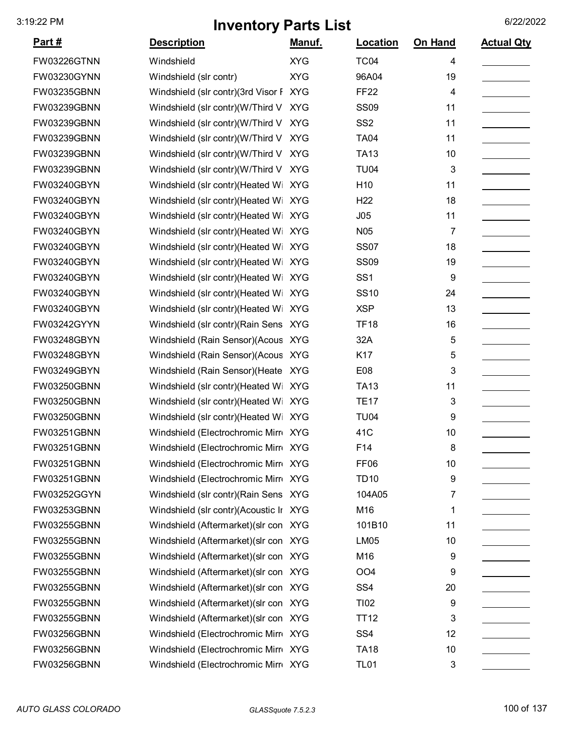| <u>Part #</u>      | <b>Description</b>                     | Manuf.     | Location         | On Hand | <b>Actual Qty</b> |
|--------------------|----------------------------------------|------------|------------------|---------|-------------------|
| <b>FW03226GTNN</b> | Windshield                             | <b>XYG</b> | <b>TC04</b>      | 4       |                   |
| FW03230GYNN        | Windshield (slr contr)                 | <b>XYG</b> | 96A04            | 19      |                   |
| FW03235GBNN        | Windshield (slr contr)(3rd Visor F XYG |            | <b>FF22</b>      | 4       |                   |
| FW03239GBNN        | Windshield (slr contr)(W/Third V       | <b>XYG</b> | <b>SS09</b>      | 11      |                   |
| FW03239GBNN        | Windshield (slr contr)(W/Third V XYG   |            | SS <sub>2</sub>  | 11      |                   |
| FW03239GBNN        | Windshield (slr contr)(W/Third V XYG   |            | <b>TA04</b>      | 11      |                   |
| FW03239GBNN        | Windshield (slr contr)(W/Third V XYG   |            | <b>TA13</b>      | 10      |                   |
| FW03239GBNN        | Windshield (slr contr)(W/Third V XYG   |            | <b>TU04</b>      | 3       |                   |
| FW03240GBYN        | Windshield (slr contr)(Heated Wi XYG   |            | H <sub>10</sub>  | 11      |                   |
| FW03240GBYN        | Windshield (slr contr)(Heated Wi XYG   |            | H <sub>22</sub>  | 18      |                   |
| FW03240GBYN        | Windshield (slr contr)(Heated Wi XYG   |            | J05              | 11      |                   |
| FW03240GBYN        | Windshield (slr contr)(Heated Wi XYG   |            | N <sub>05</sub>  | 7       |                   |
| FW03240GBYN        | Windshield (slr contr)(Heated Wi XYG   |            | <b>SS07</b>      | 18      |                   |
| FW03240GBYN        | Windshield (slr contr)(Heated Wi XYG   |            | <b>SS09</b>      | 19      |                   |
| FW03240GBYN        | Windshield (slr contr)(Heated Wi XYG   |            | SS <sub>1</sub>  | 9       |                   |
| FW03240GBYN        | Windshield (slr contr)(Heated Wi XYG   |            | <b>SS10</b>      | 24      |                   |
| FW03240GBYN        | Windshield (slr contr)(Heated Wi XYG   |            | <b>XSP</b>       | 13      |                   |
| FW03242GYYN        | Windshield (slr contr) (Rain Sens XYG  |            | <b>TF18</b>      | 16      |                   |
| FW03248GBYN        | Windshield (Rain Sensor)(Acous XYG     |            | 32A              | 5       |                   |
| FW03248GBYN        | Windshield (Rain Sensor)(Acous XYG     |            | K17              | 5       |                   |
| FW03249GBYN        | Windshield (Rain Sensor) (Heate XYG    |            | E08              | 3       |                   |
| FW03250GBNN        | Windshield (slr contr)(Heated Wi XYG   |            | <b>TA13</b>      | 11      |                   |
| FW03250GBNN        | Windshield (slr contr)(Heated Wi XYG   |            | <b>TE17</b>      | 3       |                   |
| FW03250GBNN        | Windshield (slr contr)(Heated Wi XYG   |            | <b>TU04</b>      | 9       |                   |
| FW03251GBNN        | Windshield (Electrochromic Mirr XYG    |            | 41C              | 10      |                   |
| FW03251GBNN        | Windshield (Electrochromic Mirr XYG    |            | F14              | 8       |                   |
| FW03251GBNN        | Windshield (Electrochromic Mirr XYG    |            | FF <sub>06</sub> | 10      |                   |
| FW03251GBNN        | Windshield (Electrochromic Mirr XYG    |            | <b>TD10</b>      | 9       |                   |
| FW03252GGYN        | Windshield (slr contr)(Rain Sens XYG   |            | 104A05           | 7       |                   |
| FW03253GBNN        | Windshield (slr contr)(Acoustic Ir XYG |            | M16              | 1       |                   |
| FW03255GBNN        | Windshield (Aftermarket) (slr con XYG  |            | 101B10           | 11      |                   |
| FW03255GBNN        | Windshield (Aftermarket) (slr con XYG  |            | <b>LM05</b>      | 10      |                   |
| FW03255GBNN        | Windshield (Aftermarket) (slr con XYG  |            | M16              | 9       |                   |
| FW03255GBNN        | Windshield (Aftermarket) (slr con XYG  |            | OO <sub>4</sub>  | 9       |                   |
| FW03255GBNN        | Windshield (Aftermarket) (slr con XYG  |            | SS <sub>4</sub>  | 20      |                   |
| FW03255GBNN        | Windshield (Aftermarket) (slr con XYG  |            | TI02             | 9       |                   |
| FW03255GBNN        | Windshield (Aftermarket) (slr con XYG  |            | TT12             | 3       |                   |
| FW03256GBNN        | Windshield (Electrochromic Mirr XYG    |            | SS <sub>4</sub>  | 12      |                   |
| FW03256GBNN        | Windshield (Electrochromic Mirr XYG    |            | <b>TA18</b>      | 10      |                   |
| FW03256GBNN        | Windshield (Electrochromic Mirr XYG    |            | <b>TL01</b>      | 3       |                   |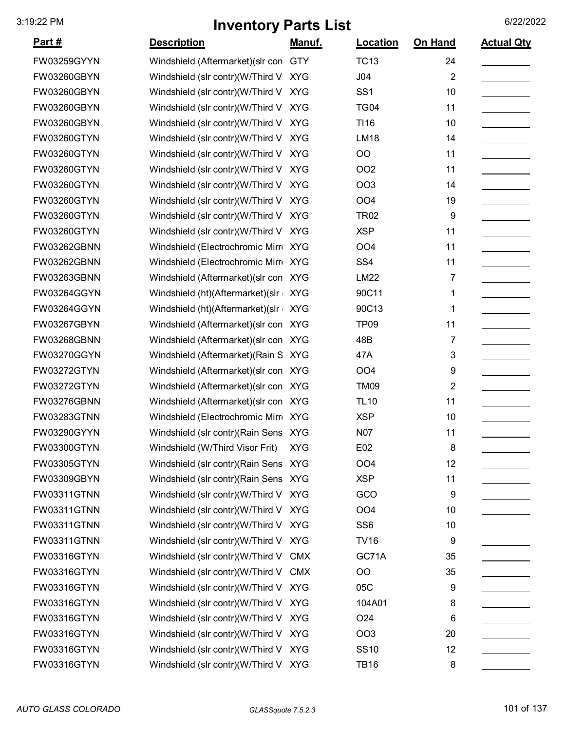| <u>Part #</u> | <b>Description</b>                    | <u>Manuf.</u> | <b>Location</b> | On Hand        | <b>Actual Qty</b> |
|---------------|---------------------------------------|---------------|-----------------|----------------|-------------------|
| FW03259GYYN   | Windshield (Aftermarket) (slr con GTY |               | <b>TC13</b>     | 24             |                   |
| FW03260GBYN   | Windshield (slr contr)(W/Third V      | <b>XYG</b>    | J04             | $\overline{2}$ |                   |
| FW03260GBYN   | Windshield (slr contr)(W/Third V      | <b>XYG</b>    | SS <sub>1</sub> | 10             |                   |
| FW03260GBYN   | Windshield (slr contr)(W/Third V      | <b>XYG</b>    | <b>TG04</b>     | 11             |                   |
| FW03260GBYN   | Windshield (slr contr)(W/Third V      | <b>XYG</b>    | TI16            | 10             |                   |
| FW03260GTYN   | Windshield (slr contr)(W/Third V      | <b>XYG</b>    | <b>LM18</b>     | 14             |                   |
| FW03260GTYN   | Windshield (slr contr)(W/Third V XYG  |               | OO              | 11             |                   |
| FW03260GTYN   | Windshield (slr contr)(W/Third V      | <b>XYG</b>    | OO <sub>2</sub> | 11             |                   |
| FW03260GTYN   | Windshield (slr contr)(W/Third V      | <b>XYG</b>    | OO <sub>3</sub> | 14             |                   |
| FW03260GTYN   | Windshield (slr contr)(W/Third V      | <b>XYG</b>    | OO <sub>4</sub> | 19             |                   |
| FW03260GTYN   | Windshield (slr contr)(W/Third V XYG  |               | <b>TR02</b>     | 9              |                   |
| FW03260GTYN   | Windshield (slr contr)(W/Third V XYG  |               | <b>XSP</b>      | 11             |                   |
| FW03262GBNN   | Windshield (Electrochromic Mirr XYG   |               | OO <sub>4</sub> | 11             |                   |
| FW03262GBNN   | Windshield (Electrochromic Mirr XYG   |               | SS <sub>4</sub> | 11             |                   |
| FW03263GBNN   | Windshield (Aftermarket) (slr con XYG |               | LM22            | 7              |                   |
| FW03264GGYN   | Windshield (ht)(Aftermarket)(slr      | <b>XYG</b>    | 90C11           | 1              |                   |
| FW03264GGYN   | Windshield (ht)(Aftermarket)(slr      | <b>XYG</b>    | 90C13           | 1              |                   |
| FW03267GBYN   | Windshield (Aftermarket) (slr con XYG |               | <b>TP09</b>     | 11             |                   |
| FW03268GBNN   | Windshield (Aftermarket) (slr con XYG |               | 48B             | 7              |                   |
| FW03270GGYN   | Windshield (Aftermarket) (Rain S XYG  |               | 47A             | 3              |                   |
| FW03272GTYN   | Windshield (Aftermarket) (slr con XYG |               | OO <sub>4</sub> | 9              |                   |
| FW03272GTYN   | Windshield (Aftermarket) (slr con XYG |               | <b>TM09</b>     | $\overline{2}$ |                   |
| FW03276GBNN   | Windshield (Aftermarket) (slr con XYG |               | <b>TL10</b>     | 11             |                   |
| FW03283GTNN   | Windshield (Electrochromic Mirro XYG  |               | <b>XSP</b>      | 10             |                   |
| FW03290GYYN   | Windshield (slr contr) (Rain Sens XYG |               | N07             | 11             |                   |
| FW03300GTYN   | Windshield (W/Third Visor Frit)       | <b>XYG</b>    | E02             | 8              |                   |
| FW03305GTYN   | Windshield (slr contr) (Rain Sens XYG |               | OO <sub>4</sub> | 12             |                   |
| FW03309GBYN   | Windshield (slr contr) (Rain Sens XYG |               | <b>XSP</b>      | 11             |                   |
| FW03311GTNN   | Windshield (slr contr)(W/Third V XYG  |               | GCO             | 9              |                   |
| FW03311GTNN   | Windshield (slr contr)(W/Third V      | <b>XYG</b>    | OO <sub>4</sub> | 10             |                   |
| FW03311GTNN   | Windshield (slr contr)(W/Third V XYG  |               | SS <sub>6</sub> | 10             |                   |
| FW03311GTNN   | Windshield (slr contr)(W/Third V XYG  |               | <b>TV16</b>     | 9              |                   |
| FW03316GTYN   | Windshield (slr contr)(W/Third V CMX  |               | GC71A           | 35             |                   |
| FW03316GTYN   | Windshield (slr contr)(W/Third V CMX  |               | <b>OO</b>       | 35             |                   |
| FW03316GTYN   | Windshield (slr contr)(W/Third V      | <b>XYG</b>    | 05C             | 9              |                   |
| FW03316GTYN   | Windshield (slr contr)(W/Third V XYG  |               | 104A01          | 8              |                   |
| FW03316GTYN   | Windshield (slr contr)(W/Third V XYG  |               | O <sub>24</sub> | 6              |                   |
| FW03316GTYN   | Windshield (slr contr)(W/Third V XYG  |               | OO <sub>3</sub> | 20             |                   |
| FW03316GTYN   | Windshield (slr contr)(W/Third V XYG  |               | <b>SS10</b>     | 12             |                   |
| FW03316GTYN   | Windshield (slr contr)(W/Third V XYG  |               | <b>TB16</b>     | 8              |                   |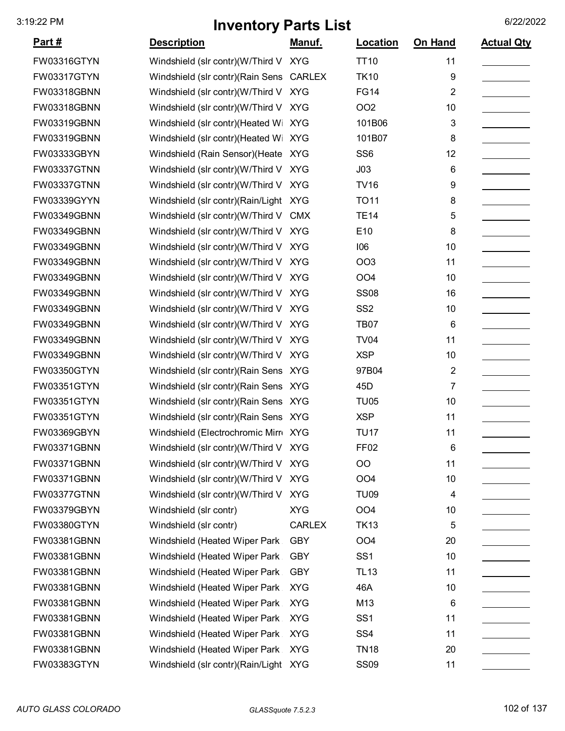| <u>Part #</u> | <b>Description</b>                    | Manuf.        | Location         | On Hand        | <b>Actual Qty</b> |
|---------------|---------------------------------------|---------------|------------------|----------------|-------------------|
| FW03316GTYN   | Windshield (slr contr)(W/Third V XYG  |               | <b>TT10</b>      | 11             |                   |
| FW03317GTYN   | Windshield (slr contr) (Rain Sens     | <b>CARLEX</b> | <b>TK10</b>      | 9              |                   |
| FW03318GBNN   | Windshield (slr contr)(W/Third V      | <b>XYG</b>    | <b>FG14</b>      | $\overline{2}$ |                   |
| FW03318GBNN   | Windshield (slr contr)(W/Third V      | <b>XYG</b>    | OO <sub>2</sub>  | 10             |                   |
| FW03319GBNN   | Windshield (slr contr)(Heated Wi      | <b>XYG</b>    | 101B06           | 3              |                   |
| FW03319GBNN   | Windshield (slr contr)(Heated Wi XYG  |               | 101B07           | 8              |                   |
| FW03333GBYN   | Windshield (Rain Sensor) (Heate XYG   |               | SS <sub>6</sub>  | 12             |                   |
| FW03337GTNN   | Windshield (slr contr)(W/Third V      | <b>XYG</b>    | J03              | 6              |                   |
| FW03337GTNN   | Windshield (slr contr)(W/Third V      | <b>XYG</b>    | <b>TV16</b>      | 9              |                   |
| FW03339GYYN   | Windshield (slr contr)(Rain/Light XYG |               | <b>TO11</b>      | 8              |                   |
| FW03349GBNN   | Windshield (slr contr)(W/Third V      | <b>CMX</b>    | <b>TE14</b>      | 5              |                   |
| FW03349GBNN   | Windshield (slr contr)(W/Third V XYG  |               | E10              | 8              |                   |
| FW03349GBNN   | Windshield (slr contr)(W/Third V      | <b>XYG</b>    | 106              | 10             |                   |
| FW03349GBNN   | Windshield (slr contr)(W/Third V      | <b>XYG</b>    | OO <sub>3</sub>  | 11             |                   |
| FW03349GBNN   | Windshield (slr contr)(W/Third V      | <b>XYG</b>    | OO <sub>4</sub>  | 10             |                   |
| FW03349GBNN   | Windshield (slr contr)(W/Third V      | <b>XYG</b>    | <b>SS08</b>      | 16             |                   |
| FW03349GBNN   | Windshield (slr contr)(W/Third V XYG  |               | SS <sub>2</sub>  | 10             |                   |
| FW03349GBNN   | Windshield (slr contr)(W/Third V      | <b>XYG</b>    | <b>TB07</b>      | 6              |                   |
| FW03349GBNN   | Windshield (slr contr)(W/Third V      | <b>XYG</b>    | <b>TV04</b>      | 11             |                   |
| FW03349GBNN   | Windshield (slr contr)(W/Third V      | <b>XYG</b>    | <b>XSP</b>       | 10             |                   |
| FW03350GTYN   | Windshield (slr contr) (Rain Sens XYG |               | 97B04            | $\overline{2}$ |                   |
| FW03351GTYN   | Windshield (slr contr) (Rain Sens XYG |               | 45 <sub>D</sub>  | 7              |                   |
| FW03351GTYN   | Windshield (slr contr)(Rain Sens XYG  |               | <b>TU05</b>      | 10             |                   |
| FW03351GTYN   | Windshield (slr contr) (Rain Sens XYG |               | <b>XSP</b>       | 11             |                   |
| FW03369GBYN   | Windshield (Electrochromic Mirr XYG   |               | <b>TU17</b>      | 11             |                   |
| FW03371GBNN   | Windshield (slr contr)(W/Third V XYG  |               | FF <sub>02</sub> | 6              |                   |
| FW03371GBNN   | Windshield (slr contr)(W/Third V XYG  |               | OO               | 11             |                   |
| FW03371GBNN   | Windshield (slr contr)(W/Third V      | <b>XYG</b>    | OO <sub>4</sub>  | 10             |                   |
| FW03377GTNN   | Windshield (slr contr)(W/Third V      | <b>XYG</b>    | <b>TU09</b>      | 4              |                   |
| FW03379GBYN   | Windshield (slr contr)                | <b>XYG</b>    | OO <sub>4</sub>  | 10             |                   |
| FW03380GTYN   | Windshield (slr contr)                | <b>CARLEX</b> | <b>TK13</b>      | 5              |                   |
| FW03381GBNN   | Windshield (Heated Wiper Park         | <b>GBY</b>    | OO <sub>4</sub>  | 20             |                   |
| FW03381GBNN   | Windshield (Heated Wiper Park         | <b>GBY</b>    | SS <sub>1</sub>  | 10             |                   |
| FW03381GBNN   | Windshield (Heated Wiper Park         | <b>GBY</b>    | <b>TL13</b>      | 11             |                   |
| FW03381GBNN   | Windshield (Heated Wiper Park         | <b>XYG</b>    | 46A              | 10             |                   |
| FW03381GBNN   | Windshield (Heated Wiper Park         | <b>XYG</b>    | M13              | 6              |                   |
| FW03381GBNN   | Windshield (Heated Wiper Park         | <b>XYG</b>    | SS <sub>1</sub>  | 11             |                   |
| FW03381GBNN   | Windshield (Heated Wiper Park         | <b>XYG</b>    | SS <sub>4</sub>  | 11             |                   |
| FW03381GBNN   | Windshield (Heated Wiper Park         | <b>XYG</b>    | <b>TN18</b>      | 20             |                   |
| FW03383GTYN   | Windshield (slr contr)(Rain/Light XYG |               | <b>SS09</b>      | 11             |                   |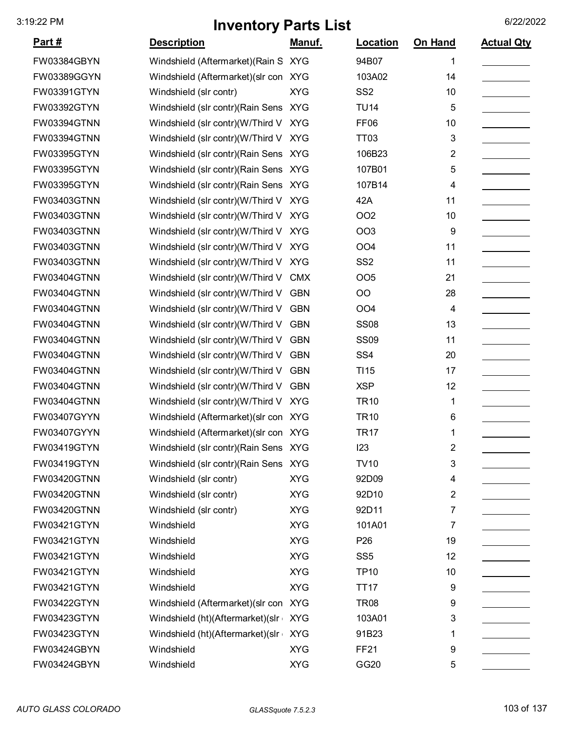| <u> Part #</u>     | <b>Description</b>                    | <u>Manuf.</u> | <b>Location</b>  | <b>On Hand</b>          | <b>Actual Qty</b> |
|--------------------|---------------------------------------|---------------|------------------|-------------------------|-------------------|
| FW03384GBYN        | Windshield (Aftermarket) (Rain S      | <b>XYG</b>    | 94B07            | 1                       |                   |
| FW03389GGYN        | Windshield (Aftermarket) (slr con XYG |               | 103A02           | 14                      |                   |
| FW03391GTYN        | Windshield (slr contr)                | <b>XYG</b>    | SS <sub>2</sub>  | 10                      |                   |
| FW03392GTYN        | Windshield (slr contr) (Rain Sens XYG |               | <b>TU14</b>      | 5                       |                   |
| FW03394GTNN        | Windshield (slr contr)(W/Third V      | <b>XYG</b>    | <b>FF06</b>      | 10                      |                   |
| FW03394GTNN        | Windshield (slr contr)(W/Third V      | <b>XYG</b>    | TT <sub>03</sub> | 3                       |                   |
| FW03395GTYN        | Windshield (slr contr) (Rain Sens XYG |               | 106B23           | 2                       |                   |
| FW03395GTYN        | Windshield (slr contr) (Rain Sens XYG |               | 107B01           | 5                       |                   |
| FW03395GTYN        | Windshield (slr contr) (Rain Sens XYG |               | 107B14           | 4                       |                   |
| FW03403GTNN        | Windshield (slr contr)(W/Third V XYG  |               | 42A              | 11                      |                   |
| FW03403GTNN        | Windshield (slr contr)(W/Third V      | <b>XYG</b>    | <b>OO2</b>       | 10                      |                   |
| FW03403GTNN        | Windshield (slr contr)(W/Third V XYG  |               | <b>OO3</b>       | 9                       |                   |
| FW03403GTNN        | Windshield (slr contr)(W/Third V XYG  |               | OO <sub>4</sub>  | 11                      |                   |
| FW03403GTNN        | Windshield (slr contr)(W/Third V XYG  |               | SS <sub>2</sub>  | 11                      |                   |
| <b>FW03404GTNN</b> | Windshield (slr contr)(W/Third V      | <b>CMX</b>    | <b>OO5</b>       | 21                      |                   |
| FW03404GTNN        | Windshield (slr contr)(W/Third V      | <b>GBN</b>    | O <sub>O</sub>   | 28                      |                   |
| FW03404GTNN        | Windshield (slr contr)(W/Third V GBN  |               | OO <sub>4</sub>  | 4                       |                   |
| FW03404GTNN        | Windshield (slr contr)(W/Third V      | <b>GBN</b>    | <b>SS08</b>      | 13                      |                   |
| FW03404GTNN        | Windshield (slr contr)(W/Third V      | <b>GBN</b>    | <b>SS09</b>      | 11                      |                   |
| FW03404GTNN        | Windshield (slr contr)(W/Third V      | <b>GBN</b>    | SS <sub>4</sub>  | 20                      |                   |
| FW03404GTNN        | Windshield (slr contr)(W/Third V      | <b>GBN</b>    | TI <sub>15</sub> | 17                      |                   |
| FW03404GTNN        | Windshield (slr contr)(W/Third V      | <b>GBN</b>    | <b>XSP</b>       | 12                      |                   |
| FW03404GTNN        | Windshield (slr contr)(W/Third V XYG  |               | <b>TR10</b>      | 1                       |                   |
| FW03407GYYN        | Windshield (Aftermarket) (slr con XYG |               | <b>TR10</b>      | 6                       |                   |
| FW03407GYYN        | Windshield (Aftermarket) (slr con XYG |               | <b>TR17</b>      | 1                       |                   |
| FW03419GTYN        | Windshield (slr contr)(Rain Sens XYG  |               | 123              | $\overline{\mathbf{c}}$ |                   |
| FW03419GTYN        | Windshield (slr contr) (Rain Sens XYG |               | <b>TV10</b>      | 3                       |                   |
| FW03420GTNN        | Windshield (slr contr)                | <b>XYG</b>    | 92D09            | 4                       |                   |
| <b>FW03420GTNN</b> | Windshield (slr contr)                | <b>XYG</b>    | 92D10            | 2                       |                   |
| FW03420GTNN        | Windshield (slr contr)                | <b>XYG</b>    | 92D11            | 7                       |                   |
| FW03421GTYN        | Windshield                            | <b>XYG</b>    | 101A01           | 7                       |                   |
| FW03421GTYN        | Windshield                            | <b>XYG</b>    | P <sub>26</sub>  | 19                      |                   |
| FW03421GTYN        | Windshield                            | <b>XYG</b>    | SS <sub>5</sub>  | 12                      |                   |
| FW03421GTYN        | Windshield                            | <b>XYG</b>    | <b>TP10</b>      | 10                      |                   |
| FW03421GTYN        | Windshield                            | <b>XYG</b>    | <b>TT17</b>      | 9                       |                   |
| FW03422GTYN        | Windshield (Aftermarket) (slr con     | <b>XYG</b>    | <b>TR08</b>      | 9                       |                   |
| FW03423GTYN        | Windshield (ht)(Aftermarket)(slr      | <b>XYG</b>    | 103A01           | 3                       |                   |
| FW03423GTYN        | Windshield (ht)(Aftermarket)(slr      | <b>XYG</b>    | 91B23            | 1                       |                   |
| FW03424GBYN        | Windshield                            | <b>XYG</b>    | <b>FF21</b>      | 9                       |                   |
| FW03424GBYN        | Windshield                            | <b>XYG</b>    | GG20             | 5                       |                   |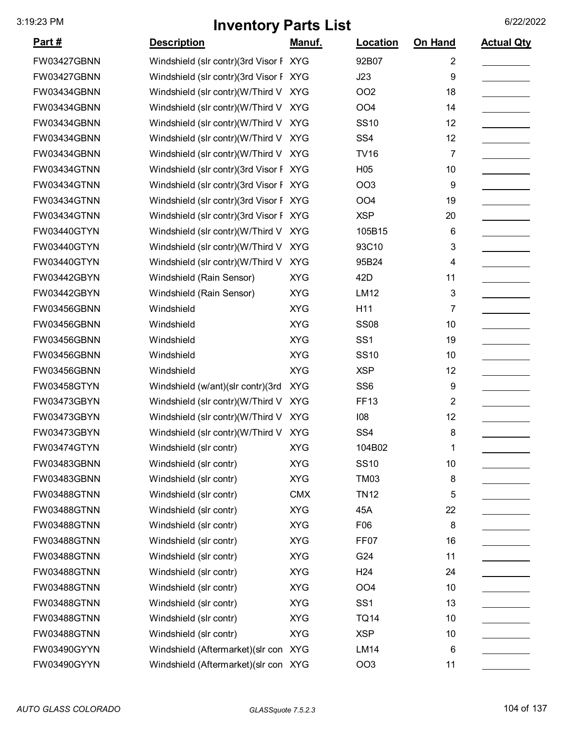| <u>Part #</u>      | <b>Description</b>                     | Manuf.     | Location        | <b>On Hand</b>          | <b>Actual Qty</b> |
|--------------------|----------------------------------------|------------|-----------------|-------------------------|-------------------|
| FW03427GBNN        | Windshield (slr contr)(3rd Visor F XYG |            | 92B07           | 2                       |                   |
| FW03427GBNN        | Windshield (slr contr)(3rd Visor F XYG |            | J23             | 9                       |                   |
| FW03434GBNN        | Windshield (slr contr)(W/Third V XYG   |            | OO <sub>2</sub> | 18                      |                   |
| FW03434GBNN        | Windshield (slr contr)(W/Third V XYG   |            | OO <sub>4</sub> | 14                      |                   |
| FW03434GBNN        | Windshield (slr contr)(W/Third V XYG   |            | <b>SS10</b>     | 12                      |                   |
| FW03434GBNN        | Windshield (slr contr)(W/Third V XYG   |            | SS <sub>4</sub> | 12                      |                   |
| FW03434GBNN        | Windshield (slr contr)(W/Third V XYG   |            | <b>TV16</b>     | 7                       |                   |
| FW03434GTNN        | Windshield (slr contr)(3rd Visor F XYG |            | H <sub>05</sub> | 10                      |                   |
| FW03434GTNN        | Windshield (slr contr)(3rd Visor F XYG |            | OO <sub>3</sub> | 9                       |                   |
| FW03434GTNN        | Windshield (slr contr)(3rd Visor F XYG |            | OO <sub>4</sub> | 19                      |                   |
| FW03434GTNN        | Windshield (slr contr)(3rd Visor F XYG |            | <b>XSP</b>      | 20                      |                   |
| FW03440GTYN        | Windshield (slr contr)(W/Third V       | <b>XYG</b> | 105B15          | 6                       |                   |
| FW03440GTYN        | Windshield (slr contr)(W/Third V XYG   |            | 93C10           | 3                       |                   |
| FW03440GTYN        | Windshield (slr contr)(W/Third V       | <b>XYG</b> | 95B24           | 4                       |                   |
| FW03442GBYN        | Windshield (Rain Sensor)               | <b>XYG</b> | 42 <sub>D</sub> | 11                      |                   |
| FW03442GBYN        | Windshield (Rain Sensor)               | <b>XYG</b> | <b>LM12</b>     | 3                       |                   |
| FW03456GBNN        | Windshield                             | <b>XYG</b> | H11             | 7                       |                   |
| FW03456GBNN        | Windshield                             | <b>XYG</b> | <b>SS08</b>     | 10                      |                   |
| FW03456GBNN        | Windshield                             | <b>XYG</b> | SS <sub>1</sub> | 19                      |                   |
| FW03456GBNN        | Windshield                             | <b>XYG</b> | <b>SS10</b>     | 10                      |                   |
| FW03456GBNN        | Windshield                             | <b>XYG</b> | <b>XSP</b>      | 12                      |                   |
| FW03458GTYN        | Windshield (w/ant) (slr contr) (3rd    | <b>XYG</b> | SS <sub>6</sub> | 9                       |                   |
| FW03473GBYN        | Windshield (slr contr)(W/Third V       | <b>XYG</b> | <b>FF13</b>     | $\overline{\mathbf{c}}$ |                   |
| FW03473GBYN        | Windshield (slr contr)(W/Third V       | <b>XYG</b> | 108             | 12                      |                   |
| FW03473GBYN        | Windshield (slr contr)(W/Third V XYG   |            | SS <sub>4</sub> | 8                       |                   |
| FW03474GTYN        | Windshield (slr contr)                 | <b>XYG</b> | 104B02          | 1                       |                   |
| FW03483GBNN        | Windshield (slr contr)                 | <b>XYG</b> | <b>SS10</b>     | 10                      |                   |
| FW03483GBNN        | Windshield (slr contr)                 | <b>XYG</b> | <b>TM03</b>     | 8                       |                   |
| <b>FW03488GTNN</b> | Windshield (slr contr)                 | <b>CMX</b> | <b>TN12</b>     | 5                       |                   |
| FW03488GTNN        | Windshield (slr contr)                 | <b>XYG</b> | 45A             | 22                      |                   |
| FW03488GTNN        | Windshield (slr contr)                 | <b>XYG</b> | F06             | 8                       |                   |
| FW03488GTNN        | Windshield (slr contr)                 | <b>XYG</b> | FF07            | 16                      |                   |
| FW03488GTNN        | Windshield (slr contr)                 | <b>XYG</b> | G24             | 11                      |                   |
| FW03488GTNN        | Windshield (slr contr)                 | <b>XYG</b> | H <sub>24</sub> | 24                      |                   |
| FW03488GTNN        | Windshield (slr contr)                 | <b>XYG</b> | OO <sub>4</sub> | 10                      |                   |
| FW03488GTNN        | Windshield (slr contr)                 | <b>XYG</b> | SS <sub>1</sub> | 13                      |                   |
| FW03488GTNN        | Windshield (slr contr)                 | <b>XYG</b> | <b>TQ14</b>     | 10                      |                   |
| FW03488GTNN        | Windshield (slr contr)                 | <b>XYG</b> | <b>XSP</b>      | 10                      |                   |
| FW03490GYYN        | Windshield (Aftermarket) (slr con XYG  |            | <b>LM14</b>     | 6                       |                   |
| FW03490GYYN        | Windshield (Aftermarket) (slr con XYG  |            | OO <sub>3</sub> | 11                      |                   |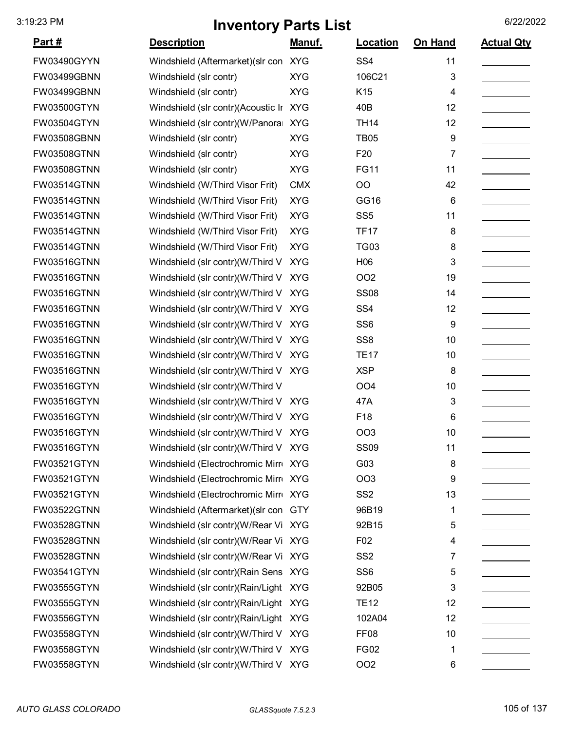| <u>Part #</u>      | <b>Description</b>                     | Manuf.     | Location         | On Hand | <b>Actual Qty</b> |
|--------------------|----------------------------------------|------------|------------------|---------|-------------------|
| FW03490GYYN        | Windshield (Aftermarket)(slr con XYG   |            | SS <sub>4</sub>  | 11      |                   |
| FW03499GBNN        | Windshield (slr contr)                 | <b>XYG</b> | 106C21           | 3       |                   |
| FW03499GBNN        | Windshield (slr contr)                 | <b>XYG</b> | K15              | 4       |                   |
| FW03500GTYN        | Windshield (slr contr)(Acoustic Ir XYG |            | 40B              | 12      |                   |
| FW03504GTYN        | Windshield (slr contr)(W/Panora        | <b>XYG</b> | <b>TH14</b>      | 12      |                   |
| FW03508GBNN        | Windshield (slr contr)                 | <b>XYG</b> | <b>TB05</b>      | 9       |                   |
| FW03508GTNN        | Windshield (slr contr)                 | <b>XYG</b> | F <sub>20</sub>  | 7       |                   |
| FW03508GTNN        | Windshield (slr contr)                 | <b>XYG</b> | <b>FG11</b>      | 11      |                   |
| FW03514GTNN        | Windshield (W/Third Visor Frit)        | <b>CMX</b> | OO               | 42      |                   |
| <b>FW03514GTNN</b> | Windshield (W/Third Visor Frit)        | <b>XYG</b> | GG16             | 6       |                   |
| FW03514GTNN        | Windshield (W/Third Visor Frit)        | <b>XYG</b> | SS <sub>5</sub>  | 11      |                   |
| FW03514GTNN        | Windshield (W/Third Visor Frit)        | <b>XYG</b> | <b>TF17</b>      | 8       |                   |
| <b>FW03514GTNN</b> | Windshield (W/Third Visor Frit)        | <b>XYG</b> | <b>TG03</b>      | 8       |                   |
| <b>FW03516GTNN</b> | Windshield (slr contr)(W/Third V       | <b>XYG</b> | H06              | 3       |                   |
| FW03516GTNN        | Windshield (slr contr)(W/Third V       | <b>XYG</b> | OO <sub>2</sub>  | 19      |                   |
| FW03516GTNN        | Windshield (slr contr)(W/Third V       | <b>XYG</b> | <b>SS08</b>      | 14      |                   |
| FW03516GTNN        | Windshield (slr contr)(W/Third V       | <b>XYG</b> | SS <sub>4</sub>  | 12      |                   |
| FW03516GTNN        | Windshield (slr contr)(W/Third V       | <b>XYG</b> | SS <sub>6</sub>  | 9       |                   |
| FW03516GTNN        | Windshield (slr contr)(W/Third V       | <b>XYG</b> | SS <sub>8</sub>  | 10      |                   |
| <b>FW03516GTNN</b> | Windshield (slr contr)(W/Third V XYG   |            | <b>TE17</b>      | 10      |                   |
| <b>FW03516GTNN</b> | Windshield (slr contr)(W/Third V XYG   |            | <b>XSP</b>       | 8       |                   |
| FW03516GTYN        | Windshield (slr contr)(W/Third V       |            | OO <sub>4</sub>  | 10      |                   |
| FW03516GTYN        | Windshield (slr contr)(W/Third V XYG   |            | 47A              | 3       |                   |
| FW03516GTYN        | Windshield (slr contr)(W/Third V XYG   |            | F18              | 6       |                   |
| FW03516GTYN        | Windshield (slr contr)(W/Third V XYG   |            | <b>OO3</b>       | 10      |                   |
| FW03516GTYN        | Windshield (slr contr)(W/Third V XYG   |            | <b>SS09</b>      | 11      |                   |
| FW03521GTYN        | Windshield (Electrochromic Mirr XYG    |            | G03              | 8       |                   |
| FW03521GTYN        | Windshield (Electrochromic Mirro XYG   |            | OO <sub>3</sub>  | 9       |                   |
| FW03521GTYN        | Windshield (Electrochromic Mirr XYG    |            | SS <sub>2</sub>  | 13      |                   |
| FW03522GTNN        | Windshield (Aftermarket) (slr con GTY  |            | 96B19            | 1       |                   |
| FW03528GTNN        | Windshield (slr contr)(W/Rear Vi XYG   |            | 92B15            | 5       |                   |
| FW03528GTNN        | Windshield (slr contr)(W/Rear Vi XYG   |            | F02              | 4       |                   |
| <b>FW03528GTNN</b> | Windshield (slr contr)(W/Rear Vi XYG   |            | SS <sub>2</sub>  | 7       |                   |
| FW03541GTYN        | Windshield (slr contr) (Rain Sens XYG  |            | SS <sub>6</sub>  | 5       |                   |
| FW03555GTYN        | Windshield (slr contr)(Rain/Light XYG  |            | 92B05            | 3       |                   |
| FW03555GTYN        | Windshield (slr contr)(Rain/Light XYG  |            | <b>TE12</b>      | 12      |                   |
| FW03556GTYN        | Windshield (slr contr)(Rain/Light XYG  |            | 102A04           | 12      |                   |
| FW03558GTYN        | Windshield (slr contr)(W/Third V XYG   |            | FF <sub>08</sub> | 10      |                   |
| FW03558GTYN        | Windshield (slr contr)(W/Third V XYG   |            | <b>FG02</b>      | 1       |                   |
| FW03558GTYN        | Windshield (slr contr)(W/Third V XYG   |            | OO <sub>2</sub>  | 6       |                   |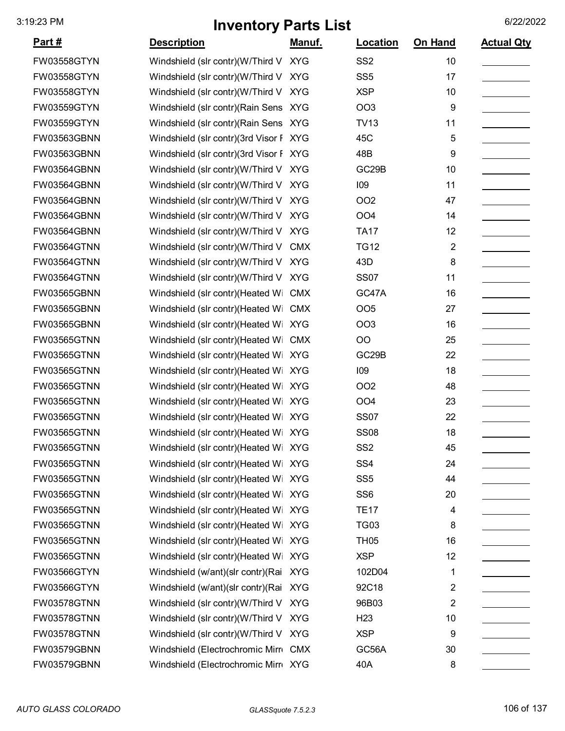|                    | $\cdots$                               |               |                    |                         |                   |
|--------------------|----------------------------------------|---------------|--------------------|-------------------------|-------------------|
| <u> Part #</u>     | <b>Description</b>                     | <u>Manuf.</u> | Location           | <b>On Hand</b>          | <b>Actual Qty</b> |
| FW03558GTYN        | Windshield (slr contr)(W/Third V XYG   |               | SS <sub>2</sub>    | 10                      |                   |
| FW03558GTYN        | Windshield (slr contr)(W/Third V XYG   |               | SS <sub>5</sub>    | 17                      |                   |
| FW03558GTYN        | Windshield (slr contr)(W/Third V XYG   |               | <b>XSP</b>         | 10                      |                   |
| FW03559GTYN        | Windshield (slr contr)(Rain Sens XYG   |               | <b>OO3</b>         | 9                       |                   |
| FW03559GTYN        | Windshield (slr contr) (Rain Sens XYG  |               | <b>TV13</b>        | 11                      |                   |
| FW03563GBNN        | Windshield (slr contr)(3rd Visor F XYG |               | 45C                | 5                       |                   |
| FW03563GBNN        | Windshield (slr contr)(3rd Visor F XYG |               | 48B                | 9                       |                   |
| FW03564GBNN        | Windshield (slr contr)(W/Third V XYG   |               | GC <sub>29</sub> B | 10                      |                   |
| FW03564GBNN        | Windshield (slr contr)(W/Third V XYG   |               | 109                | 11                      |                   |
| FW03564GBNN        | Windshield (slr contr)(W/Third V       | <b>XYG</b>    | <b>OO2</b>         | 47                      |                   |
| FW03564GBNN        | Windshield (slr contr)(W/Third V XYG   |               | OO <sub>4</sub>    | 14                      |                   |
| FW03564GBNN        | Windshield (slr contr)(W/Third V XYG   |               | <b>TA17</b>        | 12                      |                   |
| FW03564GTNN        | Windshield (slr contr)(W/Third V       | <b>CMX</b>    | <b>TG12</b>        | $\overline{2}$          |                   |
| FW03564GTNN        | Windshield (slr contr)(W/Third V XYG   |               | 43D                | 8                       |                   |
| FW03564GTNN        | Windshield (slr contr)(W/Third V       | <b>XYG</b>    | <b>SS07</b>        | 11                      |                   |
| FW03565GBNN        | Windshield (slr contr)(Heated Wi       | <b>CMX</b>    | GC47A              | 16                      |                   |
| FW03565GBNN        | Windshield (slr contr)(Heated Wi       | <b>CMX</b>    | <b>OO5</b>         | 27                      |                   |
| FW03565GBNN        | Windshield (slr contr)(Heated Wi XYG   |               | <b>OO3</b>         | 16                      |                   |
| FW03565GTNN        | Windshield (slr contr)(Heated Wi       | <b>CMX</b>    | O <sub>O</sub>     | 25                      |                   |
| <b>FW03565GTNN</b> | Windshield (slr contr)(Heated Wi XYG   |               | GC <sub>29</sub> B | 22                      |                   |
| <b>FW03565GTNN</b> | Windshield (slr contr)(Heated Wi XYG   |               | 109                | 18                      |                   |
| FW03565GTNN        | Windshield (slr contr)(Heated Wi XYG   |               | <b>OO2</b>         | 48                      |                   |
| FW03565GTNN        | Windshield (slr contr)(Heated Wi XYG   |               | OO <sub>4</sub>    | 23                      |                   |
| FW03565GTNN        | Windshield (slr contr)(Heated Wi XYG   |               | <b>SS07</b>        | 22                      |                   |
| <b>FW03565GTNN</b> | Windshield (slr contr)(Heated Wi XYG   |               | <b>SS08</b>        | 18                      |                   |
| FW03565GTNN        | Windshield (slr contr)(Heated Wi XYG   |               | SS <sub>2</sub>    | 45                      |                   |
| FW03565GTNN        | Windshield (slr contr)(Heated Wi XYG   |               | SS <sub>4</sub>    | 24                      |                   |
| FW03565GTNN        | Windshield (slr contr)(Heated Wi XYG   |               | SS <sub>5</sub>    | 44                      |                   |
| <b>FW03565GTNN</b> | Windshield (slr contr)(Heated Wi XYG   |               | SS <sub>6</sub>    | 20                      |                   |
| FW03565GTNN        | Windshield (slr contr)(Heated Wi XYG   |               | <b>TE17</b>        | 4                       |                   |
| <b>FW03565GTNN</b> | Windshield (slr contr)(Heated Wi XYG   |               | <b>TG03</b>        | 8                       |                   |
| FW03565GTNN        | Windshield (slr contr)(Heated Wi XYG   |               | <b>TH05</b>        | 16                      |                   |
| <b>FW03565GTNN</b> | Windshield (slr contr)(Heated Wi XYG   |               | <b>XSP</b>         | 12                      |                   |
| FW03566GTYN        | Windshield (w/ant)(slr contr)(Rai XYG  |               | 102D04             | 1                       |                   |
| FW03566GTYN        | Windshield (w/ant)(slr contr)(Rai XYG  |               | 92C18              | 2                       |                   |
| <b>FW03578GTNN</b> | Windshield (slr contr)(W/Third V XYG   |               | 96B03              | $\overline{\mathbf{c}}$ |                   |
| FW03578GTNN        | Windshield (slr contr)(W/Third V XYG   |               | H <sub>23</sub>    | 10                      |                   |
| FW03578GTNN        | Windshield (slr contr)(W/Third V XYG   |               | <b>XSP</b>         | 9                       |                   |
| FW03579GBNN        | Windshield (Electrochromic Mirre CMX   |               | GC56A              | 30                      |                   |
| FW03579GBNN        | Windshield (Electrochromic Mirr XYG    |               | 40A                | 8                       |                   |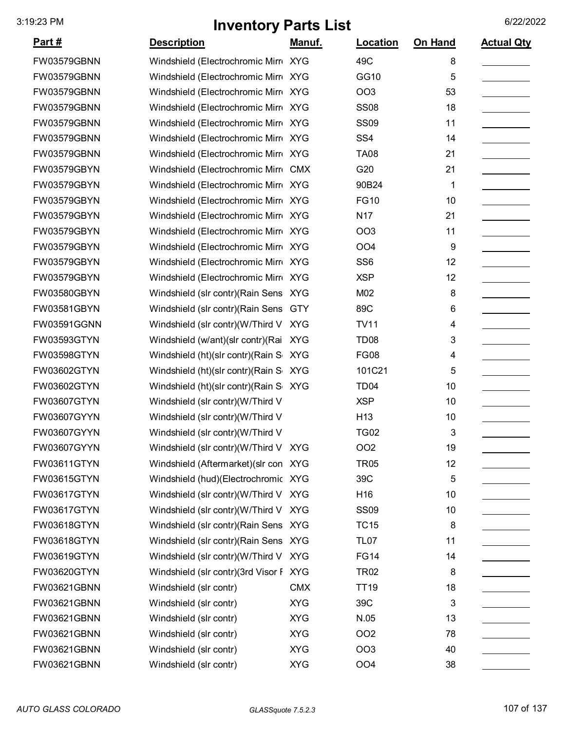|                | vvv. j                                 | $\sim$ $\sim$ $\sim$ $\sim$ |                  |         |                   |
|----------------|----------------------------------------|-----------------------------|------------------|---------|-------------------|
| <u> Part #</u> | <b>Description</b>                     | <u>Manuf.</u>               | Location         | On Hand | <b>Actual Qty</b> |
| FW03579GBNN    | Windshield (Electrochromic Mirr XYG    |                             | 49C              | 8       |                   |
| FW03579GBNN    | Windshield (Electrochromic Mirr XYG    |                             | GG10             | 5       |                   |
| FW03579GBNN    | Windshield (Electrochromic Mirr XYG    |                             | OO <sub>3</sub>  | 53      |                   |
| FW03579GBNN    | Windshield (Electrochromic Mirr XYG    |                             | <b>SS08</b>      | 18      |                   |
| FW03579GBNN    | Windshield (Electrochromic Mirr XYG    |                             | <b>SS09</b>      | 11      |                   |
| FW03579GBNN    | Windshield (Electrochromic Mirr XYG    |                             | SS <sub>4</sub>  | 14      |                   |
| FW03579GBNN    | Windshield (Electrochromic Mirr XYG    |                             | <b>TA08</b>      | 21      |                   |
| FW03579GBYN    | Windshield (Electrochromic Mirr CMX    |                             | G20              | 21      |                   |
| FW03579GBYN    | Windshield (Electrochromic Mirr XYG    |                             | 90B24            | 1       |                   |
| FW03579GBYN    | Windshield (Electrochromic Mirr XYG    |                             | <b>FG10</b>      | 10      |                   |
| FW03579GBYN    | Windshield (Electrochromic Mirro XYG   |                             | N <sub>17</sub>  | 21      |                   |
| FW03579GBYN    | Windshield (Electrochromic Mirro XYG   |                             | <b>OO3</b>       | 11      |                   |
| FW03579GBYN    | Windshield (Electrochromic Mirro XYG   |                             | OO <sub>4</sub>  | 9       |                   |
| FW03579GBYN    | Windshield (Electrochromic Mirro XYG   |                             | SS <sub>6</sub>  | 12      |                   |
| FW03579GBYN    | Windshield (Electrochromic Mirr XYG    |                             | <b>XSP</b>       | 12      |                   |
| FW03580GBYN    | Windshield (slr contr) (Rain Sens XYG  |                             | M02              | 8       |                   |
| FW03581GBYN    | Windshield (slr contr) (Rain Sens GTY  |                             | 89C              | 6       |                   |
| FW03591GGNN    | Windshield (slr contr)(W/Third V       | <b>XYG</b>                  | <b>TV11</b>      | 4       |                   |
| FW03593GTYN    | Windshield (w/ant)(slr contr)(Rai      | <b>XYG</b>                  | TD <sub>08</sub> | 3       |                   |
| FW03598GTYN    | Windshield (ht)(slr contr)(Rain S      | <b>XYG</b>                  | <b>FG08</b>      | 4       |                   |
| FW03602GTYN    | Windshield (ht)(slr contr)(Rain S XYG  |                             | 101C21           | 5       |                   |
| FW03602GTYN    | Windshield (ht)(slr contr)(Rain S XYG  |                             | TD <sub>04</sub> | 10      |                   |
| FW03607GTYN    | Windshield (slr contr)(W/Third V       |                             | <b>XSP</b>       | 10      |                   |
| FW03607GYYN    | Windshield (slr contr)(W/Third V       |                             | H <sub>13</sub>  | 10      |                   |
| FW03607GYYN    | Windshield (slr contr)(W/Third V       |                             | <b>TG02</b>      | 3       |                   |
| FW03607GYYN    | Windshield (slr contr)(W/Third V XYG   |                             | OO <sub>2</sub>  | 19      |                   |
| FW03611GTYN    | Windshield (Aftermarket) (slr con XYG  |                             | <b>TR05</b>      | 12      |                   |
| FW03615GTYN    | Windshield (hud)(Electrochromic XYG    |                             | 39C              | 5       |                   |
| FW03617GTYN    | Windshield (slr contr)(W/Third V XYG   |                             | H <sub>16</sub>  | 10      |                   |
| FW03617GTYN    | Windshield (slr contr)(W/Third V XYG   |                             | <b>SS09</b>      | 10      |                   |
| FW03618GTYN    | Windshield (slr contr) (Rain Sens XYG  |                             | <b>TC15</b>      | 8       |                   |
| FW03618GTYN    | Windshield (slr contr) (Rain Sens XYG  |                             | <b>TL07</b>      | 11      |                   |
| FW03619GTYN    | Windshield (slr contr)(W/Third V XYG   |                             | <b>FG14</b>      | 14      |                   |
| FW03620GTYN    | Windshield (slr contr)(3rd Visor F XYG |                             | <b>TR02</b>      | 8       |                   |
| FW03621GBNN    | Windshield (slr contr)                 | <b>CMX</b>                  | <b>TT19</b>      | 18      |                   |
| FW03621GBNN    | Windshield (slr contr)                 | <b>XYG</b>                  | 39C              | 3       |                   |
| FW03621GBNN    | Windshield (slr contr)                 | <b>XYG</b>                  | N.05             | 13      |                   |
| FW03621GBNN    | Windshield (slr contr)                 | <b>XYG</b>                  | OO <sub>2</sub>  | 78      |                   |
| FW03621GBNN    | Windshield (slr contr)                 | <b>XYG</b>                  | OO <sub>3</sub>  | 40      |                   |
| FW03621GBNN    | Windshield (slr contr)                 | <b>XYG</b>                  | OO <sub>4</sub>  | 38      |                   |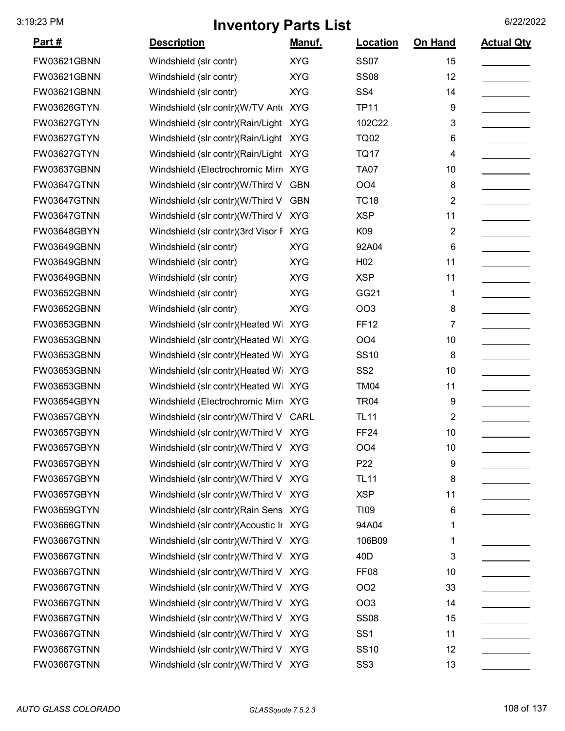| <u>Part #</u>      | <b>Description</b>                     | Manuf.     | Location         | On Hand                 | <b>Actual Qty</b> |
|--------------------|----------------------------------------|------------|------------------|-------------------------|-------------------|
| FW03621GBNN        | Windshield (slr contr)                 | <b>XYG</b> | <b>SS07</b>      | 15                      |                   |
| FW03621GBNN        | Windshield (slr contr)                 | <b>XYG</b> | <b>SS08</b>      | 12                      |                   |
| FW03621GBNN        | Windshield (slr contr)                 | <b>XYG</b> | SS <sub>4</sub>  | 14                      |                   |
| <b>FW03626GTYN</b> | Windshield (slr contr)(W/TV Ant KYG    |            | <b>TP11</b>      | 9                       |                   |
| <b>FW03627GTYN</b> | Windshield (slr contr) (Rain/Light     | <b>XYG</b> | 102C22           | 3                       |                   |
| <b>FW03627GTYN</b> | Windshield (slr contr) (Rain/Light     | <b>XYG</b> | <b>TQ02</b>      | 6                       |                   |
| FW03627GTYN        | Windshield (slr contr) (Rain/Light     | <b>XYG</b> | <b>TQ17</b>      | 4                       |                   |
| FW03637GBNN        | Windshield (Electrochromic Mirr XYG    |            | <b>TA07</b>      | 10                      |                   |
| <b>FW03647GTNN</b> | Windshield (slr contr)(W/Third V       | <b>GBN</b> | OO <sub>4</sub>  | 8                       |                   |
| <b>FW03647GTNN</b> | Windshield (slr contr)(W/Third V       | <b>GBN</b> | <b>TC18</b>      | $\overline{\mathbf{c}}$ |                   |
| <b>FW03647GTNN</b> | Windshield (slr contr)(W/Third V       | <b>XYG</b> | <b>XSP</b>       | 11                      |                   |
| FW03648GBYN        | Windshield (slr contr)(3rd Visor F     | <b>XYG</b> | K09              | $\overline{\mathbf{c}}$ |                   |
| FW03649GBNN        | Windshield (slr contr)                 | <b>XYG</b> | 92A04            | 6                       |                   |
| FW03649GBNN        | Windshield (slr contr)                 | <b>XYG</b> | H <sub>02</sub>  | 11                      |                   |
| <b>FW03649GBNN</b> | Windshield (slr contr)                 | <b>XYG</b> | <b>XSP</b>       | 11                      |                   |
| <b>FW03652GBNN</b> | Windshield (slr contr)                 | <b>XYG</b> | GG21             | 1                       |                   |
| <b>FW03652GBNN</b> | Windshield (slr contr)                 | <b>XYG</b> | OO <sub>3</sub>  | 8                       |                   |
| FW03653GBNN        | Windshield (slr contr)(Heated Wi       | <b>XYG</b> | <b>FF12</b>      | 7                       |                   |
| <b>FW03653GBNN</b> | Windshield (slr contr)(Heated Wi       | <b>XYG</b> | OO <sub>4</sub>  | 10                      |                   |
| FW03653GBNN        | Windshield (slr contr)(Heated Wi       | <b>XYG</b> | <b>SS10</b>      | 8                       |                   |
| FW03653GBNN        | Windshield (slr contr)(Heated Wi       | <b>XYG</b> | SS <sub>2</sub>  | 10                      |                   |
| <b>FW03653GBNN</b> | Windshield (slr contr)(Heated Wi       | <b>XYG</b> | <b>TM04</b>      | 11                      |                   |
| FW03654GBYN        | Windshield (Electrochromic Mirr XYG    |            | <b>TR04</b>      | 9                       |                   |
| FW03657GBYN        | Windshield (slr contr)(W/Third V       | CARL       | <b>TL11</b>      | 2                       |                   |
| FW03657GBYN        | Windshield (slr contr)(W/Third V       | <b>XYG</b> | <b>FF24</b>      | 10                      |                   |
| FW03657GBYN        | Windshield (slr contr)(W/Third V XYG   |            | OO <sub>4</sub>  | 10                      |                   |
| <b>FW03657GBYN</b> | Windshield (slr contr)(W/Third V XYG   |            | P <sub>22</sub>  | 9                       |                   |
| FW03657GBYN        | Windshield (slr contr)(W/Third V XYG   |            | <b>TL11</b>      | 8                       |                   |
| FW03657GBYN        | Windshield (slr contr)(W/Third V XYG   |            | <b>XSP</b>       | 11                      |                   |
| <b>FW03659GTYN</b> | Windshield (slr contr) (Rain Sens XYG  |            | <b>TI09</b>      | 6                       |                   |
| <b>FW03666GTNN</b> | Windshield (slr contr)(Acoustic Ir XYG |            | 94A04            | 1                       |                   |
| <b>FW03667GTNN</b> | Windshield (slr contr)(W/Third V XYG   |            | 106B09           | 1                       |                   |
| <b>FW03667GTNN</b> | Windshield (slr contr)(W/Third V XYG   |            | 40 <sub>D</sub>  | 3                       |                   |
| <b>FW03667GTNN</b> | Windshield (slr contr)(W/Third V XYG   |            | FF <sub>08</sub> | 10                      |                   |
| <b>FW03667GTNN</b> | Windshield (slr contr)(W/Third V XYG   |            | OO <sub>2</sub>  | 33                      |                   |
| <b>FW03667GTNN</b> | Windshield (slr contr)(W/Third V       | <b>XYG</b> | OO <sub>3</sub>  | 14                      |                   |
| <b>FW03667GTNN</b> | Windshield (slr contr)(W/Third V       | <b>XYG</b> | <b>SS08</b>      | 15                      |                   |
| <b>FW03667GTNN</b> | Windshield (slr contr)(W/Third V XYG   |            | SS <sub>1</sub>  | 11                      |                   |
| <b>FW03667GTNN</b> | Windshield (slr contr)(W/Third V XYG   |            | <b>SS10</b>      | 12                      |                   |
| <b>FW03667GTNN</b> | Windshield (slr contr)(W/Third V XYG   |            | SS <sub>3</sub>  | 13                      |                   |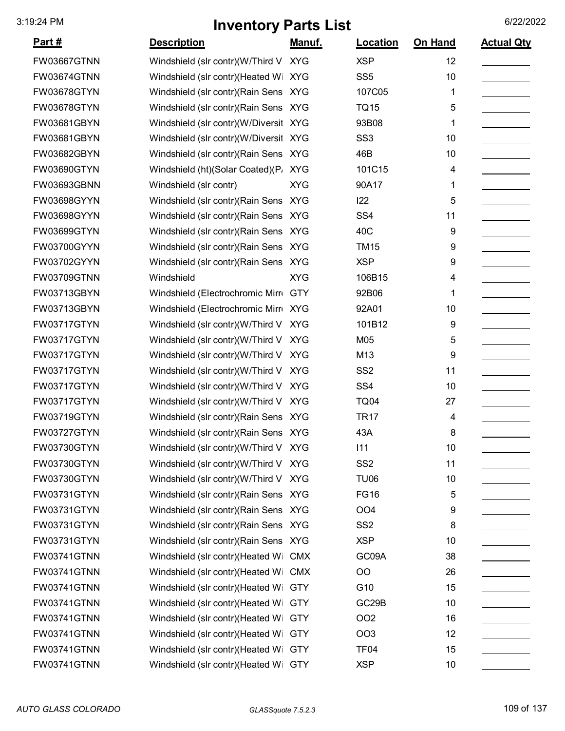| <u>Part #</u>      | <b>Description</b>                    | <u>Manuf.</u> | <b>Location</b>  | On Hand | <b>Actual Qty</b> |
|--------------------|---------------------------------------|---------------|------------------|---------|-------------------|
| FW03667GTNN        | Windshield (slr contr)(W/Third V      | <b>XYG</b>    | <b>XSP</b>       | 12      |                   |
| FW03674GTNN        | Windshield (slr contr)(Heated Wi XYG  |               | SS <sub>5</sub>  | 10      |                   |
| FW03678GTYN        | Windshield (slr contr) (Rain Sens XYG |               | 107C05           | 1       |                   |
| FW03678GTYN        | Windshield (slr contr) (Rain Sens XYG |               | <b>TQ15</b>      | 5       |                   |
| FW03681GBYN        | Windshield (slr contr)(W/Diversit     | <b>XYG</b>    | 93B08            | 1       |                   |
| FW03681GBYN        | Windshield (slr contr)(W/Diversit     | <b>XYG</b>    | SS <sub>3</sub>  | 10      |                   |
| FW03682GBYN        | Windshield (slr contr) (Rain Sens XYG |               | 46B              | 10      |                   |
| FW03690GTYN        | Windshield (ht)(Solar Coated)(P. XYG  |               | 101C15           | 4       |                   |
| FW03693GBNN        | Windshield (slr contr)                | <b>XYG</b>    | 90A17            | 1       |                   |
| FW03698GYYN        | Windshield (slr contr) (Rain Sens XYG |               | 122              | 5       |                   |
| FW03698GYYN        | Windshield (slr contr) (Rain Sens XYG |               | SS <sub>4</sub>  | 11      |                   |
| FW03699GTYN        | Windshield (slr contr) (Rain Sens XYG |               | 40C              | 9       |                   |
| FW03700GYYN        | Windshield (slr contr) (Rain Sens XYG |               | <b>TM15</b>      | 9       |                   |
| FW03702GYYN        | Windshield (slr contr) (Rain Sens XYG |               | <b>XSP</b>       | 9       |                   |
| FW03709GTNN        | Windshield                            | <b>XYG</b>    | 106B15           | 4       |                   |
| FW03713GBYN        | Windshield (Electrochromic Mirro      | <b>GTY</b>    | 92B06            | 1       |                   |
| FW03713GBYN        | Windshield (Electrochromic Mirr XYG   |               | 92A01            | 10      |                   |
| FW03717GTYN        | Windshield (slr contr)(W/Third V      | <b>XYG</b>    | 101B12           | 9       |                   |
| FW03717GTYN        | Windshield (slr contr)(W/Third V      | <b>XYG</b>    | M05              | 5       |                   |
| FW03717GTYN        | Windshield (slr contr)(W/Third V      | <b>XYG</b>    | M13              | 9       |                   |
| FW03717GTYN        | Windshield (slr contr)(W/Third V      | <b>XYG</b>    | SS <sub>2</sub>  | 11      |                   |
| FW03717GTYN        | Windshield (slr contr)(W/Third V      | <b>XYG</b>    | SS <sub>4</sub>  | 10      |                   |
| FW03717GTYN        | Windshield (slr contr)(W/Third V      | <b>XYG</b>    | <b>TQ04</b>      | 27      |                   |
| FW03719GTYN        | Windshield (slr contr)(Rain Sens XYG  |               | <b>TR17</b>      | 4       |                   |
| FW03727GTYN        | Windshield (slr contr)(Rain Sens XYG  |               | 43A              | 8       |                   |
| FW03730GTYN        | Windshield (slr contr)(W/Third V XYG  |               | 111              | 10      |                   |
| FW03730GTYN        | Windshield (slr contr)(W/Third V XYG  |               | SS <sub>2</sub>  | 11      |                   |
| FW03730GTYN        | Windshield (slr contr)(W/Third V XYG  |               | <b>TU06</b>      | 10      |                   |
| FW03731GTYN        | Windshield (slr contr)(Rain Sens XYG  |               | <b>FG16</b>      | 5       |                   |
| FW03731GTYN        | Windshield (slr contr)(Rain Sens XYG  |               | OO <sub>4</sub>  | 9       |                   |
| FW03731GTYN        | Windshield (slr contr) (Rain Sens XYG |               | SS <sub>2</sub>  | 8       |                   |
| FW03731GTYN        | Windshield (slr contr) (Rain Sens XYG |               | <b>XSP</b>       | 10      |                   |
| FW03741GTNN        | Windshield (slr contr)(Heated Wi      | <b>CMX</b>    | GC09A            | 38      |                   |
| FW03741GTNN        | Windshield (slr contr)(Heated Wi      | <b>CMX</b>    | <b>OO</b>        | 26      |                   |
| FW03741GTNN        | Windshield (slr contr)(Heated Wi      | <b>GTY</b>    | G10              | 15      |                   |
| <b>FW03741GTNN</b> | Windshield (slr contr)(Heated Wi      | <b>GTY</b>    | GC29B            | 10      |                   |
| FW03741GTNN        | Windshield (slr contr)(Heated Wi      | <b>GTY</b>    | OO <sub>2</sub>  | 16      |                   |
| FW03741GTNN        | Windshield (slr contr)(Heated Wi      | <b>GTY</b>    | <b>OO3</b>       | 12      |                   |
| FW03741GTNN        | Windshield (slr contr)(Heated Wi      | <b>GTY</b>    | TF <sub>04</sub> | 15      |                   |
| FW03741GTNN        | Windshield (slr contr)(Heated Wi GTY  |               | <b>XSP</b>       | 10      |                   |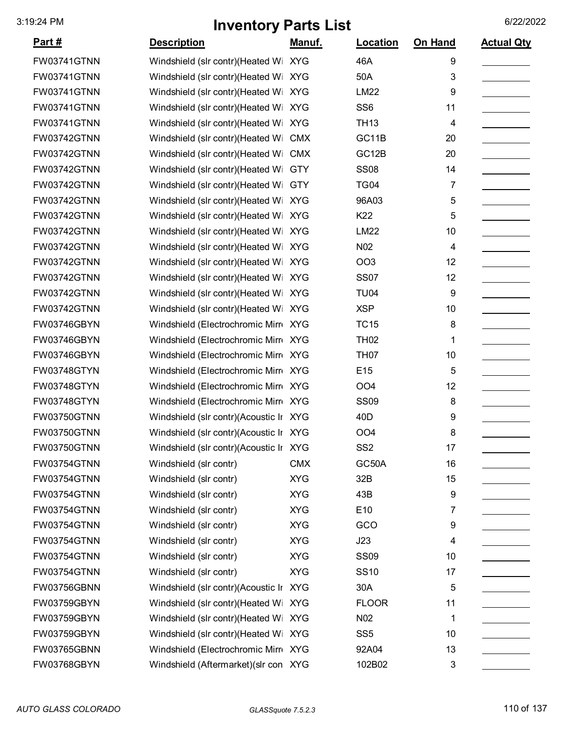|                    | <u>.</u>                               | $\sim$        |                 |         |                   |
|--------------------|----------------------------------------|---------------|-----------------|---------|-------------------|
| <u>Part #</u>      | <b>Description</b>                     | <u>Manuf.</u> | Location        | On Hand | <b>Actual Qty</b> |
| <b>FW03741GTNN</b> | Windshield (slr contr)(Heated Wi XYG   |               | 46A             | 9       |                   |
| FW03741GTNN        | Windshield (slr contr)(Heated Wi       | <b>XYG</b>    | 50A             | 3       |                   |
| FW03741GTNN        | Windshield (slr contr)(Heated Wi XYG   |               | <b>LM22</b>     | 9       |                   |
| FW03741GTNN        | Windshield (slr contr)(Heated Wi XYG   |               | SS <sub>6</sub> | 11      |                   |
| FW03741GTNN        | Windshield (slr contr)(Heated Wi XYG   |               | <b>TH13</b>     | 4       |                   |
| FW03742GTNN        | Windshield (slr contr)(Heated Wi       | <b>CMX</b>    | GC11B           | 20      |                   |
| FW03742GTNN        | Windshield (slr contr)(Heated Wi CMX   |               | GC12B           | 20      |                   |
| FW03742GTNN        | Windshield (slr contr)(Heated Wi GTY   |               | <b>SS08</b>     | 14      |                   |
| FW03742GTNN        | Windshield (slr contr)(Heated Wi GTY   |               | <b>TG04</b>     | 7       |                   |
| FW03742GTNN        | Windshield (slr contr)(Heated Wi XYG   |               | 96A03           | 5       |                   |
| FW03742GTNN        | Windshield (slr contr) (Heated Wi XYG  |               | K22             | 5       |                   |
| <b>FW03742GTNN</b> | Windshield (slr contr) (Heated Wi XYG  |               | <b>LM22</b>     | 10      |                   |
| FW03742GTNN        | Windshield (slr contr)(Heated Wi XYG   |               | N <sub>02</sub> | 4       |                   |
| FW03742GTNN        | Windshield (slr contr) (Heated Wi XYG  |               | OO <sub>3</sub> | 12      |                   |
| <b>FW03742GTNN</b> | Windshield (slr contr)(Heated Wi XYG   |               | <b>SS07</b>     | 12      |                   |
| FW03742GTNN        | Windshield (slr contr)(Heated Wi XYG   |               | <b>TU04</b>     | 9       |                   |
| FW03742GTNN        | Windshield (slr contr)(Heated Wi XYG   |               | <b>XSP</b>      | 10      |                   |
| FW03746GBYN        | Windshield (Electrochromic Mirr XYG    |               | <b>TC15</b>     | 8       |                   |
| FW03746GBYN        | Windshield (Electrochromic Mirr XYG    |               | <b>TH02</b>     | 1       |                   |
| FW03746GBYN        | Windshield (Electrochromic Mirr XYG    |               | <b>TH07</b>     | 10      |                   |
| FW03748GTYN        | Windshield (Electrochromic Mirr XYG    |               | E15             | 5       |                   |
| FW03748GTYN        | Windshield (Electrochromic Mirr XYG    |               | OO <sub>4</sub> | 12      |                   |
| FW03748GTYN        | Windshield (Electrochromic Mirr XYG    |               | <b>SS09</b>     | 8       |                   |
| FW03750GTNN        | Windshield (slr contr)(Acoustic Ir XYG |               | 40 <sub>D</sub> | 9       |                   |
| FW03750GTNN        | Windshield (slr contr)(Acoustic Ir XYG |               | OO <sub>4</sub> | 8       |                   |
| FW03750GTNN        | Windshield (slr contr)(Acoustic Ir XYG |               | SS <sub>2</sub> | 17      |                   |
| FW03754GTNN        | Windshield (slr contr)                 | <b>CMX</b>    | GC50A           | 16      |                   |
| FW03754GTNN        | Windshield (slr contr)                 | <b>XYG</b>    | 32B             | 15      |                   |
| FW03754GTNN        | Windshield (slr contr)                 | <b>XYG</b>    | 43B             | 9       |                   |
| FW03754GTNN        | Windshield (slr contr)                 | <b>XYG</b>    | E10             | 7       |                   |
| FW03754GTNN        | Windshield (slr contr)                 | <b>XYG</b>    | GCO             | 9       |                   |
| FW03754GTNN        | Windshield (slr contr)                 | <b>XYG</b>    | J23             | 4       |                   |
| FW03754GTNN        | Windshield (slr contr)                 | <b>XYG</b>    | <b>SS09</b>     | 10      |                   |
| FW03754GTNN        | Windshield (slr contr)                 | <b>XYG</b>    | <b>SS10</b>     | 17      |                   |
| FW03756GBNN        | Windshield (slr contr)(Acoustic Ir XYG |               | 30A             | 5       |                   |
| FW03759GBYN        | Windshield (slr contr)(Heated Wi XYG   |               | <b>FLOOR</b>    | 11      |                   |
| FW03759GBYN        | Windshield (slr contr)(Heated Wi XYG   |               | N <sub>02</sub> | 1       |                   |
| FW03759GBYN        | Windshield (slr contr)(Heated Wi XYG   |               | SS <sub>5</sub> | 10      |                   |
| FW03765GBNN        | Windshield (Electrochromic Mirr XYG    |               | 92A04           | 13      |                   |
| FW03768GBYN        | Windshield (Aftermarket) (slr con XYG  |               | 102B02          | 3       |                   |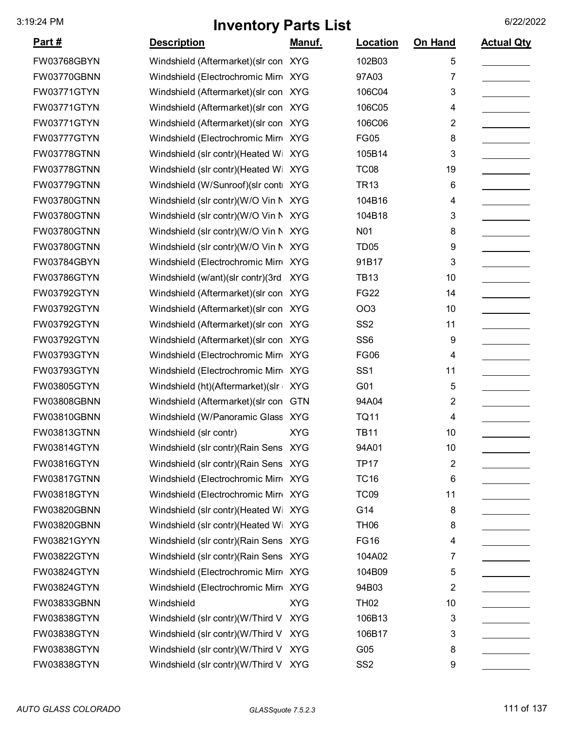|                    |                                       | . .           |                  |                |                   |
|--------------------|---------------------------------------|---------------|------------------|----------------|-------------------|
| <u>Part #</u>      | <b>Description</b>                    | <u>Manuf.</u> | <b>Location</b>  | On Hand        | <b>Actual Qty</b> |
| FW03768GBYN        | Windshield (Aftermarket) (slr con XYG |               | 102B03           | 5              |                   |
| <b>FW03770GBNN</b> | Windshield (Electrochromic Mirr XYG   |               | 97A03            | 7              |                   |
| <b>FW03771GTYN</b> | Windshield (Aftermarket) (slr con XYG |               | 106C04           | 3              |                   |
| <b>FW03771GTYN</b> | Windshield (Aftermarket) (slr con XYG |               | 106C05           | 4              |                   |
| <b>FW03771GTYN</b> | Windshield (Aftermarket) (slr con XYG |               | 106C06           | $\overline{2}$ |                   |
| <b>FW03777GTYN</b> | Windshield (Electrochromic Mirr XYG   |               | <b>FG05</b>      | 8              |                   |
| <b>FW03778GTNN</b> | Windshield (slr contr)(Heated Wi XYG  |               | 105B14           | 3              |                   |
| <b>FW03778GTNN</b> | Windshield (slr contr)(Heated Wi XYG  |               | <b>TC08</b>      | 19             |                   |
| FW03779GTNN        | Windshield (W/Sunroof)(slr conti XYG  |               | <b>TR13</b>      | 6              |                   |
| <b>FW03780GTNN</b> | Windshield (slr contr)(W/O Vin N XYG  |               | 104B16           | 4              |                   |
| <b>FW03780GTNN</b> | Windshield (slr contr)(W/O Vin N XYG  |               | 104B18           | 3              |                   |
| <b>FW03780GTNN</b> | Windshield (slr contr)(W/O Vin N XYG  |               | N <sub>0</sub> 1 | 8              |                   |
| <b>FW03780GTNN</b> | Windshield (slr contr)(W/O Vin N XYG  |               | TD <sub>05</sub> | 9              |                   |
| FW03784GBYN        | Windshield (Electrochromic Mirr XYG   |               | 91B17            | 3              |                   |
| <b>FW03786GTYN</b> | Windshield (w/ant)(slr contr)(3rd     | <b>XYG</b>    | <b>TB13</b>      | 10             |                   |
| <b>FW03792GTYN</b> | Windshield (Aftermarket) (slr con XYG |               | <b>FG22</b>      | 14             |                   |
| <b>FW03792GTYN</b> | Windshield (Aftermarket) (slr con XYG |               | <b>OO3</b>       | 10             |                   |
| FW03792GTYN        | Windshield (Aftermarket) (slr con XYG |               | SS <sub>2</sub>  | 11             |                   |
| FW03792GTYN        | Windshield (Aftermarket) (slr con XYG |               | SS <sub>6</sub>  | 9              |                   |
| FW03793GTYN        | Windshield (Electrochromic Mirr XYG   |               | <b>FG06</b>      | 4              |                   |
| FW03793GTYN        | Windshield (Electrochromic Mirr XYG   |               | SS <sub>1</sub>  | 11             |                   |
| <b>FW03805GTYN</b> | Windshield (ht)(Aftermarket)(slr      | <b>XYG</b>    | G01              | 5              |                   |
| FW03808GBNN        | Windshield (Aftermarket) (slr con     | <b>GTN</b>    | 94A04            | 2              |                   |
| FW03810GBNN        | Windshield (W/Panoramic Glass XYG     |               | <b>TQ11</b>      | 4              |                   |
| <b>FW03813GTNN</b> | Windshield (slr contr)                | <b>XYG</b>    | <b>TB11</b>      | 10             |                   |
| FW03814GTYN        | Windshield (slr contr)(Rain Sens XYG  |               | 94A01            | 10             |                   |
| FW03816GTYN        | Windshield (slr contr)(Rain Sens XYG  |               | <b>TP17</b>      | 2              |                   |
| <b>FW03817GTNN</b> | Windshield (Electrochromic Mirr XYG   |               | <b>TC16</b>      | 6              |                   |
| <b>FW03818GTYN</b> | Windshield (Electrochromic Mirr XYG   |               | <b>TC09</b>      | 11             |                   |
| <b>FW03820GBNN</b> | Windshield (slr contr) (Heated Wi XYG |               | G14              | 8              |                   |
| <b>FW03820GBNN</b> | Windshield (slr contr)(Heated Wi XYG  |               | <b>TH06</b>      | 8              |                   |
| FW03821GYYN        | Windshield (slr contr) (Rain Sens XYG |               | <b>FG16</b>      | 4              |                   |
| FW03822GTYN        | Windshield (slr contr) (Rain Sens XYG |               | 104A02           | 7              |                   |
| <b>FW03824GTYN</b> | Windshield (Electrochromic Mirr XYG   |               | 104B09           | 5              |                   |
| <b>FW03824GTYN</b> | Windshield (Electrochromic Mirr XYG   |               | 94B03            | 2              |                   |
| FW03833GBNN        | Windshield                            | <b>XYG</b>    | <b>TH02</b>      | 10             |                   |
| <b>FW03838GTYN</b> | Windshield (slr contr)(W/Third V XYG  |               | 106B13           | 3              |                   |
| <b>FW03838GTYN</b> | Windshield (slr contr)(W/Third V XYG  |               | 106B17           | 3              |                   |
| <b>FW03838GTYN</b> | Windshield (slr contr)(W/Third V XYG  |               | G05              | 8              |                   |
| <b>FW03838GTYN</b> | Windshield (slr contr)(W/Third V XYG  |               | SS <sub>2</sub>  | 9              |                   |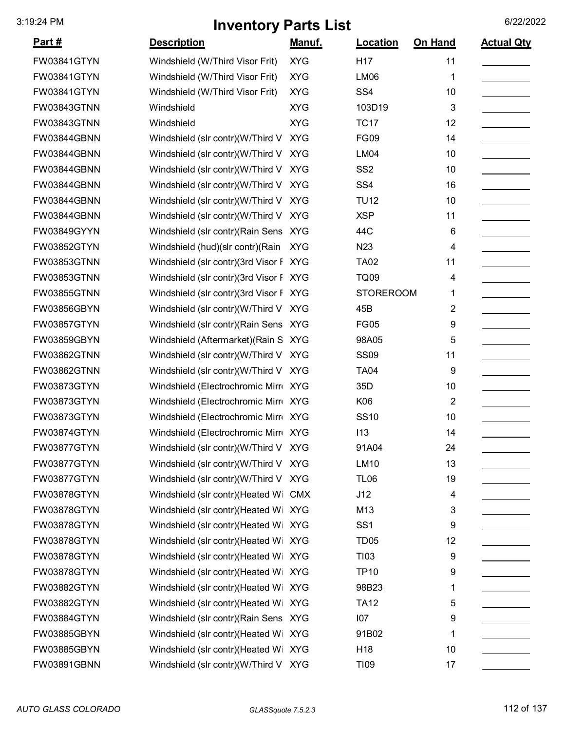| <u>Part #</u>      | <b>Description</b>                     | <u>Manuf.</u> | Location         | <b>On Hand</b> | <b>Actual Qty</b> |
|--------------------|----------------------------------------|---------------|------------------|----------------|-------------------|
| FW03841GTYN        | Windshield (W/Third Visor Frit)        | <b>XYG</b>    | H <sub>17</sub>  | 11             |                   |
| FW03841GTYN        | Windshield (W/Third Visor Frit)        | <b>XYG</b>    | <b>LM06</b>      | 1              |                   |
| FW03841GTYN        | Windshield (W/Third Visor Frit)        | <b>XYG</b>    | SS <sub>4</sub>  | 10             |                   |
| FW03843GTNN        | Windshield                             | <b>XYG</b>    | 103D19           | 3              |                   |
| FW03843GTNN        | Windshield                             | <b>XYG</b>    | <b>TC17</b>      | 12             |                   |
| FW03844GBNN        | Windshield (slr contr)(W/Third V XYG   |               | <b>FG09</b>      | 14             |                   |
| FW03844GBNN        | Windshield (slr contr)(W/Third V       | <b>XYG</b>    | <b>LM04</b>      | 10             |                   |
| FW03844GBNN        | Windshield (slr contr)(W/Third V       | <b>XYG</b>    | SS <sub>2</sub>  | 10             |                   |
| FW03844GBNN        | Windshield (slr contr)(W/Third V       | <b>XYG</b>    | SS <sub>4</sub>  | 16             |                   |
| FW03844GBNN        | Windshield (slr contr)(W/Third V       | <b>XYG</b>    | <b>TU12</b>      | 10             |                   |
| FW03844GBNN        | Windshield (slr contr)(W/Third V       | <b>XYG</b>    | <b>XSP</b>       | 11             |                   |
| FW03849GYYN        | Windshield (slr contr) (Rain Sens XYG  |               | 44C              | 6              |                   |
| FW03852GTYN        | Windshield (hud)(slr contr)(Rain       | <b>XYG</b>    | N <sub>23</sub>  | 4              |                   |
| FW03853GTNN        | Windshield (slr contr)(3rd Visor F XYG |               | <b>TA02</b>      | 11             |                   |
| FW03853GTNN        | Windshield (slr contr)(3rd Visor F XYG |               | <b>TQ09</b>      | 4              |                   |
| <b>FW03855GTNN</b> | Windshield (slr contr)(3rd Visor F XYG |               | <b>STOREROOM</b> | 1              |                   |
| FW03856GBYN        | Windshield (slr contr)(W/Third V       | <b>XYG</b>    | 45B              | 2              |                   |
| FW03857GTYN        | Windshield (slr contr) (Rain Sens XYG  |               | <b>FG05</b>      | 9              |                   |
| FW03859GBYN        | Windshield (Aftermarket) (Rain S XYG   |               | 98A05            | 5              |                   |
| FW03862GTNN        | Windshield (slr contr)(W/Third V XYG   |               | <b>SS09</b>      | 11             |                   |
| FW03862GTNN        | Windshield (slr contr)(W/Third V XYG   |               | <b>TA04</b>      | 9              |                   |
| FW03873GTYN        | Windshield (Electrochromic Mirr XYG    |               | 35D              | 10             |                   |
| FW03873GTYN        | Windshield (Electrochromic Mirro XYG   |               | K06              | $\overline{2}$ |                   |
| FW03873GTYN        | Windshield (Electrochromic Mirr XYG    |               | <b>SS10</b>      | 10             |                   |
| FW03874GTYN        | Windshield (Electrochromic Mirr XYG    |               | 113              | 14             |                   |
| FW03877GTYN        | Windshield (slr contr)(W/Third V XYG   |               | 91A04            | 24             |                   |
| FW03877GTYN        | Windshield (slr contr)(W/Third V XYG   |               | LM10             | 13             |                   |
| FW03877GTYN        | Windshield (slr contr)(W/Third V       | <b>XYG</b>    | <b>TL06</b>      | 19             |                   |
| FW03878GTYN        | Windshield (slr contr)(Heated Wi CMX   |               | J12              | 4              |                   |
| FW03878GTYN        | Windshield (slr contr)(Heated Wi XYG   |               | M13              | 3              |                   |
| FW03878GTYN        | Windshield (slr contr)(Heated Wi XYG   |               | SS <sub>1</sub>  | 9              |                   |
| FW03878GTYN        | Windshield (slr contr)(Heated Wi XYG   |               | <b>TD05</b>      | 12             |                   |
| FW03878GTYN        | Windshield (slr contr)(Heated Wi XYG   |               | T103             | 9              |                   |
| FW03878GTYN        | Windshield (slr contr)(Heated Wi XYG   |               | <b>TP10</b>      | 9              |                   |
| FW03882GTYN        | Windshield (slr contr)(Heated Wi XYG   |               | 98B23            | 1              |                   |
| FW03882GTYN        | Windshield (slr contr)(Heated Wi XYG   |               | <b>TA12</b>      | 5              |                   |
| FW03884GTYN        | Windshield (slr contr) (Rain Sens XYG  |               | 107              | 9              |                   |
| FW03885GBYN        | Windshield (slr contr)(Heated Wi XYG   |               | 91B02            | 1              |                   |
| FW03885GBYN        | Windshield (slr contr)(Heated Wi XYG   |               | H <sub>18</sub>  | 10             |                   |
| FW03891GBNN        | Windshield (slr contr)(W/Third V XYG   |               | <b>TI09</b>      | 17             |                   |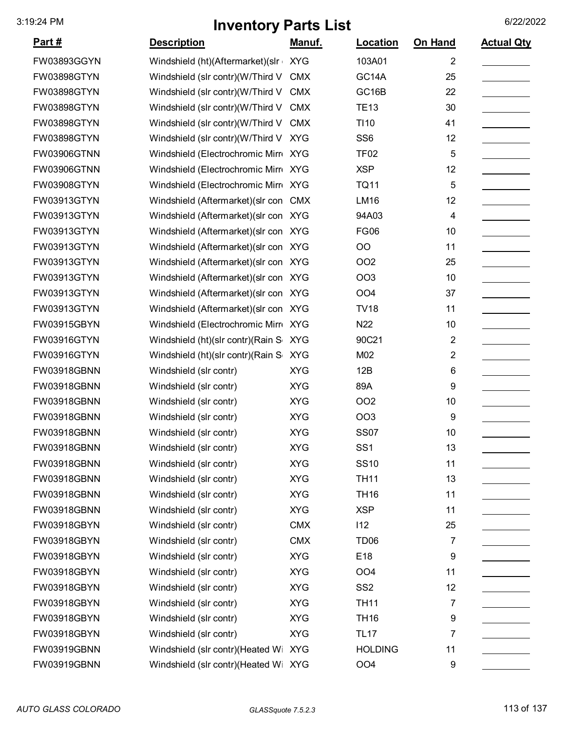|               | ויוז סוונטון ו עונט ⊑וטנ              |               |                  |                |                   |
|---------------|---------------------------------------|---------------|------------------|----------------|-------------------|
| <u>Part #</u> | <b>Description</b>                    | <u>Manuf.</u> | Location         | <b>On Hand</b> | <b>Actual Qty</b> |
| FW03893GGYN   | Windshield (ht)(Aftermarket)(slr XYG  |               | 103A01           | 2              |                   |
| FW03898GTYN   | Windshield (slr contr)(W/Third V      | <b>CMX</b>    | GC14A            | 25             |                   |
| FW03898GTYN   | Windshield (slr contr)(W/Third V      | <b>CMX</b>    | GC16B            | 22             |                   |
| FW03898GTYN   | Windshield (slr contr)(W/Third V      | <b>CMX</b>    | <b>TE13</b>      | 30             |                   |
| FW03898GTYN   | Windshield (slr contr)(W/Third V      | <b>CMX</b>    | TI <sub>10</sub> | 41             |                   |
| FW03898GTYN   | Windshield (slr contr)(W/Third V      | <b>XYG</b>    | SS <sub>6</sub>  | 12             |                   |
| FW03906GTNN   | Windshield (Electrochromic Mirro XYG  |               | <b>TF02</b>      | 5              |                   |
| FW03906GTNN   | Windshield (Electrochromic Mirr XYG   |               | <b>XSP</b>       | 12             |                   |
| FW03908GTYN   | Windshield (Electrochromic Mirr XYG   |               | <b>TQ11</b>      | 5              |                   |
| FW03913GTYN   | Windshield (Aftermarket) (slr con CMX |               | LM16             | 12             |                   |
| FW03913GTYN   | Windshield (Aftermarket) (slr con XYG |               | 94A03            | 4              |                   |
| FW03913GTYN   | Windshield (Aftermarket) (slr con XYG |               | <b>FG06</b>      | 10             |                   |
| FW03913GTYN   | Windshield (Aftermarket) (slr con XYG |               | OO               | 11             |                   |
| FW03913GTYN   | Windshield (Aftermarket) (slr con XYG |               | OO <sub>2</sub>  | 25             |                   |
| FW03913GTYN   | Windshield (Aftermarket) (slr con XYG |               | <b>OO3</b>       | 10             |                   |
| FW03913GTYN   | Windshield (Aftermarket) (slr con XYG |               | OO <sub>4</sub>  | 37             |                   |
| FW03913GTYN   | Windshield (Aftermarket) (slr con XYG |               | <b>TV18</b>      | 11             |                   |
| FW03915GBYN   | Windshield (Electrochromic Mirr XYG   |               | N22              | 10             |                   |
| FW03916GTYN   | Windshield (ht)(slr contr)(Rain S XYG |               | 90C21            | 2              |                   |
| FW03916GTYN   | Windshield (ht)(slr contr)(Rain S XYG |               | M02              | 2              |                   |
| FW03918GBNN   | Windshield (slr contr)                | <b>XYG</b>    | 12B              | 6              |                   |
| FW03918GBNN   | Windshield (slr contr)                | <b>XYG</b>    | 89A              | 9              |                   |
| FW03918GBNN   | Windshield (slr contr)                | <b>XYG</b>    | <b>OO2</b>       | 10             |                   |
| FW03918GBNN   | Windshield (slr contr)                | <b>XYG</b>    | <b>OO3</b>       | 9              |                   |
| FW03918GBNN   | Windshield (slr contr)                | <b>XYG</b>    | <b>SS07</b>      | 10             |                   |
| FW03918GBNN   | Windshield (slr contr)                | <b>XYG</b>    | SS <sub>1</sub>  | 13             |                   |
| FW03918GBNN   | Windshield (slr contr)                | <b>XYG</b>    | <b>SS10</b>      | 11             |                   |
| FW03918GBNN   | Windshield (slr contr)                | <b>XYG</b>    | <b>TH11</b>      | 13             |                   |
| FW03918GBNN   | Windshield (slr contr)                | <b>XYG</b>    | <b>TH16</b>      | 11             |                   |
| FW03918GBNN   | Windshield (slr contr)                | <b>XYG</b>    | <b>XSP</b>       | 11             |                   |
| FW03918GBYN   | Windshield (slr contr)                | <b>CMX</b>    | 112              | 25             |                   |
| FW03918GBYN   | Windshield (slr contr)                | <b>CMX</b>    | TD <sub>06</sub> | 7              |                   |
| FW03918GBYN   | Windshield (slr contr)                | <b>XYG</b>    | E18              | 9              |                   |
| FW03918GBYN   | Windshield (slr contr)                | <b>XYG</b>    | OO <sub>4</sub>  | 11             |                   |
| FW03918GBYN   | Windshield (slr contr)                | <b>XYG</b>    | SS <sub>2</sub>  | 12             |                   |
| FW03918GBYN   | Windshield (slr contr)                | <b>XYG</b>    | <b>TH11</b>      | 7              |                   |
| FW03918GBYN   | Windshield (slr contr)                | <b>XYG</b>    | <b>TH16</b>      | 9              |                   |
| FW03918GBYN   | Windshield (slr contr)                | <b>XYG</b>    | <b>TL17</b>      | 7              |                   |
| FW03919GBNN   | Windshield (slr contr)(Heated Wi XYG  |               | <b>HOLDING</b>   | 11             |                   |
| FW03919GBNN   | Windshield (slr contr)(Heated Wi XYG  |               | OO <sub>4</sub>  | 9              |                   |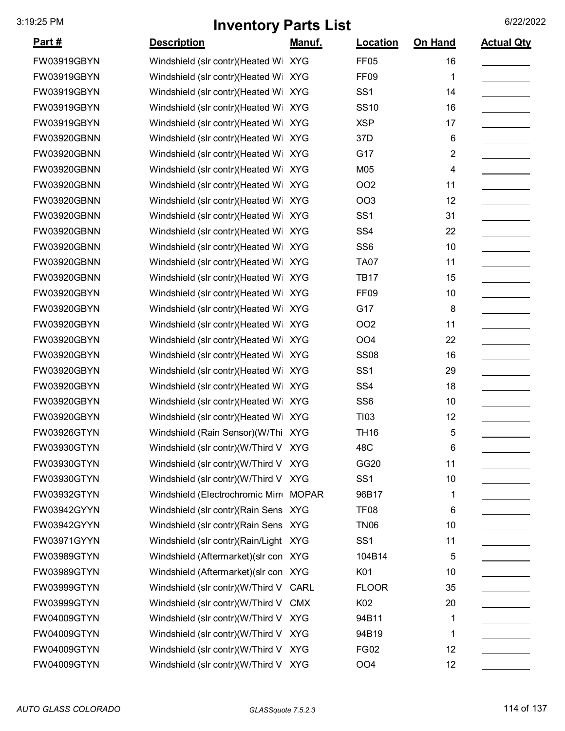| <u>Part #</u> | <b>Description</b>                    | <u>Manuf.</u> | <b>Location</b>  | <b>On Hand</b> | <b>Actual Qty</b> |
|---------------|---------------------------------------|---------------|------------------|----------------|-------------------|
| FW03919GBYN   | Windshield (slr contr)(Heated Wi XYG  |               | <b>FF05</b>      | 16             |                   |
| FW03919GBYN   | Windshield (slr contr)(Heated Wi      | <b>XYG</b>    | FF <sub>09</sub> | 1              |                   |
| FW03919GBYN   | Windshield (slr contr)(Heated Wi      | <b>XYG</b>    | SS <sub>1</sub>  | 14             |                   |
| FW03919GBYN   | Windshield (slr contr)(Heated Wi      | <b>XYG</b>    | <b>SS10</b>      | 16             |                   |
| FW03919GBYN   | Windshield (slr contr)(Heated Wi      | <b>XYG</b>    | <b>XSP</b>       | 17             |                   |
| FW03920GBNN   | Windshield (slr contr)(Heated Wi      | <b>XYG</b>    | 37D              | 6              |                   |
| FW03920GBNN   | Windshield (slr contr)(Heated Wi XYG  |               | G17              | $\overline{2}$ |                   |
| FW03920GBNN   | Windshield (slr contr)(Heated Wi XYG  |               | M05              | 4              |                   |
| FW03920GBNN   | Windshield (slr contr)(Heated Wi      | <b>XYG</b>    | <b>OO2</b>       | 11             |                   |
| FW03920GBNN   | Windshield (slr contr)(Heated Wi      | <b>XYG</b>    | <b>OO3</b>       | 12             |                   |
| FW03920GBNN   | Windshield (slr contr)(Heated Wi      | <b>XYG</b>    | SS <sub>1</sub>  | 31             |                   |
| FW03920GBNN   | Windshield (slr contr)(Heated Wi XYG  |               | SS <sub>4</sub>  | 22             |                   |
| FW03920GBNN   | Windshield (slr contr)(Heated Wi      | <b>XYG</b>    | SS <sub>6</sub>  | 10             |                   |
| FW03920GBNN   | Windshield (slr contr)(Heated Wi      | <b>XYG</b>    | <b>TA07</b>      | 11             |                   |
| FW03920GBNN   | Windshield (slr contr)(Heated Wi      | <b>XYG</b>    | <b>TB17</b>      | 15             |                   |
| FW03920GBYN   | Windshield (slr contr)(Heated Wi      | <b>XYG</b>    | <b>FF09</b>      | 10             |                   |
| FW03920GBYN   | Windshield (slr contr)(Heated Wi XYG  |               | G17              | 8              |                   |
| FW03920GBYN   | Windshield (slr contr)(Heated Wi      | <b>XYG</b>    | <b>OO2</b>       | 11             |                   |
| FW03920GBYN   | Windshield (slr contr)(Heated Wi      | <b>XYG</b>    | OO <sub>4</sub>  | 22             |                   |
| FW03920GBYN   | Windshield (slr contr)(Heated Wi      | <b>XYG</b>    | <b>SS08</b>      | 16             |                   |
| FW03920GBYN   | Windshield (slr contr)(Heated Wi      | <b>XYG</b>    | SS <sub>1</sub>  | 29             |                   |
| FW03920GBYN   | Windshield (slr contr)(Heated Wi      | <b>XYG</b>    | SS <sub>4</sub>  | 18             |                   |
| FW03920GBYN   | Windshield (slr contr)(Heated Wi XYG  |               | SS <sub>6</sub>  | 10             |                   |
| FW03920GBYN   | Windshield (slr contr)(Heated Wi      | <b>XYG</b>    | T <sub>103</sub> | 12             |                   |
| FW03926GTYN   | Windshield (Rain Sensor)(W/Thi XYG    |               | <b>TH16</b>      | 5              |                   |
| FW03930GTYN   | Windshield (slr contr)(W/Third V XYG  |               | 48C              | 6              |                   |
| FW03930GTYN   | Windshield (slr contr)(W/Third V XYG  |               | GG20             | 11             |                   |
| FW03930GTYN   | Windshield (slr contr)(W/Third V XYG  |               | SS <sub>1</sub>  | 10             |                   |
| FW03932GTYN   | Windshield (Electrochromic Mirr MOPAR |               | 96B17            | 1              |                   |
| FW03942GYYN   | Windshield (slr contr) (Rain Sens XYG |               | <b>TF08</b>      | 6              |                   |
| FW03942GYYN   | Windshield (slr contr) (Rain Sens XYG |               | <b>TN06</b>      | 10             |                   |
| FW03971GYYN   | Windshield (slr contr)(Rain/Light XYG |               | SS <sub>1</sub>  | 11             |                   |
| FW03989GTYN   | Windshield (Aftermarket) (slr con XYG |               | 104B14           | 5              |                   |
| FW03989GTYN   | Windshield (Aftermarket) (slr con XYG |               | K01              | 10             |                   |
| FW03999GTYN   | Windshield (slr contr)(W/Third V      | CARL          | <b>FLOOR</b>     | 35             |                   |
| FW03999GTYN   | Windshield (slr contr)(W/Third V CMX  |               | K02              | 20             |                   |
| FW04009GTYN   | Windshield (slr contr)(W/Third V XYG  |               | 94B11            | 1              |                   |
| FW04009GTYN   | Windshield (slr contr)(W/Third V      | <b>XYG</b>    | 94B19            | 1              |                   |
| FW04009GTYN   | Windshield (slr contr)(W/Third V XYG  |               | <b>FG02</b>      | 12             |                   |
| FW04009GTYN   | Windshield (slr contr)(W/Third V XYG  |               | OO <sub>4</sub>  | 12             |                   |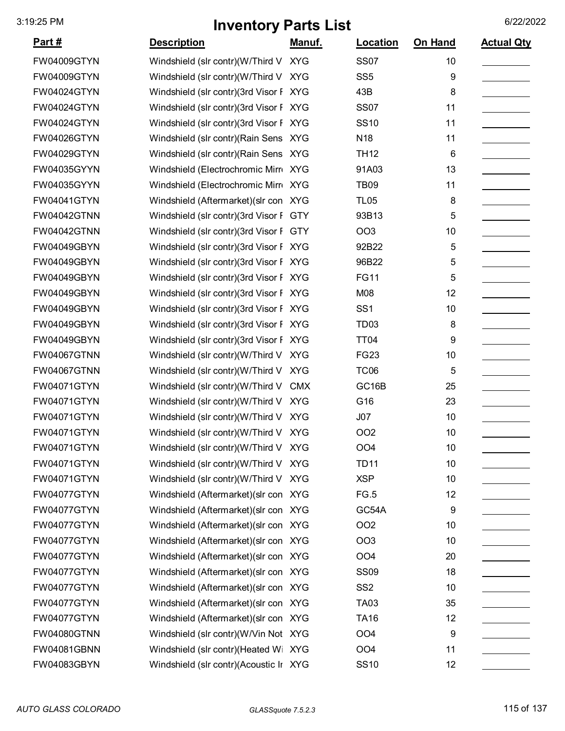| <u>Part #</u>      | <b>Description</b>                     | Manuf.     | Location         | On Hand | <b>Actual Qty</b> |
|--------------------|----------------------------------------|------------|------------------|---------|-------------------|
| <b>FW04009GTYN</b> | Windshield (slr contr)(W/Third V XYG   |            | <b>SS07</b>      | 10      |                   |
| <b>FW04009GTYN</b> | Windshield (slr contr)(W/Third V XYG   |            | SS <sub>5</sub>  | 9       |                   |
| <b>FW04024GTYN</b> | Windshield (slr contr)(3rd Visor F XYG |            | 43B              | 8       |                   |
| <b>FW04024GTYN</b> | Windshield (slr contr)(3rd Visor F XYG |            | <b>SS07</b>      | 11      |                   |
| <b>FW04024GTYN</b> | Windshield (slr contr)(3rd Visor F XYG |            | <b>SS10</b>      | 11      |                   |
| FW04026GTYN        | Windshield (slr contr) (Rain Sens XYG  |            | N <sub>18</sub>  | 11      |                   |
| <b>FW04029GTYN</b> | Windshield (slr contr) (Rain Sens XYG  |            | <b>TH12</b>      | 6       |                   |
| FW04035GYYN        | Windshield (Electrochromic Mirr XYG    |            | 91A03            | 13      |                   |
| FW04035GYYN        | Windshield (Electrochromic Mirr XYG    |            | <b>TB09</b>      | 11      |                   |
| <b>FW04041GTYN</b> | Windshield (Aftermarket) (slr con XYG  |            | <b>TL05</b>      | 8       |                   |
| <b>FW04042GTNN</b> | Windshield (slr contr)(3rd Visor F GTY |            | 93B13            | 5       |                   |
| <b>FW04042GTNN</b> | Windshield (slr contr)(3rd Visor F GTY |            | <b>OO3</b>       | 10      |                   |
| <b>FW04049GBYN</b> | Windshield (slr contr)(3rd Visor F XYG |            | 92B22            | 5       |                   |
| FW04049GBYN        | Windshield (slr contr)(3rd Visor F XYG |            | 96B22            | 5       |                   |
| <b>FW04049GBYN</b> | Windshield (slr contr)(3rd Visor F XYG |            | <b>FG11</b>      | 5       |                   |
| <b>FW04049GBYN</b> | Windshield (slr contr)(3rd Visor F XYG |            | M08              | 12      |                   |
| FW04049GBYN        | Windshield (slr contr)(3rd Visor F XYG |            | SS <sub>1</sub>  | 10      |                   |
| <b>FW04049GBYN</b> | Windshield (slr contr)(3rd Visor F XYG |            | TD <sub>03</sub> | 8       |                   |
| FW04049GBYN        | Windshield (slr contr)(3rd Visor F XYG |            | <b>TT04</b>      | 9       |                   |
| <b>FW04067GTNN</b> | Windshield (slr contr)(W/Third V       | <b>XYG</b> | <b>FG23</b>      | 10      |                   |
| <b>FW04067GTNN</b> | Windshield (slr contr)(W/Third V XYG   |            | TC <sub>06</sub> | 5       |                   |
| <b>FW04071GTYN</b> | Windshield (slr contr)(W/Third V       | <b>CMX</b> | GC16B            | 25      |                   |
| <b>FW04071GTYN</b> | Windshield (slr contr)(W/Third V XYG   |            | G16              | 23      |                   |
| <b>FW04071GTYN</b> | Windshield (slr contr)(W/Third V XYG   |            | J07              | 10      |                   |
| <b>FW04071GTYN</b> | Windshield (slr contr)(W/Third V XYG   |            | <b>OO2</b>       | 10      |                   |
| <b>FW04071GTYN</b> | Windshield (slr contr)(W/Third V XYG   |            | OO <sub>4</sub>  | 10      |                   |
| <b>FW04071GTYN</b> | Windshield (slr contr)(W/Third V XYG   |            | <b>TD11</b>      | 10      |                   |
| <b>FW04071GTYN</b> | Windshield (slr contr)(W/Third V XYG   |            | <b>XSP</b>       | 10      |                   |
| <b>FW04077GTYN</b> | Windshield (Aftermarket) (slr con XYG  |            | FG.5             | 12      |                   |
| FW04077GTYN        | Windshield (Aftermarket) (slr con XYG  |            | GC54A            | 9       |                   |
| <b>FW04077GTYN</b> | Windshield (Aftermarket) (slr con XYG  |            | <b>OO2</b>       | 10      |                   |
| <b>FW04077GTYN</b> | Windshield (Aftermarket) (slr con XYG  |            | OO <sub>3</sub>  | 10      |                   |
| <b>FW04077GTYN</b> | Windshield (Aftermarket) (slr con XYG  |            | OO <sub>4</sub>  | 20      |                   |
| FW04077GTYN        | Windshield (Aftermarket) (slr con XYG  |            | <b>SS09</b>      | 18      |                   |
| FW04077GTYN        | Windshield (Aftermarket) (slr con XYG  |            | SS <sub>2</sub>  | 10      |                   |
| <b>FW04077GTYN</b> | Windshield (Aftermarket) (slr con XYG  |            | <b>TA03</b>      | 35      |                   |
| <b>FW04077GTYN</b> | Windshield (Aftermarket) (slr con XYG  |            | <b>TA16</b>      | 12      |                   |
| <b>FW04080GTNN</b> | Windshield (slr contr)(W/Vin Not XYG   |            | OO <sub>4</sub>  | 9       |                   |
| <b>FW04081GBNN</b> | Windshield (slr contr)(Heated Wi XYG   |            | OO <sub>4</sub>  | 11      |                   |
| FW04083GBYN        | Windshield (slr contr)(Acoustic Ir XYG |            | <b>SS10</b>      | 12      |                   |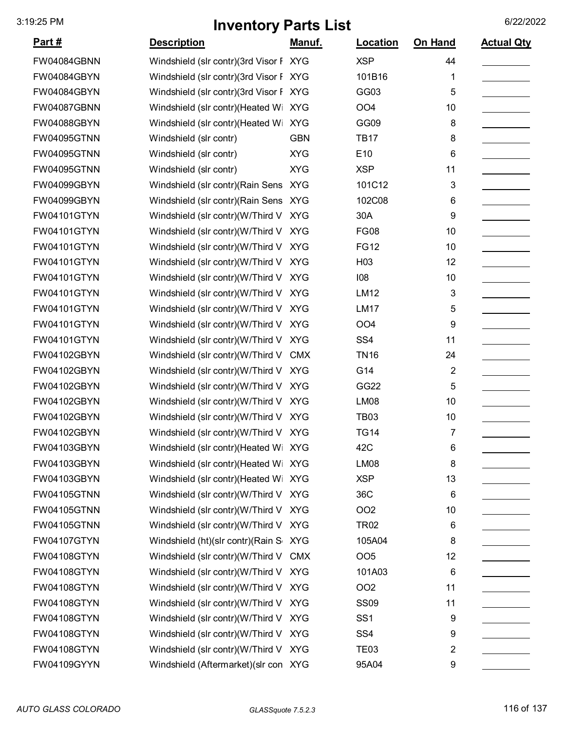| <u>Part #</u>      | <b>Description</b>                     | <u>Manuf.</u> | Location        | On Hand        | <b>Actual Qty</b> |
|--------------------|----------------------------------------|---------------|-----------------|----------------|-------------------|
| FW04084GBNN        | Windshield (slr contr)(3rd Visor F XYG |               | <b>XSP</b>      | 44             |                   |
| FW04084GBYN        | Windshield (slr contr)(3rd Visor F XYG |               | 101B16          | 1              |                   |
| FW04084GBYN        | Windshield (slr contr)(3rd Visor F     | <b>XYG</b>    | GG03            | 5              |                   |
| FW04087GBNN        | Windshield (slr contr)(Heated Wi       | <b>XYG</b>    | OO <sub>4</sub> | 10             |                   |
| FW04088GBYN        | Windshield (slr contr)(Heated Wi       | <b>XYG</b>    | GG09            | 8              |                   |
| <b>FW04095GTNN</b> | Windshield (slr contr)                 | <b>GBN</b>    | <b>TB17</b>     | 8              |                   |
| FW04095GTNN        | Windshield (slr contr)                 | <b>XYG</b>    | E10             | 6              |                   |
| FW04095GTNN        | Windshield (slr contr)                 | <b>XYG</b>    | <b>XSP</b>      | 11             |                   |
| FW04099GBYN        | Windshield (slr contr) (Rain Sens XYG  |               | 101C12          | 3              |                   |
| FW04099GBYN        | Windshield (slr contr) (Rain Sens XYG  |               | 102C08          | 6              |                   |
| FW04101GTYN        | Windshield (slr contr)(W/Third V       | <b>XYG</b>    | 30A             | 9              |                   |
| FW04101GTYN        | Windshield (slr contr)(W/Third V       | <b>XYG</b>    | <b>FG08</b>     | 10             |                   |
| <b>FW04101GTYN</b> | Windshield (slr contr)(W/Third V       | <b>XYG</b>    | <b>FG12</b>     | 10             |                   |
| FW04101GTYN        | Windshield (slr contr)(W/Third V       | <b>XYG</b>    | H03             | 12             |                   |
| FW04101GTYN        | Windshield (slr contr)(W/Third V       | <b>XYG</b>    | 108             | 10             |                   |
| FW04101GTYN        | Windshield (slr contr)(W/Third V       | <b>XYG</b>    | <b>LM12</b>     | 3              |                   |
| <b>FW04101GTYN</b> | Windshield (slr contr)(W/Third V       | <b>XYG</b>    | <b>LM17</b>     | 5              |                   |
| FW04101GTYN        | Windshield (slr contr)(W/Third V       | <b>XYG</b>    | OO <sub>4</sub> | 9              |                   |
| FW04101GTYN        | Windshield (slr contr)(W/Third V       | <b>XYG</b>    | SS <sub>4</sub> | 11             |                   |
| FW04102GBYN        | Windshield (slr contr)(W/Third V       | <b>CMX</b>    | <b>TN16</b>     | 24             |                   |
| FW04102GBYN        | Windshield (slr contr)(W/Third V       | <b>XYG</b>    | G14             | $\overline{2}$ |                   |
| FW04102GBYN        | Windshield (slr contr)(W/Third V       | <b>XYG</b>    | GG22            | 5              |                   |
| FW04102GBYN        | Windshield (slr contr)(W/Third V       | <b>XYG</b>    | <b>LM08</b>     | 10             |                   |
| FW04102GBYN        | Windshield (slr contr)(W/Third V XYG   |               | <b>TB03</b>     | 10             |                   |
| FW04102GBYN        | Windshield (slr contr)(W/Third V XYG   |               | <b>TG14</b>     | 7              |                   |
| FW04103GBYN        | Windshield (slr contr)(Heated Wi XYG   |               | 42C             | 6              |                   |
| FW04103GBYN        | Windshield (slr contr)(Heated Wi XYG   |               | LM08            | 8              |                   |
| FW04103GBYN        | Windshield (slr contr)(Heated Wi XYG   |               | <b>XSP</b>      | 13             |                   |
| <b>FW04105GTNN</b> | Windshield (slr contr)(W/Third V XYG   |               | 36C             | 6              |                   |
| <b>FW04105GTNN</b> | Windshield (slr contr)(W/Third V XYG   |               | OO <sub>2</sub> | 10             |                   |
| <b>FW04105GTNN</b> | Windshield (slr contr)(W/Third V XYG   |               | <b>TR02</b>     | 6              |                   |
| FW04107GTYN        | Windshield (ht)(slr contr)(Rain S XYG  |               | 105A04          | 8              |                   |
| FW04108GTYN        | Windshield (slr contr)(W/Third V       | <b>CMX</b>    | OO <sub>5</sub> | 12             |                   |
| FW04108GTYN        | Windshield (slr contr)(W/Third V XYG   |               | 101A03          | 6              |                   |
| FW04108GTYN        | Windshield (slr contr)(W/Third V XYG   |               | OO <sub>2</sub> | 11             |                   |
| FW04108GTYN        | Windshield (slr contr)(W/Third V XYG   |               | <b>SS09</b>     | 11             |                   |
| FW04108GTYN        | Windshield (slr contr)(W/Third V XYG   |               | SS <sub>1</sub> | 9              |                   |
| FW04108GTYN        | Windshield (slr contr)(W/Third V       | <b>XYG</b>    | SS <sub>4</sub> | 9              |                   |
| FW04108GTYN        | Windshield (slr contr)(W/Third V XYG   |               | <b>TE03</b>     | 2              |                   |
| FW04109GYYN        | Windshield (Aftermarket) (slr con XYG  |               | 95A04           | 9              |                   |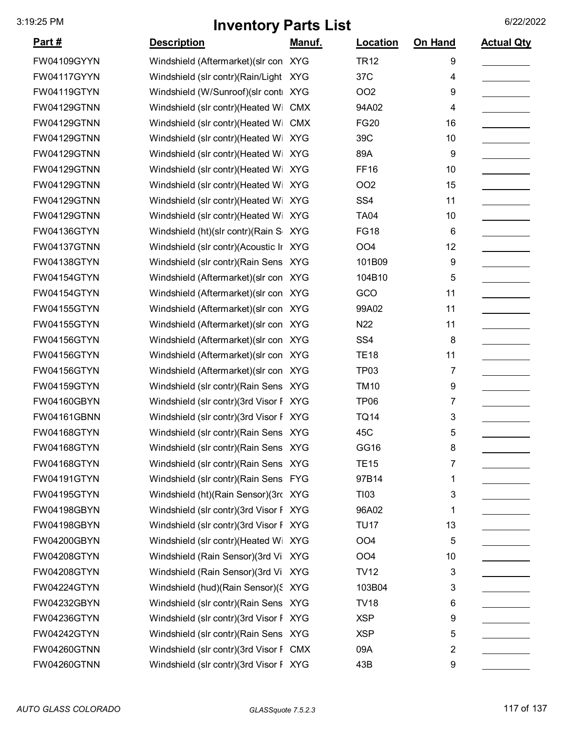| <u>Part #</u>      | <b>Description</b>                     | <u>Manuf.</u> | <b>Location</b>  | On Hand | <b>Actual Qty</b> |
|--------------------|----------------------------------------|---------------|------------------|---------|-------------------|
| FW04109GYYN        | Windshield (Aftermarket) (slr con XYG  |               | <b>TR12</b>      | 9       |                   |
| FW04117GYYN        | Windshield (slr contr)(Rain/Light XYG  |               | 37C              | 4       |                   |
| FW04119GTYN        | Windshield (W/Sunroof)(slr conti XYG   |               | <b>OO2</b>       | 9       |                   |
| <b>FW04129GTNN</b> | Windshield (slr contr)(Heated Wi       | <b>CMX</b>    | 94A02            | 4       |                   |
| FW04129GTNN        | Windshield (slr contr)(Heated Wi       | <b>CMX</b>    | <b>FG20</b>      | 16      |                   |
| <b>FW04129GTNN</b> | Windshield (slr contr)(Heated Wi       | <b>XYG</b>    | 39C              | 10      |                   |
| FW04129GTNN        | Windshield (slr contr)(Heated Wi XYG   |               | 89A              | 9       |                   |
| FW04129GTNN        | Windshield (slr contr)(Heated Wi       | <b>XYG</b>    | <b>FF16</b>      | 10      |                   |
| <b>FW04129GTNN</b> | Windshield (slr contr)(Heated Wi       | <b>XYG</b>    | OO <sub>2</sub>  | 15      |                   |
| <b>FW04129GTNN</b> | Windshield (slr contr)(Heated Wi       | <b>XYG</b>    | SS <sub>4</sub>  | 11      |                   |
| FW04129GTNN        | Windshield (slr contr)(Heated Wi XYG   |               | <b>TA04</b>      | 10      |                   |
| FW04136GTYN        | Windshield (ht)(slr contr)(Rain S      | <b>XYG</b>    | <b>FG18</b>      | 6       |                   |
| <b>FW04137GTNN</b> | Windshield (slr contr)(Acoustic Ir XYG |               | OO <sub>4</sub>  | 12      |                   |
| FW04138GTYN        | Windshield (slr contr) (Rain Sens XYG  |               | 101B09           | 9       |                   |
| FW04154GTYN        | Windshield (Aftermarket) (slr con XYG  |               | 104B10           | 5       |                   |
| FW04154GTYN        | Windshield (Aftermarket) (slr con XYG  |               | GCO              | 11      |                   |
| FW04155GTYN        | Windshield (Aftermarket) (slr con XYG  |               | 99A02            | 11      |                   |
| <b>FW04155GTYN</b> | Windshield (Aftermarket) (slr con XYG  |               | N22              | 11      |                   |
| FW04156GTYN        | Windshield (Aftermarket) (slr con XYG  |               | SS <sub>4</sub>  | 8       |                   |
| <b>FW04156GTYN</b> | Windshield (Aftermarket) (slr con XYG  |               | <b>TE18</b>      | 11      |                   |
| FW04156GTYN        | Windshield (Aftermarket) (slr con XYG  |               | TP <sub>03</sub> | 7       |                   |
| FW04159GTYN        | Windshield (slr contr) (Rain Sens XYG  |               | <b>TM10</b>      | 9       |                   |
| <b>FW04160GBYN</b> | Windshield (slr contr)(3rd Visor F XYG |               | TP <sub>06</sub> | 7       |                   |
| FW04161GBNN        | Windshield (slr contr)(3rd Visor F XYG |               | <b>TQ14</b>      | 3       |                   |
| <b>FW04168GTYN</b> | Windshield (slr contr)(Rain Sens XYG   |               | 45C              | 5       |                   |
| <b>FW04168GTYN</b> | Windshield (slr contr) (Rain Sens XYG  |               | GG16             | 8       |                   |
| <b>FW04168GTYN</b> | Windshield (slr contr) (Rain Sens XYG  |               | <b>TE15</b>      | 7       |                   |
| FW04191GTYN        | Windshield (slr contr)(Rain Sens FYG   |               | 97B14            | 1       |                   |
| FW04195GTYN        | Windshield (ht)(Rain Sensor)(3rd XYG   |               | T <sub>103</sub> | 3       |                   |
| FW04198GBYN        | Windshield (slr contr)(3rd Visor F XYG |               | 96A02            | 1       |                   |
| FW04198GBYN        | Windshield (slr contr)(3rd Visor F XYG |               | <b>TU17</b>      | 13      |                   |
| FW04200GBYN        | Windshield (slr contr) (Heated Wi XYG  |               | OO <sub>4</sub>  | 5       |                   |
| FW04208GTYN        | Windshield (Rain Sensor)(3rd Vi XYG    |               | OO <sub>4</sub>  | 10      |                   |
| FW04208GTYN        | Windshield (Rain Sensor)(3rd Vi XYG    |               | <b>TV12</b>      | 3       |                   |
| FW04224GTYN        | Windshield (hud)(Rain Sensor)(§ XYG    |               | 103B04           | 3       |                   |
| FW04232GBYN        | Windshield (slr contr) (Rain Sens XYG  |               | <b>TV18</b>      | 6       |                   |
| FW04236GTYN        | Windshield (slr contr)(3rd Visor F XYG |               | <b>XSP</b>       | 9       |                   |
| FW04242GTYN        | Windshield (slr contr) (Rain Sens XYG  |               | <b>XSP</b>       | 5       |                   |
| FW04260GTNN        | Windshield (slr contr)(3rd Visor F CMX |               | 09A              | 2       |                   |
| FW04260GTNN        | Windshield (slr contr)(3rd Visor F XYG |               | 43B              | 9       |                   |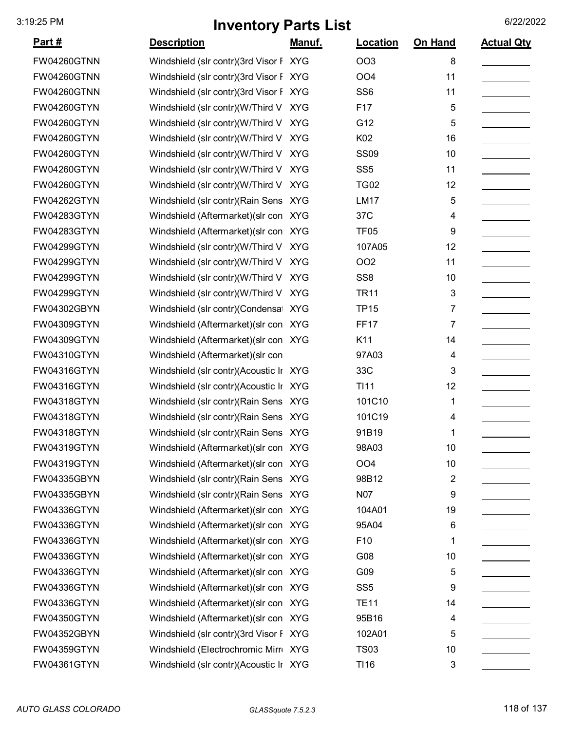| <u>Part #</u>      | <b>Description</b>                     | Manuf.     | Location         | On Hand | <b>Actual Qty</b> |
|--------------------|----------------------------------------|------------|------------------|---------|-------------------|
| FW04260GTNN        | Windshield (slr contr)(3rd Visor F XYG |            | OO <sub>3</sub>  | 8       |                   |
| <b>FW04260GTNN</b> | Windshield (slr contr)(3rd Visor F XYG |            | OO <sub>4</sub>  | 11      |                   |
| <b>FW04260GTNN</b> | Windshield (slr contr)(3rd Visor F XYG |            | SS <sub>6</sub>  | 11      |                   |
| <b>FW04260GTYN</b> | Windshield (slr contr)(W/Third V XYG   |            | F17              | 5       |                   |
| FW04260GTYN        | Windshield (slr contr)(W/Third V XYG   |            | G12              | 5       |                   |
| <b>FW04260GTYN</b> | Windshield (slr contr)(W/Third V XYG   |            | K02              | 16      |                   |
| <b>FW04260GTYN</b> | Windshield (slr contr)(W/Third V XYG   |            | <b>SS09</b>      | 10      |                   |
| <b>FW04260GTYN</b> | Windshield (slr contr)(W/Third V XYG   |            | SS <sub>5</sub>  | 11      |                   |
| FW04260GTYN        | Windshield (slr contr)(W/Third V XYG   |            | <b>TG02</b>      | 12      |                   |
| FW04262GTYN        | Windshield (slr contr) (Rain Sens XYG  |            | <b>LM17</b>      | 5       |                   |
| FW04283GTYN        | Windshield (Aftermarket) (slr con XYG  |            | 37C              | 4       |                   |
| FW04283GTYN        | Windshield (Aftermarket) (slr con XYG  |            | TF <sub>05</sub> | 9       |                   |
| FW04299GTYN        | Windshield (slr contr)(W/Third V XYG   |            | 107A05           | 12      |                   |
| FW04299GTYN        | Windshield (slr contr)(W/Third V XYG   |            | OO <sub>2</sub>  | 11      |                   |
| FW04299GTYN        | Windshield (slr contr)(W/Third V XYG   |            | SS <sub>8</sub>  | 10      |                   |
| FW04299GTYN        | Windshield (slr contr)(W/Third V       | <b>XYG</b> | <b>TR11</b>      | 3       |                   |
| FW04302GBYN        | Windshield (slr contr)(Condensa XYG    |            | <b>TP15</b>      | 7       |                   |
| FW04309GTYN        | Windshield (Aftermarket) (slr con XYG  |            | <b>FF17</b>      | 7       |                   |
| FW04309GTYN        | Windshield (Aftermarket) (slr con XYG  |            | K11              | 14      |                   |
| FW04310GTYN        | Windshield (Aftermarket) (slr con      |            | 97A03            | 4       |                   |
| FW04316GTYN        | Windshield (slr contr)(Acoustic Ir XYG |            | 33C              | 3       |                   |
| FW04316GTYN        | Windshield (slr contr)(Acoustic Ir XYG |            | <b>TI11</b>      | 12      |                   |
| <b>FW04318GTYN</b> | Windshield (slr contr) (Rain Sens XYG  |            | 101C10           | 1       |                   |
| FW04318GTYN        | Windshield (slr contr)(Rain Sens XYG   |            | 101C19           | 4       |                   |
| <b>FW04318GTYN</b> | Windshield (slr contr) (Rain Sens XYG  |            | 91B19            | 1       |                   |
| FW04319GTYN        | Windshield (Aftermarket) (slr con XYG  |            | 98A03            | 10      |                   |
| FW04319GTYN        | Windshield (Aftermarket) (slr con XYG  |            | OO <sub>4</sub>  | 10      |                   |
| FW04335GBYN        | Windshield (slr contr) (Rain Sens XYG  |            | 98B12            | 2       |                   |
| FW04335GBYN        | Windshield (slr contr) (Rain Sens XYG  |            | <b>N07</b>       | 9       |                   |
| FW04336GTYN        | Windshield (Aftermarket) (slr con XYG  |            | 104A01           | 19      |                   |
| FW04336GTYN        | Windshield (Aftermarket) (slr con XYG  |            | 95A04            | 6       |                   |
| FW04336GTYN        | Windshield (Aftermarket) (slr con XYG  |            | F <sub>10</sub>  | 1       |                   |
| FW04336GTYN        | Windshield (Aftermarket) (slr con XYG  |            | G08              | 10      |                   |
| FW04336GTYN        | Windshield (Aftermarket) (slr con XYG  |            | G09              | 5       |                   |
| FW04336GTYN        | Windshield (Aftermarket) (slr con XYG  |            | SS <sub>5</sub>  | 9       |                   |
| FW04336GTYN        | Windshield (Aftermarket) (slr con XYG  |            | <b>TE11</b>      | 14      |                   |
| FW04350GTYN        | Windshield (Aftermarket) (slr con XYG  |            | 95B16            | 4       |                   |
| FW04352GBYN        | Windshield (slr contr)(3rd Visor F XYG |            | 102A01           | 5       |                   |
| FW04359GTYN        | Windshield (Electrochromic Mirr XYG    |            | <b>TS03</b>      | 10      |                   |
| FW04361GTYN        | Windshield (slr contr)(Acoustic Ir XYG |            | T116             | 3       |                   |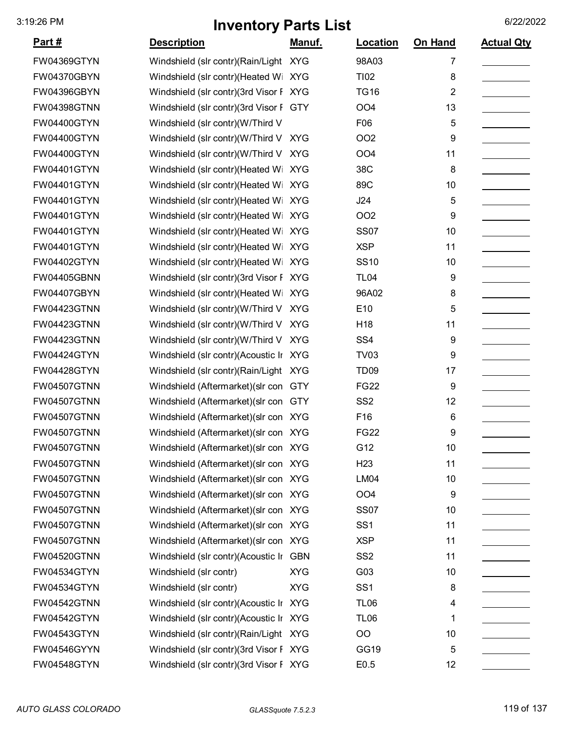| <u>Part #</u>      | <b>Description</b>                     | Manuf.     | Location         | On Hand        | <b>Actual Qty</b> |
|--------------------|----------------------------------------|------------|------------------|----------------|-------------------|
| FW04369GTYN        | Windshield (slr contr)(Rain/Light XYG  |            | 98A03            | 7              |                   |
| FW04370GBYN        | Windshield (slr contr)(Heated Wi XYG   |            | <b>TI02</b>      | 8              |                   |
| FW04396GBYN        | Windshield (slr contr)(3rd Visor F XYG |            | <b>TG16</b>      | $\overline{2}$ |                   |
| FW04398GTNN        | Windshield (slr contr)(3rd Visor F GTY |            | OO <sub>4</sub>  | 13             |                   |
| <b>FW04400GTYN</b> | Windshield (slr contr)(W/Third V       |            | F06              | 5              |                   |
| FW04400GTYN        | Windshield (slr contr)(W/Third V XYG   |            | <b>OO2</b>       | 9              |                   |
| FW04400GTYN        | Windshield (slr contr)(W/Third V XYG   |            | OO <sub>4</sub>  | 11             |                   |
| FW04401GTYN        | Windshield (slr contr)(Heated Wi XYG   |            | 38C              | 8              |                   |
| FW04401GTYN        | Windshield (slr contr)(Heated Wi XYG   |            | 89C              | 10             |                   |
| FW04401GTYN        | Windshield (slr contr)(Heated Wi       | <b>XYG</b> | J24              | 5              |                   |
| FW04401GTYN        | Windshield (slr contr)(Heated Wi XYG   |            | OO <sub>2</sub>  | 9              |                   |
| FW04401GTYN        | Windshield (slr contr)(Heated Wi XYG   |            | <b>SS07</b>      | 10             |                   |
| FW04401GTYN        | Windshield (slr contr)(Heated Wi       | <b>XYG</b> | <b>XSP</b>       | 11             |                   |
| FW04402GTYN        | Windshield (slr contr)(Heated Wi XYG   |            | <b>SS10</b>      | 10             |                   |
| <b>FW04405GBNN</b> | Windshield (slr contr)(3rd Visor F XYG |            | <b>TL04</b>      | 9              |                   |
| FW04407GBYN        | Windshield (slr contr)(Heated Wi XYG   |            | 96A02            | 8              |                   |
| <b>FW04423GTNN</b> | Windshield (slr contr)(W/Third V XYG   |            | E10              | 5              |                   |
| <b>FW04423GTNN</b> | Windshield (slr contr)(W/Third V XYG   |            | H <sub>18</sub>  | 11             |                   |
| FW04423GTNN        | Windshield (slr contr)(W/Third V XYG   |            | SS <sub>4</sub>  | 9              |                   |
| <b>FW04424GTYN</b> | Windshield (slr contr)(Acoustic Ir XYG |            | <b>TV03</b>      | 9              |                   |
| <b>FW04428GTYN</b> | Windshield (slr contr)(Rain/Light XYG  |            | TD <sub>09</sub> | 17             |                   |
| FW04507GTNN        | Windshield (Aftermarket) (slr con GTY  |            | <b>FG22</b>      | 9              |                   |
| FW04507GTNN        | Windshield (Aftermarket) (slr con GTY  |            | SS <sub>2</sub>  | 12             |                   |
| FW04507GTNN        | Windshield (Aftermarket) (slr con XYG  |            | F16              | 6              |                   |
| FW04507GTNN        | Windshield (Aftermarket) (slr con XYG  |            | <b>FG22</b>      | 9              |                   |
| FW04507GTNN        | Windshield (Aftermarket) (slr con XYG  |            | G12              | 10             |                   |
| <b>FW04507GTNN</b> | Windshield (Aftermarket) (slr con XYG  |            | H <sub>23</sub>  | 11             |                   |
| FW04507GTNN        | Windshield (Aftermarket) (slr con XYG  |            | <b>LM04</b>      | 10             |                   |
| <b>FW04507GTNN</b> | Windshield (Aftermarket) (slr con XYG  |            | OO <sub>4</sub>  | 9              |                   |
| FW04507GTNN        | Windshield (Aftermarket) (slr con XYG  |            | <b>SS07</b>      | 10             |                   |
| FW04507GTNN        | Windshield (Aftermarket) (slr con XYG  |            | SS <sub>1</sub>  | 11             |                   |
| FW04507GTNN        | Windshield (Aftermarket) (slr con XYG  |            | <b>XSP</b>       | 11             |                   |
| FW04520GTNN        | Windshield (slr contr)(Acoustic Ir GBN |            | SS <sub>2</sub>  | 11             |                   |
| FW04534GTYN        | Windshield (slr contr)                 | <b>XYG</b> | G03              | 10             |                   |
| FW04534GTYN        | Windshield (slr contr)                 | <b>XYG</b> | SS <sub>1</sub>  | 8              |                   |
| FW04542GTNN        | Windshield (slr contr)(Acoustic Ir XYG |            | <b>TL06</b>      | 4              |                   |
| FW04542GTYN        | Windshield (slr contr)(Acoustic Ir XYG |            | <b>TL06</b>      | 1              |                   |
| FW04543GTYN        | Windshield (slr contr)(Rain/Light XYG  |            | 00               | 10             |                   |
| FW04546GYYN        | Windshield (slr contr)(3rd Visor F XYG |            | GG19             | 5              |                   |
| FW04548GTYN        | Windshield (slr contr)(3rd Visor F XYG |            | E0.5             | 12             |                   |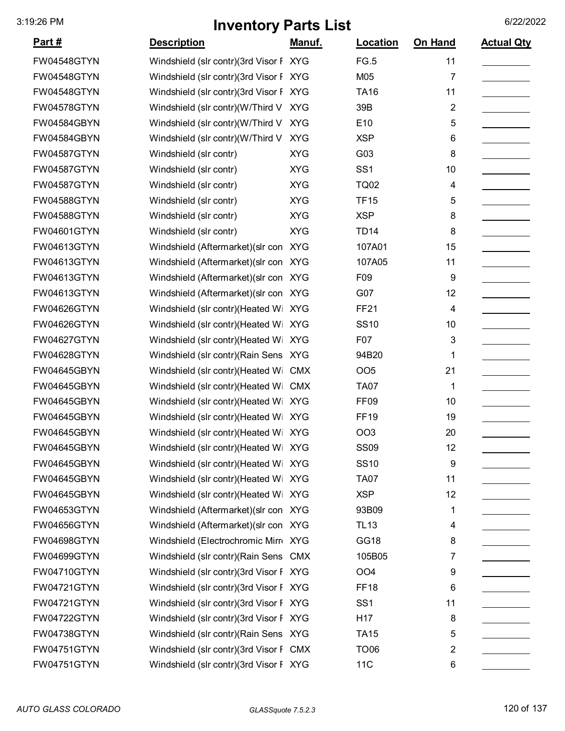| Part#              | <b>Description</b>                     | <u>Manuf.</u> | Location         | On Hand                 | <b>Actual Qty</b> |
|--------------------|----------------------------------------|---------------|------------------|-------------------------|-------------------|
|                    |                                        |               |                  |                         |                   |
| <b>FW04548GTYN</b> | Windshield (slr contr)(3rd Visor F XYG |               | FG.5             | 11                      |                   |
| <b>FW04548GTYN</b> | Windshield (slr contr)(3rd Visor F XYG |               | M05              | 7                       |                   |
| <b>FW04548GTYN</b> | Windshield (slr contr)(3rd Visor F XYG |               | <b>TA16</b>      | 11                      |                   |
| <b>FW04578GTYN</b> | Windshield (slr contr)(W/Third V       | <b>XYG</b>    | 39B              | $\overline{\mathbf{c}}$ |                   |
| FW04584GBYN        | Windshield (slr contr)(W/Third V       | <b>XYG</b>    | E10              | 5                       |                   |
| <b>FW04584GBYN</b> | Windshield (slr contr)(W/Third V       | <b>XYG</b>    | <b>XSP</b>       | 6                       |                   |
| <b>FW04587GTYN</b> | Windshield (slr contr)                 | <b>XYG</b>    | G03              | 8                       |                   |
| <b>FW04587GTYN</b> | Windshield (slr contr)                 | <b>XYG</b>    | SS <sub>1</sub>  | 10                      |                   |
| <b>FW04587GTYN</b> | Windshield (slr contr)                 | <b>XYG</b>    | <b>TQ02</b>      | 4                       |                   |
| <b>FW04588GTYN</b> | Windshield (slr contr)                 | <b>XYG</b>    | <b>TF15</b>      | 5                       |                   |
| <b>FW04588GTYN</b> | Windshield (slr contr)                 | <b>XYG</b>    | <b>XSP</b>       | 8                       |                   |
| <b>FW04601GTYN</b> | Windshield (slr contr)                 | <b>XYG</b>    | <b>TD14</b>      | 8                       |                   |
| <b>FW04613GTYN</b> | Windshield (Aftermarket) (slr con XYG  |               | 107A01           | 15                      |                   |
| FW04613GTYN        | Windshield (Aftermarket) (slr con      | <b>XYG</b>    | 107A05           | 11                      |                   |
| <b>FW04613GTYN</b> | Windshield (Aftermarket) (slr con XYG  |               | F09              | 9                       |                   |
| <b>FW04613GTYN</b> | Windshield (Aftermarket) (slr con XYG  |               | G07              | 12                      |                   |
| <b>FW04626GTYN</b> | Windshield (slr contr)(Heated Wi XYG   |               | <b>FF21</b>      | 4                       |                   |
| <b>FW04626GTYN</b> | Windshield (slr contr)(Heated Wi XYG   |               | <b>SS10</b>      | 10                      |                   |
| <b>FW04627GTYN</b> | Windshield (slr contr)(Heated Wi       | <b>XYG</b>    | F <sub>0</sub> 7 | 3                       |                   |
| <b>FW04628GTYN</b> | Windshield (slr contr) (Rain Sens XYG  |               | 94B20            | 1                       |                   |
| FW04645GBYN        | Windshield (slr contr)(Heated Wi       | <b>CMX</b>    | OO <sub>5</sub>  | 21                      |                   |
| FW04645GBYN        | Windshield (slr contr)(Heated Wi       | <b>CMX</b>    | <b>TA07</b>      | 1                       |                   |
| FW04645GBYN        | Windshield (slr contr)(Heated Wi XYG   |               | FF <sub>09</sub> | 10                      |                   |
| FW04645GBYN        | Windshield (slr contr)(Heated Wi XYG   |               | <b>FF19</b>      | 19                      |                   |
| FW04645GBYN        | Windshield (slr contr)(Heated Wi XYG   |               | <b>OO3</b>       | 20                      |                   |
| FW04645GBYN        | Windshield (slr contr)(Heated Wi XYG   |               | <b>SS09</b>      | 12                      |                   |
| FW04645GBYN        | Windshield (slr contr)(Heated Wi XYG   |               | <b>SS10</b>      | 9                       |                   |
| FW04645GBYN        | Windshield (slr contr)(Heated Wi XYG   |               | <b>TA07</b>      | 11                      |                   |
| FW04645GBYN        | Windshield (slr contr)(Heated Wi XYG   |               | <b>XSP</b>       | 12                      |                   |
| FW04653GTYN        | Windshield (Aftermarket) (slr con XYG  |               | 93B09            | 1                       |                   |
| <b>FW04656GTYN</b> | Windshield (Aftermarket) (slr con XYG  |               | <b>TL13</b>      | 4                       |                   |
| <b>FW04698GTYN</b> | Windshield (Electrochromic Mirr XYG    |               | GG18             | 8                       |                   |
| FW04699GTYN        | Windshield (slr contr)(Rain Sens CMX   |               | 105B05           | 7                       |                   |
| <b>FW04710GTYN</b> | Windshield (slr contr)(3rd Visor F XYG |               | OO <sub>4</sub>  | 9                       |                   |
| <b>FW04721GTYN</b> | Windshield (slr contr)(3rd Visor F XYG |               | <b>FF18</b>      | 6                       |                   |
| FW04721GTYN        | Windshield (slr contr)(3rd Visor F XYG |               | SS <sub>1</sub>  | 11                      |                   |
| <b>FW04722GTYN</b> | Windshield (slr contr)(3rd Visor F XYG |               | H <sub>17</sub>  | 8                       |                   |
| <b>FW04738GTYN</b> | Windshield (slr contr) (Rain Sens XYG  |               | <b>TA15</b>      | 5                       |                   |
| <b>FW04751GTYN</b> | Windshield (slr contr)(3rd Visor F CMX |               | <b>TO06</b>      | 2                       |                   |
| <b>FW04751GTYN</b> | Windshield (slr contr)(3rd Visor F XYG |               | 11C              | 6                       |                   |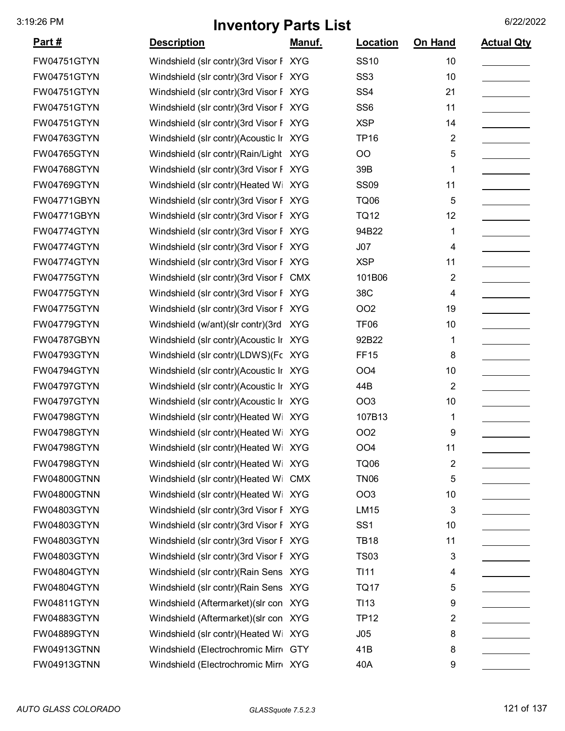| <u>Part #</u>      | <b>Description</b>                     | <u>Manuf.</u> | <b>Location</b>  | On Hand                 | <b>Actual Qty</b> |
|--------------------|----------------------------------------|---------------|------------------|-------------------------|-------------------|
| FW04751GTYN        | Windshield (slr contr)(3rd Visor F XYG |               | <b>SS10</b>      | 10                      |                   |
| FW04751GTYN        | Windshield (slr contr)(3rd Visor F XYG |               | SS <sub>3</sub>  | 10                      |                   |
| FW04751GTYN        | Windshield (slr contr)(3rd Visor F XYG |               | SS <sub>4</sub>  | 21                      |                   |
| FW04751GTYN        | Windshield (slr contr)(3rd Visor F XYG |               | SS <sub>6</sub>  | 11                      |                   |
| FW04751GTYN        | Windshield (slr contr)(3rd Visor F XYG |               | <b>XSP</b>       | 14                      |                   |
| FW04763GTYN        | Windshield (slr contr)(Acoustic Ir XYG |               | <b>TP16</b>      | 2                       |                   |
| FW04765GTYN        | Windshield (slr contr)(Rain/Light XYG  |               | OO               | 5                       |                   |
| <b>FW04768GTYN</b> | Windshield (slr contr)(3rd Visor F XYG |               | 39B              | 1                       |                   |
| FW04769GTYN        | Windshield (slr contr)(Heated Wi XYG   |               | <b>SS09</b>      | 11                      |                   |
| FW04771GBYN        | Windshield (slr contr)(3rd Visor F XYG |               | <b>TQ06</b>      | 5                       |                   |
| FW04771GBYN        | Windshield (slr contr)(3rd Visor F XYG |               | <b>TQ12</b>      | 12                      |                   |
| FW04774GTYN        | Windshield (slr contr)(3rd Visor F XYG |               | 94B22            | 1                       |                   |
| FW04774GTYN        | Windshield (slr contr)(3rd Visor F XYG |               | J07              | 4                       |                   |
| FW04774GTYN        | Windshield (slr contr)(3rd Visor F XYG |               | <b>XSP</b>       | 11                      |                   |
| FW04775GTYN        | Windshield (slr contr)(3rd Visor F CMX |               | 101B06           | $\overline{2}$          |                   |
| FW04775GTYN        | Windshield (slr contr)(3rd Visor F XYG |               | 38C              | 4                       |                   |
| FW04775GTYN        | Windshield (slr contr)(3rd Visor F XYG |               | OO <sub>2</sub>  | 19                      |                   |
| FW04779GTYN        | Windshield (w/ant)(slr contr)(3rd      | <b>XYG</b>    | <b>TF06</b>      | 10                      |                   |
| FW04787GBYN        | Windshield (slr contr)(Acoustic Ir XYG |               | 92B22            | 1                       |                   |
| FW04793GTYN        | Windshield (slr contr)(LDWS)(Fc XYG    |               | <b>FF15</b>      | 8                       |                   |
| FW04794GTYN        | Windshield (slr contr)(Acoustic Ir XYG |               | OO <sub>4</sub>  | 10                      |                   |
| FW04797GTYN        | Windshield (slr contr)(Acoustic Ir XYG |               | 44B              | $\overline{2}$          |                   |
| FW04797GTYN        | Windshield (slr contr)(Acoustic Ir XYG |               | OO <sub>3</sub>  | 10                      |                   |
| FW04798GTYN        | Windshield (slr contr)(Heated Wi XYG   |               | 107B13           | 1                       |                   |
| <b>FW04798GTYN</b> | Windshield (slr contr)(Heated Wi XYG   |               | OO <sub>2</sub>  | 9                       |                   |
| FW04798GTYN        | Windshield (slr contr)(Heated Wi XYG   |               | OO <sub>4</sub>  | 11                      |                   |
| FW04798GTYN        | Windshield (slr contr)(Heated Wi XYG   |               | <b>TQ06</b>      | $\overline{\mathbf{c}}$ |                   |
| FW04800GTNN        | Windshield (slr contr)(Heated Wi CMX   |               | <b>TN06</b>      | 5                       |                   |
| FW04800GTNN        | Windshield (slr contr)(Heated Wi XYG   |               | OO <sub>3</sub>  | 10                      |                   |
| FW04803GTYN        | Windshield (slr contr)(3rd Visor F XYG |               | <b>LM15</b>      | 3                       |                   |
| FW04803GTYN        | Windshield (slr contr)(3rd Visor F XYG |               | SS <sub>1</sub>  | 10                      |                   |
| FW04803GTYN        | Windshield (slr contr)(3rd Visor F XYG |               | <b>TB18</b>      | 11                      |                   |
| FW04803GTYN        | Windshield (slr contr)(3rd Visor F XYG |               | <b>TS03</b>      | 3                       |                   |
| FW04804GTYN        | Windshield (slr contr) (Rain Sens XYG  |               | <b>TI11</b>      | 4                       |                   |
| FW04804GTYN        | Windshield (slr contr) (Rain Sens XYG  |               | <b>TQ17</b>      | 5                       |                   |
| FW04811GTYN        | Windshield (Aftermarket) (slr con XYG  |               | TI <sub>13</sub> | 9                       |                   |
| FW04883GTYN        | Windshield (Aftermarket) (slr con XYG  |               | <b>TP12</b>      | 2                       |                   |
| FW04889GTYN        | Windshield (slr contr)(Heated Wi XYG   |               | J05              | 8                       |                   |
| FW04913GTNN        | Windshield (Electrochromic Mirr GTY    |               | 41B              | 8                       |                   |
| FW04913GTNN        | Windshield (Electrochromic Mirr XYG    |               | 40A              | 9                       |                   |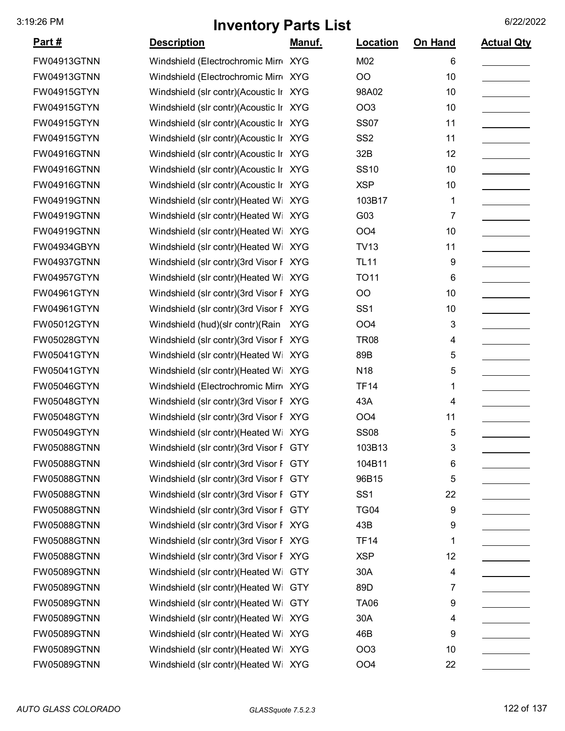| <u>Part #</u>      | <b>Description</b>                     | Manuf.     | Location        | On Hand | <b>Actual Qty</b> |
|--------------------|----------------------------------------|------------|-----------------|---------|-------------------|
| FW04913GTNN        | Windshield (Electrochromic Mirr XYG    |            | M02             | 6       |                   |
| <b>FW04913GTNN</b> | Windshield (Electrochromic Mirr XYG    |            | O <sub>O</sub>  | 10      |                   |
| <b>FW04915GTYN</b> | Windshield (slr contr)(Acoustic Ir XYG |            | 98A02           | 10      |                   |
| FW04915GTYN        | Windshield (slr contr)(Acoustic Ir XYG |            | OO <sub>3</sub> | 10      |                   |
| <b>FW04915GTYN</b> | Windshield (slr contr)(Acoustic Ir XYG |            | <b>SS07</b>     | 11      |                   |
| FW04915GTYN        | Windshield (slr contr)(Acoustic Ir XYG |            | SS <sub>2</sub> | 11      |                   |
| FW04916GTNN        | Windshield (slr contr)(Acoustic Ir XYG |            | 32B             | 12      |                   |
| FW04916GTNN        | Windshield (slr contr)(Acoustic Ir XYG |            | <b>SS10</b>     | 10      |                   |
| FW04916GTNN        | Windshield (slr contr)(Acoustic Ir XYG |            | <b>XSP</b>      | 10      |                   |
| FW04919GTNN        | Windshield (slr contr)(Heated Wi XYG   |            | 103B17          | 1       |                   |
| FW04919GTNN        | Windshield (slr contr)(Heated Wi XYG   |            | G03             | 7       |                   |
| FW04919GTNN        | Windshield (slr contr)(Heated Wi XYG   |            | OO <sub>4</sub> | 10      |                   |
| FW04934GBYN        | Windshield (slr contr)(Heated Wi XYG   |            | <b>TV13</b>     | 11      |                   |
| FW04937GTNN        | Windshield (slr contr)(3rd Visor F XYG |            | <b>TL11</b>     | 9       |                   |
| FW04957GTYN        | Windshield (slr contr)(Heated Wi XYG   |            | <b>TO11</b>     | 6       |                   |
| <b>FW04961GTYN</b> | Windshield (slr contr)(3rd Visor F XYG |            | O <sub>O</sub>  | 10      |                   |
| FW04961GTYN        | Windshield (slr contr)(3rd Visor F XYG |            | SS <sub>1</sub> | 10      |                   |
| FW05012GTYN        | Windshield (hud)(slr contr)(Rain       | <b>XYG</b> | OO <sub>4</sub> | 3       |                   |
| FW05028GTYN        | Windshield (slr contr)(3rd Visor F XYG |            | <b>TR08</b>     | 4       |                   |
| FW05041GTYN        | Windshield (slr contr)(Heated Wi       | <b>XYG</b> | 89B             | 5       |                   |
| FW05041GTYN        | Windshield (slr contr)(Heated Wi XYG   |            | N <sub>18</sub> | 5       |                   |
| FW05046GTYN        | Windshield (Electrochromic Mirr XYG    |            | <b>TF14</b>     | 1       |                   |
| <b>FW05048GTYN</b> | Windshield (slr contr)(3rd Visor F XYG |            | 43A             | 4       |                   |
| FW05048GTYN        | Windshield (slr contr)(3rd Visor F XYG |            | OO <sub>4</sub> | 11      |                   |
| <b>FW05049GTYN</b> | Windshield (slr contr)(Heated Wi XYG   |            | <b>SS08</b>     | 5       |                   |
| <b>FW05088GTNN</b> | Windshield (slr contr)(3rd Visor F GTY |            | 103B13          | 3       |                   |
| <b>FW05088GTNN</b> | Windshield (slr contr)(3rd Visor F GTY |            | 104B11          | 6       |                   |
| FW05088GTNN        | Windshield (slr contr)(3rd Visor F GTY |            | 96B15           | 5       |                   |
| <b>FW05088GTNN</b> | Windshield (slr contr)(3rd Visor F GTY |            | SS <sub>1</sub> | 22      |                   |
| FW05088GTNN        | Windshield (slr contr)(3rd Visor F GTY |            | <b>TG04</b>     | 9       |                   |
| FW05088GTNN        | Windshield (slr contr)(3rd Visor F XYG |            | 43B             | 9       |                   |
| FW05088GTNN        | Windshield (slr contr)(3rd Visor F XYG |            | <b>TF14</b>     | 1       |                   |
| FW05088GTNN        | Windshield (slr contr)(3rd Visor F XYG |            | <b>XSP</b>      | 12      |                   |
| <b>FW05089GTNN</b> | Windshield (slr contr)(Heated Wi       | <b>GTY</b> | 30A             | 4       |                   |
| FW05089GTNN        | Windshield (slr contr)(Heated Wi       | <b>GTY</b> | 89D             | 7       |                   |
| <b>FW05089GTNN</b> | Windshield (slr contr)(Heated Wi       | <b>GTY</b> | <b>TA06</b>     | 9       |                   |
| FW05089GTNN        | Windshield (slr contr)(Heated Wi XYG   |            | 30A             | 4       |                   |
| FW05089GTNN        | Windshield (slr contr)(Heated Wi XYG   |            | 46B             | 9       |                   |
| FW05089GTNN        | Windshield (slr contr)(Heated Wi XYG   |            | OO <sub>3</sub> | 10      |                   |
| FW05089GTNN        | Windshield (slr contr)(Heated Wi XYG   |            | OO <sub>4</sub> | 22      |                   |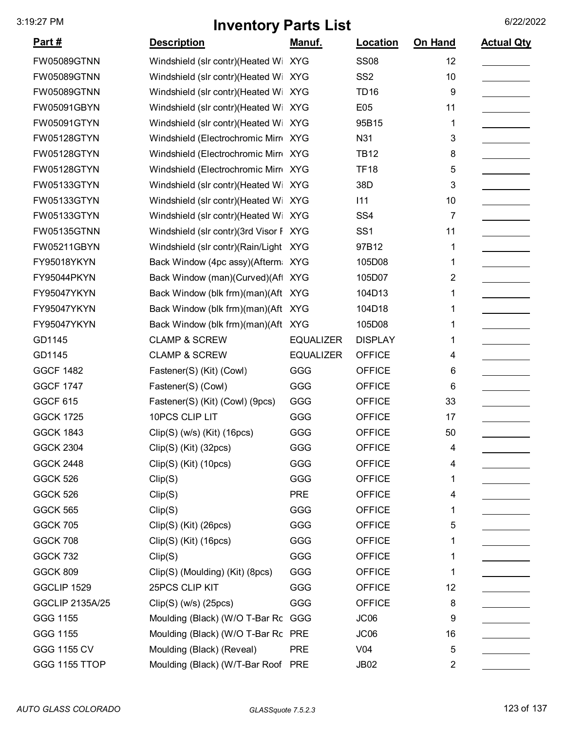| <u>Part #</u>          | <b>Description</b>                     | Manuf.           | Location        | On Hand        | <b>Actual Qty</b> |
|------------------------|----------------------------------------|------------------|-----------------|----------------|-------------------|
| <b>FW05089GTNN</b>     | Windshield (slr contr)(Heated Wi       | <b>XYG</b>       | <b>SS08</b>     | 12             |                   |
| <b>FW05089GTNN</b>     | Windshield (slr contr)(Heated Wi XYG   |                  | SS <sub>2</sub> | 10             |                   |
| <b>FW05089GTNN</b>     | Windshield (slr contr) (Heated Wi      | <b>XYG</b>       | <b>TD16</b>     | 9              |                   |
| FW05091GBYN            | Windshield (slr contr)(Heated Wi       | <b>XYG</b>       | E05             | 11             |                   |
| <b>FW05091GTYN</b>     | Windshield (slr contr) (Heated Wi      | <b>XYG</b>       | 95B15           | 1              |                   |
| <b>FW05128GTYN</b>     | Windshield (Electrochromic Mirro XYG   |                  | N31             | 3              |                   |
| <b>FW05128GTYN</b>     | Windshield (Electrochromic Mirr XYG    |                  | <b>TB12</b>     | 8              |                   |
| <b>FW05128GTYN</b>     | Windshield (Electrochromic Mirro       | <b>XYG</b>       | <b>TF18</b>     | 5              |                   |
| FW05133GTYN            | Windshield (slr contr)(Heated Wi       | <b>XYG</b>       | 38D             | 3              |                   |
| FW05133GTYN            | Windshield (slr contr)(Heated Wi       | <b>XYG</b>       | 111             | 10             |                   |
| FW05133GTYN            | Windshield (slr contr)(Heated Wi XYG   |                  | SS <sub>4</sub> | 7              |                   |
| <b>FW05135GTNN</b>     | Windshield (slr contr)(3rd Visor F XYG |                  | SS <sub>1</sub> | 11             |                   |
| FW05211GBYN            | Windshield (slr contr)(Rain/Light      | <b>XYG</b>       | 97B12           | 1              |                   |
| FY95018YKYN            | Back Window (4pc assy)(Afterm XYG      |                  | 105D08          | 1              |                   |
| FY95044PKYN            | Back Window (man)(Curved)(Aft          | <b>XYG</b>       | 105D07          | $\overline{2}$ |                   |
| FY95047YKYN            | Back Window (blk frm)(man)(Aft XYG     |                  | 104D13          | 1              |                   |
| FY95047YKYN            | Back Window (blk frm)(man)(Aft XYG     |                  | 104D18          | 1              |                   |
| FY95047YKYN            | Back Window (blk frm)(man)(Aft XYG     |                  | 105D08          | 1              |                   |
| GD1145                 | <b>CLAMP &amp; SCREW</b>               | <b>EQUALIZER</b> | <b>DISPLAY</b>  | 1              |                   |
| GD1145                 | <b>CLAMP &amp; SCREW</b>               | <b>EQUALIZER</b> | <b>OFFICE</b>   | 4              |                   |
| <b>GGCF 1482</b>       | Fastener(S) (Kit) (Cowl)               | GGG              | <b>OFFICE</b>   | 6              |                   |
| <b>GGCF 1747</b>       | Fastener(S) (Cowl)                     | GGG              | <b>OFFICE</b>   | 6              |                   |
| <b>GGCF 615</b>        | Fastener(S) (Kit) (Cowl) (9pcs)        | GGG              | <b>OFFICE</b>   | 33             |                   |
| <b>GGCK 1725</b>       | 10PCS CLIP LIT                         | GGG              | <b>OFFICE</b>   | 17             |                   |
| <b>GGCK 1843</b>       | Clip(S) (w/s) (Kit) (16pcs)            | GGG              | <b>OFFICE</b>   | 50             |                   |
| <b>GGCK 2304</b>       | Clip(S) (Kit) (32pcs)                  | GGG              | <b>OFFICE</b>   | 4              |                   |
| <b>GGCK 2448</b>       | Clip(S) (Kit) (10pcs)                  | GGG              | <b>OFFICE</b>   | 4              |                   |
| GGCK 526               | Clip(S)                                | GGG              | <b>OFFICE</b>   |                |                   |
| GGCK 526               | Clip(S)                                | <b>PRE</b>       | <b>OFFICE</b>   | 4              |                   |
| <b>GGCK 565</b>        | Clip(S)                                | GGG              | <b>OFFICE</b>   |                |                   |
| <b>GGCK 705</b>        | Clip(S) (Kit) (26pcs)                  | GGG              | <b>OFFICE</b>   | 5              |                   |
| <b>GGCK 708</b>        | Clip(S) (Kit) (16pcs)                  | GGG              | <b>OFFICE</b>   |                |                   |
| <b>GGCK 732</b>        | Clip(S)                                | GGG              | <b>OFFICE</b>   | 1              |                   |
| <b>GGCK 809</b>        | Clip(S) (Moulding) (Kit) (8pcs)        | GGG              | <b>OFFICE</b>   | 1              |                   |
| GGCLIP 1529            | 25PCS CLIP KIT                         | GGG              | <b>OFFICE</b>   | 12             |                   |
| <b>GGCLIP 2135A/25</b> | $Clip(S)$ (w/s) (25pcs)                | GGG              | <b>OFFICE</b>   | 8              |                   |
| GGG 1155               | Moulding (Black) (W/O T-Bar Rc GGG     |                  | JC06            | 9              |                   |
| GGG 1155               | Moulding (Black) (W/O T-Bar Rc PRE     |                  | JC06            | 16             |                   |
| GGG 1155 CV            | Moulding (Black) (Reveal)              | <b>PRE</b>       | V <sub>04</sub> | 5              |                   |
| <b>GGG 1155 TTOP</b>   | Moulding (Black) (W/T-Bar Roof PRE     |                  | <b>JB02</b>     | 2              |                   |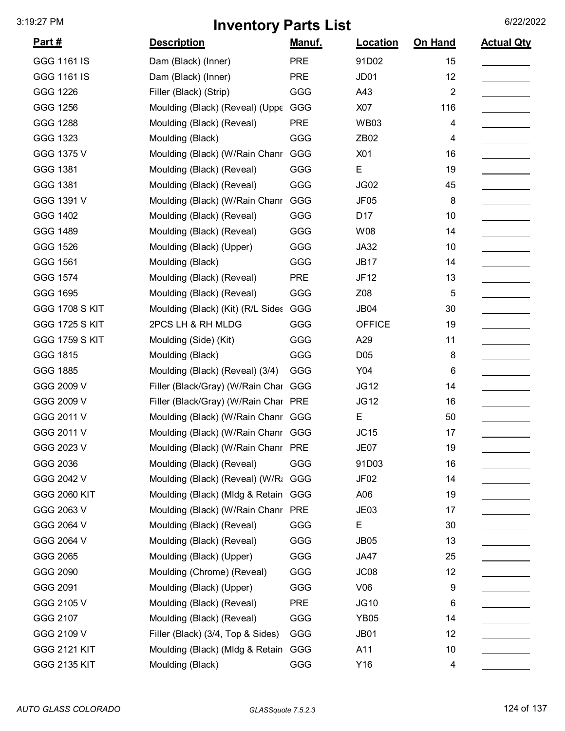| <u>Part #</u>         | <b>Description</b>                   | Manuf.     | Location         | On Hand        | <b>Actual Qty</b> |
|-----------------------|--------------------------------------|------------|------------------|----------------|-------------------|
| GGG 1161 IS           | Dam (Black) (Inner)                  | <b>PRE</b> | 91D02            | 15             |                   |
| GGG 1161 IS           | Dam (Black) (Inner)                  | <b>PRE</b> | JD01             | 12             |                   |
| GGG 1226              | Filler (Black) (Strip)               | GGG        | A43              | $\overline{2}$ |                   |
| GGG 1256              | Moulding (Black) (Reveal) (Uppe      | <b>GGG</b> | X07              | 116            |                   |
| GGG 1288              | Moulding (Black) (Reveal)            | <b>PRE</b> | <b>WB03</b>      | 4              |                   |
| GGG 1323              | Moulding (Black)                     | GGG        | ZB <sub>02</sub> | 4              |                   |
| GGG 1375 V            | Moulding (Black) (W/Rain Chanr       | GGG        | X01              | 16             |                   |
| GGG 1381              | Moulding (Black) (Reveal)            | GGG        | E                | 19             |                   |
| GGG 1381              | Moulding (Black) (Reveal)            | GGG        | JG02             | 45             |                   |
| GGG 1391 V            | Moulding (Black) (W/Rain Chanr       | GGG        | <b>JF05</b>      | 8              |                   |
| GGG 1402              | Moulding (Black) (Reveal)            | GGG        | D <sub>17</sub>  | 10             |                   |
| GGG 1489              | Moulding (Black) (Reveal)            | GGG        | W08              | 14             |                   |
| GGG 1526              | Moulding (Black) (Upper)             | GGG        | <b>JA32</b>      | 10             |                   |
| GGG 1561              | Moulding (Black)                     | GGG        | <b>JB17</b>      | 14             |                   |
| GGG 1574              | Moulding (Black) (Reveal)            | <b>PRE</b> | <b>JF12</b>      | 13             |                   |
| GGG 1695              | Moulding (Black) (Reveal)            | GGG        | Z08              | 5              |                   |
| <b>GGG 1708 S KIT</b> | Moulding (Black) (Kit) (R/L Sides    | GGG        | <b>JB04</b>      | 30             |                   |
| <b>GGG 1725 S KIT</b> | 2PCS LH & RH MLDG                    | GGG        | <b>OFFICE</b>    | 19             |                   |
| <b>GGG 1759 S KIT</b> | Moulding (Side) (Kit)                | GGG        | A29              | 11             |                   |
| GGG 1815              | Moulding (Black)                     | GGG        | D <sub>05</sub>  | 8              |                   |
| GGG 1885              | Moulding (Black) (Reveal) (3/4)      | GGG        | Y04              | 6              |                   |
| GGG 2009 V            | Filler (Black/Gray) (W/Rain Char     | GGG        | <b>JG12</b>      | 14             |                   |
| GGG 2009 V            | Filler (Black/Gray) (W/Rain Char PRE |            | <b>JG12</b>      | 16             |                   |
| GGG 2011 V            | Moulding (Black) (W/Rain Chanr       | GGG        | E                | 50             |                   |
| GGG 2011 V            | Moulding (Black) (W/Rain Chanr       | GGG        | JC15             | 17             |                   |
| GGG 2023 V            | Moulding (Black) (W/Rain Chanr       | <b>PRE</b> | <b>JE07</b>      | 19             |                   |
| GGG 2036              | Moulding (Black) (Reveal)            | GGG        | 91D03            | 16             |                   |
| GGG 2042 V            | Moulding (Black) (Reveal) (W/Ra      | GGG        | JF <sub>02</sub> | 14             |                   |
| GGG 2060 KIT          | Moulding (Black) (MIdg & Retain      | GGG        | A06              | 19             |                   |
| GGG 2063 V            | Moulding (Black) (W/Rain Chanr       | <b>PRE</b> | JE <sub>03</sub> | 17             |                   |
| GGG 2064 V            | Moulding (Black) (Reveal)            | GGG        | E                | 30             |                   |
| GGG 2064 V            | Moulding (Black) (Reveal)            | GGG        | <b>JB05</b>      | 13             |                   |
| GGG 2065              | Moulding (Black) (Upper)             | GGG        | JA47             | 25             |                   |
| GGG 2090              | Moulding (Chrome) (Reveal)           | GGG        | JC <sub>08</sub> | 12             |                   |
| GGG 2091              | Moulding (Black) (Upper)             | GGG        | V06              | 9              |                   |
| GGG 2105 V            | Moulding (Black) (Reveal)            | <b>PRE</b> | <b>JG10</b>      | 6              |                   |
| GGG 2107              | Moulding (Black) (Reveal)            | GGG        | <b>YB05</b>      | 14             |                   |
| GGG 2109 V            | Filler (Black) (3/4, Top & Sides)    | GGG        | <b>JB01</b>      | 12             |                   |
| <b>GGG 2121 KIT</b>   | Moulding (Black) (MIdg & Retain      | GGG        | A11              | 10             |                   |
| <b>GGG 2135 KIT</b>   | Moulding (Black)                     | GGG        | Y16              | 4              |                   |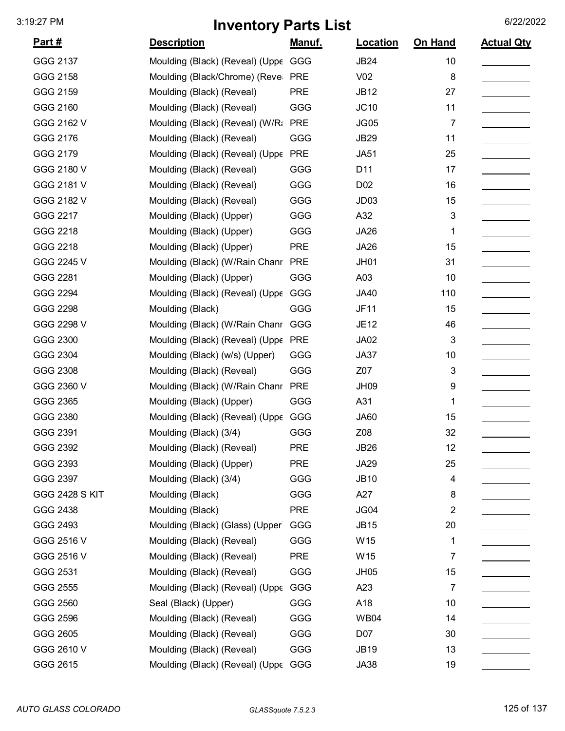| <u>Part #</u>         | <b>Description</b>                  | <u>Manuf.</u> | Location         | On Hand        | <b>Actual Qty</b> |
|-----------------------|-------------------------------------|---------------|------------------|----------------|-------------------|
| GGG 2137              | Moulding (Black) (Reveal) (Uppe     | GGG           | <b>JB24</b>      | 10             |                   |
| GGG 2158              | Moulding (Black/Chrome) (Reve       | <b>PRE</b>    | V <sub>02</sub>  | 8              |                   |
| GGG 2159              | Moulding (Black) (Reveal)           | <b>PRE</b>    | <b>JB12</b>      | 27             |                   |
| GGG 2160              | Moulding (Black) (Reveal)           | GGG           | JC10             | 11             |                   |
| GGG 2162 V            | Moulding (Black) (Reveal) (W/Ra     | <b>PRE</b>    | <b>JG05</b>      | 7              |                   |
| GGG 2176              | Moulding (Black) (Reveal)           | GGG           | <b>JB29</b>      | 11             |                   |
| GGG 2179              | Moulding (Black) (Reveal) (Uppe     | <b>PRE</b>    | <b>JA51</b>      | 25             |                   |
| GGG 2180 V            | Moulding (Black) (Reveal)           | GGG           | D <sub>11</sub>  | 17             |                   |
| GGG 2181 V            | Moulding (Black) (Reveal)           | GGG           | D <sub>02</sub>  | 16             |                   |
| GGG 2182 V            | Moulding (Black) (Reveal)           | GGG           | JD <sub>03</sub> | 15             |                   |
| GGG 2217              | Moulding (Black) (Upper)            | GGG           | A32              | 3              |                   |
| GGG 2218              | Moulding (Black) (Upper)            | GGG           | <b>JA26</b>      | 1              |                   |
| GGG 2218              | Moulding (Black) (Upper)            | <b>PRE</b>    | <b>JA26</b>      | 15             |                   |
| GGG 2245 V            | Moulding (Black) (W/Rain Chanr      | <b>PRE</b>    | <b>JH01</b>      | 31             |                   |
| GGG 2281              | Moulding (Black) (Upper)            | GGG           | A03              | 10             |                   |
| GGG 2294              | Moulding (Black) (Reveal) (Uppe     | GGG           | <b>JA40</b>      | 110            |                   |
| GGG 2298              | Moulding (Black)                    | GGG           | <b>JF11</b>      | 15             |                   |
| GGG 2298 V            | Moulding (Black) (W/Rain Chanr      | GGG           | <b>JE12</b>      | 46             |                   |
| GGG 2300              | Moulding (Black) (Reveal) (Uppe     | <b>PRE</b>    | JA02             | 3              |                   |
| GGG 2304              | Moulding (Black) (w/s) (Upper)      | GGG           | <b>JA37</b>      | 10             |                   |
| GGG 2308              | Moulding (Black) (Reveal)           | GGG           | Z07              | 3              |                   |
| GGG 2360 V            | Moulding (Black) (W/Rain Chanr      | <b>PRE</b>    | <b>JH09</b>      | 9              |                   |
| GGG 2365              | Moulding (Black) (Upper)            | GGG           | A31              | 1              |                   |
| GGG 2380              | Moulding (Black) (Reveal) (Uppe     | GGG           | <b>JA60</b>      | 15             |                   |
| GGG 2391              | Moulding (Black) (3/4)              | GGG           | Z08              | 32             |                   |
| GGG 2392              | Moulding (Black) (Reveal)           | <b>PRE</b>    | JB26             | 12             |                   |
| GGG 2393              | Moulding (Black) (Upper)            | <b>PRE</b>    | <b>JA29</b>      | 25             |                   |
| GGG 2397              | Moulding (Black) (3/4)              | GGG           | <b>JB10</b>      | 4              |                   |
| <b>GGG 2428 S KIT</b> | Moulding (Black)                    | GGG           | A27              | 8              |                   |
| GGG 2438              | Moulding (Black)                    | <b>PRE</b>    | JG04             | 2              |                   |
| GGG 2493              | Moulding (Black) (Glass) (Upper     | GGG           | <b>JB15</b>      | 20             |                   |
| GGG 2516 V            | Moulding (Black) (Reveal)           | GGG           | W15              | 1              |                   |
| GGG 2516 V            | Moulding (Black) (Reveal)           | <b>PRE</b>    | W15              | 7              |                   |
| GGG 2531              | Moulding (Black) (Reveal)           | GGG           | JH <sub>05</sub> | 15             |                   |
| GGG 2555              | Moulding (Black) (Reveal) (Uppe     | GGG           | A23              | $\overline{7}$ |                   |
| GGG 2560              | Seal (Black) (Upper)                | GGG           | A18              | 10             |                   |
| GGG 2596              | Moulding (Black) (Reveal)           | GGG           | <b>WB04</b>      | 14             |                   |
| GGG 2605              | Moulding (Black) (Reveal)           | GGG           | D07              | 30             |                   |
| GGG 2610 V            | Moulding (Black) (Reveal)           | GGG           | <b>JB19</b>      | 13             |                   |
| GGG 2615              | Moulding (Black) (Reveal) (Uppe GGG |               | <b>JA38</b>      | 19             |                   |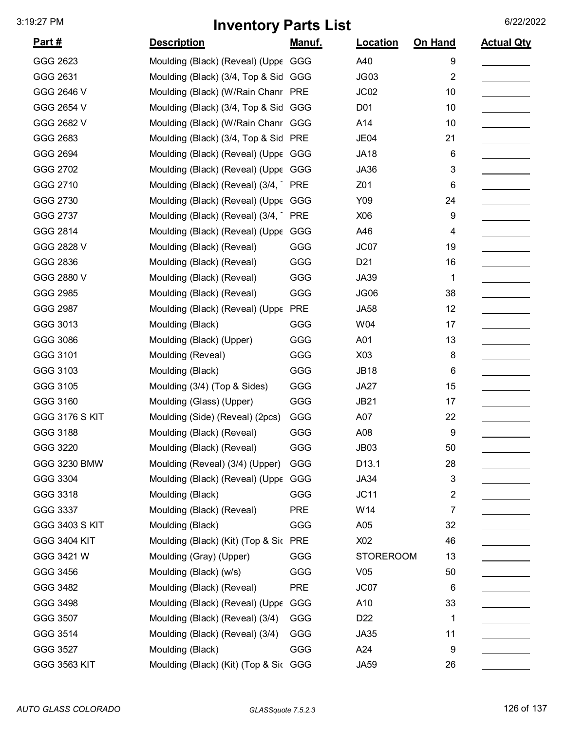| <u>Part #</u>         | <b>Description</b>                    | <u>Manuf.</u> | Location         | On Hand                   | <b>Actual Qty</b> |
|-----------------------|---------------------------------------|---------------|------------------|---------------------------|-------------------|
| GGG 2623              | Moulding (Black) (Reveal) (Uppe GGG   |               | A40              | 9                         |                   |
| GGG 2631              | Moulding (Black) (3/4, Top & Sid GGG  |               | <b>JG03</b>      | $\overline{2}$            |                   |
| GGG 2646 V            | Moulding (Black) (W/Rain Chanr PRE    |               | JC <sub>02</sub> | 10                        |                   |
| GGG 2654 V            | Moulding (Black) (3/4, Top & Sid      | GGG           | D01              | 10                        |                   |
| GGG 2682 V            | Moulding (Black) (W/Rain Chanr GGG    |               | A14              | 10                        |                   |
| GGG 2683              | Moulding (Black) (3/4, Top & Sid      | <b>PRE</b>    | JE04             | 21                        |                   |
| GGG 2694              | Moulding (Black) (Reveal) (Uppe GGG   |               | <b>JA18</b>      | 6                         |                   |
| GGG 2702              | Moulding (Black) (Reveal) (Uppe GGG   |               | <b>JA36</b>      | 3                         |                   |
| GGG 2710              | Moulding (Black) (Reveal) (3/4,       | <b>PRE</b>    | Z01              | 6                         |                   |
| GGG 2730              | Moulding (Black) (Reveal) (Uppe GGG   |               | Y09              | 24                        |                   |
| GGG 2737              | Moulding (Black) (Reveal) (3/4,       | <b>PRE</b>    | X06              | 9                         |                   |
| GGG 2814              | Moulding (Black) (Reveal) (Uppe       | GGG           | A46              | 4                         |                   |
| GGG 2828 V            | Moulding (Black) (Reveal)             | GGG           | JC07             | 19                        |                   |
| GGG 2836              | Moulding (Black) (Reveal)             | GGG           | D <sub>21</sub>  | 16                        |                   |
| GGG 2880 V            | Moulding (Black) (Reveal)             | GGG           | <b>JA39</b>      | 1                         |                   |
| GGG 2985              | Moulding (Black) (Reveal)             | GGG           | JG06             | 38                        |                   |
| GGG 2987              | Moulding (Black) (Reveal) (Uppe       | <b>PRE</b>    | <b>JA58</b>      | 12                        |                   |
| GGG 3013              | Moulding (Black)                      | GGG           | W04              | 17                        |                   |
| GGG 3086              | Moulding (Black) (Upper)              | GGG           | A01              | 13                        |                   |
| GGG 3101              | Moulding (Reveal)                     | GGG           | X03              | 8                         |                   |
| GGG 3103              | Moulding (Black)                      | GGG           | <b>JB18</b>      | 6                         |                   |
| GGG 3105              | Moulding (3/4) (Top & Sides)          | GGG           | JA27             | 15                        |                   |
| GGG 3160              | Moulding (Glass) (Upper)              | GGG           | <b>JB21</b>      | 17                        |                   |
| <b>GGG 3176 S KIT</b> | Moulding (Side) (Reveal) (2pcs)       | GGG           | A07              | 22                        |                   |
| GGG 3188              | Moulding (Black) (Reveal)             | GGG           | A08              | 9                         |                   |
| GGG 3220              | Moulding (Black) (Reveal)             | GGG           | JB <sub>03</sub> | 50                        |                   |
| GGG 3230 BMW          | Moulding (Reveal) (3/4) (Upper)       | GGG           | D13.1            | 28                        |                   |
| GGG 3304              | Moulding (Black) (Reveal) (Uppe GGG   |               | <b>JA34</b>      | $\ensuremath{\mathsf{3}}$ |                   |
| GGG 3318              | Moulding (Black)                      | GGG           | JC11             | $\overline{2}$            |                   |
| GGG 3337              | Moulding (Black) (Reveal)             | <b>PRE</b>    | W14              | $\overline{7}$            |                   |
| <b>GGG 3403 S KIT</b> | Moulding (Black)                      | GGG           | A05              | 32                        |                   |
| <b>GGG 3404 KIT</b>   | Moulding (Black) (Kit) (Top & Sic PRE |               | X02              | 46                        |                   |
| GGG 3421 W            | Moulding (Gray) (Upper)               | GGG           | <b>STOREROOM</b> | 13                        |                   |
| GGG 3456              | Moulding (Black) (w/s)                | GGG           | V05              | 50                        |                   |
| GGG 3482              | Moulding (Black) (Reveal)             | <b>PRE</b>    | JC07             | 6                         |                   |
| GGG 3498              | Moulding (Black) (Reveal) (Uppe       | GGG           | A10              | 33                        |                   |
| GGG 3507              | Moulding (Black) (Reveal) (3/4)       | GGG           | D <sub>22</sub>  | 1                         |                   |
| GGG 3514              | Moulding (Black) (Reveal) (3/4)       | GGG           | <b>JA35</b>      | 11                        |                   |
| GGG 3527              | Moulding (Black)                      | GGG           | A24              | 9                         |                   |
| GGG 3563 KIT          | Moulding (Black) (Kit) (Top & Sic GGG |               | <b>JA59</b>      | 26                        |                   |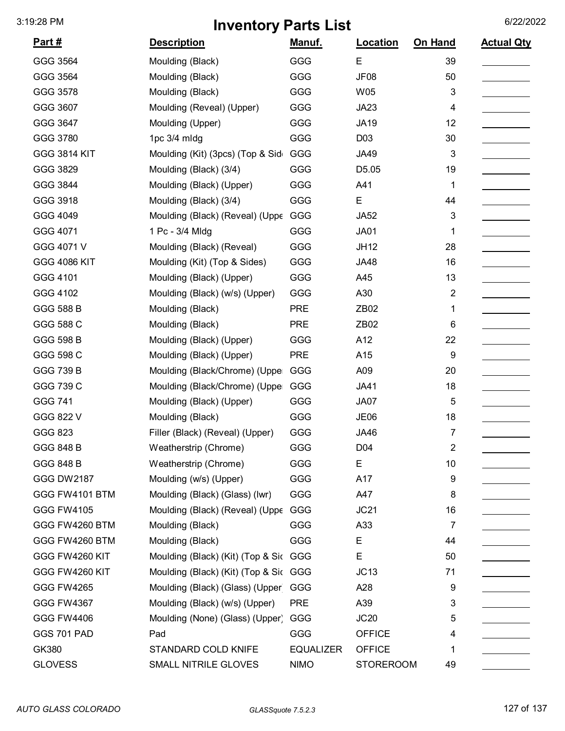| <u>Part #</u>       | <b>Description</b>                    | <u>Manuf.</u>    | Location         | On Hand        | <b>Actual Qty</b> |
|---------------------|---------------------------------------|------------------|------------------|----------------|-------------------|
| GGG 3564            | Moulding (Black)                      | GGG              | E                | 39             |                   |
| GGG 3564            | Moulding (Black)                      | GGG              | JF08             | 50             |                   |
| GGG 3578            | Moulding (Black)                      | GGG              | <b>W05</b>       | 3              |                   |
| GGG 3607            | Moulding (Reveal) (Upper)             | GGG              | <b>JA23</b>      | 4              |                   |
| GGG 3647            | Moulding (Upper)                      | GGG              | <b>JA19</b>      | 12             |                   |
| GGG 3780            | 1pc 3/4 mldg                          | GGG              | D03              | 30             |                   |
| <b>GGG 3814 KIT</b> | Moulding (Kit) (3pcs) (Top & Sid      | GGG              | <b>JA49</b>      | 3              |                   |
| GGG 3829            | Moulding (Black) (3/4)                | GGG              | D5.05            | 19             |                   |
| GGG 3844            | Moulding (Black) (Upper)              | GGG              | A41              | 1              |                   |
| GGG 3918            | Moulding (Black) (3/4)                | GGG              | Е                | 44             |                   |
| GGG 4049            | Moulding (Black) (Reveal) (Uppe       | GGG              | <b>JA52</b>      | 3              |                   |
| GGG 4071            | 1 Pc - 3/4 Mldg                       | GGG              | <b>JA01</b>      | 1              |                   |
| GGG 4071 V          | Moulding (Black) (Reveal)             | GGG              | <b>JH12</b>      | 28             |                   |
| <b>GGG 4086 KIT</b> | Moulding (Kit) (Top & Sides)          | GGG              | <b>JA48</b>      | 16             |                   |
| GGG 4101            | Moulding (Black) (Upper)              | GGG              | A45              | 13             |                   |
| GGG 4102            | Moulding (Black) (w/s) (Upper)        | GGG              | A30              | $\overline{2}$ |                   |
| <b>GGG 588 B</b>    | Moulding (Black)                      | <b>PRE</b>       | ZB02             | 1              |                   |
| GGG 588 C           | Moulding (Black)                      | <b>PRE</b>       | ZB02             | 6              |                   |
| <b>GGG 598 B</b>    | Moulding (Black) (Upper)              | GGG              | A12              | 22             |                   |
| GGG 598 C           | Moulding (Black) (Upper)              | <b>PRE</b>       | A15              | 9              |                   |
| <b>GGG 739 B</b>    | Moulding (Black/Chrome) (Uppe         | GGG              | A09              | 20             |                   |
| GGG 739 C           | Moulding (Black/Chrome) (Uppe         | GGG              | <b>JA41</b>      | 18             |                   |
| GGG 741             | Moulding (Black) (Upper)              | GGG              | JA07             | 5              |                   |
| GGG 822 V           | Moulding (Black)                      | GGG              | <b>JE06</b>      | 18             |                   |
| GGG 823             | Filler (Black) (Reveal) (Upper)       | GGG              | <b>JA46</b>      | 7              |                   |
| <b>GGG 848 B</b>    | Weatherstrip (Chrome)                 | GGG              | D04              | 2              |                   |
| <b>GGG 848 B</b>    | Weatherstrip (Chrome)                 | GGG              | E                | 10             |                   |
| <b>GGG DW2187</b>   | Moulding (w/s) (Upper)                | GGG              | A17              | 9              |                   |
| GGG FW4101 BTM      | Moulding (Black) (Glass) (Iwr)        | GGG              | A47              | 8              |                   |
| <b>GGG FW4105</b>   | Moulding (Black) (Reveal) (Uppε       | GGG              | JC21             | 16             |                   |
| GGG FW4260 BTM      | Moulding (Black)                      | GGG              | A33              | 7              |                   |
| GGG FW4260 BTM      | Moulding (Black)                      | GGG              | Е                | 44             |                   |
| GGG FW4260 KIT      | Moulding (Black) (Kit) (Top & Sic GGG |                  | E                | 50             |                   |
| GGG FW4260 KIT      | Moulding (Black) (Kit) (Top & Sic GGG |                  | JC13             | 71             |                   |
| <b>GGG FW4265</b>   | Moulding (Black) (Glass) (Upper       | GGG              | A28              | 9              |                   |
| <b>GGG FW4367</b>   | Moulding (Black) (w/s) (Upper)        | <b>PRE</b>       | A39              | 3              |                   |
| <b>GGG FW4406</b>   | Moulding (None) (Glass) (Upper)       | GGG              | JC20             | 5              |                   |
| GGS 701 PAD         | Pad                                   | <b>GGG</b>       | <b>OFFICE</b>    | 4              |                   |
| GK380               | STANDARD COLD KNIFE                   | <b>EQUALIZER</b> | <b>OFFICE</b>    | 1              |                   |
| <b>GLOVESS</b>      | SMALL NITRILE GLOVES                  | <b>NIMO</b>      | <b>STOREROOM</b> | 49             |                   |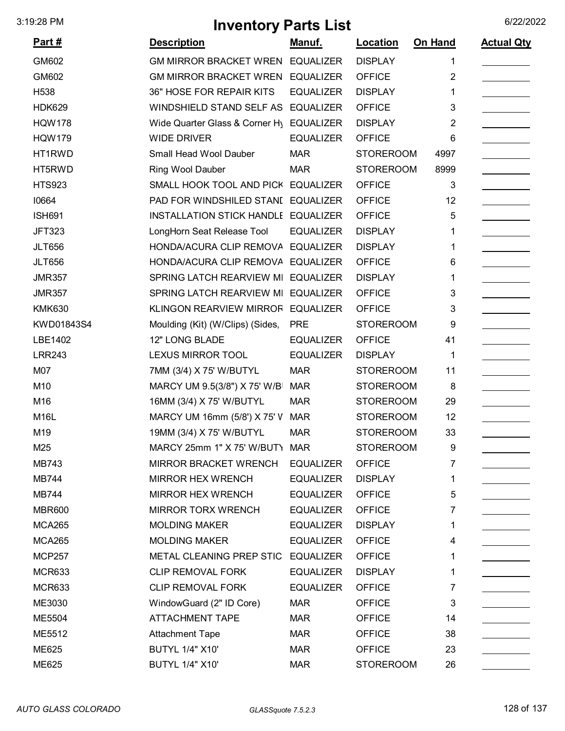| <u>Part #</u> | <b>Description</b>                  | <u>Manuf.</u>    | <b>Location</b>  | On Hand        | <b>Actual Qty</b> |
|---------------|-------------------------------------|------------------|------------------|----------------|-------------------|
| GM602         | GM MIRROR BRACKET WREN EQUALIZER    |                  | <b>DISPLAY</b>   | 1              |                   |
| GM602         | <b>GM MIRROR BRACKET WREN</b>       | <b>EQUALIZER</b> | <b>OFFICE</b>    | 2              |                   |
| H538          | 36" HOSE FOR REPAIR KITS            | <b>EQUALIZER</b> | <b>DISPLAY</b>   | 1              |                   |
| <b>HDK629</b> | WINDSHIELD STAND SELF AS            | <b>EQUALIZER</b> | <b>OFFICE</b>    | 3              |                   |
| <b>HQW178</b> | Wide Quarter Glass & Corner Hy      | <b>EQUALIZER</b> | <b>DISPLAY</b>   | $\overline{2}$ |                   |
| <b>HQW179</b> | <b>WIDE DRIVER</b>                  | <b>EQUALIZER</b> | <b>OFFICE</b>    | 6              |                   |
| HT1RWD        | Small Head Wool Dauber              | <b>MAR</b>       | <b>STOREROOM</b> | 4997           |                   |
| HT5RWD        | Ring Wool Dauber                    | <b>MAR</b>       | <b>STOREROOM</b> | 8999           |                   |
| <b>HTS923</b> | SMALL HOOK TOOL AND PICK            | <b>EQUALIZER</b> | <b>OFFICE</b>    | 3              |                   |
| 10664         | PAD FOR WINDSHILED STANI EQUALIZER  |                  | <b>OFFICE</b>    | 12             |                   |
| <b>ISH691</b> | INSTALLATION STICK HANDLE EQUALIZER |                  | <b>OFFICE</b>    | 5              |                   |
| <b>JFT323</b> | LongHorn Seat Release Tool          | <b>EQUALIZER</b> | <b>DISPLAY</b>   | 1              |                   |
| <b>JLT656</b> | HONDA/ACURA CLIP REMOVA             | <b>EQUALIZER</b> | <b>DISPLAY</b>   | 1              |                   |
| <b>JLT656</b> | HONDA/ACURA CLIP REMOVA             | <b>EQUALIZER</b> | <b>OFFICE</b>    | 6              |                   |
| <b>JMR357</b> | SPRING LATCH REARVIEW MI            | <b>EQUALIZER</b> | <b>DISPLAY</b>   | 1              |                   |
| <b>JMR357</b> | SPRING LATCH REARVIEW MI            | <b>EQUALIZER</b> | <b>OFFICE</b>    | 3              |                   |
| <b>KMK630</b> | <b>KLINGON REARVIEW MIRROF</b>      | <b>EQUALIZER</b> | <b>OFFICE</b>    | 3              |                   |
| KWD01843S4    | Moulding (Kit) (W/Clips) (Sides,    | <b>PRE</b>       | <b>STOREROOM</b> | 9              |                   |
| LBE1402       | 12" LONG BLADE                      | <b>EQUALIZER</b> | <b>OFFICE</b>    | 41             |                   |
| <b>LRR243</b> | <b>LEXUS MIRROR TOOL</b>            | <b>EQUALIZER</b> | <b>DISPLAY</b>   | 1              |                   |
| M07           | 7MM (3/4) X 75' W/BUTYL             | <b>MAR</b>       | <b>STOREROOM</b> | 11             |                   |
| M10           | MARCY UM 9.5(3/8") X 75' W/B        | <b>MAR</b>       | <b>STOREROOM</b> | 8              |                   |
| M16           | 16MM (3/4) X 75' W/BUTYL            | <b>MAR</b>       | <b>STOREROOM</b> | 29             |                   |
| M16L          | MARCY UM 16mm (5/8') X 75' V        | <b>MAR</b>       | <b>STOREROOM</b> | 12             |                   |
| M19           | 19MM (3/4) X 75' W/BUTYL            | <b>MAR</b>       | <b>STOREROOM</b> | 33             |                   |
| M25           | MARCY 25mm 1" X 75' W/BUT) MAR      |                  | <b>STOREROOM</b> | 9              |                   |
| MB743         | <b>MIRROR BRACKET WRENCH</b>        | <b>EQUALIZER</b> | <b>OFFICE</b>    | 7              |                   |
| <b>MB744</b>  | <b>MIRROR HEX WRENCH</b>            | <b>EQUALIZER</b> | <b>DISPLAY</b>   | 1              |                   |
| <b>MB744</b>  | <b>MIRROR HEX WRENCH</b>            | <b>EQUALIZER</b> | <b>OFFICE</b>    | 5              |                   |
| <b>MBR600</b> | MIRROR TORX WRENCH                  | <b>EQUALIZER</b> | <b>OFFICE</b>    | 7              |                   |
| <b>MCA265</b> | <b>MOLDING MAKER</b>                | <b>EQUALIZER</b> | <b>DISPLAY</b>   | 1              |                   |
| <b>MCA265</b> | <b>MOLDING MAKER</b>                | <b>EQUALIZER</b> | <b>OFFICE</b>    | 4              |                   |
| <b>MCP257</b> | METAL CLEANING PREP STIC EQUALIZER  |                  | <b>OFFICE</b>    | 1              |                   |
| <b>MCR633</b> | <b>CLIP REMOVAL FORK</b>            | <b>EQUALIZER</b> | <b>DISPLAY</b>   | 1              |                   |
| <b>MCR633</b> | <b>CLIP REMOVAL FORK</b>            | <b>EQUALIZER</b> | <b>OFFICE</b>    | 7              |                   |
| ME3030        | WindowGuard (2" ID Core)            | <b>MAR</b>       | <b>OFFICE</b>    | 3              |                   |
| ME5504        | <b>ATTACHMENT TAPE</b>              | <b>MAR</b>       | <b>OFFICE</b>    | 14             |                   |
| ME5512        | <b>Attachment Tape</b>              | <b>MAR</b>       | <b>OFFICE</b>    | 38             |                   |
| ME625         | <b>BUTYL 1/4" X10'</b>              | <b>MAR</b>       | <b>OFFICE</b>    | 23             |                   |
| ME625         | <b>BUTYL 1/4" X10'</b>              | <b>MAR</b>       | <b>STOREROOM</b> | 26             |                   |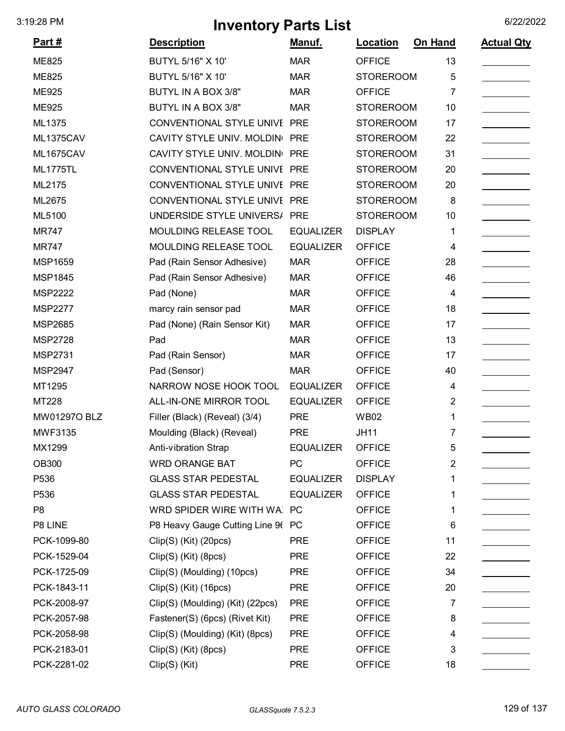| <u>Part #</u>    | <b>Description</b>                | Manuf.           | <b>Location</b>  | On Hand        | <b>Actual Qty</b> |
|------------------|-----------------------------------|------------------|------------------|----------------|-------------------|
| <b>ME825</b>     | BUTYL 5/16" X 10"                 | <b>MAR</b>       | <b>OFFICE</b>    | 13             |                   |
| <b>ME825</b>     | BUTYL 5/16" X 10"                 | <b>MAR</b>       | <b>STOREROOM</b> | 5              |                   |
| <b>ME925</b>     | BUTYL IN A BOX 3/8"               | <b>MAR</b>       | <b>OFFICE</b>    | 7              |                   |
| <b>ME925</b>     | BUTYL IN A BOX 3/8"               | <b>MAR</b>       | <b>STOREROOM</b> | 10             |                   |
| ML1375           | CONVENTIONAL STYLE UNIVE PRE      |                  | <b>STOREROOM</b> | 17             |                   |
| ML1375CAV        | CAVITY STYLE UNIV. MOLDIN PRE     |                  | <b>STOREROOM</b> | 22             |                   |
| <b>ML1675CAV</b> | CAVITY STYLE UNIV. MOLDIN PRE     |                  | <b>STOREROOM</b> | 31             |                   |
| <b>ML1775TL</b>  | CONVENTIONAL STYLE UNIVE PRE      |                  | <b>STOREROOM</b> | 20             |                   |
| ML2175           | CONVENTIONAL STYLE UNIVE PRE      |                  | <b>STOREROOM</b> | 20             |                   |
| ML2675           | CONVENTIONAL STYLE UNIVE PRE      |                  | <b>STOREROOM</b> | 8              |                   |
| ML5100           | UNDERSIDE STYLE UNIVERS/ PRE      |                  | <b>STOREROOM</b> | 10             |                   |
| <b>MR747</b>     | MOULDING RELEASE TOOL             | <b>EQUALIZER</b> | <b>DISPLAY</b>   | 1              |                   |
| <b>MR747</b>     | MOULDING RELEASE TOOL             | <b>EQUALIZER</b> | <b>OFFICE</b>    | 4              |                   |
| <b>MSP1659</b>   | Pad (Rain Sensor Adhesive)        | <b>MAR</b>       | <b>OFFICE</b>    | 28             |                   |
| <b>MSP1845</b>   | Pad (Rain Sensor Adhesive)        | <b>MAR</b>       | <b>OFFICE</b>    | 46             |                   |
| <b>MSP2222</b>   | Pad (None)                        | <b>MAR</b>       | <b>OFFICE</b>    | 4              |                   |
| <b>MSP2277</b>   | marcy rain sensor pad             | <b>MAR</b>       | <b>OFFICE</b>    | 18             |                   |
| <b>MSP2685</b>   | Pad (None) (Rain Sensor Kit)      | <b>MAR</b>       | <b>OFFICE</b>    | 17             |                   |
| <b>MSP2728</b>   | Pad                               | <b>MAR</b>       | <b>OFFICE</b>    | 13             |                   |
| <b>MSP2731</b>   | Pad (Rain Sensor)                 | <b>MAR</b>       | <b>OFFICE</b>    | 17             |                   |
| <b>MSP2947</b>   | Pad (Sensor)                      | <b>MAR</b>       | <b>OFFICE</b>    | 40             |                   |
| MT1295           | NARROW NOSE HOOK TOOL             | <b>EQUALIZER</b> | <b>OFFICE</b>    | 4              |                   |
| MT228            | ALL-IN-ONE MIRROR TOOL            | <b>EQUALIZER</b> | <b>OFFICE</b>    | 2              |                   |
| MW01297O BLZ     | Filler (Black) (Reveal) (3/4)     | <b>PRE</b>       | <b>WB02</b>      | 1              |                   |
| <b>MWF3135</b>   | Moulding (Black) (Reveal)         | <b>PRE</b>       | <b>JH11</b>      | 7              |                   |
| MX1299           | Anti-vibration Strap              | <b>EQUALIZER</b> | <b>OFFICE</b>    | 5              |                   |
| <b>OB300</b>     | <b>WRD ORANGE BAT</b>             | <b>PC</b>        | <b>OFFICE</b>    | $\overline{2}$ |                   |
| P536             | <b>GLASS STAR PEDESTAL</b>        | <b>EQUALIZER</b> | <b>DISPLAY</b>   | 1              |                   |
| P536             | <b>GLASS STAR PEDESTAL</b>        | <b>EQUALIZER</b> | <b>OFFICE</b>    | 1              |                   |
| P <sub>8</sub>   | WRD SPIDER WIRE WITH WA PC        |                  | <b>OFFICE</b>    | 1              |                   |
| P8 LINE          | P8 Heavy Gauge Cutting Line 96 PC |                  | <b>OFFICE</b>    | 6              |                   |
| PCK-1099-80      | Clip(S) (Kit) (20pcs)             | <b>PRE</b>       | <b>OFFICE</b>    | 11             |                   |
| PCK-1529-04      | Clip(S) (Kit) (8pcs)              | <b>PRE</b>       | <b>OFFICE</b>    | 22             |                   |
| PCK-1725-09      | Clip(S) (Moulding) (10pcs)        | <b>PRE</b>       | <b>OFFICE</b>    | 34             |                   |
| PCK-1843-11      | Clip(S) (Kit) (16pcs)             | <b>PRE</b>       | <b>OFFICE</b>    | 20             |                   |
| PCK-2008-97      | Clip(S) (Moulding) (Kit) (22pcs)  | <b>PRE</b>       | <b>OFFICE</b>    | 7              |                   |
| PCK-2057-98      | Fastener(S) (6pcs) (Rivet Kit)    | <b>PRE</b>       | <b>OFFICE</b>    | 8              |                   |
| PCK-2058-98      | Clip(S) (Moulding) (Kit) (8pcs)   | <b>PRE</b>       | <b>OFFICE</b>    | 4              |                   |
| PCK-2183-01      | Clip(S) (Kit) (8pcs)              | <b>PRE</b>       | <b>OFFICE</b>    | 3              |                   |
| PCK-2281-02      | Clip(S) (Kit)                     | <b>PRE</b>       | <b>OFFICE</b>    | 18             |                   |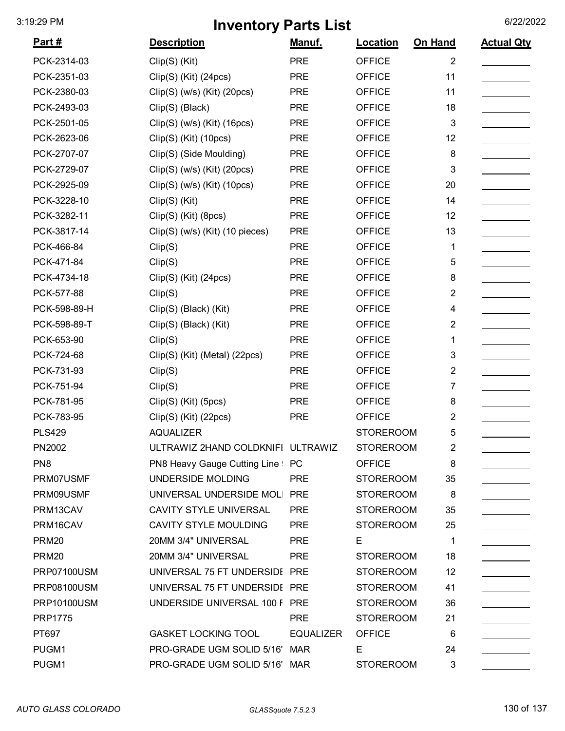| <u>Part #</u>      | <b>Description</b>                | <u>Manuf.</u>    | <b>Location</b>  | On Hand        | <b>Actual Qty</b> |
|--------------------|-----------------------------------|------------------|------------------|----------------|-------------------|
| PCK-2314-03        | Clip(S) (Kit)                     | <b>PRE</b>       | <b>OFFICE</b>    | $\overline{2}$ |                   |
| PCK-2351-03        | Clip(S) (Kit) (24pcs)             | <b>PRE</b>       | <b>OFFICE</b>    | 11             |                   |
| PCK-2380-03        | $Clip(S)$ (w/s) (Kit) (20pcs)     | <b>PRE</b>       | <b>OFFICE</b>    | 11             |                   |
| PCK-2493-03        | Clip(S) (Black)                   | <b>PRE</b>       | <b>OFFICE</b>    | 18             |                   |
| PCK-2501-05        | $Clip(S)$ (w/s) (Kit) (16pcs)     | <b>PRE</b>       | <b>OFFICE</b>    | 3              |                   |
| PCK-2623-06        | Clip(S) (Kit) (10pcs)             | <b>PRE</b>       | <b>OFFICE</b>    | 12             |                   |
| PCK-2707-07        | Clip(S) (Side Moulding)           | <b>PRE</b>       | <b>OFFICE</b>    | 8              |                   |
| PCK-2729-07        | $Clip(S)$ (w/s) (Kit) (20pcs)     | <b>PRE</b>       | <b>OFFICE</b>    | 3              |                   |
| PCK-2925-09        | $Clip(S)$ (w/s) (Kit) (10pcs)     | <b>PRE</b>       | <b>OFFICE</b>    | 20             |                   |
| PCK-3228-10        | Clip(S) (Kit)                     | <b>PRE</b>       | <b>OFFICE</b>    | 14             |                   |
| PCK-3282-11        | Clip(S) (Kit) (8pcs)              | <b>PRE</b>       | <b>OFFICE</b>    | 12             |                   |
| PCK-3817-14        | Clip(S) (w/s) (Kit) (10 pieces)   | <b>PRE</b>       | <b>OFFICE</b>    | 13             |                   |
| PCK-466-84         | Clip(S)                           | <b>PRE</b>       | <b>OFFICE</b>    | 1              |                   |
| PCK-471-84         | Clip(S)                           | <b>PRE</b>       | <b>OFFICE</b>    | 5              |                   |
| PCK-4734-18        | Clip(S) (Kit) (24pcs)             | <b>PRE</b>       | <b>OFFICE</b>    | 8              |                   |
| PCK-577-88         | Clip(S)                           | <b>PRE</b>       | <b>OFFICE</b>    | $\overline{2}$ |                   |
| PCK-598-89-H       | Clip(S) (Black) (Kit)             | <b>PRE</b>       | <b>OFFICE</b>    | 4              |                   |
| PCK-598-89-T       | Clip(S) (Black) (Kit)             | <b>PRE</b>       | <b>OFFICE</b>    | $\overline{2}$ |                   |
| PCK-653-90         | Clip(S)                           | <b>PRE</b>       | <b>OFFICE</b>    | 1              |                   |
| PCK-724-68         | Clip(S) (Kit) (Metal) (22pcs)     | <b>PRE</b>       | <b>OFFICE</b>    | 3              |                   |
| PCK-731-93         | Clip(S)                           | <b>PRE</b>       | <b>OFFICE</b>    | $\overline{2}$ |                   |
| PCK-751-94         | Clip(S)                           | <b>PRE</b>       | <b>OFFICE</b>    | $\overline{7}$ |                   |
| PCK-781-95         | Clip(S) (Kit) (5pcs)              | <b>PRE</b>       | <b>OFFICE</b>    | 8              |                   |
| PCK-783-95         | Clip(S) (Kit) (22pcs)             | <b>PRE</b>       | <b>OFFICE</b>    | $\overline{2}$ |                   |
| <b>PLS429</b>      | <b>AQUALIZER</b>                  |                  | <b>STOREROOM</b> | 5              |                   |
| PN2002             | ULTRAWIZ 2HAND COLDKNIFI ULTRAWIZ |                  | <b>STOREROOM</b> | 2              |                   |
| PN <sub>8</sub>    | PN8 Heavy Gauge Cutting Line PC   |                  | <b>OFFICE</b>    | 8              |                   |
| PRM07USMF          | UNDERSIDE MOLDING                 | <b>PRE</b>       | <b>STOREROOM</b> | 35             |                   |
| PRM09USMF          | UNIVERSAL UNDERSIDE MOL           | <b>PRE</b>       | <b>STOREROOM</b> | 8              |                   |
| PRM13CAV           | <b>CAVITY STYLE UNIVERSAL</b>     | <b>PRE</b>       | <b>STOREROOM</b> | 35             |                   |
| PRM16CAV           | <b>CAVITY STYLE MOULDING</b>      | <b>PRE</b>       | <b>STOREROOM</b> | 25             |                   |
| <b>PRM20</b>       | 20MM 3/4" UNIVERSAL               | <b>PRE</b>       | Е                | 1              |                   |
| <b>PRM20</b>       | 20MM 3/4" UNIVERSAL               | <b>PRE</b>       | <b>STOREROOM</b> | 18             |                   |
| <b>PRP07100USM</b> | UNIVERSAL 75 FT UNDERSIDI PRE     |                  | <b>STOREROOM</b> | 12             |                   |
| PRP08100USM        | UNIVERSAL 75 FT UNDERSIDI PRE     |                  | <b>STOREROOM</b> | 41             |                   |
| PRP10100USM        | UNDERSIDE UNIVERSAL 100 F PRE     |                  | <b>STOREROOM</b> | 36             |                   |
| <b>PRP1775</b>     |                                   | <b>PRE</b>       | <b>STOREROOM</b> | 21             |                   |
| PT697              | <b>GASKET LOCKING TOOL</b>        | <b>EQUALIZER</b> | <b>OFFICE</b>    | 6              |                   |
| PUGM1              | PRO-GRADE UGM SOLID 5/16'         | <b>MAR</b>       | Е                | 24             |                   |
| PUGM1              | PRO-GRADE UGM SOLID 5/16' MAR     |                  | <b>STOREROOM</b> | 3              |                   |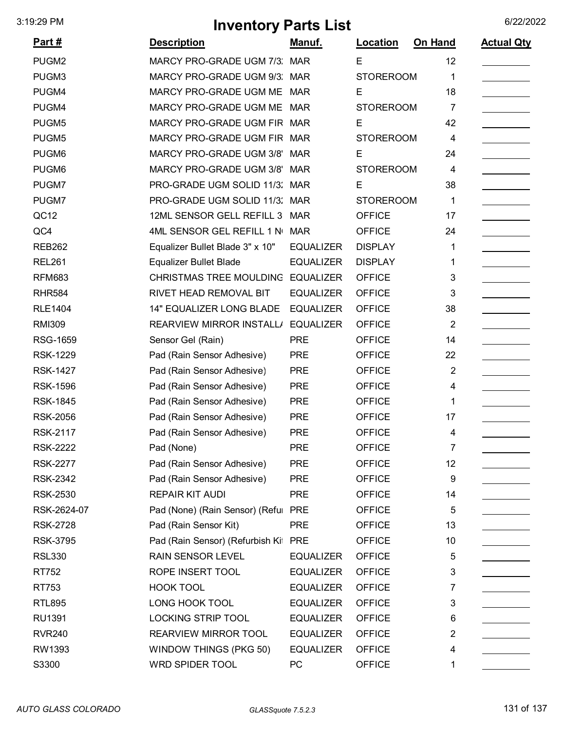|                 | $\cdots$                        |                  |                  |                |                   |
|-----------------|---------------------------------|------------------|------------------|----------------|-------------------|
| <u>Part #</u>   | <b>Description</b>              | Manuf.           | Location         | <b>On Hand</b> | <b>Actual Qty</b> |
| PUGM2           | MARCY PRO-GRADE UGM 7/3.        | <b>MAR</b>       | E                | 12             |                   |
| PUGM3           | MARCY PRO-GRADE UGM 9/3.        | <b>MAR</b>       | <b>STOREROOM</b> | 1              |                   |
| PUGM4           | MARCY PRO-GRADE UGM ME MAR      |                  | E                | 18             |                   |
| PUGM4           | MARCY PRO-GRADE UGM ME          | <b>MAR</b>       | <b>STOREROOM</b> | 7              |                   |
| PUGM5           | MARCY PRO-GRADE UGM FIR         | <b>MAR</b>       | E                | 42             |                   |
| PUGM5           | MARCY PRO-GRADE UGM FIR         | <b>MAR</b>       | <b>STOREROOM</b> | 4              |                   |
| PUGM6           | MARCY PRO-GRADE UGM 3/8'        | <b>MAR</b>       | E                | 24             |                   |
| PUGM6           | <b>MARCY PRO-GRADE UGM 3/8'</b> | <b>MAR</b>       | <b>STOREROOM</b> | 4              |                   |
| PUGM7           | PRO-GRADE UGM SOLID 11/3:       | <b>MAR</b>       | E                | 38             |                   |
| PUGM7           | PRO-GRADE UGM SOLID 11/3.       | <b>MAR</b>       | <b>STOREROOM</b> | 1              |                   |
| QC12            | 12ML SENSOR GELL REFILL 3       | <b>MAR</b>       | <b>OFFICE</b>    | 17             |                   |
| QC4             | 4ML SENSOR GEL REFILL 1 N       | <b>MAR</b>       | <b>OFFICE</b>    | 24             |                   |
| <b>REB262</b>   | Equalizer Bullet Blade 3" x 10" | <b>EQUALIZER</b> | <b>DISPLAY</b>   | 1              |                   |
| <b>REL261</b>   | <b>Equalizer Bullet Blade</b>   | <b>EQUALIZER</b> | <b>DISPLAY</b>   | 1              |                   |
| <b>RFM683</b>   | <b>CHRISTMAS TREE MOULDING</b>  | <b>EQUALIZER</b> | <b>OFFICE</b>    | 3              |                   |
| <b>RHR584</b>   | RIVET HEAD REMOVAL BIT          | <b>EQUALIZER</b> | <b>OFFICE</b>    | 3              |                   |
| <b>RLE1404</b>  | <b>14" EQUALIZER LONG BLADE</b> | <b>EQUALIZER</b> | <b>OFFICE</b>    | 38             |                   |
| <b>RMI309</b>   | REARVIEW MIRROR INSTALL/        | <b>EQUALIZER</b> | <b>OFFICE</b>    | $\overline{2}$ |                   |
| <b>RSG-1659</b> | Sensor Gel (Rain)               | <b>PRE</b>       | <b>OFFICE</b>    | 14             |                   |
| <b>RSK-1229</b> | Pad (Rain Sensor Adhesive)      | <b>PRE</b>       | <b>OFFICE</b>    | 22             |                   |
| <b>RSK-1427</b> | Pad (Rain Sensor Adhesive)      | <b>PRE</b>       | <b>OFFICE</b>    | $\overline{2}$ |                   |
| <b>RSK-1596</b> | Pad (Rain Sensor Adhesive)      | <b>PRE</b>       | <b>OFFICE</b>    | 4              |                   |
| <b>RSK-1845</b> | Pad (Rain Sensor Adhesive)      | <b>PRE</b>       | <b>OFFICE</b>    | 1              |                   |
| <b>RSK-2056</b> | Pad (Rain Sensor Adhesive)      | <b>PRE</b>       | <b>OFFICE</b>    | 17             |                   |
| <b>RSK-2117</b> | Pad (Rain Sensor Adhesive)      | <b>PRE</b>       | <b>OFFICE</b>    | 4              |                   |
| <b>RSK-2222</b> | Pad (None)                      | <b>PRE</b>       | <b>OFFICE</b>    | 7              |                   |
| <b>RSK-2277</b> | Pad (Rain Sensor Adhesive)      | <b>PRE</b>       | <b>OFFICE</b>    | 12             |                   |
| <b>RSK-2342</b> | Pad (Rain Sensor Adhesive)      | <b>PRE</b>       | <b>OFFICE</b>    | 9              |                   |
| <b>RSK-2530</b> | <b>REPAIR KIT AUDI</b>          | <b>PRE</b>       | <b>OFFICE</b>    | 14             |                   |
| RSK-2624-07     | Pad (None) (Rain Sensor) (Refu  | <b>PRE</b>       | <b>OFFICE</b>    | 5              |                   |
| <b>RSK-2728</b> | Pad (Rain Sensor Kit)           | <b>PRE</b>       | <b>OFFICE</b>    | 13             |                   |
| <b>RSK-3795</b> | Pad (Rain Sensor) (Refurbish Ki | <b>PRE</b>       | <b>OFFICE</b>    | 10             |                   |
| <b>RSL330</b>   | <b>RAIN SENSOR LEVEL</b>        | <b>EQUALIZER</b> | <b>OFFICE</b>    | 5              |                   |
| RT752           | ROPE INSERT TOOL                | <b>EQUALIZER</b> | <b>OFFICE</b>    | 3              |                   |
| RT753           | <b>HOOK TOOL</b>                | <b>EQUALIZER</b> | <b>OFFICE</b>    | 7              |                   |
| <b>RTL895</b>   | LONG HOOK TOOL                  | <b>EQUALIZER</b> | <b>OFFICE</b>    | 3              |                   |
| <b>RU1391</b>   | <b>LOCKING STRIP TOOL</b>       | <b>EQUALIZER</b> | <b>OFFICE</b>    | 6              |                   |
| <b>RVR240</b>   | REARVIEW MIRROR TOOL            | <b>EQUALIZER</b> | <b>OFFICE</b>    | 2              |                   |
| RW1393          | <b>WINDOW THINGS (PKG 50)</b>   | <b>EQUALIZER</b> | <b>OFFICE</b>    | 4              |                   |
| S3300           | WRD SPIDER TOOL                 | PC               | <b>OFFICE</b>    | 1              |                   |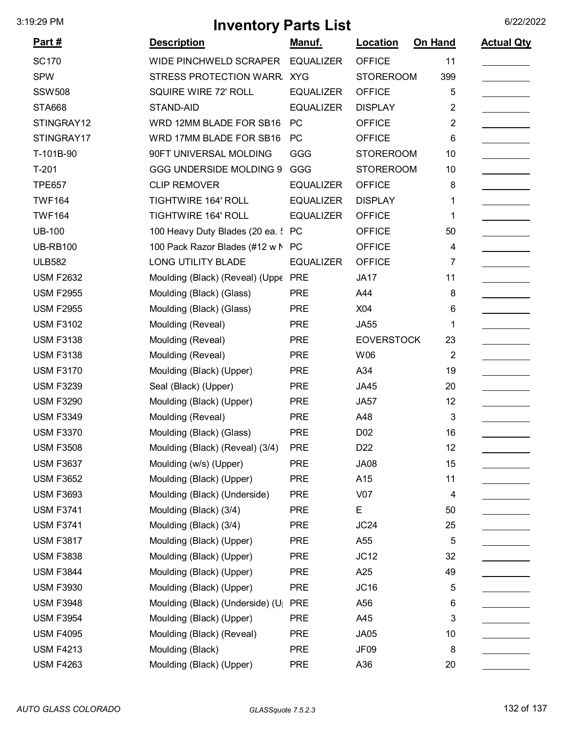| <u>Part #</u>    | <b>Description</b>                  | <u>Manuf.</u>    | <b>Location</b>   | On Hand        | <b>Actual Qty</b> |
|------------------|-------------------------------------|------------------|-------------------|----------------|-------------------|
| <b>SC170</b>     | <b>WIDE PINCHWELD SCRAPER</b>       | <b>EQUALIZER</b> | <b>OFFICE</b>     | 11             |                   |
| <b>SPW</b>       | STRESS PROTECTION WARR              | <b>XYG</b>       | <b>STOREROOM</b>  | 399            |                   |
| <b>SSW508</b>    | SQUIRE WIRE 72' ROLL                | <b>EQUALIZER</b> | <b>OFFICE</b>     | 5              |                   |
| <b>STA668</b>    | STAND-AID                           | <b>EQUALIZER</b> | <b>DISPLAY</b>    | $\overline{2}$ |                   |
| STINGRAY12       | WRD 12MM BLADE FOR SB16             | PC               | <b>OFFICE</b>     | $\overline{2}$ |                   |
| STINGRAY17       | WRD 17MM BLADE FOR SB16             | <b>PC</b>        | <b>OFFICE</b>     | 6              |                   |
| T-101B-90        | 90FT UNIVERSAL MOLDING              | GGG              | <b>STOREROOM</b>  | 10             |                   |
| $T-201$          | <b>GGG UNDERSIDE MOLDING 9</b>      | GGG              | <b>STOREROOM</b>  | 10             |                   |
| <b>TPE657</b>    | <b>CLIP REMOVER</b>                 | <b>EQUALIZER</b> | <b>OFFICE</b>     | 8              |                   |
| <b>TWF164</b>    | <b>TIGHTWIRE 164' ROLL</b>          | <b>EQUALIZER</b> | <b>DISPLAY</b>    | 1              |                   |
| <b>TWF164</b>    | TIGHTWIRE 164' ROLL                 | <b>EQUALIZER</b> | <b>OFFICE</b>     | 1              |                   |
| <b>UB-100</b>    | 100 Heavy Duty Blades (20 ea. !     | <b>PC</b>        | <b>OFFICE</b>     | 50             |                   |
| <b>UB-RB100</b>  | 100 Pack Razor Blades (#12 w N      | <b>PC</b>        | <b>OFFICE</b>     | 4              |                   |
| <b>ULB582</b>    | <b>LONG UTILITY BLADE</b>           | <b>EQUALIZER</b> | <b>OFFICE</b>     | 7              |                   |
| <b>USM F2632</b> | Moulding (Black) (Reveal) (Uppe PRE |                  | <b>JA17</b>       | 11             |                   |
| <b>USM F2955</b> | Moulding (Black) (Glass)            | <b>PRE</b>       | A44               | 8              |                   |
| <b>USM F2955</b> | Moulding (Black) (Glass)            | <b>PRE</b>       | X04               | 6              |                   |
| <b>USM F3102</b> | Moulding (Reveal)                   | <b>PRE</b>       | <b>JA55</b>       | 1              |                   |
| <b>USM F3138</b> | Moulding (Reveal)                   | <b>PRE</b>       | <b>EOVERSTOCK</b> | 23             |                   |
| <b>USM F3138</b> | Moulding (Reveal)                   | <b>PRE</b>       | W06               | $\overline{2}$ |                   |
| <b>USM F3170</b> | Moulding (Black) (Upper)            | <b>PRE</b>       | A34               | 19             |                   |
| <b>USM F3239</b> | Seal (Black) (Upper)                | <b>PRE</b>       | <b>JA45</b>       | 20             |                   |
| <b>USM F3290</b> | Moulding (Black) (Upper)            | <b>PRE</b>       | <b>JA57</b>       | 12             |                   |
| <b>USM F3349</b> | Moulding (Reveal)                   | <b>PRE</b>       | A48               | 3              |                   |
| <b>USM F3370</b> | Moulding (Black) (Glass)            | <b>PRE</b>       | D <sub>02</sub>   | 16             |                   |
| <b>USM F3508</b> | Moulding (Black) (Reveal) (3/4)     | <b>PRE</b>       | D <sub>22</sub>   | 12             |                   |
| <b>USM F3637</b> | Moulding (w/s) (Upper)              | <b>PRE</b>       | <b>JA08</b>       | 15             |                   |
| <b>USM F3652</b> | Moulding (Black) (Upper)            | <b>PRE</b>       | A15               | 11             |                   |
| <b>USM F3693</b> | Moulding (Black) (Underside)        | <b>PRE</b>       | V07               | 4              |                   |
| <b>USM F3741</b> | Moulding (Black) (3/4)              | <b>PRE</b>       | E                 | 50             |                   |
| <b>USM F3741</b> | Moulding (Black) (3/4)              | <b>PRE</b>       | JC24              | 25             |                   |
| <b>USM F3817</b> | Moulding (Black) (Upper)            | <b>PRE</b>       | A55               | 5              |                   |
| <b>USM F3838</b> | Moulding (Black) (Upper)            | <b>PRE</b>       | JC12              | 32             |                   |
| <b>USM F3844</b> | Moulding (Black) (Upper)            | <b>PRE</b>       | A25               | 49             |                   |
| <b>USM F3930</b> | Moulding (Black) (Upper)            | <b>PRE</b>       | JC16              | 5              |                   |
| <b>USM F3948</b> | Moulding (Black) (Underside) (U     | <b>PRE</b>       | A56               | 6              |                   |
| <b>USM F3954</b> | Moulding (Black) (Upper)            | <b>PRE</b>       | A45               | 3              |                   |
| <b>USM F4095</b> | Moulding (Black) (Reveal)           | <b>PRE</b>       | <b>JA05</b>       | 10             |                   |
| <b>USM F4213</b> | Moulding (Black)                    | <b>PRE</b>       | JF <sub>09</sub>  | 8              |                   |
| <b>USM F4263</b> | Moulding (Black) (Upper)            | <b>PRE</b>       | A36               | 20             |                   |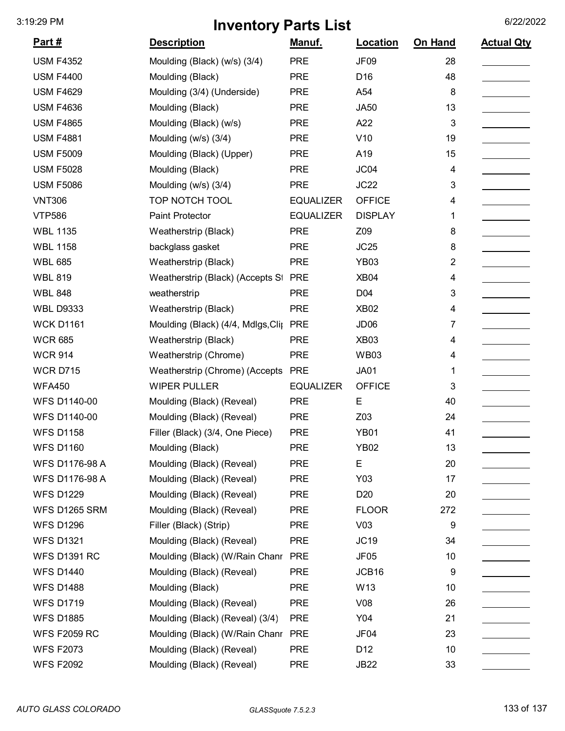| <u>Part #</u>        | <b>Description</b>                 | Manuf.           | Location         | On Hand        | <b>Actual Qty</b> |
|----------------------|------------------------------------|------------------|------------------|----------------|-------------------|
| <b>USM F4352</b>     | Moulding (Black) (w/s) (3/4)       | <b>PRE</b>       | <b>JF09</b>      | 28             |                   |
| <b>USM F4400</b>     | Moulding (Black)                   | <b>PRE</b>       | D16              | 48             |                   |
| <b>USM F4629</b>     | Moulding (3/4) (Underside)         | <b>PRE</b>       | A54              | 8              |                   |
| <b>USM F4636</b>     | Moulding (Black)                   | <b>PRE</b>       | <b>JA50</b>      | 13             |                   |
| <b>USM F4865</b>     | Moulding (Black) (w/s)             | <b>PRE</b>       | A22              | $\mathfrak{B}$ |                   |
| <b>USM F4881</b>     | Moulding (w/s) (3/4)               | <b>PRE</b>       | V10              | 19             |                   |
| <b>USM F5009</b>     | Moulding (Black) (Upper)           | <b>PRE</b>       | A19              | 15             |                   |
| <b>USM F5028</b>     | Moulding (Black)                   | <b>PRE</b>       | JC04             | 4              |                   |
| <b>USM F5086</b>     | Moulding (w/s) (3/4)               | <b>PRE</b>       | JC22             | 3              |                   |
| <b>VNT306</b>        | TOP NOTCH TOOL                     | <b>EQUALIZER</b> | <b>OFFICE</b>    | 4              |                   |
| <b>VTP586</b>        | <b>Paint Protector</b>             | <b>EQUALIZER</b> | <b>DISPLAY</b>   | 1              |                   |
| <b>WBL 1135</b>      | Weatherstrip (Black)               | <b>PRE</b>       | Z09              | 8              |                   |
| <b>WBL 1158</b>      | backglass gasket                   | <b>PRE</b>       | JC25             | 8              |                   |
| <b>WBL 685</b>       | Weatherstrip (Black)               | <b>PRE</b>       | <b>YB03</b>      | 2              |                   |
| <b>WBL 819</b>       | Weatherstrip (Black) (Accepts St   | <b>PRE</b>       | XB04             | 4              |                   |
| <b>WBL 848</b>       | weatherstrip                       | <b>PRE</b>       | D <sub>04</sub>  | 3              |                   |
| <b>WBL D9333</b>     | Weatherstrip (Black)               | <b>PRE</b>       | <b>XB02</b>      | 4              |                   |
| <b>WCK D1161</b>     | Moulding (Black) (4/4, Mdlgs, Clip | <b>PRE</b>       | JD <sub>06</sub> | 7              |                   |
| <b>WCR 685</b>       | Weatherstrip (Black)               | <b>PRE</b>       | XB <sub>03</sub> | 4              |                   |
| <b>WCR 914</b>       | Weatherstrip (Chrome)              | <b>PRE</b>       | <b>WB03</b>      | 4              |                   |
| <b>WCR D715</b>      | Weatherstrip (Chrome) (Accepts     | <b>PRE</b>       | <b>JA01</b>      | 1              |                   |
| <b>WFA450</b>        | <b>WIPER PULLER</b>                | <b>EQUALIZER</b> | <b>OFFICE</b>    | 3              |                   |
| <b>WFS D1140-00</b>  | Moulding (Black) (Reveal)          | <b>PRE</b>       | E                | 40             |                   |
| <b>WFS D1140-00</b>  | Moulding (Black) (Reveal)          | <b>PRE</b>       | Z03              | 24             |                   |
| <b>WFS D1158</b>     | Filler (Black) (3/4, One Piece)    | <b>PRE</b>       | <b>YB01</b>      | 41             |                   |
| <b>WFS D1160</b>     | Moulding (Black)                   | <b>PRE</b>       | <b>YB02</b>      | 13             |                   |
| WFS D1176-98 A       | Moulding (Black) (Reveal)          | <b>PRE</b>       | E                | 20             |                   |
| WFS D1176-98 A       | Moulding (Black) (Reveal)          | <b>PRE</b>       | Y03              | 17             |                   |
| <b>WFS D1229</b>     | Moulding (Black) (Reveal)          | <b>PRE</b>       | D <sub>20</sub>  | 20             |                   |
| <b>WFS D1265 SRM</b> | Moulding (Black) (Reveal)          | <b>PRE</b>       | <b>FLOOR</b>     | 272            |                   |
| <b>WFS D1296</b>     | Filler (Black) (Strip)             | <b>PRE</b>       | V <sub>03</sub>  | 9              |                   |
| <b>WFS D1321</b>     | Moulding (Black) (Reveal)          | <b>PRE</b>       | JC19             | 34             |                   |
| <b>WFS D1391 RC</b>  | Moulding (Black) (W/Rain Chanr     | <b>PRE</b>       | <b>JF05</b>      | 10             |                   |
| <b>WFS D1440</b>     | Moulding (Black) (Reveal)          | <b>PRE</b>       | JCB16            | 9              |                   |
| <b>WFS D1488</b>     | Moulding (Black)                   | <b>PRE</b>       | W13              | 10             |                   |
| <b>WFS D1719</b>     | Moulding (Black) (Reveal)          | <b>PRE</b>       | V <sub>08</sub>  | 26             |                   |
| <b>WFS D1885</b>     | Moulding (Black) (Reveal) (3/4)    | <b>PRE</b>       | Y04              | 21             |                   |
| <b>WFS F2059 RC</b>  | Moulding (Black) (W/Rain Chanr     | <b>PRE</b>       | JF04             | 23             |                   |
| <b>WFS F2073</b>     | Moulding (Black) (Reveal)          | <b>PRE</b>       | D <sub>12</sub>  | 10             |                   |
| <b>WFS F2092</b>     | Moulding (Black) (Reveal)          | <b>PRE</b>       | <b>JB22</b>      | 33             |                   |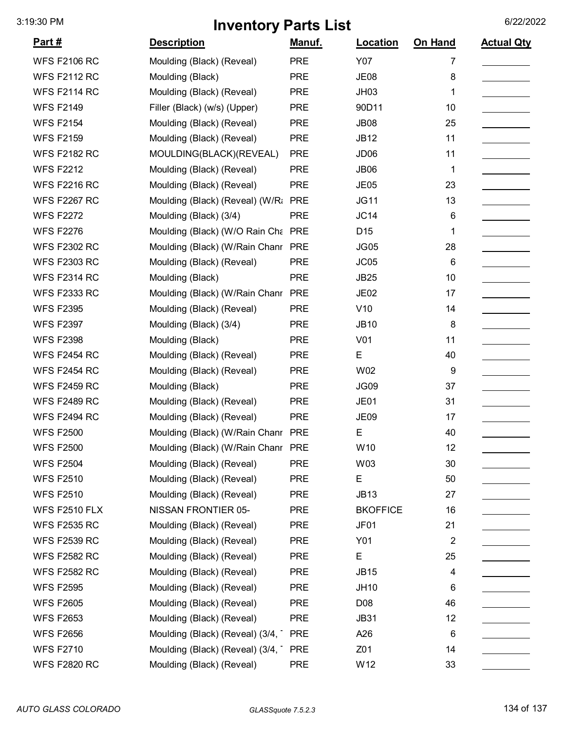| <u>Part #</u>        | <b>Description</b>                 | Manuf.     | Location         | On Hand        | <b>Actual Qty</b> |
|----------------------|------------------------------------|------------|------------------|----------------|-------------------|
| <b>WFS F2106 RC</b>  | Moulding (Black) (Reveal)          | <b>PRE</b> | Y07              | 7              |                   |
| <b>WFS F2112 RC</b>  | Moulding (Black)                   | <b>PRE</b> | <b>JE08</b>      | 8              |                   |
| <b>WFS F2114 RC</b>  | Moulding (Black) (Reveal)          | <b>PRE</b> | <b>JH03</b>      | 1              |                   |
| <b>WFS F2149</b>     | Filler (Black) (w/s) (Upper)       | <b>PRE</b> | 90D11            | 10             |                   |
| <b>WFS F2154</b>     | Moulding (Black) (Reveal)          | <b>PRE</b> | <b>JB08</b>      | 25             |                   |
| <b>WFS F2159</b>     | Moulding (Black) (Reveal)          | <b>PRE</b> | <b>JB12</b>      | 11             |                   |
| <b>WFS F2182 RC</b>  | MOULDING(BLACK)(REVEAL)            | <b>PRE</b> | JD <sub>06</sub> | 11             |                   |
| <b>WFS F2212</b>     | Moulding (Black) (Reveal)          | <b>PRE</b> | JB06             | 1              |                   |
| <b>WFS F2216 RC</b>  | Moulding (Black) (Reveal)          | <b>PRE</b> | <b>JE05</b>      | 23             |                   |
| <b>WFS F2267 RC</b>  | Moulding (Black) (Reveal) (W/Ra    | <b>PRE</b> | <b>JG11</b>      | 13             |                   |
| <b>WFS F2272</b>     | Moulding (Black) (3/4)             | <b>PRE</b> | JC14             | 6              |                   |
| <b>WFS F2276</b>     | Moulding (Black) (W/O Rain Cha PRE |            | D <sub>15</sub>  | 1              |                   |
| <b>WFS F2302 RC</b>  | Moulding (Black) (W/Rain Chanr PRE |            | <b>JG05</b>      | 28             |                   |
| <b>WFS F2303 RC</b>  | Moulding (Black) (Reveal)          | <b>PRE</b> | JC05             | 6              |                   |
| <b>WFS F2314 RC</b>  | Moulding (Black)                   | <b>PRE</b> | <b>JB25</b>      | 10             |                   |
| <b>WFS F2333 RC</b>  | Moulding (Black) (W/Rain Chanr     | <b>PRE</b> | JE <sub>02</sub> | 17             |                   |
| <b>WFS F2395</b>     | Moulding (Black) (Reveal)          | <b>PRE</b> | V10              | 14             |                   |
| <b>WFS F2397</b>     | Moulding (Black) (3/4)             | <b>PRE</b> | <b>JB10</b>      | 8              |                   |
| <b>WFS F2398</b>     | Moulding (Black)                   | <b>PRE</b> | V01              | 11             |                   |
| <b>WFS F2454 RC</b>  | Moulding (Black) (Reveal)          | <b>PRE</b> | E                | 40             |                   |
| <b>WFS F2454 RC</b>  | Moulding (Black) (Reveal)          | <b>PRE</b> | W02              | 9              |                   |
| <b>WFS F2459 RC</b>  | Moulding (Black)                   | <b>PRE</b> | JG09             | 37             |                   |
| <b>WFS F2489 RC</b>  | Moulding (Black) (Reveal)          | <b>PRE</b> | JE01             | 31             |                   |
| <b>WFS F2494 RC</b>  | Moulding (Black) (Reveal)          | <b>PRE</b> | <b>JE09</b>      | 17             |                   |
| <b>WFS F2500</b>     | Moulding (Black) (W/Rain Chanr PRE |            | Е                | 40             |                   |
| <b>WFS F2500</b>     | Moulding (Black) (W/Rain Chanr PRE |            | W10              | 12             |                   |
| <b>WFS F2504</b>     | Moulding (Black) (Reveal)          | <b>PRE</b> | W03              | 30             |                   |
| <b>WFS F2510</b>     | Moulding (Black) (Reveal)          | <b>PRE</b> | E                | 50             |                   |
| <b>WFS F2510</b>     | Moulding (Black) (Reveal)          | <b>PRE</b> | <b>JB13</b>      | 27             |                   |
| <b>WFS F2510 FLX</b> | NISSAN FRONTIER 05-                | <b>PRE</b> | <b>BKOFFICE</b>  | 16             |                   |
| <b>WFS F2535 RC</b>  | Moulding (Black) (Reveal)          | <b>PRE</b> | JF01             | 21             |                   |
| <b>WFS F2539 RC</b>  | Moulding (Black) (Reveal)          | <b>PRE</b> | Y01              | $\overline{2}$ |                   |
| <b>WFS F2582 RC</b>  | Moulding (Black) (Reveal)          | <b>PRE</b> | E                | 25             |                   |
| <b>WFS F2582 RC</b>  | Moulding (Black) (Reveal)          | <b>PRE</b> | <b>JB15</b>      | 4              |                   |
| <b>WFS F2595</b>     | Moulding (Black) (Reveal)          | <b>PRE</b> | <b>JH10</b>      | 6              |                   |
| <b>WFS F2605</b>     | Moulding (Black) (Reveal)          | <b>PRE</b> | D <sub>08</sub>  | 46             |                   |
| <b>WFS F2653</b>     | Moulding (Black) (Reveal)          | <b>PRE</b> | <b>JB31</b>      | 12             |                   |
| <b>WFS F2656</b>     | Moulding (Black) (Reveal) (3/4,    | <b>PRE</b> | A26              | 6              |                   |
| <b>WFS F2710</b>     | Moulding (Black) (Reveal) (3/4,    | <b>PRE</b> | Z01              | 14             |                   |
| <b>WFS F2820 RC</b>  | Moulding (Black) (Reveal)          | <b>PRE</b> | W12              | 33             |                   |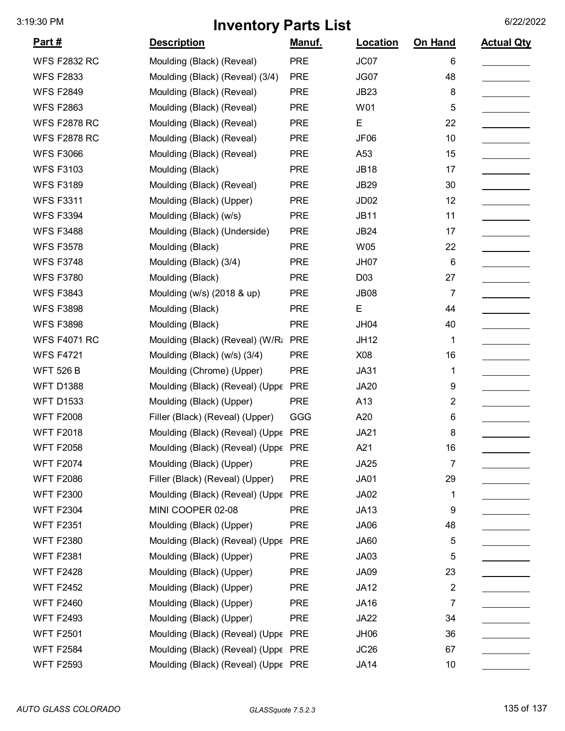| <u>Part #</u>       | <b>Description</b>                  | Manuf.     | <b>Location</b>  | On Hand        | <b>Actual Qty</b> |
|---------------------|-------------------------------------|------------|------------------|----------------|-------------------|
| <b>WFS F2832 RC</b> | Moulding (Black) (Reveal)           | <b>PRE</b> | JC07             | 6              |                   |
| <b>WFS F2833</b>    | Moulding (Black) (Reveal) (3/4)     | <b>PRE</b> | JG07             | 48             |                   |
| <b>WFS F2849</b>    | Moulding (Black) (Reveal)           | <b>PRE</b> | <b>JB23</b>      | 8              |                   |
| <b>WFS F2863</b>    | Moulding (Black) (Reveal)           | <b>PRE</b> | W01              | 5              |                   |
| <b>WFS F2878 RC</b> | Moulding (Black) (Reveal)           | <b>PRE</b> | E                | 22             |                   |
| <b>WFS F2878 RC</b> | Moulding (Black) (Reveal)           | <b>PRE</b> | JF06             | 10             |                   |
| <b>WFS F3066</b>    | Moulding (Black) (Reveal)           | <b>PRE</b> | A53              | 15             |                   |
| <b>WFS F3103</b>    | Moulding (Black)                    | <b>PRE</b> | <b>JB18</b>      | 17             |                   |
| <b>WFS F3189</b>    | Moulding (Black) (Reveal)           | <b>PRE</b> | <b>JB29</b>      | 30             |                   |
| <b>WFS F3311</b>    | Moulding (Black) (Upper)            | <b>PRE</b> | JD <sub>02</sub> | 12             |                   |
| <b>WFS F3394</b>    | Moulding (Black) (w/s)              | <b>PRE</b> | <b>JB11</b>      | 11             |                   |
| <b>WFS F3488</b>    | Moulding (Black) (Underside)        | <b>PRE</b> | <b>JB24</b>      | 17             |                   |
| <b>WFS F3578</b>    | Moulding (Black)                    | <b>PRE</b> | W05              | 22             |                   |
| <b>WFS F3748</b>    | Moulding (Black) (3/4)              | <b>PRE</b> | <b>JH07</b>      | $\,6$          |                   |
| <b>WFS F3780</b>    | Moulding (Black)                    | <b>PRE</b> | D03              | 27             |                   |
| <b>WFS F3843</b>    | Moulding (w/s) (2018 & up)          | <b>PRE</b> | <b>JB08</b>      | $\overline{7}$ |                   |
| <b>WFS F3898</b>    | Moulding (Black)                    | <b>PRE</b> | E                | 44             |                   |
| <b>WFS F3898</b>    | Moulding (Black)                    | <b>PRE</b> | <b>JH04</b>      | 40             |                   |
| <b>WFS F4071 RC</b> | Moulding (Black) (Reveal) (W/Ra     | <b>PRE</b> | <b>JH12</b>      | 1              |                   |
| <b>WFS F4721</b>    | Moulding (Black) (w/s) (3/4)        | <b>PRE</b> | X08              | 16             |                   |
| <b>WFT 526 B</b>    | Moulding (Chrome) (Upper)           | <b>PRE</b> | <b>JA31</b>      | 1              |                   |
| <b>WFT D1388</b>    | Moulding (Black) (Reveal) (Uppε     | <b>PRE</b> | <b>JA20</b>      | 9              |                   |
| <b>WFT D1533</b>    | Moulding (Black) (Upper)            | <b>PRE</b> | A13              | $\overline{2}$ |                   |
| <b>WFT F2008</b>    | Filler (Black) (Reveal) (Upper)     | GGG        | A20              | 6              |                   |
| <b>WFT F2018</b>    | Moulding (Black) (Reveal) (Uppe PRE |            | <b>JA21</b>      | 8              |                   |
| <b>WFT F2058</b>    | Moulding (Black) (Reveal) (Uppe PRE |            | A21              | 16             |                   |
| <b>WFT F2074</b>    | Moulding (Black) (Upper)            | <b>PRE</b> | <b>JA25</b>      | 7              |                   |
| <b>WFT F2086</b>    | Filler (Black) (Reveal) (Upper)     | <b>PRE</b> | <b>JA01</b>      | 29             |                   |
| <b>WFT F2300</b>    | Moulding (Black) (Reveal) (Uppe PRE |            | JA02             | 1              |                   |
| <b>WFT F2304</b>    | MINI COOPER 02-08                   | <b>PRE</b> | <b>JA13</b>      | 9              |                   |
| <b>WFT F2351</b>    | Moulding (Black) (Upper)            | <b>PRE</b> | JA06             | 48             |                   |
| <b>WFT F2380</b>    | Moulding (Black) (Reveal) (Uppe PRE |            | <b>JA60</b>      | 5              |                   |
| <b>WFT F2381</b>    | Moulding (Black) (Upper)            | <b>PRE</b> | <b>JA03</b>      | 5              |                   |
| <b>WFT F2428</b>    | Moulding (Black) (Upper)            | <b>PRE</b> | JA09             | 23             |                   |
| <b>WFT F2452</b>    | Moulding (Black) (Upper)            | <b>PRE</b> | <b>JA12</b>      | $\overline{c}$ |                   |
| <b>WFT F2460</b>    | Moulding (Black) (Upper)            | <b>PRE</b> | <b>JA16</b>      | 7              |                   |
| <b>WFT F2493</b>    | Moulding (Black) (Upper)            | <b>PRE</b> | <b>JA22</b>      | 34             |                   |
| <b>WFT F2501</b>    | Moulding (Black) (Reveal) (Uppe     | <b>PRE</b> | JH06             | 36             |                   |
| <b>WFT F2584</b>    | Moulding (Black) (Reveal) (Uppe PRE |            | JC26             | 67             |                   |
| <b>WFT F2593</b>    | Moulding (Black) (Reveal) (Uppe PRE |            | <b>JA14</b>      | 10             |                   |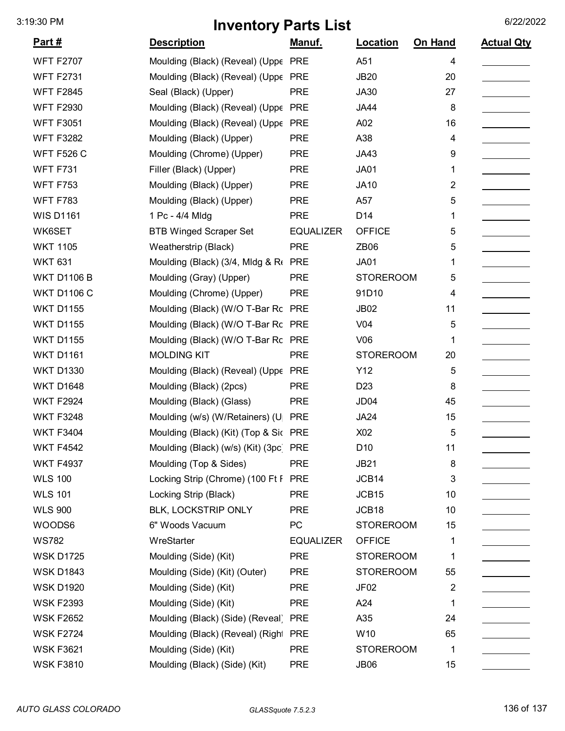| <u>Part #</u>      | <b>Description</b>                    | <u>Manuf.</u>    | Location          | On Hand        | <b>Actual Qty</b> |
|--------------------|---------------------------------------|------------------|-------------------|----------------|-------------------|
| <b>WFT F2707</b>   | Moulding (Black) (Reveal) (Uppe       | <b>PRE</b>       | A51               | 4              |                   |
| <b>WFT F2731</b>   | Moulding (Black) (Reveal) (Uppe       | <b>PRE</b>       | <b>JB20</b>       | 20             |                   |
| <b>WFT F2845</b>   | Seal (Black) (Upper)                  | <b>PRE</b>       | JA30              | 27             |                   |
| <b>WFT F2930</b>   | Moulding (Black) (Reveal) (Uppe       | <b>PRE</b>       | <b>JA44</b>       | 8              |                   |
| <b>WFT F3051</b>   | Moulding (Black) (Reveal) (Uppe       | <b>PRE</b>       | A02               | 16             |                   |
| <b>WFT F3282</b>   | Moulding (Black) (Upper)              | <b>PRE</b>       | A38               | 4              |                   |
| <b>WFT F526 C</b>  | Moulding (Chrome) (Upper)             | <b>PRE</b>       | JA43              | 9              |                   |
| <b>WFT F731</b>    | Filler (Black) (Upper)                | <b>PRE</b>       | <b>JA01</b>       | 1              |                   |
| <b>WFT F753</b>    | Moulding (Black) (Upper)              | <b>PRE</b>       | <b>JA10</b>       | 2              |                   |
| <b>WFT F783</b>    | Moulding (Black) (Upper)              | <b>PRE</b>       | A57               | 5              |                   |
| <b>WIS D1161</b>   | 1 Pc - 4/4 Mldg                       | <b>PRE</b>       | D14               | 1              |                   |
| WK6SET             | <b>BTB Winged Scraper Set</b>         | <b>EQUALIZER</b> | <b>OFFICE</b>     | 5              |                   |
| <b>WKT 1105</b>    | Weatherstrip (Black)                  | <b>PRE</b>       | ZB06              | 5              |                   |
| <b>WKT 631</b>     | Moulding (Black) (3/4, Mldg & Re      | <b>PRE</b>       | <b>JA01</b>       | 1              |                   |
| <b>WKT D1106 B</b> | Moulding (Gray) (Upper)               | <b>PRE</b>       | <b>STOREROOM</b>  | 5              |                   |
| <b>WKT D1106 C</b> | Moulding (Chrome) (Upper)             | <b>PRE</b>       | 91D10             | 4              |                   |
| <b>WKT D1155</b>   | Moulding (Black) (W/O T-Bar Rc        | <b>PRE</b>       | <b>JB02</b>       | 11             |                   |
| <b>WKT D1155</b>   | Moulding (Black) (W/O T-Bar Rc PRE    |                  | V <sub>04</sub>   | 5              |                   |
| <b>WKT D1155</b>   | Moulding (Black) (W/O T-Bar Rc PRE    |                  | V06               | 1              |                   |
| <b>WKT D1161</b>   | <b>MOLDING KIT</b>                    | <b>PRE</b>       | <b>STOREROOM</b>  | 20             |                   |
| <b>WKT D1330</b>   | Moulding (Black) (Reveal) (Uppe       | <b>PRE</b>       | Y12               | 5              |                   |
| <b>WKT D1648</b>   | Moulding (Black) (2pcs)               | <b>PRE</b>       | D <sub>23</sub>   | 8              |                   |
| <b>WKT F2924</b>   | Moulding (Black) (Glass)              | <b>PRE</b>       | JD <sub>04</sub>  | 45             |                   |
| <b>WKT F3248</b>   | Moulding (w/s) (W/Retainers) (U       | <b>PRE</b>       | <b>JA24</b>       | 15             |                   |
| <b>WKT F3404</b>   | Moulding (Black) (Kit) (Top & Sic PRE |                  | X02               | 5              |                   |
| WKT F4542          | Moulding (Black) (w/s) (Kit) (3pc)    | PRE              | D10               | 11             |                   |
| <b>WKT F4937</b>   | Moulding (Top & Sides)                | <b>PRE</b>       | <b>JB21</b>       | 8              |                   |
| <b>WLS 100</b>     | Locking Strip (Chrome) (100 Ft F      | <b>PRE</b>       | JCB14             | 3              |                   |
| <b>WLS 101</b>     | Locking Strip (Black)                 | <b>PRE</b>       | JCB15             | 10             |                   |
| <b>WLS 900</b>     | BLK, LOCKSTRIP ONLY                   | <b>PRE</b>       | JCB <sub>18</sub> | 10             |                   |
| WOODS6             | 6" Woods Vacuum                       | PC               | <b>STOREROOM</b>  | 15             |                   |
| <b>WS782</b>       | WreStarter                            | <b>EQUALIZER</b> | <b>OFFICE</b>     | 1              |                   |
| <b>WSK D1725</b>   | Moulding (Side) (Kit)                 | <b>PRE</b>       | <b>STOREROOM</b>  | 1              |                   |
| <b>WSK D1843</b>   | Moulding (Side) (Kit) (Outer)         | <b>PRE</b>       | <b>STOREROOM</b>  | 55             |                   |
| <b>WSK D1920</b>   | Moulding (Side) (Kit)                 | <b>PRE</b>       | JF <sub>02</sub>  | $\overline{2}$ |                   |
| <b>WSK F2393</b>   | Moulding (Side) (Kit)                 | <b>PRE</b>       | A24               | 1              |                   |
| <b>WSK F2652</b>   | Moulding (Black) (Side) (Reveal) PRE  |                  | A35               | 24             |                   |
| <b>WSK F2724</b>   | Moulding (Black) (Reveal) (Right      | <b>PRE</b>       | W10               | 65             |                   |
| <b>WSK F3621</b>   | Moulding (Side) (Kit)                 | <b>PRE</b>       | <b>STOREROOM</b>  | 1              |                   |
| <b>WSK F3810</b>   | Moulding (Black) (Side) (Kit)         | <b>PRE</b>       | <b>JB06</b>       | 15             |                   |